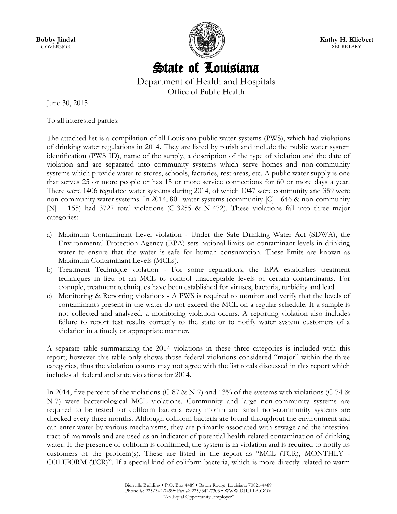**Bobby Jindal GOVERNOR** 



**Kathy H. Kliebert SECRETARY** 

# State of Louisiana

Department of Health and Hospitals Office of Public Health

June 30, 2015

To all interested parties:

The attached list is a compilation of all Louisiana public water systems (PWS), which had violations of drinking water regulations in 2014. They are listed by parish and include the public water system identification (PWS ID), name of the supply, a description of the type of violation and the date of violation and are separated into community systems which serve homes and non-community systems which provide water to stores, schools, factories, rest areas, etc. A public water supply is one that serves 25 or more people or has 15 or more service connections for 60 or more days a year. There were 1406 regulated water systems during 2014, of which 1047 were community and 359 were non-community water systems. In 2014, 801 water systems (community [C] - 646 & non-community [N] – 155) had 3727 total violations (C-3255 & N-472). These violations fall into three major categories:

- a) Maximum Contaminant Level violation Under the Safe Drinking Water Act (SDWA), the Environmental Protection Agency (EPA) sets national limits on contaminant levels in drinking water to ensure that the water is safe for human consumption. These limits are known as Maximum Contaminant Levels (MCLs).
- b) Treatment Technique violation For some regulations, the EPA establishes treatment techniques in lieu of an MCL to control unacceptable levels of certain contaminants. For example, treatment techniques have been established for viruses, bacteria, turbidity and lead.
- c) Monitoring & Reporting violations A PWS is required to monitor and verify that the levels of contaminants present in the water do not exceed the MCL on a regular schedule. If a sample is not collected and analyzed, a monitoring violation occurs. A reporting violation also includes failure to report test results correctly to the state or to notify water system customers of a violation in a timely or appropriate manner.

A separate table summarizing the 2014 violations in these three categories is included with this report; however this table only shows those federal violations considered "major" within the three categories, thus the violation counts may not agree with the list totals discussed in this report which includes all federal and state violations for 2014.

In 2014, five percent of the violations (C-87 & N-7) and 13% of the systems with violations (C-74 & N-7) were bacteriological MCL violations. Community and large non-community systems are required to be tested for coliform bacteria every month and small non-community systems are checked every three months. Although coliform bacteria are found throughout the environment and can enter water by various mechanisms, they are primarily associated with sewage and the intestinal tract of mammals and are used as an indicator of potential health related contamination of drinking water. If the presence of coliform is confirmed, the system is in violation and is required to notify its customers of the problem(s). These are listed in the report as "MCL (TCR), MONTHLY - COLIFORM (TCR)". If a special kind of coliform bacteria, which is more directly related to warm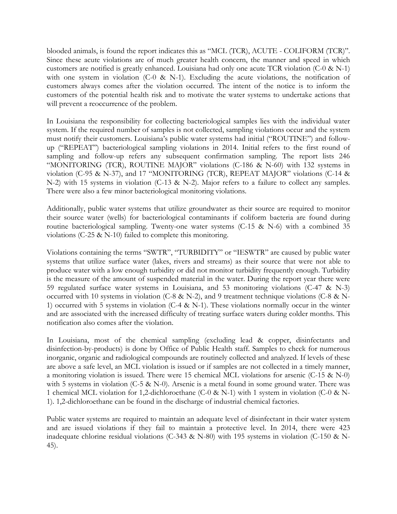blooded animals, is found the report indicates this as "MCL (TCR), ACUTE - COLIFORM (TCR)". Since these acute violations are of much greater health concern, the manner and speed in which customers are notified is greatly enhanced. Louisiana had only one acute TCR violation (C-0 & N-1) with one system in violation (C-0 & N-1). Excluding the acute violations, the notification of customers always comes after the violation occurred. The intent of the notice is to inform the customers of the potential health risk and to motivate the water systems to undertake actions that will prevent a reoccurrence of the problem.

In Louisiana the responsibility for collecting bacteriological samples lies with the individual water system. If the required number of samples is not collected, sampling violations occur and the system must notify their customers. Louisiana's public water systems had initial ("ROUTINE") and followup ("REPEAT") bacteriological sampling violations in 2014. Initial refers to the first round of sampling and follow-up refers any subsequent confirmation sampling. The report lists 246 "MONITORING (TCR), ROUTINE MAJOR" violations (C-186 & N-60) with 132 systems in violation (C-95 & N-37), and 17 "MONITORING (TCR), REPEAT MAJOR" violations (C-14 & N-2) with 15 systems in violation (C-13 & N-2). Major refers to a failure to collect any samples. There were also a few minor bacteriological monitoring violations.

Additionally, public water systems that utilize groundwater as their source are required to monitor their source water (wells) for bacteriological contaminants if coliform bacteria are found during routine bacteriological sampling. Twenty-one water systems (C-15 & N-6) with a combined 35 violations (C-25 & N-10) failed to complete this monitoring.

Violations containing the terms "SWTR", "TURBIDITY" or "IESWTR" are caused by public water systems that utilize surface water (lakes, rivers and streams) as their source that were not able to produce water with a low enough turbidity or did not monitor turbidity frequently enough. Turbidity is the measure of the amount of suspended material in the water. During the report year there were 59 regulated surface water systems in Louisiana, and 53 monitoring violations (C-47 & N-3) occurred with 10 systems in violation (C-8 & N-2), and 9 treatment technique violations (C-8 & N-1) occurred with 5 systems in violation (C-4 & N-1). These violations normally occur in the winter and are associated with the increased difficulty of treating surface waters during colder months. This notification also comes after the violation.

In Louisiana, most of the chemical sampling (excluding lead & copper, disinfectants and disinfection-by-products) is done by Office of Public Health staff. Samples to check for numerous inorganic, organic and radiological compounds are routinely collected and analyzed. If levels of these are above a safe level, an MCL violation is issued or if samples are not collected in a timely manner, a monitoring violation is issued. There were 15 chemical MCL violations for arsenic (C-15 & N-0) with 5 systems in violation (C-5 & N-0). Arsenic is a metal found in some ground water. There was 1 chemical MCL violation for 1,2-dichloroethane (C-0 & N-1) with 1 system in violation (C-0 & N-1). 1,2-dichloroethane can be found in the discharge of industrial chemical factories.

Public water systems are required to maintain an adequate level of disinfectant in their water system and are issued violations if they fail to maintain a protective level. In 2014, there were 423 inadequate chlorine residual violations (C-343 & N-80) with 195 systems in violation (C-150 & N-45).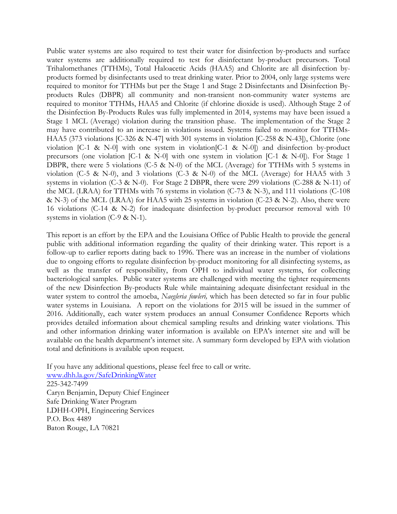Public water systems are also required to test their water for disinfection by-products and surface water systems are additionally required to test for disinfectant by-product precursors. Total Trihalomethanes (TTHMs), Total Haloacetic Acids (HAA5) and Chlorite are all disinfection byproducts formed by disinfectants used to treat drinking water. Prior to 2004, only large systems were required to monitor for TTHMs but per the Stage 1 and Stage 2 Disinfectants and Disinfection Byproducts Rules (DBPR) all community and non-transient non-community water systems are required to monitor TTHMs, HAA5 and Chlorite (if chlorine dioxide is used). Although Stage 2 of the Disinfection By-Products Rules was fully implemented in 2014, systems may have been issued a Stage 1 MCL (Average) violation during the transition phase. The implementation of the Stage 2 may have contributed to an increase in violations issued. Systems failed to monitor for TTHMs-HAA5 (373 violations [C-326 & N-47] with 301 systems in violation [C-258 & N-43]), Chlorite (one violation [C-1 & N-0] with one system in violation[C-1 & N-0]) and disinfection by-product precursors (one violation [C-1 & N-0] with one system in violation [C-1 & N-0]). For Stage 1 DBPR, there were 5 violations (C-5 & N-0) of the MCL (Average) for TTHMs with 5 systems in violation (C-5 & N-0), and 3 violations (C-3 & N-0) of the MCL (Average) for HAA5 with 3 systems in violation (C-3 & N-0). For Stage 2 DBPR, there were 299 violations (C-288 & N-11) of the MCL (LRAA) for TTHMs with 76 systems in violation (C-73 & N-3), and 111 violations (C-108 & N-3) of the MCL (LRAA) for HAA5 with 25 systems in violation (C-23 & N-2). Also, there were 16 violations (C-14 & N-2) for inadequate disinfection by-product precursor removal with 10 systems in violation (C-9 & N-1).

This report is an effort by the EPA and the Louisiana Office of Public Health to provide the general public with additional information regarding the quality of their drinking water. This report is a follow-up to earlier reports dating back to 1996. There was an increase in the number of violations due to ongoing efforts to regulate disinfection by-product monitoring for all disinfecting systems, as well as the transfer of responsibility, from OPH to individual water systems, for collecting bacteriological samples. Public water systems are challenged with meeting the tighter requirements of the new Disinfection By-products Rule while maintaining adequate disinfectant residual in the water system to control the amoeba, *Naegleria fowleri,* which has been detected so far in four public water systems in Louisiana. A report on the violations for 2015 will be issued in the summer of 2016. Additionally, each water system produces an annual Consumer Confidence Reports which provides detailed information about chemical sampling results and drinking water violations. This and other information drinking water information is available on EPA's internet site and will be available on the health department's internet site. A summary form developed by EPA with violation total and definitions is available upon request.

If you have any additional questions, please feel free to call or write.

[www.dhh.la.gov/SafeDrinkingWater](http://www.dhh.la.gov/SafeDrinkingWater) 225-342-7499 Caryn Benjamin, Deputy Chief Engineer Safe Drinking Water Program LDHH-OPH, Engineering Services P.O. Box 4489 Baton Rouge, LA 70821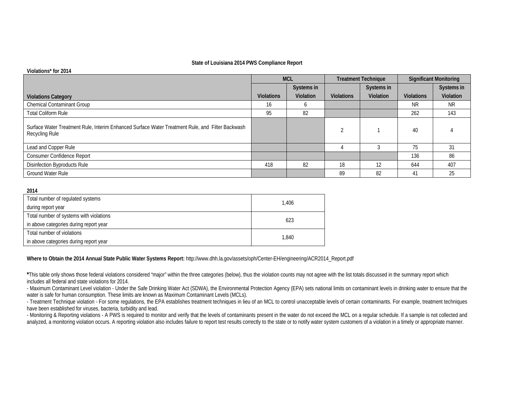#### **State of Louisiana 2014 PWS Compliance Report**

#### **Violations\* for 2014**

|                                                                                                                    | <b>MCL</b>        |            | <b>Treatment Technique</b> |            | <b>Significant Monitoring</b> |            |
|--------------------------------------------------------------------------------------------------------------------|-------------------|------------|----------------------------|------------|-------------------------------|------------|
|                                                                                                                    |                   | Systems in |                            | Systems in |                               | Systems in |
| <b>Violations Category</b>                                                                                         | <b>Violations</b> | Violation  | <b>Violations</b>          | Violation  | <b>Violations</b>             | Violation  |
| <b>Chemical Contaminant Group</b>                                                                                  | 16                | O          |                            |            | <b>NR</b>                     | NR.        |
| <b>Total Coliform Rule</b>                                                                                         | 95                | 82         |                            |            | 262                           | 143        |
| Surface Water Treatment Rule, Interim Enhanced Surface Water Treatment Rule, and Filter Backwash<br>Recycling Rule |                   |            |                            |            | 40                            |            |
| Lead and Copper Rule                                                                                               |                   |            |                            |            | 75                            | 31         |
| Consumer Confidence Report                                                                                         |                   |            |                            |            | 136                           | 86         |
| Disinfection Byproducts Rule                                                                                       | 418               | 82         | 18                         | 12         | 644                           | 407        |
| <b>Ground Water Rule</b>                                                                                           |                   |            | 89                         | 82         | 41                            | 25         |

#### **2014**

| Total number of regulated systems       | 1.406 |
|-----------------------------------------|-------|
| during report year                      |       |
| Total number of systems with violations | 623   |
| in above categories during report year  |       |
| Total number of violations              | 1.840 |
| in above categories during report year  |       |

#### **Where to Obtain the 2014 Annual State Public Water Systems Report:** http://www.dhh.la.gov/assets/oph/Center-EH/engineering/ACR2014\_Report.pdf

\*This table only shows those federal violations considered "major" within the three categories (below), thus the violation counts may not agree with the list totals discussed in the summary report which includes all federal and state violations for 2014.

- Maximum Contaminant Level violation - Under the Safe Drinking Water Act (SDWA), the Environmental Protection Agency (EPA) sets national limits on contaminant levels in drinking water to ensure that the water is safe for human consumption. These limits are known as Maximum Contaminant Levels (MCLs).

- Treatment Technique violation - For some regulations, the EPA establishes treatment techniques in lieu of an MCL to control unacceptable levels of certain contaminants. For example, treatment techniques have been established for viruses, bacteria, turbidity and lead.

- Monitoring & Reporting violations - A PWS is required to monitor and verify that the levels of contaminants present in the water do not exceed the MCL on a regular schedule. If a sample is not collected and analyzed, a monitoring violation occurs. A reporting violation also includes failure to report test results correctly to the state or to notify water system customers of a violation in a timely or appropriate manner.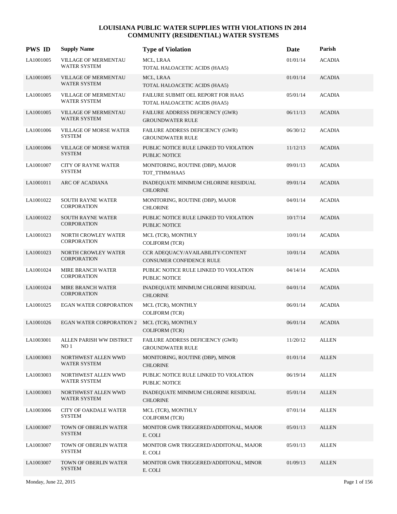| <b>PWS ID</b> | <b>Supply Name</b>                                 | <b>Type of Violation</b>                                             | Date     | Parish        |
|---------------|----------------------------------------------------|----------------------------------------------------------------------|----------|---------------|
| LA1001005     | <b>VILLAGE OF MERMENTAU</b><br><b>WATER SYSTEM</b> | MCL, LRAA<br>TOTAL HALOACETIC ACIDS (HAA5)                           | 01/01/14 | <b>ACADIA</b> |
| LA1001005     | <b>VILLAGE OF MERMENTAU</b><br>WATER SYSTEM        | MCL, LRAA<br>TOTAL HALOACETIC ACIDS (HAA5)                           | 01/01/14 | <b>ACADIA</b> |
| LA1001005     | VILLAGE OF MERMENTAU<br><b>WATER SYSTEM</b>        | FAILURE SUBMIT OEL REPORT FOR HAA5<br>TOTAL HALOACETIC ACIDS (HAA5)  | 05/01/14 | <b>ACADIA</b> |
| LA1001005     | VILLAGE OF MERMENTAU<br><b>WATER SYSTEM</b>        | FAILURE ADDRESS DEFICIENCY (GWR)<br><b>GROUNDWATER RULE</b>          | 06/11/13 | <b>ACADIA</b> |
| LA1001006     | <b>VILLAGE OF MORSE WATER</b><br><b>SYSTEM</b>     | FAILURE ADDRESS DEFICIENCY (GWR)<br><b>GROUNDWATER RULE</b>          | 06/30/12 | <b>ACADIA</b> |
| LA1001006     | <b>VILLAGE OF MORSE WATER</b><br><b>SYSTEM</b>     | PUBLIC NOTICE RULE LINKED TO VIOLATION<br><b>PUBLIC NOTICE</b>       | 11/12/13 | <b>ACADIA</b> |
| LA1001007     | <b>CITY OF RAYNE WATER</b><br><b>SYSTEM</b>        | MONITORING, ROUTINE (DBP), MAJOR<br>TOT_TTHM/HAA5                    | 09/01/13 | <b>ACADIA</b> |
| LA1001011     | ARC OF ACADIANA                                    | INADEQUATE MINIMUM CHLORINE RESIDUAL<br><b>CHLORINE</b>              | 09/01/14 | <b>ACADIA</b> |
| LA1001022     | SOUTH RAYNE WATER<br><b>CORPORATION</b>            | MONITORING, ROUTINE (DBP), MAJOR<br><b>CHLORINE</b>                  | 04/01/14 | <b>ACADIA</b> |
| LA1001022     | <b>SOUTH RAYNE WATER</b><br><b>CORPORATION</b>     | PUBLIC NOTICE RULE LINKED TO VIOLATION<br><b>PUBLIC NOTICE</b>       | 10/17/14 | <b>ACADIA</b> |
| LA1001023     | NORTH CROWLEY WATER<br><b>CORPORATION</b>          | MCL (TCR), MONTHLY<br><b>COLIFORM (TCR)</b>                          | 10/01/14 | <b>ACADIA</b> |
| LA1001023     | <b>NORTH CROWLEY WATER</b><br><b>CORPORATION</b>   | CCR ADEQUACY/AVAILABILITY/CONTENT<br><b>CONSUMER CONFIDENCE RULE</b> | 10/01/14 | <b>ACADIA</b> |
| LA1001024     | MIRE BRANCH WATER<br><b>CORPORATION</b>            | PUBLIC NOTICE RULE LINKED TO VIOLATION<br>PUBLIC NOTICE              | 04/14/14 | <b>ACADIA</b> |
| LA1001024     | <b>MIRE BRANCH WATER</b><br><b>CORPORATION</b>     | INADEQUATE MINIMUM CHLORINE RESIDUAL<br><b>CHLORINE</b>              | 04/01/14 | <b>ACADIA</b> |
| LA1001025     | <b>EGAN WATER CORPORATION</b>                      | MCL (TCR), MONTHLY<br><b>COLIFORM (TCR)</b>                          | 06/01/14 | <b>ACADIA</b> |
| LA1001026     | <b>EGAN WATER CORPORATION 2</b>                    | MCL (TCR), MONTHLY<br><b>COLIFORM (TCR)</b>                          | 06/01/14 | <b>ACADIA</b> |
| LA1003001     | ALLEN PARISH WW DISTRICT<br>NO <sub>1</sub>        | FAILURE ADDRESS DEFICIENCY (GWR)<br><b>GROUNDWATER RULE</b>          | 11/20/12 | <b>ALLEN</b>  |
| LA1003003     | NORTHWEST ALLEN WWD<br><b>WATER SYSTEM</b>         | MONITORING, ROUTINE (DBP), MINOR<br><b>CHLORINE</b>                  | 01/01/14 | <b>ALLEN</b>  |
| LA1003003     | NORTHWEST ALLEN WWD<br>WATER SYSTEM                | PUBLIC NOTICE RULE LINKED TO VIOLATION<br>PUBLIC NOTICE              | 06/19/14 | <b>ALLEN</b>  |
| LA1003003     | NORTHWEST ALLEN WWD<br>WATER SYSTEM                | INADEQUATE MINIMUM CHLORINE RESIDUAL<br><b>CHLORINE</b>              | 05/01/14 | <b>ALLEN</b>  |
| LA1003006     | CITY OF OAKDALE WATER<br><b>SYSTEM</b>             | MCL (TCR), MONTHLY<br><b>COLIFORM (TCR)</b>                          | 07/01/14 | <b>ALLEN</b>  |
| LA1003007     | TOWN OF OBERLIN WATER<br><b>SYSTEM</b>             | MONITOR GWR TRIGGERED/ADDITONAL, MAJOR<br>E. COLI                    | 05/01/13 | <b>ALLEN</b>  |
| LA1003007     | TOWN OF OBERLIN WATER<br><b>SYSTEM</b>             | MONITOR GWR TRIGGERED/ADDITONAL, MAJOR<br>E. COLI                    | 05/01/13 | <b>ALLEN</b>  |
| LA1003007     | TOWN OF OBERLIN WATER<br><b>SYSTEM</b>             | MONITOR GWR TRIGGERED/ADDITONAL, MINOR<br>E. COLI                    | 01/09/13 | <b>ALLEN</b>  |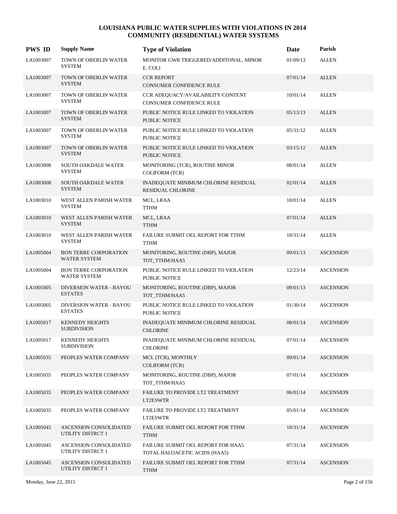| <b>PWS ID</b> | <b>Supply Name</b>                                  | <b>Type of Violation</b>                                            | Date     | Parish           |
|---------------|-----------------------------------------------------|---------------------------------------------------------------------|----------|------------------|
| LA1003007     | TOWN OF OBERLIN WATER<br><b>SYSTEM</b>              | MONITOR GWR TRIGGERED/ADDITONAL, MINOR<br>E. COLI                   | 01/09/13 | <b>ALLEN</b>     |
| LA1003007     | TOWN OF OBERLIN WATER<br><b>SYSTEM</b>              | <b>CCR REPORT</b><br>CONSUMER CONFIDENCE RULE                       | 07/01/14 | <b>ALLEN</b>     |
| LA1003007     | TOWN OF OBERLIN WATER<br><b>SYSTEM</b>              | CCR ADEQUACY/AVAILABILITY/CONTENT<br>CONSUMER CONFIDENCE RULE       | 10/01/14 | <b>ALLEN</b>     |
| LA1003007     | TOWN OF OBERLIN WATER<br><b>SYSTEM</b>              | PUBLIC NOTICE RULE LINKED TO VIOLATION<br><b>PUBLIC NOTICE</b>      | 05/13/13 | <b>ALLEN</b>     |
| LA1003007     | TOWN OF OBERLIN WATER<br><b>SYSTEM</b>              | PUBLIC NOTICE RULE LINKED TO VIOLATION<br>PUBLIC NOTICE             | 05/31/12 | <b>ALLEN</b>     |
| LA1003007     | TOWN OF OBERLIN WATER<br><b>SYSTEM</b>              | PUBLIC NOTICE RULE LINKED TO VIOLATION<br><b>PUBLIC NOTICE</b>      | 03/15/12 | <b>ALLEN</b>     |
| LA1003008     | SOUTH OAKDALE WATER<br><b>SYSTEM</b>                | MONITORING (TCR), ROUTINE MINOR<br><b>COLIFORM (TCR)</b>            | 08/01/14 | <b>ALLEN</b>     |
| LA1003008     | SOUTH OAKDALE WATER<br><b>SYSTEM</b>                | INADEQUATE MINIMUM CHLORINE RESIDUAL<br>RESIDUAL CHLORINE           | 02/01/14 | <b>ALLEN</b>     |
| LA1003010     | WEST ALLEN PARISH WATER<br><b>SYSTEM</b>            | MCL, LRAA<br><b>TTHM</b>                                            | 10/01/14 | <b>ALLEN</b>     |
| LA1003010     | WEST ALLEN PARISH WATER<br><b>SYSTEM</b>            | MCL, LRAA<br><b>TTHM</b>                                            | 07/01/14 | <b>ALLEN</b>     |
| LA1003010     | WEST ALLEN PARISH WATER<br><b>SYSTEM</b>            | FAILURE SUBMIT OEL REPORT FOR TTHM<br><b>TTHM</b>                   | 10/31/14 | <b>ALLEN</b>     |
| LA1005004     | <b>BON TERRE CORPORATION</b><br>WATER SYSTEM        | MONITORING, ROUTINE (DBP), MAJOR<br>TOT_TTHM/HAA5                   | 09/01/13 | <b>ASCENSION</b> |
| LA1005004     | <b>BON TERRE CORPORATION</b><br><b>WATER SYSTEM</b> | PUBLIC NOTICE RULE LINKED TO VIOLATION<br>PUBLIC NOTICE             | 12/23/14 | <b>ASCENSION</b> |
| LA1005005     | DIVERSION WATER - BAYOU<br><b>ESTATES</b>           | MONITORING, ROUTINE (DBP), MAJOR<br>TOT TTHM/HAA5                   | 09/01/13 | <b>ASCENSION</b> |
| LA1005005     | <b>DIVERSION WATER - BAYOU</b><br><b>ESTATES</b>    | PUBLIC NOTICE RULE LINKED TO VIOLATION<br>PUBLIC NOTICE             | 01/30/14 | <b>ASCENSION</b> |
| LA1005017     | <b>KENNEDY HEIGHTS</b><br><b>SUBDIVISION</b>        | INADEQUATE MINIMUM CHLORINE RESIDUAL<br><b>CHLORINE</b>             | 08/01/14 | <b>ASCENSION</b> |
| LA1005017     | <b>KENNEDY HEIGHTS</b><br><b>SUBDIVISION</b>        | INADEQUATE MINIMUM CHLORINE RESIDUAL<br><b>CHLORINE</b>             | 07/01/14 | <b>ASCENSION</b> |
| LA1005035     | PEOPLES WATER COMPANY                               | MCL (TCR), MONTHLY<br>COLIFORM (TCR)                                | 09/01/14 | <b>ASCENSION</b> |
| LA1005035     | PEOPLES WATER COMPANY                               | MONITORING, ROUTINE (DBP), MAJOR<br>TOT_TTHM/HAA5                   | 07/01/14 | <b>ASCENSION</b> |
| LA1005035     | PEOPLES WATER COMPANY                               | FAILURE TO PROVIDE LT2 TREATMENT<br>LT2ESWTR                        | 06/01/14 | <b>ASCENSION</b> |
| LA1005035     | PEOPLES WATER COMPANY                               | FAILURE TO PROVIDE LT2 TREATMENT<br>LT2ESWTR                        | 05/01/14 | <b>ASCENSION</b> |
| LA1005045     | ASCENSION CONSOLIDATED<br>UTILITY DISTRCT 1         | FAILURE SUBMIT OEL REPORT FOR TTHM<br>TTHM                          | 10/31/14 | <b>ASCENSION</b> |
| LA1005045     | ASCENSION CONSOLIDATED<br>UTILITY DISTRCT 1         | FAILURE SUBMIT OEL REPORT FOR HAA5<br>TOTAL HALOACETIC ACIDS (HAA5) | 07/31/14 | <b>ASCENSION</b> |
| LA1005045     | <b>ASCENSION CONSOLIDATED</b><br>UTILITY DISTRCT 1  | FAILURE SUBMIT OEL REPORT FOR TTHM<br><b>TTHM</b>                   | 07/31/14 | <b>ASCENSION</b> |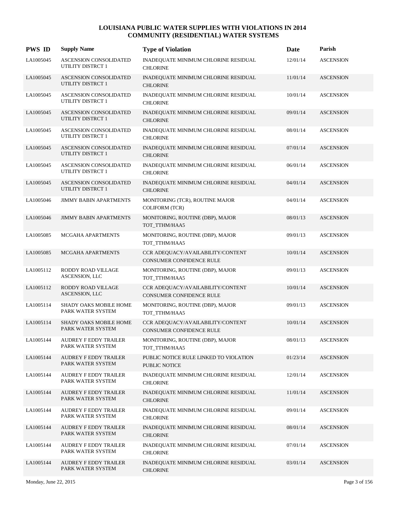| <b>PWS ID</b> | <b>Supply Name</b>                                        | <b>Type of Violation</b>                                             | Date     | Parish           |
|---------------|-----------------------------------------------------------|----------------------------------------------------------------------|----------|------------------|
| LA1005045     | ASCENSION CONSOLIDATED<br><b>UTILITY DISTRCT 1</b>        | INADEQUATE MINIMUM CHLORINE RESIDUAL<br><b>CHLORINE</b>              | 12/01/14 | <b>ASCENSION</b> |
| LA1005045     | <b>ASCENSION CONSOLIDATED</b><br><b>UTILITY DISTRCT 1</b> | INADEQUATE MINIMUM CHLORINE RESIDUAL<br><b>CHLORINE</b>              | 11/01/14 | <b>ASCENSION</b> |
| LA1005045     | ASCENSION CONSOLIDATED<br><b>UTILITY DISTRCT 1</b>        | INADEQUATE MINIMUM CHLORINE RESIDUAL<br><b>CHLORINE</b>              | 10/01/14 | <b>ASCENSION</b> |
| LA1005045     | ASCENSION CONSOLIDATED<br>UTILITY DISTRCT 1               | INADEQUATE MINIMUM CHLORINE RESIDUAL<br><b>CHLORINE</b>              | 09/01/14 | <b>ASCENSION</b> |
| LA1005045     | ASCENSION CONSOLIDATED<br><b>UTILITY DISTRCT 1</b>        | INADEQUATE MINIMUM CHLORINE RESIDUAL<br><b>CHLORINE</b>              | 08/01/14 | <b>ASCENSION</b> |
| LA1005045     | <b>ASCENSION CONSOLIDATED</b><br>UTILITY DISTRCT 1        | INADEQUATE MINIMUM CHLORINE RESIDUAL<br><b>CHLORINE</b>              | 07/01/14 | <b>ASCENSION</b> |
| LA1005045     | ASCENSION CONSOLIDATED<br><b>UTILITY DISTRCT 1</b>        | INADEQUATE MINIMUM CHLORINE RESIDUAL<br><b>CHLORINE</b>              | 06/01/14 | <b>ASCENSION</b> |
| LA1005045     | <b>ASCENSION CONSOLIDATED</b><br>UTILITY DISTRCT 1        | INADEQUATE MINIMUM CHLORINE RESIDUAL<br><b>CHLORINE</b>              | 04/01/14 | <b>ASCENSION</b> |
| LA1005046     | <b>JIMMY BABIN APARTMENTS</b>                             | MONITORING (TCR), ROUTINE MAJOR<br><b>COLIFORM (TCR)</b>             | 04/01/14 | <b>ASCENSION</b> |
| LA1005046     | <b>JIMMY BABIN APARTMENTS</b>                             | MONITORING, ROUTINE (DBP), MAJOR<br>TOT_TTHM/HAA5                    | 08/01/13 | <b>ASCENSION</b> |
| LA1005085     | MCGAHA APARTMENTS                                         | MONITORING, ROUTINE (DBP), MAJOR<br>TOT_TTHM/HAA5                    | 09/01/13 | <b>ASCENSION</b> |
| LA1005085     | MCGAHA APARTMENTS                                         | CCR ADEQUACY/AVAILABILITY/CONTENT<br>CONSUMER CONFIDENCE RULE        | 10/01/14 | <b>ASCENSION</b> |
| LA1005112     | RODDY ROAD VILLAGE<br>ASCENSION, LLC                      | MONITORING, ROUTINE (DBP), MAJOR<br>TOT_TTHM/HAA5                    | 09/01/13 | <b>ASCENSION</b> |
| LA1005112     | RODDY ROAD VILLAGE<br>ASCENSION, LLC                      | CCR ADEQUACY/AVAILABILITY/CONTENT<br>CONSUMER CONFIDENCE RULE        | 10/01/14 | <b>ASCENSION</b> |
| LA1005114     | SHADY OAKS MOBILE HOME<br>PARK WATER SYSTEM               | MONITORING, ROUTINE (DBP), MAJOR<br>TOT TTHM/HAA5                    | 09/01/13 | <b>ASCENSION</b> |
| LA1005114     | <b>SHADY OAKS MOBILE HOME</b><br>PARK WATER SYSTEM        | CCR ADEQUACY/AVAILABILITY/CONTENT<br><b>CONSUMER CONFIDENCE RULE</b> | 10/01/14 | <b>ASCENSION</b> |
| LA1005144     | <b>AUDREY F EDDY TRAILER</b><br>PARK WATER SYSTEM         | MONITORING, ROUTINE (DBP), MAJOR<br>TOT TTHM/HAA5                    | 08/01/13 | <b>ASCENSION</b> |
| LA1005144     | <b>AUDREY F EDDY TRAILER</b><br>PARK WATER SYSTEM         | PUBLIC NOTICE RULE LINKED TO VIOLATION<br>PUBLIC NOTICE              | 01/23/14 | <b>ASCENSION</b> |
| LA1005144     | <b>AUDREY F EDDY TRAILER</b><br>PARK WATER SYSTEM         | INADEQUATE MINIMUM CHLORINE RESIDUAL<br><b>CHLORINE</b>              | 12/01/14 | <b>ASCENSION</b> |
| LA1005144     | <b>AUDREY F EDDY TRAILER</b><br>PARK WATER SYSTEM         | INADEQUATE MINIMUM CHLORINE RESIDUAL<br><b>CHLORINE</b>              | 11/01/14 | <b>ASCENSION</b> |
| LA1005144     | AUDREY F EDDY TRAILER<br>PARK WATER SYSTEM                | INADEQUATE MINIMUM CHLORINE RESIDUAL<br><b>CHLORINE</b>              | 09/01/14 | <b>ASCENSION</b> |
| LA1005144     | <b>AUDREY F EDDY TRAILER</b><br>PARK WATER SYSTEM         | INADEQUATE MINIMUM CHLORINE RESIDUAL<br><b>CHLORINE</b>              | 08/01/14 | <b>ASCENSION</b> |
| LA1005144     | <b>AUDREY F EDDY TRAILER</b><br>PARK WATER SYSTEM         | INADEQUATE MINIMUM CHLORINE RESIDUAL<br><b>CHLORINE</b>              | 07/01/14 | <b>ASCENSION</b> |
| LA1005144     | AUDREY F EDDY TRAILER<br>PARK WATER SYSTEM                | INADEQUATE MINIMUM CHLORINE RESIDUAL<br><b>CHLORINE</b>              | 03/01/14 | <b>ASCENSION</b> |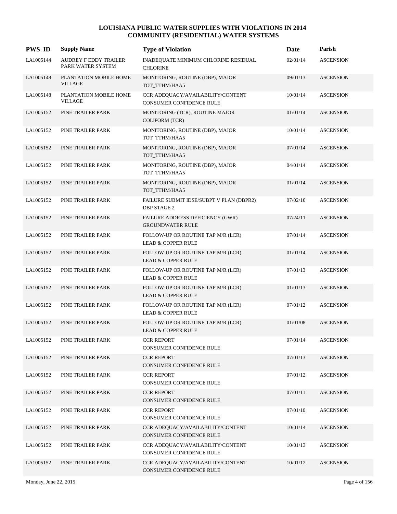| <b>PWS ID</b> | <b>Supply Name</b>                         | <b>Type of Violation</b>                                            | Date     | Parish           |
|---------------|--------------------------------------------|---------------------------------------------------------------------|----------|------------------|
| LA1005144     | AUDREY F EDDY TRAILER<br>PARK WATER SYSTEM | INADEQUATE MINIMUM CHLORINE RESIDUAL<br><b>CHLORINE</b>             | 02/01/14 | <b>ASCENSION</b> |
| LA1005148     | PLANTATION MOBILE HOME<br><b>VILLAGE</b>   | MONITORING, ROUTINE (DBP), MAJOR<br>TOT TTHM/HAA5                   | 09/01/13 | <b>ASCENSION</b> |
| LA1005148     | PLANTATION MOBILE HOME<br><b>VILLAGE</b>   | CCR ADEQUACY/AVAILABILITY/CONTENT<br>CONSUMER CONFIDENCE RULE       | 10/01/14 | <b>ASCENSION</b> |
| LA1005152     | PINE TRAILER PARK                          | MONITORING (TCR), ROUTINE MAJOR<br><b>COLIFORM (TCR)</b>            | 01/01/14 | <b>ASCENSION</b> |
| LA1005152     | PINE TRAILER PARK                          | MONITORING, ROUTINE (DBP), MAJOR<br>TOT_TTHM/HAA5                   | 10/01/14 | <b>ASCENSION</b> |
| LA1005152     | PINE TRAILER PARK                          | MONITORING, ROUTINE (DBP), MAJOR<br>TOT_TTHM/HAA5                   | 07/01/14 | <b>ASCENSION</b> |
| LA1005152     | PINE TRAILER PARK                          | MONITORING, ROUTINE (DBP), MAJOR<br>TOT_TTHM/HAA5                   | 04/01/14 | <b>ASCENSION</b> |
| LA1005152     | PINE TRAILER PARK                          | MONITORING, ROUTINE (DBP), MAJOR<br>TOT_TTHM/HAA5                   | 01/01/14 | <b>ASCENSION</b> |
| LA1005152     | PINE TRAILER PARK                          | FAILURE SUBMIT IDSE/SUBPT V PLAN (DBPR2)<br><b>DBP STAGE 2</b>      | 07/02/10 | <b>ASCENSION</b> |
| LA1005152     | PINE TRAILER PARK                          | FAILURE ADDRESS DEFICIENCY (GWR)<br><b>GROUNDWATER RULE</b>         | 07/24/11 | <b>ASCENSION</b> |
| LA1005152     | PINE TRAILER PARK                          | FOLLOW-UP OR ROUTINE TAP M/R (LCR)<br><b>LEAD &amp; COPPER RULE</b> | 07/01/14 | <b>ASCENSION</b> |
| LA1005152     | PINE TRAILER PARK                          | FOLLOW-UP OR ROUTINE TAP M/R (LCR)<br><b>LEAD &amp; COPPER RULE</b> | 01/01/14 | <b>ASCENSION</b> |
| LA1005152     | PINE TRAILER PARK                          | FOLLOW-UP OR ROUTINE TAP M/R (LCR)<br><b>LEAD &amp; COPPER RULE</b> | 07/01/13 | <b>ASCENSION</b> |
| LA1005152     | PINE TRAILER PARK                          | FOLLOW-UP OR ROUTINE TAP M/R (LCR)<br><b>LEAD &amp; COPPER RULE</b> | 01/01/13 | <b>ASCENSION</b> |
| LA1005152     | PINE TRAILER PARK                          | FOLLOW-UP OR ROUTINE TAP M/R (LCR)<br><b>LEAD &amp; COPPER RULE</b> | 07/01/12 | <b>ASCENSION</b> |
| LA1005152     | PINE TRAILER PARK                          | FOLLOW-UP OR ROUTINE TAP M/R (LCR)<br><b>LEAD &amp; COPPER RULE</b> | 01/01/08 | <b>ASCENSION</b> |
| LA1005152     | PINE TRAILER PARK                          | <b>CCR REPORT</b><br>CONSUMER CONFIDENCE RULE                       | 07/01/14 | <b>ASCENSION</b> |
| LA1005152     | PINE TRAILER PARK                          | <b>CCR REPORT</b><br>CONSUMER CONFIDENCE RULE                       | 07/01/13 | <b>ASCENSION</b> |
| LA1005152     | PINE TRAILER PARK                          | <b>CCR REPORT</b><br>CONSUMER CONFIDENCE RULE                       | 07/01/12 | <b>ASCENSION</b> |
| LA1005152     | PINE TRAILER PARK                          | <b>CCR REPORT</b><br>CONSUMER CONFIDENCE RULE                       | 07/01/11 | <b>ASCENSION</b> |
| LA1005152     | PINE TRAILER PARK                          | <b>CCR REPORT</b><br>CONSUMER CONFIDENCE RULE                       | 07/01/10 | <b>ASCENSION</b> |
| LA1005152     | PINE TRAILER PARK                          | CCR ADEQUACY/AVAILABILITY/CONTENT<br>CONSUMER CONFIDENCE RULE       | 10/01/14 | <b>ASCENSION</b> |
| LA1005152     | PINE TRAILER PARK                          | CCR ADEQUACY/AVAILABILITY/CONTENT<br>CONSUMER CONFIDENCE RULE       | 10/01/13 | <b>ASCENSION</b> |
| LA1005152     | PINE TRAILER PARK                          | CCR ADEQUACY/AVAILABILITY/CONTENT<br>CONSUMER CONFIDENCE RULE       | 10/01/12 | <b>ASCENSION</b> |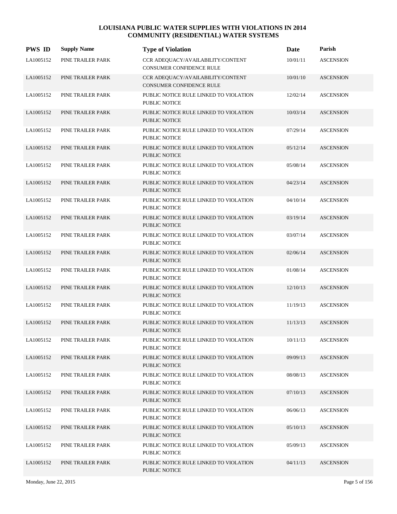| <b>PWS ID</b> | <b>Supply Name</b> | <b>Type of Violation</b>                                             | Date     | Parish           |
|---------------|--------------------|----------------------------------------------------------------------|----------|------------------|
| LA1005152     | PINE TRAILER PARK  | CCR ADEQUACY/AVAILABILITY/CONTENT<br><b>CONSUMER CONFIDENCE RULE</b> | 10/01/11 | <b>ASCENSION</b> |
| LA1005152     | PINE TRAILER PARK  | CCR ADEQUACY/AVAILABILITY/CONTENT<br><b>CONSUMER CONFIDENCE RULE</b> | 10/01/10 | <b>ASCENSION</b> |
| LA1005152     | PINE TRAILER PARK  | PUBLIC NOTICE RULE LINKED TO VIOLATION<br>PUBLIC NOTICE              | 12/02/14 | <b>ASCENSION</b> |
| LA1005152     | PINE TRAILER PARK  | PUBLIC NOTICE RULE LINKED TO VIOLATION<br><b>PUBLIC NOTICE</b>       | 10/03/14 | <b>ASCENSION</b> |
| LA1005152     | PINE TRAILER PARK  | PUBLIC NOTICE RULE LINKED TO VIOLATION<br>PUBLIC NOTICE              | 07/29/14 | <b>ASCENSION</b> |
| LA1005152     | PINE TRAILER PARK  | PUBLIC NOTICE RULE LINKED TO VIOLATION<br><b>PUBLIC NOTICE</b>       | 05/12/14 | <b>ASCENSION</b> |
| LA1005152     | PINE TRAILER PARK  | PUBLIC NOTICE RULE LINKED TO VIOLATION<br>PUBLIC NOTICE              | 05/08/14 | <b>ASCENSION</b> |
| LA1005152     | PINE TRAILER PARK  | PUBLIC NOTICE RULE LINKED TO VIOLATION<br><b>PUBLIC NOTICE</b>       | 04/23/14 | <b>ASCENSION</b> |
| LA1005152     | PINE TRAILER PARK  | PUBLIC NOTICE RULE LINKED TO VIOLATION<br><b>PUBLIC NOTICE</b>       | 04/10/14 | <b>ASCENSION</b> |
| LA1005152     | PINE TRAILER PARK  | PUBLIC NOTICE RULE LINKED TO VIOLATION<br><b>PUBLIC NOTICE</b>       | 03/19/14 | <b>ASCENSION</b> |
| LA1005152     | PINE TRAILER PARK  | PUBLIC NOTICE RULE LINKED TO VIOLATION<br>PUBLIC NOTICE              | 03/07/14 | <b>ASCENSION</b> |
| LA1005152     | PINE TRAILER PARK  | PUBLIC NOTICE RULE LINKED TO VIOLATION<br><b>PUBLIC NOTICE</b>       | 02/06/14 | <b>ASCENSION</b> |
| LA1005152     | PINE TRAILER PARK  | PUBLIC NOTICE RULE LINKED TO VIOLATION<br>PUBLIC NOTICE              | 01/08/14 | <b>ASCENSION</b> |
| LA1005152     | PINE TRAILER PARK  | PUBLIC NOTICE RULE LINKED TO VIOLATION<br><b>PUBLIC NOTICE</b>       | 12/10/13 | <b>ASCENSION</b> |
| LA1005152     | PINE TRAILER PARK  | PUBLIC NOTICE RULE LINKED TO VIOLATION<br>PUBLIC NOTICE              | 11/19/13 | <b>ASCENSION</b> |
| LA1005152     | PINE TRAILER PARK  | PUBLIC NOTICE RULE LINKED TO VIOLATION<br>PUBLIC NOTICE              | 11/13/13 | <b>ASCENSION</b> |
| LA1005152     | PINE TRAILER PARK  | PUBLIC NOTICE RULE LINKED TO VIOLATION<br>PUBLIC NOTICE              | 10/11/13 | <b>ASCENSION</b> |
| LA1005152     | PINE TRAILER PARK  | PUBLIC NOTICE RULE LINKED TO VIOLATION<br>PUBLIC NOTICE              | 09/09/13 | <b>ASCENSION</b> |
| LA1005152     | PINE TRAILER PARK  | PUBLIC NOTICE RULE LINKED TO VIOLATION<br>PUBLIC NOTICE              | 08/08/13 | <b>ASCENSION</b> |
| LA1005152     | PINE TRAILER PARK  | PUBLIC NOTICE RULE LINKED TO VIOLATION<br>PUBLIC NOTICE              | 07/10/13 | <b>ASCENSION</b> |
| LA1005152     | PINE TRAILER PARK  | PUBLIC NOTICE RULE LINKED TO VIOLATION<br>PUBLIC NOTICE              | 06/06/13 | <b>ASCENSION</b> |
| LA1005152     | PINE TRAILER PARK  | PUBLIC NOTICE RULE LINKED TO VIOLATION<br>PUBLIC NOTICE              | 05/10/13 | <b>ASCENSION</b> |
| LA1005152     | PINE TRAILER PARK  | PUBLIC NOTICE RULE LINKED TO VIOLATION<br>PUBLIC NOTICE              | 05/09/13 | <b>ASCENSION</b> |
| LA1005152     | PINE TRAILER PARK  | PUBLIC NOTICE RULE LINKED TO VIOLATION<br>PUBLIC NOTICE              | 04/11/13 | <b>ASCENSION</b> |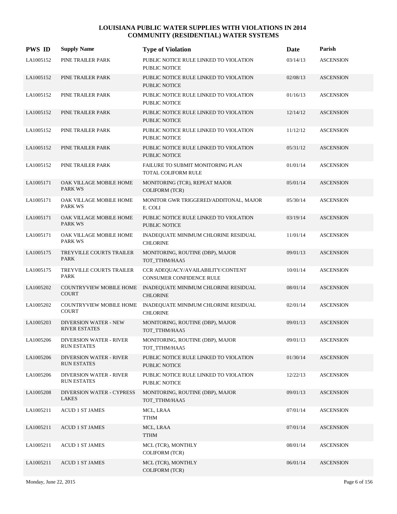| <b>PWS ID</b> | <b>Supply Name</b>                                   | <b>Type of Violation</b>                                             | Date     | Parish           |
|---------------|------------------------------------------------------|----------------------------------------------------------------------|----------|------------------|
| LA1005152     | PINE TRAILER PARK                                    | PUBLIC NOTICE RULE LINKED TO VIOLATION<br>PUBLIC NOTICE              | 03/14/13 | <b>ASCENSION</b> |
| LA1005152     | PINE TRAILER PARK                                    | PUBLIC NOTICE RULE LINKED TO VIOLATION<br>PUBLIC NOTICE              | 02/08/13 | <b>ASCENSION</b> |
| LA1005152     | PINE TRAILER PARK                                    | PUBLIC NOTICE RULE LINKED TO VIOLATION<br>PUBLIC NOTICE              | 01/16/13 | <b>ASCENSION</b> |
| LA1005152     | PINE TRAILER PARK                                    | PUBLIC NOTICE RULE LINKED TO VIOLATION<br>PUBLIC NOTICE              | 12/14/12 | <b>ASCENSION</b> |
| LA1005152     | PINE TRAILER PARK                                    | PUBLIC NOTICE RULE LINKED TO VIOLATION<br>PUBLIC NOTICE              | 11/12/12 | <b>ASCENSION</b> |
| LA1005152     | PINE TRAILER PARK                                    | PUBLIC NOTICE RULE LINKED TO VIOLATION<br>PUBLIC NOTICE              | 05/31/12 | <b>ASCENSION</b> |
| LA1005152     | PINE TRAILER PARK                                    | FAILURE TO SUBMIT MONITORING PLAN<br>TOTAL COLIFORM RULE             | 01/01/14 | <b>ASCENSION</b> |
| LA1005171     | OAK VILLAGE MOBILE HOME<br><b>PARK WS</b>            | MONITORING (TCR), REPEAT MAJOR<br><b>COLIFORM (TCR)</b>              | 05/01/14 | <b>ASCENSION</b> |
| LA1005171     | OAK VILLAGE MOBILE HOME<br>PARK WS                   | MONITOR GWR TRIGGERED/ADDITONAL, MAJOR<br>E. COLI                    | 05/30/14 | <b>ASCENSION</b> |
| LA1005171     | OAK VILLAGE MOBILE HOME<br><b>PARK WS</b>            | PUBLIC NOTICE RULE LINKED TO VIOLATION<br>PUBLIC NOTICE              | 03/19/14 | <b>ASCENSION</b> |
| LA1005171     | OAK VILLAGE MOBILE HOME<br><b>PARK WS</b>            | INADEQUATE MINIMUM CHLORINE RESIDUAL<br><b>CHLORINE</b>              | 11/01/14 | <b>ASCENSION</b> |
| LA1005175     | <b>TREYVILLE COURTS TRAILER</b><br>PARK              | MONITORING, ROUTINE (DBP), MAJOR<br>TOT_TTHM/HAA5                    | 09/01/13 | <b>ASCENSION</b> |
| LA1005175     | TREYVILLE COURTS TRAILER<br>PARK                     | CCR ADEQUACY/AVAILABILITY/CONTENT<br><b>CONSUMER CONFIDENCE RULE</b> | 10/01/14 | <b>ASCENSION</b> |
| LA1005202     | <b>COUNTRYVIEW MOBILE HOME</b><br><b>COURT</b>       | INADEQUATE MINIMUM CHLORINE RESIDUAL<br><b>CHLORINE</b>              | 08/01/14 | <b>ASCENSION</b> |
| LA1005202     | COUNTRYVIEW MOBILE HOME<br><b>COURT</b>              | INADEQUATE MINIMUM CHLORINE RESIDUAL<br><b>CHLORINE</b>              | 02/01/14 | <b>ASCENSION</b> |
| LA1005203     | <b>DIVERSION WATER - NEW</b><br><b>RIVER ESTATES</b> | MONITORING, ROUTINE (DBP), MAJOR<br>TOT_TTHM/HAA5                    | 09/01/13 | <b>ASCENSION</b> |
| LA1005206     | <b>DIVERSION WATER - RIVER</b><br><b>RUN ESTATES</b> | MONITORING, ROUTINE (DBP), MAJOR<br>TOT_TTHM/HAA5                    | 09/01/13 | <b>ASCENSION</b> |
| LA1005206     | <b>DIVERSION WATER - RIVER</b><br><b>RUN ESTATES</b> | PUBLIC NOTICE RULE LINKED TO VIOLATION<br>PUBLIC NOTICE              | 01/30/14 | <b>ASCENSION</b> |
| LA1005206     | <b>DIVERSION WATER - RIVER</b><br><b>RUN ESTATES</b> | PUBLIC NOTICE RULE LINKED TO VIOLATION<br>PUBLIC NOTICE              | 12/22/13 | <b>ASCENSION</b> |
| LA1005208     | DIVERSION WATER - CYPRESS<br>LAKES                   | MONITORING, ROUTINE (DBP), MAJOR<br>TOT TTHM/HAA5                    | 09/01/13 | <b>ASCENSION</b> |
| LA1005211     | <b>ACUD 1 ST JAMES</b>                               | MCL, LRAA<br><b>TTHM</b>                                             | 07/01/14 | <b>ASCENSION</b> |
| LA1005211     | <b>ACUD 1 ST JAMES</b>                               | MCL, LRAA<br><b>TTHM</b>                                             | 07/01/14 | <b>ASCENSION</b> |
| LA1005211     | <b>ACUD 1 ST JAMES</b>                               | MCL (TCR), MONTHLY<br><b>COLIFORM (TCR)</b>                          | 08/01/14 | <b>ASCENSION</b> |
| LA1005211     | <b>ACUD 1 ST JAMES</b>                               | MCL (TCR), MONTHLY<br><b>COLIFORM (TCR)</b>                          | 06/01/14 | <b>ASCENSION</b> |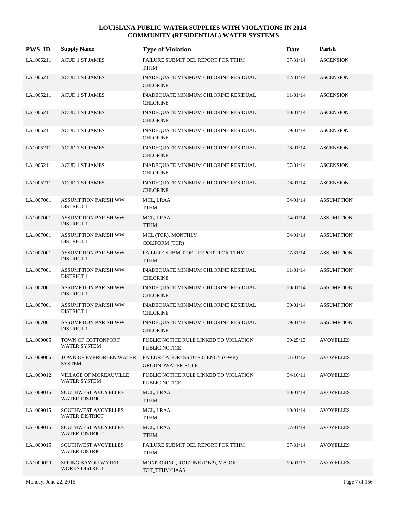| <b>PWS ID</b> | <b>Supply Name</b>                                   | <b>Type of Violation</b>                                    | Date     | Parish            |
|---------------|------------------------------------------------------|-------------------------------------------------------------|----------|-------------------|
| LA1005211     | <b>ACUD 1 ST JAMES</b>                               | FAILURE SUBMIT OEL REPORT FOR TTHM<br><b>TTHM</b>           | 07/31/14 | <b>ASCENSION</b>  |
| LA1005211     | <b>ACUD 1 ST JAMES</b>                               | INADEQUATE MINIMUM CHLORINE RESIDUAL<br><b>CHLORINE</b>     | 12/01/14 | <b>ASCENSION</b>  |
| LA1005211     | <b>ACUD 1 ST JAMES</b>                               | INADEQUATE MINIMUM CHLORINE RESIDUAL<br><b>CHLORINE</b>     | 11/01/14 | <b>ASCENSION</b>  |
| LA1005211     | <b>ACUD 1 ST JAMES</b>                               | INADEQUATE MINIMUM CHLORINE RESIDUAL<br><b>CHLORINE</b>     | 10/01/14 | <b>ASCENSION</b>  |
| LA1005211     | <b>ACUD 1 ST JAMES</b>                               | INADEQUATE MINIMUM CHLORINE RESIDUAL<br><b>CHLORINE</b>     | 09/01/14 | <b>ASCENSION</b>  |
| LA1005211     | <b>ACUD 1 ST JAMES</b>                               | INADEQUATE MINIMUM CHLORINE RESIDUAL<br><b>CHLORINE</b>     | 08/01/14 | <b>ASCENSION</b>  |
| LA1005211     | <b>ACUD 1 ST JAMES</b>                               | INADEQUATE MINIMUM CHLORINE RESIDUAL<br><b>CHLORINE</b>     | 07/01/14 | <b>ASCENSION</b>  |
| LA1005211     | <b>ACUD 1 ST JAMES</b>                               | INADEQUATE MINIMUM CHLORINE RESIDUAL<br><b>CHLORINE</b>     | 06/01/14 | <b>ASCENSION</b>  |
| LA1007001     | <b>ASSUMPTION PARISH WW</b><br><b>DISTRICT 1</b>     | MCL, LRAA<br><b>TTHM</b>                                    | 04/01/14 | <b>ASSUMPTION</b> |
| LA1007001     | <b>ASSUMPTION PARISH WW</b><br><b>DISTRICT 1</b>     | MCL, LRAA<br><b>TTHM</b>                                    | 04/01/14 | <b>ASSUMPTION</b> |
| LA1007001     | <b>ASSUMPTION PARISH WW</b><br><b>DISTRICT 1</b>     | MCL (TCR), MONTHLY<br><b>COLIFORM (TCR)</b>                 | 04/01/14 | <b>ASSUMPTION</b> |
| LA1007001     | <b>ASSUMPTION PARISH WW</b><br><b>DISTRICT 1</b>     | FAILURE SUBMIT OEL REPORT FOR TTHM<br><b>TTHM</b>           | 07/31/14 | <b>ASSUMPTION</b> |
| LA1007001     | <b>ASSUMPTION PARISH WW</b><br><b>DISTRICT 1</b>     | INADEQUATE MINIMUM CHLORINE RESIDUAL<br><b>CHLORINE</b>     | 11/01/14 | <b>ASSUMPTION</b> |
| LA1007001     | <b>ASSUMPTION PARISH WW</b><br><b>DISTRICT 1</b>     | INADEQUATE MINIMUM CHLORINE RESIDUAL<br><b>CHLORINE</b>     | 10/01/14 | <b>ASSUMPTION</b> |
| LA1007001     | <b>ASSUMPTION PARISH WW</b><br><b>DISTRICT 1</b>     | INADEQUATE MINIMUM CHLORINE RESIDUAL<br><b>CHLORINE</b>     | 09/01/14 | <b>ASSUMPTION</b> |
| LA1007001     | <b>ASSUMPTION PARISH WW</b><br><b>DISTRICT 1</b>     | INADEQUATE MINIMUM CHLORINE RESIDUAL<br><b>CHLORINE</b>     | 09/01/14 | <b>ASSUMPTION</b> |
| LA1009005     | TOWN OF COTTONPORT<br>WATER SYSTEM                   | PUBLIC NOTICE RULE LINKED TO VIOLATION<br>PUBLIC NOTICE     | 09/25/13 | <b>AVOYELLES</b>  |
| LA1009006     | TOWN OF EVERGREEN WATER<br><b>SYSTEM</b>             | FAILURE ADDRESS DEFICIENCY (GWR)<br><b>GROUNDWATER RULE</b> | 01/01/12 | <b>AVOYELLES</b>  |
| LA1009012     | <b>VILLAGE OF MOREAUVILLE</b><br><b>WATER SYSTEM</b> | PUBLIC NOTICE RULE LINKED TO VIOLATION<br>PUBLIC NOTICE     | 04/16/11 | <b>AVOYELLES</b>  |
| LA1009015     | SOUTHWEST AVOYELLES<br><b>WATER DISTRICT</b>         | MCL, LRAA<br><b>TTHM</b>                                    | 10/01/14 | <b>AVOYELLES</b>  |
| LA1009015     | SOUTHWEST AVOYELLES<br><b>WATER DISTRICT</b>         | MCL, LRAA<br><b>TTHM</b>                                    | 10/01/14 | <b>AVOYELLES</b>  |
| LA1009015     | SOUTHWEST AVOYELLES<br><b>WATER DISTRICT</b>         | MCL, LRAA<br><b>TTHM</b>                                    | 07/01/14 | <b>AVOYELLES</b>  |
| LA1009015     | SOUTHWEST AVOYELLES<br><b>WATER DISTRICT</b>         | FAILURE SUBMIT OEL REPORT FOR TTHM<br><b>TTHM</b>           | 07/31/14 | <b>AVOYELLES</b>  |
| LA1009020     | SPRING BAYOU WATER<br><b>WORKS DISTRICT</b>          | MONITORING, ROUTINE (DBP), MAJOR<br>TOT_TTHM/HAA5           | 10/01/13 | <b>AVOYELLES</b>  |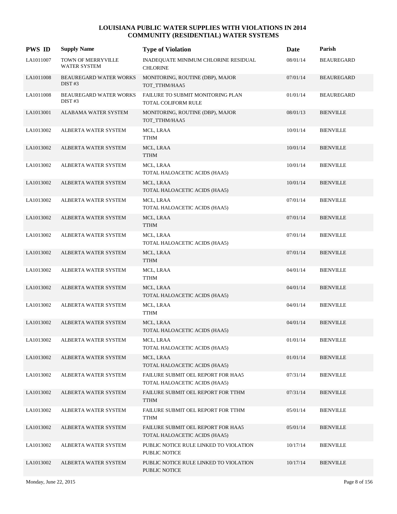| <b>PWS ID</b> | <b>Supply Name</b>                                  | <b>Type of Violation</b>                                            | Date     | Parish            |
|---------------|-----------------------------------------------------|---------------------------------------------------------------------|----------|-------------------|
| LA1011007     | TOWN OF MERRYVILLE<br>WATER SYSTEM                  | INADEQUATE MINIMUM CHLORINE RESIDUAL<br><b>CHLORINE</b>             | 08/01/14 | <b>BEAUREGARD</b> |
| LA1011008     | <b>BEAUREGARD WATER WORKS</b><br>DIST <sub>#3</sub> | MONITORING, ROUTINE (DBP), MAJOR<br>TOT_TTHM/HAA5                   | 07/01/14 | <b>BEAUREGARD</b> |
| LA1011008     | <b>BEAUREGARD WATER WORKS</b><br>DIST#3             | FAILURE TO SUBMIT MONITORING PLAN<br>TOTAL COLIFORM RULE            | 01/01/14 | <b>BEAUREGARD</b> |
| LA1013001     | ALABAMA WATER SYSTEM                                | MONITORING, ROUTINE (DBP), MAJOR<br>TOT_TTHM/HAA5                   | 08/01/13 | <b>BIENVILLE</b>  |
| LA1013002     | ALBERTA WATER SYSTEM                                | MCL, LRAA<br><b>TTHM</b>                                            | 10/01/14 | <b>BIENVILLE</b>  |
| LA1013002     | ALBERTA WATER SYSTEM                                | MCL, LRAA<br><b>TTHM</b>                                            | 10/01/14 | <b>BIENVILLE</b>  |
| LA1013002     | ALBERTA WATER SYSTEM                                | MCL, LRAA<br>TOTAL HALOACETIC ACIDS (HAA5)                          | 10/01/14 | <b>BIENVILLE</b>  |
| LA1013002     | ALBERTA WATER SYSTEM                                | MCL, LRAA<br>TOTAL HALOACETIC ACIDS (HAA5)                          | 10/01/14 | <b>BIENVILLE</b>  |
| LA1013002     | ALBERTA WATER SYSTEM                                | MCL, LRAA<br>TOTAL HALOACETIC ACIDS (HAA5)                          | 07/01/14 | <b>BIENVILLE</b>  |
| LA1013002     | ALBERTA WATER SYSTEM                                | MCL, LRAA<br><b>TTHM</b>                                            | 07/01/14 | <b>BIENVILLE</b>  |
| LA1013002     | ALBERTA WATER SYSTEM                                | MCL, LRAA<br>TOTAL HALOACETIC ACIDS (HAA5)                          | 07/01/14 | <b>BIENVILLE</b>  |
| LA1013002     | ALBERTA WATER SYSTEM                                | MCL, LRAA<br><b>TTHM</b>                                            | 07/01/14 | <b>BIENVILLE</b>  |
| LA1013002     | ALBERTA WATER SYSTEM                                | MCL, LRAA<br><b>TTHM</b>                                            | 04/01/14 | <b>BIENVILLE</b>  |
| LA1013002     | ALBERTA WATER SYSTEM                                | MCL, LRAA<br>TOTAL HALOACETIC ACIDS (HAA5)                          | 04/01/14 | <b>BIENVILLE</b>  |
| LA1013002     | ALBERTA WATER SYSTEM                                | MCL, LRAA<br><b>TTHM</b>                                            | 04/01/14 | <b>BIENVILLE</b>  |
| LA1013002     | <b>ALBERTA WATER SYSTEM</b>                         | MCL, LRAA<br>TOTAL HALOACETIC ACIDS (HAA5)                          | 04/01/14 | <b>BIENVILLE</b>  |
| LA1013002     | ALBERTA WATER SYSTEM                                | MCL, LRAA<br>TOTAL HALOACETIC ACIDS (HAA5)                          | 01/01/14 | <b>BIENVILLE</b>  |
| LA1013002     | ALBERTA WATER SYSTEM                                | MCL, LRAA<br>TOTAL HALOACETIC ACIDS (HAA5)                          | 01/01/14 | <b>BIENVILLE</b>  |
| LA1013002     | ALBERTA WATER SYSTEM                                | FAILURE SUBMIT OEL REPORT FOR HAA5<br>TOTAL HALOACETIC ACIDS (HAA5) | 07/31/14 | <b>BIENVILLE</b>  |
| LA1013002     | ALBERTA WATER SYSTEM                                | FAILURE SUBMIT OEL REPORT FOR TTHM<br><b>TTHM</b>                   | 07/31/14 | <b>BIENVILLE</b>  |
| LA1013002     | ALBERTA WATER SYSTEM                                | FAILURE SUBMIT OEL REPORT FOR TTHM<br><b>TTHM</b>                   | 05/01/14 | <b>BIENVILLE</b>  |
| LA1013002     | ALBERTA WATER SYSTEM                                | FAILURE SUBMIT OEL REPORT FOR HAA5<br>TOTAL HALOACETIC ACIDS (HAA5) | 05/01/14 | <b>BIENVILLE</b>  |
| LA1013002     | ALBERTA WATER SYSTEM                                | PUBLIC NOTICE RULE LINKED TO VIOLATION<br>PUBLIC NOTICE             | 10/17/14 | <b>BIENVILLE</b>  |
| LA1013002     | ALBERTA WATER SYSTEM                                | PUBLIC NOTICE RULE LINKED TO VIOLATION<br>PUBLIC NOTICE             | 10/17/14 | <b>BIENVILLE</b>  |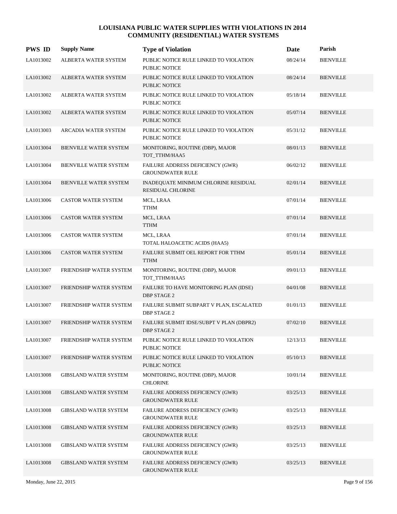| <b>PWS ID</b> | <b>Supply Name</b>            | <b>Type of Violation</b>                                         | Date     | Parish           |
|---------------|-------------------------------|------------------------------------------------------------------|----------|------------------|
| LA1013002     | ALBERTA WATER SYSTEM          | PUBLIC NOTICE RULE LINKED TO VIOLATION<br>PUBLIC NOTICE          | 08/24/14 | <b>BIENVILLE</b> |
| LA1013002     | ALBERTA WATER SYSTEM          | PUBLIC NOTICE RULE LINKED TO VIOLATION<br>PUBLIC NOTICE          | 08/24/14 | <b>BIENVILLE</b> |
| LA1013002     | ALBERTA WATER SYSTEM          | PUBLIC NOTICE RULE LINKED TO VIOLATION<br>PUBLIC NOTICE          | 05/18/14 | <b>BIENVILLE</b> |
| LA1013002     | ALBERTA WATER SYSTEM          | PUBLIC NOTICE RULE LINKED TO VIOLATION<br>PUBLIC NOTICE          | 05/07/14 | <b>BIENVILLE</b> |
| LA1013003     | <b>ARCADIA WATER SYSTEM</b>   | PUBLIC NOTICE RULE LINKED TO VIOLATION<br>PUBLIC NOTICE          | 05/31/12 | <b>BIENVILLE</b> |
| LA1013004     | <b>BIENVILLE WATER SYSTEM</b> | MONITORING, ROUTINE (DBP), MAJOR<br>TOT_TTHM/HAA5                | 08/01/13 | <b>BIENVILLE</b> |
| LA1013004     | BIENVILLE WATER SYSTEM        | FAILURE ADDRESS DEFICIENCY (GWR)<br><b>GROUNDWATER RULE</b>      | 06/02/12 | <b>BIENVILLE</b> |
| LA1013004     | <b>BIENVILLE WATER SYSTEM</b> | INADEQUATE MINIMUM CHLORINE RESIDUAL<br><b>RESIDUAL CHLORINE</b> | 02/01/14 | <b>BIENVILLE</b> |
| LA1013006     | CASTOR WATER SYSTEM           | MCL, LRAA<br><b>TTHM</b>                                         | 07/01/14 | <b>BIENVILLE</b> |
| LA1013006     | <b>CASTOR WATER SYSTEM</b>    | MCL, LRAA<br><b>TTHM</b>                                         | 07/01/14 | <b>BIENVILLE</b> |
| LA1013006     | <b>CASTOR WATER SYSTEM</b>    | MCL, LRAA<br>TOTAL HALOACETIC ACIDS (HAA5)                       | 07/01/14 | <b>BIENVILLE</b> |
| LA1013006     | <b>CASTOR WATER SYSTEM</b>    | FAILURE SUBMIT OEL REPORT FOR TTHM<br><b>TTHM</b>                | 05/01/14 | <b>BIENVILLE</b> |
| LA1013007     | FRIENDSHIP WATER SYSTEM       | MONITORING, ROUTINE (DBP), MAJOR<br>TOT_TTHM/HAA5                | 09/01/13 | <b>BIENVILLE</b> |
| LA1013007     | FRIENDSHIP WATER SYSTEM       | FAILURE TO HAVE MONITORING PLAN (IDSE)<br><b>DBP STAGE 2</b>     | 04/01/08 | <b>BIENVILLE</b> |
| LA1013007     | FRIENDSHIP WATER SYSTEM       | FAILURE SUBMIT SUBPART V PLAN, ESCALATED<br><b>DBP STAGE 2</b>   | 01/01/13 | <b>BIENVILLE</b> |
| LA1013007     | FRIENDSHIP WATER SYSTEM       | FAILURE SUBMIT IDSE/SUBPT V PLAN (DBPR2)<br><b>DBP STAGE 2</b>   | 07/02/10 | <b>BIENVILLE</b> |
| LA1013007     | FRIENDSHIP WATER SYSTEM       | PUBLIC NOTICE RULE LINKED TO VIOLATION<br>PUBLIC NOTICE          | 12/13/13 | <b>BIENVILLE</b> |
| LA1013007     | FRIENDSHIP WATER SYSTEM       | PUBLIC NOTICE RULE LINKED TO VIOLATION<br>PUBLIC NOTICE          | 05/10/13 | <b>BIENVILLE</b> |
| LA1013008     | <b>GIBSLAND WATER SYSTEM</b>  | MONITORING, ROUTINE (DBP), MAJOR<br><b>CHLORINE</b>              | 10/01/14 | <b>BIENVILLE</b> |
| LA1013008     | <b>GIBSLAND WATER SYSTEM</b>  | FAILURE ADDRESS DEFICIENCY (GWR)<br><b>GROUNDWATER RULE</b>      | 03/25/13 | <b>BIENVILLE</b> |
| LA1013008     | <b>GIBSLAND WATER SYSTEM</b>  | FAILURE ADDRESS DEFICIENCY (GWR)<br><b>GROUNDWATER RULE</b>      | 03/25/13 | <b>BIENVILLE</b> |
| LA1013008     | <b>GIBSLAND WATER SYSTEM</b>  | FAILURE ADDRESS DEFICIENCY (GWR)<br><b>GROUNDWATER RULE</b>      | 03/25/13 | <b>BIENVILLE</b> |
| LA1013008     | <b>GIBSLAND WATER SYSTEM</b>  | FAILURE ADDRESS DEFICIENCY (GWR)<br><b>GROUNDWATER RULE</b>      | 03/25/13 | <b>BIENVILLE</b> |
| LA1013008     | <b>GIBSLAND WATER SYSTEM</b>  | FAILURE ADDRESS DEFICIENCY (GWR)<br><b>GROUNDWATER RULE</b>      | 03/25/13 | <b>BIENVILLE</b> |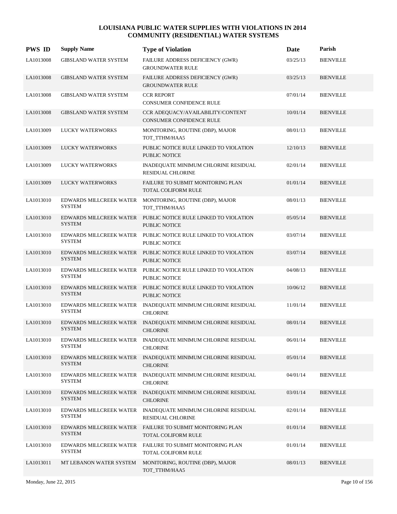| <b>PWS ID</b> | <b>Supply Name</b>                       | <b>Type of Violation</b>                                                               | Date     | Parish           |
|---------------|------------------------------------------|----------------------------------------------------------------------------------------|----------|------------------|
| LA1013008     | <b>GIBSLAND WATER SYSTEM</b>             | FAILURE ADDRESS DEFICIENCY (GWR)<br><b>GROUNDWATER RULE</b>                            | 03/25/13 | <b>BIENVILLE</b> |
| LA1013008     | <b>GIBSLAND WATER SYSTEM</b>             | FAILURE ADDRESS DEFICIENCY (GWR)<br><b>GROUNDWATER RULE</b>                            | 03/25/13 | <b>BIENVILLE</b> |
| LA1013008     | <b>GIBSLAND WATER SYSTEM</b>             | <b>CCR REPORT</b><br>CONSUMER CONFIDENCE RULE                                          | 07/01/14 | <b>BIENVILLE</b> |
| LA1013008     | <b>GIBSLAND WATER SYSTEM</b>             | CCR ADEQUACY/AVAILABILITY/CONTENT<br><b>CONSUMER CONFIDENCE RULE</b>                   | 10/01/14 | <b>BIENVILLE</b> |
| LA1013009     | <b>LUCKY WATERWORKS</b>                  | MONITORING, ROUTINE (DBP), MAJOR<br>TOT_TTHM/HAA5                                      | 08/01/13 | <b>BIENVILLE</b> |
| LA1013009     | LUCKY WATERWORKS                         | PUBLIC NOTICE RULE LINKED TO VIOLATION<br>PUBLIC NOTICE                                | 12/10/13 | <b>BIENVILLE</b> |
| LA1013009     | <b>LUCKY WATERWORKS</b>                  | INADEQUATE MINIMUM CHLORINE RESIDUAL<br>RESIDUAL CHLORINE                              | 02/01/14 | <b>BIENVILLE</b> |
| LA1013009     | LUCKY WATERWORKS                         | FAILURE TO SUBMIT MONITORING PLAN<br><b>TOTAL COLIFORM RULE</b>                        | 01/01/14 | <b>BIENVILLE</b> |
| LA1013010     | EDWARDS MILLCREEK WATER<br><b>SYSTEM</b> | MONITORING, ROUTINE (DBP), MAJOR<br>TOT_TTHM/HAA5                                      | 08/01/13 | <b>BIENVILLE</b> |
| LA1013010     | <b>SYSTEM</b>                            | EDWARDS MILLCREEK WATER PUBLIC NOTICE RULE LINKED TO VIOLATION<br>PUBLIC NOTICE        | 05/05/14 | <b>BIENVILLE</b> |
| LA1013010     | EDWARDS MILLCREEK WATER<br><b>SYSTEM</b> | PUBLIC NOTICE RULE LINKED TO VIOLATION<br>PUBLIC NOTICE                                | 03/07/14 | <b>BIENVILLE</b> |
| LA1013010     | <b>SYSTEM</b>                            | EDWARDS MILLCREEK WATER PUBLIC NOTICE RULE LINKED TO VIOLATION<br><b>PUBLIC NOTICE</b> | 03/07/14 | <b>BIENVILLE</b> |
| LA1013010     | EDWARDS MILLCREEK WATER<br><b>SYSTEM</b> | PUBLIC NOTICE RULE LINKED TO VIOLATION<br>PUBLIC NOTICE                                | 04/08/13 | <b>BIENVILLE</b> |
| LA1013010     | <b>SYSTEM</b>                            | EDWARDS MILLCREEK WATER PUBLIC NOTICE RULE LINKED TO VIOLATION<br>PUBLIC NOTICE        | 10/06/12 | <b>BIENVILLE</b> |
| LA1013010     | EDWARDS MILLCREEK WATER<br><b>SYSTEM</b> | INADEQUATE MINIMUM CHLORINE RESIDUAL<br><b>CHLORINE</b>                                | 11/01/14 | <b>BIENVILLE</b> |
| LA1013010     | <b>SYSTEM</b>                            | EDWARDS MILLCREEK WATER INADEQUATE MINIMUM CHLORINE RESIDUAL<br><b>CHLORINE</b>        | 08/01/14 | <b>BIENVILLE</b> |
| LA1013010     | <b>SYSTEM</b>                            | EDWARDS MILLCREEK WATER INADEQUATE MINIMUM CHLORINE RESIDUAL<br><b>CHLORINE</b>        | 06/01/14 | <b>BIENVILLE</b> |
| LA1013010     | <b>SYSTEM</b>                            | EDWARDS MILLCREEK WATER INADEQUATE MINIMUM CHLORINE RESIDUAL<br><b>CHLORINE</b>        | 05/01/14 | <b>BIENVILLE</b> |
| LA1013010     | EDWARDS MILLCREEK WATER<br><b>SYSTEM</b> | INADEQUATE MINIMUM CHLORINE RESIDUAL<br><b>CHLORINE</b>                                | 04/01/14 | <b>BIENVILLE</b> |
| LA1013010     | EDWARDS MILLCREEK WATER<br><b>SYSTEM</b> | INADEQUATE MINIMUM CHLORINE RESIDUAL<br><b>CHLORINE</b>                                | 03/01/14 | <b>BIENVILLE</b> |
| LA1013010     | EDWARDS MILLCREEK WATER<br><b>SYSTEM</b> | INADEQUATE MINIMUM CHLORINE RESIDUAL<br>RESIDUAL CHLORINE                              | 02/01/14 | <b>BIENVILLE</b> |
| LA1013010     | EDWARDS MILLCREEK WATER<br><b>SYSTEM</b> | FAILURE TO SUBMIT MONITORING PLAN<br>TOTAL COLIFORM RULE                               | 01/01/14 | <b>BIENVILLE</b> |
| LA1013010     | EDWARDS MILLCREEK WATER<br><b>SYSTEM</b> | FAILURE TO SUBMIT MONITORING PLAN<br>TOTAL COLIFORM RULE                               | 01/01/14 | <b>BIENVILLE</b> |
| LA1013011     | MT LEBANON WATER SYSTEM                  | MONITORING, ROUTINE (DBP), MAJOR<br>TOT_TTHM/HAA5                                      | 08/01/13 | <b>BIENVILLE</b> |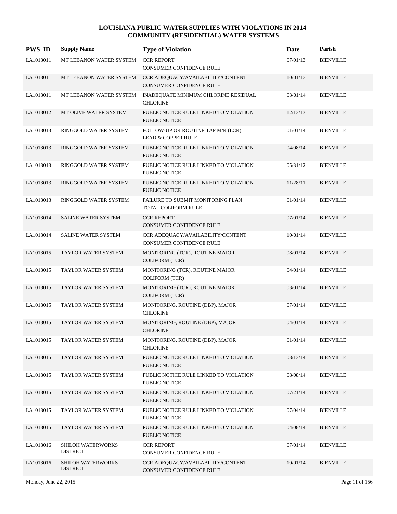| <b>PWS ID</b> | <b>Supply Name</b>                          | <b>Type of Violation</b>                                             | Date     | Parish           |
|---------------|---------------------------------------------|----------------------------------------------------------------------|----------|------------------|
| LA1013011     | MT LEBANON WATER SYSTEM                     | <b>CCR REPORT</b><br><b>CONSUMER CONFIDENCE RULE</b>                 | 07/01/13 | <b>BIENVILLE</b> |
| LA1013011     | MT LEBANON WATER SYSTEM                     | CCR ADEQUACY/AVAILABILITY/CONTENT<br><b>CONSUMER CONFIDENCE RULE</b> | 10/01/13 | <b>BIENVILLE</b> |
| LA1013011     | MT LEBANON WATER SYSTEM                     | INADEQUATE MINIMUM CHLORINE RESIDUAL<br><b>CHLORINE</b>              | 03/01/14 | <b>BIENVILLE</b> |
| LA1013012     | MT OLIVE WATER SYSTEM                       | PUBLIC NOTICE RULE LINKED TO VIOLATION<br><b>PUBLIC NOTICE</b>       | 12/13/13 | <b>BIENVILLE</b> |
| LA1013013     | RINGGOLD WATER SYSTEM                       | FOLLOW-UP OR ROUTINE TAP M/R (LCR)<br><b>LEAD &amp; COPPER RULE</b>  | 01/01/14 | <b>BIENVILLE</b> |
| LA1013013     | RINGGOLD WATER SYSTEM                       | PUBLIC NOTICE RULE LINKED TO VIOLATION<br><b>PUBLIC NOTICE</b>       | 04/08/14 | <b>BIENVILLE</b> |
| LA1013013     | RINGGOLD WATER SYSTEM                       | PUBLIC NOTICE RULE LINKED TO VIOLATION<br>PUBLIC NOTICE              | 05/31/12 | <b>BIENVILLE</b> |
| LA1013013     | RINGGOLD WATER SYSTEM                       | PUBLIC NOTICE RULE LINKED TO VIOLATION<br>PUBLIC NOTICE              | 11/28/11 | <b>BIENVILLE</b> |
| LA1013013     | RINGGOLD WATER SYSTEM                       | FAILURE TO SUBMIT MONITORING PLAN<br>TOTAL COLIFORM RULE             | 01/01/14 | <b>BIENVILLE</b> |
| LA1013014     | SALINE WATER SYSTEM                         | <b>CCR REPORT</b><br><b>CONSUMER CONFIDENCE RULE</b>                 | 07/01/14 | <b>BIENVILLE</b> |
| LA1013014     | SALINE WATER SYSTEM                         | CCR ADEQUACY/AVAILABILITY/CONTENT<br><b>CONSUMER CONFIDENCE RULE</b> | 10/01/14 | <b>BIENVILLE</b> |
| LA1013015     | TAYLOR WATER SYSTEM                         | MONITORING (TCR), ROUTINE MAJOR<br><b>COLIFORM (TCR)</b>             | 08/01/14 | <b>BIENVILLE</b> |
| LA1013015     | TAYLOR WATER SYSTEM                         | MONITORING (TCR), ROUTINE MAJOR<br>COLIFORM (TCR)                    | 04/01/14 | <b>BIENVILLE</b> |
| LA1013015     | TAYLOR WATER SYSTEM                         | MONITORING (TCR), ROUTINE MAJOR<br><b>COLIFORM (TCR)</b>             | 03/01/14 | <b>BIENVILLE</b> |
| LA1013015     | TAYLOR WATER SYSTEM                         | MONITORING, ROUTINE (DBP), MAJOR<br><b>CHLORINE</b>                  | 07/01/14 | <b>BIENVILLE</b> |
| LA1013015     | <b>TAYLOR WATER SYSTEM</b>                  | MONITORING, ROUTINE (DBP), MAJOR<br><b>CHLORINE</b>                  | 04/01/14 | <b>BIENVILLE</b> |
| LA1013015     | TAYLOR WATER SYSTEM                         | MONITORING, ROUTINE (DBP), MAJOR<br><b>CHLORINE</b>                  | 01/01/14 | <b>BIENVILLE</b> |
| LA1013015     | TAYLOR WATER SYSTEM                         | PUBLIC NOTICE RULE LINKED TO VIOLATION<br><b>PUBLIC NOTICE</b>       | 08/13/14 | <b>BIENVILLE</b> |
| LA1013015     | TAYLOR WATER SYSTEM                         | PUBLIC NOTICE RULE LINKED TO VIOLATION<br>PUBLIC NOTICE              | 08/08/14 | <b>BIENVILLE</b> |
| LA1013015     | TAYLOR WATER SYSTEM                         | PUBLIC NOTICE RULE LINKED TO VIOLATION<br>PUBLIC NOTICE              | 07/21/14 | <b>BIENVILLE</b> |
| LA1013015     | TAYLOR WATER SYSTEM                         | PUBLIC NOTICE RULE LINKED TO VIOLATION<br>PUBLIC NOTICE              | 07/04/14 | <b>BIENVILLE</b> |
| LA1013015     | TAYLOR WATER SYSTEM                         | PUBLIC NOTICE RULE LINKED TO VIOLATION<br>PUBLIC NOTICE              | 04/08/14 | <b>BIENVILLE</b> |
| LA1013016     | SHILOH WATERWORKS<br><b>DISTRICT</b>        | <b>CCR REPORT</b><br><b>CONSUMER CONFIDENCE RULE</b>                 | 07/01/14 | <b>BIENVILLE</b> |
| LA1013016     | <b>SHILOH WATERWORKS</b><br><b>DISTRICT</b> | CCR ADEQUACY/AVAILABILITY/CONTENT<br>CONSUMER CONFIDENCE RULE        | 10/01/14 | <b>BIENVILLE</b> |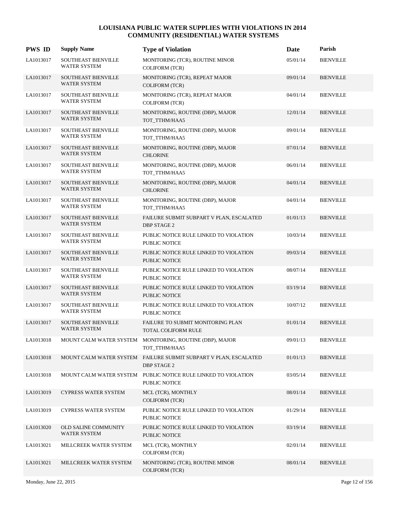| <b>PWS ID</b> | <b>Supply Name</b>                                | <b>Type of Violation</b>                                                               | Date     | Parish           |
|---------------|---------------------------------------------------|----------------------------------------------------------------------------------------|----------|------------------|
| LA1013017     | <b>SOUTHEAST BIENVILLE</b><br>WATER SYSTEM        | MONITORING (TCR), ROUTINE MINOR<br><b>COLIFORM (TCR)</b>                               | 05/01/14 | <b>BIENVILLE</b> |
| LA1013017     | SOUTHEAST BIENVILLE<br>WATER SYSTEM               | MONITORING (TCR), REPEAT MAJOR<br><b>COLIFORM (TCR)</b>                                | 09/01/14 | <b>BIENVILLE</b> |
| LA1013017     | <b>SOUTHEAST BIENVILLE</b><br><b>WATER SYSTEM</b> | MONITORING (TCR), REPEAT MAJOR<br><b>COLIFORM (TCR)</b>                                | 04/01/14 | <b>BIENVILLE</b> |
| LA1013017     | <b>SOUTHEAST BIENVILLE</b><br>WATER SYSTEM        | MONITORING, ROUTINE (DBP), MAJOR<br>TOT_TTHM/HAA5                                      | 12/01/14 | <b>BIENVILLE</b> |
| LA1013017     | SOUTHEAST BIENVILLE<br>WATER SYSTEM               | MONITORING, ROUTINE (DBP), MAJOR<br>TOT TTHM/HAA5                                      | 09/01/14 | <b>BIENVILLE</b> |
| LA1013017     | <b>SOUTHEAST BIENVILLE</b><br>WATER SYSTEM        | MONITORING, ROUTINE (DBP), MAJOR<br><b>CHLORINE</b>                                    | 07/01/14 | <b>BIENVILLE</b> |
| LA1013017     | <b>SOUTHEAST BIENVILLE</b><br><b>WATER SYSTEM</b> | MONITORING, ROUTINE (DBP), MAJOR<br>TOT_TTHM/HAA5                                      | 06/01/14 | <b>BIENVILLE</b> |
| LA1013017     | <b>SOUTHEAST BIENVILLE</b><br>WATER SYSTEM        | MONITORING, ROUTINE (DBP), MAJOR<br><b>CHLORINE</b>                                    | 04/01/14 | <b>BIENVILLE</b> |
| LA1013017     | SOUTHEAST BIENVILLE<br>WATER SYSTEM               | MONITORING, ROUTINE (DBP), MAJOR<br>TOT_TTHM/HAA5                                      | 04/01/14 | <b>BIENVILLE</b> |
| LA1013017     | <b>SOUTHEAST BIENVILLE</b><br>WATER SYSTEM        | FAILURE SUBMIT SUBPART V PLAN, ESCALATED<br><b>DBP STAGE 2</b>                         | 01/01/13 | <b>BIENVILLE</b> |
| LA1013017     | <b>SOUTHEAST BIENVILLE</b><br><b>WATER SYSTEM</b> | PUBLIC NOTICE RULE LINKED TO VIOLATION<br><b>PUBLIC NOTICE</b>                         | 10/03/14 | <b>BIENVILLE</b> |
| LA1013017     | <b>SOUTHEAST BIENVILLE</b><br>WATER SYSTEM        | PUBLIC NOTICE RULE LINKED TO VIOLATION<br><b>PUBLIC NOTICE</b>                         | 09/03/14 | <b>BIENVILLE</b> |
| LA1013017     | <b>SOUTHEAST BIENVILLE</b><br>WATER SYSTEM        | PUBLIC NOTICE RULE LINKED TO VIOLATION<br>PUBLIC NOTICE                                | 08/07/14 | <b>BIENVILLE</b> |
| LA1013017     | <b>SOUTHEAST BIENVILLE</b><br>WATER SYSTEM        | PUBLIC NOTICE RULE LINKED TO VIOLATION<br><b>PUBLIC NOTICE</b>                         | 03/19/14 | <b>BIENVILLE</b> |
| LA1013017     | <b>SOUTHEAST BIENVILLE</b><br>WATER SYSTEM        | PUBLIC NOTICE RULE LINKED TO VIOLATION<br><b>PUBLIC NOTICE</b>                         | 10/07/12 | <b>BIENVILLE</b> |
| LA1013017     | <b>SOUTHEAST BIENVILLE</b><br><b>WATER SYSTEM</b> | FAILURE TO SUBMIT MONITORING PLAN<br><b>TOTAL COLIFORM RULE</b>                        | 01/01/14 | <b>BIENVILLE</b> |
| LA1013018     |                                                   | MOUNT CALM WATER SYSTEM MONITORING, ROUTINE (DBP), MAJOR<br>TOT TTHM/HAA5              | 09/01/13 | <b>BIENVILLE</b> |
| LA1013018     |                                                   | MOUNT CALM WATER SYSTEM FAILURE SUBMIT SUBPART V PLAN, ESCALATED<br><b>DBP STAGE 2</b> | 01/01/13 | <b>BIENVILLE</b> |
| LA1013018     | MOUNT CALM WATER SYSTEM                           | PUBLIC NOTICE RULE LINKED TO VIOLATION<br>PUBLIC NOTICE                                | 03/05/14 | <b>BIENVILLE</b> |
| LA1013019     | <b>CYPRESS WATER SYSTEM</b>                       | MCL (TCR), MONTHLY<br><b>COLIFORM (TCR)</b>                                            | 08/01/14 | <b>BIENVILLE</b> |
| LA1013019     | CYPRESS WATER SYSTEM                              | PUBLIC NOTICE RULE LINKED TO VIOLATION<br>PUBLIC NOTICE                                | 01/29/14 | <b>BIENVILLE</b> |
| LA1013020     | <b>OLD SALINE COMMUNITY</b><br>WATER SYSTEM       | PUBLIC NOTICE RULE LINKED TO VIOLATION<br><b>PUBLIC NOTICE</b>                         | 03/19/14 | <b>BIENVILLE</b> |
| LA1013021     | MILLCREEK WATER SYSTEM                            | MCL (TCR), MONTHLY<br><b>COLIFORM (TCR)</b>                                            | 02/01/14 | <b>BIENVILLE</b> |
| LA1013021     | MILLCREEK WATER SYSTEM                            | MONITORING (TCR), ROUTINE MINOR<br>COLIFORM (TCR)                                      | 08/01/14 | <b>BIENVILLE</b> |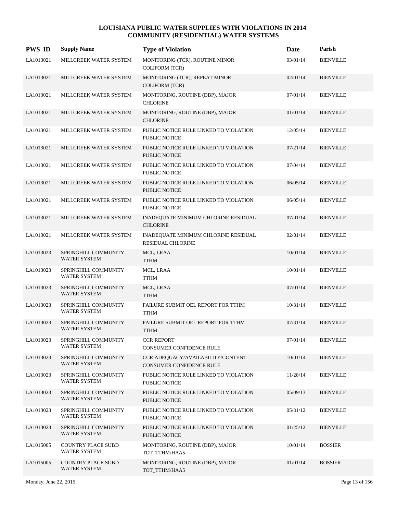| <b>PWS ID</b> | <b>Supply Name</b>                          | <b>Type of Violation</b>                                         | Date     | Parish           |
|---------------|---------------------------------------------|------------------------------------------------------------------|----------|------------------|
| LA1013021     | MILLCREEK WATER SYSTEM                      | MONITORING (TCR), ROUTINE MINOR<br><b>COLIFORM (TCR)</b>         | 03/01/14 | <b>BIENVILLE</b> |
| LA1013021     | MILLCREEK WATER SYSTEM                      | MONITORING (TCR), REPEAT MINOR<br><b>COLIFORM (TCR)</b>          | 02/01/14 | <b>BIENVILLE</b> |
| LA1013021     | MILLCREEK WATER SYSTEM                      | MONITORING, ROUTINE (DBP), MAJOR<br><b>CHLORINE</b>              | 07/01/14 | <b>BIENVILLE</b> |
| LA1013021     | MILLCREEK WATER SYSTEM                      | MONITORING, ROUTINE (DBP), MAJOR<br><b>CHLORINE</b>              | 01/01/14 | <b>BIENVILLE</b> |
| LA1013021     | MILLCREEK WATER SYSTEM                      | PUBLIC NOTICE RULE LINKED TO VIOLATION<br><b>PUBLIC NOTICE</b>   | 12/05/14 | <b>BIENVILLE</b> |
| LA1013021     | MILLCREEK WATER SYSTEM                      | PUBLIC NOTICE RULE LINKED TO VIOLATION<br>PUBLIC NOTICE          | 07/21/14 | <b>BIENVILLE</b> |
| LA1013021     | MILLCREEK WATER SYSTEM                      | PUBLIC NOTICE RULE LINKED TO VIOLATION<br><b>PUBLIC NOTICE</b>   | 07/04/14 | <b>BIENVILLE</b> |
| LA1013021     | MILLCREEK WATER SYSTEM                      | PUBLIC NOTICE RULE LINKED TO VIOLATION<br>PUBLIC NOTICE          | 06/05/14 | <b>BIENVILLE</b> |
| LA1013021     | MILLCREEK WATER SYSTEM                      | PUBLIC NOTICE RULE LINKED TO VIOLATION<br>PUBLIC NOTICE          | 06/05/14 | <b>BIENVILLE</b> |
| LA1013021     | MILLCREEK WATER SYSTEM                      | INADEQUATE MINIMUM CHLORINE RESIDUAL<br><b>CHLORINE</b>          | 07/01/14 | <b>BIENVILLE</b> |
| LA1013021     | MILLCREEK WATER SYSTEM                      | INADEQUATE MINIMUM CHLORINE RESIDUAL<br><b>RESIDUAL CHLORINE</b> | 02/01/14 | <b>BIENVILLE</b> |
| LA1013023     | SPRINGHILL COMMUNITY<br><b>WATER SYSTEM</b> | MCL, LRAA<br><b>TTHM</b>                                         | 10/01/14 | <b>BIENVILLE</b> |
| LA1013023     | SPRINGHILL COMMUNITY<br><b>WATER SYSTEM</b> | MCL, LRAA<br><b>TTHM</b>                                         | 10/01/14 | <b>BIENVILLE</b> |
| LA1013023     | SPRINGHILL COMMUNITY<br><b>WATER SYSTEM</b> | MCL, LRAA<br><b>TTHM</b>                                         | 07/01/14 | <b>BIENVILLE</b> |
| LA1013023     | SPRINGHILL COMMUNITY<br><b>WATER SYSTEM</b> | FAILURE SUBMIT OEL REPORT FOR TTHM<br><b>TTHM</b>                | 10/31/14 | <b>BIENVILLE</b> |
| LA1013023     | SPRINGHILL COMMUNITY<br>WATER SYSTEM        | FAILURE SUBMIT OEL REPORT FOR TTHM<br><b>TTHM</b>                | 07/31/14 | <b>BIENVILLE</b> |
| LA1013023     | SPRINGHILL COMMUNITY<br><b>WATER SYSTEM</b> | <b>CCR REPORT</b><br>CONSUMER CONFIDENCE RULE                    | 07/01/14 | <b>BIENVILLE</b> |
| LA1013023     | SPRINGHILL COMMUNITY<br>WATER SYSTEM        | CCR ADEQUACY/AVAILABILITY/CONTENT<br>CONSUMER CONFIDENCE RULE    | 10/01/14 | <b>BIENVILLE</b> |
| LA1013023     | SPRINGHILL COMMUNITY<br>WATER SYSTEM        | PUBLIC NOTICE RULE LINKED TO VIOLATION<br>PUBLIC NOTICE          | 11/28/14 | <b>BIENVILLE</b> |
| LA1013023     | SPRINGHILL COMMUNITY<br><b>WATER SYSTEM</b> | PUBLIC NOTICE RULE LINKED TO VIOLATION<br>PUBLIC NOTICE          | 05/09/13 | <b>BIENVILLE</b> |
| LA1013023     | SPRINGHILL COMMUNITY<br><b>WATER SYSTEM</b> | PUBLIC NOTICE RULE LINKED TO VIOLATION<br>PUBLIC NOTICE          | 05/31/12 | <b>BIENVILLE</b> |
| LA1013023     | SPRINGHILL COMMUNITY<br>WATER SYSTEM        | PUBLIC NOTICE RULE LINKED TO VIOLATION<br>PUBLIC NOTICE          | 01/25/12 | <b>BIENVILLE</b> |
| LA1015005     | COUNTRY PLACE SUBD<br>WATER SYSTEM          | MONITORING, ROUTINE (DBP), MAJOR<br>TOT_TTHM/HAA5                | 10/01/14 | <b>BOSSIER</b>   |
| LA1015005     | COUNTRY PLACE SUBD<br><b>WATER SYSTEM</b>   | MONITORING, ROUTINE (DBP), MAJOR<br>TOT_TTHM/HAA5                | 01/01/14 | <b>BOSSIER</b>   |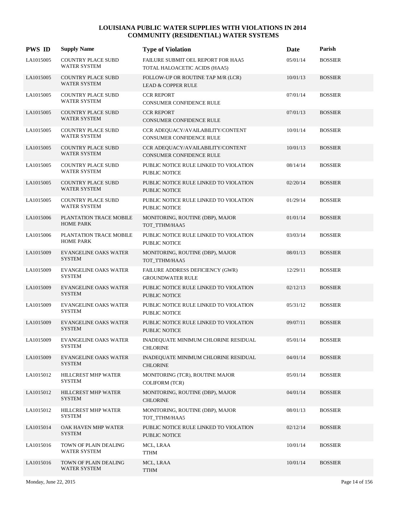| <b>PWS ID</b> | <b>Supply Name</b>                               | <b>Type of Violation</b>                                             | Date     | Parish         |
|---------------|--------------------------------------------------|----------------------------------------------------------------------|----------|----------------|
| LA1015005     | COUNTRY PLACE SUBD<br>WATER SYSTEM               | FAILURE SUBMIT OEL REPORT FOR HAA5<br>TOTAL HALOACETIC ACIDS (HAA5)  | 05/01/14 | <b>BOSSIER</b> |
| LA1015005     | <b>COUNTRY PLACE SUBD</b><br><b>WATER SYSTEM</b> | FOLLOW-UP OR ROUTINE TAP M/R (LCR)<br>LEAD & COPPER RULE             | 10/01/13 | <b>BOSSIER</b> |
| LA1015005     | COUNTRY PLACE SUBD<br><b>WATER SYSTEM</b>        | <b>CCR REPORT</b><br>CONSUMER CONFIDENCE RULE                        | 07/01/14 | <b>BOSSIER</b> |
| LA1015005     | COUNTRY PLACE SUBD<br><b>WATER SYSTEM</b>        | <b>CCR REPORT</b><br><b>CONSUMER CONFIDENCE RULE</b>                 | 07/01/13 | <b>BOSSIER</b> |
| LA1015005     | COUNTRY PLACE SUBD<br>WATER SYSTEM               | CCR ADEQUACY/AVAILABILITY/CONTENT<br><b>CONSUMER CONFIDENCE RULE</b> | 10/01/14 | <b>BOSSIER</b> |
| LA1015005     | COUNTRY PLACE SUBD<br><b>WATER SYSTEM</b>        | CCR ADEQUACY/AVAILABILITY/CONTENT<br>CONSUMER CONFIDENCE RULE        | 10/01/13 | <b>BOSSIER</b> |
| LA1015005     | COUNTRY PLACE SUBD<br><b>WATER SYSTEM</b>        | PUBLIC NOTICE RULE LINKED TO VIOLATION<br>PUBLIC NOTICE              | 08/14/14 | <b>BOSSIER</b> |
| LA1015005     | COUNTRY PLACE SUBD<br><b>WATER SYSTEM</b>        | PUBLIC NOTICE RULE LINKED TO VIOLATION<br>PUBLIC NOTICE              | 02/20/14 | <b>BOSSIER</b> |
| LA1015005     | <b>COUNTRY PLACE SUBD</b><br><b>WATER SYSTEM</b> | PUBLIC NOTICE RULE LINKED TO VIOLATION<br>PUBLIC NOTICE              | 01/29/14 | <b>BOSSIER</b> |
| LA1015006     | PLANTATION TRACE MOBILE<br><b>HOME PARK</b>      | MONITORING, ROUTINE (DBP), MAJOR<br>TOT_TTHM/HAA5                    | 01/01/14 | <b>BOSSIER</b> |
| LA1015006     | PLANTATION TRACE MOBILE<br><b>HOME PARK</b>      | PUBLIC NOTICE RULE LINKED TO VIOLATION<br>PUBLIC NOTICE              | 03/03/14 | <b>BOSSIER</b> |
| LA1015009     | <b>EVANGELINE OAKS WATER</b><br><b>SYSTEM</b>    | MONITORING, ROUTINE (DBP), MAJOR<br>TOT_TTHM/HAA5                    | 08/01/13 | <b>BOSSIER</b> |
| LA1015009     | EVANGELINE OAKS WATER<br><b>SYSTEM</b>           | FAILURE ADDRESS DEFICIENCY (GWR)<br><b>GROUNDWATER RULE</b>          | 12/29/11 | <b>BOSSIER</b> |
| LA1015009     | <b>EVANGELINE OAKS WATER</b><br><b>SYSTEM</b>    | PUBLIC NOTICE RULE LINKED TO VIOLATION<br>PUBLIC NOTICE              | 02/12/13 | <b>BOSSIER</b> |
| LA1015009     | <b>EVANGELINE OAKS WATER</b><br><b>SYSTEM</b>    | PUBLIC NOTICE RULE LINKED TO VIOLATION<br>PUBLIC NOTICE              | 05/31/12 | <b>BOSSIER</b> |
| LA1015009     | <b>EVANGELINE OAKS WATER</b><br><b>SYSTEM</b>    | PUBLIC NOTICE RULE LINKED TO VIOLATION<br>PUBLIC NOTICE              | 09/07/11 | <b>BOSSIER</b> |
| LA1015009     | <b>EVANGELINE OAKS WATER</b><br><b>SYSTEM</b>    | INADEQUATE MINIMUM CHLORINE RESIDUAL<br><b>CHLORINE</b>              | 05/01/14 | <b>BOSSIER</b> |
| LA1015009     | <b>EVANGELINE OAKS WATER</b><br><b>SYSTEM</b>    | INADEQUATE MINIMUM CHLORINE RESIDUAL<br><b>CHLORINE</b>              | 04/01/14 | <b>BOSSIER</b> |
| LA1015012     | HILLCREST MHP WATER<br><b>SYSTEM</b>             | MONITORING (TCR), ROUTINE MAJOR<br><b>COLIFORM (TCR)</b>             | 05/01/14 | <b>BOSSIER</b> |
| LA1015012     | <b>HILLCREST MHP WATER</b><br><b>SYSTEM</b>      | MONITORING, ROUTINE (DBP), MAJOR<br><b>CHLORINE</b>                  | 04/01/14 | <b>BOSSIER</b> |
| LA1015012     | HILLCREST MHP WATER<br><b>SYSTEM</b>             | MONITORING, ROUTINE (DBP), MAJOR<br>TOT_TTHM/HAA5                    | 08/01/13 | <b>BOSSIER</b> |
| LA1015014     | OAK HAVEN MHP WATER<br><b>SYSTEM</b>             | PUBLIC NOTICE RULE LINKED TO VIOLATION<br>PUBLIC NOTICE              | 02/12/14 | <b>BOSSIER</b> |
| LA1015016     | TOWN OF PLAIN DEALING<br>WATER SYSTEM            | MCL, LRAA<br>TTHM                                                    | 10/01/14 | <b>BOSSIER</b> |
| LA1015016     | TOWN OF PLAIN DEALING<br>WATER SYSTEM            | MCL, LRAA<br><b>TTHM</b>                                             | 10/01/14 | <b>BOSSIER</b> |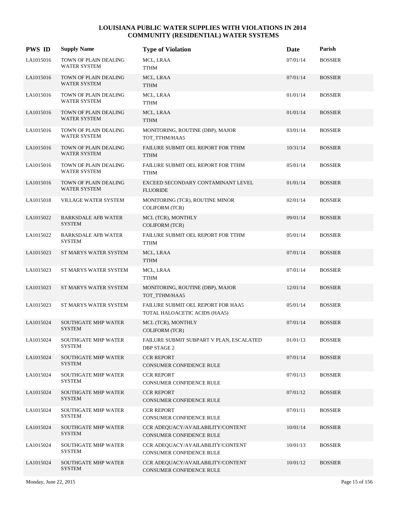| <b>PWS ID</b> | <b>Supply Name</b>                           | <b>Type of Violation</b>                                            | Date     | Parish         |
|---------------|----------------------------------------------|---------------------------------------------------------------------|----------|----------------|
| LA1015016     | TOWN OF PLAIN DEALING<br><b>WATER SYSTEM</b> | MCL, LRAA<br>TTHM                                                   | 07/01/14 | <b>BOSSIER</b> |
| LA1015016     | TOWN OF PLAIN DEALING<br>WATER SYSTEM        | MCL, LRAA<br><b>TTHM</b>                                            | 07/01/14 | <b>BOSSIER</b> |
| LA1015016     | TOWN OF PLAIN DEALING<br><b>WATER SYSTEM</b> | MCL, LRAA<br>${\rm TTHM}$                                           | 01/01/14 | <b>BOSSIER</b> |
| LA1015016     | TOWN OF PLAIN DEALING<br><b>WATER SYSTEM</b> | MCL, LRAA<br><b>TTHM</b>                                            | 01/01/14 | <b>BOSSIER</b> |
| LA1015016     | TOWN OF PLAIN DEALING<br><b>WATER SYSTEM</b> | MONITORING, ROUTINE (DBP), MAJOR<br>TOT TTHM/HAA5                   | 03/01/14 | <b>BOSSIER</b> |
| LA1015016     | TOWN OF PLAIN DEALING<br>WATER SYSTEM        | FAILURE SUBMIT OEL REPORT FOR TTHM<br><b>TTHM</b>                   | 10/31/14 | <b>BOSSIER</b> |
| LA1015016     | TOWN OF PLAIN DEALING<br><b>WATER SYSTEM</b> | FAILURE SUBMIT OEL REPORT FOR TTHM<br><b>TTHM</b>                   | 05/01/14 | <b>BOSSIER</b> |
| LA1015016     | TOWN OF PLAIN DEALING<br><b>WATER SYSTEM</b> | EXCEED SECONDARY CONTAMINANT LEVEL<br><b>FLUORIDE</b>               | 01/01/14 | <b>BOSSIER</b> |
| LA1015018     | <b>VILLAGE WATER SYSTEM</b>                  | MONITORING (TCR), ROUTINE MINOR<br><b>COLIFORM (TCR)</b>            | 02/01/14 | <b>BOSSIER</b> |
| LA1015022     | <b>BARKSDALE AFB WATER</b><br><b>SYSTEM</b>  | MCL (TCR), MONTHLY<br><b>COLIFORM (TCR)</b>                         | 09/01/14 | <b>BOSSIER</b> |
| LA1015022     | <b>BARKSDALE AFB WATER</b><br><b>SYSTEM</b>  | FAILURE SUBMIT OEL REPORT FOR TTHM<br>TTHM                          | 05/01/14 | <b>BOSSIER</b> |
| LA1015023     | ST MARYS WATER SYSTEM                        | MCL, LRAA<br><b>TTHM</b>                                            | 07/01/14 | <b>BOSSIER</b> |
| LA1015023     | ST MARYS WATER SYSTEM                        | MCL, LRAA<br><b>TTHM</b>                                            | 07/01/14 | <b>BOSSIER</b> |
| LA1015023     | ST MARYS WATER SYSTEM                        | MONITORING, ROUTINE (DBP), MAJOR<br>TOT TTHM/HAA5                   | 12/01/14 | <b>BOSSIER</b> |
| LA1015023     | ST MARYS WATER SYSTEM                        | FAILURE SUBMIT OEL REPORT FOR HAA5<br>TOTAL HALOACETIC ACIDS (HAA5) | 05/01/14 | <b>BOSSIER</b> |
| LA1015024     | <b>SOUTHGATE MHP WATER</b><br><b>SYSTEM</b>  | MCL (TCR), MONTHLY<br><b>COLIFORM (TCR)</b>                         | 07/01/14 | <b>BOSSIER</b> |
| LA1015024     | SOUTHGATE MHP WATER<br><b>SYSTEM</b>         | FAILURE SUBMIT SUBPART V PLAN, ESCALATED<br><b>DBP STAGE 2</b>      | 01/01/13 | <b>BOSSIER</b> |
| LA1015024     | <b>SOUTHGATE MHP WATER</b><br><b>SYSTEM</b>  | <b>CCR REPORT</b><br>CONSUMER CONFIDENCE RULE                       | 07/01/14 | <b>BOSSIER</b> |
| LA1015024     | <b>SOUTHGATE MHP WATER</b><br><b>SYSTEM</b>  | <b>CCR REPORT</b><br>CONSUMER CONFIDENCE RULE                       | 07/01/13 | <b>BOSSIER</b> |
| LA1015024     | SOUTHGATE MHP WATER<br><b>SYSTEM</b>         | <b>CCR REPORT</b><br>CONSUMER CONFIDENCE RULE                       | 07/01/12 | <b>BOSSIER</b> |
| LA1015024     | SOUTHGATE MHP WATER<br><b>SYSTEM</b>         | <b>CCR REPORT</b><br>CONSUMER CONFIDENCE RULE                       | 07/01/11 | <b>BOSSIER</b> |
| LA1015024     | <b>SOUTHGATE MHP WATER</b><br><b>SYSTEM</b>  | CCR ADEQUACY/AVAILABILITY/CONTENT<br>CONSUMER CONFIDENCE RULE       | 10/01/14 | <b>BOSSIER</b> |
| LA1015024     | <b>SOUTHGATE MHP WATER</b><br><b>SYSTEM</b>  | CCR ADEQUACY/AVAILABILITY/CONTENT<br>CONSUMER CONFIDENCE RULE       | 10/01/13 | <b>BOSSIER</b> |
| LA1015024     | SOUTHGATE MHP WATER<br><b>SYSTEM</b>         | CCR ADEQUACY/AVAILABILITY/CONTENT<br>CONSUMER CONFIDENCE RULE       | 10/01/12 | <b>BOSSIER</b> |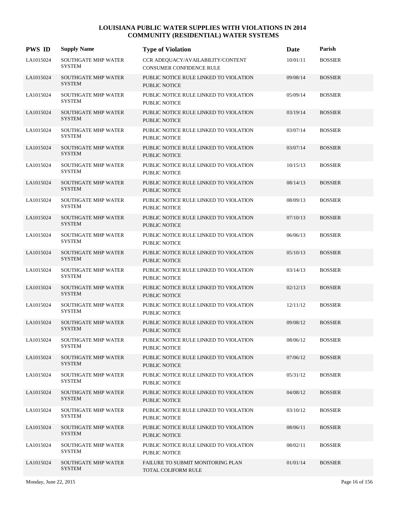| <b>PWS ID</b> | <b>Supply Name</b>                          | <b>Type of Violation</b>                                               | Date     | Parish         |
|---------------|---------------------------------------------|------------------------------------------------------------------------|----------|----------------|
| LA1015024     | <b>SOUTHGATE MHP WATER</b><br><b>SYSTEM</b> | CCR ADEQUACY/AVAILABILITY/CONTENT<br>CONSUMER CONFIDENCE RULE          | 10/01/11 | <b>BOSSIER</b> |
| LA1015024     | <b>SOUTHGATE MHP WATER</b><br><b>SYSTEM</b> | PUBLIC NOTICE RULE LINKED TO VIOLATION<br><b>PUBLIC NOTICE</b>         | 09/08/14 | <b>BOSSIER</b> |
| LA1015024     | SOUTHGATE MHP WATER<br><b>SYSTEM</b>        | PUBLIC NOTICE RULE LINKED TO VIOLATION<br>PUBLIC NOTICE                | 05/09/14 | <b>BOSSIER</b> |
| LA1015024     | <b>SOUTHGATE MHP WATER</b><br><b>SYSTEM</b> | PUBLIC NOTICE RULE LINKED TO VIOLATION<br><b>PUBLIC NOTICE</b>         | 03/19/14 | <b>BOSSIER</b> |
| LA1015024     | <b>SOUTHGATE MHP WATER</b><br><b>SYSTEM</b> | PUBLIC NOTICE RULE LINKED TO VIOLATION<br><b>PUBLIC NOTICE</b>         | 03/07/14 | <b>BOSSIER</b> |
| LA1015024     | <b>SOUTHGATE MHP WATER</b><br><b>SYSTEM</b> | PUBLIC NOTICE RULE LINKED TO VIOLATION<br><b>PUBLIC NOTICE</b>         | 03/07/14 | <b>BOSSIER</b> |
| LA1015024     | SOUTHGATE MHP WATER<br><b>SYSTEM</b>        | PUBLIC NOTICE RULE LINKED TO VIOLATION<br>PUBLIC NOTICE                | 10/15/13 | <b>BOSSIER</b> |
| LA1015024     | <b>SOUTHGATE MHP WATER</b><br><b>SYSTEM</b> | PUBLIC NOTICE RULE LINKED TO VIOLATION<br>PUBLIC NOTICE                | 08/14/13 | <b>BOSSIER</b> |
| LA1015024     | SOUTHGATE MHP WATER<br><b>SYSTEM</b>        | PUBLIC NOTICE RULE LINKED TO VIOLATION<br>PUBLIC NOTICE                | 08/09/13 | <b>BOSSIER</b> |
| LA1015024     | <b>SOUTHGATE MHP WATER</b><br><b>SYSTEM</b> | PUBLIC NOTICE RULE LINKED TO VIOLATION<br>PUBLIC NOTICE                | 07/10/13 | <b>BOSSIER</b> |
| LA1015024     | <b>SOUTHGATE MHP WATER</b><br><b>SYSTEM</b> | PUBLIC NOTICE RULE LINKED TO VIOLATION<br>PUBLIC NOTICE                | 06/06/13 | <b>BOSSIER</b> |
| LA1015024     | <b>SOUTHGATE MHP WATER</b><br><b>SYSTEM</b> | PUBLIC NOTICE RULE LINKED TO VIOLATION<br><b>PUBLIC NOTICE</b>         | 05/10/13 | <b>BOSSIER</b> |
| LA1015024     | <b>SOUTHGATE MHP WATER</b><br><b>SYSTEM</b> | PUBLIC NOTICE RULE LINKED TO VIOLATION<br>PUBLIC NOTICE                | 03/14/13 | <b>BOSSIER</b> |
| LA1015024     | SOUTHGATE MHP WATER<br><b>SYSTEM</b>        | PUBLIC NOTICE RULE LINKED TO VIOLATION<br>PUBLIC NOTICE                | 02/12/13 | <b>BOSSIER</b> |
| LA1015024     | <b>SOUTHGATE MHP WATER</b><br><b>SYSTEM</b> | PUBLIC NOTICE RULE LINKED TO VIOLATION<br>PUBLIC NOTICE                | 12/11/12 | <b>BOSSIER</b> |
| LA1015024     | <b>SOUTHGATE MHP WATER</b><br><b>SYSTEM</b> | PUBLIC NOTICE RULE LINKED TO VIOLATION<br><b>PUBLIC NOTICE</b>         | 09/08/12 | <b>BOSSIER</b> |
| LA1015024     | SOUTHGATE MHP WATER<br><b>SYSTEM</b>        | PUBLIC NOTICE RULE LINKED TO VIOLATION<br><b>PUBLIC NOTICE</b>         | 08/06/12 | <b>BOSSIER</b> |
| LA1015024     | <b>SOUTHGATE MHP WATER</b><br><b>SYSTEM</b> | PUBLIC NOTICE RULE LINKED TO VIOLATION<br><b>PUBLIC NOTICE</b>         | 07/06/12 | <b>BOSSIER</b> |
| LA1015024     | <b>SOUTHGATE MHP WATER</b><br><b>SYSTEM</b> | PUBLIC NOTICE RULE LINKED TO VIOLATION<br>PUBLIC NOTICE                | 05/31/12 | <b>BOSSIER</b> |
| LA1015024     | <b>SOUTHGATE MHP WATER</b><br><b>SYSTEM</b> | PUBLIC NOTICE RULE LINKED TO VIOLATION<br><b>PUBLIC NOTICE</b>         | 04/08/12 | <b>BOSSIER</b> |
| LA1015024     | <b>SOUTHGATE MHP WATER</b><br><b>SYSTEM</b> | PUBLIC NOTICE RULE LINKED TO VIOLATION<br>PUBLIC NOTICE                | 03/10/12 | <b>BOSSIER</b> |
| LA1015024     | <b>SOUTHGATE MHP WATER</b><br><b>SYSTEM</b> | PUBLIC NOTICE RULE LINKED TO VIOLATION<br><b>PUBLIC NOTICE</b>         | 08/06/11 | <b>BOSSIER</b> |
| LA1015024     | <b>SOUTHGATE MHP WATER</b><br><b>SYSTEM</b> | PUBLIC NOTICE RULE LINKED TO VIOLATION<br>PUBLIC NOTICE                | 08/02/11 | <b>BOSSIER</b> |
| LA1015024     | <b>SOUTHGATE MHP WATER</b><br><b>SYSTEM</b> | <b>FAILURE TO SUBMIT MONITORING PLAN</b><br><b>TOTAL COLIFORM RULE</b> | 01/01/14 | <b>BOSSIER</b> |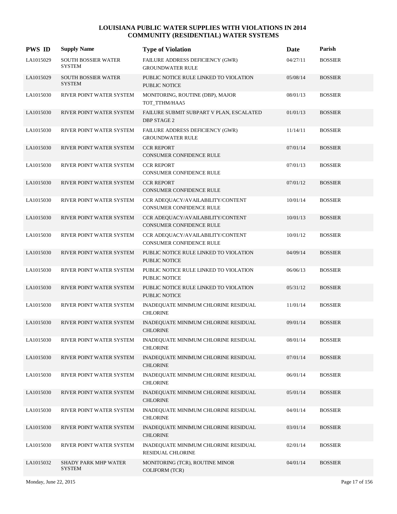| <b>PWS ID</b> | <b>Supply Name</b>                           | <b>Type of Violation</b>                                         | Date     | Parish         |
|---------------|----------------------------------------------|------------------------------------------------------------------|----------|----------------|
| LA1015029     | SOUTH BOSSIER WATER<br><b>SYSTEM</b>         | FAILURE ADDRESS DEFICIENCY (GWR)<br><b>GROUNDWATER RULE</b>      | 04/27/11 | <b>BOSSIER</b> |
| LA1015029     | <b>SOUTH BOSSIER WATER</b><br><b>SYSTEM</b>  | PUBLIC NOTICE RULE LINKED TO VIOLATION<br><b>PUBLIC NOTICE</b>   | 05/08/14 | <b>BOSSIER</b> |
| LA1015030     | RIVER POINT WATER SYSTEM                     | MONITORING, ROUTINE (DBP), MAJOR<br>TOT_TTHM/HAA5                | 08/01/13 | <b>BOSSIER</b> |
| LA1015030     | RIVER POINT WATER SYSTEM                     | FAILURE SUBMIT SUBPART V PLAN, ESCALATED<br><b>DBP STAGE 2</b>   | 01/01/13 | <b>BOSSIER</b> |
| LA1015030     | RIVER POINT WATER SYSTEM                     | FAILURE ADDRESS DEFICIENCY (GWR)<br><b>GROUNDWATER RULE</b>      | 11/14/11 | <b>BOSSIER</b> |
| LA1015030     | RIVER POINT WATER SYSTEM                     | <b>CCR REPORT</b><br>CONSUMER CONFIDENCE RULE                    | 07/01/14 | <b>BOSSIER</b> |
| LA1015030     | RIVER POINT WATER SYSTEM                     | <b>CCR REPORT</b><br>CONSUMER CONFIDENCE RULE                    | 07/01/13 | <b>BOSSIER</b> |
| LA1015030     | RIVER POINT WATER SYSTEM                     | <b>CCR REPORT</b><br>CONSUMER CONFIDENCE RULE                    | 07/01/12 | <b>BOSSIER</b> |
| LA1015030     | RIVER POINT WATER SYSTEM                     | CCR ADEOUACY/AVAILABILITY/CONTENT<br>CONSUMER CONFIDENCE RULE    | 10/01/14 | <b>BOSSIER</b> |
| LA1015030     | RIVER POINT WATER SYSTEM                     | CCR ADEQUACY/AVAILABILITY/CONTENT<br>CONSUMER CONFIDENCE RULE    | 10/01/13 | <b>BOSSIER</b> |
| LA1015030     | RIVER POINT WATER SYSTEM                     | CCR ADEQUACY/AVAILABILITY/CONTENT<br>CONSUMER CONFIDENCE RULE    | 10/01/12 | <b>BOSSIER</b> |
| LA1015030     | RIVER POINT WATER SYSTEM                     | PUBLIC NOTICE RULE LINKED TO VIOLATION<br><b>PUBLIC NOTICE</b>   | 04/09/14 | <b>BOSSIER</b> |
| LA1015030     | RIVER POINT WATER SYSTEM                     | PUBLIC NOTICE RULE LINKED TO VIOLATION<br>PUBLIC NOTICE          | 06/06/13 | <b>BOSSIER</b> |
| LA1015030     | RIVER POINT WATER SYSTEM                     | PUBLIC NOTICE RULE LINKED TO VIOLATION<br><b>PUBLIC NOTICE</b>   | 05/31/12 | <b>BOSSIER</b> |
| LA1015030     | RIVER POINT WATER SYSTEM                     | INADEQUATE MINIMUM CHLORINE RESIDUAL<br><b>CHLORINE</b>          | 11/01/14 | <b>BOSSIER</b> |
| LA1015030     | RIVER POINT WATER SYSTEM                     | INADEQUATE MINIMUM CHLORINE RESIDUAL<br><b>CHLORINE</b>          | 09/01/14 | <b>BOSSIER</b> |
| LA1015030     | RIVER POINT WATER SYSTEM                     | INADEQUATE MINIMUM CHLORINE RESIDUAL<br><b>CHLORINE</b>          | 08/01/14 | <b>BOSSIER</b> |
| LA1015030     | RIVER POINT WATER SYSTEM                     | INADEQUATE MINIMUM CHLORINE RESIDUAL<br><b>CHLORINE</b>          | 07/01/14 | <b>BOSSIER</b> |
| LA1015030     | RIVER POINT WATER SYSTEM                     | INADEQUATE MINIMUM CHLORINE RESIDUAL<br><b>CHLORINE</b>          | 06/01/14 | <b>BOSSIER</b> |
| LA1015030     | RIVER POINT WATER SYSTEM                     | INADEQUATE MINIMUM CHLORINE RESIDUAL<br><b>CHLORINE</b>          | 05/01/14 | <b>BOSSIER</b> |
| LA1015030     | RIVER POINT WATER SYSTEM                     | INADEQUATE MINIMUM CHLORINE RESIDUAL<br><b>CHLORINE</b>          | 04/01/14 | <b>BOSSIER</b> |
| LA1015030     | RIVER POINT WATER SYSTEM                     | INADEQUATE MINIMUM CHLORINE RESIDUAL<br><b>CHLORINE</b>          | 03/01/14 | <b>BOSSIER</b> |
| LA1015030     | RIVER POINT WATER SYSTEM                     | INADEQUATE MINIMUM CHLORINE RESIDUAL<br><b>RESIDUAL CHLORINE</b> | 02/01/14 | <b>BOSSIER</b> |
| LA1015032     | <b>SHADY PARK MHP WATER</b><br><b>SYSTEM</b> | MONITORING (TCR), ROUTINE MINOR<br><b>COLIFORM (TCR)</b>         | 04/01/14 | <b>BOSSIER</b> |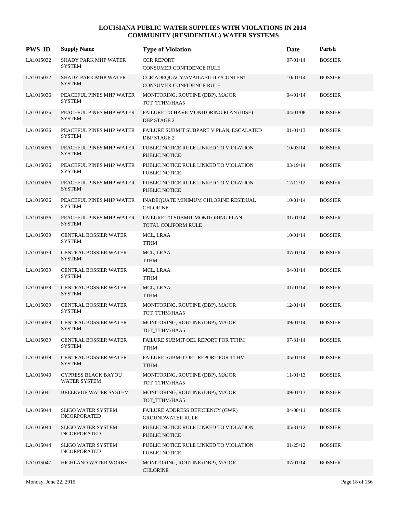| <b>PWS ID</b> | <b>Supply Name</b>                                | <b>Type of Violation</b>                                       | Date     | Parish         |
|---------------|---------------------------------------------------|----------------------------------------------------------------|----------|----------------|
| LA1015032     | <b>SHADY PARK MHP WATER</b><br><b>SYSTEM</b>      | <b>CCR REPORT</b><br><b>CONSUMER CONFIDENCE RULE</b>           | 07/01/14 | <b>BOSSIER</b> |
| LA1015032     | <b>SHADY PARK MHP WATER</b><br><b>SYSTEM</b>      | CCR ADEQUACY/AVAILABILITY/CONTENT<br>CONSUMER CONFIDENCE RULE  | 10/01/14 | <b>BOSSIER</b> |
| LA1015036     | PEACEFUL PINES MHP WATER<br><b>SYSTEM</b>         | MONITORING, ROUTINE (DBP), MAJOR<br>TOT_TTHM/HAA5              | 04/01/14 | <b>BOSSIER</b> |
| LA1015036     | PEACEFUL PINES MHP WATER<br><b>SYSTEM</b>         | FAILURE TO HAVE MONITORING PLAN (IDSE)<br><b>DBP STAGE 2</b>   | 04/01/08 | <b>BOSSIER</b> |
| LA1015036     | PEACEFUL PINES MHP WATER<br><b>SYSTEM</b>         | FAILURE SUBMIT SUBPART V PLAN, ESCALATED<br><b>DBP STAGE 2</b> | 01/01/13 | <b>BOSSIER</b> |
| LA1015036     | PEACEFUL PINES MHP WATER<br><b>SYSTEM</b>         | PUBLIC NOTICE RULE LINKED TO VIOLATION<br><b>PUBLIC NOTICE</b> | 10/03/14 | <b>BOSSIER</b> |
| LA1015036     | PEACEFUL PINES MHP WATER<br><b>SYSTEM</b>         | PUBLIC NOTICE RULE LINKED TO VIOLATION<br><b>PUBLIC NOTICE</b> | 03/19/14 | <b>BOSSIER</b> |
| LA1015036     | PEACEFUL PINES MHP WATER<br><b>SYSTEM</b>         | PUBLIC NOTICE RULE LINKED TO VIOLATION<br><b>PUBLIC NOTICE</b> | 12/12/12 | <b>BOSSIER</b> |
| LA1015036     | PEACEFUL PINES MHP WATER<br><b>SYSTEM</b>         | INADEQUATE MINIMUM CHLORINE RESIDUAL<br><b>CHLORINE</b>        | 10/01/14 | <b>BOSSIER</b> |
| LA1015036     | PEACEFUL PINES MHP WATER<br><b>SYSTEM</b>         | FAILURE TO SUBMIT MONITORING PLAN<br>TOTAL COLIFORM RULE       | 01/01/14 | <b>BOSSIER</b> |
| LA1015039     | <b>CENTRAL BOSSIER WATER</b><br><b>SYSTEM</b>     | MCL, LRAA<br><b>TTHM</b>                                       | 10/01/14 | <b>BOSSIER</b> |
| LA1015039     | <b>CENTRAL BOSSIER WATER</b><br><b>SYSTEM</b>     | MCL, LRAA<br><b>TTHM</b>                                       | 07/01/14 | <b>BOSSIER</b> |
| LA1015039     | <b>CENTRAL BOSSIER WATER</b><br><b>SYSTEM</b>     | MCL, LRAA<br><b>TTHM</b>                                       | 04/01/14 | <b>BOSSIER</b> |
| LA1015039     | CENTRAL BOSSIER WATER<br><b>SYSTEM</b>            | MCL, LRAA<br><b>TTHM</b>                                       | 01/01/14 | <b>BOSSIER</b> |
| LA1015039     | CENTRAL BOSSIER WATER<br><b>SYSTEM</b>            | MONITORING, ROUTINE (DBP), MAJOR<br>TOT TTHM/HAA5              | 12/01/14 | <b>BOSSIER</b> |
| LA1015039     | <b>CENTRAL BOSSIER WATER</b><br><b>SYSTEM</b>     | MONITORING, ROUTINE (DBP), MAJOR<br>TOT_TTHM/HAA5              | 09/01/14 | <b>BOSSIER</b> |
| LA1015039     | <b>CENTRAL BOSSIER WATER</b><br><b>SYSTEM</b>     | FAILURE SUBMIT OEL REPORT FOR TTHM<br>TTHM                     | 07/31/14 | <b>BOSSIER</b> |
| LA1015039     | <b>CENTRAL BOSSIER WATER</b><br><b>SYSTEM</b>     | FAILURE SUBMIT OEL REPORT FOR TTHM<br><b>TTHM</b>              | 05/01/14 | <b>BOSSIER</b> |
| LA1015040     | <b>CYPRESS BLACK BAYOU</b><br><b>WATER SYSTEM</b> | MONITORING, ROUTINE (DBP), MAJOR<br>TOT TTHM/HAA5              | 11/01/13 | <b>BOSSIER</b> |
| LA1015041     | BELLEVUE WATER SYSTEM                             | MONITORING, ROUTINE (DBP), MAJOR<br>TOT TTHM/HAA5              | 09/01/13 | <b>BOSSIER</b> |
| LA1015044     | <b>SLIGO WATER SYSTEM</b><br><b>INCORPORATED</b>  | FAILURE ADDRESS DEFICIENCY (GWR)<br><b>GROUNDWATER RULE</b>    | 04/08/11 | <b>BOSSIER</b> |
| LA1015044     | <b>SLIGO WATER SYSTEM</b><br><b>INCORPORATED</b>  | PUBLIC NOTICE RULE LINKED TO VIOLATION<br>PUBLIC NOTICE        | 05/31/12 | <b>BOSSIER</b> |
| LA1015044     | <b>SLIGO WATER SYSTEM</b><br><b>INCORPORATED</b>  | PUBLIC NOTICE RULE LINKED TO VIOLATION<br>PUBLIC NOTICE        | 01/25/12 | <b>BOSSIER</b> |
| LA1015047     | HIGHLAND WATER WORKS                              | MONITORING, ROUTINE (DBP), MAJOR<br><b>CHLORINE</b>            | 07/01/14 | <b>BOSSIER</b> |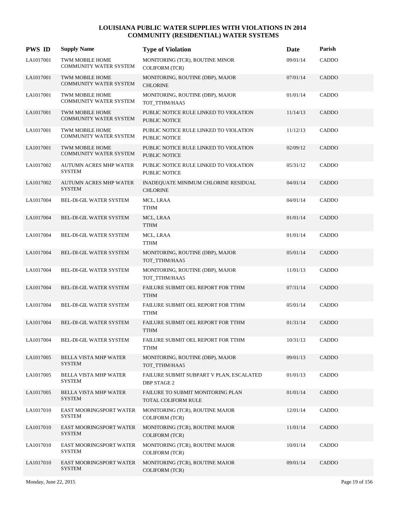| <b>PWS ID</b> | <b>Supply Name</b>                               | <b>Type of Violation</b>                                       | Date     | Parish       |
|---------------|--------------------------------------------------|----------------------------------------------------------------|----------|--------------|
| LA1017001     | TWM MOBILE HOME<br><b>COMMUNITY WATER SYSTEM</b> | MONITORING (TCR), ROUTINE MINOR<br><b>COLIFORM (TCR)</b>       | 09/01/14 | CADDO        |
| LA1017001     | TWM MOBILE HOME<br><b>COMMUNITY WATER SYSTEM</b> | MONITORING, ROUTINE (DBP), MAJOR<br><b>CHLORINE</b>            | 07/01/14 | <b>CADDO</b> |
| LA1017001     | TWM MOBILE HOME<br>COMMUNITY WATER SYSTEM        | MONITORING, ROUTINE (DBP), MAJOR<br>TOT_TTHM/HAA5              | 01/01/14 | CADDO        |
| LA1017001     | <b>TWM MOBILE HOME</b><br>COMMUNITY WATER SYSTEM | PUBLIC NOTICE RULE LINKED TO VIOLATION<br><b>PUBLIC NOTICE</b> | 11/14/13 | <b>CADDO</b> |
| LA1017001     | TWM MOBILE HOME<br><b>COMMUNITY WATER SYSTEM</b> | PUBLIC NOTICE RULE LINKED TO VIOLATION<br>PUBLIC NOTICE        | 11/12/13 | CADDO        |
| LA1017001     | TWM MOBILE HOME<br><b>COMMUNITY WATER SYSTEM</b> | PUBLIC NOTICE RULE LINKED TO VIOLATION<br><b>PUBLIC NOTICE</b> | 02/09/12 | <b>CADDO</b> |
| LA1017002     | <b>AUTUMN ACRES MHP WATER</b><br><b>SYSTEM</b>   | PUBLIC NOTICE RULE LINKED TO VIOLATION<br>PUBLIC NOTICE        | 05/31/12 | CADDO        |
| LA1017002     | <b>AUTUMN ACRES MHP WATER</b><br><b>SYSTEM</b>   | INADEQUATE MINIMUM CHLORINE RESIDUAL<br><b>CHLORINE</b>        | 04/01/14 | <b>CADDO</b> |
| LA1017004     | BEL-DI-GIL WATER SYSTEM                          | MCL, LRAA<br><b>TTHM</b>                                       | 04/01/14 | CADDO        |
| LA1017004     | <b>BEL-DI-GIL WATER SYSTEM</b>                   | MCL, LRAA<br><b>TTHM</b>                                       | 01/01/14 | <b>CADDO</b> |
| LA1017004     | BEL-DI-GIL WATER SYSTEM                          | MCL, LRAA<br><b>TTHM</b>                                       | 01/01/14 | CADDO        |
| LA1017004     | <b>BEL-DI-GIL WATER SYSTEM</b>                   | MONITORING, ROUTINE (DBP), MAJOR<br>TOT_TTHM/HAA5              | 05/01/14 | <b>CADDO</b> |
| LA1017004     | BEL-DI-GIL WATER SYSTEM                          | MONITORING, ROUTINE (DBP), MAJOR<br>TOT_TTHM/HAA5              | 11/01/13 | CADDO        |
| LA1017004     | BEL-DI-GIL WATER SYSTEM                          | FAILURE SUBMIT OEL REPORT FOR TTHM<br><b>TTHM</b>              | 07/31/14 | <b>CADDO</b> |
| LA1017004     | BEL-DI-GIL WATER SYSTEM                          | FAILURE SUBMIT OEL REPORT FOR TTHM<br><b>TTHM</b>              | 05/01/14 | CADDO        |
| LA1017004     | <b>BEL-DI-GIL WATER SYSTEM</b>                   | FAILURE SUBMIT OEL REPORT FOR TTHM<br><b>TTHM</b>              | 01/31/14 | <b>CADDO</b> |
| LA1017004     | BEL-DI-GIL WATER SYSTEM                          | FAILURE SUBMIT OEL REPORT FOR TTHM<br><b>TTHM</b>              | 10/31/13 | CADDO        |
| LA1017005     | <b>BELLA VISTA MHP WATER</b><br><b>SYSTEM</b>    | MONITORING, ROUTINE (DBP), MAJOR<br>TOT_TTHM/HAA5              | 09/01/13 | <b>CADDO</b> |
| LA1017005     | <b>BELLA VISTA MHP WATER</b><br><b>SYSTEM</b>    | FAILURE SUBMIT SUBPART V PLAN, ESCALATED<br><b>DBP STAGE 2</b> | 01/01/13 | CADDO        |
| LA1017005     | <b>BELLA VISTA MHP WATER</b><br><b>SYSTEM</b>    | FAILURE TO SUBMIT MONITORING PLAN<br>TOTAL COLIFORM RULE       | 01/01/14 | CADDO        |
| LA1017010     | EAST MOORINGSPORT WATER<br><b>SYSTEM</b>         | MONITORING (TCR), ROUTINE MAJOR<br><b>COLIFORM (TCR)</b>       | 12/01/14 | CADDO        |
| LA1017010     | EAST MOORINGSPORT WATER<br><b>SYSTEM</b>         | MONITORING (TCR), ROUTINE MAJOR<br><b>COLIFORM (TCR)</b>       | 11/01/14 | CADDO        |
| LA1017010     | EAST MOORINGSPORT WATER<br><b>SYSTEM</b>         | MONITORING (TCR), ROUTINE MAJOR<br><b>COLIFORM (TCR)</b>       | 10/01/14 | CADDO        |
| LA1017010     | EAST MOORINGSPORT WATER<br><b>SYSTEM</b>         | MONITORING (TCR), ROUTINE MAJOR<br><b>COLIFORM (TCR)</b>       | 09/01/14 | CADDO        |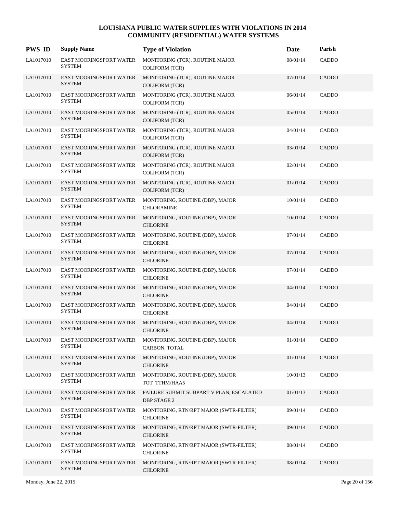| <b>PWS ID</b> | <b>Supply Name</b>                              | <b>Type of Violation</b>                                       | Date     | Parish       |
|---------------|-------------------------------------------------|----------------------------------------------------------------|----------|--------------|
| LA1017010     | EAST MOORINGSPORT WATER<br><b>SYSTEM</b>        | MONITORING (TCR), ROUTINE MAJOR<br><b>COLIFORM (TCR)</b>       | 08/01/14 | CADDO        |
| LA1017010     | EAST MOORINGSPORT WATER<br><b>SYSTEM</b>        | MONITORING (TCR), ROUTINE MAJOR<br><b>COLIFORM (TCR)</b>       | 07/01/14 | CADDO        |
| LA1017010     | EAST MOORINGSPORT WATER<br><b>SYSTEM</b>        | MONITORING (TCR), ROUTINE MAJOR<br><b>COLIFORM (TCR)</b>       | 06/01/14 | CADDO        |
| LA1017010     | EAST MOORINGSPORT WATER<br><b>SYSTEM</b>        | MONITORING (TCR), ROUTINE MAJOR<br><b>COLIFORM (TCR)</b>       | 05/01/14 | CADDO        |
| LA1017010     | EAST MOORINGSPORT WATER<br><b>SYSTEM</b>        | MONITORING (TCR), ROUTINE MAJOR<br><b>COLIFORM (TCR)</b>       | 04/01/14 | CADDO        |
| LA1017010     | EAST MOORINGSPORT WATER<br><b>SYSTEM</b>        | MONITORING (TCR), ROUTINE MAJOR<br><b>COLIFORM (TCR)</b>       | 03/01/14 | CADDO        |
| LA1017010     | EAST MOORINGSPORT WATER<br><b>SYSTEM</b>        | MONITORING (TCR), ROUTINE MAJOR<br><b>COLIFORM (TCR)</b>       | 02/01/14 | CADDO        |
| LA1017010     | EAST MOORINGSPORT WATER<br><b>SYSTEM</b>        | MONITORING (TCR), ROUTINE MAJOR<br><b>COLIFORM (TCR)</b>       | 01/01/14 | <b>CADDO</b> |
| LA1017010     | EAST MOORINGSPORT WATER<br><b>SYSTEM</b>        | MONITORING, ROUTINE (DBP), MAJOR<br><b>CHLORAMINE</b>          | 10/01/14 | CADDO        |
| LA1017010     | EAST MOORINGSPORT WATER<br><b>SYSTEM</b>        | MONITORING, ROUTINE (DBP), MAJOR<br><b>CHLORINE</b>            | 10/01/14 | <b>CADDO</b> |
| LA1017010     | EAST MOORINGSPORT WATER<br><b>SYSTEM</b>        | MONITORING, ROUTINE (DBP), MAJOR<br><b>CHLORINE</b>            | 07/01/14 | CADDO        |
| LA1017010     | <b>EAST MOORINGSPORT WATER</b><br><b>SYSTEM</b> | MONITORING, ROUTINE (DBP), MAJOR<br><b>CHLORINE</b>            | 07/01/14 | <b>CADDO</b> |
| LA1017010     | EAST MOORINGSPORT WATER<br><b>SYSTEM</b>        | MONITORING, ROUTINE (DBP), MAJOR<br><b>CHLORINE</b>            | 07/01/14 | CADDO        |
| LA1017010     | EAST MOORINGSPORT WATER<br><b>SYSTEM</b>        | MONITORING, ROUTINE (DBP), MAJOR<br><b>CHLORINE</b>            | 04/01/14 | <b>CADDO</b> |
| LA1017010     | EAST MOORINGSPORT WATER<br><b>SYSTEM</b>        | MONITORING, ROUTINE (DBP), MAJOR<br><b>CHLORINE</b>            | 04/01/14 | CADDO        |
| LA1017010     | <b>EAST MOORINGSPORT WATER</b><br><b>SYSTEM</b> | MONITORING, ROUTINE (DBP), MAJOR<br><b>CHLORINE</b>            | 04/01/14 | <b>CADDO</b> |
| LA1017010     | EAST MOORINGSPORT WATER<br><b>SYSTEM</b>        | MONITORING, ROUTINE (DBP), MAJOR<br>CARBON, TOTAL              | 01/01/14 | CADDO        |
| LA1017010     | EAST MOORINGSPORT WATER<br><b>SYSTEM</b>        | MONITORING, ROUTINE (DBP), MAJOR<br><b>CHLORINE</b>            | 01/01/14 | <b>CADDO</b> |
| LA1017010     | EAST MOORINGSPORT WATER<br><b>SYSTEM</b>        | MONITORING, ROUTINE (DBP), MAJOR<br>TOT_TTHM/HAA5              | 10/01/13 | CADDO        |
| LA1017010     | EAST MOORINGSPORT WATER<br><b>SYSTEM</b>        | FAILURE SUBMIT SUBPART V PLAN, ESCALATED<br><b>DBP STAGE 2</b> | 01/01/13 | CADDO        |
| LA1017010     | EAST MOORINGSPORT WATER<br><b>SYSTEM</b>        | MONITORING, RTN/RPT MAJOR (SWTR-FILTER)<br><b>CHLORINE</b>     | 09/01/14 | CADDO        |
| LA1017010     | EAST MOORINGSPORT WATER<br><b>SYSTEM</b>        | MONITORING, RTN/RPT MAJOR (SWTR-FILTER)<br><b>CHLORINE</b>     | 09/01/14 | CADDO        |
| LA1017010     | EAST MOORINGSPORT WATER<br><b>SYSTEM</b>        | MONITORING, RTN/RPT MAJOR (SWTR-FILTER)<br><b>CHLORINE</b>     | 08/01/14 | CADDO        |
| LA1017010     | EAST MOORINGSPORT WATER<br><b>SYSTEM</b>        | MONITORING, RTN/RPT MAJOR (SWTR-FILTER)<br><b>CHLORINE</b>     | 08/01/14 | CADDO        |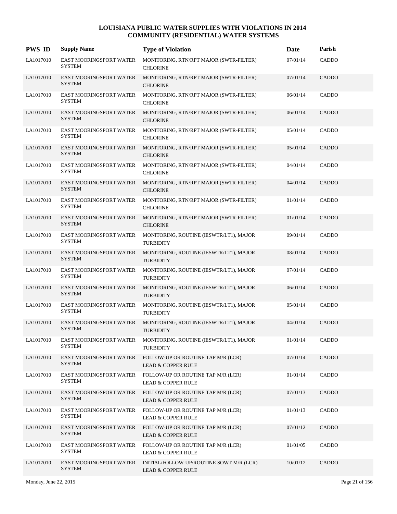| <b>PWS ID</b> | <b>Supply Name</b>                              | <b>Type of Violation</b>                                                  | Date     | Parish       |
|---------------|-------------------------------------------------|---------------------------------------------------------------------------|----------|--------------|
| LA1017010     | <b>EAST MOORINGSPORT WATER</b><br><b>SYSTEM</b> | MONITORING, RTN/RPT MAJOR (SWTR-FILTER)<br><b>CHLORINE</b>                | 07/01/14 | CADDO        |
| LA1017010     | <b>EAST MOORINGSPORT WATER</b><br><b>SYSTEM</b> | MONITORING, RTN/RPT MAJOR (SWTR-FILTER)<br><b>CHLORINE</b>                | 07/01/14 | CADDO        |
| LA1017010     | EAST MOORINGSPORT WATER<br><b>SYSTEM</b>        | MONITORING, RTN/RPT MAJOR (SWTR-FILTER)<br><b>CHLORINE</b>                | 06/01/14 | <b>CADDO</b> |
| LA1017010     | EAST MOORINGSPORT WATER<br><b>SYSTEM</b>        | MONITORING, RTN/RPT MAJOR (SWTR-FILTER)<br><b>CHLORINE</b>                | 06/01/14 | CADDO        |
| LA1017010     | <b>EAST MOORINGSPORT WATER</b><br><b>SYSTEM</b> | MONITORING, RTN/RPT MAJOR (SWTR-FILTER)<br><b>CHLORINE</b>                | 05/01/14 | CADDO        |
| LA1017010     | EAST MOORINGSPORT WATER<br><b>SYSTEM</b>        | MONITORING, RTN/RPT MAJOR (SWTR-FILTER)<br><b>CHLORINE</b>                | 05/01/14 | CADDO        |
| LA1017010     | EAST MOORINGSPORT WATER<br><b>SYSTEM</b>        | MONITORING, RTN/RPT MAJOR (SWTR-FILTER)<br><b>CHLORINE</b>                | 04/01/14 | <b>CADDO</b> |
| LA1017010     | EAST MOORINGSPORT WATER<br><b>SYSTEM</b>        | MONITORING, RTN/RPT MAJOR (SWTR-FILTER)<br><b>CHLORINE</b>                | 04/01/14 | <b>CADDO</b> |
| LA1017010     | EAST MOORINGSPORT WATER<br><b>SYSTEM</b>        | MONITORING, RTN/RPT MAJOR (SWTR-FILTER)<br><b>CHLORINE</b>                | 01/01/14 | CADDO        |
| LA1017010     | EAST MOORINGSPORT WATER<br><b>SYSTEM</b>        | MONITORING, RTN/RPT MAJOR (SWTR-FILTER)<br><b>CHLORINE</b>                | 01/01/14 | <b>CADDO</b> |
| LA1017010     | EAST MOORINGSPORT WATER<br><b>SYSTEM</b>        | MONITORING, ROUTINE (IESWTR/LT1), MAJOR<br><b>TURBIDITY</b>               | 09/01/14 | <b>CADDO</b> |
| LA1017010     | EAST MOORINGSPORT WATER<br><b>SYSTEM</b>        | MONITORING, ROUTINE (IESWTR/LT1), MAJOR<br><b>TURBIDITY</b>               | 08/01/14 | <b>CADDO</b> |
| LA1017010     | EAST MOORINGSPORT WATER<br><b>SYSTEM</b>        | MONITORING, ROUTINE (IESWTR/LT1), MAJOR<br><b>TURBIDITY</b>               | 07/01/14 | CADDO        |
| LA1017010     | EAST MOORINGSPORT WATER<br><b>SYSTEM</b>        | MONITORING, ROUTINE (IESWTR/LT1), MAJOR<br><b>TURBIDITY</b>               | 06/01/14 | <b>CADDO</b> |
| LA1017010     | EAST MOORINGSPORT WATER<br><b>SYSTEM</b>        | MONITORING, ROUTINE (IESWTR/LT1), MAJOR<br><b>TURBIDITY</b>               | 05/01/14 | <b>CADDO</b> |
| LA1017010     | EAST MOORINGSPORT WATER<br><b>SYSTEM</b>        | MONITORING, ROUTINE (IESWTR/LT1), MAJOR<br><b>TURBIDITY</b>               | 04/01/14 | <b>CADDO</b> |
| LA1017010     | EAST MOORINGSPORT WATER<br><b>SYSTEM</b>        | MONITORING, ROUTINE (IESWTR/LT1), MAJOR<br><b>TURBIDITY</b>               | 01/01/14 | CADDO        |
| LA1017010     | EAST MOORINGSPORT WATER<br><b>SYSTEM</b>        | FOLLOW-UP OR ROUTINE TAP M/R (LCR)<br><b>LEAD &amp; COPPER RULE</b>       | 07/01/14 | CADDO        |
| LA1017010     | <b>EAST MOORINGSPORT WATER</b><br><b>SYSTEM</b> | FOLLOW-UP OR ROUTINE TAP M/R (LCR)<br><b>LEAD &amp; COPPER RULE</b>       | 01/01/14 | CADDO        |
| LA1017010     | EAST MOORINGSPORT WATER<br><b>SYSTEM</b>        | FOLLOW-UP OR ROUTINE TAP M/R (LCR)<br><b>LEAD &amp; COPPER RULE</b>       | 07/01/13 | CADDO        |
| LA1017010     | EAST MOORINGSPORT WATER<br><b>SYSTEM</b>        | FOLLOW-UP OR ROUTINE TAP M/R (LCR)<br><b>LEAD &amp; COPPER RULE</b>       | 01/01/13 | CADDO        |
| LA1017010     | EAST MOORINGSPORT WATER<br><b>SYSTEM</b>        | FOLLOW-UP OR ROUTINE TAP M/R (LCR)<br><b>LEAD &amp; COPPER RULE</b>       | 07/01/12 | CADDO        |
| LA1017010     | <b>EAST MOORINGSPORT WATER</b><br><b>SYSTEM</b> | FOLLOW-UP OR ROUTINE TAP M/R (LCR)<br><b>LEAD &amp; COPPER RULE</b>       | 01/01/05 | CADDO        |
| LA1017010     | EAST MOORINGSPORT WATER<br><b>SYSTEM</b>        | INITIAL/FOLLOW-UP/ROUTINE SOWT M/R (LCR)<br><b>LEAD &amp; COPPER RULE</b> | 10/01/12 | CADDO        |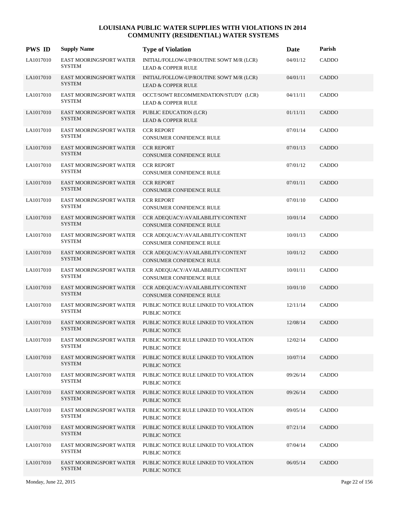| <b>PWS ID</b> | <b>Supply Name</b>                              | <b>Type of Violation</b>                                                               | Date     | Parish       |
|---------------|-------------------------------------------------|----------------------------------------------------------------------------------------|----------|--------------|
| LA1017010     | EAST MOORINGSPORT WATER<br><b>SYSTEM</b>        | INITIAL/FOLLOW-UP/ROUTINE SOWT M/R (LCR)<br><b>LEAD &amp; COPPER RULE</b>              | 04/01/12 | <b>CADDO</b> |
| LA1017010     | EAST MOORINGSPORT WATER<br><b>SYSTEM</b>        | INITIAL/FOLLOW-UP/ROUTINE SOWT M/R (LCR)<br><b>LEAD &amp; COPPER RULE</b>              | 04/01/11 | CADDO        |
| LA1017010     | EAST MOORINGSPORT WATER<br><b>SYSTEM</b>        | OCCT/SOWT RECOMMENDATION/STUDY (LCR)<br><b>LEAD &amp; COPPER RULE</b>                  | 04/11/11 | CADDO        |
| LA1017010     | EAST MOORINGSPORT WATER<br><b>SYSTEM</b>        | PUBLIC EDUCATION (LCR)<br><b>LEAD &amp; COPPER RULE</b>                                | 01/11/11 | CADDO        |
| LA1017010     | EAST MOORINGSPORT WATER<br><b>SYSTEM</b>        | <b>CCR REPORT</b><br>CONSUMER CONFIDENCE RULE                                          | 07/01/14 | CADDO        |
| LA1017010     | EAST MOORINGSPORT WATER<br><b>SYSTEM</b>        | <b>CCR REPORT</b><br>CONSUMER CONFIDENCE RULE                                          | 07/01/13 | CADDO        |
| LA1017010     | EAST MOORINGSPORT WATER<br><b>SYSTEM</b>        | <b>CCR REPORT</b><br>CONSUMER CONFIDENCE RULE                                          | 07/01/12 | CADDO        |
| LA1017010     | EAST MOORINGSPORT WATER<br><b>SYSTEM</b>        | <b>CCR REPORT</b><br><b>CONSUMER CONFIDENCE RULE</b>                                   | 07/01/11 | CADDO        |
| LA1017010     | EAST MOORINGSPORT WATER<br><b>SYSTEM</b>        | <b>CCR REPORT</b><br><b>CONSUMER CONFIDENCE RULE</b>                                   | 07/01/10 | CADDO        |
| LA1017010     | EAST MOORINGSPORT WATER<br><b>SYSTEM</b>        | CCR ADEQUACY/AVAILABILITY/CONTENT<br><b>CONSUMER CONFIDENCE RULE</b>                   | 10/01/14 | CADDO        |
| LA1017010     | EAST MOORINGSPORT WATER<br><b>SYSTEM</b>        | CCR ADEQUACY/AVAILABILITY/CONTENT<br><b>CONSUMER CONFIDENCE RULE</b>                   | 10/01/13 | CADDO        |
| LA1017010     | EAST MOORINGSPORT WATER<br><b>SYSTEM</b>        | CCR ADEQUACY/AVAILABILITY/CONTENT<br><b>CONSUMER CONFIDENCE RULE</b>                   | 10/01/12 | CADDO        |
| LA1017010     | EAST MOORINGSPORT WATER<br><b>SYSTEM</b>        | CCR ADEQUACY/AVAILABILITY/CONTENT<br><b>CONSUMER CONFIDENCE RULE</b>                   | 10/01/11 | CADDO        |
| LA1017010     | EAST MOORINGSPORT WATER<br><b>SYSTEM</b>        | CCR ADEQUACY/AVAILABILITY/CONTENT<br><b>CONSUMER CONFIDENCE RULE</b>                   | 10/01/10 | CADDO        |
| LA1017010     | <b>EAST MOORINGSPORT WATER</b><br><b>SYSTEM</b> | PUBLIC NOTICE RULE LINKED TO VIOLATION<br>PUBLIC NOTICE                                | 12/11/14 | CADDO        |
| LA1017010     | EAST MOORINGSPORT WATER<br><b>SYSTEM</b>        | PUBLIC NOTICE RULE LINKED TO VIOLATION<br><b>PUBLIC NOTICE</b>                         | 12/08/14 | CADDO        |
| LA1017010     | <b>SYSTEM</b>                                   | EAST MOORINGSPORT WATER PUBLIC NOTICE RULE LINKED TO VIOLATION<br><b>PUBLIC NOTICE</b> | 12/02/14 | CADDO        |
| LA1017010     | EAST MOORINGSPORT WATER<br><b>SYSTEM</b>        | PUBLIC NOTICE RULE LINKED TO VIOLATION<br><b>PUBLIC NOTICE</b>                         | 10/07/14 | CADDO        |
| LA1017010     | <b>EAST MOORINGSPORT WATER</b><br><b>SYSTEM</b> | PUBLIC NOTICE RULE LINKED TO VIOLATION<br>PUBLIC NOTICE                                | 09/26/14 | <b>CADDO</b> |
| LA1017010     | EAST MOORINGSPORT WATER<br><b>SYSTEM</b>        | PUBLIC NOTICE RULE LINKED TO VIOLATION<br>PUBLIC NOTICE                                | 09/26/14 | CADDO        |
| LA1017010     | EAST MOORINGSPORT WATER<br><b>SYSTEM</b>        | PUBLIC NOTICE RULE LINKED TO VIOLATION<br>PUBLIC NOTICE                                | 09/05/14 | CADDO        |
| LA1017010     | EAST MOORINGSPORT WATER<br><b>SYSTEM</b>        | PUBLIC NOTICE RULE LINKED TO VIOLATION<br>PUBLIC NOTICE                                | 07/21/14 | CADDO        |
| LA1017010     | <b>EAST MOORINGSPORT WATER</b><br><b>SYSTEM</b> | PUBLIC NOTICE RULE LINKED TO VIOLATION<br>PUBLIC NOTICE                                | 07/04/14 | CADDO        |
| LA1017010     | EAST MOORINGSPORT WATER<br><b>SYSTEM</b>        | PUBLIC NOTICE RULE LINKED TO VIOLATION<br>PUBLIC NOTICE                                | 06/05/14 | CADDO        |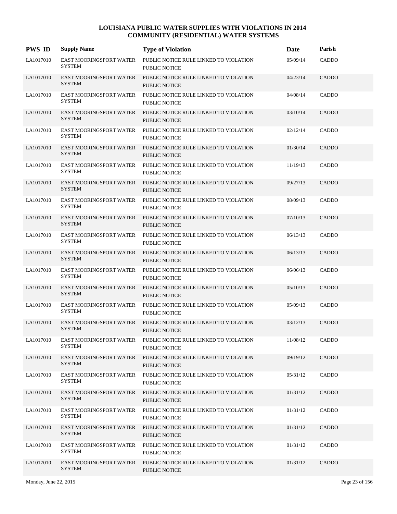| <b>PWS ID</b> | <b>Supply Name</b>                              | <b>Type of Violation</b>                                       | Date     | Parish       |
|---------------|-------------------------------------------------|----------------------------------------------------------------|----------|--------------|
| LA1017010     | <b>EAST MOORINGSPORT WATER</b><br><b>SYSTEM</b> | PUBLIC NOTICE RULE LINKED TO VIOLATION<br><b>PUBLIC NOTICE</b> | 05/09/14 | CADDO        |
| LA1017010     | EAST MOORINGSPORT WATER<br><b>SYSTEM</b>        | PUBLIC NOTICE RULE LINKED TO VIOLATION<br><b>PUBLIC NOTICE</b> | 04/23/14 | CADDO        |
| LA1017010     | <b>EAST MOORINGSPORT WATER</b><br><b>SYSTEM</b> | PUBLIC NOTICE RULE LINKED TO VIOLATION<br><b>PUBLIC NOTICE</b> | 04/08/14 | CADDO        |
| LA1017010     | <b>EAST MOORINGSPORT WATER</b><br><b>SYSTEM</b> | PUBLIC NOTICE RULE LINKED TO VIOLATION<br><b>PUBLIC NOTICE</b> | 03/10/14 | CADDO        |
| LA1017010     | <b>EAST MOORINGSPORT WATER</b><br><b>SYSTEM</b> | PUBLIC NOTICE RULE LINKED TO VIOLATION<br><b>PUBLIC NOTICE</b> | 02/12/14 | CADDO        |
| LA1017010     | <b>EAST MOORINGSPORT WATER</b><br><b>SYSTEM</b> | PUBLIC NOTICE RULE LINKED TO VIOLATION<br><b>PUBLIC NOTICE</b> | 01/30/14 | CADDO        |
| LA1017010     | <b>EAST MOORINGSPORT WATER</b><br><b>SYSTEM</b> | PUBLIC NOTICE RULE LINKED TO VIOLATION<br><b>PUBLIC NOTICE</b> | 11/19/13 | <b>CADDO</b> |
| LA1017010     | <b>EAST MOORINGSPORT WATER</b><br><b>SYSTEM</b> | PUBLIC NOTICE RULE LINKED TO VIOLATION<br><b>PUBLIC NOTICE</b> | 09/27/13 | CADDO        |
| LA1017010     | EAST MOORINGSPORT WATER<br><b>SYSTEM</b>        | PUBLIC NOTICE RULE LINKED TO VIOLATION<br>PUBLIC NOTICE        | 08/09/13 | CADDO        |
| LA1017010     | EAST MOORINGSPORT WATER<br><b>SYSTEM</b>        | PUBLIC NOTICE RULE LINKED TO VIOLATION<br><b>PUBLIC NOTICE</b> | 07/10/13 | <b>CADDO</b> |
| LA1017010     | EAST MOORINGSPORT WATER<br><b>SYSTEM</b>        | PUBLIC NOTICE RULE LINKED TO VIOLATION<br>PUBLIC NOTICE        | 06/13/13 | CADDO        |
| LA1017010     | <b>EAST MOORINGSPORT WATER</b><br><b>SYSTEM</b> | PUBLIC NOTICE RULE LINKED TO VIOLATION<br>PUBLIC NOTICE        | 06/13/13 | <b>CADDO</b> |
| LA1017010     | EAST MOORINGSPORT WATER<br><b>SYSTEM</b>        | PUBLIC NOTICE RULE LINKED TO VIOLATION<br>PUBLIC NOTICE        | 06/06/13 | CADDO        |
| LA1017010     | EAST MOORINGSPORT WATER<br><b>SYSTEM</b>        | PUBLIC NOTICE RULE LINKED TO VIOLATION<br><b>PUBLIC NOTICE</b> | 05/10/13 | <b>CADDO</b> |
| LA1017010     | <b>EAST MOORINGSPORT WATER</b><br><b>SYSTEM</b> | PUBLIC NOTICE RULE LINKED TO VIOLATION<br>PUBLIC NOTICE        | 05/09/13 | CADDO        |
| LA1017010     | <b>EAST MOORINGSPORT WATER</b><br><b>SYSTEM</b> | PUBLIC NOTICE RULE LINKED TO VIOLATION<br>PUBLIC NOTICE        | 03/12/13 | <b>CADDO</b> |
| LA1017010     | EAST MOORINGSPORT WATER<br><b>SYSTEM</b>        | PUBLIC NOTICE RULE LINKED TO VIOLATION<br>PUBLIC NOTICE        | 11/08/12 | CADDO        |
| LA1017010     | EAST MOORINGSPORT WATER<br><b>SYSTEM</b>        | PUBLIC NOTICE RULE LINKED TO VIOLATION<br>PUBLIC NOTICE        | 09/19/12 | <b>CADDO</b> |
| LA1017010     | <b>EAST MOORINGSPORT WATER</b><br><b>SYSTEM</b> | PUBLIC NOTICE RULE LINKED TO VIOLATION<br>PUBLIC NOTICE        | 05/31/12 | CADDO        |
| LA1017010     | <b>EAST MOORINGSPORT WATER</b><br><b>SYSTEM</b> | PUBLIC NOTICE RULE LINKED TO VIOLATION<br><b>PUBLIC NOTICE</b> | 01/31/12 | <b>CADDO</b> |
| LA1017010     | EAST MOORINGSPORT WATER<br><b>SYSTEM</b>        | PUBLIC NOTICE RULE LINKED TO VIOLATION<br>PUBLIC NOTICE        | 01/31/12 | CADDO        |
| LA1017010     | <b>EAST MOORINGSPORT WATER</b><br><b>SYSTEM</b> | PUBLIC NOTICE RULE LINKED TO VIOLATION<br><b>PUBLIC NOTICE</b> | 01/31/12 | <b>CADDO</b> |
| LA1017010     | <b>EAST MOORINGSPORT WATER</b><br><b>SYSTEM</b> | PUBLIC NOTICE RULE LINKED TO VIOLATION<br><b>PUBLIC NOTICE</b> | 01/31/12 | CADDO        |
| LA1017010     | <b>EAST MOORINGSPORT WATER</b><br><b>SYSTEM</b> | PUBLIC NOTICE RULE LINKED TO VIOLATION<br>PUBLIC NOTICE        | 01/31/12 | <b>CADDO</b> |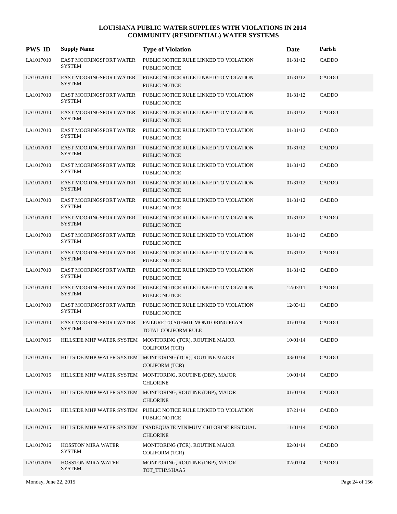| <b>PWS ID</b> | <b>Supply Name</b>                              | <b>Type of Violation</b>                                                           | Date     | Parish       |
|---------------|-------------------------------------------------|------------------------------------------------------------------------------------|----------|--------------|
| LA1017010     | <b>EAST MOORINGSPORT WATER</b><br><b>SYSTEM</b> | PUBLIC NOTICE RULE LINKED TO VIOLATION<br>PUBLIC NOTICE                            | 01/31/12 | CADDO        |
| LA1017010     | <b>EAST MOORINGSPORT WATER</b><br><b>SYSTEM</b> | PUBLIC NOTICE RULE LINKED TO VIOLATION<br><b>PUBLIC NOTICE</b>                     | 01/31/12 | <b>CADDO</b> |
| LA1017010     | <b>EAST MOORINGSPORT WATER</b><br><b>SYSTEM</b> | PUBLIC NOTICE RULE LINKED TO VIOLATION<br><b>PUBLIC NOTICE</b>                     | 01/31/12 | <b>CADDO</b> |
| LA1017010     | <b>EAST MOORINGSPORT WATER</b><br><b>SYSTEM</b> | PUBLIC NOTICE RULE LINKED TO VIOLATION<br><b>PUBLIC NOTICE</b>                     | 01/31/12 | <b>CADDO</b> |
| LA1017010     | <b>EAST MOORINGSPORT WATER</b><br><b>SYSTEM</b> | PUBLIC NOTICE RULE LINKED TO VIOLATION<br><b>PUBLIC NOTICE</b>                     | 01/31/12 | <b>CADDO</b> |
| LA1017010     | <b>EAST MOORINGSPORT WATER</b><br><b>SYSTEM</b> | PUBLIC NOTICE RULE LINKED TO VIOLATION<br><b>PUBLIC NOTICE</b>                     | 01/31/12 | CADDO        |
| LA1017010     | <b>EAST MOORINGSPORT WATER</b><br><b>SYSTEM</b> | PUBLIC NOTICE RULE LINKED TO VIOLATION<br>PUBLIC NOTICE                            | 01/31/12 | <b>CADDO</b> |
| LA1017010     | <b>EAST MOORINGSPORT WATER</b><br><b>SYSTEM</b> | PUBLIC NOTICE RULE LINKED TO VIOLATION<br><b>PUBLIC NOTICE</b>                     | 01/31/12 | <b>CADDO</b> |
| LA1017010     | EAST MOORINGSPORT WATER<br><b>SYSTEM</b>        | PUBLIC NOTICE RULE LINKED TO VIOLATION<br>PUBLIC NOTICE                            | 01/31/12 | <b>CADDO</b> |
| LA1017010     | EAST MOORINGSPORT WATER<br><b>SYSTEM</b>        | PUBLIC NOTICE RULE LINKED TO VIOLATION<br><b>PUBLIC NOTICE</b>                     | 01/31/12 | CADDO        |
| LA1017010     | <b>EAST MOORINGSPORT WATER</b><br><b>SYSTEM</b> | PUBLIC NOTICE RULE LINKED TO VIOLATION<br>PUBLIC NOTICE                            | 01/31/12 | <b>CADDO</b> |
| LA1017010     | <b>EAST MOORINGSPORT WATER</b><br><b>SYSTEM</b> | PUBLIC NOTICE RULE LINKED TO VIOLATION<br>PUBLIC NOTICE                            | 01/31/12 | <b>CADDO</b> |
| LA1017010     | <b>EAST MOORINGSPORT WATER</b><br><b>SYSTEM</b> | PUBLIC NOTICE RULE LINKED TO VIOLATION<br>PUBLIC NOTICE                            | 01/31/12 | CADDO        |
| LA1017010     | EAST MOORINGSPORT WATER<br><b>SYSTEM</b>        | PUBLIC NOTICE RULE LINKED TO VIOLATION<br><b>PUBLIC NOTICE</b>                     | 12/03/11 | CADDO        |
| LA1017010     | <b>EAST MOORINGSPORT WATER</b><br><b>SYSTEM</b> | PUBLIC NOTICE RULE LINKED TO VIOLATION<br><b>PUBLIC NOTICE</b>                     | 12/03/11 | CADDO        |
| LA1017010     | <b>EAST MOORINGSPORT WATER</b><br><b>SYSTEM</b> | FAILURE TO SUBMIT MONITORING PLAN<br><b>TOTAL COLIFORM RULE</b>                    | 01/01/14 | <b>CADDO</b> |
| LA1017015     |                                                 | HILLSIDE MHP WATER SYSTEM MONITORING (TCR), ROUTINE MAJOR<br><b>COLIFORM (TCR)</b> | 10/01/14 | CADDO        |
| LA1017015     |                                                 | HILLSIDE MHP WATER SYSTEM MONITORING (TCR), ROUTINE MAJOR<br><b>COLIFORM (TCR)</b> | 03/01/14 | CADDO        |
| LA1017015     |                                                 | HILLSIDE MHP WATER SYSTEM MONITORING, ROUTINE (DBP), MAJOR<br><b>CHLORINE</b>      | 10/01/14 | CADDO        |
| LA1017015     |                                                 | HILLSIDE MHP WATER SYSTEM MONITORING, ROUTINE (DBP), MAJOR<br><b>CHLORINE</b>      | 01/01/14 | CADDO        |
| LA1017015     |                                                 | HILLSIDE MHP WATER SYSTEM PUBLIC NOTICE RULE LINKED TO VIOLATION<br>PUBLIC NOTICE  | 07/21/14 | CADDO        |
| LA1017015     |                                                 | HILLSIDE MHP WATER SYSTEM INADEQUATE MINIMUM CHLORINE RESIDUAL<br><b>CHLORINE</b>  | 11/01/14 | CADDO        |
| LA1017016     | HOSSTON MIRA WATER<br><b>SYSTEM</b>             | MONITORING (TCR), ROUTINE MAJOR<br><b>COLIFORM (TCR)</b>                           | 02/01/14 | CADDO        |
| LA1017016     | HOSSTON MIRA WATER<br><b>SYSTEM</b>             | MONITORING, ROUTINE (DBP), MAJOR<br>TOT_TTHM/HAA5                                  | 02/01/14 | CADDO        |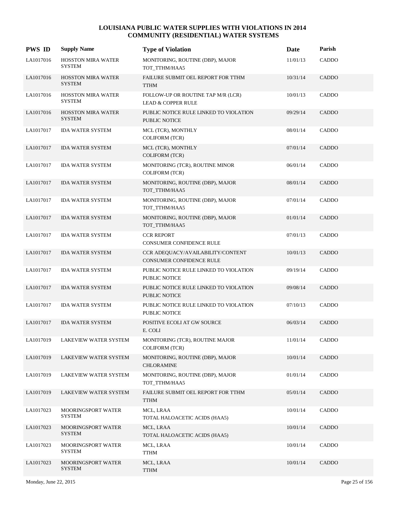| <b>PWS ID</b> | <b>Supply Name</b>                         | <b>Type of Violation</b>                                            | Date     | Parish       |
|---------------|--------------------------------------------|---------------------------------------------------------------------|----------|--------------|
| LA1017016     | <b>HOSSTON MIRA WATER</b><br><b>SYSTEM</b> | MONITORING, ROUTINE (DBP), MAJOR<br>TOT TTHM/HAA5                   | 11/01/13 | CADDO        |
| LA1017016     | <b>HOSSTON MIRA WATER</b><br><b>SYSTEM</b> | FAILURE SUBMIT OEL REPORT FOR TTHM<br><b>TTHM</b>                   | 10/31/14 | CADDO        |
| LA1017016     | <b>HOSSTON MIRA WATER</b><br><b>SYSTEM</b> | FOLLOW-UP OR ROUTINE TAP M/R (LCR)<br><b>LEAD &amp; COPPER RULE</b> | 10/01/13 | CADDO        |
| LA1017016     | <b>HOSSTON MIRA WATER</b><br><b>SYSTEM</b> | PUBLIC NOTICE RULE LINKED TO VIOLATION<br>PUBLIC NOTICE             | 09/29/14 | <b>CADDO</b> |
| LA1017017     | <b>IDA WATER SYSTEM</b>                    | MCL (TCR), MONTHLY<br><b>COLIFORM (TCR)</b>                         | 08/01/14 | CADDO        |
| LA1017017     | <b>IDA WATER SYSTEM</b>                    | MCL (TCR), MONTHLY<br><b>COLIFORM (TCR)</b>                         | 07/01/14 | CADDO        |
| LA1017017     | <b>IDA WATER SYSTEM</b>                    | MONITORING (TCR), ROUTINE MINOR<br><b>COLIFORM (TCR)</b>            | 06/01/14 | CADDO        |
| LA1017017     | <b>IDA WATER SYSTEM</b>                    | MONITORING, ROUTINE (DBP), MAJOR<br>TOT_TTHM/HAA5                   | 08/01/14 | <b>CADDO</b> |
| LA1017017     | <b>IDA WATER SYSTEM</b>                    | MONITORING, ROUTINE (DBP), MAJOR<br>TOT_TTHM/HAA5                   | 07/01/14 | CADDO        |
| LA1017017     | <b>IDA WATER SYSTEM</b>                    | MONITORING, ROUTINE (DBP), MAJOR<br>TOT_TTHM/HAA5                   | 01/01/14 | <b>CADDO</b> |
| LA1017017     | <b>IDA WATER SYSTEM</b>                    | <b>CCR REPORT</b><br>CONSUMER CONFIDENCE RULE                       | 07/01/13 | CADDO        |
| LA1017017     | <b>IDA WATER SYSTEM</b>                    | CCR ADEQUACY/AVAILABILITY/CONTENT<br>CONSUMER CONFIDENCE RULE       | 10/01/13 | <b>CADDO</b> |
| LA1017017     | <b>IDA WATER SYSTEM</b>                    | PUBLIC NOTICE RULE LINKED TO VIOLATION<br>PUBLIC NOTICE             | 09/19/14 | CADDO        |
| LA1017017     | <b>IDA WATER SYSTEM</b>                    | PUBLIC NOTICE RULE LINKED TO VIOLATION<br><b>PUBLIC NOTICE</b>      | 09/08/14 | <b>CADDO</b> |
| LA1017017     | <b>IDA WATER SYSTEM</b>                    | PUBLIC NOTICE RULE LINKED TO VIOLATION<br>PUBLIC NOTICE             | 07/10/13 | CADDO        |
| LA1017017     | <b>IDA WATER SYSTEM</b>                    | POSITIVE ECOLI AT GW SOURCE<br>E. COLI                              | 06/03/14 | <b>CADDO</b> |
| LA1017019     | LAKEVIEW WATER SYSTEM                      | MONITORING (TCR), ROUTINE MAJOR<br><b>COLIFORM (TCR)</b>            | 11/01/14 | CADDO        |
| LA1017019     | LAKEVIEW WATER SYSTEM                      | MONITORING, ROUTINE (DBP), MAJOR<br><b>CHLORAMINE</b>               | 10/01/14 | CADDO        |
| LA1017019     | LAKEVIEW WATER SYSTEM                      | MONITORING, ROUTINE (DBP), MAJOR<br>TOT_TTHM/HAA5                   | 01/01/14 | CADDO        |
| LA1017019     | LAKEVIEW WATER SYSTEM                      | FAILURE SUBMIT OEL REPORT FOR TTHM<br><b>TTHM</b>                   | 05/01/14 | CADDO        |
| LA1017023     | MOORINGSPORT WATER<br><b>SYSTEM</b>        | MCL, LRAA<br>TOTAL HALOACETIC ACIDS (HAA5)                          | 10/01/14 | CADDO        |
| LA1017023     | <b>MOORINGSPORT WATER</b><br><b>SYSTEM</b> | MCL, LRAA<br>TOTAL HALOACETIC ACIDS (HAA5)                          | 10/01/14 | CADDO        |
| LA1017023     | MOORINGSPORT WATER<br><b>SYSTEM</b>        | MCL, LRAA<br><b>TTHM</b>                                            | 10/01/14 | CADDO        |
| LA1017023     | MOORINGSPORT WATER<br><b>SYSTEM</b>        | MCL, LRAA<br><b>TTHM</b>                                            | 10/01/14 | CADDO        |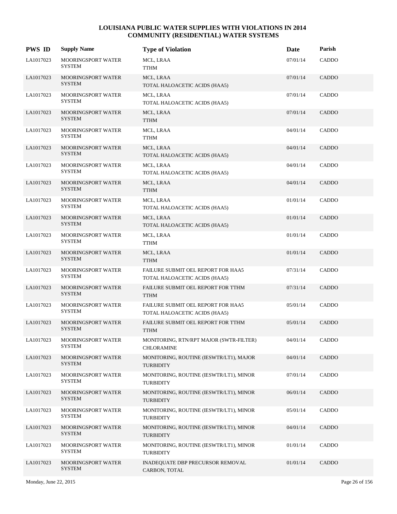| <b>PWS ID</b> | <b>Supply Name</b>                         | <b>Type of Violation</b>                                            | Date     | Parish       |
|---------------|--------------------------------------------|---------------------------------------------------------------------|----------|--------------|
| LA1017023     | <b>MOORINGSPORT WATER</b><br><b>SYSTEM</b> | MCL, LRAA<br>TTHM                                                   | 07/01/14 | CADDO        |
| LA1017023     | <b>MOORINGSPORT WATER</b><br><b>SYSTEM</b> | MCL, LRAA<br>TOTAL HALOACETIC ACIDS (HAA5)                          | 07/01/14 | <b>CADDO</b> |
| LA1017023     | <b>MOORINGSPORT WATER</b><br><b>SYSTEM</b> | MCL, LRAA<br>TOTAL HALOACETIC ACIDS (HAA5)                          | 07/01/14 | CADDO        |
| LA1017023     | <b>MOORINGSPORT WATER</b><br><b>SYSTEM</b> | MCL, LRAA<br><b>TTHM</b>                                            | 07/01/14 | CADDO        |
| LA1017023     | <b>MOORINGSPORT WATER</b><br><b>SYSTEM</b> | MCL, LRAA<br>TTHM                                                   | 04/01/14 | <b>CADDO</b> |
| LA1017023     | <b>MOORINGSPORT WATER</b><br><b>SYSTEM</b> | MCL, LRAA<br>TOTAL HALOACETIC ACIDS (HAA5)                          | 04/01/14 | CADDO        |
| LA1017023     | <b>MOORINGSPORT WATER</b><br><b>SYSTEM</b> | MCL, LRAA<br>TOTAL HALOACETIC ACIDS (HAA5)                          | 04/01/14 | CADDO        |
| LA1017023     | <b>MOORINGSPORT WATER</b><br><b>SYSTEM</b> | MCL, LRAA<br><b>TTHM</b>                                            | 04/01/14 | <b>CADDO</b> |
| LA1017023     | <b>MOORINGSPORT WATER</b><br><b>SYSTEM</b> | MCL, LRAA<br>TOTAL HALOACETIC ACIDS (HAA5)                          | 01/01/14 | <b>CADDO</b> |
| LA1017023     | <b>MOORINGSPORT WATER</b><br><b>SYSTEM</b> | MCL, LRAA<br>TOTAL HALOACETIC ACIDS (HAA5)                          | 01/01/14 | CADDO        |
| LA1017023     | <b>MOORINGSPORT WATER</b><br><b>SYSTEM</b> | MCL, LRAA<br>TTHM                                                   | 01/01/14 | CADDO        |
| LA1017023     | <b>MOORINGSPORT WATER</b><br><b>SYSTEM</b> | MCL, LRAA<br><b>TTHM</b>                                            | 01/01/14 | <b>CADDO</b> |
| LA1017023     | <b>MOORINGSPORT WATER</b><br><b>SYSTEM</b> | FAILURE SUBMIT OEL REPORT FOR HAA5<br>TOTAL HALOACETIC ACIDS (HAA5) | 07/31/14 | CADDO        |
| LA1017023     | <b>MOORINGSPORT WATER</b><br><b>SYSTEM</b> | FAILURE SUBMIT OEL REPORT FOR TTHM<br><b>TTHM</b>                   | 07/31/14 | CADDO        |
| LA1017023     | <b>MOORINGSPORT WATER</b><br><b>SYSTEM</b> | FAILURE SUBMIT OEL REPORT FOR HAA5<br>TOTAL HALOACETIC ACIDS (HAA5) | 05/01/14 | CADDO        |
| LA1017023     | <b>MOORINGSPORT WATER</b><br><b>SYSTEM</b> | FAILURE SUBMIT OEL REPORT FOR TTHM<br><b>TTHM</b>                   | 05/01/14 | CADDO        |
| LA1017023     | <b>MOORINGSPORT WATER</b><br><b>SYSTEM</b> | MONITORING, RTN/RPT MAJOR (SWTR-FILTER)<br><b>CHLORAMINE</b>        | 04/01/14 | CADDO        |
| LA1017023     | <b>MOORINGSPORT WATER</b><br><b>SYSTEM</b> | MONITORING, ROUTINE (IESWTR/LT1), MAJOR<br><b>TURBIDITY</b>         | 04/01/14 | CADDO        |
| LA1017023     | <b>MOORINGSPORT WATER</b><br><b>SYSTEM</b> | MONITORING, ROUTINE (IESWTR/LT1), MINOR<br><b>TURBIDITY</b>         | 07/01/14 | CADDO        |
| LA1017023     | <b>MOORINGSPORT WATER</b><br><b>SYSTEM</b> | MONITORING, ROUTINE (IESWTR/LT1), MINOR<br><b>TURBIDITY</b>         | 06/01/14 | CADDO        |
| LA1017023     | <b>MOORINGSPORT WATER</b><br><b>SYSTEM</b> | MONITORING, ROUTINE (IESWTR/LT1), MINOR<br><b>TURBIDITY</b>         | 05/01/14 | CADDO        |
| LA1017023     | <b>MOORINGSPORT WATER</b><br><b>SYSTEM</b> | MONITORING, ROUTINE (IESWTR/LT1), MINOR<br><b>TURBIDITY</b>         | 04/01/14 | CADDO        |
| LA1017023     | <b>MOORINGSPORT WATER</b><br><b>SYSTEM</b> | MONITORING, ROUTINE (IESWTR/LT1), MINOR<br><b>TURBIDITY</b>         | 01/01/14 | CADDO        |
| LA1017023     | MOORINGSPORT WATER<br><b>SYSTEM</b>        | <b>INADEQUATE DBP PRECURSOR REMOVAL</b><br>CARBON, TOTAL            | 01/01/14 | CADDO        |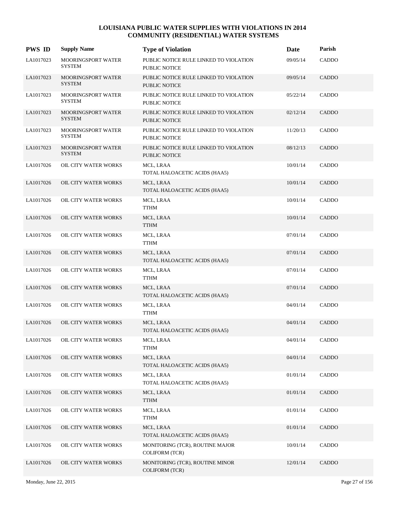| <b>PWS ID</b> | <b>Supply Name</b>                         | <b>Type of Violation</b>                                       | Date     | Parish       |
|---------------|--------------------------------------------|----------------------------------------------------------------|----------|--------------|
| LA1017023     | MOORINGSPORT WATER<br><b>SYSTEM</b>        | PUBLIC NOTICE RULE LINKED TO VIOLATION<br>PUBLIC NOTICE        | 09/05/14 | CADDO        |
| LA1017023     | <b>MOORINGSPORT WATER</b><br><b>SYSTEM</b> | PUBLIC NOTICE RULE LINKED TO VIOLATION<br><b>PUBLIC NOTICE</b> | 09/05/14 | <b>CADDO</b> |
| LA1017023     | MOORINGSPORT WATER<br><b>SYSTEM</b>        | PUBLIC NOTICE RULE LINKED TO VIOLATION<br>PUBLIC NOTICE        | 05/22/14 | CADDO        |
| LA1017023     | MOORINGSPORT WATER<br><b>SYSTEM</b>        | PUBLIC NOTICE RULE LINKED TO VIOLATION<br><b>PUBLIC NOTICE</b> | 02/12/14 | <b>CADDO</b> |
| LA1017023     | MOORINGSPORT WATER<br><b>SYSTEM</b>        | PUBLIC NOTICE RULE LINKED TO VIOLATION<br><b>PUBLIC NOTICE</b> | 11/20/13 | CADDO        |
| LA1017023     | MOORINGSPORT WATER<br><b>SYSTEM</b>        | PUBLIC NOTICE RULE LINKED TO VIOLATION<br><b>PUBLIC NOTICE</b> | 08/12/13 | CADDO        |
| LA1017026     | OIL CITY WATER WORKS                       | MCL, LRAA<br>TOTAL HALOACETIC ACIDS (HAA5)                     | 10/01/14 | CADDO        |
| LA1017026     | OIL CITY WATER WORKS                       | MCL, LRAA<br>TOTAL HALOACETIC ACIDS (HAA5)                     | 10/01/14 | <b>CADDO</b> |
| LA1017026     | OIL CITY WATER WORKS                       | MCL, LRAA<br><b>TTHM</b>                                       | 10/01/14 | CADDO        |
| LA1017026     | OIL CITY WATER WORKS                       | MCL, LRAA<br><b>TTHM</b>                                       | 10/01/14 | <b>CADDO</b> |
| LA1017026     | OIL CITY WATER WORKS                       | MCL, LRAA<br><b>TTHM</b>                                       | 07/01/14 | CADDO        |
| LA1017026     | OIL CITY WATER WORKS                       | MCL, LRAA<br>TOTAL HALOACETIC ACIDS (HAA5)                     | 07/01/14 | <b>CADDO</b> |
| LA1017026     | OIL CITY WATER WORKS                       | MCL, LRAA<br><b>TTHM</b>                                       | 07/01/14 | CADDO        |
| LA1017026     | OIL CITY WATER WORKS                       | MCL, LRAA<br>TOTAL HALOACETIC ACIDS (HAA5)                     | 07/01/14 | <b>CADDO</b> |
| LA1017026     | OIL CITY WATER WORKS                       | MCL, LRAA<br><b>TTHM</b>                                       | 04/01/14 | CADDO        |
| LA1017026     | OIL CITY WATER WORKS                       | MCL, LRAA<br>TOTAL HALOACETIC ACIDS (HAA5)                     | 04/01/14 | <b>CADDO</b> |
| LA1017026     | OIL CITY WATER WORKS                       | MCL, LRAA<br><b>TTHM</b>                                       | 04/01/14 | CADDO        |
| LA1017026     | OIL CITY WATER WORKS                       | MCL, LRAA<br>TOTAL HALOACETIC ACIDS (HAA5)                     | 04/01/14 | <b>CADDO</b> |
| LA1017026     | OIL CITY WATER WORKS                       | MCL, LRAA<br>TOTAL HALOACETIC ACIDS (HAA5)                     | 01/01/14 | CADDO        |
| LA1017026     | OIL CITY WATER WORKS                       | MCL, LRAA<br><b>TTHM</b>                                       | 01/01/14 | CADDO        |
| LA1017026     | OIL CITY WATER WORKS                       | MCL, LRAA<br><b>TTHM</b>                                       | 01/01/14 | CADDO        |
| LA1017026     | OIL CITY WATER WORKS                       | MCL, LRAA<br>TOTAL HALOACETIC ACIDS (HAA5)                     | 01/01/14 | CADDO        |
| LA1017026     | OIL CITY WATER WORKS                       | MONITORING (TCR), ROUTINE MAJOR<br><b>COLIFORM (TCR)</b>       | 10/01/14 | CADDO        |
| LA1017026     | OIL CITY WATER WORKS                       | MONITORING (TCR), ROUTINE MINOR<br><b>COLIFORM (TCR)</b>       | 12/01/14 | CADDO        |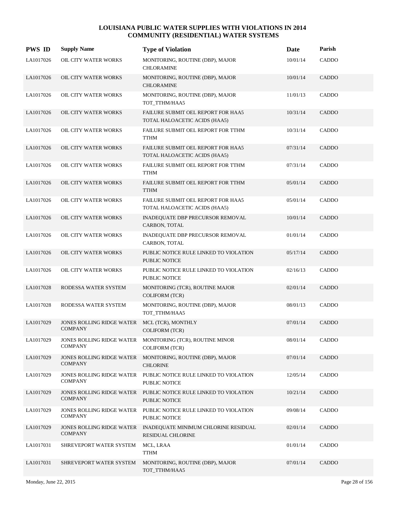| <b>PWS ID</b> | <b>Supply Name</b>                                 | <b>Type of Violation</b>                                                    | Date     | Parish       |
|---------------|----------------------------------------------------|-----------------------------------------------------------------------------|----------|--------------|
| LA1017026     | OIL CITY WATER WORKS                               | MONITORING, ROUTINE (DBP), MAJOR<br><b>CHLORAMINE</b>                       | 10/01/14 | CADDO        |
| LA1017026     | OIL CITY WATER WORKS                               | MONITORING, ROUTINE (DBP), MAJOR<br><b>CHLORAMINE</b>                       | 10/01/14 | CADDO        |
| LA1017026     | OIL CITY WATER WORKS                               | MONITORING, ROUTINE (DBP), MAJOR<br>TOT_TTHM/HAA5                           | 11/01/13 | CADDO        |
| LA1017026     | OIL CITY WATER WORKS                               | FAILURE SUBMIT OEL REPORT FOR HAA5<br>TOTAL HALOACETIC ACIDS (HAA5)         | 10/31/14 | CADDO        |
| LA1017026     | OIL CITY WATER WORKS                               | FAILURE SUBMIT OEL REPORT FOR TTHM<br><b>TTHM</b>                           | 10/31/14 | CADDO        |
| LA1017026     | OIL CITY WATER WORKS                               | FAILURE SUBMIT OEL REPORT FOR HAA5<br>TOTAL HALOACETIC ACIDS (HAA5)         | 07/31/14 | CADDO        |
| LA1017026     | OIL CITY WATER WORKS                               | FAILURE SUBMIT OEL REPORT FOR TTHM<br><b>TTHM</b>                           | 07/31/14 | CADDO        |
| LA1017026     | OIL CITY WATER WORKS                               | FAILURE SUBMIT OEL REPORT FOR TTHM<br><b>TTHM</b>                           | 05/01/14 | CADDO        |
| LA1017026     | OIL CITY WATER WORKS                               | FAILURE SUBMIT OEL REPORT FOR HAA5<br>TOTAL HALOACETIC ACIDS (HAA5)         | 05/01/14 | CADDO        |
| LA1017026     | OIL CITY WATER WORKS                               | INADEQUATE DBP PRECURSOR REMOVAL<br>CARBON, TOTAL                           | 10/01/14 | <b>CADDO</b> |
| LA1017026     | OIL CITY WATER WORKS                               | INADEQUATE DBP PRECURSOR REMOVAL<br>CARBON, TOTAL                           | 01/01/14 | CADDO        |
| LA1017026     | OIL CITY WATER WORKS                               | PUBLIC NOTICE RULE LINKED TO VIOLATION<br><b>PUBLIC NOTICE</b>              | 05/17/14 | CADDO        |
| LA1017026     | OIL CITY WATER WORKS                               | PUBLIC NOTICE RULE LINKED TO VIOLATION<br>PUBLIC NOTICE                     | 02/16/13 | CADDO        |
| LA1017028     | RODESSA WATER SYSTEM                               | MONITORING (TCR), ROUTINE MAJOR<br><b>COLIFORM (TCR)</b>                    | 02/01/14 | CADDO        |
| LA1017028     | RODESSA WATER SYSTEM                               | MONITORING, ROUTINE (DBP), MAJOR<br>TOT_TTHM/HAA5                           | 08/01/13 | CADDO        |
| LA1017029     | <b>JONES ROLLING RIDGE WATER</b><br><b>COMPANY</b> | MCL (TCR), MONTHLY<br><b>COLIFORM (TCR)</b>                                 | 07/01/14 | CADDO        |
| LA1017029     | <b>COMPANY</b>                                     | JONES ROLLING RIDGE WATER MONITORING (TCR), ROUTINE MINOR<br>COLIFORM (TCR) | 08/01/14 | CADDO        |
| LA1017029     | JONES ROLLING RIDGE WATER<br><b>COMPANY</b>        | MONITORING, ROUTINE (DBP), MAJOR<br><b>CHLORINE</b>                         | 07/01/14 | CADDO        |
| LA1017029     | <b>JONES ROLLING RIDGE WATER</b><br><b>COMPANY</b> | PUBLIC NOTICE RULE LINKED TO VIOLATION<br>PUBLIC NOTICE                     | 12/05/14 | CADDO        |
| LA1017029     | JONES ROLLING RIDGE WATER<br><b>COMPANY</b>        | PUBLIC NOTICE RULE LINKED TO VIOLATION<br>PUBLIC NOTICE                     | 10/21/14 | CADDO        |
| LA1017029     | <b>JONES ROLLING RIDGE WATER</b><br><b>COMPANY</b> | PUBLIC NOTICE RULE LINKED TO VIOLATION<br>PUBLIC NOTICE                     | 09/08/14 | CADDO        |
| LA1017029     | JONES ROLLING RIDGE WATER<br><b>COMPANY</b>        | INADEQUATE MINIMUM CHLORINE RESIDUAL<br><b>RESIDUAL CHLORINE</b>            | 02/01/14 | CADDO        |
| LA1017031     | SHREVEPORT WATER SYSTEM                            | MCL, LRAA<br><b>TTHM</b>                                                    | 01/01/14 | CADDO        |
| LA1017031     | SHREVEPORT WATER SYSTEM                            | MONITORING, ROUTINE (DBP), MAJOR<br>TOT_TTHM/HAA5                           | 07/01/14 | CADDO        |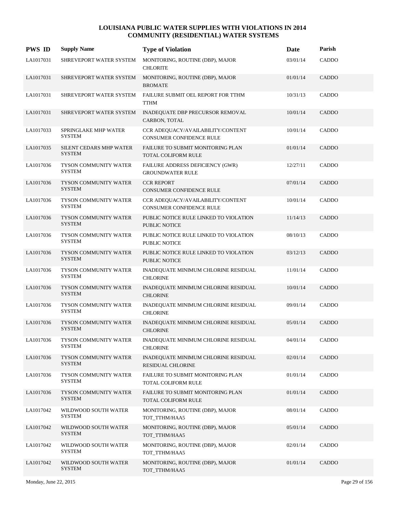| <b>PWS ID</b> | <b>Supply Name</b>                       | <b>Type of Violation</b>                                             | Date     | Parish       |
|---------------|------------------------------------------|----------------------------------------------------------------------|----------|--------------|
| LA1017031     | SHREVEPORT WATER SYSTEM                  | MONITORING, ROUTINE (DBP), MAJOR<br><b>CHLORITE</b>                  | 03/01/14 | CADDO        |
| LA1017031     | SHREVEPORT WATER SYSTEM                  | MONITORING, ROUTINE (DBP), MAJOR<br><b>BROMATE</b>                   | 01/01/14 | CADDO        |
| LA1017031     | SHREVEPORT WATER SYSTEM                  | FAILURE SUBMIT OEL REPORT FOR TTHM<br><b>TTHM</b>                    | 10/31/13 | CADDO        |
| LA1017031     | SHREVEPORT WATER SYSTEM                  | INADEQUATE DBP PRECURSOR REMOVAL<br>CARBON, TOTAL                    | 10/01/14 | CADDO        |
| LA1017033     | SPRINGLAKE MHP WATER<br><b>SYSTEM</b>    | CCR ADEQUACY/AVAILABILITY/CONTENT<br><b>CONSUMER CONFIDENCE RULE</b> | 10/01/14 | CADDO        |
| LA1017035     | SILENT CEDARS MHP WATER<br><b>SYSTEM</b> | <b>FAILURE TO SUBMIT MONITORING PLAN</b><br>TOTAL COLIFORM RULE      | 01/01/14 | CADDO        |
| LA1017036     | TYSON COMMUNITY WATER<br><b>SYSTEM</b>   | FAILURE ADDRESS DEFICIENCY (GWR)<br><b>GROUNDWATER RULE</b>          | 12/27/11 | CADDO        |
| LA1017036     | TYSON COMMUNITY WATER<br><b>SYSTEM</b>   | <b>CCR REPORT</b><br>CONSUMER CONFIDENCE RULE                        | 07/01/14 | CADDO        |
| LA1017036     | TYSON COMMUNITY WATER<br><b>SYSTEM</b>   | CCR ADEQUACY/AVAILABILITY/CONTENT<br><b>CONSUMER CONFIDENCE RULE</b> | 10/01/14 | CADDO        |
| LA1017036     | TYSON COMMUNITY WATER<br><b>SYSTEM</b>   | PUBLIC NOTICE RULE LINKED TO VIOLATION<br><b>PUBLIC NOTICE</b>       | 11/14/13 | CADDO        |
| LA1017036     | TYSON COMMUNITY WATER<br><b>SYSTEM</b>   | PUBLIC NOTICE RULE LINKED TO VIOLATION<br>PUBLIC NOTICE              | 08/10/13 | CADDO        |
| LA1017036     | TYSON COMMUNITY WATER<br><b>SYSTEM</b>   | PUBLIC NOTICE RULE LINKED TO VIOLATION<br>PUBLIC NOTICE              | 03/12/13 | CADDO        |
| LA1017036     | TYSON COMMUNITY WATER<br><b>SYSTEM</b>   | INADEQUATE MINIMUM CHLORINE RESIDUAL<br><b>CHLORINE</b>              | 11/01/14 | CADDO        |
| LA1017036     | TYSON COMMUNITY WATER<br><b>SYSTEM</b>   | INADEQUATE MINIMUM CHLORINE RESIDUAL<br><b>CHLORINE</b>              | 10/01/14 | <b>CADDO</b> |
| LA1017036     | TYSON COMMUNITY WATER<br><b>SYSTEM</b>   | INADEQUATE MINIMUM CHLORINE RESIDUAL<br><b>CHLORINE</b>              | 09/01/14 | <b>CADDO</b> |
| LA1017036     | TYSON COMMUNITY WATER<br><b>SYSTEM</b>   | INADEQUATE MINIMUM CHLORINE RESIDUAL<br><b>CHLORINE</b>              | 05/01/14 | CADDO        |
| LA1017036     | TYSON COMMUNITY WATER<br><b>SYSTEM</b>   | INADEQUATE MINIMUM CHLORINE RESIDUAL<br><b>CHLORINE</b>              | 04/01/14 | CADDO        |
| LA1017036     | TYSON COMMUNITY WATER<br><b>SYSTEM</b>   | INADEQUATE MINIMUM CHLORINE RESIDUAL<br>RESIDUAL CHLORINE            | 02/01/14 | CADDO        |
| LA1017036     | TYSON COMMUNITY WATER<br><b>SYSTEM</b>   | FAILURE TO SUBMIT MONITORING PLAN<br>TOTAL COLIFORM RULE             | 01/01/14 | <b>CADDO</b> |
| LA1017036     | TYSON COMMUNITY WATER<br><b>SYSTEM</b>   | FAILURE TO SUBMIT MONITORING PLAN<br>TOTAL COLIFORM RULE             | 01/01/14 | <b>CADDO</b> |
| LA1017042     | WILDWOOD SOUTH WATER<br><b>SYSTEM</b>    | MONITORING, ROUTINE (DBP), MAJOR<br>TOT TTHM/HAA5                    | 08/01/14 | <b>CADDO</b> |
| LA1017042     | WILDWOOD SOUTH WATER<br><b>SYSTEM</b>    | MONITORING, ROUTINE (DBP), MAJOR<br>TOT_TTHM/HAA5                    | 05/01/14 | <b>CADDO</b> |
| LA1017042     | WILDWOOD SOUTH WATER<br><b>SYSTEM</b>    | MONITORING, ROUTINE (DBP), MAJOR<br>TOT_TTHM/HAA5                    | 02/01/14 | CADDO        |
| LA1017042     | WILDWOOD SOUTH WATER<br><b>SYSTEM</b>    | MONITORING, ROUTINE (DBP), MAJOR<br>TOT_TTHM/HAA5                    | 01/01/14 | <b>CADDO</b> |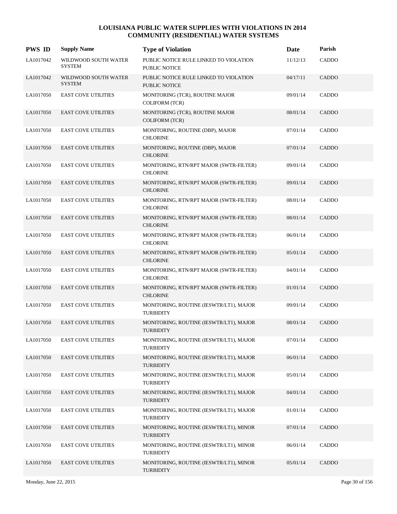| <b>PWS ID</b> | <b>Supply Name</b>                    | <b>Type of Violation</b>                                    | Date     | Parish       |
|---------------|---------------------------------------|-------------------------------------------------------------|----------|--------------|
| LA1017042     | WILDWOOD SOUTH WATER<br><b>SYSTEM</b> | PUBLIC NOTICE RULE LINKED TO VIOLATION<br>PUBLIC NOTICE     | 11/12/13 | CADDO        |
| LA1017042     | WILDWOOD SOUTH WATER<br><b>SYSTEM</b> | PUBLIC NOTICE RULE LINKED TO VIOLATION<br>PUBLIC NOTICE     | 04/17/11 | <b>CADDO</b> |
| LA1017050     | <b>EAST COVE UTILITIES</b>            | MONITORING (TCR), ROUTINE MAJOR<br><b>COLIFORM (TCR)</b>    | 09/01/14 | CADDO        |
| LA1017050     | <b>EAST COVE UTILITIES</b>            | MONITORING (TCR), ROUTINE MAJOR<br><b>COLIFORM (TCR)</b>    | 08/01/14 | <b>CADDO</b> |
| LA1017050     | <b>EAST COVE UTILITIES</b>            | MONITORING, ROUTINE (DBP), MAJOR<br><b>CHLORINE</b>         | 07/01/14 | CADDO        |
| LA1017050     | <b>EAST COVE UTILITIES</b>            | MONITORING, ROUTINE (DBP), MAJOR<br><b>CHLORINE</b>         | 07/01/14 | CADDO        |
| LA1017050     | <b>EAST COVE UTILITIES</b>            | MONITORING, RTN/RPT MAJOR (SWTR-FILTER)<br><b>CHLORINE</b>  | 09/01/14 | CADDO        |
| LA1017050     | <b>EAST COVE UTILITIES</b>            | MONITORING, RTN/RPT MAJOR (SWTR-FILTER)<br><b>CHLORINE</b>  | 09/01/14 | <b>CADDO</b> |
| LA1017050     | <b>EAST COVE UTILITIES</b>            | MONITORING, RTN/RPT MAJOR (SWTR-FILTER)<br><b>CHLORINE</b>  | 08/01/14 | CADDO        |
| LA1017050     | <b>EAST COVE UTILITIES</b>            | MONITORING, RTN/RPT MAJOR (SWTR-FILTER)<br><b>CHLORINE</b>  | 08/01/14 | <b>CADDO</b> |
| LA1017050     | <b>EAST COVE UTILITIES</b>            | MONITORING, RTN/RPT MAJOR (SWTR-FILTER)<br><b>CHLORINE</b>  | 06/01/14 | CADDO        |
| LA1017050     | <b>EAST COVE UTILITIES</b>            | MONITORING, RTN/RPT MAJOR (SWTR-FILTER)<br><b>CHLORINE</b>  | 05/01/14 | <b>CADDO</b> |
| LA1017050     | <b>EAST COVE UTILITIES</b>            | MONITORING, RTN/RPT MAJOR (SWTR-FILTER)<br><b>CHLORINE</b>  | 04/01/14 | CADDO        |
| LA1017050     | <b>EAST COVE UTILITIES</b>            | MONITORING, RTN/RPT MAJOR (SWTR-FILTER)<br><b>CHLORINE</b>  | 01/01/14 | <b>CADDO</b> |
| LA1017050     | <b>EAST COVE UTILITIES</b>            | MONITORING, ROUTINE (IESWTR/LT1), MAJOR<br><b>TURBIDITY</b> | 09/01/14 | CADDO        |
| LA1017050     | <b>EAST COVE UTILITIES</b>            | MONITORING, ROUTINE (IESWTR/LT1), MAJOR<br><b>TURBIDITY</b> | 08/01/14 | <b>CADDO</b> |
| LA1017050     | <b>EAST COVE UTILITIES</b>            | MONITORING, ROUTINE (IESWTR/LT1), MAJOR<br><b>TURBIDITY</b> | 07/01/14 | CADDO        |
| LA1017050     | <b>EAST COVE UTILITIES</b>            | MONITORING, ROUTINE (IESWTR/LT1), MAJOR<br><b>TURBIDITY</b> | 06/01/14 | CADDO        |
| LA1017050     | <b>EAST COVE UTILITIES</b>            | MONITORING, ROUTINE (IESWTR/LT1), MAJOR<br><b>TURBIDITY</b> | 05/01/14 | CADDO        |
| LA1017050     | <b>EAST COVE UTILITIES</b>            | MONITORING, ROUTINE (IESWTR/LT1), MAJOR<br><b>TURBIDITY</b> | 04/01/14 | <b>CADDO</b> |
| LA1017050     | <b>EAST COVE UTILITIES</b>            | MONITORING, ROUTINE (IESWTR/LT1), MAJOR<br><b>TURBIDITY</b> | 01/01/14 | CADDO        |
| LA1017050     | <b>EAST COVE UTILITIES</b>            | MONITORING, ROUTINE (IESWTR/LT1), MINOR<br><b>TURBIDITY</b> | 07/01/14 | <b>CADDO</b> |
| LA1017050     | <b>EAST COVE UTILITIES</b>            | MONITORING, ROUTINE (IESWTR/LT1), MINOR<br><b>TURBIDITY</b> | 06/01/14 | CADDO        |
| LA1017050     | <b>EAST COVE UTILITIES</b>            | MONITORING, ROUTINE (IESWTR/LT1), MINOR<br><b>TURBIDITY</b> | 05/01/14 | <b>CADDO</b> |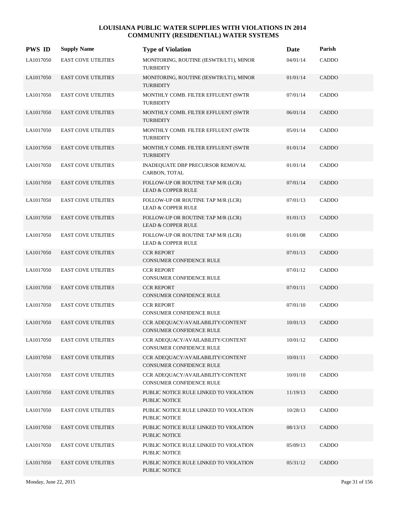| <b>PWS ID</b> | <b>Supply Name</b>         | <b>Type of Violation</b>                                             | Date     | Parish       |
|---------------|----------------------------|----------------------------------------------------------------------|----------|--------------|
| LA1017050     | <b>EAST COVE UTILITIES</b> | MONITORING, ROUTINE (IESWTR/LT1), MINOR<br><b>TURBIDITY</b>          | 04/01/14 | CADDO        |
| LA1017050     | <b>EAST COVE UTILITIES</b> | MONITORING, ROUTINE (IESWTR/LT1), MINOR<br><b>TURBIDITY</b>          | 01/01/14 | <b>CADDO</b> |
| LA1017050     | <b>EAST COVE UTILITIES</b> | MONTHLY COMB. FILTER EFFLUENT (SWTR<br><b>TURBIDITY</b>              | 07/01/14 | CADDO        |
| LA1017050     | <b>EAST COVE UTILITIES</b> | MONTHLY COMB. FILTER EFFLUENT (SWTR<br><b>TURBIDITY</b>              | 06/01/14 | <b>CADDO</b> |
| LA1017050     | <b>EAST COVE UTILITIES</b> | MONTHLY COMB. FILTER EFFLUENT (SWTR<br><b>TURBIDITY</b>              | 05/01/14 | CADDO        |
| LA1017050     | <b>EAST COVE UTILITIES</b> | MONTHLY COMB. FILTER EFFLUENT (SWTR<br><b>TURBIDITY</b>              | 01/01/14 | CADDO        |
| LA1017050     | <b>EAST COVE UTILITIES</b> | INADEQUATE DBP PRECURSOR REMOVAL<br>CARBON, TOTAL                    | 01/01/14 | CADDO        |
| LA1017050     | <b>EAST COVE UTILITIES</b> | FOLLOW-UP OR ROUTINE TAP M/R (LCR)<br><b>LEAD &amp; COPPER RULE</b>  | 07/01/14 | <b>CADDO</b> |
| LA1017050     | <b>EAST COVE UTILITIES</b> | FOLLOW-UP OR ROUTINE TAP M/R (LCR)<br><b>LEAD &amp; COPPER RULE</b>  | 07/01/13 | CADDO        |
| LA1017050     | <b>EAST COVE UTILITIES</b> | FOLLOW-UP OR ROUTINE TAP M/R (LCR)<br><b>LEAD &amp; COPPER RULE</b>  | 01/01/13 | <b>CADDO</b> |
| LA1017050     | <b>EAST COVE UTILITIES</b> | FOLLOW-UP OR ROUTINE TAP M/R (LCR)<br><b>LEAD &amp; COPPER RULE</b>  | 01/01/08 | CADDO        |
| LA1017050     | <b>EAST COVE UTILITIES</b> | <b>CCR REPORT</b><br>CONSUMER CONFIDENCE RULE                        | 07/01/13 | CADDO        |
| LA1017050     | <b>EAST COVE UTILITIES</b> | <b>CCR REPORT</b><br>CONSUMER CONFIDENCE RULE                        | 07/01/12 | CADDO        |
| LA1017050     | <b>EAST COVE UTILITIES</b> | <b>CCR REPORT</b><br>CONSUMER CONFIDENCE RULE                        | 07/01/11 | <b>CADDO</b> |
| LA1017050     | <b>EAST COVE UTILITIES</b> | <b>CCR REPORT</b><br>CONSUMER CONFIDENCE RULE                        | 07/01/10 | CADDO        |
| LA1017050     | <b>EAST COVE UTILITIES</b> | CCR ADEQUACY/AVAILABILITY/CONTENT<br><b>CONSUMER CONFIDENCE RULE</b> | 10/01/13 | <b>CADDO</b> |
| LA1017050     | <b>EAST COVE UTILITIES</b> | CCR ADEQUACY/AVAILABILITY/CONTENT<br>CONSUMER CONFIDENCE RULE        | 10/01/12 | CADDO        |
| LA1017050     | <b>EAST COVE UTILITIES</b> | CCR ADEQUACY/AVAILABILITY/CONTENT<br>CONSUMER CONFIDENCE RULE        | 10/01/11 | CADDO        |
| LA1017050     | <b>EAST COVE UTILITIES</b> | CCR ADEQUACY/AVAILABILITY/CONTENT<br>CONSUMER CONFIDENCE RULE        | 10/01/10 | CADDO        |
| LA1017050     | <b>EAST COVE UTILITIES</b> | PUBLIC NOTICE RULE LINKED TO VIOLATION<br><b>PUBLIC NOTICE</b>       | 11/19/13 | <b>CADDO</b> |
| LA1017050     | <b>EAST COVE UTILITIES</b> | PUBLIC NOTICE RULE LINKED TO VIOLATION<br>PUBLIC NOTICE              | 10/28/13 | CADDO        |
| LA1017050     | <b>EAST COVE UTILITIES</b> | PUBLIC NOTICE RULE LINKED TO VIOLATION<br>PUBLIC NOTICE              | 08/13/13 | <b>CADDO</b> |
| LA1017050     | <b>EAST COVE UTILITIES</b> | PUBLIC NOTICE RULE LINKED TO VIOLATION<br>PUBLIC NOTICE              | 05/09/13 | CADDO        |
| LA1017050     | <b>EAST COVE UTILITIES</b> | PUBLIC NOTICE RULE LINKED TO VIOLATION<br><b>PUBLIC NOTICE</b>       | 05/31/12 | CADDO        |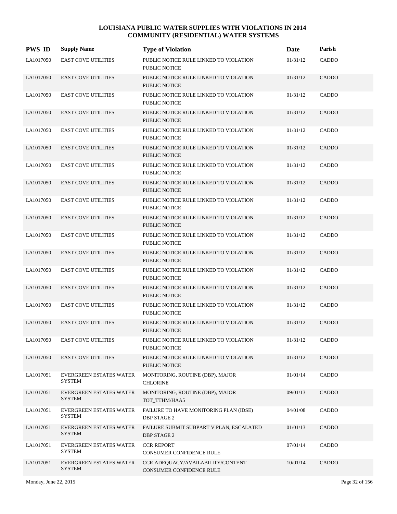| <b>PWS ID</b> | <b>Supply Name</b>                              | <b>Type of Violation</b>                                       | Date     | Parish       |
|---------------|-------------------------------------------------|----------------------------------------------------------------|----------|--------------|
| LA1017050     | <b>EAST COVE UTILITIES</b>                      | PUBLIC NOTICE RULE LINKED TO VIOLATION<br>PUBLIC NOTICE        | 01/31/12 | CADDO        |
| LA1017050     | <b>EAST COVE UTILITIES</b>                      | PUBLIC NOTICE RULE LINKED TO VIOLATION<br><b>PUBLIC NOTICE</b> | 01/31/12 | <b>CADDO</b> |
| LA1017050     | <b>EAST COVE UTILITIES</b>                      | PUBLIC NOTICE RULE LINKED TO VIOLATION<br>PUBLIC NOTICE        | 01/31/12 | CADDO        |
| LA1017050     | <b>EAST COVE UTILITIES</b>                      | PUBLIC NOTICE RULE LINKED TO VIOLATION<br><b>PUBLIC NOTICE</b> | 01/31/12 | CADDO        |
| LA1017050     | <b>EAST COVE UTILITIES</b>                      | PUBLIC NOTICE RULE LINKED TO VIOLATION<br>PUBLIC NOTICE        | 01/31/12 | CADDO        |
| LA1017050     | <b>EAST COVE UTILITIES</b>                      | PUBLIC NOTICE RULE LINKED TO VIOLATION<br><b>PUBLIC NOTICE</b> | 01/31/12 | CADDO        |
| LA1017050     | <b>EAST COVE UTILITIES</b>                      | PUBLIC NOTICE RULE LINKED TO VIOLATION<br>PUBLIC NOTICE        | 01/31/12 | CADDO        |
| LA1017050     | <b>EAST COVE UTILITIES</b>                      | PUBLIC NOTICE RULE LINKED TO VIOLATION<br><b>PUBLIC NOTICE</b> | 01/31/12 | CADDO        |
| LA1017050     | <b>EAST COVE UTILITIES</b>                      | PUBLIC NOTICE RULE LINKED TO VIOLATION<br><b>PUBLIC NOTICE</b> | 01/31/12 | CADDO        |
| LA1017050     | <b>EAST COVE UTILITIES</b>                      | PUBLIC NOTICE RULE LINKED TO VIOLATION<br><b>PUBLIC NOTICE</b> | 01/31/12 | CADDO        |
| LA1017050     | <b>EAST COVE UTILITIES</b>                      | PUBLIC NOTICE RULE LINKED TO VIOLATION<br>PUBLIC NOTICE        | 01/31/12 | CADDO        |
| LA1017050     | <b>EAST COVE UTILITIES</b>                      | PUBLIC NOTICE RULE LINKED TO VIOLATION<br><b>PUBLIC NOTICE</b> | 01/31/12 | CADDO        |
| LA1017050     | <b>EAST COVE UTILITIES</b>                      | PUBLIC NOTICE RULE LINKED TO VIOLATION<br><b>PUBLIC NOTICE</b> | 01/31/12 | CADDO        |
| LA1017050     | <b>EAST COVE UTILITIES</b>                      | PUBLIC NOTICE RULE LINKED TO VIOLATION<br><b>PUBLIC NOTICE</b> | 01/31/12 | CADDO        |
| LA1017050     | <b>EAST COVE UTILITIES</b>                      | PUBLIC NOTICE RULE LINKED TO VIOLATION<br>PUBLIC NOTICE        | 01/31/12 | CADDO        |
| LA1017050     | <b>EAST COVE UTILITIES</b>                      | PUBLIC NOTICE RULE LINKED TO VIOLATION<br><b>PUBLIC NOTICE</b> | 01/31/12 | CADDO        |
| LA1017050     | <b>EAST COVE UTILITIES</b>                      | PUBLIC NOTICE RULE LINKED TO VIOLATION<br>PUBLIC NOTICE        | 01/31/12 | CADDO        |
| LA1017050     | <b>EAST COVE UTILITIES</b>                      | PUBLIC NOTICE RULE LINKED TO VIOLATION<br>PUBLIC NOTICE        | 01/31/12 | <b>CADDO</b> |
| LA1017051     | <b>EVERGREEN ESTATES WATER</b><br><b>SYSTEM</b> | MONITORING, ROUTINE (DBP), MAJOR<br><b>CHLORINE</b>            | 01/01/14 | CADDO        |
| LA1017051     | EVERGREEN ESTATES WATER<br><b>SYSTEM</b>        | MONITORING, ROUTINE (DBP), MAJOR<br>TOT_TTHM/HAA5              | 09/01/13 | CADDO        |
| LA1017051     | <b>EVERGREEN ESTATES WATER</b><br><b>SYSTEM</b> | FAILURE TO HAVE MONITORING PLAN (IDSE)<br><b>DBP STAGE 2</b>   | 04/01/08 | CADDO        |
| LA1017051     | <b>EVERGREEN ESTATES WATER</b><br><b>SYSTEM</b> | FAILURE SUBMIT SUBPART V PLAN, ESCALATED<br>DBP STAGE 2        | 01/01/13 | CADDO        |
| LA1017051     | <b>EVERGREEN ESTATES WATER</b><br><b>SYSTEM</b> | <b>CCR REPORT</b><br>CONSUMER CONFIDENCE RULE                  | 07/01/14 | CADDO        |
| LA1017051     | EVERGREEN ESTATES WATER<br><b>SYSTEM</b>        | CCR ADEQUACY/AVAILABILITY/CONTENT<br>CONSUMER CONFIDENCE RULE  | 10/01/14 | CADDO        |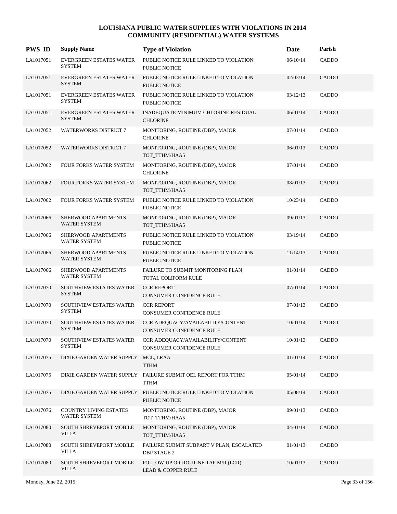| <b>PWS ID</b> | <b>Supply Name</b>                              | <b>Type of Violation</b>                                                          | Date     | Parish       |
|---------------|-------------------------------------------------|-----------------------------------------------------------------------------------|----------|--------------|
| LA1017051     | <b>EVERGREEN ESTATES WATER</b><br><b>SYSTEM</b> | PUBLIC NOTICE RULE LINKED TO VIOLATION<br>PUBLIC NOTICE                           | 06/10/14 | CADDO        |
| LA1017051     | <b>EVERGREEN ESTATES WATER</b><br><b>SYSTEM</b> | PUBLIC NOTICE RULE LINKED TO VIOLATION<br><b>PUBLIC NOTICE</b>                    | 02/03/14 | CADDO        |
| LA1017051     | <b>EVERGREEN ESTATES WATER</b><br>SYSTEM        | PUBLIC NOTICE RULE LINKED TO VIOLATION<br>PUBLIC NOTICE                           | 03/12/13 | CADDO        |
| LA1017051     | <b>EVERGREEN ESTATES WATER</b><br><b>SYSTEM</b> | INADEQUATE MINIMUM CHLORINE RESIDUAL<br><b>CHLORINE</b>                           | 06/01/14 | CADDO        |
| LA1017052     | <b>WATERWORKS DISTRICT 7</b>                    | MONITORING, ROUTINE (DBP), MAJOR<br><b>CHLORINE</b>                               | 07/01/14 | CADDO        |
| LA1017052     | <b>WATERWORKS DISTRICT 7</b>                    | MONITORING, ROUTINE (DBP), MAJOR<br>TOT_TTHM/HAA5                                 | 06/01/13 | CADDO        |
| LA1017062     | FOUR FORKS WATER SYSTEM                         | MONITORING, ROUTINE (DBP), MAJOR<br><b>CHLORINE</b>                               | 07/01/14 | <b>CADDO</b> |
| LA1017062     | FOUR FORKS WATER SYSTEM                         | MONITORING, ROUTINE (DBP), MAJOR<br>TOT_TTHM/HAA5                                 | 08/01/13 | CADDO        |
| LA1017062     | FOUR FORKS WATER SYSTEM                         | PUBLIC NOTICE RULE LINKED TO VIOLATION<br><b>PUBLIC NOTICE</b>                    | 10/23/14 | CADDO        |
| LA1017066     | SHERWOOD APARTMENTS<br><b>WATER SYSTEM</b>      | MONITORING, ROUTINE (DBP), MAJOR<br>TOT TTHM/HAA5                                 | 09/01/13 | <b>CADDO</b> |
| LA1017066     | SHERWOOD APARTMENTS<br><b>WATER SYSTEM</b>      | PUBLIC NOTICE RULE LINKED TO VIOLATION<br>PUBLIC NOTICE                           | 03/19/14 | CADDO        |
| LA1017066     | SHERWOOD APARTMENTS<br>WATER SYSTEM             | PUBLIC NOTICE RULE LINKED TO VIOLATION<br>PUBLIC NOTICE                           | 11/14/13 | <b>CADDO</b> |
| LA1017066     | SHERWOOD APARTMENTS<br><b>WATER SYSTEM</b>      | FAILURE TO SUBMIT MONITORING PLAN<br>TOTAL COLIFORM RULE                          | 01/01/14 | CADDO        |
| LA1017070     | <b>SOUTHVIEW ESTATES WATER</b><br><b>SYSTEM</b> | <b>CCR REPORT</b><br>CONSUMER CONFIDENCE RULE                                     | 07/01/14 | <b>CADDO</b> |
| LA1017070     | SOUTHVIEW ESTATES WATER<br><b>SYSTEM</b>        | <b>CCR REPORT</b><br>CONSUMER CONFIDENCE RULE                                     | 07/01/13 | <b>CADDO</b> |
| LA1017070     | SOUTHVIEW ESTATES WATER<br><b>SYSTEM</b>        | CCR ADEQUACY/AVAILABILITY/CONTENT<br><b>CONSUMER CONFIDENCE RULE</b>              | 10/01/14 | CADDO        |
| LA1017070     | SOUTHVIEW ESTATES WATER<br>SYSTEM               | CCR ADEQUACY/AVAILABILITY/CONTENT<br>CONSUMER CONFIDENCE RULE                     | 10/01/13 | CADDO        |
| LA1017075     | DIXIE GARDEN WATER SUPPLY                       | MCL, LRAA<br><b>TTHM</b>                                                          | 01/01/14 | <b>CADDO</b> |
| LA1017075     |                                                 | DIXIE GARDEN WATER SUPPLY FAILURE SUBMIT OEL REPORT FOR TTHM<br><b>TTHM</b>       | 05/01/14 | CADDO        |
| LA1017075     |                                                 | DIXIE GARDEN WATER SUPPLY PUBLIC NOTICE RULE LINKED TO VIOLATION<br>PUBLIC NOTICE | 05/08/14 | <b>CADDO</b> |
| LA1017076     | COUNTRY LIVING ESTATES<br><b>WATER SYSTEM</b>   | MONITORING, ROUTINE (DBP), MAJOR<br>TOT TTHM/HAA5                                 | 09/01/13 | CADDO        |
| LA1017080     | SOUTH SHREVEPORT MOBILE<br><b>VILLA</b>         | MONITORING, ROUTINE (DBP), MAJOR<br>TOT_TTHM/HAA5                                 | 04/01/14 | CADDO        |
| LA1017080     | SOUTH SHREVEPORT MOBILE<br>VILLA                | FAILURE SUBMIT SUBPART V PLAN, ESCALATED<br><b>DBP STAGE 2</b>                    | 01/01/13 | CADDO        |
| LA1017080     | SOUTH SHREVEPORT MOBILE<br><b>VILLA</b>         | FOLLOW-UP OR ROUTINE TAP M/R (LCR)<br><b>LEAD &amp; COPPER RULE</b>               | 10/01/13 | CADDO        |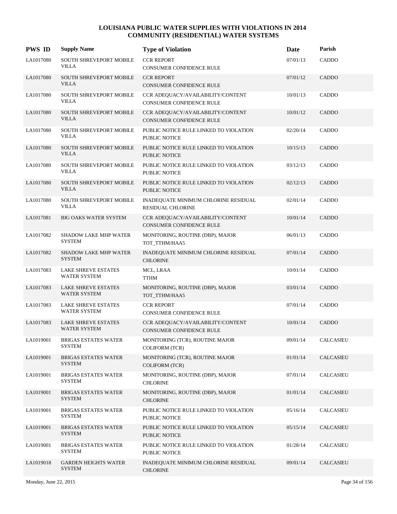| <b>PWS ID</b> | <b>Supply Name</b>                                | <b>Type of Violation</b>                                             | Date     | Parish            |
|---------------|---------------------------------------------------|----------------------------------------------------------------------|----------|-------------------|
| LA1017080     | SOUTH SHREVEPORT MOBILE<br><b>VILLA</b>           | <b>CCR REPORT</b><br>CONSUMER CONFIDENCE RULE                        | 07/01/13 | CADDO             |
| LA1017080     | <b>SOUTH SHREVEPORT MOBILE</b><br><b>VILLA</b>    | <b>CCR REPORT</b><br>CONSUMER CONFIDENCE RULE                        | 07/01/12 | CADDO             |
| LA1017080     | SOUTH SHREVEPORT MOBILE<br><b>VILLA</b>           | CCR ADEQUACY/AVAILABILITY/CONTENT<br>CONSUMER CONFIDENCE RULE        | 10/01/13 | CADDO             |
| LA1017080     | <b>SOUTH SHREVEPORT MOBILE</b><br>VILLA           | CCR ADEQUACY/AVAILABILITY/CONTENT<br><b>CONSUMER CONFIDENCE RULE</b> | 10/01/12 | CADDO             |
| LA1017080     | <b>SOUTH SHREVEPORT MOBILE</b><br>VILLA           | PUBLIC NOTICE RULE LINKED TO VIOLATION<br>PUBLIC NOTICE              | 02/20/14 | CADDO             |
| LA1017080     | <b>SOUTH SHREVEPORT MOBILE</b><br>VILLA           | PUBLIC NOTICE RULE LINKED TO VIOLATION<br><b>PUBLIC NOTICE</b>       | 10/15/13 | CADDO             |
| LA1017080     | <b>SOUTH SHREVEPORT MOBILE</b><br><b>VILLA</b>    | PUBLIC NOTICE RULE LINKED TO VIOLATION<br><b>PUBLIC NOTICE</b>       | 03/12/13 | CADDO             |
| LA1017080     | <b>SOUTH SHREVEPORT MOBILE</b><br>VILLA           | PUBLIC NOTICE RULE LINKED TO VIOLATION<br><b>PUBLIC NOTICE</b>       | 02/12/13 | CADDO             |
| LA1017080     | SOUTH SHREVEPORT MOBILE<br><b>VILLA</b>           | INADEQUATE MINIMUM CHLORINE RESIDUAL<br><b>RESIDUAL CHLORINE</b>     | 02/01/14 | CADDO             |
| LA1017081     | BIG OAKS WATER SYSTEM                             | CCR ADEQUACY/AVAILABILITY/CONTENT<br>CONSUMER CONFIDENCE RULE        | 10/01/14 | CADDO             |
| LA1017082     | <b>SHADOW LAKE MHP WATER</b><br><b>SYSTEM</b>     | MONITORING, ROUTINE (DBP), MAJOR<br>TOT_TTHM/HAA5                    | 06/01/13 | CADDO             |
| LA1017082     | <b>SHADOW LAKE MHP WATER</b><br><b>SYSTEM</b>     | INADEQUATE MINIMUM CHLORINE RESIDUAL<br><b>CHLORINE</b>              | 07/01/14 | <b>CADDO</b>      |
| LA1017083     | <b>LAKE SHREVE ESTATES</b><br><b>WATER SYSTEM</b> | MCL, LRAA<br><b>TTHM</b>                                             | 10/01/14 | CADDO             |
| LA1017083     | <b>LAKE SHREVE ESTATES</b><br><b>WATER SYSTEM</b> | MONITORING, ROUTINE (DBP), MAJOR<br>TOT_TTHM/HAA5                    | 03/01/14 | CADDO             |
| LA1017083     | <b>LAKE SHREVE ESTATES</b><br><b>WATER SYSTEM</b> | <b>CCR REPORT</b><br>CONSUMER CONFIDENCE RULE                        | 07/01/14 | CADDO             |
| LA1017083     | <b>LAKE SHREVE ESTATES</b><br><b>WATER SYSTEM</b> | CCR ADEQUACY/AVAILABILITY/CONTENT<br>CONSUMER CONFIDENCE RULE        | 10/01/14 | CADDO             |
| LA1019001     | <b>BRIGAS ESTATES WATER</b><br>SYSTEM             | MONITORING (TCR), ROUTINE MAJOR<br><b>COLIFORM (TCR)</b>             | 09/01/14 | <b>CALCASIEU</b>  |
| LA1019001     | <b>BRIGAS ESTATES WATER</b><br>SYSTEM             | MONITORING (TCR), ROUTINE MAJOR<br><b>COLIFORM (TCR)</b>             | 01/01/14 | <b>CALCASIEU</b>  |
| LA1019001     | <b>BRIGAS ESTATES WATER</b><br><b>SYSTEM</b>      | MONITORING, ROUTINE (DBP), MAJOR<br><b>CHLORINE</b>                  | 07/01/14 | CALCASIEU         |
| LA1019001     | <b>BRIGAS ESTATES WATER</b><br><b>SYSTEM</b>      | MONITORING, ROUTINE (DBP), MAJOR<br><b>CHLORINE</b>                  | 01/01/14 | CALCASIEU         |
| LA1019001     | <b>BRIGAS ESTATES WATER</b><br><b>SYSTEM</b>      | PUBLIC NOTICE RULE LINKED TO VIOLATION<br>PUBLIC NOTICE              | 05/16/14 | CALCASIEU         |
| LA1019001     | <b>BRIGAS ESTATES WATER</b><br><b>SYSTEM</b>      | PUBLIC NOTICE RULE LINKED TO VIOLATION<br>PUBLIC NOTICE              | 05/15/14 | <b>CALCASIEU</b>  |
| LA1019001     | <b>BRIGAS ESTATES WATER</b><br><b>SYSTEM</b>      | PUBLIC NOTICE RULE LINKED TO VIOLATION<br>PUBLIC NOTICE              | 01/28/14 | ${\bf CALCASIEU}$ |
| LA1019018     | <b>GARDEN HEIGHTS WATER</b><br><b>SYSTEM</b>      | INADEQUATE MINIMUM CHLORINE RESIDUAL<br><b>CHLORINE</b>              | 09/01/14 | <b>CALCASIEU</b>  |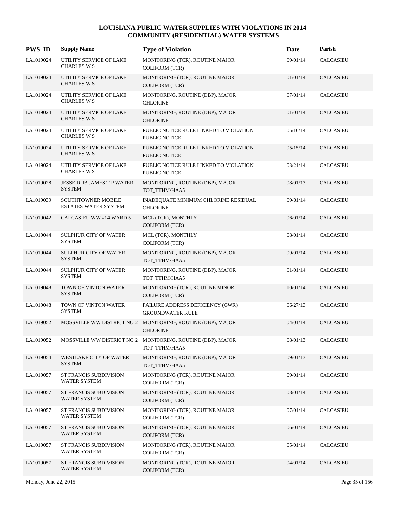| <b>PWS ID</b> | <b>Supply Name</b>                                | <b>Type of Violation</b>                                                     | Date     | Parish               |
|---------------|---------------------------------------------------|------------------------------------------------------------------------------|----------|----------------------|
| LA1019024     | UTILITY SERVICE OF LAKE<br><b>CHARLES W S</b>     | MONITORING (TCR), ROUTINE MAJOR<br><b>COLIFORM (TCR)</b>                     | 09/01/14 | <b>CALCASIEU</b>     |
| LA1019024     | UTILITY SERVICE OF LAKE<br><b>CHARLES W S</b>     | MONITORING (TCR), ROUTINE MAJOR<br><b>COLIFORM (TCR)</b>                     | 01/01/14 | <b>CALCASIEU</b>     |
| LA1019024     | UTILITY SERVICE OF LAKE<br><b>CHARLES W S</b>     | MONITORING, ROUTINE (DBP), MAJOR<br><b>CHLORINE</b>                          | 07/01/14 | <b>CALCASIEU</b>     |
| LA1019024     | UTILITY SERVICE OF LAKE<br><b>CHARLES W S</b>     | MONITORING, ROUTINE (DBP), MAJOR<br><b>CHLORINE</b>                          | 01/01/14 | <b>CALCASIEU</b>     |
| LA1019024     | UTILITY SERVICE OF LAKE<br><b>CHARLES W S</b>     | PUBLIC NOTICE RULE LINKED TO VIOLATION<br>PUBLIC NOTICE                      | 05/16/14 | <b>CALCASIEU</b>     |
| LA1019024     | UTILITY SERVICE OF LAKE<br><b>CHARLES W S</b>     | PUBLIC NOTICE RULE LINKED TO VIOLATION<br><b>PUBLIC NOTICE</b>               | 05/15/14 | <b>CALCASIEU</b>     |
| LA1019024     | UTILITY SERVICE OF LAKE<br><b>CHARLES W S</b>     | PUBLIC NOTICE RULE LINKED TO VIOLATION<br>PUBLIC NOTICE                      | 03/21/14 | <b>CALCASIEU</b>     |
| LA1019028     | <b>JESSE DUB JAMES T P WATER</b><br><b>SYSTEM</b> | MONITORING, ROUTINE (DBP), MAJOR<br>TOT_TTHM/HAA5                            | 08/01/13 | <b>CALCASIEU</b>     |
| LA1019039     | <b>SOUTHTOWNER MOBILE</b><br>ESTATES WATER SYSTEM | INADEQUATE MINIMUM CHLORINE RESIDUAL<br><b>CHLORINE</b>                      | 09/01/14 | <b>CALCASIEU</b>     |
| LA1019042     | CALCASIEU WW #14 WARD 5                           | MCL (TCR), MONTHLY<br><b>COLIFORM (TCR)</b>                                  | 06/01/14 | <b>CALCASIEU</b>     |
| LA1019044     | <b>SULPHUR CITY OF WATER</b><br><b>SYSTEM</b>     | MCL (TCR), MONTHLY<br><b>COLIFORM (TCR)</b>                                  | 08/01/14 | <b>CALCASIEU</b>     |
| LA1019044     | <b>SULPHUR CITY OF WATER</b><br><b>SYSTEM</b>     | MONITORING, ROUTINE (DBP), MAJOR<br>TOT_TTHM/HAA5                            | 09/01/14 | <b>CALCASIEU</b>     |
| LA1019044     | <b>SULPHUR CITY OF WATER</b><br><b>SYSTEM</b>     | MONITORING, ROUTINE (DBP), MAJOR<br>TOT_TTHM/HAA5                            | 01/01/14 | <b>CALCASIEU</b>     |
| LA1019048     | TOWN OF VINTON WATER<br><b>SYSTEM</b>             | MONITORING (TCR), ROUTINE MINOR<br><b>COLIFORM (TCR)</b>                     | 10/01/14 | <b>CALCASIEU</b>     |
| LA1019048     | TOWN OF VINTON WATER<br><b>SYSTEM</b>             | FAILURE ADDRESS DEFICIENCY (GWR)<br><b>GROUNDWATER RULE</b>                  | 06/27/13 | <b>CALCASIEU</b>     |
| LA1019052     | <b>MOSSVILLE WW DISTRICT NO 2</b>                 | MONITORING, ROUTINE (DBP), MAJOR<br><b>CHLORINE</b>                          | 04/01/14 | CALCASIEU            |
| LA1019052     |                                                   | MOSSVILLE WW DISTRICT NO 2 MONITORING, ROUTINE (DBP), MAJOR<br>TOT_TTHM/HAA5 | 08/01/13 | <b>CALCASIEU</b>     |
| LA1019054     | WESTLAKE CITY OF WATER<br><b>SYSTEM</b>           | MONITORING, ROUTINE (DBP), MAJOR<br>TOT_TTHM/HAA5                            | 09/01/13 | <b>CALCASIEU</b>     |
| LA1019057     | ST FRANCIS SUBDIVISION<br><b>WATER SYSTEM</b>     | MONITORING (TCR), ROUTINE MAJOR<br><b>COLIFORM (TCR)</b>                     | 09/01/14 | CALCASIEU            |
| LA1019057     | ST FRANCIS SUBDIVISION<br>WATER SYSTEM            | MONITORING (TCR), ROUTINE MAJOR<br><b>COLIFORM (TCR)</b>                     | 08/01/14 | <b>CALCASIEU</b>     |
| LA1019057     | ST FRANCIS SUBDIVISION<br>WATER SYSTEM            | MONITORING (TCR), ROUTINE MAJOR<br><b>COLIFORM (TCR)</b>                     | 07/01/14 | $\mathsf{CALCASIEU}$ |
| LA1019057     | ST FRANCIS SUBDIVISION<br><b>WATER SYSTEM</b>     | MONITORING (TCR), ROUTINE MAJOR<br><b>COLIFORM (TCR)</b>                     | 06/01/14 | <b>CALCASIEU</b>     |
| LA1019057     | ST FRANCIS SUBDIVISION<br>WATER SYSTEM            | MONITORING (TCR), ROUTINE MAJOR<br><b>COLIFORM (TCR)</b>                     | 05/01/14 | CALCASIEU            |
| LA1019057     | ST FRANCIS SUBDIVISION<br>WATER SYSTEM            | MONITORING (TCR), ROUTINE MAJOR<br>COLIFORM (TCR)                            | 04/01/14 | <b>CALCASIEU</b>     |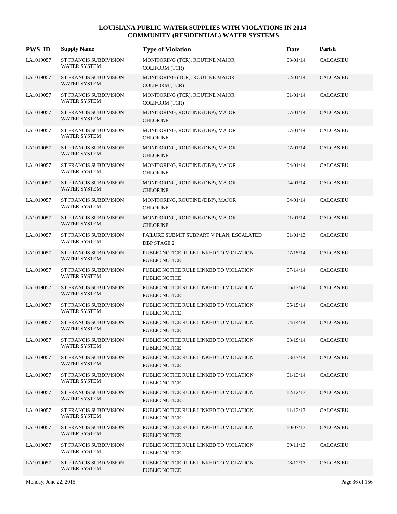| <b>PWS ID</b> | <b>Supply Name</b>                                   | <b>Type of Violation</b>                                       | Date     | Parish           |
|---------------|------------------------------------------------------|----------------------------------------------------------------|----------|------------------|
| LA1019057     | ST FRANCIS SUBDIVISION<br><b>WATER SYSTEM</b>        | MONITORING (TCR), ROUTINE MAJOR<br><b>COLIFORM (TCR)</b>       | 03/01/14 | <b>CALCASIEU</b> |
| LA1019057     | <b>ST FRANCIS SUBDIVISION</b><br><b>WATER SYSTEM</b> | MONITORING (TCR), ROUTINE MAJOR<br><b>COLIFORM (TCR)</b>       | 02/01/14 | <b>CALCASIEU</b> |
| LA1019057     | ST FRANCIS SUBDIVISION<br><b>WATER SYSTEM</b>        | MONITORING (TCR), ROUTINE MAJOR<br><b>COLIFORM (TCR)</b>       | 01/01/14 | <b>CALCASIEU</b> |
| LA1019057     | <b>ST FRANCIS SUBDIVISION</b><br><b>WATER SYSTEM</b> | MONITORING, ROUTINE (DBP), MAJOR<br><b>CHLORINE</b>            | 07/01/14 | <b>CALCASIEU</b> |
| LA1019057     | ST FRANCIS SUBDIVISION<br><b>WATER SYSTEM</b>        | MONITORING, ROUTINE (DBP), MAJOR<br><b>CHLORINE</b>            | 07/01/14 | <b>CALCASIEU</b> |
| LA1019057     | <b>ST FRANCIS SUBDIVISION</b><br><b>WATER SYSTEM</b> | MONITORING, ROUTINE (DBP), MAJOR<br><b>CHLORINE</b>            | 07/01/14 | <b>CALCASIEU</b> |
| LA1019057     | ST FRANCIS SUBDIVISION<br><b>WATER SYSTEM</b>        | MONITORING, ROUTINE (DBP), MAJOR<br><b>CHLORINE</b>            | 04/01/14 | <b>CALCASIEU</b> |
| LA1019057     | <b>ST FRANCIS SUBDIVISION</b><br><b>WATER SYSTEM</b> | MONITORING, ROUTINE (DBP), MAJOR<br><b>CHLORINE</b>            | 04/01/14 | <b>CALCASIEU</b> |
| LA1019057     | ST FRANCIS SUBDIVISION<br><b>WATER SYSTEM</b>        | MONITORING, ROUTINE (DBP), MAJOR<br><b>CHLORINE</b>            | 04/01/14 | <b>CALCASIEU</b> |
| LA1019057     | <b>ST FRANCIS SUBDIVISION</b><br><b>WATER SYSTEM</b> | MONITORING, ROUTINE (DBP), MAJOR<br><b>CHLORINE</b>            | 01/01/14 | CALCASIEU        |
| LA1019057     | ST FRANCIS SUBDIVISION<br><b>WATER SYSTEM</b>        | FAILURE SUBMIT SUBPART V PLAN, ESCALATED<br><b>DBP STAGE 2</b> | 01/01/13 | <b>CALCASIEU</b> |
| LA1019057     | <b>ST FRANCIS SUBDIVISION</b><br>WATER SYSTEM        | PUBLIC NOTICE RULE LINKED TO VIOLATION<br><b>PUBLIC NOTICE</b> | 07/15/14 | <b>CALCASIEU</b> |
| LA1019057     | ST FRANCIS SUBDIVISION<br>WATER SYSTEM               | PUBLIC NOTICE RULE LINKED TO VIOLATION<br><b>PUBLIC NOTICE</b> | 07/14/14 | <b>CALCASIEU</b> |
| LA1019057     | <b>ST FRANCIS SUBDIVISION</b><br><b>WATER SYSTEM</b> | PUBLIC NOTICE RULE LINKED TO VIOLATION<br><b>PUBLIC NOTICE</b> | 06/12/14 | <b>CALCASIEU</b> |
| LA1019057     | ST FRANCIS SUBDIVISION<br><b>WATER SYSTEM</b>        | PUBLIC NOTICE RULE LINKED TO VIOLATION<br><b>PUBLIC NOTICE</b> | 05/15/14 | <b>CALCASIEU</b> |
| LA1019057     | <b>ST FRANCIS SUBDIVISION</b><br><b>WATER SYSTEM</b> | PUBLIC NOTICE RULE LINKED TO VIOLATION<br><b>PUBLIC NOTICE</b> | 04/14/14 | CALCASIEU        |
| LA1019057     | <b>ST FRANCIS SUBDIVISION</b><br>WATER SYSTEM        | PUBLIC NOTICE RULE LINKED TO VIOLATION<br><b>PUBLIC NOTICE</b> | 03/19/14 | <b>CALCASIEU</b> |
| LA1019057     | ST FRANCIS SUBDIVISION<br><b>WATER SYSTEM</b>        | PUBLIC NOTICE RULE LINKED TO VIOLATION<br>PUBLIC NOTICE        | 03/17/14 | CALCASIEU        |
| LA1019057     | ST FRANCIS SUBDIVISION<br>WATER SYSTEM               | PUBLIC NOTICE RULE LINKED TO VIOLATION<br><b>PUBLIC NOTICE</b> | 01/13/14 | CALCASIEU        |
| LA1019057     | <b>ST FRANCIS SUBDIVISION</b><br>WATER SYSTEM        | PUBLIC NOTICE RULE LINKED TO VIOLATION<br>PUBLIC NOTICE        | 12/12/13 | CALCASIEU        |
| LA1019057     | <b>ST FRANCIS SUBDIVISION</b><br>WATER SYSTEM        | PUBLIC NOTICE RULE LINKED TO VIOLATION<br>PUBLIC NOTICE        | 11/13/13 | <b>CALCASIEU</b> |
| LA1019057     | <b>ST FRANCIS SUBDIVISION</b><br>WATER SYSTEM        | PUBLIC NOTICE RULE LINKED TO VIOLATION<br>PUBLIC NOTICE        | 10/07/13 | CALCASIEU        |
| LA1019057     | ST FRANCIS SUBDIVISION<br>WATER SYSTEM               | PUBLIC NOTICE RULE LINKED TO VIOLATION<br>PUBLIC NOTICE        | 09/11/13 | CALCASIEU        |
| LA1019057     | <b>ST FRANCIS SUBDIVISION</b><br>WATER SYSTEM        | PUBLIC NOTICE RULE LINKED TO VIOLATION<br>PUBLIC NOTICE        | 08/12/13 | CALCASIEU        |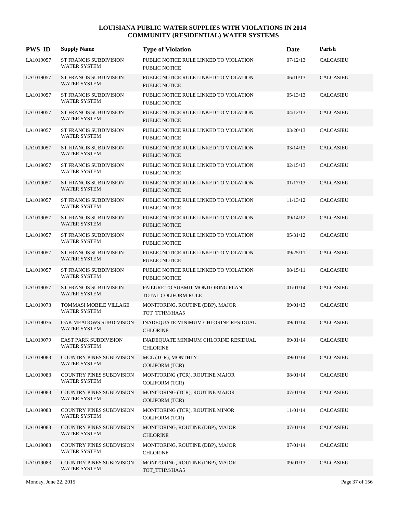| <b>PWS ID</b> | <b>Supply Name</b>                                     | <b>Type of Violation</b>                                       | Date     | Parish           |
|---------------|--------------------------------------------------------|----------------------------------------------------------------|----------|------------------|
| LA1019057     | <b>ST FRANCIS SUBDIVISION</b><br><b>WATER SYSTEM</b>   | PUBLIC NOTICE RULE LINKED TO VIOLATION<br>PUBLIC NOTICE        | 07/12/13 | <b>CALCASIEU</b> |
| LA1019057     | <b>ST FRANCIS SUBDIVISION</b><br>WATER SYSTEM          | PUBLIC NOTICE RULE LINKED TO VIOLATION<br>PUBLIC NOTICE        | 06/10/13 | CALCASIEU        |
| LA1019057     | ST FRANCIS SUBDIVISION<br><b>WATER SYSTEM</b>          | PUBLIC NOTICE RULE LINKED TO VIOLATION<br>PUBLIC NOTICE        | 05/13/13 | CALCASIEU        |
| LA1019057     | ST FRANCIS SUBDIVISION<br>WATER SYSTEM                 | PUBLIC NOTICE RULE LINKED TO VIOLATION<br>PUBLIC NOTICE        | 04/12/13 | <b>CALCASIEU</b> |
| LA1019057     | <b>ST FRANCIS SUBDIVISION</b><br>WATER SYSTEM          | PUBLIC NOTICE RULE LINKED TO VIOLATION<br><b>PUBLIC NOTICE</b> | 03/20/13 | <b>CALCASIEU</b> |
| LA1019057     | ST FRANCIS SUBDIVISION<br>WATER SYSTEM                 | PUBLIC NOTICE RULE LINKED TO VIOLATION<br>PUBLIC NOTICE        | 03/14/13 | CALCASIEU        |
| LA1019057     | ST FRANCIS SUBDIVISION<br><b>WATER SYSTEM</b>          | PUBLIC NOTICE RULE LINKED TO VIOLATION<br>PUBLIC NOTICE        | 02/15/13 | <b>CALCASIEU</b> |
| LA1019057     | <b>ST FRANCIS SUBDIVISION</b><br>WATER SYSTEM          | PUBLIC NOTICE RULE LINKED TO VIOLATION<br>PUBLIC NOTICE        | 01/17/13 | <b>CALCASIEU</b> |
| LA1019057     | ST FRANCIS SUBDIVISION<br><b>WATER SYSTEM</b>          | PUBLIC NOTICE RULE LINKED TO VIOLATION<br>PUBLIC NOTICE        | 11/13/12 | <b>CALCASIEU</b> |
| LA1019057     | <b>ST FRANCIS SUBDIVISION</b><br>WATER SYSTEM          | PUBLIC NOTICE RULE LINKED TO VIOLATION<br>PUBLIC NOTICE        | 09/14/12 | <b>CALCASIEU</b> |
| LA1019057     | <b>ST FRANCIS SUBDIVISION</b><br><b>WATER SYSTEM</b>   | PUBLIC NOTICE RULE LINKED TO VIOLATION<br>PUBLIC NOTICE        | 05/31/12 | <b>CALCASIEU</b> |
| LA1019057     | <b>ST FRANCIS SUBDIVISION</b><br>WATER SYSTEM          | PUBLIC NOTICE RULE LINKED TO VIOLATION<br><b>PUBLIC NOTICE</b> | 09/25/11 | <b>CALCASIEU</b> |
| LA1019057     | <b>ST FRANCIS SUBDIVISION</b><br><b>WATER SYSTEM</b>   | PUBLIC NOTICE RULE LINKED TO VIOLATION<br>PUBLIC NOTICE        | 08/15/11 | <b>CALCASIEU</b> |
| LA1019057     | <b>ST FRANCIS SUBDIVISION</b><br>WATER SYSTEM          | FAILURE TO SUBMIT MONITORING PLAN<br>TOTAL COLIFORM RULE       | 01/01/14 | <b>CALCASIEU</b> |
| LA1019073     | TOMMASI MOBILE VILLAGE<br><b>WATER SYSTEM</b>          | MONITORING, ROUTINE (DBP), MAJOR<br>TOT_TTHM/HAA5              | 09/01/13 | <b>CALCASIEU</b> |
| LA1019076     | OAK MEADOWS SUBDIVISION<br><b>WATER SYSTEM</b>         | INADEQUATE MINIMUM CHLORINE RESIDUAL<br><b>CHLORINE</b>        | 09/01/14 | <b>CALCASIEU</b> |
| LA1019079     | <b>EAST PARK SUBDIVISION</b><br><b>WATER SYSTEM</b>    | INADEQUATE MINIMUM CHLORINE RESIDUAL<br><b>CHLORINE</b>        | 09/01/14 | CALCASIEU        |
| LA1019083     | COUNTRY PINES SUBDVISION<br>WATER SYSTEM               | MCL (TCR), MONTHLY<br><b>COLIFORM (TCR)</b>                    | 09/01/14 | <b>CALCASIEU</b> |
| LA1019083     | <b>COUNTRY PINES SUBDVISION</b><br><b>WATER SYSTEM</b> | MONITORING (TCR), ROUTINE MAJOR<br><b>COLIFORM (TCR)</b>       | 08/01/14 | <b>CALCASIEU</b> |
| LA1019083     | <b>COUNTRY PINES SUBDVISION</b><br>WATER SYSTEM        | MONITORING (TCR), ROUTINE MAJOR<br><b>COLIFORM (TCR)</b>       | 07/01/14 | CALCASIEU        |
| LA1019083     | <b>COUNTRY PINES SUBDVISION</b><br><b>WATER SYSTEM</b> | MONITORING (TCR), ROUTINE MINOR<br><b>COLIFORM (TCR)</b>       | 11/01/14 | CALCASIEU        |
| LA1019083     | COUNTRY PINES SUBDVISION<br>WATER SYSTEM               | MONITORING, ROUTINE (DBP), MAJOR<br><b>CHLORINE</b>            | 07/01/14 | <b>CALCASIEU</b> |
| LA1019083     | <b>COUNTRY PINES SUBDVISION</b><br>WATER SYSTEM        | MONITORING, ROUTINE (DBP), MAJOR<br><b>CHLORINE</b>            | 07/01/14 | CALCASIEU        |
| LA1019083     | <b>COUNTRY PINES SUBDVISION</b><br>WATER SYSTEM        | MONITORING, ROUTINE (DBP), MAJOR<br>TOT_TTHM/HAA5              | 09/01/13 | CALCASIEU        |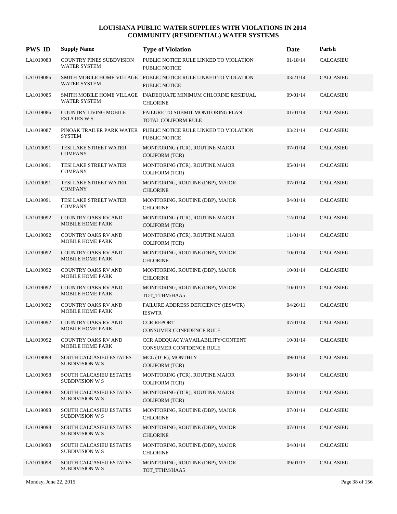| <b>PWS ID</b> | <b>Supply Name</b>                                    | <b>Type of Violation</b>                                                                 | Date     | Parish           |
|---------------|-------------------------------------------------------|------------------------------------------------------------------------------------------|----------|------------------|
| LA1019083     | COUNTRY PINES SUBDVISION<br><b>WATER SYSTEM</b>       | PUBLIC NOTICE RULE LINKED TO VIOLATION<br>PUBLIC NOTICE                                  | 01/18/14 | <b>CALCASIEU</b> |
| LA1019085     | <b>WATER SYSTEM</b>                                   | SMITH MOBILE HOME VILLAGE PUBLIC NOTICE RULE LINKED TO VIOLATION<br><b>PUBLIC NOTICE</b> | 03/21/14 | <b>CALCASIEU</b> |
| LA1019085     | <b>WATER SYSTEM</b>                                   | SMITH MOBILE HOME VILLAGE INADEQUATE MINIMUM CHLORINE RESIDUAL<br><b>CHLORINE</b>        | 09/01/14 | <b>CALCASIEU</b> |
| LA1019086     | <b>COUNTRY LIVING MOBILE</b><br><b>ESTATES W S</b>    | <b>FAILURE TO SUBMIT MONITORING PLAN</b><br><b>TOTAL COLIFORM RULE</b>                   | 01/01/14 | <b>CALCASIEU</b> |
| LA1019087     | <b>SYSTEM</b>                                         | PINOAK TRAILER PARK WATER PUBLIC NOTICE RULE LINKED TO VIOLATION<br>PUBLIC NOTICE        | 03/21/14 | <b>CALCASIEU</b> |
| LA1019091     | TESI LAKE STREET WATER<br><b>COMPANY</b>              | MONITORING (TCR), ROUTINE MAJOR<br><b>COLIFORM (TCR)</b>                                 | 07/01/14 | CALCASIEU        |
| LA1019091     | TESI LAKE STREET WATER<br><b>COMPANY</b>              | MONITORING (TCR), ROUTINE MAJOR<br><b>COLIFORM (TCR)</b>                                 | 05/01/14 | CALCASIEU        |
| LA1019091     | TESI LAKE STREET WATER<br><b>COMPANY</b>              | MONITORING, ROUTINE (DBP), MAJOR<br><b>CHLORINE</b>                                      | 07/01/14 | <b>CALCASIEU</b> |
| LA1019091     | TESI LAKE STREET WATER<br><b>COMPANY</b>              | MONITORING, ROUTINE (DBP), MAJOR<br><b>CHLORINE</b>                                      | 04/01/14 | <b>CALCASIEU</b> |
| LA1019092     | <b>COUNTRY OAKS RV AND</b><br>MOBILE HOME PARK        | MONITORING (TCR), ROUTINE MAJOR<br><b>COLIFORM (TCR)</b>                                 | 12/01/14 | <b>CALCASIEU</b> |
| LA1019092     | COUNTRY OAKS RV AND<br>MOBILE HOME PARK               | MONITORING (TCR), ROUTINE MAJOR<br><b>COLIFORM (TCR)</b>                                 | 11/01/14 | <b>CALCASIEU</b> |
| LA1019092     | <b>COUNTRY OAKS RV AND</b><br><b>MOBILE HOME PARK</b> | MONITORING, ROUTINE (DBP), MAJOR<br><b>CHLORINE</b>                                      | 10/01/14 | <b>CALCASIEU</b> |
| LA1019092     | COUNTRY OAKS RV AND<br><b>MOBILE HOME PARK</b>        | MONITORING, ROUTINE (DBP), MAJOR<br><b>CHLORINE</b>                                      | 10/01/14 | <b>CALCASIEU</b> |
| LA1019092     | <b>COUNTRY OAKS RV AND</b><br>MOBILE HOME PARK        | MONITORING, ROUTINE (DBP), MAJOR<br>TOT_TTHM/HAA5                                        | 10/01/13 | <b>CALCASIEU</b> |
| LA1019092     | <b>COUNTRY OAKS RV AND</b><br><b>MOBILE HOME PARK</b> | FAILURE ADDRESS DEFICIENCY (IESWTR)<br><b>IESWTR</b>                                     | 04/26/11 | <b>CALCASIEU</b> |
| LA1019092     | <b>COUNTRY OAKS RV AND</b><br><b>MOBILE HOME PARK</b> | <b>CCR REPORT</b><br><b>CONSUMER CONFIDENCE RULE</b>                                     | 07/01/14 | CALCASIEU        |
| LA1019092     | COUNTRY OAKS RV AND<br>MOBILE HOME PARK               | CCR ADEQUACY/AVAILABILITY/CONTENT<br>CONSUMER CONFIDENCE RULE                            | 10/01/14 | <b>CALCASIEU</b> |
| LA1019098     | SOUTH CALCASIEU ESTATES<br>SUBDIVISION W S            | MCL (TCR), MONTHLY<br><b>COLIFORM (TCR)</b>                                              | 09/01/14 | <b>CALCASIEU</b> |
| LA1019098     | SOUTH CALCASIEU ESTATES<br><b>SUBDIVISION W S</b>     | MONITORING (TCR), ROUTINE MAJOR<br><b>COLIFORM (TCR)</b>                                 | 08/01/14 | <b>CALCASIEU</b> |
| LA1019098     | SOUTH CALCASIEU ESTATES<br><b>SUBDIVISION W S</b>     | MONITORING (TCR), ROUTINE MAJOR<br><b>COLIFORM (TCR)</b>                                 | 07/01/14 | CALCASIEU        |
| LA1019098     | SOUTH CALCASIEU ESTATES<br><b>SUBDIVISION W S</b>     | MONITORING, ROUTINE (DBP), MAJOR<br><b>CHLORINE</b>                                      | 07/01/14 | CALCASIEU        |
| LA1019098     | SOUTH CALCASIEU ESTATES<br><b>SUBDIVISION W S</b>     | MONITORING, ROUTINE (DBP), MAJOR<br><b>CHLORINE</b>                                      | 07/01/14 | <b>CALCASIEU</b> |
| LA1019098     | SOUTH CALCASIEU ESTATES<br><b>SUBDIVISION W S</b>     | MONITORING, ROUTINE (DBP), MAJOR<br><b>CHLORINE</b>                                      | 04/01/14 | CALCASIEU        |
| LA1019098     | SOUTH CALCASIEU ESTATES<br><b>SUBDIVISION W S</b>     | MONITORING, ROUTINE (DBP), MAJOR<br>TOT_TTHM/HAA5                                        | 09/01/13 | <b>CALCASIEU</b> |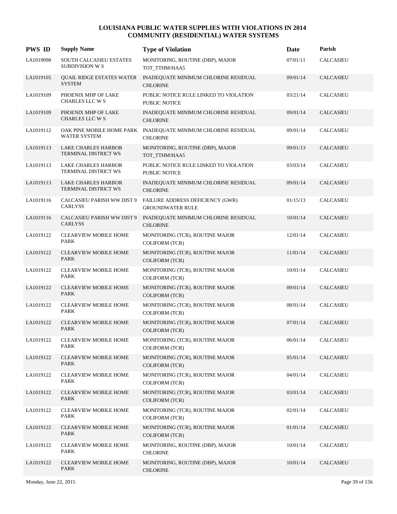| <b>PWS ID</b> | <b>Supply Name</b>                                           | <b>Type of Violation</b>                                    | Date     | Parish           |
|---------------|--------------------------------------------------------------|-------------------------------------------------------------|----------|------------------|
| LA1019098     | SOUTH CALCASIEU ESTATES<br><b>SUBDIVISION W S</b>            | MONITORING, ROUTINE (DBP), MAJOR<br>TOT_TTHM/HAA5           | 07/01/11 | <b>CALCASIEU</b> |
| LA1019105     | QUAIL RIDGE ESTATES WATER<br><b>SYSTEM</b>                   | INADEQUATE MINIMUM CHLORINE RESIDUAL<br><b>CHLORINE</b>     | 09/01/14 | <b>CALCASIEU</b> |
| LA1019109     | PHOENIX MHP OF LAKE<br>CHARLES LLC W S                       | PUBLIC NOTICE RULE LINKED TO VIOLATION<br>PUBLIC NOTICE     | 03/21/14 | <b>CALCASIEU</b> |
| LA1019109     | PHOENIX MHP OF LAKE<br>CHARLES LLC W S                       | INADEQUATE MINIMUM CHLORINE RESIDUAL<br><b>CHLORINE</b>     | 09/01/14 | <b>CALCASIEU</b> |
| LA1019112     | OAK PINE MOBILE HOME PARK<br>WATER SYSTEM                    | INADEQUATE MINIMUM CHLORINE RESIDUAL<br><b>CHLORINE</b>     | 09/01/14 | <b>CALCASIEU</b> |
| LA1019113     | LAKE CHARLES HARBOR<br>TERMINAL DISTRICT WS                  | MONITORING, ROUTINE (DBP), MAJOR<br>TOT_TTHM/HAA5           | 09/01/13 | <b>CALCASIEU</b> |
| LA1019113     | LAKE CHARLES HARBOR<br>TERMINAL DISTRICT WS                  | PUBLIC NOTICE RULE LINKED TO VIOLATION<br>PUBLIC NOTICE     | 03/03/14 | CALCASIEU        |
| LA1019113     | LAKE CHARLES HARBOR<br>TERMINAL DISTRICT WS                  | INADEQUATE MINIMUM CHLORINE RESIDUAL<br><b>CHLORINE</b>     | 09/01/14 | <b>CALCASIEU</b> |
| LA1019116     | CALCASIEU PARISH WW DIST 9<br><b>CARLYSS</b>                 | FAILURE ADDRESS DEFICIENCY (GWR)<br><b>GROUNDWATER RULE</b> | 01/15/13 | <b>CALCASIEU</b> |
| LA1019116     | CALCASIEU PARISH WW DIST 9<br><b>CARLYSS</b>                 | INADEQUATE MINIMUM CHLORINE RESIDUAL<br><b>CHLORINE</b>     | 10/01/14 | <b>CALCASIEU</b> |
| LA1019122     | <b>CLEARVIEW MOBILE HOME</b><br>PARK                         | MONITORING (TCR), ROUTINE MAJOR<br><b>COLIFORM (TCR)</b>    | 12/01/14 | <b>CALCASIEU</b> |
| LA1019122     | <b>CLEARVIEW MOBILE HOME</b><br>PARK                         | MONITORING (TCR), ROUTINE MAJOR<br><b>COLIFORM (TCR)</b>    | 11/01/14 | <b>CALCASIEU</b> |
| LA1019122     | CLEARVIEW MOBILE HOME<br>$\ensuremath{\mathsf{PARK}}\xspace$ | MONITORING (TCR), ROUTINE MAJOR<br><b>COLIFORM (TCR)</b>    | 10/01/14 | <b>CALCASIEU</b> |
| LA1019122     | <b>CLEARVIEW MOBILE HOME</b><br><b>PARK</b>                  | MONITORING (TCR), ROUTINE MAJOR<br><b>COLIFORM (TCR)</b>    | 09/01/14 | <b>CALCASIEU</b> |
| LA1019122     | <b>CLEARVIEW MOBILE HOME</b><br>PARK                         | MONITORING (TCR), ROUTINE MAJOR<br><b>COLIFORM (TCR)</b>    | 08/01/14 | <b>CALCASIEU</b> |
| LA1019122     | <b>CLEARVIEW MOBILE HOME</b><br>PARK                         | MONITORING (TCR), ROUTINE MAJOR<br><b>COLIFORM (TCR)</b>    | 07/01/14 | <b>CALCASIEU</b> |
| LA1019122     | <b>CLEARVIEW MOBILE HOME</b><br>PARK                         | MONITORING (TCR), ROUTINE MAJOR<br><b>COLIFORM (TCR)</b>    | 06/01/14 | <b>CALCASIEU</b> |
| LA1019122     | <b>CLEARVIEW MOBILE HOME</b><br>PARK                         | MONITORING (TCR), ROUTINE MAJOR<br><b>COLIFORM (TCR)</b>    | 05/01/14 | <b>CALCASIEU</b> |
| LA1019122     | <b>CLEARVIEW MOBILE HOME</b><br>PARK                         | MONITORING (TCR), ROUTINE MAJOR<br><b>COLIFORM (TCR)</b>    | 04/01/14 | <b>CALCASIEU</b> |
| LA1019122     | <b>CLEARVIEW MOBILE HOME</b><br>PARK                         | MONITORING (TCR), ROUTINE MAJOR<br><b>COLIFORM (TCR)</b>    | 03/01/14 | <b>CALCASIEU</b> |
| LA1019122     | <b>CLEARVIEW MOBILE HOME</b><br>PARK                         | MONITORING (TCR), ROUTINE MAJOR<br><b>COLIFORM (TCR)</b>    | 02/01/14 | <b>CALCASIEU</b> |
| LA1019122     | <b>CLEARVIEW MOBILE HOME</b><br>PARK                         | MONITORING (TCR), ROUTINE MAJOR<br><b>COLIFORM (TCR)</b>    | 01/01/14 | <b>CALCASIEU</b> |
| LA1019122     | <b>CLEARVIEW MOBILE HOME</b><br>PARK                         | MONITORING, ROUTINE (DBP), MAJOR<br><b>CHLORINE</b>         | 10/01/14 | CALCASIEU        |
| LA1019122     | <b>CLEARVIEW MOBILE HOME</b><br>PARK                         | MONITORING, ROUTINE (DBP), MAJOR<br><b>CHLORINE</b>         | 10/01/14 | <b>CALCASIEU</b> |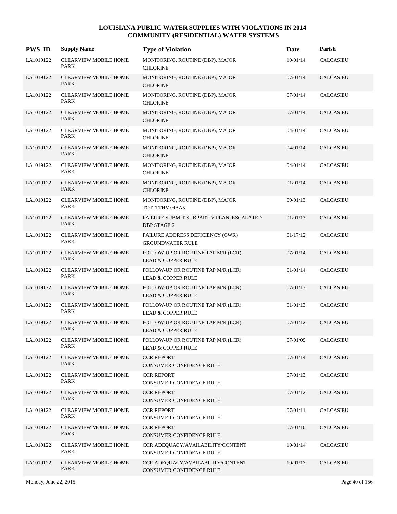| <b>PWS ID</b> | <b>Supply Name</b>                          | <b>Type of Violation</b>                                            | Date     | Parish               |
|---------------|---------------------------------------------|---------------------------------------------------------------------|----------|----------------------|
| LA1019122     | <b>CLEARVIEW MOBILE HOME</b><br>PARK        | MONITORING, ROUTINE (DBP), MAJOR<br><b>CHLORINE</b>                 | 10/01/14 | <b>CALCASIEU</b>     |
| LA1019122     | <b>CLEARVIEW MOBILE HOME</b><br>PARK        | MONITORING, ROUTINE (DBP), MAJOR<br><b>CHLORINE</b>                 | 07/01/14 | <b>CALCASIEU</b>     |
| LA1019122     | <b>CLEARVIEW MOBILE HOME</b><br>PARK        | MONITORING, ROUTINE (DBP), MAJOR<br><b>CHLORINE</b>                 | 07/01/14 | <b>CALCASIEU</b>     |
| LA1019122     | <b>CLEARVIEW MOBILE HOME</b><br>PARK        | MONITORING, ROUTINE (DBP), MAJOR<br><b>CHLORINE</b>                 | 07/01/14 | <b>CALCASIEU</b>     |
| LA1019122     | <b>CLEARVIEW MOBILE HOME</b><br>PARK        | MONITORING, ROUTINE (DBP), MAJOR<br><b>CHLORINE</b>                 | 04/01/14 | <b>CALCASIEU</b>     |
| LA1019122     | <b>CLEARVIEW MOBILE HOME</b><br><b>PARK</b> | MONITORING, ROUTINE (DBP), MAJOR<br><b>CHLORINE</b>                 | 04/01/14 | CALCASIEU            |
| LA1019122     | <b>CLEARVIEW MOBILE HOME</b><br><b>PARK</b> | MONITORING, ROUTINE (DBP), MAJOR<br><b>CHLORINE</b>                 | 04/01/14 | <b>CALCASIEU</b>     |
| LA1019122     | <b>CLEARVIEW MOBILE HOME</b><br>PARK        | MONITORING, ROUTINE (DBP), MAJOR<br><b>CHLORINE</b>                 | 01/01/14 | <b>CALCASIEU</b>     |
| LA1019122     | <b>CLEARVIEW MOBILE HOME</b><br>PARK        | MONITORING, ROUTINE (DBP), MAJOR<br>TOT_TTHM/HAA5                   | 09/01/13 | <b>CALCASIEU</b>     |
| LA1019122     | CLEARVIEW MOBILE HOME<br><b>PARK</b>        | FAILURE SUBMIT SUBPART V PLAN, ESCALATED<br><b>DBP STAGE 2</b>      | 01/01/13 | <b>CALCASIEU</b>     |
| LA1019122     | <b>CLEARVIEW MOBILE HOME</b><br>PARK        | FAILURE ADDRESS DEFICIENCY (GWR)<br><b>GROUNDWATER RULE</b>         | 01/17/12 | <b>CALCASIEU</b>     |
| LA1019122     | <b>CLEARVIEW MOBILE HOME</b><br>PARK        | FOLLOW-UP OR ROUTINE TAP M/R (LCR)<br><b>LEAD &amp; COPPER RULE</b> | 07/01/14 | <b>CALCASIEU</b>     |
| LA1019122     | <b>CLEARVIEW MOBILE HOME</b><br>PARK        | FOLLOW-UP OR ROUTINE TAP M/R (LCR)<br><b>LEAD &amp; COPPER RULE</b> | 01/01/14 | <b>CALCASIEU</b>     |
| LA1019122     | CLEARVIEW MOBILE HOME<br>PARK               | FOLLOW-UP OR ROUTINE TAP M/R (LCR)<br><b>LEAD &amp; COPPER RULE</b> | 07/01/13 | CALCASIEU            |
| LA1019122     | <b>CLEARVIEW MOBILE HOME</b><br>PARK        | FOLLOW-UP OR ROUTINE TAP M/R (LCR)<br><b>LEAD &amp; COPPER RULE</b> | 01/01/13 | <b>CALCASIEU</b>     |
| LA1019122     | <b>CLEARVIEW MOBILE HOME</b><br><b>PARK</b> | FOLLOW-UP OR ROUTINE TAP M/R (LCR)<br><b>LEAD &amp; COPPER RULE</b> | 07/01/12 | CALCASIEU            |
| LA1019122     | <b>CLEARVIEW MOBILE HOME</b><br>PARK        | FOLLOW-UP OR ROUTINE TAP M/R (LCR)<br><b>LEAD &amp; COPPER RULE</b> | 07/01/09 | <b>CALCASIEU</b>     |
| LA1019122     | <b>CLEARVIEW MOBILE HOME</b><br>PARK        | <b>CCR REPORT</b><br>CONSUMER CONFIDENCE RULE                       | 07/01/14 | <b>CALCASIEU</b>     |
| LA1019122     | <b>CLEARVIEW MOBILE HOME</b><br>PARK        | <b>CCR REPORT</b><br>CONSUMER CONFIDENCE RULE                       | 07/01/13 | CALCASIEU            |
| LA1019122     | <b>CLEARVIEW MOBILE HOME</b><br>PARK        | <b>CCR REPORT</b><br>CONSUMER CONFIDENCE RULE                       | 07/01/12 | <b>CALCASIEU</b>     |
| LA1019122     | <b>CLEARVIEW MOBILE HOME</b><br>PARK        | <b>CCR REPORT</b><br>CONSUMER CONFIDENCE RULE                       | 07/01/11 | $\mathsf{CALCASIEU}$ |
| LA1019122     | <b>CLEARVIEW MOBILE HOME</b><br>PARK        | <b>CCR REPORT</b><br>CONSUMER CONFIDENCE RULE                       | 07/01/10 | <b>CALCASIEU</b>     |
| LA1019122     | <b>CLEARVIEW MOBILE HOME</b><br>PARK        | CCR ADEQUACY/AVAILABILITY/CONTENT<br>CONSUMER CONFIDENCE RULE       | 10/01/14 | CALCASIEU            |
| LA1019122     | CLEARVIEW MOBILE HOME<br>PARK               | CCR ADEQUACY/AVAILABILITY/CONTENT<br>CONSUMER CONFIDENCE RULE       | 10/01/13 | <b>CALCASIEU</b>     |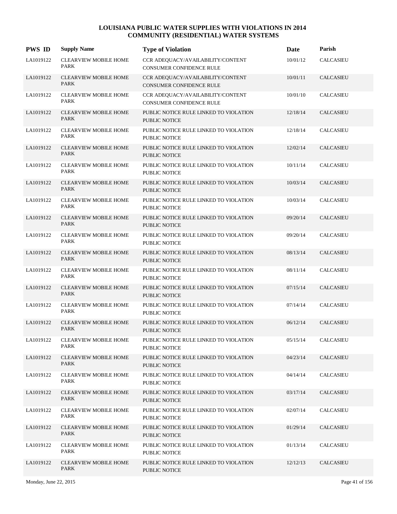| <b>PWS ID</b> | <b>Supply Name</b>                          | <b>Type of Violation</b>                                             | Date     | Parish           |
|---------------|---------------------------------------------|----------------------------------------------------------------------|----------|------------------|
| LA1019122     | <b>CLEARVIEW MOBILE HOME</b><br>PARK        | CCR ADEQUACY/AVAILABILITY/CONTENT<br><b>CONSUMER CONFIDENCE RULE</b> | 10/01/12 | <b>CALCASIEU</b> |
| LA1019122     | <b>CLEARVIEW MOBILE HOME</b><br>PARK        | CCR ADEQUACY/AVAILABILITY/CONTENT<br><b>CONSUMER CONFIDENCE RULE</b> | 10/01/11 | <b>CALCASIEU</b> |
| LA1019122     | <b>CLEARVIEW MOBILE HOME</b><br><b>PARK</b> | CCR ADEQUACY/AVAILABILITY/CONTENT<br><b>CONSUMER CONFIDENCE RULE</b> | 10/01/10 | <b>CALCASIEU</b> |
| LA1019122     | <b>CLEARVIEW MOBILE HOME</b><br>PARK        | PUBLIC NOTICE RULE LINKED TO VIOLATION<br><b>PUBLIC NOTICE</b>       | 12/18/14 | <b>CALCASIEU</b> |
| LA1019122     | <b>CLEARVIEW MOBILE HOME</b><br>PARK        | PUBLIC NOTICE RULE LINKED TO VIOLATION<br>PUBLIC NOTICE              | 12/18/14 | <b>CALCASIEU</b> |
| LA1019122     | <b>CLEARVIEW MOBILE HOME</b><br><b>PARK</b> | PUBLIC NOTICE RULE LINKED TO VIOLATION<br>PUBLIC NOTICE              | 12/02/14 | <b>CALCASIEU</b> |
| LA1019122     | <b>CLEARVIEW MOBILE HOME</b><br><b>PARK</b> | PUBLIC NOTICE RULE LINKED TO VIOLATION<br><b>PUBLIC NOTICE</b>       | 10/11/14 | <b>CALCASIEU</b> |
| LA1019122     | <b>CLEARVIEW MOBILE HOME</b><br>PARK        | PUBLIC NOTICE RULE LINKED TO VIOLATION<br><b>PUBLIC NOTICE</b>       | 10/03/14 | <b>CALCASIEU</b> |
| LA1019122     | <b>CLEARVIEW MOBILE HOME</b><br>PARK        | PUBLIC NOTICE RULE LINKED TO VIOLATION<br><b>PUBLIC NOTICE</b>       | 10/03/14 | <b>CALCASIEU</b> |
| LA1019122     | <b>CLEARVIEW MOBILE HOME</b><br><b>PARK</b> | PUBLIC NOTICE RULE LINKED TO VIOLATION<br><b>PUBLIC NOTICE</b>       | 09/20/14 | <b>CALCASIEU</b> |
| LA1019122     | <b>CLEARVIEW MOBILE HOME</b><br>PARK        | PUBLIC NOTICE RULE LINKED TO VIOLATION<br><b>PUBLIC NOTICE</b>       | 09/20/14 | CALCASIEU        |
| LA1019122     | <b>CLEARVIEW MOBILE HOME</b><br>PARK        | PUBLIC NOTICE RULE LINKED TO VIOLATION<br><b>PUBLIC NOTICE</b>       | 08/13/14 | <b>CALCASIEU</b> |
| LA1019122     | <b>CLEARVIEW MOBILE HOME</b><br>PARK        | PUBLIC NOTICE RULE LINKED TO VIOLATION<br><b>PUBLIC NOTICE</b>       | 08/11/14 | <b>CALCASIEU</b> |
| LA1019122     | <b>CLEARVIEW MOBILE HOME</b><br><b>PARK</b> | PUBLIC NOTICE RULE LINKED TO VIOLATION<br><b>PUBLIC NOTICE</b>       | 07/15/14 | <b>CALCASIEU</b> |
| LA1019122     | <b>CLEARVIEW MOBILE HOME</b><br>PARK        | PUBLIC NOTICE RULE LINKED TO VIOLATION<br><b>PUBLIC NOTICE</b>       | 07/14/14 | <b>CALCASIEU</b> |
| LA1019122     | <b>CLEARVIEW MOBILE HOME</b><br><b>PARK</b> | PUBLIC NOTICE RULE LINKED TO VIOLATION<br><b>PUBLIC NOTICE</b>       | 06/12/14 | CALCASIEU        |
| LA1019122     | <b>CLEARVIEW MOBILE HOME</b><br>PARK        | PUBLIC NOTICE RULE LINKED TO VIOLATION<br><b>PUBLIC NOTICE</b>       | 05/15/14 | <b>CALCASIEU</b> |
| LA1019122     | <b>CLEARVIEW MOBILE HOME</b><br>PARK        | PUBLIC NOTICE RULE LINKED TO VIOLATION<br><b>PUBLIC NOTICE</b>       | 04/23/14 | <b>CALCASIEU</b> |
| LA1019122     | <b>CLEARVIEW MOBILE HOME</b><br>PARK        | PUBLIC NOTICE RULE LINKED TO VIOLATION<br><b>PUBLIC NOTICE</b>       | 04/14/14 | <b>CALCASIEU</b> |
| LA1019122     | <b>CLEARVIEW MOBILE HOME</b><br>PARK        | PUBLIC NOTICE RULE LINKED TO VIOLATION<br>PUBLIC NOTICE              | 03/17/14 | CALCASIEU        |
| LA1019122     | <b>CLEARVIEW MOBILE HOME</b><br>PARK        | PUBLIC NOTICE RULE LINKED TO VIOLATION<br>PUBLIC NOTICE              | 02/07/14 | <b>CALCASIEU</b> |
| LA1019122     | <b>CLEARVIEW MOBILE HOME</b><br>PARK        | PUBLIC NOTICE RULE LINKED TO VIOLATION<br>PUBLIC NOTICE              | 01/29/14 | CALCASIEU        |
| LA1019122     | <b>CLEARVIEW MOBILE HOME</b><br>PARK        | PUBLIC NOTICE RULE LINKED TO VIOLATION<br><b>PUBLIC NOTICE</b>       | 01/13/14 | <b>CALCASIEU</b> |
| LA1019122     | <b>CLEARVIEW MOBILE HOME</b><br>PARK        | PUBLIC NOTICE RULE LINKED TO VIOLATION<br>PUBLIC NOTICE              | 12/12/13 | CALCASIEU        |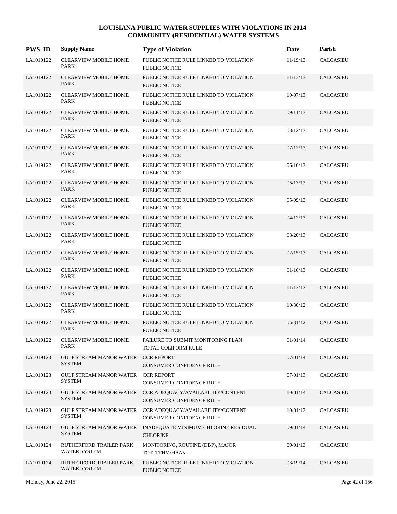| <b>PWS ID</b> | <b>Supply Name</b>                              | <b>Type of Violation</b>                                       | Date     | Parish               |
|---------------|-------------------------------------------------|----------------------------------------------------------------|----------|----------------------|
| LA1019122     | <b>CLEARVIEW MOBILE HOME</b><br>PARK            | PUBLIC NOTICE RULE LINKED TO VIOLATION<br>PUBLIC NOTICE        | 11/19/13 | <b>CALCASIEU</b>     |
| LA1019122     | <b>CLEARVIEW MOBILE HOME</b><br>PARK            | PUBLIC NOTICE RULE LINKED TO VIOLATION<br>PUBLIC NOTICE        | 11/13/13 | <b>CALCASIEU</b>     |
| LA1019122     | <b>CLEARVIEW MOBILE HOME</b><br><b>PARK</b>     | PUBLIC NOTICE RULE LINKED TO VIOLATION<br><b>PUBLIC NOTICE</b> | 10/07/13 | <b>CALCASIEU</b>     |
| LA1019122     | <b>CLEARVIEW MOBILE HOME</b><br>PARK            | PUBLIC NOTICE RULE LINKED TO VIOLATION<br><b>PUBLIC NOTICE</b> | 09/11/13 | <b>CALCASIEU</b>     |
| LA1019122     | <b>CLEARVIEW MOBILE HOME</b><br>PARK            | PUBLIC NOTICE RULE LINKED TO VIOLATION<br>PUBLIC NOTICE        | 08/12/13 | <b>CALCASIEU</b>     |
| LA1019122     | <b>CLEARVIEW MOBILE HOME</b><br><b>PARK</b>     | PUBLIC NOTICE RULE LINKED TO VIOLATION<br>PUBLIC NOTICE        | 07/12/13 | <b>CALCASIEU</b>     |
| LA1019122     | <b>CLEARVIEW MOBILE HOME</b><br><b>PARK</b>     | PUBLIC NOTICE RULE LINKED TO VIOLATION<br>PUBLIC NOTICE        | 06/10/13 | <b>CALCASIEU</b>     |
| LA1019122     | <b>CLEARVIEW MOBILE HOME</b><br>PARK            | PUBLIC NOTICE RULE LINKED TO VIOLATION<br><b>PUBLIC NOTICE</b> | 05/13/13 | <b>CALCASIEU</b>     |
| LA1019122     | <b>CLEARVIEW MOBILE HOME</b><br>PARK            | PUBLIC NOTICE RULE LINKED TO VIOLATION<br><b>PUBLIC NOTICE</b> | 05/09/13 | <b>CALCASIEU</b>     |
| LA1019122     | CLEARVIEW MOBILE HOME<br><b>PARK</b>            | PUBLIC NOTICE RULE LINKED TO VIOLATION<br><b>PUBLIC NOTICE</b> | 04/12/13 | CALCASIEU            |
| LA1019122     | <b>CLEARVIEW MOBILE HOME</b><br>PARK            | PUBLIC NOTICE RULE LINKED TO VIOLATION<br><b>PUBLIC NOTICE</b> | 03/20/13 | <b>CALCASIEU</b>     |
| LA1019122     | <b>CLEARVIEW MOBILE HOME</b><br>PARK            | PUBLIC NOTICE RULE LINKED TO VIOLATION<br><b>PUBLIC NOTICE</b> | 02/15/13 | <b>CALCASIEU</b>     |
| LA1019122     | <b>CLEARVIEW MOBILE HOME</b><br>PARK            | PUBLIC NOTICE RULE LINKED TO VIOLATION<br><b>PUBLIC NOTICE</b> | 01/16/13 | <b>CALCASIEU</b>     |
| LA1019122     | <b>CLEARVIEW MOBILE HOME</b><br><b>PARK</b>     | PUBLIC NOTICE RULE LINKED TO VIOLATION<br><b>PUBLIC NOTICE</b> | 11/12/12 | <b>CALCASIEU</b>     |
| LA1019122     | <b>CLEARVIEW MOBILE HOME</b><br>PARK            | PUBLIC NOTICE RULE LINKED TO VIOLATION<br><b>PUBLIC NOTICE</b> | 10/30/12 | <b>CALCASIEU</b>     |
| LA1019122     | <b>CLEARVIEW MOBILE HOME</b><br><b>PARK</b>     | PUBLIC NOTICE RULE LINKED TO VIOLATION<br><b>PUBLIC NOTICE</b> | 05/31/12 | CALCASIEU            |
| LA1019122     | <b>CLEARVIEW MOBILE HOME</b><br>PARK            | FAILURE TO SUBMIT MONITORING PLAN<br>TOTAL COLIFORM RULE       | 01/01/14 | <b>CALCASIEU</b>     |
| LA1019123     | GULF STREAM MANOR WATER<br><b>SYSTEM</b>        | <b>CCR REPORT</b><br>CONSUMER CONFIDENCE RULE                  | 07/01/14 | <b>CALCASIEU</b>     |
| LA1019123     | GULF STREAM MANOR WATER<br><b>SYSTEM</b>        | <b>CCR REPORT</b><br>CONSUMER CONFIDENCE RULE                  | 07/01/13 | CALCASIEU            |
| LA1019123     | GULF STREAM MANOR WATER<br><b>SYSTEM</b>        | CCR ADEQUACY/AVAILABILITY/CONTENT<br>CONSUMER CONFIDENCE RULE  | 10/01/14 | <b>CALCASIEU</b>     |
| LA1019123     | GULF STREAM MANOR WATER<br><b>SYSTEM</b>        | CCR ADEQUACY/AVAILABILITY/CONTENT<br>CONSUMER CONFIDENCE RULE  | 10/01/13 | $\mathsf{CALCASIEU}$ |
| LA1019123     | <b>GULF STREAM MANOR WATER</b><br><b>SYSTEM</b> | INADEQUATE MINIMUM CHLORINE RESIDUAL<br><b>CHLORINE</b>        | 09/01/14 | <b>CALCASIEU</b>     |
| LA1019124     | RUTHERFORD TRAILER PARK<br>WATER SYSTEM         | MONITORING, ROUTINE (DBP), MAJOR<br>TOT_TTHM/HAA5              | 09/01/13 | CALCASIEU            |
| LA1019124     | RUTHERFORD TRAILER PARK<br>WATER SYSTEM         | PUBLIC NOTICE RULE LINKED TO VIOLATION<br>PUBLIC NOTICE        | 03/19/14 | <b>CALCASIEU</b>     |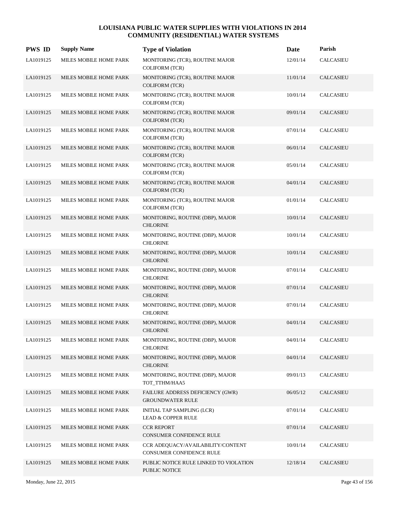| <b>PWS ID</b> | <b>Supply Name</b>     | <b>Type of Violation</b>                                           | Date     | Parish           |
|---------------|------------------------|--------------------------------------------------------------------|----------|------------------|
| LA1019125     | MILES MOBILE HOME PARK | MONITORING (TCR), ROUTINE MAJOR<br><b>COLIFORM (TCR)</b>           | 12/01/14 | <b>CALCASIEU</b> |
| LA1019125     | MILES MOBILE HOME PARK | MONITORING (TCR), ROUTINE MAJOR<br><b>COLIFORM (TCR)</b>           | 11/01/14 | <b>CALCASIEU</b> |
| LA1019125     | MILES MOBILE HOME PARK | MONITORING (TCR), ROUTINE MAJOR<br><b>COLIFORM (TCR)</b>           | 10/01/14 | <b>CALCASIEU</b> |
| LA1019125     | MILES MOBILE HOME PARK | MONITORING (TCR), ROUTINE MAJOR<br><b>COLIFORM (TCR)</b>           | 09/01/14 | <b>CALCASIEU</b> |
| LA1019125     | MILES MOBILE HOME PARK | MONITORING (TCR), ROUTINE MAJOR<br>COLIFORM (TCR)                  | 07/01/14 | <b>CALCASIEU</b> |
| LA1019125     | MILES MOBILE HOME PARK | MONITORING (TCR), ROUTINE MAJOR<br><b>COLIFORM (TCR)</b>           | 06/01/14 | <b>CALCASIEU</b> |
| LA1019125     | MILES MOBILE HOME PARK | MONITORING (TCR), ROUTINE MAJOR<br><b>COLIFORM (TCR)</b>           | 05/01/14 | CALCASIEU        |
| LA1019125     | MILES MOBILE HOME PARK | MONITORING (TCR), ROUTINE MAJOR<br><b>COLIFORM (TCR)</b>           | 04/01/14 | <b>CALCASIEU</b> |
| LA1019125     | MILES MOBILE HOME PARK | MONITORING (TCR), ROUTINE MAJOR<br><b>COLIFORM (TCR)</b>           | 01/01/14 | CALCASIEU        |
| LA1019125     | MILES MOBILE HOME PARK | MONITORING, ROUTINE (DBP), MAJOR<br><b>CHLORINE</b>                | 10/01/14 | <b>CALCASIEU</b> |
| LA1019125     | MILES MOBILE HOME PARK | MONITORING, ROUTINE (DBP), MAJOR<br><b>CHLORINE</b>                | 10/01/14 | <b>CALCASIEU</b> |
| LA1019125     | MILES MOBILE HOME PARK | MONITORING, ROUTINE (DBP), MAJOR<br><b>CHLORINE</b>                | 10/01/14 | <b>CALCASIEU</b> |
| LA1019125     | MILES MOBILE HOME PARK | MONITORING, ROUTINE (DBP), MAJOR<br><b>CHLORINE</b>                | 07/01/14 | <b>CALCASIEU</b> |
| LA1019125     | MILES MOBILE HOME PARK | MONITORING, ROUTINE (DBP), MAJOR<br><b>CHLORINE</b>                | 07/01/14 | <b>CALCASIEU</b> |
| LA1019125     | MILES MOBILE HOME PARK | MONITORING, ROUTINE (DBP), MAJOR<br><b>CHLORINE</b>                | 07/01/14 | CALCASIEU        |
| LA1019125     | MILES MOBILE HOME PARK | MONITORING, ROUTINE (DBP), MAJOR<br><b>CHLORINE</b>                | 04/01/14 | <b>CALCASIEU</b> |
| LA1019125     | MILES MOBILE HOME PARK | MONITORING, ROUTINE (DBP), MAJOR<br><b>CHLORINE</b>                | 04/01/14 | <b>CALCASIEU</b> |
| LA1019125     | MILES MOBILE HOME PARK | MONITORING, ROUTINE (DBP), MAJOR<br><b>CHLORINE</b>                | 04/01/14 | <b>CALCASIEU</b> |
| LA1019125     | MILES MOBILE HOME PARK | MONITORING, ROUTINE (DBP), MAJOR<br>TOT TTHM/HAA5                  | 09/01/13 | <b>CALCASIEU</b> |
| LA1019125     | MILES MOBILE HOME PARK | FAILURE ADDRESS DEFICIENCY (GWR)<br><b>GROUNDWATER RULE</b>        | 06/05/12 | <b>CALCASIEU</b> |
| LA1019125     | MILES MOBILE HOME PARK | <b>INITIAL TAP SAMPLING (LCR)</b><br><b>LEAD &amp; COPPER RULE</b> | 07/01/14 | <b>CALCASIEU</b> |
| LA1019125     | MILES MOBILE HOME PARK | <b>CCR REPORT</b><br>CONSUMER CONFIDENCE RULE                      | 07/01/14 | <b>CALCASIEU</b> |
| LA1019125     | MILES MOBILE HOME PARK | CCR ADEQUACY/AVAILABILITY/CONTENT<br>CONSUMER CONFIDENCE RULE      | 10/01/14 | CALCASIEU        |
| LA1019125     | MILES MOBILE HOME PARK | PUBLIC NOTICE RULE LINKED TO VIOLATION<br>PUBLIC NOTICE            | 12/18/14 | <b>CALCASIEU</b> |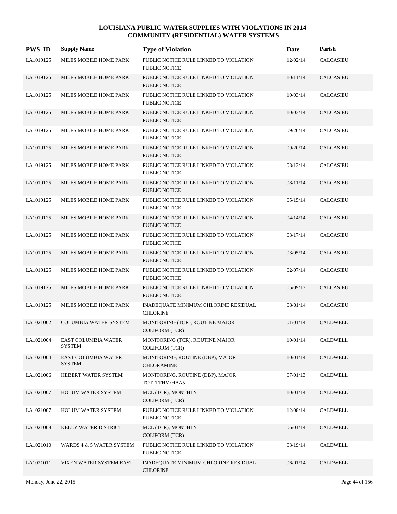| <b>PWS ID</b> | <b>Supply Name</b>                   | <b>Type of Violation</b>                                       | Date     | Parish           |
|---------------|--------------------------------------|----------------------------------------------------------------|----------|------------------|
| LA1019125     | MILES MOBILE HOME PARK               | PUBLIC NOTICE RULE LINKED TO VIOLATION<br>PUBLIC NOTICE        | 12/02/14 | <b>CALCASIEU</b> |
| LA1019125     | MILES MOBILE HOME PARK               | PUBLIC NOTICE RULE LINKED TO VIOLATION<br><b>PUBLIC NOTICE</b> | 10/11/14 | CALCASIEU        |
| LA1019125     | MILES MOBILE HOME PARK               | PUBLIC NOTICE RULE LINKED TO VIOLATION<br>PUBLIC NOTICE        | 10/03/14 | <b>CALCASIEU</b> |
| LA1019125     | MILES MOBILE HOME PARK               | PUBLIC NOTICE RULE LINKED TO VIOLATION<br>PUBLIC NOTICE        | 10/03/14 | <b>CALCASIEU</b> |
| LA1019125     | MILES MOBILE HOME PARK               | PUBLIC NOTICE RULE LINKED TO VIOLATION<br>PUBLIC NOTICE        | 09/20/14 | <b>CALCASIEU</b> |
| LA1019125     | MILES MOBILE HOME PARK               | PUBLIC NOTICE RULE LINKED TO VIOLATION<br><b>PUBLIC NOTICE</b> | 09/20/14 | CALCASIEU        |
| LA1019125     | MILES MOBILE HOME PARK               | PUBLIC NOTICE RULE LINKED TO VIOLATION<br><b>PUBLIC NOTICE</b> | 08/13/14 | <b>CALCASIEU</b> |
| LA1019125     | MILES MOBILE HOME PARK               | PUBLIC NOTICE RULE LINKED TO VIOLATION<br><b>PUBLIC NOTICE</b> | 08/11/14 | <b>CALCASIEU</b> |
| LA1019125     | MILES MOBILE HOME PARK               | PUBLIC NOTICE RULE LINKED TO VIOLATION<br>PUBLIC NOTICE        | 05/15/14 | <b>CALCASIEU</b> |
| LA1019125     | MILES MOBILE HOME PARK               | PUBLIC NOTICE RULE LINKED TO VIOLATION<br><b>PUBLIC NOTICE</b> | 04/14/14 | <b>CALCASIEU</b> |
| LA1019125     | MILES MOBILE HOME PARK               | PUBLIC NOTICE RULE LINKED TO VIOLATION<br>PUBLIC NOTICE        | 03/17/14 | <b>CALCASIEU</b> |
| LA1019125     | MILES MOBILE HOME PARK               | PUBLIC NOTICE RULE LINKED TO VIOLATION<br>PUBLIC NOTICE        | 03/05/14 | <b>CALCASIEU</b> |
| LA1019125     | MILES MOBILE HOME PARK               | PUBLIC NOTICE RULE LINKED TO VIOLATION<br>PUBLIC NOTICE        | 02/07/14 | <b>CALCASIEU</b> |
| LA1019125     | MILES MOBILE HOME PARK               | PUBLIC NOTICE RULE LINKED TO VIOLATION<br><b>PUBLIC NOTICE</b> | 05/09/13 | <b>CALCASIEU</b> |
| LA1019125     | MILES MOBILE HOME PARK               | INADEQUATE MINIMUM CHLORINE RESIDUAL<br><b>CHLORINE</b>        | 08/01/14 | <b>CALCASIEU</b> |
| LA1021002     | <b>COLUMBIA WATER SYSTEM</b>         | MONITORING (TCR), ROUTINE MAJOR<br><b>COLIFORM (TCR)</b>       | 01/01/14 | <b>CALDWELL</b>  |
| LA1021004     | EAST COLUMBIA WATER<br><b>SYSTEM</b> | MONITORING (TCR), ROUTINE MAJOR<br><b>COLIFORM (TCR)</b>       | 10/01/14 | CALDWELL         |
| LA1021004     | <b>EAST COLUMBIA WATER</b><br>SYSTEM | MONITORING, ROUTINE (DBP), MAJOR<br>CHLORAMINE                 | 10/01/14 | CALDWELL         |
| LA1021006     | HEBERT WATER SYSTEM                  | MONITORING, ROUTINE (DBP), MAJOR<br>TOT TTHM/HAA5              | 07/01/13 | <b>CALDWELL</b>  |
| LA1021007     | <b>HOLUM WATER SYSTEM</b>            | MCL (TCR), MONTHLY<br><b>COLIFORM (TCR)</b>                    | 10/01/14 | CALDWELL         |
| LA1021007     | HOLUM WATER SYSTEM                   | PUBLIC NOTICE RULE LINKED TO VIOLATION<br>PUBLIC NOTICE        | 12/08/14 | CALDWELL         |
| LA1021008     | KELLY WATER DISTRICT                 | MCL (TCR), MONTHLY<br>COLIFORM (TCR)                           | 06/01/14 | <b>CALDWELL</b>  |
| LA1021010     | WARDS 4 & 5 WATER SYSTEM             | PUBLIC NOTICE RULE LINKED TO VIOLATION<br>PUBLIC NOTICE        | 03/19/14 | CALDWELL         |
| LA1021011     | VIXEN WATER SYSTEM EAST              | INADEQUATE MINIMUM CHLORINE RESIDUAL<br><b>CHLORINE</b>        | 06/01/14 | CALDWELL         |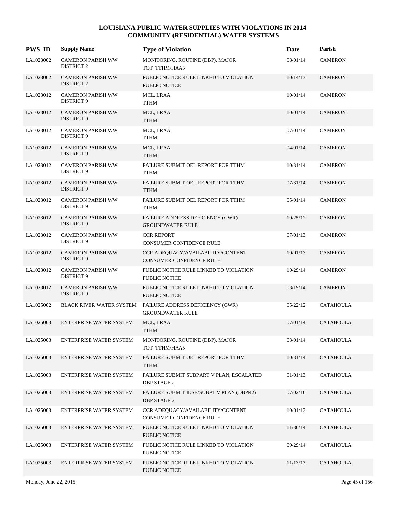| <b>PWS ID</b> | <b>Supply Name</b>                            | <b>Type of Violation</b>                                             | Date     | Parish           |
|---------------|-----------------------------------------------|----------------------------------------------------------------------|----------|------------------|
| LA1023002     | <b>CAMERON PARISH WW</b><br><b>DISTRICT 2</b> | MONITORING, ROUTINE (DBP), MAJOR<br>TOT TTHM/HAA5                    | 08/01/14 | <b>CAMERON</b>   |
| LA1023002     | <b>CAMERON PARISH WW</b><br><b>DISTRICT 2</b> | PUBLIC NOTICE RULE LINKED TO VIOLATION<br><b>PUBLIC NOTICE</b>       | 10/14/13 | <b>CAMERON</b>   |
| LA1023012     | <b>CAMERON PARISH WW</b><br><b>DISTRICT 9</b> | MCL, LRAA<br><b>TTHM</b>                                             | 10/01/14 | <b>CAMERON</b>   |
| LA1023012     | <b>CAMERON PARISH WW</b><br>DISTRICT 9        | MCL, LRAA<br><b>TTHM</b>                                             | 10/01/14 | <b>CAMERON</b>   |
| LA1023012     | <b>CAMERON PARISH WW</b><br>DISTRICT 9        | MCL, LRAA<br><b>TTHM</b>                                             | 07/01/14 | <b>CAMERON</b>   |
| LA1023012     | <b>CAMERON PARISH WW</b><br><b>DISTRICT 9</b> | MCL, LRAA<br><b>TTHM</b>                                             | 04/01/14 | <b>CAMERON</b>   |
| LA1023012     | <b>CAMERON PARISH WW</b><br><b>DISTRICT 9</b> | FAILURE SUBMIT OEL REPORT FOR TTHM<br><b>TTHM</b>                    | 10/31/14 | <b>CAMERON</b>   |
| LA1023012     | <b>CAMERON PARISH WW</b><br><b>DISTRICT 9</b> | FAILURE SUBMIT OEL REPORT FOR TTHM<br><b>TTHM</b>                    | 07/31/14 | <b>CAMERON</b>   |
| LA1023012     | <b>CAMERON PARISH WW</b><br><b>DISTRICT 9</b> | FAILURE SUBMIT OEL REPORT FOR TTHM<br><b>TTHM</b>                    | 05/01/14 | <b>CAMERON</b>   |
| LA1023012     | <b>CAMERON PARISH WW</b><br><b>DISTRICT 9</b> | FAILURE ADDRESS DEFICIENCY (GWR)<br><b>GROUNDWATER RULE</b>          | 10/25/12 | <b>CAMERON</b>   |
| LA1023012     | <b>CAMERON PARISH WW</b><br><b>DISTRICT 9</b> | <b>CCR REPORT</b><br>CONSUMER CONFIDENCE RULE                        | 07/01/13 | <b>CAMERON</b>   |
| LA1023012     | <b>CAMERON PARISH WW</b><br><b>DISTRICT 9</b> | CCR ADEQUACY/AVAILABILITY/CONTENT<br><b>CONSUMER CONFIDENCE RULE</b> | 10/01/13 | <b>CAMERON</b>   |
| LA1023012     | <b>CAMERON PARISH WW</b><br><b>DISTRICT 9</b> | PUBLIC NOTICE RULE LINKED TO VIOLATION<br>PUBLIC NOTICE              | 10/29/14 | <b>CAMERON</b>   |
| LA1023012     | <b>CAMERON PARISH WW</b><br><b>DISTRICT 9</b> | PUBLIC NOTICE RULE LINKED TO VIOLATION<br>PUBLIC NOTICE              | 03/19/14 | <b>CAMERON</b>   |
| LA1025002     | BLACK RIVER WATER SYSTEM                      | FAILURE ADDRESS DEFICIENCY (GWR)<br><b>GROUNDWATER RULE</b>          | 05/22/12 | <b>CATAHOULA</b> |
| LA1025003     | <b>ENTERPRISE WATER SYSTEM</b>                | MCL, LRAA<br><b>TTHM</b>                                             | 07/01/14 | <b>CATAHOULA</b> |
| LA1025003     | ENTERPRISE WATER SYSTEM                       | MONITORING, ROUTINE (DBP), MAJOR<br>TOT_TTHM/HAA5                    | 03/01/14 | <b>CATAHOULA</b> |
| LA1025003     | ENTERPRISE WATER SYSTEM                       | FAILURE SUBMIT OEL REPORT FOR TTHM<br><b>TTHM</b>                    | 10/31/14 | <b>CATAHOULA</b> |
| LA1025003     | ENTERPRISE WATER SYSTEM                       | FAILURE SUBMIT SUBPART V PLAN, ESCALATED<br><b>DBP STAGE 2</b>       | 01/01/13 | <b>CATAHOULA</b> |
| LA1025003     | <b>ENTERPRISE WATER SYSTEM</b>                | FAILURE SUBMIT IDSE/SUBPT V PLAN (DBPR2)<br><b>DBP STAGE 2</b>       | 07/02/10 | <b>CATAHOULA</b> |
| LA1025003     | ENTERPRISE WATER SYSTEM                       | CCR ADEQUACY/AVAILABILITY/CONTENT<br>CONSUMER CONFIDENCE RULE        | 10/01/13 | <b>CATAHOULA</b> |
| LA1025003     | ENTERPRISE WATER SYSTEM                       | PUBLIC NOTICE RULE LINKED TO VIOLATION<br><b>PUBLIC NOTICE</b>       | 11/30/14 | <b>CATAHOULA</b> |
| LA1025003     | ENTERPRISE WATER SYSTEM                       | PUBLIC NOTICE RULE LINKED TO VIOLATION<br>PUBLIC NOTICE              | 09/29/14 | <b>CATAHOULA</b> |
| LA1025003     | ENTERPRISE WATER SYSTEM                       | PUBLIC NOTICE RULE LINKED TO VIOLATION<br>PUBLIC NOTICE              | 11/13/13 | <b>CATAHOULA</b> |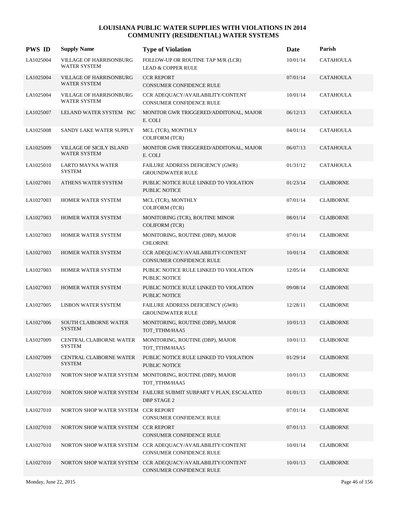| <b>PWS ID</b> | <b>Supply Name</b>                                    | <b>Type of Violation</b>                                                                | Date     | Parish           |
|---------------|-------------------------------------------------------|-----------------------------------------------------------------------------------------|----------|------------------|
| LA1025004     | <b>VILLAGE OF HARRISONBURG</b><br><b>WATER SYSTEM</b> | FOLLOW-UP OR ROUTINE TAP M/R (LCR)<br><b>LEAD &amp; COPPER RULE</b>                     | 10/01/14 | <b>CATAHOULA</b> |
| LA1025004     | <b>VILLAGE OF HARRISONBURG</b><br><b>WATER SYSTEM</b> | <b>CCR REPORT</b><br>CONSUMER CONFIDENCE RULE                                           | 07/01/14 | <b>CATAHOULA</b> |
| LA1025004     | VILLAGE OF HARRISONBURG<br>WATER SYSTEM               | CCR ADEQUACY/AVAILABILITY/CONTENT<br>CONSUMER CONFIDENCE RULE                           | 10/01/14 | <b>CATAHOULA</b> |
| LA1025007     | LELAND WATER SYSTEM INC                               | MONITOR GWR TRIGGERED/ADDITONAL, MAJOR<br>E. COLI                                       | 06/12/13 | <b>CATAHOULA</b> |
| LA1025008     | SANDY LAKE WATER SUPPLY                               | MCL (TCR), MONTHLY<br><b>COLIFORM (TCR)</b>                                             | 04/01/14 | <b>CATAHOULA</b> |
| LA1025009     | VILLAGE OF SICILY ISLAND<br><b>WATER SYSTEM</b>       | MONITOR GWR TRIGGERED/ADDITONAL, MAJOR<br>E. COLI                                       | 06/07/13 | <b>CATAHOULA</b> |
| LA1025010     | LARTO MAYNA WATER<br><b>SYSTEM</b>                    | FAILURE ADDRESS DEFICIENCY (GWR)<br><b>GROUNDWATER RULE</b>                             | 01/31/12 | <b>CATAHOULA</b> |
| LA1027001     | ATHENS WATER SYSTEM                                   | PUBLIC NOTICE RULE LINKED TO VIOLATION<br>PUBLIC NOTICE                                 | 01/23/14 | <b>CLAIBORNE</b> |
| LA1027003     | HOMER WATER SYSTEM                                    | MCL (TCR), MONTHLY<br><b>COLIFORM (TCR)</b>                                             | 07/01/14 | <b>CLAIBORNE</b> |
| LA1027003     | HOMER WATER SYSTEM                                    | MONITORING (TCR), ROUTINE MINOR<br><b>COLIFORM (TCR)</b>                                | 08/01/14 | <b>CLAIBORNE</b> |
| LA1027003     | HOMER WATER SYSTEM                                    | MONITORING, ROUTINE (DBP), MAJOR<br><b>CHLORINE</b>                                     | 07/01/14 | <b>CLAIBORNE</b> |
| LA1027003     | HOMER WATER SYSTEM                                    | CCR ADEQUACY/AVAILABILITY/CONTENT<br>CONSUMER CONFIDENCE RULE                           | 10/01/14 | <b>CLAIBORNE</b> |
| LA1027003     | HOMER WATER SYSTEM                                    | PUBLIC NOTICE RULE LINKED TO VIOLATION<br>PUBLIC NOTICE                                 | 12/05/14 | <b>CLAIBORNE</b> |
| LA1027003     | HOMER WATER SYSTEM                                    | PUBLIC NOTICE RULE LINKED TO VIOLATION<br><b>PUBLIC NOTICE</b>                          | 09/08/14 | <b>CLAIBORNE</b> |
| LA1027005     | <b>LISBON WATER SYSTEM</b>                            | FAILURE ADDRESS DEFICIENCY (GWR)<br><b>GROUNDWATER RULE</b>                             | 12/28/11 | <b>CLAIBORNE</b> |
| LA1027006     | <b>SOUTH CLAIBORNE WATER</b><br><b>SYSTEM</b>         | MONITORING, ROUTINE (DBP), MAJOR<br>TOT_TTHM/HAA5                                       | 10/01/13 | <b>CLAIBORNE</b> |
| LA1027009     | CENTRAL CLAIBORNE WATER<br><b>SYSTEM</b>              | MONITORING, ROUTINE (DBP), MAJOR<br>TOT_TTHM/HAA5                                       | 10/01/13 | <b>CLAIBORNE</b> |
| LA1027009     | CENTRAL CLAIBORNE WATER<br><b>SYSTEM</b>              | PUBLIC NOTICE RULE LINKED TO VIOLATION<br>PUBLIC NOTICE                                 | 01/29/14 | <b>CLAIBORNE</b> |
| LA1027010     |                                                       | NORTON SHOP WATER SYSTEM MONITORING, ROUTINE (DBP), MAJOR<br>TOT TTHM/HAA5              | 10/01/13 | <b>CLAIBORNE</b> |
| LA1027010     |                                                       | NORTON SHOP WATER SYSTEM FAILURE SUBMIT SUBPART V PLAN, ESCALATED<br><b>DBP STAGE 2</b> | 01/01/13 | <b>CLAIBORNE</b> |
| LA1027010     | NORTON SHOP WATER SYSTEM CCR REPORT                   | CONSUMER CONFIDENCE RULE                                                                | 07/01/14 | <b>CLAIBORNE</b> |
| LA1027010     | NORTON SHOP WATER SYSTEM CCR REPORT                   | CONSUMER CONFIDENCE RULE                                                                | 07/01/13 | <b>CLAIBORNE</b> |
| LA1027010     |                                                       | NORTON SHOP WATER SYSTEM CCR ADEQUACY/AVAILABILITY/CONTENT<br>CONSUMER CONFIDENCE RULE  | 10/01/14 | <b>CLAIBORNE</b> |
| LA1027010     |                                                       | NORTON SHOP WATER SYSTEM CCR ADEQUACY/AVAILABILITY/CONTENT<br>CONSUMER CONFIDENCE RULE  | 10/01/13 | <b>CLAIBORNE</b> |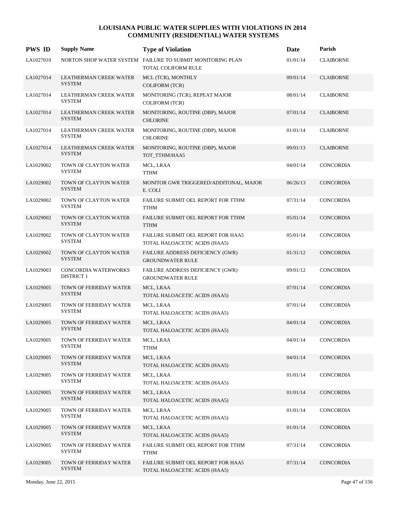| <b>PWS ID</b> | <b>Supply Name</b>                               | <b>Type of Violation</b>                                                          | Date     | Parish           |
|---------------|--------------------------------------------------|-----------------------------------------------------------------------------------|----------|------------------|
| LA1027010     |                                                  | NORTON SHOP WATER SYSTEM FAILURE TO SUBMIT MONITORING PLAN<br>TOTAL COLIFORM RULE | 01/01/14 | <b>CLAIBORNE</b> |
| LA1027014     | LEATHERMAN CREEK WATER<br><b>SYSTEM</b>          | MCL (TCR), MONTHLY<br><b>COLIFORM (TCR)</b>                                       | 09/01/14 | <b>CLAIBORNE</b> |
| LA1027014     | LEATHERMAN CREEK WATER<br><b>SYSTEM</b>          | MONITORING (TCR), REPEAT MAJOR<br><b>COLIFORM (TCR)</b>                           | 08/01/14 | <b>CLAIBORNE</b> |
| LA1027014     | LEATHERMAN CREEK WATER<br><b>SYSTEM</b>          | MONITORING, ROUTINE (DBP), MAJOR<br><b>CHLORINE</b>                               | 07/01/14 | <b>CLAIBORNE</b> |
| LA1027014     | LEATHERMAN CREEK WATER<br><b>SYSTEM</b>          | MONITORING, ROUTINE (DBP), MAJOR<br><b>CHLORINE</b>                               | 01/01/14 | <b>CLAIBORNE</b> |
| LA1027014     | <b>LEATHERMAN CREEK WATER</b><br><b>SYSTEM</b>   | MONITORING, ROUTINE (DBP), MAJOR<br>TOT_TTHM/HAA5                                 | 09/01/13 | <b>CLAIBORNE</b> |
| LA1029002     | TOWN OF CLAYTON WATER<br><b>SYSTEM</b>           | MCL, LRAA<br><b>TTHM</b>                                                          | 04/01/14 | <b>CONCORDIA</b> |
| LA1029002     | TOWN OF CLAYTON WATER<br><b>SYSTEM</b>           | MONITOR GWR TRIGGERED/ADDITONAL, MAJOR<br>E. COLI                                 | 06/26/13 | <b>CONCORDIA</b> |
| LA1029002     | TOWN OF CLAYTON WATER<br><b>SYSTEM</b>           | FAILURE SUBMIT OEL REPORT FOR TTHM<br><b>TTHM</b>                                 | 07/31/14 | <b>CONCORDIA</b> |
| LA1029002     | TOWN OF CLAYTON WATER<br><b>SYSTEM</b>           | FAILURE SUBMIT OEL REPORT FOR TTHM<br><b>TTHM</b>                                 | 05/01/14 | <b>CONCORDIA</b> |
| LA1029002     | TOWN OF CLAYTON WATER<br><b>SYSTEM</b>           | FAILURE SUBMIT OEL REPORT FOR HAA5<br>TOTAL HALOACETIC ACIDS (HAA5)               | 05/01/14 | CONCORDIA        |
| LA1029002     | TOWN OF CLAYTON WATER<br><b>SYSTEM</b>           | FAILURE ADDRESS DEFICIENCY (GWR)<br><b>GROUNDWATER RULE</b>                       | 01/31/12 | <b>CONCORDIA</b> |
| LA1029003     | <b>CONCORDIA WATERWORKS</b><br><b>DISTRICT 1</b> | FAILURE ADDRESS DEFICIENCY (GWR)<br><b>GROUNDWATER RULE</b>                       | 09/01/12 | <b>CONCORDIA</b> |
| LA1029005     | TOWN OF FERRIDAY WATER<br><b>SYSTEM</b>          | MCL, LRAA<br>TOTAL HALOACETIC ACIDS (HAA5)                                        | 07/01/14 | <b>CONCORDIA</b> |
| LA1029005     | TOWN OF FERRIDAY WATER<br><b>SYSTEM</b>          | MCL, LRAA<br>TOTAL HALOACETIC ACIDS (HAA5)                                        | 07/01/14 | CONCORDIA        |
| LA1029005     | TOWN OF FERRIDAY WATER<br><b>SYSTEM</b>          | MCL, LRAA<br>TOTAL HALOACETIC ACIDS (HAA5)                                        | 04/01/14 | <b>CONCORDIA</b> |
| LA1029005     | TOWN OF FERRIDAY WATER<br><b>SYSTEM</b>          | MCL, LRAA<br><b>TTHM</b>                                                          | 04/01/14 | CONCORDIA        |
| LA1029005     | TOWN OF FERRIDAY WATER<br><b>SYSTEM</b>          | MCL, LRAA<br>TOTAL HALOACETIC ACIDS (HAA5)                                        | 04/01/14 | CONCORDIA        |
| LA1029005     | TOWN OF FERRIDAY WATER<br><b>SYSTEM</b>          | MCL, LRAA<br>TOTAL HALOACETIC ACIDS (HAA5)                                        | 01/01/14 | CONCORDIA        |
| LA1029005     | TOWN OF FERRIDAY WATER<br><b>SYSTEM</b>          | MCL, LRAA<br>TOTAL HALOACETIC ACIDS (HAA5)                                        | 01/01/14 | CONCORDIA        |
| LA1029005     | TOWN OF FERRIDAY WATER<br><b>SYSTEM</b>          | MCL, LRAA<br>TOTAL HALOACETIC ACIDS (HAA5)                                        | 01/01/14 | CONCORDIA        |
| LA1029005     | TOWN OF FERRIDAY WATER<br><b>SYSTEM</b>          | MCL, LRAA<br>TOTAL HALOACETIC ACIDS (HAA5)                                        | 01/01/14 | CONCORDIA        |
| LA1029005     | TOWN OF FERRIDAY WATER<br><b>SYSTEM</b>          | FAILURE SUBMIT OEL REPORT FOR TTHM<br><b>TTHM</b>                                 | 07/31/14 | CONCORDIA        |
| LA1029005     | TOWN OF FERRIDAY WATER<br><b>SYSTEM</b>          | FAILURE SUBMIT OEL REPORT FOR HAA5<br>TOTAL HALOACETIC ACIDS (HAA5)               | 07/31/14 | CONCORDIA        |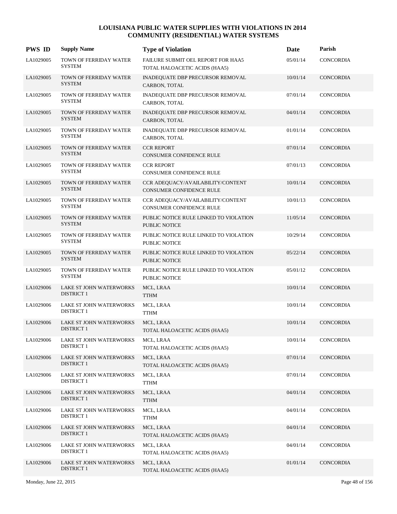| <b>PWS ID</b> | <b>Supply Name</b>                                  | <b>Type of Violation</b>                                             | Date     | Parish           |
|---------------|-----------------------------------------------------|----------------------------------------------------------------------|----------|------------------|
| LA1029005     | TOWN OF FERRIDAY WATER<br><b>SYSTEM</b>             | FAILURE SUBMIT OEL REPORT FOR HAA5<br>TOTAL HALOACETIC ACIDS (HAA5)  | 05/01/14 | <b>CONCORDIA</b> |
| LA1029005     | TOWN OF FERRIDAY WATER<br><b>SYSTEM</b>             | <b>INADEQUATE DBP PRECURSOR REMOVAL</b><br>CARBON, TOTAL             | 10/01/14 | CONCORDIA        |
| LA1029005     | TOWN OF FERRIDAY WATER<br><b>SYSTEM</b>             | INADEQUATE DBP PRECURSOR REMOVAL<br>CARBON, TOTAL                    | 07/01/14 | CONCORDIA        |
| LA1029005     | TOWN OF FERRIDAY WATER<br><b>SYSTEM</b>             | <b>INADEQUATE DBP PRECURSOR REMOVAL</b><br>CARBON, TOTAL             | 04/01/14 | <b>CONCORDIA</b> |
| LA1029005     | TOWN OF FERRIDAY WATER<br><b>SYSTEM</b>             | INADEQUATE DBP PRECURSOR REMOVAL<br>CARBON, TOTAL                    | 01/01/14 | CONCORDIA        |
| LA1029005     | TOWN OF FERRIDAY WATER<br><b>SYSTEM</b>             | <b>CCR REPORT</b><br><b>CONSUMER CONFIDENCE RULE</b>                 | 07/01/14 | CONCORDIA        |
| LA1029005     | TOWN OF FERRIDAY WATER<br><b>SYSTEM</b>             | <b>CCR REPORT</b><br>CONSUMER CONFIDENCE RULE                        | 07/01/13 | <b>CONCORDIA</b> |
| LA1029005     | TOWN OF FERRIDAY WATER<br><b>SYSTEM</b>             | CCR ADEQUACY/AVAILABILITY/CONTENT<br><b>CONSUMER CONFIDENCE RULE</b> | 10/01/14 | <b>CONCORDIA</b> |
| LA1029005     | TOWN OF FERRIDAY WATER<br><b>SYSTEM</b>             | CCR ADEQUACY/AVAILABILITY/CONTENT<br><b>CONSUMER CONFIDENCE RULE</b> | 10/01/13 | CONCORDIA        |
| LA1029005     | TOWN OF FERRIDAY WATER<br><b>SYSTEM</b>             | PUBLIC NOTICE RULE LINKED TO VIOLATION<br><b>PUBLIC NOTICE</b>       | 11/05/14 | CONCORDIA        |
| LA1029005     | TOWN OF FERRIDAY WATER<br><b>SYSTEM</b>             | PUBLIC NOTICE RULE LINKED TO VIOLATION<br><b>PUBLIC NOTICE</b>       | 10/29/14 | CONCORDIA        |
| LA1029005     | TOWN OF FERRIDAY WATER<br><b>SYSTEM</b>             | PUBLIC NOTICE RULE LINKED TO VIOLATION<br><b>PUBLIC NOTICE</b>       | 05/22/14 | CONCORDIA        |
| LA1029005     | TOWN OF FERRIDAY WATER<br><b>SYSTEM</b>             | PUBLIC NOTICE RULE LINKED TO VIOLATION<br>PUBLIC NOTICE              | 05/01/12 | CONCORDIA        |
| LA1029006     | LAKE ST JOHN WATERWORKS<br><b>DISTRICT 1</b>        | MCL, LRAA<br><b>TTHM</b>                                             | 10/01/14 | CONCORDIA        |
| LA1029006     | LAKE ST JOHN WATERWORKS<br><b>DISTRICT 1</b>        | MCL, LRAA<br><b>TTHM</b>                                             | 10/01/14 | CONCORDIA        |
| LA1029006     | <b>LAKE ST JOHN WATERWORKS</b><br><b>DISTRICT 1</b> | MCL, LRAA<br>TOTAL HALOACETIC ACIDS (HAA5)                           | 10/01/14 | CONCORDIA        |
| LA1029006     | LAKE ST JOHN WATERWORKS<br><b>DISTRICT 1</b>        | MCL, LRAA<br>TOTAL HALOACETIC ACIDS (HAA5)                           | 10/01/14 | CONCORDIA        |
| LA1029006     | LAKE ST JOHN WATERWORKS<br><b>DISTRICT 1</b>        | MCL, LRAA<br>TOTAL HALOACETIC ACIDS (HAA5)                           | 07/01/14 | CONCORDIA        |
| LA1029006     | LAKE ST JOHN WATERWORKS<br><b>DISTRICT 1</b>        | MCL, LRAA<br><b>TTHM</b>                                             | 07/01/14 | <b>CONCORDIA</b> |
| LA1029006     | <b>LAKE ST JOHN WATERWORKS</b><br><b>DISTRICT 1</b> | MCL, LRAA<br><b>TTHM</b>                                             | 04/01/14 | CONCORDIA        |
| LA1029006     | LAKE ST JOHN WATERWORKS<br><b>DISTRICT 1</b>        | MCL, LRAA<br><b>TTHM</b>                                             | 04/01/14 | CONCORDIA        |
| LA1029006     | LAKE ST JOHN WATERWORKS<br><b>DISTRICT 1</b>        | MCL, LRAA<br>TOTAL HALOACETIC ACIDS (HAA5)                           | 04/01/14 | CONCORDIA        |
| LA1029006     | LAKE ST JOHN WATERWORKS<br><b>DISTRICT 1</b>        | MCL, LRAA<br>TOTAL HALOACETIC ACIDS (HAA5)                           | 04/01/14 | CONCORDIA        |
| LA1029006     | LAKE ST JOHN WATERWORKS<br><b>DISTRICT 1</b>        | MCL, LRAA<br>TOTAL HALOACETIC ACIDS (HAA5)                           | 01/01/14 | <b>CONCORDIA</b> |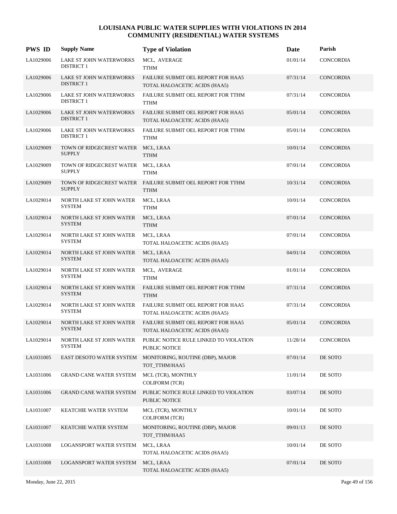| <b>PWS ID</b> | <b>Supply Name</b>                                  | <b>Type of Violation</b>                                                   | Date     | Parish           |
|---------------|-----------------------------------------------------|----------------------------------------------------------------------------|----------|------------------|
| LA1029006     | LAKE ST JOHN WATERWORKS<br><b>DISTRICT 1</b>        | MCL, AVERAGE<br><b>TTHM</b>                                                | 01/01/14 | <b>CONCORDIA</b> |
| LA1029006     | LAKE ST JOHN WATERWORKS<br><b>DISTRICT 1</b>        | <b>FAILURE SUBMIT OEL REPORT FOR HAA5</b><br>TOTAL HALOACETIC ACIDS (HAA5) | 07/31/14 | <b>CONCORDIA</b> |
| LA1029006     | LAKE ST JOHN WATERWORKS<br><b>DISTRICT 1</b>        | FAILURE SUBMIT OEL REPORT FOR TTHM<br><b>TTHM</b>                          | 07/31/14 | <b>CONCORDIA</b> |
| LA1029006     | LAKE ST JOHN WATERWORKS<br><b>DISTRICT 1</b>        | FAILURE SUBMIT OEL REPORT FOR HAA5<br>TOTAL HALOACETIC ACIDS (HAA5)        | 05/01/14 | <b>CONCORDIA</b> |
| LA1029006     | <b>LAKE ST JOHN WATERWORKS</b><br><b>DISTRICT 1</b> | FAILURE SUBMIT OEL REPORT FOR TTHM<br><b>TTHM</b>                          | 05/01/14 | <b>CONCORDIA</b> |
| LA1029009     | TOWN OF RIDGECREST WATER MCL, LRAA<br><b>SUPPLY</b> | <b>TTHM</b>                                                                | 10/01/14 | <b>CONCORDIA</b> |
| LA1029009     | TOWN OF RIDGECREST WATER<br><b>SUPPLY</b>           | MCL, LRAA<br><b>TTHM</b>                                                   | 07/01/14 | <b>CONCORDIA</b> |
| LA1029009     | <b>SUPPLY</b>                                       | TOWN OF RIDGECREST WATER FAILURE SUBMIT OEL REPORT FOR TTHM<br><b>TTHM</b> | 10/31/14 | <b>CONCORDIA</b> |
| LA1029014     | NORTH LAKE ST JOHN WATER<br><b>SYSTEM</b>           | MCL, LRAA<br>TTHM                                                          | 10/01/14 | <b>CONCORDIA</b> |
| LA1029014     | NORTH LAKE ST JOHN WATER<br><b>SYSTEM</b>           | MCL, LRAA<br><b>TTHM</b>                                                   | 07/01/14 | <b>CONCORDIA</b> |
| LA1029014     | NORTH LAKE ST JOHN WATER<br><b>SYSTEM</b>           | MCL, LRAA<br>TOTAL HALOACETIC ACIDS (HAA5)                                 | 07/01/14 | CONCORDIA        |
| LA1029014     | NORTH LAKE ST JOHN WATER<br><b>SYSTEM</b>           | MCL, LRAA<br>TOTAL HALOACETIC ACIDS (HAA5)                                 | 04/01/14 | <b>CONCORDIA</b> |
| LA1029014     | NORTH LAKE ST JOHN WATER<br><b>SYSTEM</b>           | MCL, AVERAGE<br>TTHM                                                       | 01/01/14 | <b>CONCORDIA</b> |
| LA1029014     | NORTH LAKE ST JOHN WATER<br><b>SYSTEM</b>           | FAILURE SUBMIT OEL REPORT FOR TTHM<br><b>TTHM</b>                          | 07/31/14 | <b>CONCORDIA</b> |
| LA1029014     | NORTH LAKE ST JOHN WATER<br><b>SYSTEM</b>           | FAILURE SUBMIT OEL REPORT FOR HAA5<br>TOTAL HALOACETIC ACIDS (HAA5)        | 07/31/14 | CONCORDIA        |
| LA1029014     | NORTH LAKE ST JOHN WATER<br><b>SYSTEM</b>           | <b>FAILURE SUBMIT OEL REPORT FOR HAA5</b><br>TOTAL HALOACETIC ACIDS (HAA5) | 05/01/14 | <b>CONCORDIA</b> |
| LA1029014     | NORTH LAKE ST JOHN WATER<br><b>SYSTEM</b>           | PUBLIC NOTICE RULE LINKED TO VIOLATION<br>PUBLIC NOTICE                    | 11/28/14 | CONCORDIA        |
| LA1031005     | EAST DESOTO WATER SYSTEM                            | MONITORING, ROUTINE (DBP), MAJOR<br>TOT_TTHM/HAA5                          | 07/01/14 | DE SOTO          |
| LA1031006     | <b>GRAND CANE WATER SYSTEM</b>                      | MCL (TCR), MONTHLY<br><b>COLIFORM (TCR)</b>                                | 11/01/14 | DE SOTO          |
| LA1031006     | <b>GRAND CANE WATER SYSTEM</b>                      | PUBLIC NOTICE RULE LINKED TO VIOLATION<br><b>PUBLIC NOTICE</b>             | 03/07/14 | DE SOTO          |
| LA1031007     | KEATCHIE WATER SYSTEM                               | MCL (TCR), MONTHLY<br><b>COLIFORM (TCR)</b>                                | 10/01/14 | DE SOTO          |
| LA1031007     | KEATCHIE WATER SYSTEM                               | MONITORING, ROUTINE (DBP), MAJOR<br>TOT_TTHM/HAA5                          | 09/01/13 | DE SOTO          |
| LA1031008     | LOGANSPORT WATER SYSTEM                             | MCL, LRAA<br>TOTAL HALOACETIC ACIDS (HAA5)                                 | 10/01/14 | DE SOTO          |
| LA1031008     | LOGANSPORT WATER SYSTEM                             | MCL, LRAA<br>TOTAL HALOACETIC ACIDS (HAA5)                                 | 07/01/14 | DE SOTO          |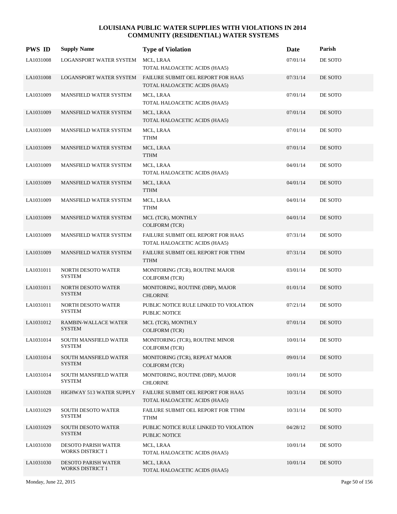| <b>PWS ID</b> | <b>Supply Name</b>                             | <b>Type of Violation</b>                                            | Date     | Parish  |
|---------------|------------------------------------------------|---------------------------------------------------------------------|----------|---------|
| LA1031008     | LOGANSPORT WATER SYSTEM                        | MCL, LRAA<br>TOTAL HALOACETIC ACIDS (HAA5)                          | 07/01/14 | DE SOTO |
| LA1031008     | LOGANSPORT WATER SYSTEM                        | FAILURE SUBMIT OEL REPORT FOR HAA5<br>TOTAL HALOACETIC ACIDS (HAA5) | 07/31/14 | DE SOTO |
| LA1031009     | MANSFIELD WATER SYSTEM                         | MCL, LRAA<br>TOTAL HALOACETIC ACIDS (HAA5)                          | 07/01/14 | DE SOTO |
| LA1031009     | MANSFIELD WATER SYSTEM                         | MCL, LRAA<br>TOTAL HALOACETIC ACIDS (HAA5)                          | 07/01/14 | DE SOTO |
| LA1031009     | MANSFIELD WATER SYSTEM                         | MCL, LRAA<br><b>TTHM</b>                                            | 07/01/14 | DE SOTO |
| LA1031009     | MANSFIELD WATER SYSTEM                         | MCL, LRAA<br><b>TTHM</b>                                            | 07/01/14 | DE SOTO |
| LA1031009     | MANSFIELD WATER SYSTEM                         | MCL, LRAA<br>TOTAL HALOACETIC ACIDS (HAA5)                          | 04/01/14 | DE SOTO |
| LA1031009     | MANSFIELD WATER SYSTEM                         | MCL, LRAA<br><b>TTHM</b>                                            | 04/01/14 | DE SOTO |
| LA1031009     | MANSFIELD WATER SYSTEM                         | MCL, LRAA<br><b>TTHM</b>                                            | 04/01/14 | DE SOTO |
| LA1031009     | MANSFIELD WATER SYSTEM                         | MCL (TCR), MONTHLY<br><b>COLIFORM (TCR)</b>                         | 04/01/14 | DE SOTO |
| LA1031009     | MANSFIELD WATER SYSTEM                         | FAILURE SUBMIT OEL REPORT FOR HAA5<br>TOTAL HALOACETIC ACIDS (HAA5) | 07/31/14 | DE SOTO |
| LA1031009     | <b>MANSFIELD WATER SYSTEM</b>                  | FAILURE SUBMIT OEL REPORT FOR TTHM<br><b>TTHM</b>                   | 07/31/14 | DE SOTO |
| LA1031011     | NORTH DESOTO WATER<br><b>SYSTEM</b>            | MONITORING (TCR), ROUTINE MAJOR<br><b>COLIFORM (TCR)</b>            | 03/01/14 | DE SOTO |
| LA1031011     | NORTH DESOTO WATER<br><b>SYSTEM</b>            | MONITORING, ROUTINE (DBP), MAJOR<br><b>CHLORINE</b>                 | 01/01/14 | DE SOTO |
| LA1031011     | NORTH DESOTO WATER<br><b>SYSTEM</b>            | PUBLIC NOTICE RULE LINKED TO VIOLATION<br>PUBLIC NOTICE             | 07/21/14 | DE SOTO |
| LA1031012     | RAMBIN-WALLACE WATER<br><b>SYSTEM</b>          | MCL (TCR), MONTHLY<br><b>COLIFORM (TCR)</b>                         | 07/01/14 | DE SOTO |
| LA1031014     | SOUTH MANSFIELD WATER<br>SYSTEM                | MONITORING (TCR), ROUTINE MINOR<br><b>COLIFORM (TCR)</b>            | 10/01/14 | DE SOTO |
| LA1031014     | SOUTH MANSFIELD WATER<br><b>SYSTEM</b>         | MONITORING (TCR), REPEAT MAJOR<br>COLIFORM (TCR)                    | 09/01/14 | DE SOTO |
| LA1031014     | <b>SOUTH MANSFIELD WATER</b><br><b>SYSTEM</b>  | MONITORING, ROUTINE (DBP), MAJOR<br><b>CHLORINE</b>                 | 10/01/14 | DE SOTO |
| LA1031028     | HIGHWAY 513 WATER SUPPLY                       | FAILURE SUBMIT OEL REPORT FOR HAA5<br>TOTAL HALOACETIC ACIDS (HAA5) | 10/31/14 | DE SOTO |
| LA1031029     | SOUTH DESOTO WATER<br><b>SYSTEM</b>            | FAILURE SUBMIT OEL REPORT FOR TTHM<br><b>TTHM</b>                   | 10/31/14 | DE SOTO |
| LA1031029     | <b>SOUTH DESOTO WATER</b><br><b>SYSTEM</b>     | PUBLIC NOTICE RULE LINKED TO VIOLATION<br>PUBLIC NOTICE             | 04/28/12 | DE SOTO |
| LA1031030     | DESOTO PARISH WATER<br><b>WORKS DISTRICT 1</b> | MCL, LRAA<br>TOTAL HALOACETIC ACIDS (HAA5)                          | 10/01/14 | DE SOTO |
| LA1031030     | DESOTO PARISH WATER<br><b>WORKS DISTRICT 1</b> | MCL, LRAA<br>TOTAL HALOACETIC ACIDS (HAA5)                          | 10/01/14 | DE SOTO |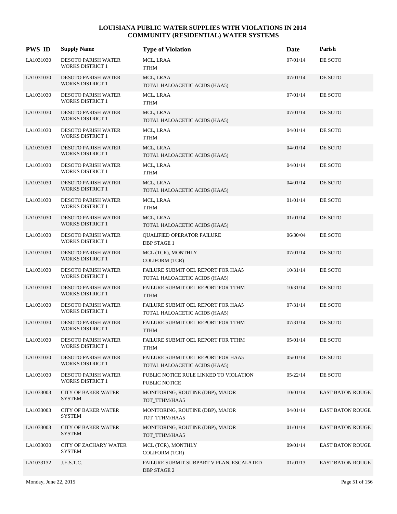| <b>PWS ID</b> | <b>Supply Name</b>                                    | <b>Type of Violation</b>                                            | Date     | Parish                  |
|---------------|-------------------------------------------------------|---------------------------------------------------------------------|----------|-------------------------|
| LA1031030     | DESOTO PARISH WATER<br><b>WORKS DISTRICT 1</b>        | MCL, LRAA<br><b>TTHM</b>                                            | 07/01/14 | DE SOTO                 |
| LA1031030     | <b>DESOTO PARISH WATER</b><br><b>WORKS DISTRICT 1</b> | MCL, LRAA<br>TOTAL HALOACETIC ACIDS (HAA5)                          | 07/01/14 | DE SOTO                 |
| LA1031030     | <b>DESOTO PARISH WATER</b><br><b>WORKS DISTRICT 1</b> | MCL, LRAA<br><b>TTHM</b>                                            | 07/01/14 | DE SOTO                 |
| LA1031030     | <b>DESOTO PARISH WATER</b><br><b>WORKS DISTRICT 1</b> | MCL, LRAA<br>TOTAL HALOACETIC ACIDS (HAA5)                          | 07/01/14 | DE SOTO                 |
| LA1031030     | <b>DESOTO PARISH WATER</b><br><b>WORKS DISTRICT 1</b> | MCL, LRAA<br><b>TTHM</b>                                            | 04/01/14 | DE SOTO                 |
| LA1031030     | <b>DESOTO PARISH WATER</b><br><b>WORKS DISTRICT 1</b> | MCL, LRAA<br>TOTAL HALOACETIC ACIDS (HAA5)                          | 04/01/14 | DE SOTO                 |
| LA1031030     | <b>DESOTO PARISH WATER</b><br><b>WORKS DISTRICT 1</b> | MCL, LRAA<br><b>TTHM</b>                                            | 04/01/14 | DE SOTO                 |
| LA1031030     | <b>DESOTO PARISH WATER</b><br><b>WORKS DISTRICT 1</b> | MCL, LRAA<br>TOTAL HALOACETIC ACIDS (HAA5)                          | 04/01/14 | DE SOTO                 |
| LA1031030     | DESOTO PARISH WATER<br><b>WORKS DISTRICT 1</b>        | MCL, LRAA<br>TTHM                                                   | 01/01/14 | DE SOTO                 |
| LA1031030     | <b>DESOTO PARISH WATER</b><br><b>WORKS DISTRICT 1</b> | MCL, LRAA<br>TOTAL HALOACETIC ACIDS (HAA5)                          | 01/01/14 | DE SOTO                 |
| LA1031030     | <b>DESOTO PARISH WATER</b><br><b>WORKS DISTRICT 1</b> | <b>QUALIFIED OPERATOR FAILURE</b><br><b>DBP STAGE 1</b>             | 06/30/04 | DE SOTO                 |
| LA1031030     | <b>DESOTO PARISH WATER</b><br><b>WORKS DISTRICT 1</b> | MCL (TCR), MONTHLY<br><b>COLIFORM (TCR)</b>                         | 07/01/14 | DE SOTO                 |
| LA1031030     | <b>DESOTO PARISH WATER</b><br><b>WORKS DISTRICT 1</b> | FAILURE SUBMIT OEL REPORT FOR HAA5<br>TOTAL HALOACETIC ACIDS (HAA5) | 10/31/14 | DE SOTO                 |
| LA1031030     | <b>DESOTO PARISH WATER</b><br><b>WORKS DISTRICT 1</b> | FAILURE SUBMIT OEL REPORT FOR TTHM<br><b>TTHM</b>                   | 10/31/14 | DE SOTO                 |
| LA1031030     | <b>DESOTO PARISH WATER</b><br><b>WORKS DISTRICT 1</b> | FAILURE SUBMIT OEL REPORT FOR HAA5<br>TOTAL HALOACETIC ACIDS (HAA5) | 07/31/14 | DE SOTO                 |
| LA1031030     | <b>DESOTO PARISH WATER</b><br><b>WORKS DISTRICT 1</b> | FAILURE SUBMIT OEL REPORT FOR TTHM<br><b>TTHM</b>                   | 07/31/14 | DE SOTO                 |
| LA1031030     | <b>DESOTO PARISH WATER</b><br><b>WORKS DISTRICT 1</b> | FAILURE SUBMIT OEL REPORT FOR TTHM<br>TTHM                          | 05/01/14 | DE SOTO                 |
| LA1031030     | <b>DESOTO PARISH WATER</b><br>WORKS DISTRICT 1        | FAILURE SUBMIT OEL REPORT FOR HAA5<br>TOTAL HALOACETIC ACIDS (HAA5) | 05/01/14 | DE SOTO                 |
| LA1031030     | <b>DESOTO PARISH WATER</b><br><b>WORKS DISTRICT 1</b> | PUBLIC NOTICE RULE LINKED TO VIOLATION<br>PUBLIC NOTICE             | 05/22/14 | DE SOTO                 |
| LA1033003     | <b>CITY OF BAKER WATER</b><br><b>SYSTEM</b>           | MONITORING, ROUTINE (DBP), MAJOR<br>TOT_TTHM/HAA5                   | 10/01/14 | <b>EAST BATON ROUGE</b> |
| LA1033003     | <b>CITY OF BAKER WATER</b><br><b>SYSTEM</b>           | MONITORING, ROUTINE (DBP), MAJOR<br>TOT_TTHM/HAA5                   | 04/01/14 | <b>EAST BATON ROUGE</b> |
| LA1033003     | <b>CITY OF BAKER WATER</b><br><b>SYSTEM</b>           | MONITORING, ROUTINE (DBP), MAJOR<br>TOT_TTHM/HAA5                   | 01/01/14 | <b>EAST BATON ROUGE</b> |
| LA1033030     | CITY OF ZACHARY WATER<br><b>SYSTEM</b>                | MCL (TCR), MONTHLY<br><b>COLIFORM (TCR)</b>                         | 09/01/14 | <b>EAST BATON ROUGE</b> |
| LA1033132     | J.E.S.T.C.                                            | FAILURE SUBMIT SUBPART V PLAN, ESCALATED<br><b>DBP STAGE 2</b>      | 01/01/13 | <b>EAST BATON ROUGE</b> |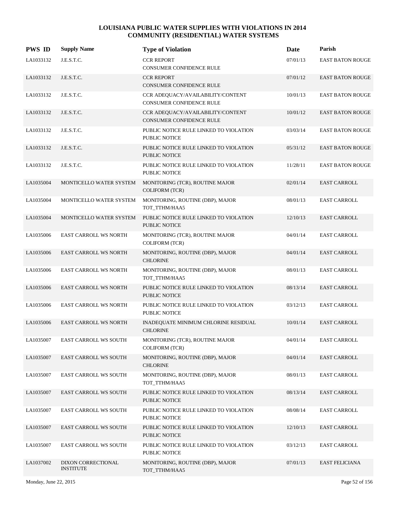| <b>PWS ID</b> | <b>Supply Name</b>                     | <b>Type of Violation</b>                                             | Date     | Parish                  |
|---------------|----------------------------------------|----------------------------------------------------------------------|----------|-------------------------|
| LA1033132     | J.E.S.T.C.                             | <b>CCR REPORT</b><br>CONSUMER CONFIDENCE RULE                        | 07/01/13 | <b>EAST BATON ROUGE</b> |
| LA1033132     | J.E.S.T.C.                             | <b>CCR REPORT</b><br><b>CONSUMER CONFIDENCE RULE</b>                 | 07/01/12 | <b>EAST BATON ROUGE</b> |
| LA1033132     | J.E.S.T.C.                             | CCR ADEQUACY/AVAILABILITY/CONTENT<br><b>CONSUMER CONFIDENCE RULE</b> | 10/01/13 | <b>EAST BATON ROUGE</b> |
| LA1033132     | J.E.S.T.C.                             | CCR ADEQUACY/AVAILABILITY/CONTENT<br><b>CONSUMER CONFIDENCE RULE</b> | 10/01/12 | <b>EAST BATON ROUGE</b> |
| LA1033132     | J.E.S.T.C.                             | PUBLIC NOTICE RULE LINKED TO VIOLATION<br>PUBLIC NOTICE              | 03/03/14 | <b>EAST BATON ROUGE</b> |
| LA1033132     | J.E.S.T.C.                             | PUBLIC NOTICE RULE LINKED TO VIOLATION<br><b>PUBLIC NOTICE</b>       | 05/31/12 | <b>EAST BATON ROUGE</b> |
| LA1033132     | J.E.S.T.C.                             | PUBLIC NOTICE RULE LINKED TO VIOLATION<br>PUBLIC NOTICE              | 11/28/11 | <b>EAST BATON ROUGE</b> |
| LA1035004     | MONTICELLO WATER SYSTEM                | MONITORING (TCR), ROUTINE MAJOR<br><b>COLIFORM (TCR)</b>             | 02/01/14 | <b>EAST CARROLL</b>     |
| LA1035004     | MONTICELLO WATER SYSTEM                | MONITORING, ROUTINE (DBP), MAJOR<br>TOT_TTHM/HAA5                    | 08/01/13 | <b>EAST CARROLL</b>     |
| LA1035004     | MONTICELLO WATER SYSTEM                | PUBLIC NOTICE RULE LINKED TO VIOLATION<br><b>PUBLIC NOTICE</b>       | 12/10/13 | <b>EAST CARROLL</b>     |
| LA1035006     | <b>EAST CARROLL WS NORTH</b>           | MONITORING (TCR), ROUTINE MAJOR<br><b>COLIFORM (TCR)</b>             | 04/01/14 | EAST CARROLL            |
| LA1035006     | <b>EAST CARROLL WS NORTH</b>           | MONITORING, ROUTINE (DBP), MAJOR<br><b>CHLORINE</b>                  | 04/01/14 | <b>EAST CARROLL</b>     |
| LA1035006     | EAST CARROLL WS NORTH                  | MONITORING, ROUTINE (DBP), MAJOR<br>TOT_TTHM/HAA5                    | 08/01/13 | <b>EAST CARROLL</b>     |
| LA1035006     | EAST CARROLL WS NORTH                  | PUBLIC NOTICE RULE LINKED TO VIOLATION<br><b>PUBLIC NOTICE</b>       | 08/13/14 | <b>EAST CARROLL</b>     |
| LA1035006     | <b>EAST CARROLL WS NORTH</b>           | PUBLIC NOTICE RULE LINKED TO VIOLATION<br><b>PUBLIC NOTICE</b>       | 03/12/13 | <b>EAST CARROLL</b>     |
| LA1035006     | <b>EAST CARROLL WS NORTH</b>           | INADEQUATE MINIMUM CHLORINE RESIDUAL<br><b>CHLORINE</b>              | 10/01/14 | <b>EAST CARROLL</b>     |
| LA1035007     | <b>EAST CARROLL WS SOUTH</b>           | MONITORING (TCR), ROUTINE MAJOR<br><b>COLIFORM (TCR)</b>             | 04/01/14 | EAST CARROLL            |
| LA1035007     | <b>EAST CARROLL WS SOUTH</b>           | MONITORING, ROUTINE (DBP), MAJOR<br><b>CHLORINE</b>                  | 04/01/14 | <b>EAST CARROLL</b>     |
| LA1035007     | <b>EAST CARROLL WS SOUTH</b>           | MONITORING, ROUTINE (DBP), MAJOR<br>TOT_TTHM/HAA5                    | 08/01/13 | <b>EAST CARROLL</b>     |
| LA1035007     | <b>EAST CARROLL WS SOUTH</b>           | PUBLIC NOTICE RULE LINKED TO VIOLATION<br><b>PUBLIC NOTICE</b>       | 08/13/14 | <b>EAST CARROLL</b>     |
| LA1035007     | EAST CARROLL WS SOUTH                  | PUBLIC NOTICE RULE LINKED TO VIOLATION<br>PUBLIC NOTICE              | 08/08/14 | <b>EAST CARROLL</b>     |
| LA1035007     | <b>EAST CARROLL WS SOUTH</b>           | PUBLIC NOTICE RULE LINKED TO VIOLATION<br>PUBLIC NOTICE              | 12/10/13 | <b>EAST CARROLL</b>     |
| LA1035007     | <b>EAST CARROLL WS SOUTH</b>           | PUBLIC NOTICE RULE LINKED TO VIOLATION<br>PUBLIC NOTICE              | 03/12/13 | <b>EAST CARROLL</b>     |
| LA1037002     | DIXON CORRECTIONAL<br><b>INSTITUTE</b> | MONITORING, ROUTINE (DBP), MAJOR<br>TOT_TTHM/HAA5                    | 07/01/13 | <b>EAST FELICIANA</b>   |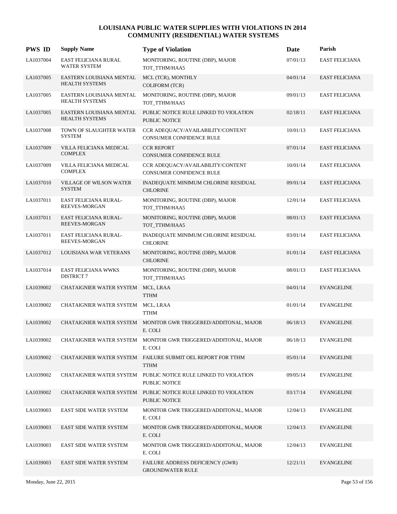| <b>PWS ID</b> | <b>Supply Name</b>                                | <b>Type of Violation</b>                                                   | Date     | Parish                |
|---------------|---------------------------------------------------|----------------------------------------------------------------------------|----------|-----------------------|
| LA1037004     | EAST FELICIANA RURAL<br>WATER SYSTEM              | MONITORING, ROUTINE (DBP), MAJOR<br>TOT_TTHM/HAA5                          | 07/01/13 | EAST FELICIANA        |
| LA1037005     | EASTERN LOUISIANA MENTAL<br><b>HEALTH SYSTEMS</b> | MCL (TCR), MONTHLY<br>COLIFORM (TCR)                                       | 04/01/14 | <b>EAST FELICIANA</b> |
| LA1037005     | EASTERN LOUISIANA MENTAL<br><b>HEALTH SYSTEMS</b> | MONITORING, ROUTINE (DBP), MAJOR<br>TOT_TTHM/HAA5                          | 09/01/13 | <b>EAST FELICIANA</b> |
| LA1037005     | EASTERN LOUISIANA MENTAL<br><b>HEALTH SYSTEMS</b> | PUBLIC NOTICE RULE LINKED TO VIOLATION<br><b>PUBLIC NOTICE</b>             | 02/18/11 | <b>EAST FELICIANA</b> |
| LA1037008     | TOWN OF SLAUGHTER WATER<br><b>SYSTEM</b>          | CCR ADEQUACY/AVAILABILITY/CONTENT<br><b>CONSUMER CONFIDENCE RULE</b>       | 10/01/13 | <b>EAST FELICIANA</b> |
| LA1037009     | VILLA FELICIANA MEDICAL<br><b>COMPLEX</b>         | <b>CCR REPORT</b><br><b>CONSUMER CONFIDENCE RULE</b>                       | 07/01/14 | <b>EAST FELICIANA</b> |
| LA1037009     | VILLA FELICIANA MEDICAL<br><b>COMPLEX</b>         | CCR ADEQUACY/AVAILABILITY/CONTENT<br><b>CONSUMER CONFIDENCE RULE</b>       | 10/01/14 | <b>EAST FELICIANA</b> |
| LA1037010     | <b>VILLAGE OF WILSON WATER</b><br><b>SYSTEM</b>   | INADEQUATE MINIMUM CHLORINE RESIDUAL<br><b>CHLORINE</b>                    | 09/01/14 | <b>EAST FELICIANA</b> |
| LA1037011     | EAST FELICIANA RURAL-<br>REEVES-MORGAN            | MONITORING, ROUTINE (DBP), MAJOR<br>TOT_TTHM/HAA5                          | 12/01/14 | <b>EAST FELICIANA</b> |
| LA1037011     | <b>EAST FELICIANA RURAL-</b><br>REEVES-MORGAN     | MONITORING, ROUTINE (DBP), MAJOR<br>TOT_TTHM/HAA5                          | 08/01/13 | <b>EAST FELICIANA</b> |
| LA1037011     | EAST FELICIANA RURAL-<br><b>REEVES-MORGAN</b>     | INADEQUATE MINIMUM CHLORINE RESIDUAL<br><b>CHLORINE</b>                    | 03/01/14 | <b>EAST FELICIANA</b> |
| LA1037012     | LOUISIANA WAR VETERANS                            | MONITORING, ROUTINE (DBP), MAJOR<br><b>CHLORINE</b>                        | 01/01/14 | <b>EAST FELICIANA</b> |
| LA1037014     | EAST FELICIANA WWKS<br><b>DISTRICT 7</b>          | MONITORING, ROUTINE (DBP), MAJOR<br>TOT_TTHM/HAA5                          | 08/01/13 | <b>EAST FELICIANA</b> |
| LA1039002     | CHATAIGNIER WATER SYSTEM                          | MCL, LRAA<br><b>TTHM</b>                                                   | 04/01/14 | <b>EVANGELINE</b>     |
| LA1039002     | CHATAIGNIER WATER SYSTEM                          | MCL, LRAA<br><b>TTHM</b>                                                   | 01/01/14 | <b>EVANGELINE</b>     |
| LA1039002     | CHATAIGNIER WATER SYSTEM                          | MONITOR GWR TRIGGERED/ADDITONAL, MAJOR<br>E. COLI                          | 06/18/13 | <b>EVANGELINE</b>     |
| LA1039002     |                                                   | CHATAIGNIER WATER SYSTEM MONITOR GWR TRIGGERED/ADDITONAL, MAJOR<br>E. COLI | 06/18/13 | <b>EVANGELINE</b>     |
| LA1039002     |                                                   | CHATAIGNIER WATER SYSTEM FAILURE SUBMIT OEL REPORT FOR TTHM<br><b>TTHM</b> | 05/01/14 | <b>EVANGELINE</b>     |
| LA1039002     | CHATAIGNIER WATER SYSTEM                          | PUBLIC NOTICE RULE LINKED TO VIOLATION<br>PUBLIC NOTICE                    | 09/05/14 | <b>EVANGELINE</b>     |
| LA1039002     | CHATAIGNIER WATER SYSTEM                          | PUBLIC NOTICE RULE LINKED TO VIOLATION<br>PUBLIC NOTICE                    | 03/17/14 | <b>EVANGELINE</b>     |
| LA1039003     | EAST SIDE WATER SYSTEM                            | MONITOR GWR TRIGGERED/ADDITONAL, MAJOR<br>E. COLI                          | 12/04/13 | <b>EVANGELINE</b>     |
| LA1039003     | <b>EAST SIDE WATER SYSTEM</b>                     | MONITOR GWR TRIGGERED/ADDITONAL, MAJOR<br>E. COLI                          | 12/04/13 | <b>EVANGELINE</b>     |
| LA1039003     | <b>EAST SIDE WATER SYSTEM</b>                     | MONITOR GWR TRIGGERED/ADDITONAL, MAJOR<br>E. COLI                          | 12/04/13 | <b>EVANGELINE</b>     |
| LA1039003     | EAST SIDE WATER SYSTEM                            | FAILURE ADDRESS DEFICIENCY (GWR)<br><b>GROUNDWATER RULE</b>                | 12/21/11 | <b>EVANGELINE</b>     |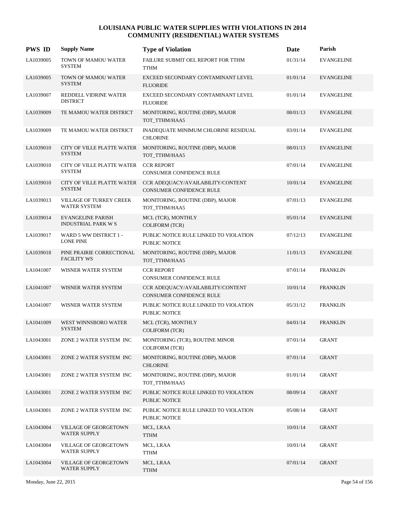| <b>PWS ID</b> | <b>Supply Name</b>                                     | <b>Type of Violation</b>                                       | Date     | Parish            |
|---------------|--------------------------------------------------------|----------------------------------------------------------------|----------|-------------------|
| LA1039005     | TOWN OF MAMOU WATER<br><b>SYSTEM</b>                   | FAILURE SUBMIT OEL REPORT FOR TTHM<br><b>TTHM</b>              | 01/31/14 | <b>EVANGELINE</b> |
| LA1039005     | TOWN OF MAMOU WATER<br><b>SYSTEM</b>                   | EXCEED SECONDARY CONTAMINANT LEVEL<br><b>FLUORIDE</b>          | 01/01/14 | <b>EVANGELINE</b> |
| LA1039007     | REDDELL VIDRINE WATER<br><b>DISTRICT</b>               | EXCEED SECONDARY CONTAMINANT LEVEL<br><b>FLUORIDE</b>          | 01/01/14 | <b>EVANGELINE</b> |
| LA1039009     | TE MAMOU WATER DISTRICT                                | MONITORING, ROUTINE (DBP), MAJOR<br>TOT TTHM/HAA5              | 08/01/13 | <b>EVANGELINE</b> |
| LA1039009     | TE MAMOU WATER DISTRICT                                | INADEQUATE MINIMUM CHLORINE RESIDUAL<br><b>CHLORINE</b>        | 03/01/14 | <b>EVANGELINE</b> |
| LA1039010     | CITY OF VILLE PLATTE WATER<br><b>SYSTEM</b>            | MONITORING, ROUTINE (DBP), MAJOR<br>TOT_TTHM/HAA5              | 08/01/13 | <b>EVANGELINE</b> |
| LA1039010     | CITY OF VILLE PLATTE WATER<br><b>SYSTEM</b>            | <b>CCR REPORT</b><br><b>CONSUMER CONFIDENCE RULE</b>           | 07/01/14 | <b>EVANGELINE</b> |
| LA1039010     | CITY OF VILLE PLATTE WATER<br><b>SYSTEM</b>            | CCR ADEQUACY/AVAILABILITY/CONTENT<br>CONSUMER CONFIDENCE RULE  | 10/01/14 | <b>EVANGELINE</b> |
| LA1039013     | VILLAGE OF TURKEY CREEK<br>WATER SYSTEM                | MONITORING, ROUTINE (DBP), MAJOR<br>TOT TTHM/HAA5              | 07/01/13 | <b>EVANGELINE</b> |
| LA1039014     | <b>EVANGELINE PARISH</b><br><b>INDUSTRIAL PARK W S</b> | MCL (TCR), MONTHLY<br><b>COLIFORM (TCR)</b>                    | 05/01/14 | <b>EVANGELINE</b> |
| LA1039017     | WARD 5 WW DISTRICT 1 -<br><b>LONE PINE</b>             | PUBLIC NOTICE RULE LINKED TO VIOLATION<br>PUBLIC NOTICE        | 07/12/13 | <b>EVANGELINE</b> |
| LA1039018     | PINE PRAIRIE CORRECTIONAL<br><b>FACILITY WS</b>        | MONITORING, ROUTINE (DBP), MAJOR<br>TOT_TTHM/HAA5              | 11/01/13 | <b>EVANGELINE</b> |
| LA1041007     | WISNER WATER SYSTEM                                    | <b>CCR REPORT</b><br><b>CONSUMER CONFIDENCE RULE</b>           | 07/01/14 | <b>FRANKLIN</b>   |
| LA1041007     | WISNER WATER SYSTEM                                    | CCR ADEQUACY/AVAILABILITY/CONTENT<br>CONSUMER CONFIDENCE RULE  | 10/01/14 | <b>FRANKLIN</b>   |
| LA1041007     | WISNER WATER SYSTEM                                    | PUBLIC NOTICE RULE LINKED TO VIOLATION<br><b>PUBLIC NOTICE</b> | 05/31/12 | <b>FRANKLIN</b>   |
| LA1041009     | WEST WINNSBORO WATER<br><b>SYSTEM</b>                  | MCL (TCR), MONTHLY<br><b>COLIFORM (TCR)</b>                    | 04/01/14 | <b>FRANKLIN</b>   |
| LA1043001     | ZONE 2 WATER SYSTEM INC                                | MONITORING (TCR), ROUTINE MINOR<br><b>COLIFORM (TCR)</b>       | 07/01/14 | <b>GRANT</b>      |
| LA1043001     | ZONE 2 WATER SYSTEM INC                                | MONITORING, ROUTINE (DBP), MAJOR<br><b>CHLORINE</b>            | 07/01/14 | <b>GRANT</b>      |
| LA1043001     | ZONE 2 WATER SYSTEM INC                                | MONITORING, ROUTINE (DBP), MAJOR<br>TOT_TTHM/HAA5              | 01/01/14 | <b>GRANT</b>      |
| LA1043001     | ZONE 2 WATER SYSTEM INC                                | PUBLIC NOTICE RULE LINKED TO VIOLATION<br>PUBLIC NOTICE        | 08/09/14 | <b>GRANT</b>      |
| LA1043001     | ZONE 2 WATER SYSTEM INC                                | PUBLIC NOTICE RULE LINKED TO VIOLATION<br>PUBLIC NOTICE        | 05/08/14 | <b>GRANT</b>      |
| LA1043004     | VILLAGE OF GEORGETOWN<br>WATER SUPPLY                  | MCL, LRAA<br><b>TTHM</b>                                       | 10/01/14 | <b>GRANT</b>      |
| LA1043004     | <b>VILLAGE OF GEORGETOWN</b><br>WATER SUPPLY           | MCL, LRAA<br>TTHM                                              | 10/01/14 | GRANT             |
| LA1043004     | <b>VILLAGE OF GEORGETOWN</b><br><b>WATER SUPPLY</b>    | MCL, LRAA<br><b>TTHM</b>                                       | 07/01/14 | <b>GRANT</b>      |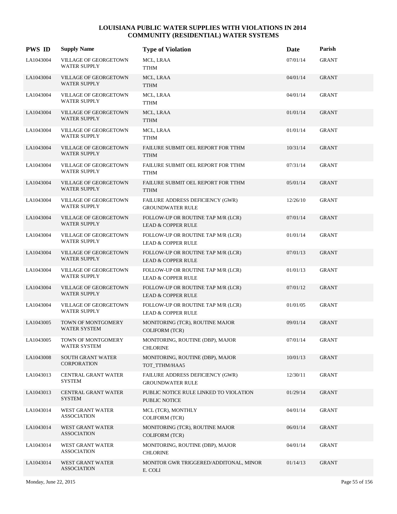| <b>PWS ID</b> | <b>Supply Name</b>                                  | <b>Type of Violation</b>                                            | Date     | Parish       |
|---------------|-----------------------------------------------------|---------------------------------------------------------------------|----------|--------------|
| LA1043004     | <b>VILLAGE OF GEORGETOWN</b><br><b>WATER SUPPLY</b> | MCL, LRAA<br><b>TTHM</b>                                            | 07/01/14 | <b>GRANT</b> |
| LA1043004     | <b>VILLAGE OF GEORGETOWN</b><br><b>WATER SUPPLY</b> | MCL, LRAA<br><b>TTHM</b>                                            | 04/01/14 | <b>GRANT</b> |
| LA1043004     | VILLAGE OF GEORGETOWN<br><b>WATER SUPPLY</b>        | MCL, LRAA<br><b>TTHM</b>                                            | 04/01/14 | <b>GRANT</b> |
| LA1043004     | <b>VILLAGE OF GEORGETOWN</b><br><b>WATER SUPPLY</b> | MCL, LRAA<br><b>TTHM</b>                                            | 01/01/14 | <b>GRANT</b> |
| LA1043004     | <b>VILLAGE OF GEORGETOWN</b><br><b>WATER SUPPLY</b> | MCL, LRAA<br><b>TTHM</b>                                            | 01/01/14 | <b>GRANT</b> |
| LA1043004     | <b>VILLAGE OF GEORGETOWN</b><br><b>WATER SUPPLY</b> | FAILURE SUBMIT OEL REPORT FOR TTHM<br><b>TTHM</b>                   | 10/31/14 | <b>GRANT</b> |
| LA1043004     | VILLAGE OF GEORGETOWN<br><b>WATER SUPPLY</b>        | FAILURE SUBMIT OEL REPORT FOR TTHM<br><b>TTHM</b>                   | 07/31/14 | <b>GRANT</b> |
| LA1043004     | <b>VILLAGE OF GEORGETOWN</b><br><b>WATER SUPPLY</b> | FAILURE SUBMIT OEL REPORT FOR TTHM<br>TTHM                          | 05/01/14 | <b>GRANT</b> |
| LA1043004     | <b>VILLAGE OF GEORGETOWN</b><br>WATER SUPPLY        | FAILURE ADDRESS DEFICIENCY (GWR)<br><b>GROUNDWATER RULE</b>         | 12/26/10 | <b>GRANT</b> |
| LA1043004     | <b>VILLAGE OF GEORGETOWN</b><br><b>WATER SUPPLY</b> | FOLLOW-UP OR ROUTINE TAP M/R (LCR)<br><b>LEAD &amp; COPPER RULE</b> | 07/01/14 | <b>GRANT</b> |
| LA1043004     | VILLAGE OF GEORGETOWN<br><b>WATER SUPPLY</b>        | FOLLOW-UP OR ROUTINE TAP M/R (LCR)<br><b>LEAD &amp; COPPER RULE</b> | 01/01/14 | GRANT        |
| LA1043004     | <b>VILLAGE OF GEORGETOWN</b><br><b>WATER SUPPLY</b> | FOLLOW-UP OR ROUTINE TAP M/R (LCR)<br><b>LEAD &amp; COPPER RULE</b> | 07/01/13 | <b>GRANT</b> |
| LA1043004     | <b>VILLAGE OF GEORGETOWN</b><br><b>WATER SUPPLY</b> | FOLLOW-UP OR ROUTINE TAP M/R (LCR)<br><b>LEAD &amp; COPPER RULE</b> | 01/01/13 | <b>GRANT</b> |
| LA1043004     | <b>VILLAGE OF GEORGETOWN</b><br><b>WATER SUPPLY</b> | FOLLOW-UP OR ROUTINE TAP M/R (LCR)<br><b>LEAD &amp; COPPER RULE</b> | 07/01/12 | <b>GRANT</b> |
| LA1043004     | VILLAGE OF GEORGETOWN<br><b>WATER SUPPLY</b>        | FOLLOW-UP OR ROUTINE TAP M/R (LCR)<br><b>LEAD &amp; COPPER RULE</b> | 01/01/05 | GRANT        |
| LA1043005     | TOWN OF MONTGOMERY<br><b>WATER SYSTEM</b>           | MONITORING (TCR), ROUTINE MAJOR<br><b>COLIFORM (TCR)</b>            | 09/01/14 | <b>GRANT</b> |
| LA1043005     | TOWN OF MONTGOMERY<br>WATER SYSTEM                  | MONITORING, ROUTINE (DBP), MAJOR<br><b>CHLORINE</b>                 | 07/01/14 | <b>GRANT</b> |
| LA1043008     | SOUTH GRANT WATER<br><b>CORPORATION</b>             | MONITORING, ROUTINE (DBP), MAJOR<br>TOT_TTHM/HAA5                   | 10/01/13 | <b>GRANT</b> |
| LA1043013     | CENTRAL GRANT WATER<br><b>SYSTEM</b>                | FAILURE ADDRESS DEFICIENCY (GWR)<br><b>GROUNDWATER RULE</b>         | 12/30/11 | GRANT        |
| LA1043013     | CENTRAL GRANT WATER<br><b>SYSTEM</b>                | PUBLIC NOTICE RULE LINKED TO VIOLATION<br>PUBLIC NOTICE             | 01/29/14 | <b>GRANT</b> |
| LA1043014     | WEST GRANT WATER<br><b>ASSOCIATION</b>              | MCL (TCR), MONTHLY<br><b>COLIFORM (TCR)</b>                         | 04/01/14 | <b>GRANT</b> |
| LA1043014     | WEST GRANT WATER<br><b>ASSOCIATION</b>              | MONITORING (TCR), ROUTINE MAJOR<br><b>COLIFORM (TCR)</b>            | 06/01/14 | <b>GRANT</b> |
| LA1043014     | WEST GRANT WATER<br><b>ASSOCIATION</b>              | MONITORING, ROUTINE (DBP), MAJOR<br><b>CHLORINE</b>                 | 04/01/14 | GRANT        |
| LA1043014     | WEST GRANT WATER<br><b>ASSOCIATION</b>              | MONITOR GWR TRIGGERED/ADDITONAL, MINOR<br>E. COLI                   | 01/14/13 | <b>GRANT</b> |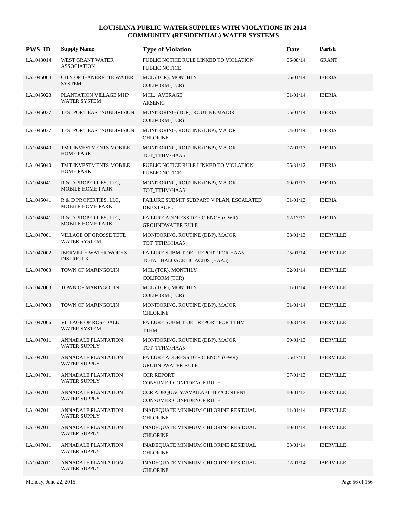| <b>PWS ID</b> | <b>Supply Name</b>                                   | <b>Type of Violation</b>                                            | Date     | Parish           |
|---------------|------------------------------------------------------|---------------------------------------------------------------------|----------|------------------|
| LA1043014     | <b>WEST GRANT WATER</b><br><b>ASSOCIATION</b>        | PUBLIC NOTICE RULE LINKED TO VIOLATION<br>PUBLIC NOTICE             | 06/08/14 | <b>GRANT</b>     |
| LA1045004     | <b>CITY OF JEANERETTE WATER</b><br><b>SYSTEM</b>     | MCL (TCR), MONTHLY<br><b>COLIFORM (TCR)</b>                         | 06/01/14 | <b>IBERIA</b>    |
| LA1045028     | PLANTATION VILLAGE MHP<br><b>WATER SYSTEM</b>        | MCL, AVERAGE<br><b>ARSENIC</b>                                      | 01/01/14 | <b>IBERIA</b>    |
| LA1045037     | TESI PORT EAST SUBDIVISION                           | MONITORING (TCR), ROUTINE MAJOR<br><b>COLIFORM (TCR)</b>            | 05/01/14 | <b>IBERIA</b>    |
| LA1045037     | <b>TESI PORT EAST SUBDIVISION</b>                    | MONITORING, ROUTINE (DBP), MAJOR<br><b>CHLORINE</b>                 | 04/01/14 | <b>IBERIA</b>    |
| LA1045040     | TMT INVESTMENTS MOBILE<br><b>HOME PARK</b>           | MONITORING, ROUTINE (DBP), MAJOR<br>TOT_TTHM/HAA5                   | 07/01/13 | <b>IBERIA</b>    |
| LA1045040     | TMT INVESTMENTS MOBILE<br><b>HOME PARK</b>           | PUBLIC NOTICE RULE LINKED TO VIOLATION<br><b>PUBLIC NOTICE</b>      | 05/31/12 | <b>IBERIA</b>    |
| LA1045041     | R & D PROPERTIES, LLC,<br><b>MOBILE HOME PARK</b>    | MONITORING, ROUTINE (DBP), MAJOR<br>TOT_TTHM/HAA5                   | 10/01/13 | <b>IBERIA</b>    |
| LA1045041     | R & D PROPERTIES, LLC,<br><b>MOBILE HOME PARK</b>    | FAILURE SUBMIT SUBPART V PLAN, ESCALATED<br><b>DBP STAGE 2</b>      | 01/01/13 | <b>IBERIA</b>    |
| LA1045041     | R & D PROPERTIES, LLC,<br><b>MOBILE HOME PARK</b>    | FAILURE ADDRESS DEFICIENCY (GWR)<br><b>GROUNDWATER RULE</b>         | 12/17/12 | <b>IBERIA</b>    |
| LA1047001     | <b>VILLAGE OF GROSSE TETE</b><br><b>WATER SYSTEM</b> | MONITORING, ROUTINE (DBP), MAJOR<br>TOT_TTHM/HAA5                   | 08/01/13 | <b>IBERVILLE</b> |
| LA1047002     | <b>IBERVILLE WATER WORKS</b><br><b>DISTRICT 3</b>    | FAILURE SUBMIT OEL REPORT FOR HAA5<br>TOTAL HALOACETIC ACIDS (HAA5) | 05/01/14 | <b>IBERVILLE</b> |
| LA1047003     | TOWN OF MARINGOUIN                                   | MCL (TCR), MONTHLY<br><b>COLIFORM (TCR)</b>                         | 02/01/14 | <b>IBERVILLE</b> |
| LA1047003     | TOWN OF MARINGOUIN                                   | MCL (TCR), MONTHLY<br><b>COLIFORM (TCR)</b>                         | 01/01/14 | <b>IBERVILLE</b> |
| LA1047003     | <b>TOWN OF MARINGOUIN</b>                            | MONITORING, ROUTINE (DBP), MAJOR<br><b>CHLORINE</b>                 | 01/01/14 | <b>IBERVILLE</b> |
| LA1047006     | <b>VILLAGE OF ROSEDALE</b><br><b>WATER SYSTEM</b>    | FAILURE SUBMIT OEL REPORT FOR TTHM<br><b>TTHM</b>                   | 10/31/14 | <b>IBERVILLE</b> |
| LA1047011     | <b>ANNADALE PLANTATION</b><br><b>WATER SUPPLY</b>    | MONITORING, ROUTINE (DBP), MAJOR<br>TOT_TTHM/HAA5                   | 09/01/13 | <b>IBERVILLE</b> |
| LA1047011     | <b>ANNADALE PLANTATION</b><br>WATER SUPPLY           | FAILURE ADDRESS DEFICIENCY (GWR)<br><b>GROUNDWATER RULE</b>         | 05/17/11 | <b>IBERVILLE</b> |
| LA1047011     | ANNADALE PLANTATION<br><b>WATER SUPPLY</b>           | <b>CCR REPORT</b><br>CONSUMER CONFIDENCE RULE                       | 07/01/13 | <b>IBERVILLE</b> |
| LA1047011     | <b>ANNADALE PLANTATION</b><br>WATER SUPPLY           | CCR ADEQUACY/AVAILABILITY/CONTENT<br>CONSUMER CONFIDENCE RULE       | 10/01/13 | <b>IBERVILLE</b> |
| LA1047011     | ANNADALE PLANTATION<br><b>WATER SUPPLY</b>           | INADEQUATE MINIMUM CHLORINE RESIDUAL<br><b>CHLORINE</b>             | 11/01/14 | <b>IBERVILLE</b> |
| LA1047011     | <b>ANNADALE PLANTATION</b><br>WATER SUPPLY           | INADEQUATE MINIMUM CHLORINE RESIDUAL<br><b>CHLORINE</b>             | 10/01/14 | <b>IBERVILLE</b> |
| LA1047011     | <b>ANNADALE PLANTATION</b><br><b>WATER SUPPLY</b>    | INADEQUATE MINIMUM CHLORINE RESIDUAL<br><b>CHLORINE</b>             | 03/01/14 | <b>IBERVILLE</b> |
| LA1047011     | <b>ANNADALE PLANTATION</b><br><b>WATER SUPPLY</b>    | INADEQUATE MINIMUM CHLORINE RESIDUAL<br><b>CHLORINE</b>             | 02/01/14 | <b>IBERVILLE</b> |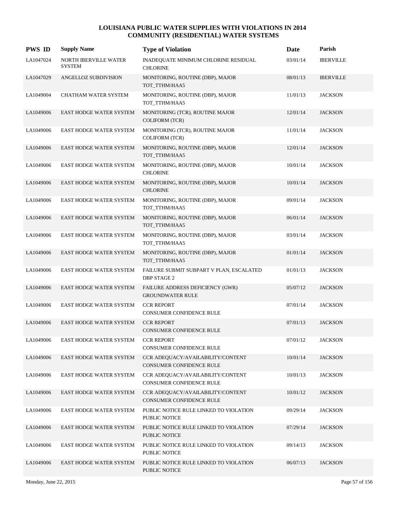| <b>PWS ID</b> | <b>Supply Name</b>                     | <b>Type of Violation</b>                                             | Date     | Parish           |
|---------------|----------------------------------------|----------------------------------------------------------------------|----------|------------------|
| LA1047024     | NORTH IBERVILLE WATER<br><b>SYSTEM</b> | INADEQUATE MINIMUM CHLORINE RESIDUAL<br><b>CHLORINE</b>              | 03/01/14 | <b>IBERVILLE</b> |
| LA1047029     | ANGELLOZ SUBDIVISION                   | MONITORING, ROUTINE (DBP), MAJOR<br>TOT_TTHM/HAA5                    | 08/01/13 | <b>IBERVILLE</b> |
| LA1049004     | CHATHAM WATER SYSTEM                   | MONITORING, ROUTINE (DBP), MAJOR<br>TOT_TTHM/HAA5                    | 11/01/13 | <b>JACKSON</b>   |
| LA1049006     | <b>EAST HODGE WATER SYSTEM</b>         | MONITORING (TCR), ROUTINE MAJOR<br><b>COLIFORM (TCR)</b>             | 12/01/14 | <b>JACKSON</b>   |
| LA1049006     | EAST HODGE WATER SYSTEM                | MONITORING (TCR), ROUTINE MAJOR<br><b>COLIFORM (TCR)</b>             | 11/01/14 | <b>JACKSON</b>   |
| LA1049006     | EAST HODGE WATER SYSTEM                | MONITORING, ROUTINE (DBP), MAJOR<br>TOT_TTHM/HAA5                    | 12/01/14 | <b>JACKSON</b>   |
| LA1049006     | EAST HODGE WATER SYSTEM                | MONITORING, ROUTINE (DBP), MAJOR<br><b>CHLORINE</b>                  | 10/01/14 | <b>JACKSON</b>   |
| LA1049006     | <b>EAST HODGE WATER SYSTEM</b>         | MONITORING, ROUTINE (DBP), MAJOR<br><b>CHLORINE</b>                  | 10/01/14 | <b>JACKSON</b>   |
| LA1049006     | EAST HODGE WATER SYSTEM                | MONITORING, ROUTINE (DBP), MAJOR<br>TOT_TTHM/HAA5                    | 09/01/14 | <b>JACKSON</b>   |
| LA1049006     | EAST HODGE WATER SYSTEM                | MONITORING, ROUTINE (DBP), MAJOR<br>TOT_TTHM/HAA5                    | 06/01/14 | <b>JACKSON</b>   |
| LA1049006     | EAST HODGE WATER SYSTEM                | MONITORING, ROUTINE (DBP), MAJOR<br>TOT_TTHM/HAA5                    | 03/01/14 | <b>JACKSON</b>   |
| LA1049006     | <b>EAST HODGE WATER SYSTEM</b>         | MONITORING, ROUTINE (DBP), MAJOR<br>TOT_TTHM/HAA5                    | 01/01/14 | <b>JACKSON</b>   |
| LA1049006     | EAST HODGE WATER SYSTEM                | FAILURE SUBMIT SUBPART V PLAN, ESCALATED<br><b>DBP STAGE 2</b>       | 01/01/13 | <b>JACKSON</b>   |
| LA1049006     | EAST HODGE WATER SYSTEM                | FAILURE ADDRESS DEFICIENCY (GWR)<br><b>GROUNDWATER RULE</b>          | 05/07/12 | <b>JACKSON</b>   |
| LA1049006     | EAST HODGE WATER SYSTEM                | <b>CCR REPORT</b><br>CONSUMER CONFIDENCE RULE                        | 07/01/14 | <b>JACKSON</b>   |
| LA1049006     | EAST HODGE WATER SYSTEM                | <b>CCR REPORT</b><br><b>CONSUMER CONFIDENCE RULE</b>                 | 07/01/13 | <b>JACKSON</b>   |
| LA1049006     | EAST HODGE WATER SYSTEM                | <b>CCR REPORT</b><br>CONSUMER CONFIDENCE RULE                        | 07/01/12 | <b>JACKSON</b>   |
| LA1049006     | EAST HODGE WATER SYSTEM                | CCR ADEQUACY/AVAILABILITY/CONTENT<br>CONSUMER CONFIDENCE RULE        | 10/01/14 | <b>JACKSON</b>   |
| LA1049006     | EAST HODGE WATER SYSTEM                | CCR ADEQUACY/AVAILABILITY/CONTENT<br>CONSUMER CONFIDENCE RULE        | 10/01/13 | <b>JACKSON</b>   |
| LA1049006     | <b>EAST HODGE WATER SYSTEM</b>         | CCR ADEQUACY/AVAILABILITY/CONTENT<br><b>CONSUMER CONFIDENCE RULE</b> | 10/01/12 | <b>JACKSON</b>   |
| LA1049006     | EAST HODGE WATER SYSTEM                | PUBLIC NOTICE RULE LINKED TO VIOLATION<br>PUBLIC NOTICE              | 09/29/14 | <b>JACKSON</b>   |
| LA1049006     | <b>EAST HODGE WATER SYSTEM</b>         | PUBLIC NOTICE RULE LINKED TO VIOLATION<br>PUBLIC NOTICE              | 07/29/14 | <b>JACKSON</b>   |
| LA1049006     | EAST HODGE WATER SYSTEM                | PUBLIC NOTICE RULE LINKED TO VIOLATION<br>PUBLIC NOTICE              | 09/14/13 | <b>JACKSON</b>   |
| LA1049006     | EAST HODGE WATER SYSTEM                | PUBLIC NOTICE RULE LINKED TO VIOLATION<br>PUBLIC NOTICE              | 06/07/13 | <b>JACKSON</b>   |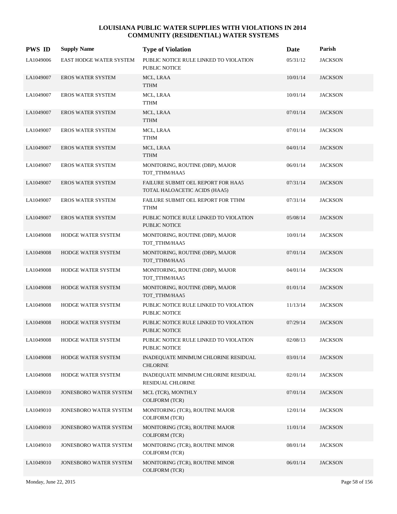| <b>PWS ID</b> | <b>Supply Name</b>       | <b>Type of Violation</b>                                            | Date     | Parish         |
|---------------|--------------------------|---------------------------------------------------------------------|----------|----------------|
| LA1049006     | EAST HODGE WATER SYSTEM  | PUBLIC NOTICE RULE LINKED TO VIOLATION<br>PUBLIC NOTICE             | 05/31/12 | <b>JACKSON</b> |
| LA1049007     | <b>EROS WATER SYSTEM</b> | MCL, LRAA<br><b>TTHM</b>                                            | 10/01/14 | <b>JACKSON</b> |
| LA1049007     | EROS WATER SYSTEM        | MCL, LRAA<br><b>TTHM</b>                                            | 10/01/14 | <b>JACKSON</b> |
| LA1049007     | <b>EROS WATER SYSTEM</b> | MCL, LRAA<br><b>TTHM</b>                                            | 07/01/14 | <b>JACKSON</b> |
| LA1049007     | <b>EROS WATER SYSTEM</b> | MCL, LRAA<br><b>TTHM</b>                                            | 07/01/14 | <b>JACKSON</b> |
| LA1049007     | <b>EROS WATER SYSTEM</b> | MCL, LRAA<br><b>TTHM</b>                                            | 04/01/14 | <b>JACKSON</b> |
| LA1049007     | <b>EROS WATER SYSTEM</b> | MONITORING, ROUTINE (DBP), MAJOR<br>TOT_TTHM/HAA5                   | 06/01/14 | <b>JACKSON</b> |
| LA1049007     | <b>EROS WATER SYSTEM</b> | FAILURE SUBMIT OEL REPORT FOR HAA5<br>TOTAL HALOACETIC ACIDS (HAA5) | 07/31/14 | <b>JACKSON</b> |
| LA1049007     | EROS WATER SYSTEM        | FAILURE SUBMIT OEL REPORT FOR TTHM<br>TTHM                          | 07/31/14 | <b>JACKSON</b> |
| LA1049007     | <b>EROS WATER SYSTEM</b> | PUBLIC NOTICE RULE LINKED TO VIOLATION<br><b>PUBLIC NOTICE</b>      | 05/08/14 | <b>JACKSON</b> |
| LA1049008     | HODGE WATER SYSTEM       | MONITORING, ROUTINE (DBP), MAJOR<br>TOT_TTHM/HAA5                   | 10/01/14 | <b>JACKSON</b> |
| LA1049008     | HODGE WATER SYSTEM       | MONITORING, ROUTINE (DBP), MAJOR<br>TOT_TTHM/HAA5                   | 07/01/14 | <b>JACKSON</b> |
| LA1049008     | HODGE WATER SYSTEM       | MONITORING, ROUTINE (DBP), MAJOR<br>TOT_TTHM/HAA5                   | 04/01/14 | <b>JACKSON</b> |
| LA1049008     | HODGE WATER SYSTEM       | MONITORING, ROUTINE (DBP), MAJOR<br>TOT_TTHM/HAA5                   | 01/01/14 | <b>JACKSON</b> |
| LA1049008     | HODGE WATER SYSTEM       | PUBLIC NOTICE RULE LINKED TO VIOLATION<br>PUBLIC NOTICE             | 11/13/14 | <b>JACKSON</b> |
| LA1049008     | HODGE WATER SYSTEM       | PUBLIC NOTICE RULE LINKED TO VIOLATION<br>PUBLIC NOTICE             | 07/29/14 | <b>JACKSON</b> |
| LA1049008     | HODGE WATER SYSTEM       | PUBLIC NOTICE RULE LINKED TO VIOLATION<br>PUBLIC NOTICE             | 02/08/13 | <b>JACKSON</b> |
| LA1049008     | HODGE WATER SYSTEM       | INADEQUATE MINIMUM CHLORINE RESIDUAL<br><b>CHLORINE</b>             | 03/01/14 | <b>JACKSON</b> |
| LA1049008     | HODGE WATER SYSTEM       | INADEQUATE MINIMUM CHLORINE RESIDUAL<br><b>RESIDUAL CHLORINE</b>    | 02/01/14 | <b>JACKSON</b> |
| LA1049010     | JONESBORO WATER SYSTEM   | MCL (TCR), MONTHLY<br><b>COLIFORM (TCR)</b>                         | 07/01/14 | <b>JACKSON</b> |
| LA1049010     | JONESBORO WATER SYSTEM   | MONITORING (TCR), ROUTINE MAJOR<br><b>COLIFORM (TCR)</b>            | 12/01/14 | <b>JACKSON</b> |
| LA1049010     | JONESBORO WATER SYSTEM   | MONITORING (TCR), ROUTINE MAJOR<br><b>COLIFORM (TCR)</b>            | 11/01/14 | <b>JACKSON</b> |
| LA1049010     | JONESBORO WATER SYSTEM   | MONITORING (TCR), ROUTINE MINOR<br><b>COLIFORM (TCR)</b>            | 08/01/14 | <b>JACKSON</b> |
| LA1049010     | JONESBORO WATER SYSTEM   | MONITORING (TCR), ROUTINE MINOR<br>COLIFORM (TCR)                   | 06/01/14 | <b>JACKSON</b> |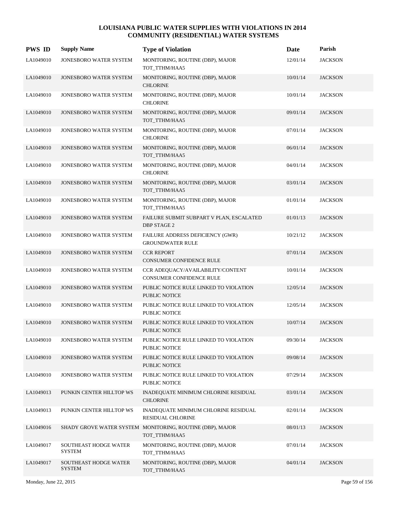| <b>PWS ID</b> | <b>Supply Name</b>                            | <b>Type of Violation</b>                                                   | Date     | Parish         |
|---------------|-----------------------------------------------|----------------------------------------------------------------------------|----------|----------------|
| LA1049010     | JONESBORO WATER SYSTEM                        | MONITORING, ROUTINE (DBP), MAJOR<br>TOT_TTHM/HAA5                          | 12/01/14 | <b>JACKSON</b> |
| LA1049010     | JONESBORO WATER SYSTEM                        | MONITORING, ROUTINE (DBP), MAJOR<br><b>CHLORINE</b>                        | 10/01/14 | <b>JACKSON</b> |
| LA1049010     | JONESBORO WATER SYSTEM                        | MONITORING, ROUTINE (DBP), MAJOR<br><b>CHLORINE</b>                        | 10/01/14 | <b>JACKSON</b> |
| LA1049010     | <b>JONESBORO WATER SYSTEM</b>                 | MONITORING, ROUTINE (DBP), MAJOR<br>TOT_TTHM/HAA5                          | 09/01/14 | <b>JACKSON</b> |
| LA1049010     | JONESBORO WATER SYSTEM                        | MONITORING, ROUTINE (DBP), MAJOR<br><b>CHLORINE</b>                        | 07/01/14 | <b>JACKSON</b> |
| LA1049010     | JONESBORO WATER SYSTEM                        | MONITORING, ROUTINE (DBP), MAJOR<br>TOT_TTHM/HAA5                          | 06/01/14 | <b>JACKSON</b> |
| LA1049010     | JONESBORO WATER SYSTEM                        | MONITORING, ROUTINE (DBP), MAJOR<br><b>CHLORINE</b>                        | 04/01/14 | <b>JACKSON</b> |
| LA1049010     | JONESBORO WATER SYSTEM                        | MONITORING, ROUTINE (DBP), MAJOR<br>TOT_TTHM/HAA5                          | 03/01/14 | <b>JACKSON</b> |
| LA1049010     | JONESBORO WATER SYSTEM                        | MONITORING, ROUTINE (DBP), MAJOR<br>TOT_TTHM/HAA5                          | 01/01/14 | <b>JACKSON</b> |
| LA1049010     | JONESBORO WATER SYSTEM                        | FAILURE SUBMIT SUBPART V PLAN, ESCALATED<br><b>DBP STAGE 2</b>             | 01/01/13 | <b>JACKSON</b> |
| LA1049010     | JONESBORO WATER SYSTEM                        | FAILURE ADDRESS DEFICIENCY (GWR)<br><b>GROUNDWATER RULE</b>                | 10/21/12 | <b>JACKSON</b> |
| LA1049010     | JONESBORO WATER SYSTEM                        | <b>CCR REPORT</b><br><b>CONSUMER CONFIDENCE RULE</b>                       | 07/01/14 | <b>JACKSON</b> |
| LA1049010     | JONESBORO WATER SYSTEM                        | CCR ADEQUACY/AVAILABILITY/CONTENT<br>CONSUMER CONFIDENCE RULE              | 10/01/14 | <b>JACKSON</b> |
| LA1049010     | JONESBORO WATER SYSTEM                        | PUBLIC NOTICE RULE LINKED TO VIOLATION<br>PUBLIC NOTICE                    | 12/05/14 | <b>JACKSON</b> |
| LA1049010     | JONESBORO WATER SYSTEM                        | PUBLIC NOTICE RULE LINKED TO VIOLATION<br><b>PUBLIC NOTICE</b>             | 12/05/14 | <b>JACKSON</b> |
| LA1049010     | JONESBORO WATER SYSTEM                        | PUBLIC NOTICE RULE LINKED TO VIOLATION<br>PUBLIC NOTICE                    | 10/07/14 | <b>JACKSON</b> |
| LA1049010     | JONESBORO WATER SYSTEM                        | PUBLIC NOTICE RULE LINKED TO VIOLATION<br><b>PUBLIC NOTICE</b>             | 09/30/14 | <b>JACKSON</b> |
| LA1049010     | JONESBORO WATER SYSTEM                        | PUBLIC NOTICE RULE LINKED TO VIOLATION<br>PUBLIC NOTICE                    | 09/08/14 | <b>JACKSON</b> |
| LA1049010     | JONESBORO WATER SYSTEM                        | PUBLIC NOTICE RULE LINKED TO VIOLATION<br>PUBLIC NOTICE                    | 07/29/14 | <b>JACKSON</b> |
| LA1049013     | PUNKIN CENTER HILLTOP WS                      | INADEQUATE MINIMUM CHLORINE RESIDUAL<br><b>CHLORINE</b>                    | 03/01/14 | <b>JACKSON</b> |
| LA1049013     | PUNKIN CENTER HILLTOP WS                      | INADEQUATE MINIMUM CHLORINE RESIDUAL<br><b>RESIDUAL CHLORINE</b>           | 02/01/14 | <b>JACKSON</b> |
| LA1049016     |                                               | SHADY GROVE WATER SYSTEM MONITORING, ROUTINE (DBP), MAJOR<br>TOT_TTHM/HAA5 | 08/01/13 | <b>JACKSON</b> |
| LA1049017     | SOUTHEAST HODGE WATER<br><b>SYSTEM</b>        | MONITORING, ROUTINE (DBP), MAJOR<br>TOT_TTHM/HAA5                          | 07/01/14 | <b>JACKSON</b> |
| LA1049017     | <b>SOUTHEAST HODGE WATER</b><br><b>SYSTEM</b> | MONITORING, ROUTINE (DBP), MAJOR<br>TOT_TTHM/HAA5                          | 04/01/14 | <b>JACKSON</b> |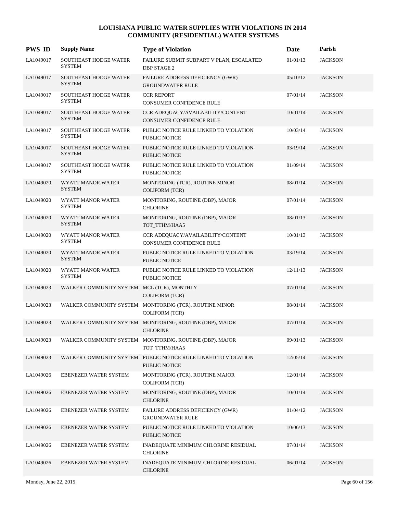| <b>PWS ID</b> | <b>Supply Name</b>                            | <b>Type of Violation</b>                                                         | Date     | Parish         |
|---------------|-----------------------------------------------|----------------------------------------------------------------------------------|----------|----------------|
| LA1049017     | SOUTHEAST HODGE WATER<br><b>SYSTEM</b>        | FAILURE SUBMIT SUBPART V PLAN, ESCALATED<br><b>DBP STAGE 2</b>                   | 01/01/13 | <b>JACKSON</b> |
| LA1049017     | <b>SOUTHEAST HODGE WATER</b><br><b>SYSTEM</b> | FAILURE ADDRESS DEFICIENCY (GWR)<br><b>GROUNDWATER RULE</b>                      | 05/10/12 | <b>JACKSON</b> |
| LA1049017     | SOUTHEAST HODGE WATER<br><b>SYSTEM</b>        | <b>CCR REPORT</b><br>CONSUMER CONFIDENCE RULE                                    | 07/01/14 | <b>JACKSON</b> |
| LA1049017     | SOUTHEAST HODGE WATER<br><b>SYSTEM</b>        | CCR ADEQUACY/AVAILABILITY/CONTENT<br>CONSUMER CONFIDENCE RULE                    | 10/01/14 | <b>JACKSON</b> |
| LA1049017     | <b>SOUTHEAST HODGE WATER</b><br><b>SYSTEM</b> | PUBLIC NOTICE RULE LINKED TO VIOLATION<br>PUBLIC NOTICE                          | 10/03/14 | <b>JACKSON</b> |
| LA1049017     | SOUTHEAST HODGE WATER<br><b>SYSTEM</b>        | PUBLIC NOTICE RULE LINKED TO VIOLATION<br>PUBLIC NOTICE                          | 03/19/14 | <b>JACKSON</b> |
| LA1049017     | SOUTHEAST HODGE WATER<br><b>SYSTEM</b>        | PUBLIC NOTICE RULE LINKED TO VIOLATION<br>PUBLIC NOTICE                          | 01/09/14 | <b>JACKSON</b> |
| LA1049020     | WYATT MANOR WATER<br><b>SYSTEM</b>            | MONITORING (TCR), ROUTINE MINOR<br><b>COLIFORM (TCR)</b>                         | 08/01/14 | <b>JACKSON</b> |
| LA1049020     | WYATT MANOR WATER<br><b>SYSTEM</b>            | MONITORING, ROUTINE (DBP), MAJOR<br><b>CHLORINE</b>                              | 07/01/14 | <b>JACKSON</b> |
| LA1049020     | WYATT MANOR WATER<br><b>SYSTEM</b>            | MONITORING, ROUTINE (DBP), MAJOR<br>TOT_TTHM/HAA5                                | 08/01/13 | <b>JACKSON</b> |
| LA1049020     | WYATT MANOR WATER<br><b>SYSTEM</b>            | CCR ADEQUACY/AVAILABILITY/CONTENT<br>CONSUMER CONFIDENCE RULE                    | 10/01/13 | <b>JACKSON</b> |
| LA1049020     | WYATT MANOR WATER<br><b>SYSTEM</b>            | PUBLIC NOTICE RULE LINKED TO VIOLATION<br><b>PUBLIC NOTICE</b>                   | 03/19/14 | <b>JACKSON</b> |
| LA1049020     | WYATT MANOR WATER<br><b>SYSTEM</b>            | PUBLIC NOTICE RULE LINKED TO VIOLATION<br>PUBLIC NOTICE                          | 12/11/13 | <b>JACKSON</b> |
| LA1049023     | WALKER COMMUNITY SYSTEM MCL (TCR), MONTHLY    | <b>COLIFORM (TCR)</b>                                                            | 07/01/14 | <b>JACKSON</b> |
| LA1049023     |                                               | WALKER COMMUNITY SYSTEM MONITORING (TCR), ROUTINE MINOR<br><b>COLIFORM (TCR)</b> | 08/01/14 | <b>JACKSON</b> |
| LA1049023     |                                               | WALKER COMMUNITY SYSTEM MONITORING, ROUTINE (DBP), MAJOR<br><b>CHLORINE</b>      | 07/01/14 | <b>JACKSON</b> |
| LA1049023     |                                               | WALKER COMMUNITY SYSTEM MONITORING, ROUTINE (DBP), MAJOR<br>TOT_TTHM/HAA5        | 09/01/13 | <b>JACKSON</b> |
| LA1049023     |                                               | WALKER COMMUNITY SYSTEM PUBLIC NOTICE RULE LINKED TO VIOLATION<br>PUBLIC NOTICE  | 12/05/14 | <b>JACKSON</b> |
| LA1049026     | EBENEZER WATER SYSTEM                         | MONITORING (TCR), ROUTINE MAJOR<br><b>COLIFORM (TCR)</b>                         | 12/01/14 | <b>JACKSON</b> |
| LA1049026     | EBENEZER WATER SYSTEM                         | MONITORING, ROUTINE (DBP), MAJOR<br><b>CHLORINE</b>                              | 10/01/14 | <b>JACKSON</b> |
| LA1049026     | EBENEZER WATER SYSTEM                         | FAILURE ADDRESS DEFICIENCY (GWR)<br><b>GROUNDWATER RULE</b>                      | 01/04/12 | <b>JACKSON</b> |
| LA1049026     | <b>EBENEZER WATER SYSTEM</b>                  | PUBLIC NOTICE RULE LINKED TO VIOLATION<br>PUBLIC NOTICE                          | 10/06/13 | <b>JACKSON</b> |
| LA1049026     | EBENEZER WATER SYSTEM                         | INADEQUATE MINIMUM CHLORINE RESIDUAL<br><b>CHLORINE</b>                          | 07/01/14 | <b>JACKSON</b> |
| LA1049026     | EBENEZER WATER SYSTEM                         | INADEQUATE MINIMUM CHLORINE RESIDUAL<br><b>CHLORINE</b>                          | 06/01/14 | <b>JACKSON</b> |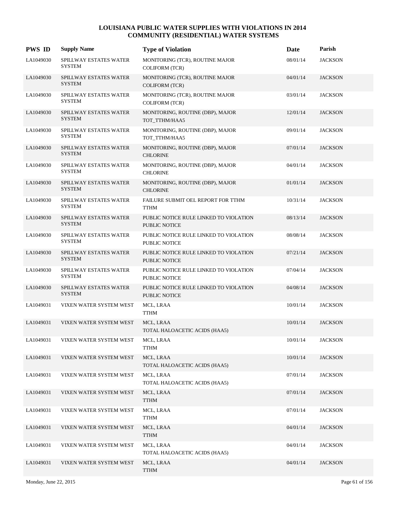| <b>PWS ID</b> | <b>Supply Name</b>                      | <b>Type of Violation</b>                                       | Date     | Parish         |
|---------------|-----------------------------------------|----------------------------------------------------------------|----------|----------------|
| LA1049030     | SPILLWAY ESTATES WATER<br><b>SYSTEM</b> | MONITORING (TCR), ROUTINE MAJOR<br><b>COLIFORM (TCR)</b>       | 08/01/14 | <b>JACKSON</b> |
| LA1049030     | SPILLWAY ESTATES WATER<br><b>SYSTEM</b> | MONITORING (TCR), ROUTINE MAJOR<br><b>COLIFORM (TCR)</b>       | 04/01/14 | <b>JACKSON</b> |
| LA1049030     | SPILLWAY ESTATES WATER<br><b>SYSTEM</b> | MONITORING (TCR), ROUTINE MAJOR<br><b>COLIFORM (TCR)</b>       | 03/01/14 | <b>JACKSON</b> |
| LA1049030     | SPILLWAY ESTATES WATER<br><b>SYSTEM</b> | MONITORING, ROUTINE (DBP), MAJOR<br>TOT_TTHM/HAA5              | 12/01/14 | <b>JACKSON</b> |
| LA1049030     | SPILLWAY ESTATES WATER<br><b>SYSTEM</b> | MONITORING, ROUTINE (DBP), MAJOR<br>TOT_TTHM/HAA5              | 09/01/14 | <b>JACKSON</b> |
| LA1049030     | SPILLWAY ESTATES WATER<br><b>SYSTEM</b> | MONITORING, ROUTINE (DBP), MAJOR<br><b>CHLORINE</b>            | 07/01/14 | <b>JACKSON</b> |
| LA1049030     | SPILLWAY ESTATES WATER<br><b>SYSTEM</b> | MONITORING, ROUTINE (DBP), MAJOR<br><b>CHLORINE</b>            | 04/01/14 | <b>JACKSON</b> |
| LA1049030     | SPILLWAY ESTATES WATER<br><b>SYSTEM</b> | MONITORING, ROUTINE (DBP), MAJOR<br><b>CHLORINE</b>            | 01/01/14 | <b>JACKSON</b> |
| LA1049030     | SPILLWAY ESTATES WATER<br><b>SYSTEM</b> | FAILURE SUBMIT OEL REPORT FOR TTHM<br><b>TTHM</b>              | 10/31/14 | <b>JACKSON</b> |
| LA1049030     | SPILLWAY ESTATES WATER<br><b>SYSTEM</b> | PUBLIC NOTICE RULE LINKED TO VIOLATION<br>PUBLIC NOTICE        | 08/13/14 | <b>JACKSON</b> |
| LA1049030     | SPILLWAY ESTATES WATER<br><b>SYSTEM</b> | PUBLIC NOTICE RULE LINKED TO VIOLATION<br>PUBLIC NOTICE        | 08/08/14 | <b>JACKSON</b> |
| LA1049030     | SPILLWAY ESTATES WATER<br><b>SYSTEM</b> | PUBLIC NOTICE RULE LINKED TO VIOLATION<br><b>PUBLIC NOTICE</b> | 07/21/14 | <b>JACKSON</b> |
| LA1049030     | SPILLWAY ESTATES WATER<br><b>SYSTEM</b> | PUBLIC NOTICE RULE LINKED TO VIOLATION<br>PUBLIC NOTICE        | 07/04/14 | <b>JACKSON</b> |
| LA1049030     | SPILLWAY ESTATES WATER<br><b>SYSTEM</b> | PUBLIC NOTICE RULE LINKED TO VIOLATION<br>PUBLIC NOTICE        | 04/08/14 | <b>JACKSON</b> |
| LA1049031     | VIXEN WATER SYSTEM WEST                 | MCL, LRAA<br><b>TTHM</b>                                       | 10/01/14 | <b>JACKSON</b> |
| LA1049031     | VIXEN WATER SYSTEM WEST                 | MCL, LRAA<br>TOTAL HALOACETIC ACIDS (HAA5)                     | 10/01/14 | <b>JACKSON</b> |
| LA1049031     | VIXEN WATER SYSTEM WEST                 | MCL, LRAA<br><b>TTHM</b>                                       | 10/01/14 | <b>JACKSON</b> |
| LA1049031     | VIXEN WATER SYSTEM WEST                 | MCL, LRAA<br>TOTAL HALOACETIC ACIDS (HAA5)                     | 10/01/14 | <b>JACKSON</b> |
| LA1049031     | VIXEN WATER SYSTEM WEST                 | MCL, LRAA<br>TOTAL HALOACETIC ACIDS (HAA5)                     | 07/01/14 | <b>JACKSON</b> |
| LA1049031     | VIXEN WATER SYSTEM WEST                 | MCL, LRAA<br><b>TTHM</b>                                       | 07/01/14 | <b>JACKSON</b> |
| LA1049031     | VIXEN WATER SYSTEM WEST                 | MCL, LRAA<br>${\rm TTHM}$                                      | 07/01/14 | <b>JACKSON</b> |
| LA1049031     | VIXEN WATER SYSTEM WEST                 | MCL, LRAA<br><b>TTHM</b>                                       | 04/01/14 | <b>JACKSON</b> |
| LA1049031     | VIXEN WATER SYSTEM WEST                 | MCL, LRAA<br>TOTAL HALOACETIC ACIDS (HAA5)                     | 04/01/14 | <b>JACKSON</b> |
| LA1049031     | VIXEN WATER SYSTEM WEST                 | MCL, LRAA<br><b>TTHM</b>                                       | 04/01/14 | <b>JACKSON</b> |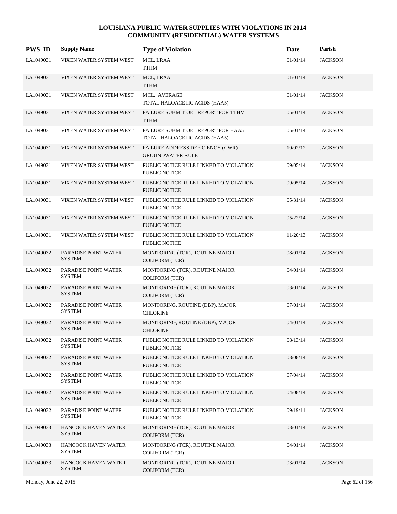| <b>PWS ID</b> | <b>Supply Name</b>                          | <b>Type of Violation</b>                                            | Date     | Parish         |
|---------------|---------------------------------------------|---------------------------------------------------------------------|----------|----------------|
| LA1049031     | VIXEN WATER SYSTEM WEST                     | MCL, LRAA<br>TTHM                                                   | 01/01/14 | <b>JACKSON</b> |
| LA1049031     | VIXEN WATER SYSTEM WEST                     | MCL, LRAA<br><b>TTHM</b>                                            | 01/01/14 | <b>JACKSON</b> |
| LA1049031     | VIXEN WATER SYSTEM WEST                     | MCL, AVERAGE<br>TOTAL HALOACETIC ACIDS (HAA5)                       | 01/01/14 | <b>JACKSON</b> |
| LA1049031     | VIXEN WATER SYSTEM WEST                     | FAILURE SUBMIT OEL REPORT FOR TTHM<br><b>TTHM</b>                   | 05/01/14 | <b>JACKSON</b> |
| LA1049031     | VIXEN WATER SYSTEM WEST                     | FAILURE SUBMIT OEL REPORT FOR HAA5<br>TOTAL HALOACETIC ACIDS (HAA5) | 05/01/14 | <b>JACKSON</b> |
| LA1049031     | VIXEN WATER SYSTEM WEST                     | FAILURE ADDRESS DEFICIENCY (GWR)<br><b>GROUNDWATER RULE</b>         | 10/02/12 | <b>JACKSON</b> |
| LA1049031     | VIXEN WATER SYSTEM WEST                     | PUBLIC NOTICE RULE LINKED TO VIOLATION<br><b>PUBLIC NOTICE</b>      | 09/05/14 | <b>JACKSON</b> |
| LA1049031     | VIXEN WATER SYSTEM WEST                     | PUBLIC NOTICE RULE LINKED TO VIOLATION<br><b>PUBLIC NOTICE</b>      | 09/05/14 | <b>JACKSON</b> |
| LA1049031     | VIXEN WATER SYSTEM WEST                     | PUBLIC NOTICE RULE LINKED TO VIOLATION<br>PUBLIC NOTICE             | 05/31/14 | <b>JACKSON</b> |
| LA1049031     | VIXEN WATER SYSTEM WEST                     | PUBLIC NOTICE RULE LINKED TO VIOLATION<br><b>PUBLIC NOTICE</b>      | 05/22/14 | <b>JACKSON</b> |
| LA1049031     | VIXEN WATER SYSTEM WEST                     | PUBLIC NOTICE RULE LINKED TO VIOLATION<br>PUBLIC NOTICE             | 11/20/13 | <b>JACKSON</b> |
| LA1049032     | PARADISE POINT WATER<br><b>SYSTEM</b>       | MONITORING (TCR), ROUTINE MAJOR<br><b>COLIFORM (TCR)</b>            | 08/01/14 | <b>JACKSON</b> |
| LA1049032     | PARADISE POINT WATER<br><b>SYSTEM</b>       | MONITORING (TCR), ROUTINE MAJOR<br><b>COLIFORM (TCR)</b>            | 04/01/14 | <b>JACKSON</b> |
| LA1049032     | PARADISE POINT WATER<br><b>SYSTEM</b>       | MONITORING (TCR), ROUTINE MAJOR<br><b>COLIFORM (TCR)</b>            | 03/01/14 | <b>JACKSON</b> |
| LA1049032     | PARADISE POINT WATER<br><b>SYSTEM</b>       | MONITORING, ROUTINE (DBP), MAJOR<br><b>CHLORINE</b>                 | 07/01/14 | <b>JACKSON</b> |
| LA1049032     | PARADISE POINT WATER<br><b>SYSTEM</b>       | MONITORING, ROUTINE (DBP), MAJOR<br><b>CHLORINE</b>                 | 04/01/14 | <b>JACKSON</b> |
| LA1049032     | PARADISE POINT WATER<br><b>SYSTEM</b>       | PUBLIC NOTICE RULE LINKED TO VIOLATION<br>PUBLIC NOTICE             | 08/13/14 | <b>JACKSON</b> |
| LA1049032     | PARADISE POINT WATER<br><b>SYSTEM</b>       | PUBLIC NOTICE RULE LINKED TO VIOLATION<br><b>PUBLIC NOTICE</b>      | 08/08/14 | <b>JACKSON</b> |
| LA1049032     | PARADISE POINT WATER<br><b>SYSTEM</b>       | PUBLIC NOTICE RULE LINKED TO VIOLATION<br>PUBLIC NOTICE             | 07/04/14 | <b>JACKSON</b> |
| LA1049032     | PARADISE POINT WATER<br><b>SYSTEM</b>       | PUBLIC NOTICE RULE LINKED TO VIOLATION<br>PUBLIC NOTICE             | 04/08/14 | <b>JACKSON</b> |
| LA1049032     | PARADISE POINT WATER<br><b>SYSTEM</b>       | PUBLIC NOTICE RULE LINKED TO VIOLATION<br>PUBLIC NOTICE             | 09/19/11 | <b>JACKSON</b> |
| LA1049033     | <b>HANCOCK HAVEN WATER</b><br><b>SYSTEM</b> | MONITORING (TCR), ROUTINE MAJOR<br><b>COLIFORM (TCR)</b>            | 08/01/14 | <b>JACKSON</b> |
| LA1049033     | HANCOCK HAVEN WATER<br><b>SYSTEM</b>        | MONITORING (TCR), ROUTINE MAJOR<br>COLIFORM (TCR)                   | 04/01/14 | <b>JACKSON</b> |
| LA1049033     | <b>HANCOCK HAVEN WATER</b><br><b>SYSTEM</b> | MONITORING (TCR), ROUTINE MAJOR<br>COLIFORM (TCR)                   | 03/01/14 | <b>JACKSON</b> |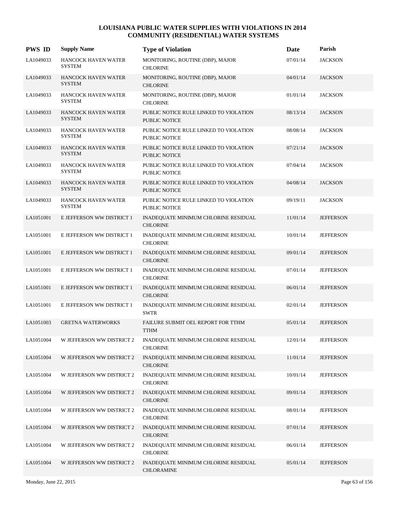| <b>PWS ID</b> | <b>Supply Name</b>                          | <b>Type of Violation</b>                                       | Date     | Parish           |
|---------------|---------------------------------------------|----------------------------------------------------------------|----------|------------------|
| LA1049033     | HANCOCK HAVEN WATER<br><b>SYSTEM</b>        | MONITORING, ROUTINE (DBP), MAJOR<br><b>CHLORINE</b>            | 07/01/14 | <b>JACKSON</b>   |
| LA1049033     | <b>HANCOCK HAVEN WATER</b><br><b>SYSTEM</b> | MONITORING, ROUTINE (DBP), MAJOR<br><b>CHLORINE</b>            | 04/01/14 | <b>JACKSON</b>   |
| LA1049033     | HANCOCK HAVEN WATER<br><b>SYSTEM</b>        | MONITORING, ROUTINE (DBP), MAJOR<br><b>CHLORINE</b>            | 01/01/14 | <b>JACKSON</b>   |
| LA1049033     | <b>HANCOCK HAVEN WATER</b><br><b>SYSTEM</b> | PUBLIC NOTICE RULE LINKED TO VIOLATION<br><b>PUBLIC NOTICE</b> | 08/13/14 | <b>JACKSON</b>   |
| LA1049033     | <b>HANCOCK HAVEN WATER</b><br><b>SYSTEM</b> | PUBLIC NOTICE RULE LINKED TO VIOLATION<br>PUBLIC NOTICE        | 08/08/14 | <b>JACKSON</b>   |
| LA1049033     | HANCOCK HAVEN WATER<br><b>SYSTEM</b>        | PUBLIC NOTICE RULE LINKED TO VIOLATION<br>PUBLIC NOTICE        | 07/21/14 | <b>JACKSON</b>   |
| LA1049033     | HANCOCK HAVEN WATER<br><b>SYSTEM</b>        | PUBLIC NOTICE RULE LINKED TO VIOLATION<br>PUBLIC NOTICE        | 07/04/14 | <b>JACKSON</b>   |
| LA1049033     | <b>HANCOCK HAVEN WATER</b><br><b>SYSTEM</b> | PUBLIC NOTICE RULE LINKED TO VIOLATION<br><b>PUBLIC NOTICE</b> | 04/08/14 | <b>JACKSON</b>   |
| LA1049033     | HANCOCK HAVEN WATER<br><b>SYSTEM</b>        | PUBLIC NOTICE RULE LINKED TO VIOLATION<br>PUBLIC NOTICE        | 09/19/11 | <b>JACKSON</b>   |
| LA1051001     | E JEFFERSON WW DISTRICT 1                   | INADEQUATE MINIMUM CHLORINE RESIDUAL<br><b>CHLORINE</b>        | 11/01/14 | <b>JEFFERSON</b> |
| LA1051001     | E JEFFERSON WW DISTRICT 1                   | INADEQUATE MINIMUM CHLORINE RESIDUAL<br><b>CHLORINE</b>        | 10/01/14 | <b>JEFFERSON</b> |
| LA1051001     | E JEFFERSON WW DISTRICT 1                   | INADEQUATE MINIMUM CHLORINE RESIDUAL<br><b>CHLORINE</b>        | 09/01/14 | <b>JEFFERSON</b> |
| LA1051001     | E JEFFERSON WW DISTRICT 1                   | INADEQUATE MINIMUM CHLORINE RESIDUAL<br><b>CHLORINE</b>        | 07/01/14 | <b>JEFFERSON</b> |
| LA1051001     | E JEFFERSON WW DISTRICT 1                   | INADEQUATE MINIMUM CHLORINE RESIDUAL<br><b>CHLORINE</b>        | 06/01/14 | <b>JEFFERSON</b> |
| LA1051001     | E JEFFERSON WW DISTRICT 1                   | INADEQUATE MINIMUM CHLORINE RESIDUAL<br><b>SWTR</b>            | 02/01/14 | <b>JEFFERSON</b> |
| LA1051003     | <b>GRETNA WATERWORKS</b>                    | FAILURE SUBMIT OEL REPORT FOR TTHM<br><b>TTHM</b>              | 05/01/14 | <b>JEFFERSON</b> |
| LA1051004     | W JEFFERSON WW DISTRICT 2                   | INADEQUATE MINIMUM CHLORINE RESIDUAL<br><b>CHLORINE</b>        | 12/01/14 | <b>JEFFERSON</b> |
| LA1051004     | W JEFFERSON WW DISTRICT 2                   | INADEQUATE MINIMUM CHLORINE RESIDUAL<br><b>CHLORINE</b>        | 11/01/14 | <b>JEFFERSON</b> |
| LA1051004     | W JEFFERSON WW DISTRICT 2                   | INADEQUATE MINIMUM CHLORINE RESIDUAL<br><b>CHLORINE</b>        | 10/01/14 | <b>JEFFERSON</b> |
| LA1051004     | W JEFFERSON WW DISTRICT 2                   | INADEQUATE MINIMUM CHLORINE RESIDUAL<br><b>CHLORINE</b>        | 09/01/14 | <b>JEFFERSON</b> |
| LA1051004     | W JEFFERSON WW DISTRICT 2                   | INADEQUATE MINIMUM CHLORINE RESIDUAL<br><b>CHLORINE</b>        | 08/01/14 | <b>JEFFERSON</b> |
| LA1051004     | W JEFFERSON WW DISTRICT 2                   | INADEQUATE MINIMUM CHLORINE RESIDUAL<br><b>CHLORINE</b>        | 07/01/14 | <b>JEFFERSON</b> |
| LA1051004     | W JEFFERSON WW DISTRICT 2                   | INADEQUATE MINIMUM CHLORINE RESIDUAL<br><b>CHLORINE</b>        | 06/01/14 | <b>JEFFERSON</b> |
| LA1051004     | W JEFFERSON WW DISTRICT 2                   | INADEQUATE MINIMUM CHLORINE RESIDUAL<br><b>CHLORAMINE</b>      | 05/01/14 | <b>JEFFERSON</b> |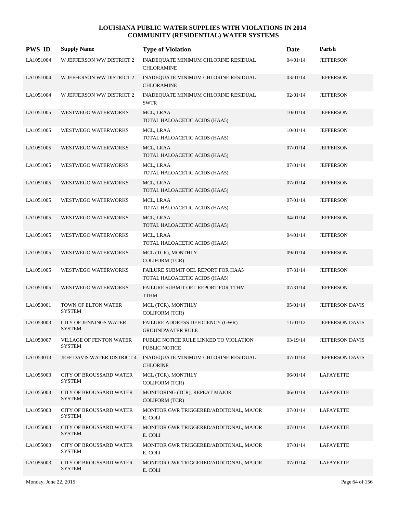| <b>PWS ID</b> | <b>Supply Name</b>                              | <b>Type of Violation</b>                                            | Date     | Parish                 |
|---------------|-------------------------------------------------|---------------------------------------------------------------------|----------|------------------------|
| LA1051004     | W JEFFERSON WW DISTRICT 2                       | INADEQUATE MINIMUM CHLORINE RESIDUAL<br><b>CHLORAMINE</b>           | 04/01/14 | <b>JEFFERSON</b>       |
| LA1051004     | W JEFFERSON WW DISTRICT 2                       | INADEQUATE MINIMUM CHLORINE RESIDUAL<br><b>CHLORAMINE</b>           | 03/01/14 | <b>JEFFERSON</b>       |
| LA1051004     | W JEFFERSON WW DISTRICT 2                       | INADEQUATE MINIMUM CHLORINE RESIDUAL<br><b>SWTR</b>                 | 02/01/14 | <b>JEFFERSON</b>       |
| LA1051005     | WESTWEGO WATERWORKS                             | MCL, LRAA<br>TOTAL HALOACETIC ACIDS (HAA5)                          | 10/01/14 | <b>JEFFERSON</b>       |
| LA1051005     | WESTWEGO WATERWORKS                             | MCL, LRAA<br>TOTAL HALOACETIC ACIDS (HAA5)                          | 10/01/14 | <b>JEFFERSON</b>       |
| LA1051005     | WESTWEGO WATERWORKS                             | MCL, LRAA<br>TOTAL HALOACETIC ACIDS (HAA5)                          | 07/01/14 | <b>JEFFERSON</b>       |
| LA1051005     | WESTWEGO WATERWORKS                             | MCL, LRAA<br>TOTAL HALOACETIC ACIDS (HAA5)                          | 07/01/14 | <b>JEFFERSON</b>       |
| LA1051005     | WESTWEGO WATERWORKS                             | MCL, LRAA<br>TOTAL HALOACETIC ACIDS (HAA5)                          | 07/01/14 | <b>JEFFERSON</b>       |
| LA1051005     | WESTWEGO WATERWORKS                             | MCL, LRAA<br>TOTAL HALOACETIC ACIDS (HAA5)                          | 07/01/14 | <b>JEFFERSON</b>       |
| LA1051005     | WESTWEGO WATERWORKS                             | MCL, LRAA<br>TOTAL HALOACETIC ACIDS (HAA5)                          | 04/01/14 | <b>JEFFERSON</b>       |
| LA1051005     | WESTWEGO WATERWORKS                             | MCL, LRAA<br>TOTAL HALOACETIC ACIDS (HAA5)                          | 04/01/14 | <b>JEFFERSON</b>       |
| LA1051005     | <b>WESTWEGO WATERWORKS</b>                      | MCL (TCR), MONTHLY<br>COLIFORM (TCR)                                | 09/01/14 | <b>JEFFERSON</b>       |
| LA1051005     | WESTWEGO WATERWORKS                             | FAILURE SUBMIT OEL REPORT FOR HAA5<br>TOTAL HALOACETIC ACIDS (HAA5) | 07/31/14 | <b>JEFFERSON</b>       |
| LA1051005     | WESTWEGO WATERWORKS                             | FAILURE SUBMIT OEL REPORT FOR TTHM<br><b>TTHM</b>                   | 07/31/14 | <b>JEFFERSON</b>       |
| LA1053001     | TOWN OF ELTON WATER<br><b>SYSTEM</b>            | MCL (TCR), MONTHLY<br>COLIFORM (TCR)                                | 05/01/14 | JEFFERSON DAVIS        |
| LA1053003     | <b>CITY OF JENNINGS WATER</b><br><b>SYSTEM</b>  | FAILURE ADDRESS DEFICIENCY (GWR)<br><b>GROUNDWATER RULE</b>         | 11/01/12 | <b>JEFFERSON DAVIS</b> |
| LA1053007     | <b>VILLAGE OF FENTON WATER</b><br><b>SYSTEM</b> | PUBLIC NOTICE RULE LINKED TO VIOLATION<br>PUBLIC NOTICE             | 03/19/14 | <b>JEFFERSON DAVIS</b> |
| LA1053013     | JEFF DAVIS WATER DISTRICT 4                     | INADEQUATE MINIMUM CHLORINE RESIDUAL<br><b>CHLORINE</b>             | 07/01/14 | <b>JEFFERSON DAVIS</b> |
| LA1055003     | CITY OF BROUSSARD WATER<br><b>SYSTEM</b>        | MCL (TCR), MONTHLY<br><b>COLIFORM (TCR)</b>                         | 06/01/14 | LAFAYETTE              |
| LA1055003     | CITY OF BROUSSARD WATER<br><b>SYSTEM</b>        | MONITORING (TCR), REPEAT MAJOR<br><b>COLIFORM (TCR)</b>             | 06/01/14 | LAFAYETTE              |
| LA1055003     | CITY OF BROUSSARD WATER<br><b>SYSTEM</b>        | MONITOR GWR TRIGGERED/ADDITONAL, MAJOR<br>E. COLI                   | 07/01/14 | LAFAYETTE              |
| LA1055003     | <b>CITY OF BROUSSARD WATER</b><br><b>SYSTEM</b> | MONITOR GWR TRIGGERED/ADDITONAL, MAJOR<br>E. COLI                   | 07/01/14 | LAFAYETTE              |
| LA1055003     | CITY OF BROUSSARD WATER<br><b>SYSTEM</b>        | MONITOR GWR TRIGGERED/ADDITONAL, MAJOR<br>E. COLI                   | 07/01/14 | LAFAYETTE              |
| LA1055003     | CITY OF BROUSSARD WATER<br><b>SYSTEM</b>        | MONITOR GWR TRIGGERED/ADDITONAL, MAJOR<br>E. COLI                   | 07/01/14 | LAFAYETTE              |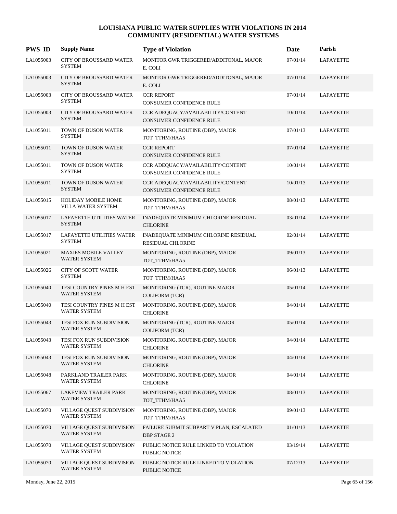| <b>PWS ID</b> | <b>Supply Name</b>                                      | <b>Type of Violation</b>                                         | Date     | Parish           |
|---------------|---------------------------------------------------------|------------------------------------------------------------------|----------|------------------|
| LA1055003     | <b>CITY OF BROUSSARD WATER</b><br><b>SYSTEM</b>         | MONITOR GWR TRIGGERED/ADDITONAL, MAJOR<br>E. COLI                | 07/01/14 | <b>LAFAYETTE</b> |
| LA1055003     | <b>CITY OF BROUSSARD WATER</b><br><b>SYSTEM</b>         | MONITOR GWR TRIGGERED/ADDITONAL, MAJOR<br>E. COLI                | 07/01/14 | <b>LAFAYETTE</b> |
| LA1055003     | CITY OF BROUSSARD WATER<br><b>SYSTEM</b>                | <b>CCR REPORT</b><br>CONSUMER CONFIDENCE RULE                    | 07/01/14 | LAFAYETTE        |
| LA1055003     | <b>CITY OF BROUSSARD WATER</b><br><b>SYSTEM</b>         | CCR ADEQUACY/AVAILABILITY/CONTENT<br>CONSUMER CONFIDENCE RULE    | 10/01/14 | LAFAYETTE        |
| LA1055011     | TOWN OF DUSON WATER<br><b>SYSTEM</b>                    | MONITORING, ROUTINE (DBP), MAJOR<br>TOT TTHM/HAA5                | 07/01/13 | <b>LAFAYETTE</b> |
| LA1055011     | TOWN OF DUSON WATER<br><b>SYSTEM</b>                    | <b>CCR REPORT</b><br>CONSUMER CONFIDENCE RULE                    | 07/01/14 | LAFAYETTE        |
| LA1055011     | TOWN OF DUSON WATER<br><b>SYSTEM</b>                    | CCR ADEQUACY/AVAILABILITY/CONTENT<br>CONSUMER CONFIDENCE RULE    | 10/01/14 | LAFAYETTE        |
| LA1055011     | TOWN OF DUSON WATER<br><b>SYSTEM</b>                    | CCR ADEQUACY/AVAILABILITY/CONTENT<br>CONSUMER CONFIDENCE RULE    | 10/01/13 | <b>LAFAYETTE</b> |
| LA1055015     | HOLIDAY MOBILE HOME<br>VILLA WATER SYSTEM               | MONITORING, ROUTINE (DBP), MAJOR<br>TOT_TTHM/HAA5                | 08/01/13 | <b>LAFAYETTE</b> |
| LA1055017     | <b>LAFAYETTE UTILITIES WATER</b><br><b>SYSTEM</b>       | INADEQUATE MINIMUM CHLORINE RESIDUAL<br><b>CHLORINE</b>          | 03/01/14 | LAFAYETTE        |
| LA1055017     | LAFAYETTE UTILITIES WATER<br><b>SYSTEM</b>              | INADEQUATE MINIMUM CHLORINE RESIDUAL<br><b>RESIDUAL CHLORINE</b> | 02/01/14 | LAFAYETTE        |
| LA1055021     | <b>MAXIES MOBILE VALLEY</b><br>WATER SYSTEM             | MONITORING, ROUTINE (DBP), MAJOR<br>TOT_TTHM/HAA5                | 09/01/13 | LAFAYETTE        |
| LA1055026     | CITY OF SCOTT WATER<br><b>SYSTEM</b>                    | MONITORING, ROUTINE (DBP), MAJOR<br>TOT_TTHM/HAA5                | 06/01/13 | LAFAYETTE        |
| LA1055040     | TESI COUNTRY PINES M H EST<br><b>WATER SYSTEM</b>       | MONITORING (TCR), ROUTINE MAJOR<br><b>COLIFORM (TCR)</b>         | 05/01/14 | LAFAYETTE        |
| LA1055040     | TESI COUNTRY PINES M H EST<br><b>WATER SYSTEM</b>       | MONITORING, ROUTINE (DBP), MAJOR<br><b>CHLORINE</b>              | 04/01/14 | LAFAYETTE        |
| LA1055043     | TESI FOX RUN SUBDIVISION<br><b>WATER SYSTEM</b>         | MONITORING (TCR), ROUTINE MAJOR<br><b>COLIFORM (TCR)</b>         | 05/01/14 | <b>LAFAYETTE</b> |
| LA1055043     | TESI FOX RUN SUBDIVISION<br><b>WATER SYSTEM</b>         | MONITORING, ROUTINE (DBP), MAJOR<br><b>CHLORINE</b>              | 04/01/14 | <b>LAFAYETTE</b> |
| LA1055043     | TESI FOX RUN SUBDIVISION<br>WATER SYSTEM                | MONITORING, ROUTINE (DBP), MAJOR<br><b>CHLORINE</b>              | 04/01/14 | LAFAYETTE        |
| LA1055048     | PARKLAND TRAILER PARK<br><b>WATER SYSTEM</b>            | MONITORING, ROUTINE (DBP), MAJOR<br><b>CHLORINE</b>              | 04/01/14 | LAFAYETTE        |
| LA1055067     | LAKEVIEW TRAILER PARK<br><b>WATER SYSTEM</b>            | MONITORING, ROUTINE (DBP), MAJOR<br>TOT_TTHM/HAA5                | 08/01/13 | LAFAYETTE        |
| LA1055070     | VILLAGE QUEST SUBDIVISION<br><b>WATER SYSTEM</b>        | MONITORING, ROUTINE (DBP), MAJOR<br>TOT_TTHM/HAA5                | 09/01/13 | LAFAYETTE        |
| LA1055070     | <b>VILLAGE QUEST SUBDIVISION</b><br><b>WATER SYSTEM</b> | FAILURE SUBMIT SUBPART V PLAN, ESCALATED<br><b>DBP STAGE 2</b>   | 01/01/13 | LAFAYETTE        |
| LA1055070     | VILLAGE QUEST SUBDIVISION<br>WATER SYSTEM               | PUBLIC NOTICE RULE LINKED TO VIOLATION<br>PUBLIC NOTICE          | 03/19/14 | LAFAYETTE        |
| LA1055070     | VILLAGE QUEST SUBDIVISION<br><b>WATER SYSTEM</b>        | PUBLIC NOTICE RULE LINKED TO VIOLATION<br>PUBLIC NOTICE          | 07/12/13 | LAFAYETTE        |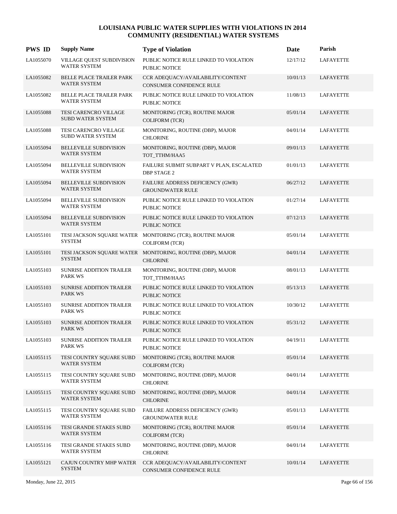| <b>PWS ID</b> | <b>Supply Name</b>                                     | <b>Type of Violation</b>                                                           | Date     | Parish           |
|---------------|--------------------------------------------------------|------------------------------------------------------------------------------------|----------|------------------|
| LA1055070     | VILLAGE QUEST SUBDIVISION<br><b>WATER SYSTEM</b>       | PUBLIC NOTICE RULE LINKED TO VIOLATION<br><b>PUBLIC NOTICE</b>                     | 12/17/12 | <b>LAFAYETTE</b> |
| LA1055082     | <b>BELLE PLACE TRAILER PARK</b><br><b>WATER SYSTEM</b> | CCR ADEQUACY/AVAILABILITY/CONTENT<br>CONSUMER CONFIDENCE RULE                      | 10/01/13 | LAFAYETTE        |
| LA1055082     | BELLE PLACE TRAILER PARK<br><b>WATER SYSTEM</b>        | PUBLIC NOTICE RULE LINKED TO VIOLATION<br>PUBLIC NOTICE                            | 11/08/13 | <b>LAFAYETTE</b> |
| LA1055088     | TESI CARENCRO VILLAGE<br><b>SUBD WATER SYSTEM</b>      | MONITORING (TCR), ROUTINE MAJOR<br><b>COLIFORM (TCR)</b>                           | 05/01/14 | <b>LAFAYETTE</b> |
| LA1055088     | TESI CARENCRO VILLAGE<br><b>SUBD WATER SYSTEM</b>      | MONITORING, ROUTINE (DBP), MAJOR<br><b>CHLORINE</b>                                | 04/01/14 | <b>LAFAYETTE</b> |
| LA1055094     | <b>BELLEVILLE SUBDIVISION</b><br><b>WATER SYSTEM</b>   | MONITORING, ROUTINE (DBP), MAJOR<br>TOT_TTHM/HAA5                                  | 09/01/13 | LAFAYETTE        |
| LA1055094     | BELLEVILLE SUBDIVISION<br><b>WATER SYSTEM</b>          | FAILURE SUBMIT SUBPART V PLAN, ESCALATED<br><b>DBP STAGE 2</b>                     | 01/01/13 | <b>LAFAYETTE</b> |
| LA1055094     | <b>BELLEVILLE SUBDIVISION</b><br><b>WATER SYSTEM</b>   | FAILURE ADDRESS DEFICIENCY (GWR)<br><b>GROUNDWATER RULE</b>                        | 06/27/12 | LAFAYETTE        |
| LA1055094     | <b>BELLEVILLE SUBDIVISION</b><br><b>WATER SYSTEM</b>   | PUBLIC NOTICE RULE LINKED TO VIOLATION<br>PUBLIC NOTICE                            | 01/27/14 | <b>LAFAYETTE</b> |
| LA1055094     | <b>BELLEVILLE SUBDIVISION</b><br><b>WATER SYSTEM</b>   | PUBLIC NOTICE RULE LINKED TO VIOLATION<br><b>PUBLIC NOTICE</b>                     | 07/12/13 | LAFAYETTE        |
| LA1055101     | <b>SYSTEM</b>                                          | TESI JACKSON SQUARE WATER MONITORING (TCR), ROUTINE MAJOR<br><b>COLIFORM (TCR)</b> | 05/01/14 | <b>LAFAYETTE</b> |
| LA1055101     | <b>SYSTEM</b>                                          | TESI JACKSON SQUARE WATER MONITORING, ROUTINE (DBP), MAJOR<br><b>CHLORINE</b>      | 04/01/14 | LAFAYETTE        |
| LA1055103     | <b>SUNRISE ADDITION TRAILER</b><br><b>PARK WS</b>      | MONITORING, ROUTINE (DBP), MAJOR<br>TOT_TTHM/HAA5                                  | 08/01/13 | <b>LAFAYETTE</b> |
| LA1055103     | SUNRISE ADDITION TRAILER<br><b>PARK WS</b>             | PUBLIC NOTICE RULE LINKED TO VIOLATION<br>PUBLIC NOTICE                            | 05/13/13 | LAFAYETTE        |
| LA1055103     | <b>SUNRISE ADDITION TRAILER</b><br><b>PARK WS</b>      | PUBLIC NOTICE RULE LINKED TO VIOLATION<br>PUBLIC NOTICE                            | 10/30/12 | <b>LAFAYETTE</b> |
| LA1055103     | <b>SUNRISE ADDITION TRAILER</b><br><b>PARK WS</b>      | PUBLIC NOTICE RULE LINKED TO VIOLATION<br><b>PUBLIC NOTICE</b>                     | 05/31/12 | LAFAYETTE        |
| LA1055103     | <b>SUNRISE ADDITION TRAILER</b><br><b>PARK WS</b>      | PUBLIC NOTICE RULE LINKED TO VIOLATION<br>PUBLIC NOTICE                            | 04/19/11 | <b>LAFAYETTE</b> |
| LA1055115     | TESI COUNTRY SQUARE SUBD<br>WATER SYSTEM               | MONITORING (TCR), ROUTINE MAJOR<br><b>COLIFORM (TCR)</b>                           | 05/01/14 | LAFAYETTE        |
| LA1055115     | TESI COUNTRY SQUARE SUBD<br>WATER SYSTEM               | MONITORING, ROUTINE (DBP), MAJOR<br><b>CHLORINE</b>                                | 04/01/14 | LAFAYETTE        |
| LA1055115     | TESI COUNTRY SQUARE SUBD<br><b>WATER SYSTEM</b>        | MONITORING, ROUTINE (DBP), MAJOR<br><b>CHLORINE</b>                                | 04/01/14 | LAFAYETTE        |
| LA1055115     | TESI COUNTRY SQUARE SUBD<br>WATER SYSTEM               | FAILURE ADDRESS DEFICIENCY (GWR)<br><b>GROUNDWATER RULE</b>                        | 05/01/13 | LAFAYETTE        |
| LA1055116     | TESI GRANDE STAKES SUBD<br>WATER SYSTEM                | MONITORING (TCR), ROUTINE MAJOR<br><b>COLIFORM (TCR)</b>                           | 05/01/14 | LAFAYETTE        |
| LA1055116     | TESI GRANDE STAKES SUBD<br>WATER SYSTEM                | MONITORING, ROUTINE (DBP), MAJOR<br><b>CHLORINE</b>                                | 04/01/14 | LAFAYETTE        |
| LA1055121     | CAJUN COUNTRY MHP WATER<br><b>SYSTEM</b>               | CCR ADEQUACY/AVAILABILITY/CONTENT<br>CONSUMER CONFIDENCE RULE                      | 10/01/14 | LAFAYETTE        |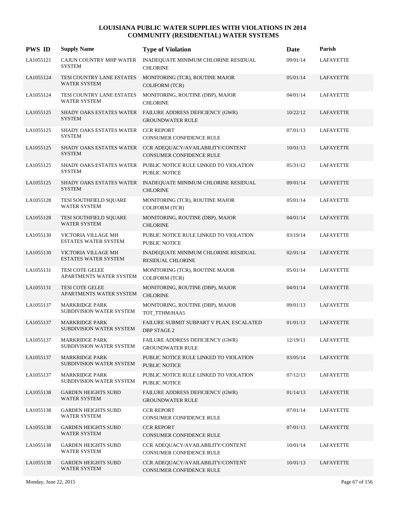| <b>PWS ID</b> | <b>Supply Name</b>                                 | <b>Type of Violation</b>                                             | Date     | Parish           |
|---------------|----------------------------------------------------|----------------------------------------------------------------------|----------|------------------|
| LA1055121     | CAJUN COUNTRY MHP WATER<br><b>SYSTEM</b>           | INADEQUATE MINIMUM CHLORINE RESIDUAL<br><b>CHLORINE</b>              | 09/01/14 | <b>LAFAYETTE</b> |
| LA1055124     | TESI COUNTRY LANE ESTATES<br><b>WATER SYSTEM</b>   | MONITORING (TCR), ROUTINE MAJOR<br><b>COLIFORM (TCR)</b>             | 05/01/14 | LAFAYETTE        |
| LA1055124     | TESI COUNTRY LANE ESTATES<br><b>WATER SYSTEM</b>   | MONITORING, ROUTINE (DBP), MAJOR<br><b>CHLORINE</b>                  | 04/01/14 | LAFAYETTE        |
| LA1055125     | SHADY OAKS ESTATES WATER<br><b>SYSTEM</b>          | FAILURE ADDRESS DEFICIENCY (GWR)<br><b>GROUNDWATER RULE</b>          | 10/22/12 | LAFAYETTE        |
| LA1055125     | SHADY OAKS ESTATES WATER<br><b>SYSTEM</b>          | <b>CCR REPORT</b><br>CONSUMER CONFIDENCE RULE                        | 07/01/13 | LAFAYETTE        |
| LA1055125     | SHADY OAKS ESTATES WATER<br><b>SYSTEM</b>          | CCR ADEQUACY/AVAILABILITY/CONTENT<br><b>CONSUMER CONFIDENCE RULE</b> | 10/01/13 | LAFAYETTE        |
| LA1055125     | SHADY OAKS ESTATES WATER<br><b>SYSTEM</b>          | PUBLIC NOTICE RULE LINKED TO VIOLATION<br><b>PUBLIC NOTICE</b>       | 05/31/12 | LAFAYETTE        |
| LA1055125     | SHADY OAKS ESTATES WATER<br><b>SYSTEM</b>          | INADEQUATE MINIMUM CHLORINE RESIDUAL<br><b>CHLORINE</b>              | 09/01/14 | LAFAYETTE        |
| LA1055128     | TESI SOUTHFIELD SQUARE<br><b>WATER SYSTEM</b>      | MONITORING (TCR), ROUTINE MAJOR<br><b>COLIFORM (TCR)</b>             | 05/01/14 | LAFAYETTE        |
| LA1055128     | TESI SOUTHFIELD SQUARE<br><b>WATER SYSTEM</b>      | MONITORING, ROUTINE (DBP), MAJOR<br><b>CHLORINE</b>                  | 04/01/14 | LAFAYETTE        |
| LA1055130     | VICTORIA VILLAGE MH<br><b>ESTATES WATER SYSTEM</b> | PUBLIC NOTICE RULE LINKED TO VIOLATION<br>PUBLIC NOTICE              | 03/19/14 | LAFAYETTE        |
| LA1055130     | VICTORIA VILLAGE MH<br><b>ESTATES WATER SYSTEM</b> | INADEQUATE MINIMUM CHLORINE RESIDUAL<br><b>RESIDUAL CHLORINE</b>     | 02/01/14 | LAFAYETTE        |
| LA1055131     | <b>TESI COTE GELEE</b><br>APARTMENTS WATER SYSTEM  | MONITORING (TCR), ROUTINE MAJOR<br><b>COLIFORM (TCR)</b>             | 05/01/14 | LAFAYETTE        |
| LA1055131     | <b>TESI COTE GELEE</b><br>APARTMENTS WATER SYSTEM  | MONITORING, ROUTINE (DBP), MAJOR<br><b>CHLORINE</b>                  | 04/01/14 | LAFAYETTE        |
| LA1055137     | <b>MARKRIDGE PARK</b><br>SUBDIVISION WATER SYSTEM  | MONITORING, ROUTINE (DBP), MAJOR<br>TOT_TTHM/HAA5                    | 09/01/13 | LAFAYETTE        |
| LA1055137     | <b>MARKRIDGE PARK</b><br>SUBDIVISION WATER SYSTEM  | FAILURE SUBMIT SUBPART V PLAN, ESCALATED<br><b>DBP STAGE 2</b>       | 01/01/13 | LAFAYETTE        |
| LA1055137     | <b>MARKRIDGE PARK</b><br>SUBDIVISION WATER SYSTEM  | FAILURE ADDRESS DEFICIENCY (GWR)<br><b>GROUNDWATER RULE</b>          | 12/19/11 | <b>LAFAYETTE</b> |
| LA1055137     | <b>MARKRIDGE PARK</b><br>SUBDIVISION WATER SYSTEM  | PUBLIC NOTICE RULE LINKED TO VIOLATION<br>PUBLIC NOTICE              | 03/05/14 | LAFAYETTE        |
| LA1055137     | <b>MARKRIDGE PARK</b><br>SUBDIVISION WATER SYSTEM  | PUBLIC NOTICE RULE LINKED TO VIOLATION<br>PUBLIC NOTICE              | 07/12/13 | LAFAYETTE        |
| LA1055138     | <b>GARDEN HEIGHTS SUBD</b><br><b>WATER SYSTEM</b>  | FAILURE ADDRESS DEFICIENCY (GWR)<br><b>GROUNDWATER RULE</b>          | 01/14/13 | <b>LAFAYETTE</b> |
| LA1055138     | <b>GARDEN HEIGHTS SUBD</b><br><b>WATER SYSTEM</b>  | <b>CCR REPORT</b><br>CONSUMER CONFIDENCE RULE                        | 07/01/14 | <b>LAFAYETTE</b> |
| LA1055138     | <b>GARDEN HEIGHTS SUBD</b><br>WATER SYSTEM         | <b>CCR REPORT</b><br>CONSUMER CONFIDENCE RULE                        | 07/01/13 | LAFAYETTE        |
| LA1055138     | <b>GARDEN HEIGHTS SUBD</b><br>WATER SYSTEM         | CCR ADEQUACY/AVAILABILITY/CONTENT<br>CONSUMER CONFIDENCE RULE        | 10/01/14 | LAFAYETTE        |
| LA1055138     | <b>GARDEN HEIGHTS SUBD</b><br><b>WATER SYSTEM</b>  | CCR ADEQUACY/AVAILABILITY/CONTENT<br>CONSUMER CONFIDENCE RULE        | 10/01/13 | LAFAYETTE        |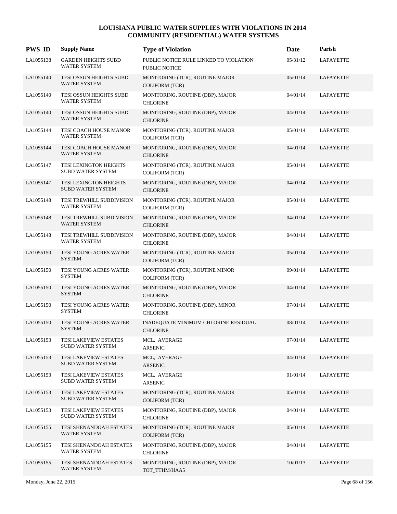| <b>PWS ID</b> | <b>Supply Name</b>                                        | <b>Type of Violation</b>                                 | Date     | Parish           |
|---------------|-----------------------------------------------------------|----------------------------------------------------------|----------|------------------|
| LA1055138     | <b>GARDEN HEIGHTS SUBD</b><br><b>WATER SYSTEM</b>         | PUBLIC NOTICE RULE LINKED TO VIOLATION<br>PUBLIC NOTICE  | 05/31/12 | <b>LAFAYETTE</b> |
| LA1055140     | TESI OSSUN HEIGHTS SUBD<br><b>WATER SYSTEM</b>            | MONITORING (TCR), ROUTINE MAJOR<br><b>COLIFORM (TCR)</b> | 05/01/14 | LAFAYETTE        |
| LA1055140     | TESI OSSUN HEIGHTS SUBD<br><b>WATER SYSTEM</b>            | MONITORING, ROUTINE (DBP), MAJOR<br><b>CHLORINE</b>      | 04/01/14 | <b>LAFAYETTE</b> |
| LA1055140     | TESI OSSUN HEIGHTS SUBD<br><b>WATER SYSTEM</b>            | MONITORING, ROUTINE (DBP), MAJOR<br><b>CHLORINE</b>      | 04/01/14 | <b>LAFAYETTE</b> |
| LA1055144     | <b>TESI COACH HOUSE MANOR</b><br><b>WATER SYSTEM</b>      | MONITORING (TCR), ROUTINE MAJOR<br><b>COLIFORM (TCR)</b> | 05/01/14 | LAFAYETTE        |
| LA1055144     | TESI COACH HOUSE MANOR<br><b>WATER SYSTEM</b>             | MONITORING, ROUTINE (DBP), MAJOR<br><b>CHLORINE</b>      | 04/01/14 | LAFAYETTE        |
| LA1055147     | <b>TESI LEXINGTON HEIGHTS</b><br><b>SUBD WATER SYSTEM</b> | MONITORING (TCR), ROUTINE MAJOR<br><b>COLIFORM (TCR)</b> | 05/01/14 | LAFAYETTE        |
| LA1055147     | TESI LEXINGTON HEIGHTS<br>SUBD WATER SYSTEM               | MONITORING, ROUTINE (DBP), MAJOR<br><b>CHLORINE</b>      | 04/01/14 | LAFAYETTE        |
| LA1055148     | TESI TREWHILL SUBDIVISION<br><b>WATER SYSTEM</b>          | MONITORING (TCR), ROUTINE MAJOR<br><b>COLIFORM (TCR)</b> | 05/01/14 | <b>LAFAYETTE</b> |
| LA1055148     | TESI TREWHILL SUBDIVISION<br><b>WATER SYSTEM</b>          | MONITORING, ROUTINE (DBP), MAJOR<br><b>CHLORINE</b>      | 04/01/14 | LAFAYETTE        |
| LA1055148     | TESI TREWHILL SUBDIVISION<br><b>WATER SYSTEM</b>          | MONITORING, ROUTINE (DBP), MAJOR<br><b>CHLORINE</b>      | 04/01/14 | LAFAYETTE        |
| LA1055150     | TESI YOUNG ACRES WATER<br><b>SYSTEM</b>                   | MONITORING (TCR), ROUTINE MAJOR<br><b>COLIFORM (TCR)</b> | 05/01/14 | LAFAYETTE        |
| LA1055150     | <b>TESI YOUNG ACRES WATER</b><br><b>SYSTEM</b>            | MONITORING (TCR), ROUTINE MINOR<br><b>COLIFORM (TCR)</b> | 09/01/14 | LAFAYETTE        |
| LA1055150     | TESI YOUNG ACRES WATER<br><b>SYSTEM</b>                   | MONITORING, ROUTINE (DBP), MAJOR<br><b>CHLORINE</b>      | 04/01/14 | LAFAYETTE        |
| LA1055150     | TESI YOUNG ACRES WATER<br><b>SYSTEM</b>                   | MONITORING, ROUTINE (DBP), MINOR<br><b>CHLORINE</b>      | 07/01/14 | LAFAYETTE        |
| LA1055150     | <b>TESI YOUNG ACRES WATER</b><br><b>SYSTEM</b>            | INADEQUATE MINIMUM CHLORINE RESIDUAL<br><b>CHLORINE</b>  | 08/01/14 | LAFAYETTE        |
| LA1055153     | TESI LAKEVIEW ESTATES<br><b>SUBD WATER SYSTEM</b>         | MCL, AVERAGE<br><b>ARSENIC</b>                           | 07/01/14 | <b>LAFAYETTE</b> |
| LA1055153     | <b>TESI LAKEVIEW ESTATES</b><br>SUBD WATER SYSTEM         | MCL, AVERAGE<br>ARSENIC                                  | 04/01/14 | LAFAYETTE        |
| LA1055153     | TESI LAKEVIEW ESTATES<br>SUBD WATER SYSTEM                | MCL, AVERAGE<br>ARSENIC                                  | 01/01/14 | LAFAYETTE        |
| LA1055153     | TESI LAKEVIEW ESTATES<br><b>SUBD WATER SYSTEM</b>         | MONITORING (TCR), ROUTINE MAJOR<br><b>COLIFORM (TCR)</b> | 05/01/14 | LAFAYETTE        |
| LA1055153     | TESI LAKEVIEW ESTATES<br><b>SUBD WATER SYSTEM</b>         | MONITORING, ROUTINE (DBP), MAJOR<br><b>CHLORINE</b>      | 04/01/14 | LAFAYETTE        |
| LA1055155     | TESI SHENANDOAH ESTATES<br>WATER SYSTEM                   | MONITORING (TCR), ROUTINE MAJOR<br><b>COLIFORM (TCR)</b> | 05/01/14 | LAFAYETTE        |
| LA1055155     | TESI SHENANDOAH ESTATES<br>WATER SYSTEM                   | MONITORING, ROUTINE (DBP), MAJOR<br><b>CHLORINE</b>      | 04/01/14 | LAFAYETTE        |
| LA1055155     | TESI SHENANDOAH ESTATES<br>WATER SYSTEM                   | MONITORING, ROUTINE (DBP), MAJOR<br>TOT_TTHM/HAA5        | 10/01/13 | LAFAYETTE        |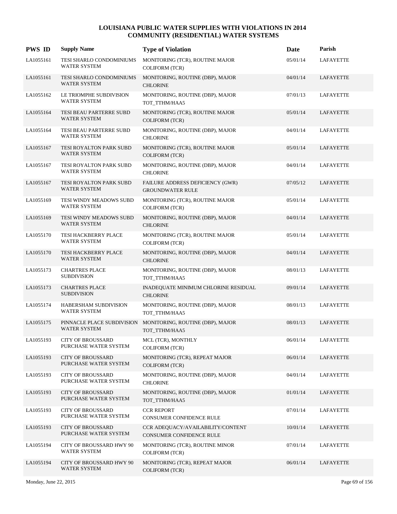| <b>PWS ID</b> | <b>Supply Name</b>                                | <b>Type of Violation</b>                                      | Date     | Parish           |
|---------------|---------------------------------------------------|---------------------------------------------------------------|----------|------------------|
| LA1055161     | TESI SHARLO CONDOMINIUMS<br><b>WATER SYSTEM</b>   | MONITORING (TCR), ROUTINE MAJOR<br><b>COLIFORM (TCR)</b>      | 05/01/14 | <b>LAFAYETTE</b> |
| LA1055161     | TESI SHARLO CONDOMINIUMS<br><b>WATER SYSTEM</b>   | MONITORING, ROUTINE (DBP), MAJOR<br><b>CHLORINE</b>           | 04/01/14 | <b>LAFAYETTE</b> |
| LA1055162     | LE TRIOMPHE SUBDIVISION<br><b>WATER SYSTEM</b>    | MONITORING, ROUTINE (DBP), MAJOR<br>TOT_TTHM/HAA5             | 07/01/13 | <b>LAFAYETTE</b> |
| LA1055164     | TESI BEAU PARTERRE SUBD<br><b>WATER SYSTEM</b>    | MONITORING (TCR), ROUTINE MAJOR<br><b>COLIFORM (TCR)</b>      | 05/01/14 | LAFAYETTE        |
| LA1055164     | TESI BEAU PARTERRE SUBD<br><b>WATER SYSTEM</b>    | MONITORING, ROUTINE (DBP), MAJOR<br><b>CHLORINE</b>           | 04/01/14 | <b>LAFAYETTE</b> |
| LA1055167     | TESI ROYALTON PARK SUBD<br><b>WATER SYSTEM</b>    | MONITORING (TCR), ROUTINE MAJOR<br><b>COLIFORM (TCR)</b>      | 05/01/14 | LAFAYETTE        |
| LA1055167     | TESI ROYALTON PARK SUBD<br><b>WATER SYSTEM</b>    | MONITORING, ROUTINE (DBP), MAJOR<br><b>CHLORINE</b>           | 04/01/14 | <b>LAFAYETTE</b> |
| LA1055167     | TESI ROYALTON PARK SUBD<br><b>WATER SYSTEM</b>    | FAILURE ADDRESS DEFICIENCY (GWR)<br><b>GROUNDWATER RULE</b>   | 07/05/12 | LAFAYETTE        |
| LA1055169     | TESI WINDY MEADOWS SUBD<br><b>WATER SYSTEM</b>    | MONITORING (TCR), ROUTINE MAJOR<br><b>COLIFORM (TCR)</b>      | 05/01/14 | <b>LAFAYETTE</b> |
| LA1055169     | TESI WINDY MEADOWS SUBD<br><b>WATER SYSTEM</b>    | MONITORING, ROUTINE (DBP), MAJOR<br><b>CHLORINE</b>           | 04/01/14 | LAFAYETTE        |
| LA1055170     | TESI HACKBERRY PLACE<br><b>WATER SYSTEM</b>       | MONITORING (TCR), ROUTINE MAJOR<br><b>COLIFORM (TCR)</b>      | 05/01/14 | LAFAYETTE        |
| LA1055170     | TESI HACKBERRY PLACE<br><b>WATER SYSTEM</b>       | MONITORING, ROUTINE (DBP), MAJOR<br><b>CHLORINE</b>           | 04/01/14 | LAFAYETTE        |
| LA1055173     | <b>CHARTRES PLACE</b><br><b>SUBDIVISION</b>       | MONITORING, ROUTINE (DBP), MAJOR<br>TOT_TTHM/HAA5             | 08/01/13 | LAFAYETTE        |
| LA1055173     | <b>CHARTRES PLACE</b><br><b>SUBDIVISION</b>       | INADEQUATE MINIMUM CHLORINE RESIDUAL<br><b>CHLORINE</b>       | 09/01/14 | LAFAYETTE        |
| LA1055174     | HABERSHAM SUBDIVISION<br><b>WATER SYSTEM</b>      | MONITORING, ROUTINE (DBP), MAJOR<br>TOT TTHM/HAA5             | 08/01/13 | LAFAYETTE        |
| LA1055175     | PINNACLE PLACE SUBDIVISION<br><b>WATER SYSTEM</b> | MONITORING, ROUTINE (DBP), MAJOR<br>TOT_TTHM/HAA5             | 08/01/13 | LAFAYETTE        |
| LA1055193     | <b>CITY OF BROUSSARD</b><br>PURCHASE WATER SYSTEM | MCL (TCR), MONTHLY<br><b>COLIFORM (TCR)</b>                   | 06/01/14 | <b>LAFAYETTE</b> |
| LA1055193     | <b>CITY OF BROUSSARD</b><br>PURCHASE WATER SYSTEM | MONITORING (TCR), REPEAT MAJOR<br>COLIFORM (TCR)              | 06/01/14 | LAFAYETTE        |
| LA1055193     | <b>CITY OF BROUSSARD</b><br>PURCHASE WATER SYSTEM | MONITORING, ROUTINE (DBP), MAJOR<br><b>CHLORINE</b>           | 04/01/14 | LAFAYETTE        |
| LA1055193     | <b>CITY OF BROUSSARD</b><br>PURCHASE WATER SYSTEM | MONITORING, ROUTINE (DBP), MAJOR<br>TOT TTHM/HAA5             | 01/01/14 | LAFAYETTE        |
| LA1055193     | <b>CITY OF BROUSSARD</b><br>PURCHASE WATER SYSTEM | <b>CCR REPORT</b><br>CONSUMER CONFIDENCE RULE                 | 07/01/14 | LAFAYETTE        |
| LA1055193     | <b>CITY OF BROUSSARD</b><br>PURCHASE WATER SYSTEM | CCR ADEQUACY/AVAILABILITY/CONTENT<br>CONSUMER CONFIDENCE RULE | 10/01/14 | LAFAYETTE        |
| LA1055194     | CITY OF BROUSSARD HWY 90<br>WATER SYSTEM          | MONITORING (TCR), ROUTINE MINOR<br><b>COLIFORM (TCR)</b>      | 07/01/14 | LAFAYETTE        |
| LA1055194     | CITY OF BROUSSARD HWY 90<br><b>WATER SYSTEM</b>   | MONITORING (TCR), REPEAT MAJOR<br>COLIFORM (TCR)              | 06/01/14 | LAFAYETTE        |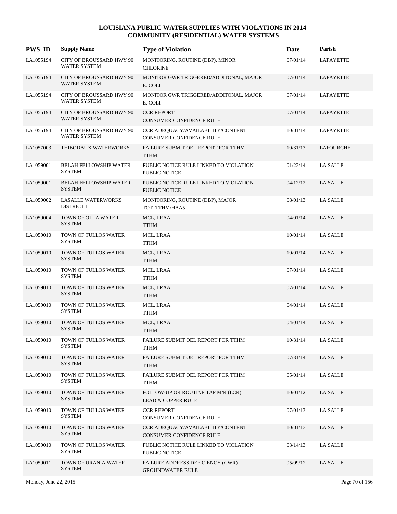| <b>PWS ID</b> | <b>Supply Name</b>                                     | <b>Type of Violation</b>                                            | Date     | Parish           |
|---------------|--------------------------------------------------------|---------------------------------------------------------------------|----------|------------------|
| LA1055194     | <b>CITY OF BROUSSARD HWY 90</b><br>WATER SYSTEM        | MONITORING, ROUTINE (DBP), MINOR<br><b>CHLORINE</b>                 | 07/01/14 | <b>LAFAYETTE</b> |
| LA1055194     | <b>CITY OF BROUSSARD HWY 90</b><br><b>WATER SYSTEM</b> | MONITOR GWR TRIGGERED/ADDITONAL, MAJOR<br>E. COLI                   | 07/01/14 | LAFAYETTE        |
| LA1055194     | <b>CITY OF BROUSSARD HWY 90</b><br>WATER SYSTEM        | MONITOR GWR TRIGGERED/ADDITONAL, MAJOR<br>E. COLI                   | 07/01/14 | LAFAYETTE        |
| LA1055194     | <b>CITY OF BROUSSARD HWY 90</b><br>WATER SYSTEM        | <b>CCR REPORT</b><br>CONSUMER CONFIDENCE RULE                       | 07/01/14 | LAFAYETTE        |
| LA1055194     | <b>CITY OF BROUSSARD HWY 90</b><br><b>WATER SYSTEM</b> | CCR ADEQUACY/AVAILABILITY/CONTENT<br>CONSUMER CONFIDENCE RULE       | 10/01/14 | LAFAYETTE        |
| LA1057003     | THIBODAUX WATERWORKS                                   | FAILURE SUBMIT OEL REPORT FOR TTHM<br><b>TTHM</b>                   | 10/31/13 | LAFOURCHE        |
| LA1059001     | <b>BELAH FELLOWSHIP WATER</b><br><b>SYSTEM</b>         | PUBLIC NOTICE RULE LINKED TO VIOLATION<br>PUBLIC NOTICE             | 01/23/14 | <b>LA SALLE</b>  |
| LA1059001     | <b>BELAH FELLOWSHIP WATER</b><br><b>SYSTEM</b>         | PUBLIC NOTICE RULE LINKED TO VIOLATION<br>PUBLIC NOTICE             | 04/12/12 | <b>LA SALLE</b>  |
| LA1059002     | <b>LASALLE WATERWORKS</b><br><b>DISTRICT 1</b>         | MONITORING, ROUTINE (DBP), MAJOR<br>TOT_TTHM/HAA5                   | 08/01/13 | <b>LA SALLE</b>  |
| LA1059004     | TOWN OF OLLA WATER<br><b>SYSTEM</b>                    | MCL, LRAA<br><b>TTHM</b>                                            | 04/01/14 | <b>LA SALLE</b>  |
| LA1059010     | TOWN OF TULLOS WATER<br><b>SYSTEM</b>                  | MCL, LRAA<br><b>TTHM</b>                                            | 10/01/14 | <b>LA SALLE</b>  |
| LA1059010     | TOWN OF TULLOS WATER<br><b>SYSTEM</b>                  | MCL, LRAA<br><b>TTHM</b>                                            | 10/01/14 | <b>LA SALLE</b>  |
| LA1059010     | TOWN OF TULLOS WATER<br><b>SYSTEM</b>                  | MCL, LRAA<br><b>TTHM</b>                                            | 07/01/14 | <b>LA SALLE</b>  |
| LA1059010     | TOWN OF TULLOS WATER<br><b>SYSTEM</b>                  | MCL, LRAA<br><b>TTHM</b>                                            | 07/01/14 | <b>LA SALLE</b>  |
| LA1059010     | TOWN OF TULLOS WATER<br><b>SYSTEM</b>                  | MCL, LRAA<br><b>TTHM</b>                                            | 04/01/14 | <b>LA SALLE</b>  |
| LA1059010     | TOWN OF TULLOS WATER<br><b>SYSTEM</b>                  | MCL, LRAA<br><b>TTHM</b>                                            | 04/01/14 | <b>LA SALLE</b>  |
| LA1059010     | TOWN OF TULLOS WATER<br><b>SYSTEM</b>                  | FAILURE SUBMIT OEL REPORT FOR TTHM<br><b>TTHM</b>                   | 10/31/14 | <b>LA SALLE</b>  |
| LA1059010     | TOWN OF TULLOS WATER<br><b>SYSTEM</b>                  | FAILURE SUBMIT OEL REPORT FOR TTHM<br><b>TTHM</b>                   | 07/31/14 | <b>LA SALLE</b>  |
| LA1059010     | <b>TOWN OF TULLOS WATER</b><br><b>SYSTEM</b>           | FAILURE SUBMIT OEL REPORT FOR TTHM<br>TTHM                          | 05/01/14 | <b>LA SALLE</b>  |
| LA1059010     | TOWN OF TULLOS WATER<br><b>SYSTEM</b>                  | FOLLOW-UP OR ROUTINE TAP M/R (LCR)<br><b>LEAD &amp; COPPER RULE</b> | 10/01/12 | <b>LA SALLE</b>  |
| LA1059010     | TOWN OF TULLOS WATER<br><b>SYSTEM</b>                  | <b>CCR REPORT</b><br>CONSUMER CONFIDENCE RULE                       | 07/01/13 | <b>LA SALLE</b>  |
| LA1059010     | TOWN OF TULLOS WATER<br><b>SYSTEM</b>                  | CCR ADEQUACY/AVAILABILITY/CONTENT<br>CONSUMER CONFIDENCE RULE       | 10/01/13 | <b>LA SALLE</b>  |
| LA1059010     | <b>TOWN OF TULLOS WATER</b><br><b>SYSTEM</b>           | PUBLIC NOTICE RULE LINKED TO VIOLATION<br>PUBLIC NOTICE             | 03/14/13 | <b>LA SALLE</b>  |
| LA1059011     | TOWN OF URANIA WATER<br><b>SYSTEM</b>                  | FAILURE ADDRESS DEFICIENCY (GWR)<br><b>GROUNDWATER RULE</b>         | 05/09/12 | <b>LA SALLE</b>  |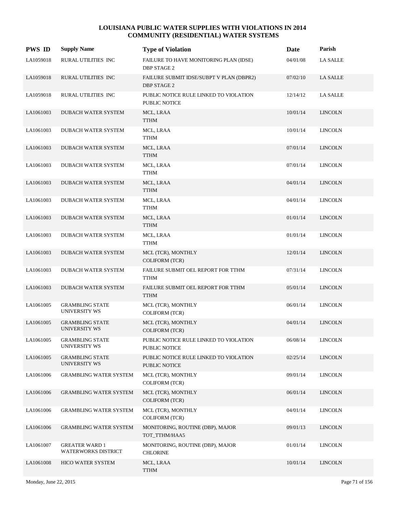| <b>PWS ID</b> | <b>Supply Name</b>                             | <b>Type of Violation</b>                                       | Date     | Parish          |
|---------------|------------------------------------------------|----------------------------------------------------------------|----------|-----------------|
| LA1059018     | RURAL UTILITIES INC                            | FAILURE TO HAVE MONITORING PLAN (IDSE)<br><b>DBP STAGE 2</b>   | 04/01/08 | <b>LA SALLE</b> |
| LA1059018     | RURAL UTILITIES INC                            | FAILURE SUBMIT IDSE/SUBPT V PLAN (DBPR2)<br><b>DBP STAGE 2</b> | 07/02/10 | LA SALLE        |
| LA1059018     | RURAL UTILITIES INC                            | PUBLIC NOTICE RULE LINKED TO VIOLATION<br>PUBLIC NOTICE        | 12/14/12 | <b>LA SALLE</b> |
| LA1061003     | DUBACH WATER SYSTEM                            | MCL, LRAA<br><b>TTHM</b>                                       | 10/01/14 | <b>LINCOLN</b>  |
| LA1061003     | DUBACH WATER SYSTEM                            | MCL, LRAA<br><b>TTHM</b>                                       | 10/01/14 | <b>LINCOLN</b>  |
| LA1061003     | DUBACH WATER SYSTEM                            | MCL, LRAA<br><b>TTHM</b>                                       | 07/01/14 | <b>LINCOLN</b>  |
| LA1061003     | DUBACH WATER SYSTEM                            | MCL, LRAA<br><b>TTHM</b>                                       | 07/01/14 | <b>LINCOLN</b>  |
| LA1061003     | <b>DUBACH WATER SYSTEM</b>                     | MCL, LRAA<br><b>TTHM</b>                                       | 04/01/14 | <b>LINCOLN</b>  |
| LA1061003     | <b>DUBACH WATER SYSTEM</b>                     | MCL, LRAA<br><b>TTHM</b>                                       | 04/01/14 | <b>LINCOLN</b>  |
| LA1061003     | <b>DUBACH WATER SYSTEM</b>                     | MCL, LRAA<br><b>TTHM</b>                                       | 01/01/14 | <b>LINCOLN</b>  |
| LA1061003     | <b>DUBACH WATER SYSTEM</b>                     | MCL, LRAA<br><b>TTHM</b>                                       | 01/01/14 | <b>LINCOLN</b>  |
| LA1061003     | DUBACH WATER SYSTEM                            | MCL (TCR), MONTHLY<br><b>COLIFORM (TCR)</b>                    | 12/01/14 | <b>LINCOLN</b>  |
| LA1061003     | DUBACH WATER SYSTEM                            | FAILURE SUBMIT OEL REPORT FOR TTHM<br><b>TTHM</b>              | 07/31/14 | <b>LINCOLN</b>  |
| LA1061003     | DUBACH WATER SYSTEM                            | FAILURE SUBMIT OEL REPORT FOR TTHM<br><b>TTHM</b>              | 05/01/14 | <b>LINCOLN</b>  |
| LA1061005     | <b>GRAMBLING STATE</b><br><b>UNIVERSITY WS</b> | MCL (TCR), MONTHLY<br><b>COLIFORM (TCR)</b>                    | 06/01/14 | <b>LINCOLN</b>  |
| LA1061005     | <b>GRAMBLING STATE</b><br>UNIVERSITY WS        | MCL (TCR), MONTHLY<br><b>COLIFORM (TCR)</b>                    | 04/01/14 | <b>LINCOLN</b>  |
| LA1061005     | <b>GRAMBLING STATE</b><br>UNIVERSITY WS        | PUBLIC NOTICE RULE LINKED TO VIOLATION<br>PUBLIC NOTICE        | 06/08/14 | <b>LINCOLN</b>  |
| LA1061005     | <b>GRAMBLING STATE</b><br><b>UNIVERSITY WS</b> | PUBLIC NOTICE RULE LINKED TO VIOLATION<br>PUBLIC NOTICE        | 02/25/14 | <b>LINCOLN</b>  |
| LA1061006     | <b>GRAMBLING WATER SYSTEM</b>                  | MCL (TCR), MONTHLY<br><b>COLIFORM (TCR)</b>                    | 09/01/14 | <b>LINCOLN</b>  |
| LA1061006     | <b>GRAMBLING WATER SYSTEM</b>                  | MCL (TCR), MONTHLY<br><b>COLIFORM (TCR)</b>                    | 06/01/14 | <b>LINCOLN</b>  |
| LA1061006     | <b>GRAMBLING WATER SYSTEM</b>                  | MCL (TCR), MONTHLY<br><b>COLIFORM (TCR)</b>                    | 04/01/14 | <b>LINCOLN</b>  |
| LA1061006     | <b>GRAMBLING WATER SYSTEM</b>                  | MONITORING, ROUTINE (DBP), MAJOR<br>TOT_TTHM/HAA5              | 09/01/13 | <b>LINCOLN</b>  |
| LA1061007     | <b>GREATER WARD 1</b><br>WATERWORKS DISTRICT   | MONITORING, ROUTINE (DBP), MAJOR<br><b>CHLORINE</b>            | 01/01/14 | <b>LINCOLN</b>  |
| LA1061008     | <b>HICO WATER SYSTEM</b>                       | MCL, LRAA<br><b>TTHM</b>                                       | 10/01/14 | <b>LINCOLN</b>  |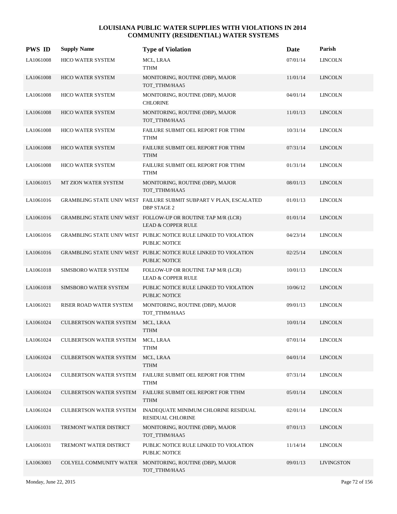| <b>PWS ID</b> | <b>Supply Name</b>                | <b>Type of Violation</b>                                                                      | Date     | Parish            |
|---------------|-----------------------------------|-----------------------------------------------------------------------------------------------|----------|-------------------|
| LA1061008     | HICO WATER SYSTEM                 | MCL, LRAA<br><b>TTHM</b>                                                                      | 07/01/14 | <b>LINCOLN</b>    |
| LA1061008     | HICO WATER SYSTEM                 | MONITORING, ROUTINE (DBP), MAJOR<br>TOT_TTHM/HAA5                                             | 11/01/14 | <b>LINCOLN</b>    |
| LA1061008     | HICO WATER SYSTEM                 | MONITORING, ROUTINE (DBP), MAJOR<br><b>CHLORINE</b>                                           | 04/01/14 | <b>LINCOLN</b>    |
| LA1061008     | <b>HICO WATER SYSTEM</b>          | MONITORING, ROUTINE (DBP), MAJOR<br>TOT_TTHM/HAA5                                             | 11/01/13 | <b>LINCOLN</b>    |
| LA1061008     | HICO WATER SYSTEM                 | FAILURE SUBMIT OEL REPORT FOR TTHM<br><b>TTHM</b>                                             | 10/31/14 | <b>LINCOLN</b>    |
| LA1061008     | HICO WATER SYSTEM                 | FAILURE SUBMIT OEL REPORT FOR TTHM<br><b>TTHM</b>                                             | 07/31/14 | <b>LINCOLN</b>    |
| LA1061008     | HICO WATER SYSTEM                 | FAILURE SUBMIT OEL REPORT FOR TTHM<br>TTHM                                                    | 01/31/14 | <b>LINCOLN</b>    |
| LA1061015     | MT ZION WATER SYSTEM              | MONITORING, ROUTINE (DBP), MAJOR<br>TOT_TTHM/HAA5                                             | 08/01/13 | <b>LINCOLN</b>    |
| LA1061016     |                                   | GRAMBLING STATE UNIV WEST FAILURE SUBMIT SUBPART V PLAN, ESCALATED<br><b>DBP STAGE 2</b>      | 01/01/13 | <b>LINCOLN</b>    |
| LA1061016     |                                   | GRAMBLING STATE UNIV WEST FOLLOW-UP OR ROUTINE TAP M/R (LCR)<br><b>LEAD &amp; COPPER RULE</b> | 01/01/14 | <b>LINCOLN</b>    |
| LA1061016     |                                   | GRAMBLING STATE UNIV WEST PUBLIC NOTICE RULE LINKED TO VIOLATION<br>PUBLIC NOTICE             | 04/23/14 | <b>LINCOLN</b>    |
| LA1061016     |                                   | GRAMBLING STATE UNIV WEST PUBLIC NOTICE RULE LINKED TO VIOLATION<br>PUBLIC NOTICE             | 02/25/14 | <b>LINCOLN</b>    |
| LA1061018     | SIMSBORO WATER SYSTEM             | FOLLOW-UP OR ROUTINE TAP M/R (LCR)<br>LEAD & COPPER RULE                                      | 10/01/13 | <b>LINCOLN</b>    |
| LA1061018     | SIMSBORO WATER SYSTEM             | PUBLIC NOTICE RULE LINKED TO VIOLATION<br><b>PUBLIC NOTICE</b>                                | 10/06/12 | <b>LINCOLN</b>    |
| LA1061021     | RISER ROAD WATER SYSTEM           | MONITORING, ROUTINE (DBP), MAJOR<br>TOT_TTHM/HAA5                                             | 09/01/13 | <b>LINCOLN</b>    |
| LA1061024     | <b>CULBERTSON WATER SYSTEM</b>    | MCL, LRAA<br><b>TTHM</b>                                                                      | 10/01/14 | <b>LINCOLN</b>    |
| LA1061024     | CULBERTSON WATER SYSTEM MCL, LRAA | <b>TTHM</b>                                                                                   | 07/01/14 | <b>LINCOLN</b>    |
| LA1061024     | <b>CULBERTSON WATER SYSTEM</b>    | MCL, LRAA<br><b>TTHM</b>                                                                      | 04/01/14 | <b>LINCOLN</b>    |
| LA1061024     | <b>CULBERTSON WATER SYSTEM</b>    | FAILURE SUBMIT OEL REPORT FOR TTHM<br><b>TTHM</b>                                             | 07/31/14 | <b>LINCOLN</b>    |
| LA1061024     | <b>CULBERTSON WATER SYSTEM</b>    | FAILURE SUBMIT OEL REPORT FOR TTHM<br><b>TTHM</b>                                             | 05/01/14 | <b>LINCOLN</b>    |
| LA1061024     | CULBERTSON WATER SYSTEM           | INADEQUATE MINIMUM CHLORINE RESIDUAL<br>RESIDUAL CHLORINE                                     | 02/01/14 | <b>LINCOLN</b>    |
| LA1061031     | TREMONT WATER DISTRICT            | MONITORING, ROUTINE (DBP), MAJOR<br>TOT_TTHM/HAA5                                             | 07/01/13 | <b>LINCOLN</b>    |
| LA1061031     | TREMONT WATER DISTRICT            | PUBLIC NOTICE RULE LINKED TO VIOLATION<br>PUBLIC NOTICE                                       | 11/14/14 | <b>LINCOLN</b>    |
| LA1063003     | COLYELL COMMUNITY WATER           | MONITORING, ROUTINE (DBP), MAJOR<br>TOT_TTHM/HAA5                                             | 09/01/13 | <b>LIVINGSTON</b> |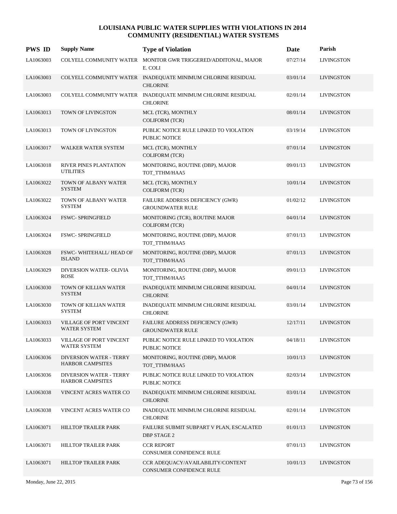| <b>PWS ID</b> | <b>Supply Name</b>                                        | <b>Type of Violation</b>                                                        | Date     | Parish            |
|---------------|-----------------------------------------------------------|---------------------------------------------------------------------------------|----------|-------------------|
| LA1063003     |                                                           | COLYELL COMMUNITY WATER MONITOR GWR TRIGGERED/ADDITONAL, MAJOR<br>E. COLI       | 07/27/14 | <b>LIVINGSTON</b> |
| LA1063003     |                                                           | COLYELL COMMUNITY WATER INADEQUATE MINIMUM CHLORINE RESIDUAL<br><b>CHLORINE</b> | 03/01/14 | <b>LIVINGSTON</b> |
| LA1063003     | COLYELL COMMUNITY WATER                                   | INADEQUATE MINIMUM CHLORINE RESIDUAL<br><b>CHLORINE</b>                         | 02/01/14 | <b>LIVINGSTON</b> |
| LA1063013     | TOWN OF LIVINGSTON                                        | MCL (TCR), MONTHLY<br><b>COLIFORM (TCR)</b>                                     | 08/01/14 | <b>LIVINGSTON</b> |
| LA1063013     | TOWN OF LIVINGSTON                                        | PUBLIC NOTICE RULE LINKED TO VIOLATION<br>PUBLIC NOTICE                         | 03/19/14 | <b>LIVINGSTON</b> |
| LA1063017     | WALKER WATER SYSTEM                                       | MCL (TCR), MONTHLY<br><b>COLIFORM (TCR)</b>                                     | 07/01/14 | <b>LIVINGSTON</b> |
| LA1063018     | RIVER PINES PLANTATION<br><b>UTILITIES</b>                | MONITORING, ROUTINE (DBP), MAJOR<br>TOT TTHM/HAA5                               | 09/01/13 | <b>LIVINGSTON</b> |
| LA1063022     | TOWN OF ALBANY WATER<br><b>SYSTEM</b>                     | MCL (TCR), MONTHLY<br><b>COLIFORM (TCR)</b>                                     | 10/01/14 | <b>LIVINGSTON</b> |
| LA1063022     | TOWN OF ALBANY WATER<br><b>SYSTEM</b>                     | FAILURE ADDRESS DEFICIENCY (GWR)<br><b>GROUNDWATER RULE</b>                     | 01/02/12 | <b>LIVINGSTON</b> |
| LA1063024     | <b>FSWC- SPRINGFIELD</b>                                  | MONITORING (TCR), ROUTINE MAJOR<br>COLIFORM (TCR)                               | 04/01/14 | <b>LIVINGSTON</b> |
| LA1063024     | <b>FSWC- SPRINGFIELD</b>                                  | MONITORING, ROUTINE (DBP), MAJOR<br>TOT_TTHM/HAA5                               | 07/01/13 | LIVINGSTON        |
| LA1063028     | FSWC-WHITEHALL/HEAD OF<br><b>ISLAND</b>                   | MONITORING, ROUTINE (DBP), MAJOR<br>TOT_TTHM/HAA5                               | 07/01/13 | <b>LIVINGSTON</b> |
| LA1063029     | DIVERSION WATER- OLIVIA<br><b>ROSE</b>                    | MONITORING, ROUTINE (DBP), MAJOR<br>TOT_TTHM/HAA5                               | 09/01/13 | <b>LIVINGSTON</b> |
| LA1063030     | TOWN OF KILLIAN WATER<br><b>SYSTEM</b>                    | INADEQUATE MINIMUM CHLORINE RESIDUAL<br><b>CHLORINE</b>                         | 04/01/14 | <b>LIVINGSTON</b> |
| LA1063030     | TOWN OF KILLIAN WATER<br><b>SYSTEM</b>                    | INADEQUATE MINIMUM CHLORINE RESIDUAL<br><b>CHLORINE</b>                         | 03/01/14 | <b>LIVINGSTON</b> |
| LA1063033     | <b>VILLAGE OF PORT VINCENT</b><br><b>WATER SYSTEM</b>     | FAILURE ADDRESS DEFICIENCY (GWR)<br><b>GROUNDWATER RULE</b>                     | 12/17/11 | <b>LIVINGSTON</b> |
| LA1063033     | VILLAGE OF PORT VINCENT<br>WATER SYSTEM                   | PUBLIC NOTICE RULE LINKED TO VIOLATION<br>PUBLIC NOTICE                         | 04/18/11 | <b>LIVINGSTON</b> |
| LA1063036     | <b>DIVERSION WATER - TERRY</b><br><b>HARBOR CAMPSITES</b> | MONITORING, ROUTINE (DBP), MAJOR<br>TOT_TTHM/HAA5                               | 10/01/13 | <b>LIVINGSTON</b> |
| LA1063036     | <b>DIVERSION WATER - TERRY</b><br><b>HARBOR CAMPSITES</b> | PUBLIC NOTICE RULE LINKED TO VIOLATION<br>PUBLIC NOTICE                         | 02/03/14 | <b>LIVINGSTON</b> |
| LA1063038     | VINCENT ACRES WATER CO                                    | INADEQUATE MINIMUM CHLORINE RESIDUAL<br><b>CHLORINE</b>                         | 03/01/14 | <b>LIVINGSTON</b> |
| LA1063038     | VINCENT ACRES WATER CO                                    | INADEQUATE MINIMUM CHLORINE RESIDUAL<br><b>CHLORINE</b>                         | 02/01/14 | <b>LIVINGSTON</b> |
| LA1063071     | HILLTOP TRAILER PARK                                      | FAILURE SUBMIT SUBPART V PLAN, ESCALATED<br>DBP STAGE 2                         | 01/01/13 | <b>LIVINGSTON</b> |
| LA1063071     | HILLTOP TRAILER PARK                                      | <b>CCR REPORT</b><br>CONSUMER CONFIDENCE RULE                                   | 07/01/13 | <b>LIVINGSTON</b> |
| LA1063071     | HILLTOP TRAILER PARK                                      | CCR ADEQUACY/AVAILABILITY/CONTENT<br>CONSUMER CONFIDENCE RULE                   | 10/01/13 | <b>LIVINGSTON</b> |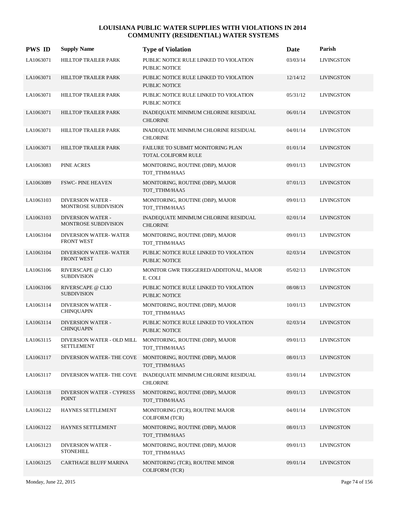| <b>PWS ID</b> | <b>Supply Name</b>                               | <b>Type of Violation</b>                                                     | Date     | Parish            |
|---------------|--------------------------------------------------|------------------------------------------------------------------------------|----------|-------------------|
| LA1063071     | HILLTOP TRAILER PARK                             | PUBLIC NOTICE RULE LINKED TO VIOLATION<br>PUBLIC NOTICE                      | 03/03/14 | <b>LIVINGSTON</b> |
| LA1063071     | HILLTOP TRAILER PARK                             | PUBLIC NOTICE RULE LINKED TO VIOLATION<br>PUBLIC NOTICE                      | 12/14/12 | <b>LIVINGSTON</b> |
| LA1063071     | HILLTOP TRAILER PARK                             | PUBLIC NOTICE RULE LINKED TO VIOLATION<br>PUBLIC NOTICE                      | 05/31/12 | <b>LIVINGSTON</b> |
| LA1063071     | HILLTOP TRAILER PARK                             | INADEQUATE MINIMUM CHLORINE RESIDUAL<br><b>CHLORINE</b>                      | 06/01/14 | <b>LIVINGSTON</b> |
| LA1063071     | HILLTOP TRAILER PARK                             | INADEQUATE MINIMUM CHLORINE RESIDUAL<br><b>CHLORINE</b>                      | 04/01/14 | <b>LIVINGSTON</b> |
| LA1063071     | HILLTOP TRAILER PARK                             | FAILURE TO SUBMIT MONITORING PLAN<br>TOTAL COLIFORM RULE                     | 01/01/14 | <b>LIVINGSTON</b> |
| LA1063083     | PINE ACRES                                       | MONITORING, ROUTINE (DBP), MAJOR<br>TOT TTHM/HAA5                            | 09/01/13 | <b>LIVINGSTON</b> |
| LA1063089     | <b>FSWC-PINE HEAVEN</b>                          | MONITORING, ROUTINE (DBP), MAJOR<br>TOT_TTHM/HAA5                            | 07/01/13 | <b>LIVINGSTON</b> |
| LA1063103     | <b>DIVERSION WATER -</b><br>MONTROSE SUBDIVISION | MONITORING, ROUTINE (DBP), MAJOR<br>TOT TTHM/HAA5                            | 09/01/13 | <b>LIVINGSTON</b> |
| LA1063103     | <b>DIVERSION WATER -</b><br>MONTROSE SUBDIVISION | INADEQUATE MINIMUM CHLORINE RESIDUAL<br><b>CHLORINE</b>                      | 02/01/14 | <b>LIVINGSTON</b> |
| LA1063104     | DIVERSION WATER-WATER<br>FRONT WEST              | MONITORING, ROUTINE (DBP), MAJOR<br>TOT_TTHM/HAA5                            | 09/01/13 | <b>LIVINGSTON</b> |
| LA1063104     | DIVERSION WATER-WATER<br>FRONT WEST              | PUBLIC NOTICE RULE LINKED TO VIOLATION<br><b>PUBLIC NOTICE</b>               | 02/03/14 | <b>LIVINGSTON</b> |
| LA1063106     | RIVERSCAPE @ CLIO<br><b>SUBDIVISION</b>          | MONITOR GWR TRIGGERED/ADDITONAL, MAJOR<br>E. COLI                            | 05/02/13 | <b>LIVINGSTON</b> |
| LA1063106     | RIVERSCAPE @ CLIO<br><b>SUBDIVISION</b>          | PUBLIC NOTICE RULE LINKED TO VIOLATION<br>PUBLIC NOTICE                      | 08/08/13 | <b>LIVINGSTON</b> |
| LA1063114     | <b>DIVERSION WATER -</b><br><b>CHINQUAPIN</b>    | MONITORING, ROUTINE (DBP), MAJOR<br>TOT_TTHM/HAA5                            | 10/01/13 | <b>LIVINGSTON</b> |
| LA1063114     | <b>DIVERSION WATER -</b><br><b>CHINQUAPIN</b>    | PUBLIC NOTICE RULE LINKED TO VIOLATION<br><b>PUBLIC NOTICE</b>               | 02/03/14 | <b>LIVINGSTON</b> |
| LA1063115     | <b>SETTLEMENT</b>                                | DIVERSION WATER - OLD MILL MONITORING, ROUTINE (DBP), MAJOR<br>TOT_TTHM/HAA5 | 09/01/13 | <b>LIVINGSTON</b> |
| LA1063117     | DIVERSION WATER-THE COVE                         | MONITORING, ROUTINE (DBP), MAJOR<br>TOT_TTHM/HAA5                            | 08/01/13 | <b>LIVINGSTON</b> |
| LA1063117     | DIVERSION WATER-THE COVE                         | INADEQUATE MINIMUM CHLORINE RESIDUAL<br><b>CHLORINE</b>                      | 03/01/14 | <b>LIVINGSTON</b> |
| LA1063118     | <b>DIVERSION WATER - CYPRESS</b><br><b>POINT</b> | MONITORING, ROUTINE (DBP), MAJOR<br>TOT TTHM/HAA5                            | 09/01/13 | <b>LIVINGSTON</b> |
| LA1063122     | HAYNES SETTLEMENT                                | MONITORING (TCR), ROUTINE MAJOR<br><b>COLIFORM (TCR)</b>                     | 04/01/14 | LIVINGSTON        |
| LA1063122     | HAYNES SETTLEMENT                                | MONITORING, ROUTINE (DBP), MAJOR<br>TOT_TTHM/HAA5                            | 08/01/13 | <b>LIVINGSTON</b> |
| LA1063123     | <b>DIVERSION WATER -</b><br><b>STONEHILL</b>     | MONITORING, ROUTINE (DBP), MAJOR<br>TOT_TTHM/HAA5                            | 09/01/13 | <b>LIVINGSTON</b> |
| LA1063125     | CARTHAGE BLUFF MARINA                            | MONITORING (TCR), ROUTINE MINOR<br>COLIFORM (TCR)                            | 09/01/14 | <b>LIVINGSTON</b> |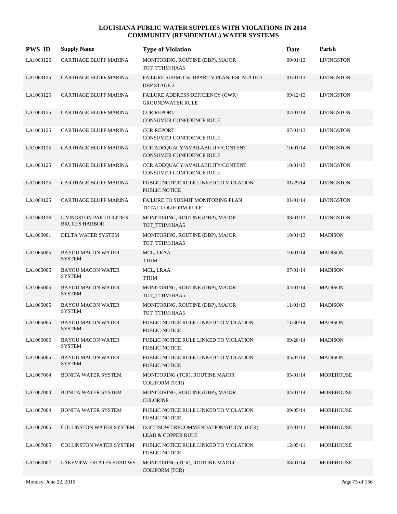| <b>PWS ID</b> | <b>Supply Name</b>                                | <b>Type of Violation</b>                                              | Date     | Parish            |
|---------------|---------------------------------------------------|-----------------------------------------------------------------------|----------|-------------------|
| LA1063125     | CARTHAGE BLUFF MARINA                             | MONITORING, ROUTINE (DBP), MAJOR<br>TOT_TTHM/HAA5                     | 09/01/13 | <b>LIVINGSTON</b> |
| LA1063125     | CARTHAGE BLUFF MARINA                             | FAILURE SUBMIT SUBPART V PLAN, ESCALATED<br><b>DBP STAGE 2</b>        | 01/01/13 | <b>LIVINGSTON</b> |
| LA1063125     | CARTHAGE BLUFF MARINA                             | FAILURE ADDRESS DEFICIENCY (GWR)<br><b>GROUNDWATER RULE</b>           | 09/12/13 | <b>LIVINGSTON</b> |
| LA1063125     | <b>CARTHAGE BLUFF MARINA</b>                      | <b>CCR REPORT</b><br>CONSUMER CONFIDENCE RULE                         | 07/01/14 | <b>LIVINGSTON</b> |
| LA1063125     | CARTHAGE BLUFF MARINA                             | <b>CCR REPORT</b><br>CONSUMER CONFIDENCE RULE                         | 07/01/13 | LIVINGSTON        |
| LA1063125     | CARTHAGE BLUFF MARINA                             | CCR ADEQUACY/AVAILABILITY/CONTENT<br>CONSUMER CONFIDENCE RULE         | 10/01/14 | <b>LIVINGSTON</b> |
| LA1063125     | <b>CARTHAGE BLUFF MARINA</b>                      | CCR ADEQUACY/AVAILABILITY/CONTENT<br>CONSUMER CONFIDENCE RULE         | 10/01/13 | <b>LIVINGSTON</b> |
| LA1063125     | <b>CARTHAGE BLUFF MARINA</b>                      | PUBLIC NOTICE RULE LINKED TO VIOLATION<br>PUBLIC NOTICE               | 01/29/14 | <b>LIVINGSTON</b> |
| LA1063125     | CARTHAGE BLUFF MARINA                             | FAILURE TO SUBMIT MONITORING PLAN<br>TOTAL COLIFORM RULE              | 01/01/14 | <b>LIVINGSTON</b> |
| LA1063126     | LIVINGSTON PAR UTILITIES-<br><b>BRUCES HARBOR</b> | MONITORING, ROUTINE (DBP), MAJOR<br>TOT_TTHM/HAA5                     | 08/01/13 | <b>LIVINGSTON</b> |
| LA1065001     | DELTA WATER SYSTEM                                | MONITORING, ROUTINE (DBP), MAJOR<br>TOT_TTHM/HAA5                     | 10/01/13 | <b>MADISON</b>    |
| LA1065005     | <b>BAYOU MACON WATER</b><br><b>SYSTEM</b>         | MCL, LRAA<br><b>TTHM</b>                                              | 10/01/14 | <b>MADISON</b>    |
| LA1065005     | <b>BAYOU MACON WATER</b><br><b>SYSTEM</b>         | MCL, LRAA<br><b>TTHM</b>                                              | 07/01/14 | <b>MADISON</b>    |
| LA1065005     | <b>BAYOU MACON WATER</b><br><b>SYSTEM</b>         | MONITORING, ROUTINE (DBP), MAJOR<br>TOT_TTHM/HAA5                     | 02/01/14 | <b>MADISON</b>    |
| LA1065005     | <b>BAYOU MACON WATER</b><br><b>SYSTEM</b>         | MONITORING, ROUTINE (DBP), MAJOR<br>TOT TTHM/HAA5                     | 11/01/13 | <b>MADISON</b>    |
| LA1065005     | <b>BAYOU MACON WATER</b><br><b>SYSTEM</b>         | PUBLIC NOTICE RULE LINKED TO VIOLATION<br><b>PUBLIC NOTICE</b>        | 11/30/14 | <b>MADISON</b>    |
| LA1065005     | <b>BAYOU MACON WATER</b><br><b>SYSTEM</b>         | PUBLIC NOTICE RULE LINKED TO VIOLATION<br>PUBLIC NOTICE               | 09/28/14 | <b>MADISON</b>    |
| LA1065005     | <b>BAYOU MACON WATER</b><br><b>SYSTEM</b>         | PUBLIC NOTICE RULE LINKED TO VIOLATION<br>PUBLIC NOTICE               | 05/07/14 | <b>MADISON</b>    |
| LA1067004     | <b>BONITA WATER SYSTEM</b>                        | MONITORING (TCR), ROUTINE MAJOR<br><b>COLIFORM (TCR)</b>              | 05/01/14 | <b>MOREHOUSE</b>  |
| LA1067004     | <b>BONITA WATER SYSTEM</b>                        | MONITORING, ROUTINE (DBP), MAJOR<br><b>CHLORINE</b>                   | 04/01/14 | <b>MOREHOUSE</b>  |
| LA1067004     | <b>BONITA WATER SYSTEM</b>                        | PUBLIC NOTICE RULE LINKED TO VIOLATION<br>PUBLIC NOTICE               | 09/05/14 | <b>MOREHOUSE</b>  |
| LA1067005     | <b>COLLINSTON WATER SYSTEM</b>                    | OCCT/SOWT RECOMMENDATION/STUDY (LCR)<br><b>LEAD &amp; COPPER RULE</b> | 07/01/11 | <b>MOREHOUSE</b>  |
| LA1067005     | <b>COLLINSTON WATER SYSTEM</b>                    | PUBLIC NOTICE RULE LINKED TO VIOLATION<br>PUBLIC NOTICE               | 12/05/11 | <b>MOREHOUSE</b>  |
| LA1067007     | LAKEVIEW ESTATES SUBD WS                          | MONITORING (TCR), ROUTINE MAJOR<br><b>COLIFORM (TCR)</b>              | 08/01/14 | <b>MOREHOUSE</b>  |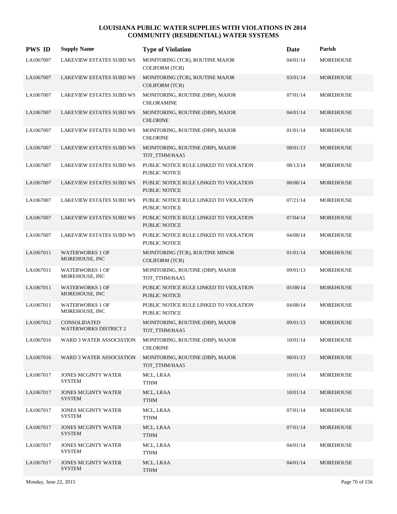| <b>PWS ID</b> | <b>Supply Name</b>                                  | <b>Type of Violation</b>                                       | <b>Date</b> | Parish           |
|---------------|-----------------------------------------------------|----------------------------------------------------------------|-------------|------------------|
| LA1067007     | <b>LAKEVIEW ESTATES SUBD WS</b>                     | MONITORING (TCR), ROUTINE MAJOR<br><b>COLIFORM (TCR)</b>       | 04/01/14    | <b>MOREHOUSE</b> |
| LA1067007     | <b>LAKEVIEW ESTATES SUBD WS</b>                     | MONITORING (TCR), ROUTINE MAJOR<br><b>COLIFORM (TCR)</b>       | 03/01/14    | MOREHOUSE        |
| LA1067007     | <b>LAKEVIEW ESTATES SUBD WS</b>                     | MONITORING, ROUTINE (DBP), MAJOR<br><b>CHLORAMINE</b>          | 07/01/14    | <b>MOREHOUSE</b> |
| LA1067007     | <b>LAKEVIEW ESTATES SUBD WS</b>                     | MONITORING, ROUTINE (DBP), MAJOR<br><b>CHLORINE</b>            | 04/01/14    | <b>MOREHOUSE</b> |
| LA1067007     | <b>LAKEVIEW ESTATES SUBD WS</b>                     | MONITORING, ROUTINE (DBP), MAJOR<br><b>CHLORINE</b>            | 01/01/14    | <b>MOREHOUSE</b> |
| LA1067007     | <b>LAKEVIEW ESTATES SUBD WS</b>                     | MONITORING, ROUTINE (DBP), MAJOR<br>TOT_TTHM/HAA5              | 08/01/13    | MOREHOUSE        |
| LA1067007     | <b>LAKEVIEW ESTATES SUBD WS</b>                     | PUBLIC NOTICE RULE LINKED TO VIOLATION<br>PUBLIC NOTICE        | 08/13/14    | MOREHOUSE        |
| LA1067007     | <b>LAKEVIEW ESTATES SUBD WS</b>                     | PUBLIC NOTICE RULE LINKED TO VIOLATION<br><b>PUBLIC NOTICE</b> | 08/08/14    | <b>MOREHOUSE</b> |
| LA1067007     | <b>LAKEVIEW ESTATES SUBD WS</b>                     | PUBLIC NOTICE RULE LINKED TO VIOLATION<br><b>PUBLIC NOTICE</b> | 07/21/14    | <b>MOREHOUSE</b> |
| LA1067007     | <b>LAKEVIEW ESTATES SUBD WS</b>                     | PUBLIC NOTICE RULE LINKED TO VIOLATION<br><b>PUBLIC NOTICE</b> | 07/04/14    | MOREHOUSE        |
| LA1067007     | <b>LAKEVIEW ESTATES SUBD WS</b>                     | PUBLIC NOTICE RULE LINKED TO VIOLATION<br>PUBLIC NOTICE        | 04/08/14    | MOREHOUSE        |
| LA1067011     | <b>WATERWORKS 1 OF</b><br>MOREHOUSE, INC            | MONITORING (TCR), ROUTINE MINOR<br><b>COLIFORM (TCR)</b>       | 01/01/14    | MOREHOUSE        |
| LA1067011     | <b>WATERWORKS 1 OF</b><br>MOREHOUSE, INC            | MONITORING, ROUTINE (DBP), MAJOR<br>TOT_TTHM/HAA5              | 09/01/13    | MOREHOUSE        |
| LA1067011     | <b>WATERWORKS 1 OF</b><br>MOREHOUSE, INC            | PUBLIC NOTICE RULE LINKED TO VIOLATION<br><b>PUBLIC NOTICE</b> | 05/08/14    | MOREHOUSE        |
| LA1067011     | <b>WATERWORKS 1 OF</b><br>MOREHOUSE, INC            | PUBLIC NOTICE RULE LINKED TO VIOLATION<br>PUBLIC NOTICE        | 04/08/14    | MOREHOUSE        |
| LA1067012     | <b>CONSOLIDATED</b><br><b>WATERWORKS DISTRICT 2</b> | MONITORING, ROUTINE (DBP), MAJOR<br>TOT_TTHM/HAA5              | 09/01/13    | MOREHOUSE        |
| LA1067016     | WARD 3 WATER ASSOCIATION                            | MONITORING, ROUTINE (DBP), MAJOR<br><b>CHLORINE</b>            | 10/01/14    | MOREHOUSE        |
| LA1067016     | <b>WARD 3 WATER ASSOCIATION</b>                     | MONITORING, ROUTINE (DBP), MAJOR<br>TOT_TTHM/HAA5              | 08/01/13    | MOREHOUSE        |
| LA1067017     | <b>JONES MCGINTY WATER</b><br><b>SYSTEM</b>         | MCL, LRAA<br><b>TTHM</b>                                       | 10/01/14    | <b>MOREHOUSE</b> |
| LA1067017     | <b>JONES MCGINTY WATER</b><br><b>SYSTEM</b>         | MCL, LRAA<br><b>TTHM</b>                                       | 10/01/14    | MOREHOUSE        |
| LA1067017     | JONES MCGINTY WATER<br><b>SYSTEM</b>                | MCL, LRAA<br><b>TTHM</b>                                       | 07/01/14    | <b>MOREHOUSE</b> |
| LA1067017     | <b>JONES MCGINTY WATER</b><br><b>SYSTEM</b>         | MCL, LRAA<br><b>TTHM</b>                                       | 07/01/14    | MOREHOUSE        |
| LA1067017     | <b>JONES MCGINTY WATER</b><br><b>SYSTEM</b>         | MCL, LRAA<br><b>TTHM</b>                                       | 04/01/14    | <b>MOREHOUSE</b> |
| LA1067017     | JONES MCGINTY WATER<br><b>SYSTEM</b>                | MCL, LRAA<br><b>TTHM</b>                                       | 04/01/14    | MOREHOUSE        |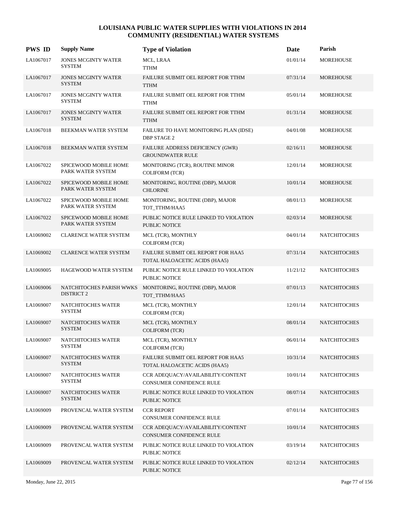| <b>PWS ID</b> | <b>Supply Name</b>                            | <b>Type of Violation</b>                                            | Date     | Parish              |
|---------------|-----------------------------------------------|---------------------------------------------------------------------|----------|---------------------|
| LA1067017     | <b>JONES MCGINTY WATER</b><br><b>SYSTEM</b>   | MCL, LRAA<br><b>TTHM</b>                                            | 01/01/14 | <b>MOREHOUSE</b>    |
| LA1067017     | <b>JONES MCGINTY WATER</b><br><b>SYSTEM</b>   | FAILURE SUBMIT OEL REPORT FOR TTHM<br><b>TTHM</b>                   | 07/31/14 | <b>MOREHOUSE</b>    |
| LA1067017     | <b>JONES MCGINTY WATER</b><br><b>SYSTEM</b>   | FAILURE SUBMIT OEL REPORT FOR TTHM<br>TTHM                          | 05/01/14 | <b>MOREHOUSE</b>    |
| LA1067017     | <b>JONES MCGINTY WATER</b><br><b>SYSTEM</b>   | FAILURE SUBMIT OEL REPORT FOR TTHM<br><b>TTHM</b>                   | 01/31/14 | <b>MOREHOUSE</b>    |
| LA1067018     | BEEKMAN WATER SYSTEM                          | FAILURE TO HAVE MONITORING PLAN (IDSE)<br><b>DBP STAGE 2</b>        | 04/01/08 | MOREHOUSE           |
| LA1067018     | BEEKMAN WATER SYSTEM                          | FAILURE ADDRESS DEFICIENCY (GWR)<br><b>GROUNDWATER RULE</b>         | 02/16/11 | <b>MOREHOUSE</b>    |
| LA1067022     | SPICEWOOD MOBILE HOME<br>PARK WATER SYSTEM    | MONITORING (TCR), ROUTINE MINOR<br><b>COLIFORM (TCR)</b>            | 12/01/14 | <b>MOREHOUSE</b>    |
| LA1067022     | SPICEWOOD MOBILE HOME<br>PARK WATER SYSTEM    | MONITORING, ROUTINE (DBP), MAJOR<br><b>CHLORINE</b>                 | 10/01/14 | <b>MOREHOUSE</b>    |
| LA1067022     | SPICEWOOD MOBILE HOME<br>PARK WATER SYSTEM    | MONITORING, ROUTINE (DBP), MAJOR<br>TOT_TTHM/HAA5                   | 08/01/13 | MOREHOUSE           |
| LA1067022     | SPICEWOOD MOBILE HOME<br>PARK WATER SYSTEM    | PUBLIC NOTICE RULE LINKED TO VIOLATION<br>PUBLIC NOTICE             | 02/03/14 | <b>MOREHOUSE</b>    |
| LA1069002     | <b>CLARENCE WATER SYSTEM</b>                  | MCL (TCR), MONTHLY<br><b>COLIFORM (TCR)</b>                         | 04/01/14 | <b>NATCHITOCHES</b> |
| LA1069002     | <b>CLARENCE WATER SYSTEM</b>                  | FAILURE SUBMIT OEL REPORT FOR HAA5<br>TOTAL HALOACETIC ACIDS (HAA5) | 07/31/14 | <b>NATCHITOCHES</b> |
| LA1069005     | HAGEWOOD WATER SYSTEM                         | PUBLIC NOTICE RULE LINKED TO VIOLATION<br>PUBLIC NOTICE             | 11/21/12 | <b>NATCHITOCHES</b> |
| LA1069006     | NATCHITOCHES PARISH WWKS<br><b>DISTRICT 2</b> | MONITORING, ROUTINE (DBP), MAJOR<br>TOT_TTHM/HAA5                   | 07/01/13 | <b>NATCHITOCHES</b> |
| LA1069007     | NATCHITOCHES WATER<br><b>SYSTEM</b>           | MCL (TCR), MONTHLY<br><b>COLIFORM (TCR)</b>                         | 12/01/14 | <b>NATCHITOCHES</b> |
| LA1069007     | NATCHITOCHES WATER<br><b>SYSTEM</b>           | MCL (TCR), MONTHLY<br><b>COLIFORM (TCR)</b>                         | 08/01/14 | <b>NATCHITOCHES</b> |
| LA1069007     | NATCHITOCHES WATER<br><b>SYSTEM</b>           | MCL (TCR), MONTHLY<br><b>COLIFORM (TCR)</b>                         | 06/01/14 | NATCHITOCHES        |
| LA1069007     | NATCHITOCHES WATER<br><b>SYSTEM</b>           | FAILURE SUBMIT OEL REPORT FOR HAA5<br>TOTAL HALOACETIC ACIDS (HAA5) | 10/31/14 | <b>NATCHITOCHES</b> |
| LA1069007     | NATCHITOCHES WATER<br><b>SYSTEM</b>           | CCR ADEQUACY/AVAILABILITY/CONTENT<br>CONSUMER CONFIDENCE RULE       | 10/01/14 | <b>NATCHITOCHES</b> |
| LA1069007     | NATCHITOCHES WATER<br><b>SYSTEM</b>           | PUBLIC NOTICE RULE LINKED TO VIOLATION<br>PUBLIC NOTICE             | 08/07/14 | <b>NATCHITOCHES</b> |
| LA1069009     | PROVENCAL WATER SYSTEM                        | <b>CCR REPORT</b><br>CONSUMER CONFIDENCE RULE                       | 07/01/14 | <b>NATCHITOCHES</b> |
| LA1069009     | PROVENCAL WATER SYSTEM                        | CCR ADEQUACY/AVAILABILITY/CONTENT<br>CONSUMER CONFIDENCE RULE       | 10/01/14 | <b>NATCHITOCHES</b> |
| LA1069009     | PROVENCAL WATER SYSTEM                        | PUBLIC NOTICE RULE LINKED TO VIOLATION<br>PUBLIC NOTICE             | 03/19/14 | <b>NATCHITOCHES</b> |
| LA1069009     | PROVENCAL WATER SYSTEM                        | PUBLIC NOTICE RULE LINKED TO VIOLATION<br>PUBLIC NOTICE             | 02/12/14 | <b>NATCHITOCHES</b> |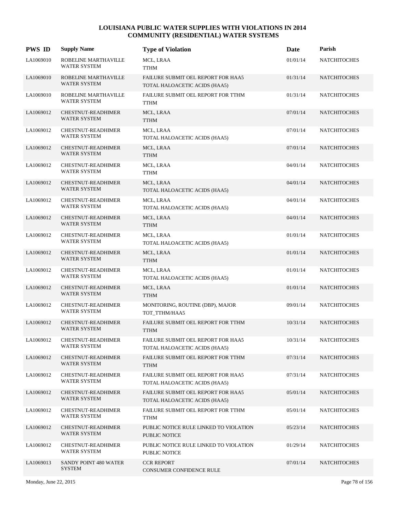| <b>PWS ID</b> | <b>Supply Name</b>                               | <b>Type of Violation</b>                                            | Date     | Parish              |
|---------------|--------------------------------------------------|---------------------------------------------------------------------|----------|---------------------|
| LA1069010     | ROBELINE MARTHAVILLE<br>WATER SYSTEM             | MCL, LRAA<br><b>TTHM</b>                                            | 01/01/14 | <b>NATCHITOCHES</b> |
| LA1069010     | ROBELINE MARTHAVILLE<br><b>WATER SYSTEM</b>      | FAILURE SUBMIT OEL REPORT FOR HAA5<br>TOTAL HALOACETIC ACIDS (HAA5) | 01/31/14 | <b>NATCHITOCHES</b> |
| LA1069010     | ROBELINE MARTHAVILLE<br><b>WATER SYSTEM</b>      | FAILURE SUBMIT OEL REPORT FOR TTHM<br><b>TTHM</b>                   | 01/31/14 | <b>NATCHITOCHES</b> |
| LA1069012     | <b>CHESTNUT-READHIMER</b><br><b>WATER SYSTEM</b> | MCL, LRAA<br><b>TTHM</b>                                            | 07/01/14 | <b>NATCHITOCHES</b> |
| LA1069012     | <b>CHESTNUT-READHIMER</b><br><b>WATER SYSTEM</b> | MCL, LRAA<br>TOTAL HALOACETIC ACIDS (HAA5)                          | 07/01/14 | <b>NATCHITOCHES</b> |
| LA1069012     | <b>CHESTNUT-READHIMER</b><br><b>WATER SYSTEM</b> | MCL, LRAA<br><b>TTHM</b>                                            | 07/01/14 | <b>NATCHITOCHES</b> |
| LA1069012     | <b>CHESTNUT-READHIMER</b><br><b>WATER SYSTEM</b> | MCL, LRAA<br><b>TTHM</b>                                            | 04/01/14 | <b>NATCHITOCHES</b> |
| LA1069012     | <b>CHESTNUT-READHIMER</b><br><b>WATER SYSTEM</b> | MCL, LRAA<br>TOTAL HALOACETIC ACIDS (HAA5)                          | 04/01/14 | <b>NATCHITOCHES</b> |
| LA1069012     | <b>CHESTNUT-READHIMER</b><br>WATER SYSTEM        | MCL, LRAA<br>TOTAL HALOACETIC ACIDS (HAA5)                          | 04/01/14 | <b>NATCHITOCHES</b> |
| LA1069012     | CHESTNUT-READHIMER<br><b>WATER SYSTEM</b>        | MCL, LRAA<br><b>TTHM</b>                                            | 04/01/14 | <b>NATCHITOCHES</b> |
| LA1069012     | CHESTNUT-READHIMER<br><b>WATER SYSTEM</b>        | MCL, LRAA<br>TOTAL HALOACETIC ACIDS (HAA5)                          | 01/01/14 | <b>NATCHITOCHES</b> |
| LA1069012     | CHESTNUT-READHIMER<br><b>WATER SYSTEM</b>        | MCL, LRAA<br><b>TTHM</b>                                            | 01/01/14 | <b>NATCHITOCHES</b> |
| LA1069012     | CHESTNUT-READHIMER<br>WATER SYSTEM               | MCL, LRAA<br>TOTAL HALOACETIC ACIDS (HAA5)                          | 01/01/14 | <b>NATCHITOCHES</b> |
| LA1069012     | CHESTNUT-READHIMER<br><b>WATER SYSTEM</b>        | MCL, LRAA<br><b>TTHM</b>                                            | 01/01/14 | <b>NATCHITOCHES</b> |
| LA1069012     | CHESTNUT-READHIMER<br><b>WATER SYSTEM</b>        | MONITORING, ROUTINE (DBP), MAJOR<br>TOT_TTHM/HAA5                   | 09/01/14 | <b>NATCHITOCHES</b> |
| LA1069012     | CHESTNUT-READHIMER<br>WATER SYSTEM               | FAILURE SUBMIT OEL REPORT FOR TTHM<br><b>TTHM</b>                   | 10/31/14 | <b>NATCHITOCHES</b> |
| LA1069012     | <b>CHESTNUT-READHIMER</b><br><b>WATER SYSTEM</b> | FAILURE SUBMIT OEL REPORT FOR HAA5<br>TOTAL HALOACETIC ACIDS (HAA5) | 10/31/14 | <b>NATCHITOCHES</b> |
| LA1069012     | CHESTNUT-READHIMER<br><b>WATER SYSTEM</b>        | FAILURE SUBMIT OEL REPORT FOR TTHM<br><b>TTHM</b>                   | 07/31/14 | <b>NATCHITOCHES</b> |
| LA1069012     | CHESTNUT-READHIMER<br>WATER SYSTEM               | FAILURE SUBMIT OEL REPORT FOR HAA5<br>TOTAL HALOACETIC ACIDS (HAA5) | 07/31/14 | <b>NATCHITOCHES</b> |
| LA1069012     | CHESTNUT-READHIMER<br><b>WATER SYSTEM</b>        | FAILURE SUBMIT OEL REPORT FOR HAA5<br>TOTAL HALOACETIC ACIDS (HAA5) | 05/01/14 | <b>NATCHITOCHES</b> |
| LA1069012     | CHESTNUT-READHIMER<br><b>WATER SYSTEM</b>        | FAILURE SUBMIT OEL REPORT FOR TTHM<br><b>TTHM</b>                   | 05/01/14 | <b>NATCHITOCHES</b> |
| LA1069012     | CHESTNUT-READHIMER<br><b>WATER SYSTEM</b>        | PUBLIC NOTICE RULE LINKED TO VIOLATION<br>PUBLIC NOTICE             | 05/23/14 | <b>NATCHITOCHES</b> |
| LA1069012     | CHESTNUT-READHIMER<br>WATER SYSTEM               | PUBLIC NOTICE RULE LINKED TO VIOLATION<br>PUBLIC NOTICE             | 01/29/14 | <b>NATCHITOCHES</b> |
| LA1069013     | SANDY POINT 480 WATER<br><b>SYSTEM</b>           | <b>CCR REPORT</b><br>CONSUMER CONFIDENCE RULE                       | 07/01/14 | <b>NATCHITOCHES</b> |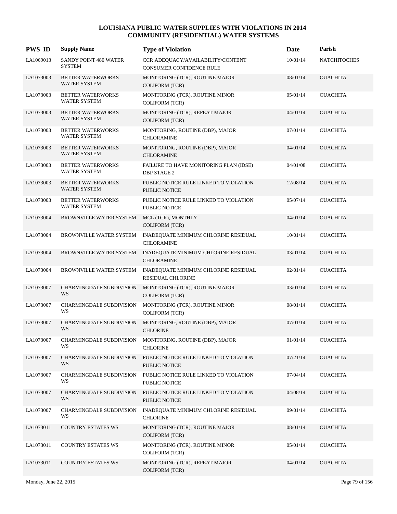| <b>PWS ID</b> | <b>Supply Name</b>                              | <b>Type of Violation</b>                                         | Date     | Parish              |
|---------------|-------------------------------------------------|------------------------------------------------------------------|----------|---------------------|
| LA1069013     | SANDY POINT 480 WATER<br><b>SYSTEM</b>          | CCR ADEQUACY/AVAILABILITY/CONTENT<br>CONSUMER CONFIDENCE RULE    | 10/01/14 | <b>NATCHITOCHES</b> |
| LA1073003     | <b>BETTER WATERWORKS</b><br>WATER SYSTEM        | MONITORING (TCR), ROUTINE MAJOR<br><b>COLIFORM (TCR)</b>         | 08/01/14 | <b>OUACHITA</b>     |
| LA1073003     | BETTER WATERWORKS<br><b>WATER SYSTEM</b>        | MONITORING (TCR), ROUTINE MINOR<br><b>COLIFORM (TCR)</b>         | 05/01/14 | <b>OUACHITA</b>     |
| LA1073003     | <b>BETTER WATERWORKS</b><br>WATER SYSTEM        | MONITORING (TCR), REPEAT MAJOR<br><b>COLIFORM</b> (TCR)          | 04/01/14 | <b>OUACHITA</b>     |
| LA1073003     | BETTER WATERWORKS<br><b>WATER SYSTEM</b>        | MONITORING, ROUTINE (DBP), MAJOR<br><b>CHLORAMINE</b>            | 07/01/14 | <b>OUACHITA</b>     |
| LA1073003     | <b>BETTER WATERWORKS</b><br><b>WATER SYSTEM</b> | MONITORING, ROUTINE (DBP), MAJOR<br><b>CHLORAMINE</b>            | 04/01/14 | <b>OUACHITA</b>     |
| LA1073003     | BETTER WATERWORKS<br><b>WATER SYSTEM</b>        | FAILURE TO HAVE MONITORING PLAN (IDSE)<br><b>DBP STAGE 2</b>     | 04/01/08 | <b>OUACHITA</b>     |
| LA1073003     | <b>BETTER WATERWORKS</b><br><b>WATER SYSTEM</b> | PUBLIC NOTICE RULE LINKED TO VIOLATION<br><b>PUBLIC NOTICE</b>   | 12/08/14 | <b>OUACHITA</b>     |
| LA1073003     | <b>BETTER WATERWORKS</b><br><b>WATER SYSTEM</b> | PUBLIC NOTICE RULE LINKED TO VIOLATION<br><b>PUBLIC NOTICE</b>   | 05/07/14 | <b>OUACHITA</b>     |
| LA1073004     | <b>BROWNVILLE WATER SYSTEM</b>                  | MCL (TCR), MONTHLY<br><b>COLIFORM (TCR)</b>                      | 04/01/14 | <b>OUACHITA</b>     |
| LA1073004     | BROWNVILLE WATER SYSTEM                         | INADEQUATE MINIMUM CHLORINE RESIDUAL<br><b>CHLORAMINE</b>        | 10/01/14 | <b>OUACHITA</b>     |
| LA1073004     | <b>BROWNVILLE WATER SYSTEM</b>                  | INADEQUATE MINIMUM CHLORINE RESIDUAL<br><b>CHLORAMINE</b>        | 03/01/14 | <b>OUACHITA</b>     |
| LA1073004     | BROWNVILLE WATER SYSTEM                         | INADEQUATE MINIMUM CHLORINE RESIDUAL<br><b>RESIDUAL CHLORINE</b> | 02/01/14 | <b>OUACHITA</b>     |
| LA1073007     | CHARMINGDALE SUBDIVISION<br>WS                  | MONITORING (TCR), ROUTINE MAJOR<br><b>COLIFORM (TCR)</b>         | 03/01/14 | <b>OUACHITA</b>     |
| LA1073007     | CHARMINGDALE SUBDIVISION<br>WS                  | MONITORING (TCR), ROUTINE MINOR<br><b>COLIFORM (TCR)</b>         | 08/01/14 | <b>OUACHITA</b>     |
| LA1073007     | <b>CHARMINGDALE SUBDIVISION</b><br>WS           | MONITORING, ROUTINE (DBP), MAJOR<br><b>CHLORINE</b>              | 07/01/14 | <b>OUACHITA</b>     |
| LA1073007     | CHARMINGDALE SUBDIVISION<br>WS                  | MONITORING, ROUTINE (DBP), MAJOR<br><b>CHLORINE</b>              | 01/01/14 | <b>OUACHITA</b>     |
| LA1073007     | <b>CHARMINGDALE SUBDIVISION</b><br>WS           | PUBLIC NOTICE RULE LINKED TO VIOLATION<br>PUBLIC NOTICE          | 07/21/14 | <b>OUACHITA</b>     |
| LA1073007     | <b>CHARMINGDALE SUBDIVISION</b><br>WS           | PUBLIC NOTICE RULE LINKED TO VIOLATION<br>PUBLIC NOTICE          | 07/04/14 | <b>OUACHITA</b>     |
| LA1073007     | CHARMINGDALE SUBDIVISION<br>WS                  | PUBLIC NOTICE RULE LINKED TO VIOLATION<br>PUBLIC NOTICE          | 04/08/14 | <b>OUACHITA</b>     |
| LA1073007     | <b>CHARMINGDALE SUBDIVISION</b><br>WS           | INADEQUATE MINIMUM CHLORINE RESIDUAL<br><b>CHLORINE</b>          | 09/01/14 | <b>OUACHITA</b>     |
| LA1073011     | <b>COUNTRY ESTATES WS</b>                       | MONITORING (TCR), ROUTINE MAJOR<br><b>COLIFORM (TCR)</b>         | 08/01/14 | <b>OUACHITA</b>     |
| LA1073011     | <b>COUNTRY ESTATES WS</b>                       | MONITORING (TCR), ROUTINE MINOR<br><b>COLIFORM (TCR)</b>         | 05/01/14 | <b>OUACHITA</b>     |
| LA1073011     | <b>COUNTRY ESTATES WS</b>                       | MONITORING (TCR), REPEAT MAJOR<br>COLIFORM (TCR)                 | 04/01/14 | <b>OUACHITA</b>     |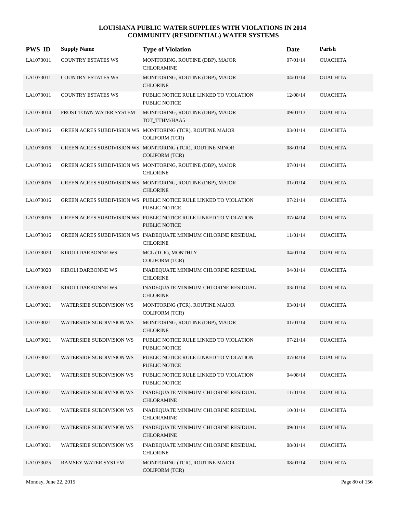| <b>PWS ID</b> | <b>Supply Name</b>              | <b>Type of Violation</b>                                                                  | <b>Date</b> | Parish          |
|---------------|---------------------------------|-------------------------------------------------------------------------------------------|-------------|-----------------|
| LA1073011     | <b>COUNTRY ESTATES WS</b>       | MONITORING, ROUTINE (DBP), MAJOR<br><b>CHLORAMINE</b>                                     | 07/01/14    | <b>OUACHITA</b> |
| LA1073011     | <b>COUNTRY ESTATES WS</b>       | MONITORING, ROUTINE (DBP), MAJOR<br><b>CHLORINE</b>                                       | 04/01/14    | <b>OUACHITA</b> |
| LA1073011     | COUNTRY ESTATES WS              | PUBLIC NOTICE RULE LINKED TO VIOLATION<br>PUBLIC NOTICE                                   | 12/08/14    | <b>OUACHITA</b> |
| LA1073014     | FROST TOWN WATER SYSTEM         | MONITORING, ROUTINE (DBP), MAJOR<br>TOT_TTHM/HAA5                                         | 09/01/13    | <b>OUACHITA</b> |
| LA1073016     |                                 | GREEN ACRES SUBDIVISION WS MONITORING (TCR), ROUTINE MAJOR<br><b>COLIFORM (TCR)</b>       | 03/01/14    | <b>OUACHITA</b> |
| LA1073016     |                                 | GREEN ACRES SUBDIVISION WS MONITORING (TCR), ROUTINE MINOR<br><b>COLIFORM (TCR)</b>       | 08/01/14    | <b>OUACHITA</b> |
| LA1073016     |                                 | GREEN ACRES SUBDIVISION WS MONITORING, ROUTINE (DBP), MAJOR<br><b>CHLORINE</b>            | 07/01/14    | <b>OUACHITA</b> |
| LA1073016     |                                 | GREEN ACRES SUBDIVISION WS MONITORING, ROUTINE (DBP), MAJOR<br><b>CHLORINE</b>            | 01/01/14    | <b>OUACHITA</b> |
| LA1073016     |                                 | GREEN ACRES SUBDIVISION WS PUBLIC NOTICE RULE LINKED TO VIOLATION<br>PUBLIC NOTICE        | 07/21/14    | <b>OUACHITA</b> |
| LA1073016     |                                 | GREEN ACRES SUBDIVISION WS PUBLIC NOTICE RULE LINKED TO VIOLATION<br><b>PUBLIC NOTICE</b> | 07/04/14    | <b>OUACHITA</b> |
| LA1073016     |                                 | GREEN ACRES SUBDIVISION WS INADEQUATE MINIMUM CHLORINE RESIDUAL<br><b>CHLORINE</b>        | 11/01/14    | <b>OUACHITA</b> |
| LA1073020     | <b>KIROLI DARBONNE WS</b>       | MCL (TCR), MONTHLY<br><b>COLIFORM (TCR)</b>                                               | 04/01/14    | <b>OUACHITA</b> |
| LA1073020     | KIROLI DARBONNE WS              | INADEQUATE MINIMUM CHLORINE RESIDUAL<br><b>CHLORINE</b>                                   | 04/01/14    | <b>OUACHITA</b> |
| LA1073020     | <b>KIROLI DARBONNE WS</b>       | INADEQUATE MINIMUM CHLORINE RESIDUAL<br><b>CHLORINE</b>                                   | 03/01/14    | <b>OUACHITA</b> |
| LA1073021     | <b>WATERSIDE SUBDIVISION WS</b> | MONITORING (TCR), ROUTINE MAJOR<br><b>COLIFORM (TCR)</b>                                  | 03/01/14    | <b>OUACHITA</b> |
| LA1073021     | <b>WATERSIDE SUBDIVISION WS</b> | MONITORING, ROUTINE (DBP), MAJOR<br><b>CHLORINE</b>                                       | 01/01/14    | <b>OUACHITA</b> |
| LA1073021     | <b>WATERSIDE SUBDIVISION WS</b> | PUBLIC NOTICE RULE LINKED TO VIOLATION<br>PUBLIC NOTICE                                   | 07/21/14    | <b>OUACHITA</b> |
| LA1073021     | <b>WATERSIDE SUBDIVISION WS</b> | PUBLIC NOTICE RULE LINKED TO VIOLATION<br>PUBLIC NOTICE                                   | 07/04/14    | <b>OUACHITA</b> |
| LA1073021     | <b>WATERSIDE SUBDIVISION WS</b> | PUBLIC NOTICE RULE LINKED TO VIOLATION<br>PUBLIC NOTICE                                   | 04/08/14    | <b>OUACHITA</b> |
| LA1073021     | WATERSIDE SUBDIVISION WS        | INADEQUATE MINIMUM CHLORINE RESIDUAL<br><b>CHLORAMINE</b>                                 | 11/01/14    | <b>OUACHITA</b> |
| LA1073021     | WATERSIDE SUBDIVISION WS        | INADEQUATE MINIMUM CHLORINE RESIDUAL<br><b>CHLORAMINE</b>                                 | 10/01/14    | <b>OUACHITA</b> |
| LA1073021     | <b>WATERSIDE SUBDIVISION WS</b> | INADEQUATE MINIMUM CHLORINE RESIDUAL<br>CHLORAMINE                                        | 09/01/14    | <b>OUACHITA</b> |
| LA1073021     | WATERSIDE SUBDIVISION WS        | INADEQUATE MINIMUM CHLORINE RESIDUAL<br><b>CHLORINE</b>                                   | 08/01/14    | <b>OUACHITA</b> |
| LA1073025     | RAMSEY WATER SYSTEM             | MONITORING (TCR), ROUTINE MAJOR<br>COLIFORM (TCR)                                         | 08/01/14    | <b>OUACHITA</b> |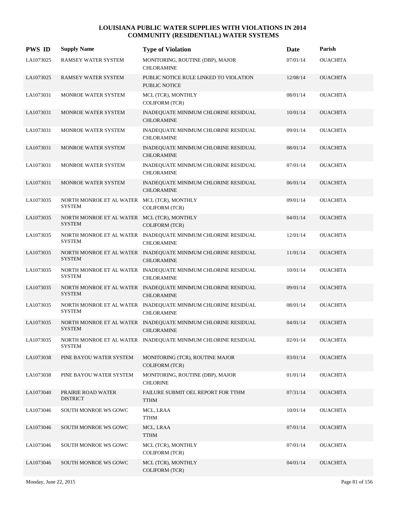| <b>PWS ID</b> | <b>Supply Name</b>                                           | <b>Type of Violation</b>                                                           | Date     | Parish          |
|---------------|--------------------------------------------------------------|------------------------------------------------------------------------------------|----------|-----------------|
| LA1073025     | RAMSEY WATER SYSTEM                                          | MONITORING, ROUTINE (DBP), MAJOR<br><b>CHLORAMINE</b>                              | 07/01/14 | <b>OUACHITA</b> |
| LA1073025     | RAMSEY WATER SYSTEM                                          | PUBLIC NOTICE RULE LINKED TO VIOLATION<br>PUBLIC NOTICE                            | 12/08/14 | <b>OUACHITA</b> |
| LA1073031     | <b>MONROE WATER SYSTEM</b>                                   | MCL (TCR), MONTHLY<br><b>COLIFORM (TCR)</b>                                        | 08/01/14 | <b>OUACHITA</b> |
| LA1073031     | MONROE WATER SYSTEM                                          | INADEQUATE MINIMUM CHLORINE RESIDUAL<br><b>CHLORAMINE</b>                          | 10/01/14 | <b>OUACHITA</b> |
| LA1073031     | MONROE WATER SYSTEM                                          | INADEQUATE MINIMUM CHLORINE RESIDUAL<br><b>CHLORAMINE</b>                          | 09/01/14 | <b>OUACHITA</b> |
| LA1073031     | MONROE WATER SYSTEM                                          | INADEQUATE MINIMUM CHLORINE RESIDUAL<br><b>CHLORAMINE</b>                          | 08/01/14 | <b>OUACHITA</b> |
| LA1073031     | <b>MONROE WATER SYSTEM</b>                                   | INADEQUATE MINIMUM CHLORINE RESIDUAL<br><b>CHLORAMINE</b>                          | 07/01/14 | <b>OUACHITA</b> |
| LA1073031     | MONROE WATER SYSTEM                                          | INADEQUATE MINIMUM CHLORINE RESIDUAL<br><b>CHLORAMINE</b>                          | 06/01/14 | <b>OUACHITA</b> |
| LA1073035     | NORTH MONROE ET AL WATER MCL (TCR), MONTHLY<br><b>SYSTEM</b> | <b>COLIFORM (TCR)</b>                                                              | 09/01/14 | <b>OUACHITA</b> |
| LA1073035     | NORTH MONROE ET AL WATER MCL (TCR), MONTHLY<br><b>SYSTEM</b> | <b>COLIFORM (TCR)</b>                                                              | 04/01/14 | <b>OUACHITA</b> |
| LA1073035     | <b>SYSTEM</b>                                                | NORTH MONROE ET AL WATER INADEQUATE MINIMUM CHLORINE RESIDUAL<br><b>CHLORAMINE</b> | 12/01/14 | <b>OUACHITA</b> |
| LA1073035     | <b>SYSTEM</b>                                                | NORTH MONROE ET AL WATER INADEQUATE MINIMUM CHLORINE RESIDUAL<br><b>CHLORAMINE</b> | 11/01/14 | <b>OUACHITA</b> |
| LA1073035     | <b>SYSTEM</b>                                                | NORTH MONROE ET AL WATER INADEQUATE MINIMUM CHLORINE RESIDUAL<br><b>CHLORAMINE</b> | 10/01/14 | <b>OUACHITA</b> |
| LA1073035     | <b>SYSTEM</b>                                                | NORTH MONROE ET AL WATER INADEQUATE MINIMUM CHLORINE RESIDUAL<br><b>CHLORAMINE</b> | 09/01/14 | <b>OUACHITA</b> |
| LA1073035     | <b>SYSTEM</b>                                                | NORTH MONROE ET AL WATER INADEQUATE MINIMUM CHLORINE RESIDUAL<br><b>CHLORAMINE</b> | 08/01/14 | <b>OUACHITA</b> |
| LA1073035     | <b>SYSTEM</b>                                                | NORTH MONROE ET AL WATER INADEQUATE MINIMUM CHLORINE RESIDUAL<br><b>CHLORAMINE</b> | 04/01/14 | <b>OUACHITA</b> |
| LA1073035     | <b>SYSTEM</b>                                                | NORTH MONROE ET AL WATER INADEQUATE MINIMUM CHLORINE RESIDUAL                      | 02/01/14 | <b>OUACHITA</b> |
| LA1073038     | PINE BAYOU WATER SYSTEM                                      | MONITORING (TCR), ROUTINE MAJOR<br><b>COLIFORM (TCR)</b>                           | 03/01/14 | <b>OUACHITA</b> |
| LA1073038     | PINE BAYOU WATER SYSTEM                                      | MONITORING, ROUTINE (DBP), MAJOR<br><b>CHLORINE</b>                                | 01/01/14 | <b>OUACHITA</b> |
| LA1073040     | PRAIRIE ROAD WATER<br><b>DISTRICT</b>                        | FAILURE SUBMIT OEL REPORT FOR TTHM<br><b>TTHM</b>                                  | 07/31/14 | <b>OUACHITA</b> |
| LA1073046     | SOUTH MONROE WS GOWC                                         | MCL, LRAA<br><b>TTHM</b>                                                           | 10/01/14 | <b>OUACHITA</b> |
| LA1073046     | SOUTH MONROE WS GOWC                                         | MCL, LRAA<br><b>TTHM</b>                                                           | 07/01/14 | <b>OUACHITA</b> |
| LA1073046     | SOUTH MONROE WS GOWC                                         | MCL (TCR), MONTHLY<br><b>COLIFORM (TCR)</b>                                        | 07/01/14 | <b>OUACHITA</b> |
| LA1073046     | SOUTH MONROE WS GOWC                                         | MCL (TCR), MONTHLY<br>COLIFORM (TCR)                                               | 04/01/14 | <b>OUACHITA</b> |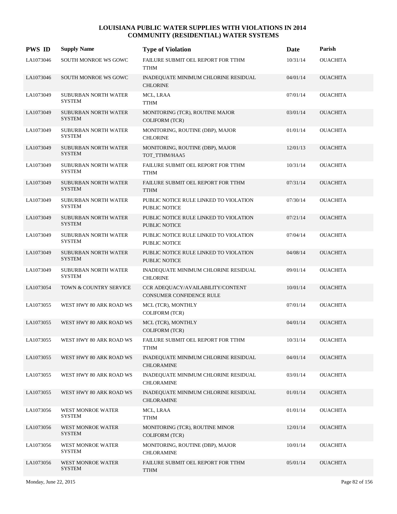| <b>PWS ID</b> | <b>Supply Name</b>                           | <b>Type of Violation</b>                                      | Date     | Parish          |
|---------------|----------------------------------------------|---------------------------------------------------------------|----------|-----------------|
| LA1073046     | SOUTH MONROE WS GOWC                         | FAILURE SUBMIT OEL REPORT FOR TTHM<br><b>TTHM</b>             | 10/31/14 | <b>OUACHITA</b> |
| LA1073046     | SOUTH MONROE WS GOWC                         | INADEQUATE MINIMUM CHLORINE RESIDUAL<br><b>CHLORINE</b>       | 04/01/14 | <b>OUACHITA</b> |
| LA1073049     | SUBURBAN NORTH WATER<br><b>SYSTEM</b>        | MCL, LRAA<br><b>TTHM</b>                                      | 07/01/14 | <b>OUACHITA</b> |
| LA1073049     | SUBURBAN NORTH WATER<br><b>SYSTEM</b>        | MONITORING (TCR), ROUTINE MAJOR<br><b>COLIFORM (TCR)</b>      | 03/01/14 | <b>OUACHITA</b> |
| LA1073049     | SUBURBAN NORTH WATER<br><b>SYSTEM</b>        | MONITORING, ROUTINE (DBP), MAJOR<br><b>CHLORINE</b>           | 01/01/14 | <b>OUACHITA</b> |
| LA1073049     | SUBURBAN NORTH WATER<br><b>SYSTEM</b>        | MONITORING, ROUTINE (DBP), MAJOR<br>TOT_TTHM/HAA5             | 12/01/13 | <b>OUACHITA</b> |
| LA1073049     | SUBURBAN NORTH WATER<br><b>SYSTEM</b>        | FAILURE SUBMIT OEL REPORT FOR TTHM<br><b>TTHM</b>             | 10/31/14 | <b>OUACHITA</b> |
| LA1073049     | SUBURBAN NORTH WATER<br><b>SYSTEM</b>        | FAILURE SUBMIT OEL REPORT FOR TTHM<br><b>TTHM</b>             | 07/31/14 | <b>OUACHITA</b> |
| LA1073049     | SUBURBAN NORTH WATER<br><b>SYSTEM</b>        | PUBLIC NOTICE RULE LINKED TO VIOLATION<br>PUBLIC NOTICE       | 07/30/14 | <b>OUACHITA</b> |
| LA1073049     | SUBURBAN NORTH WATER<br><b>SYSTEM</b>        | PUBLIC NOTICE RULE LINKED TO VIOLATION<br>PUBLIC NOTICE       | 07/21/14 | <b>OUACHITA</b> |
| LA1073049     | SUBURBAN NORTH WATER<br><b>SYSTEM</b>        | PUBLIC NOTICE RULE LINKED TO VIOLATION<br>PUBLIC NOTICE       | 07/04/14 | <b>OUACHITA</b> |
| LA1073049     | <b>SUBURBAN NORTH WATER</b><br><b>SYSTEM</b> | PUBLIC NOTICE RULE LINKED TO VIOLATION<br>PUBLIC NOTICE       | 04/08/14 | <b>OUACHITA</b> |
| LA1073049     | SUBURBAN NORTH WATER<br><b>SYSTEM</b>        | INADEQUATE MINIMUM CHLORINE RESIDUAL<br><b>CHLORINE</b>       | 09/01/14 | <b>OUACHITA</b> |
| LA1073054     | TOWN & COUNTRY SERVICE                       | CCR ADEQUACY/AVAILABILITY/CONTENT<br>CONSUMER CONFIDENCE RULE | 10/01/14 | <b>OUACHITA</b> |
| LA1073055     | WEST HWY 80 ARK ROAD WS                      | MCL (TCR), MONTHLY<br><b>COLIFORM (TCR)</b>                   | 07/01/14 | <b>OUACHITA</b> |
| LA1073055     | WEST HWY 80 ARK ROAD WS                      | MCL (TCR), MONTHLY<br><b>COLIFORM (TCR)</b>                   | 04/01/14 | <b>OUACHITA</b> |
| LA1073055     | WEST HWY 80 ARK ROAD WS                      | FAILURE SUBMIT OEL REPORT FOR TTHM<br><b>TTHM</b>             | 10/31/14 | <b>OUACHITA</b> |
| LA1073055     | WEST HWY 80 ARK ROAD WS                      | INADEQUATE MINIMUM CHLORINE RESIDUAL<br><b>CHLORAMINE</b>     | 04/01/14 | <b>OUACHITA</b> |
| LA1073055     | WEST HWY 80 ARK ROAD WS                      | INADEQUATE MINIMUM CHLORINE RESIDUAL<br>CHLORAMINE            | 03/01/14 | <b>OUACHITA</b> |
| LA1073055     | WEST HWY 80 ARK ROAD WS                      | INADEQUATE MINIMUM CHLORINE RESIDUAL<br><b>CHLORAMINE</b>     | 01/01/14 | <b>OUACHITA</b> |
| LA1073056     | WEST MONROE WATER<br><b>SYSTEM</b>           | MCL, LRAA<br><b>TTHM</b>                                      | 01/01/14 | <b>OUACHITA</b> |
| LA1073056     | WEST MONROE WATER<br><b>SYSTEM</b>           | MONITORING (TCR), ROUTINE MINOR<br><b>COLIFORM (TCR)</b>      | 12/01/14 | <b>OUACHITA</b> |
| LA1073056     | WEST MONROE WATER<br><b>SYSTEM</b>           | MONITORING, ROUTINE (DBP), MAJOR<br><b>CHLORAMINE</b>         | 10/01/14 | <b>OUACHITA</b> |
| LA1073056     | WEST MONROE WATER<br><b>SYSTEM</b>           | FAILURE SUBMIT OEL REPORT FOR TTHM<br><b>TTHM</b>             | 05/01/14 | <b>OUACHITA</b> |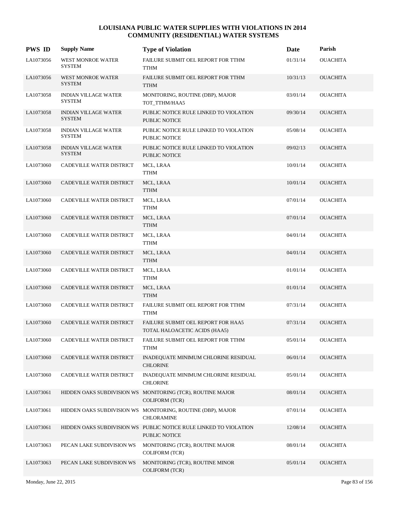| <b>PWS ID</b> | <b>Supply Name</b>                           | <b>Type of Violation</b>                                                            | Date     | Parish          |
|---------------|----------------------------------------------|-------------------------------------------------------------------------------------|----------|-----------------|
| LA1073056     | <b>WEST MONROE WATER</b><br><b>SYSTEM</b>    | FAILURE SUBMIT OEL REPORT FOR TTHM<br><b>TTHM</b>                                   | 01/31/14 | <b>OUACHITA</b> |
| LA1073056     | <b>WEST MONROE WATER</b><br><b>SYSTEM</b>    | FAILURE SUBMIT OEL REPORT FOR TTHM<br><b>TTHM</b>                                   | 10/31/13 | <b>OUACHITA</b> |
| LA1073058     | <b>INDIAN VILLAGE WATER</b><br><b>SYSTEM</b> | MONITORING, ROUTINE (DBP), MAJOR<br>TOT_TTHM/HAA5                                   | 03/01/14 | <b>OUACHITA</b> |
| LA1073058     | INDIAN VILLAGE WATER<br><b>SYSTEM</b>        | PUBLIC NOTICE RULE LINKED TO VIOLATION<br><b>PUBLIC NOTICE</b>                      | 09/30/14 | <b>OUACHITA</b> |
| LA1073058     | <b>INDIAN VILLAGE WATER</b><br><b>SYSTEM</b> | PUBLIC NOTICE RULE LINKED TO VIOLATION<br>PUBLIC NOTICE                             | 05/08/14 | <b>OUACHITA</b> |
| LA1073058     | <b>INDIAN VILLAGE WATER</b><br><b>SYSTEM</b> | PUBLIC NOTICE RULE LINKED TO VIOLATION<br><b>PUBLIC NOTICE</b>                      | 09/02/13 | <b>OUACHITA</b> |
| LA1073060     | CADEVILLE WATER DISTRICT                     | MCL, LRAA<br><b>TTHM</b>                                                            | 10/01/14 | <b>OUACHITA</b> |
| LA1073060     | CADEVILLE WATER DISTRICT                     | MCL, LRAA<br><b>TTHM</b>                                                            | 10/01/14 | <b>OUACHITA</b> |
| LA1073060     | CADEVILLE WATER DISTRICT                     | MCL, LRAA<br>TTHM                                                                   | 07/01/14 | <b>OUACHITA</b> |
| LA1073060     | CADEVILLE WATER DISTRICT                     | MCL, LRAA<br><b>TTHM</b>                                                            | 07/01/14 | <b>OUACHITA</b> |
| LA1073060     | CADEVILLE WATER DISTRICT                     | MCL, LRAA<br><b>TTHM</b>                                                            | 04/01/14 | <b>OUACHITA</b> |
| LA1073060     | CADEVILLE WATER DISTRICT                     | MCL, LRAA<br><b>TTHM</b>                                                            | 04/01/14 | <b>OUACHITA</b> |
| LA1073060     | CADEVILLE WATER DISTRICT                     | MCL, LRAA<br>TTHM                                                                   | 01/01/14 | <b>OUACHITA</b> |
| LA1073060     | CADEVILLE WATER DISTRICT                     | MCL, LRAA<br><b>TTHM</b>                                                            | 01/01/14 | <b>OUACHITA</b> |
| LA1073060     | CADEVILLE WATER DISTRICT                     | FAILURE SUBMIT OEL REPORT FOR TTHM<br><b>TTHM</b>                                   | 07/31/14 | <b>OUACHITA</b> |
| LA1073060     | CADEVILLE WATER DISTRICT                     | FAILURE SUBMIT OEL REPORT FOR HAA5<br>TOTAL HALOACETIC ACIDS (HAA5)                 | 07/31/14 | <b>OUACHITA</b> |
| LA1073060     | CADEVILLE WATER DISTRICT                     | FAILURE SUBMIT OEL REPORT FOR TTHM<br>TTHM                                          | 05/01/14 | <b>OUACHITA</b> |
| LA1073060     | CADEVILLE WATER DISTRICT                     | INADEQUATE MINIMUM CHLORINE RESIDUAL<br><b>CHLORINE</b>                             | 06/01/14 | <b>OUACHITA</b> |
| LA1073060     | CADEVILLE WATER DISTRICT                     | INADEQUATE MINIMUM CHLORINE RESIDUAL<br><b>CHLORINE</b>                             | 05/01/14 | <b>OUACHITA</b> |
| LA1073061     |                                              | HIDDEN OAKS SUBDIVISION WS MONITORING (TCR), ROUTINE MAJOR<br><b>COLIFORM (TCR)</b> | 08/01/14 | <b>OUACHITA</b> |
| LA1073061     |                                              | HIDDEN OAKS SUBDIVISION WS MONITORING, ROUTINE (DBP), MAJOR<br><b>CHLORAMINE</b>    | 07/01/14 | <b>OUACHITA</b> |
| LA1073061     |                                              | HIDDEN OAKS SUBDIVISION WS PUBLIC NOTICE RULE LINKED TO VIOLATION<br>PUBLIC NOTICE  | 12/08/14 | <b>OUACHITA</b> |
| LA1073063     | PECAN LAKE SUBDIVISION WS                    | MONITORING (TCR), ROUTINE MAJOR<br><b>COLIFORM (TCR)</b>                            | 08/01/14 | <b>OUACHITA</b> |
| LA1073063     | PECAN LAKE SUBDIVISION WS                    | MONITORING (TCR), ROUTINE MINOR<br>COLIFORM (TCR)                                   | 05/01/14 | <b>OUACHITA</b> |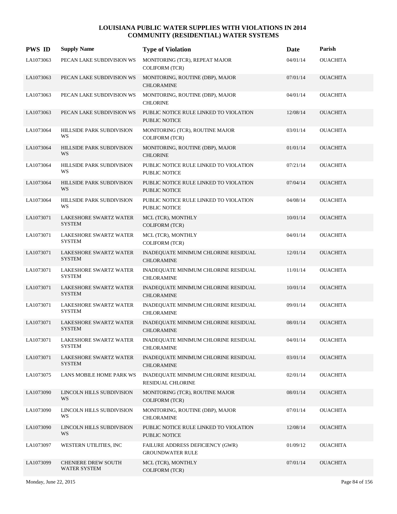| <b>PWS ID</b> | <b>Supply Name</b>                             | <b>Type of Violation</b>                                       | <b>Date</b> | Parish          |
|---------------|------------------------------------------------|----------------------------------------------------------------|-------------|-----------------|
| LA1073063     | PECAN LAKE SUBDIVISION WS                      | MONITORING (TCR), REPEAT MAJOR<br><b>COLIFORM (TCR)</b>        | 04/01/14    | <b>OUACHITA</b> |
| LA1073063     | PECAN LAKE SUBDIVISION WS                      | MONITORING, ROUTINE (DBP), MAJOR<br><b>CHLORAMINE</b>          | 07/01/14    | <b>OUACHITA</b> |
| LA1073063     | PECAN LAKE SUBDIVISION WS                      | MONITORING, ROUTINE (DBP), MAJOR<br><b>CHLORINE</b>            | 04/01/14    | <b>OUACHITA</b> |
| LA1073063     | PECAN LAKE SUBDIVISION WS                      | PUBLIC NOTICE RULE LINKED TO VIOLATION<br><b>PUBLIC NOTICE</b> | 12/08/14    | <b>OUACHITA</b> |
| LA1073064     | <b>HILLSIDE PARK SUBDIVISION</b><br>WS         | MONITORING (TCR), ROUTINE MAJOR<br><b>COLIFORM (TCR)</b>       | 03/01/14    | <b>OUACHITA</b> |
| LA1073064     | HILLSIDE PARK SUBDIVISION<br>WS                | MONITORING, ROUTINE (DBP), MAJOR<br><b>CHLORINE</b>            | 01/01/14    | <b>OUACHITA</b> |
| LA1073064     | <b>HILLSIDE PARK SUBDIVISION</b><br>WS         | PUBLIC NOTICE RULE LINKED TO VIOLATION<br>PUBLIC NOTICE        | 07/21/14    | <b>OUACHITA</b> |
| LA1073064     | <b>HILLSIDE PARK SUBDIVISION</b><br>WS         | PUBLIC NOTICE RULE LINKED TO VIOLATION<br><b>PUBLIC NOTICE</b> | 07/04/14    | <b>OUACHITA</b> |
| LA1073064     | <b>HILLSIDE PARK SUBDIVISION</b><br>WS         | PUBLIC NOTICE RULE LINKED TO VIOLATION<br>PUBLIC NOTICE        | 04/08/14    | <b>OUACHITA</b> |
| LA1073071     | LAKESHORE SWARTZ WATER<br><b>SYSTEM</b>        | MCL (TCR), MONTHLY<br><b>COLIFORM (TCR)</b>                    | 10/01/14    | <b>OUACHITA</b> |
| LA1073071     | LAKESHORE SWARTZ WATER<br><b>SYSTEM</b>        | MCL (TCR), MONTHLY<br><b>COLIFORM (TCR)</b>                    | 04/01/14    | <b>OUACHITA</b> |
| LA1073071     | LAKESHORE SWARTZ WATER<br><b>SYSTEM</b>        | INADEQUATE MINIMUM CHLORINE RESIDUAL<br><b>CHLORAMINE</b>      | 12/01/14    | <b>OUACHITA</b> |
| LA1073071     | LAKESHORE SWARTZ WATER<br><b>SYSTEM</b>        | INADEQUATE MINIMUM CHLORINE RESIDUAL<br><b>CHLORAMINE</b>      | 11/01/14    | <b>OUACHITA</b> |
| LA1073071     | LAKESHORE SWARTZ WATER<br><b>SYSTEM</b>        | INADEQUATE MINIMUM CHLORINE RESIDUAL<br><b>CHLORAMINE</b>      | 10/01/14    | <b>OUACHITA</b> |
| LA1073071     | LAKESHORE SWARTZ WATER<br><b>SYSTEM</b>        | INADEQUATE MINIMUM CHLORINE RESIDUAL<br><b>CHLORAMINE</b>      | 09/01/14    | OUACHITA        |
| LA1073071     | LAKESHORE SWARTZ WATER<br><b>SYSTEM</b>        | INADEQUATE MINIMUM CHLORINE RESIDUAL<br><b>CHLORAMINE</b>      | 08/01/14    | <b>OUACHITA</b> |
| LA1073071     | LAKESHORE SWARTZ WATER<br>SYSTEM               | INADEQUATE MINIMUM CHLORINE RESIDUAL<br><b>CHLORAMINE</b>      | 04/01/14    | <b>OUACHITA</b> |
| LA1073071     | <b>LAKESHORE SWARTZ WATER</b><br><b>SYSTEM</b> | INADEQUATE MINIMUM CHLORINE RESIDUAL<br><b>CHLORAMINE</b>      | 03/01/14    | <b>OUACHITA</b> |
| LA1073075     | LANS MOBILE HOME PARK WS                       | INADEQUATE MINIMUM CHLORINE RESIDUAL<br>RESIDUAL CHLORINE      | 02/01/14    | <b>OUACHITA</b> |
| LA1073090     | LINCOLN HILLS SUBDIVISION<br>WS                | MONITORING (TCR), ROUTINE MAJOR<br><b>COLIFORM (TCR)</b>       | 08/01/14    | <b>OUACHITA</b> |
| LA1073090     | LINCOLN HILLS SUBDIVISION<br>WS                | MONITORING, ROUTINE (DBP), MAJOR<br><b>CHLORAMINE</b>          | 07/01/14    | <b>OUACHITA</b> |
| LA1073090     | LINCOLN HILLS SUBDIVISION<br>WS                | PUBLIC NOTICE RULE LINKED TO VIOLATION<br>PUBLIC NOTICE        | 12/08/14    | <b>OUACHITA</b> |
| LA1073097     | WESTERN UTILITIES, INC                         | FAILURE ADDRESS DEFICIENCY (GWR)<br><b>GROUNDWATER RULE</b>    | 01/09/12    | <b>OUACHITA</b> |
| LA1073099     | <b>CHENIERE DREW SOUTH</b><br>WATER SYSTEM     | MCL (TCR), MONTHLY<br>COLIFORM (TCR)                           | 07/01/14    | <b>OUACHITA</b> |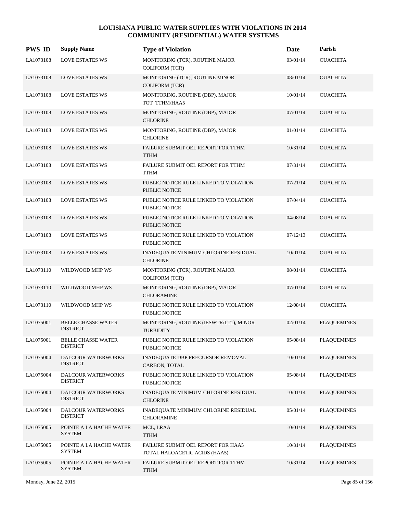| <b>PWS ID</b> | <b>Supply Name</b>                           | <b>Type of Violation</b>                                            | Date     | Parish             |
|---------------|----------------------------------------------|---------------------------------------------------------------------|----------|--------------------|
| LA1073108     | <b>LOVE ESTATES WS</b>                       | MONITORING (TCR), ROUTINE MAJOR<br>COLIFORM (TCR)                   | 03/01/14 | <b>OUACHITA</b>    |
| LA1073108     | <b>LOVE ESTATES WS</b>                       | MONITORING (TCR), ROUTINE MINOR<br><b>COLIFORM (TCR)</b>            | 08/01/14 | <b>OUACHITA</b>    |
| LA1073108     | <b>LOVE ESTATES WS</b>                       | MONITORING, ROUTINE (DBP), MAJOR<br>TOT_TTHM/HAA5                   | 10/01/14 | <b>OUACHITA</b>    |
| LA1073108     | <b>LOVE ESTATES WS</b>                       | MONITORING, ROUTINE (DBP), MAJOR<br><b>CHLORINE</b>                 | 07/01/14 | <b>OUACHITA</b>    |
| LA1073108     | <b>LOVE ESTATES WS</b>                       | MONITORING, ROUTINE (DBP), MAJOR<br><b>CHLORINE</b>                 | 01/01/14 | <b>OUACHITA</b>    |
| LA1073108     | <b>LOVE ESTATES WS</b>                       | FAILURE SUBMIT OEL REPORT FOR TTHM<br><b>TTHM</b>                   | 10/31/14 | <b>OUACHITA</b>    |
| LA1073108     | <b>LOVE ESTATES WS</b>                       | FAILURE SUBMIT OEL REPORT FOR TTHM<br><b>TTHM</b>                   | 07/31/14 | <b>OUACHITA</b>    |
| LA1073108     | <b>LOVE ESTATES WS</b>                       | PUBLIC NOTICE RULE LINKED TO VIOLATION<br>PUBLIC NOTICE             | 07/21/14 | <b>OUACHITA</b>    |
| LA1073108     | <b>LOVE ESTATES WS</b>                       | PUBLIC NOTICE RULE LINKED TO VIOLATION<br>PUBLIC NOTICE             | 07/04/14 | <b>OUACHITA</b>    |
| LA1073108     | <b>LOVE ESTATES WS</b>                       | PUBLIC NOTICE RULE LINKED TO VIOLATION<br><b>PUBLIC NOTICE</b>      | 04/08/14 | <b>OUACHITA</b>    |
| LA1073108     | <b>LOVE ESTATES WS</b>                       | PUBLIC NOTICE RULE LINKED TO VIOLATION<br>PUBLIC NOTICE             | 07/12/13 | <b>OUACHITA</b>    |
| LA1073108     | <b>LOVE ESTATES WS</b>                       | INADEQUATE MINIMUM CHLORINE RESIDUAL<br><b>CHLORINE</b>             | 10/01/14 | <b>OUACHITA</b>    |
| LA1073110     | WILDWOOD MHP WS                              | MONITORING (TCR), ROUTINE MAJOR<br><b>COLIFORM (TCR)</b>            | 08/01/14 | <b>OUACHITA</b>    |
| LA1073110     | WILDWOOD MHP WS                              | MONITORING, ROUTINE (DBP), MAJOR<br><b>CHLORAMINE</b>               | 07/01/14 | <b>OUACHITA</b>    |
| LA1073110     | WILDWOOD MHP WS                              | PUBLIC NOTICE RULE LINKED TO VIOLATION<br>PUBLIC NOTICE             | 12/08/14 | <b>OUACHITA</b>    |
| LA1075001     | <b>BELLE CHASSE WATER</b><br><b>DISTRICT</b> | MONITORING, ROUTINE (IESWTR/LT1), MINOR<br><b>TURBIDITY</b>         | 02/01/14 | <b>PLAQUEMINES</b> |
| LA1075001     | <b>BELLE CHASSE WATER</b><br><b>DISTRICT</b> | PUBLIC NOTICE RULE LINKED TO VIOLATION<br>PUBLIC NOTICE             | 05/08/14 | <b>PLAQUEMINES</b> |
| LA1075004     | DALCOUR WATERWORKS<br><b>DISTRICT</b>        | <b>INADEQUATE DBP PRECURSOR REMOVAL</b><br>CARBON, TOTAL            | 10/01/14 | <b>PLAQUEMINES</b> |
| LA1075004     | DALCOUR WATERWORKS<br><b>DISTRICT</b>        | PUBLIC NOTICE RULE LINKED TO VIOLATION<br>PUBLIC NOTICE             | 05/08/14 | <b>PLAQUEMINES</b> |
| LA1075004     | DALCOUR WATERWORKS<br><b>DISTRICT</b>        | INADEQUATE MINIMUM CHLORINE RESIDUAL<br><b>CHLORINE</b>             | 10/01/14 | <b>PLAQUEMINES</b> |
| LA1075004     | DALCOUR WATERWORKS<br><b>DISTRICT</b>        | INADEQUATE MINIMUM CHLORINE RESIDUAL<br><b>CHLORAMINE</b>           | 05/01/14 | PLAQUEMINES        |
| LA1075005     | POINTE A LA HACHE WATER<br><b>SYSTEM</b>     | MCL, LRAA<br><b>TTHM</b>                                            | 10/01/14 | <b>PLAQUEMINES</b> |
| LA1075005     | POINTE A LA HACHE WATER<br><b>SYSTEM</b>     | FAILURE SUBMIT OEL REPORT FOR HAA5<br>TOTAL HALOACETIC ACIDS (HAA5) | 10/31/14 | <b>PLAQUEMINES</b> |
| LA1075005     | POINTE A LA HACHE WATER<br><b>SYSTEM</b>     | FAILURE SUBMIT OEL REPORT FOR TTHM<br><b>TTHM</b>                   | 10/31/14 | <b>PLAQUEMINES</b> |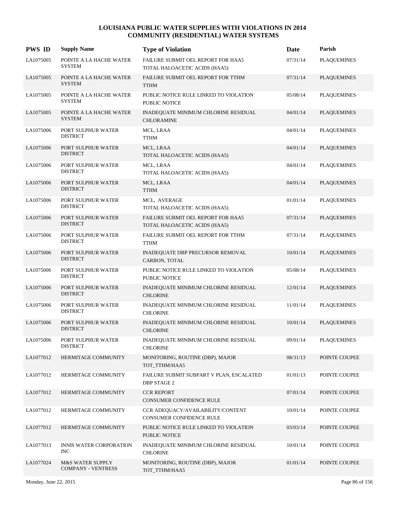| <b>PWS ID</b> | <b>Supply Name</b>                            | <b>Type of Violation</b>                                            | Date     | Parish             |
|---------------|-----------------------------------------------|---------------------------------------------------------------------|----------|--------------------|
| LA1075005     | POINTE A LA HACHE WATER<br><b>SYSTEM</b>      | FAILURE SUBMIT OEL REPORT FOR HAA5<br>TOTAL HALOACETIC ACIDS (HAA5) | 07/31/14 | <b>PLAQUEMINES</b> |
| LA1075005     | POINTE A LA HACHE WATER<br><b>SYSTEM</b>      | FAILURE SUBMIT OEL REPORT FOR TTHM<br><b>TTHM</b>                   | 07/31/14 | <b>PLAQUEMINES</b> |
| LA1075005     | POINTE A LA HACHE WATER<br><b>SYSTEM</b>      | PUBLIC NOTICE RULE LINKED TO VIOLATION<br>PUBLIC NOTICE             | 05/08/14 | <b>PLAQUEMINES</b> |
| LA1075005     | POINTE A LA HACHE WATER<br><b>SYSTEM</b>      | INADEQUATE MINIMUM CHLORINE RESIDUAL<br><b>CHLORAMINE</b>           | 04/01/14 | <b>PLAQUEMINES</b> |
| LA1075006     | PORT SULPHUR WATER<br><b>DISTRICT</b>         | MCL, LRAA<br><b>TTHM</b>                                            | 04/01/14 | <b>PLAQUEMINES</b> |
| LA1075006     | PORT SULPHUR WATER<br><b>DISTRICT</b>         | MCL, LRAA<br>TOTAL HALOACETIC ACIDS (HAA5)                          | 04/01/14 | <b>PLAQUEMINES</b> |
| LA1075006     | PORT SULPHUR WATER<br><b>DISTRICT</b>         | MCL, LRAA<br>TOTAL HALOACETIC ACIDS (HAA5)                          | 04/01/14 | <b>PLAQUEMINES</b> |
| LA1075006     | PORT SULPHUR WATER<br><b>DISTRICT</b>         | MCL, LRAA<br><b>TTHM</b>                                            | 04/01/14 | <b>PLAQUEMINES</b> |
| LA1075006     | PORT SULPHUR WATER<br><b>DISTRICT</b>         | MCL, AVERAGE<br>TOTAL HALOACETIC ACIDS (HAA5)                       | 01/01/14 | <b>PLAQUEMINES</b> |
| LA1075006     | PORT SULPHUR WATER<br><b>DISTRICT</b>         | FAILURE SUBMIT OEL REPORT FOR HAA5<br>TOTAL HALOACETIC ACIDS (HAA5) | 07/31/14 | <b>PLAQUEMINES</b> |
| LA1075006     | PORT SULPHUR WATER<br><b>DISTRICT</b>         | FAILURE SUBMIT OEL REPORT FOR TTHM<br><b>TTHM</b>                   | 07/31/14 | <b>PLAQUEMINES</b> |
| LA1075006     | PORT SULPHUR WATER<br><b>DISTRICT</b>         | INADEQUATE DBP PRECURSOR REMOVAL<br>CARBON, TOTAL                   | 10/01/14 | <b>PLAQUEMINES</b> |
| LA1075006     | PORT SULPHUR WATER<br><b>DISTRICT</b>         | PUBLIC NOTICE RULE LINKED TO VIOLATION<br>PUBLIC NOTICE             | 05/08/14 | <b>PLAQUEMINES</b> |
| LA1075006     | PORT SULPHUR WATER<br><b>DISTRICT</b>         | INADEQUATE MINIMUM CHLORINE RESIDUAL<br><b>CHLORINE</b>             | 12/01/14 | <b>PLAQUEMINES</b> |
| LA1075006     | PORT SULPHUR WATER<br><b>DISTRICT</b>         | INADEQUATE MINIMUM CHLORINE RESIDUAL<br><b>CHLORINE</b>             | 11/01/14 | <b>PLAQUEMINES</b> |
| LA1075006     | PORT SULPHUR WATER<br><b>DISTRICT</b>         | INADEQUATE MINIMUM CHLORINE RESIDUAL<br><b>CHLORINE</b>             | 10/01/14 | <b>PLAQUEMINES</b> |
| LA1075006     | PORT SULPHUR WATER<br><b>DISTRICT</b>         | INADEQUATE MINIMUM CHLORINE RESIDUAL<br><b>CHLORINE</b>             | 09/01/14 | <b>PLAQUEMINES</b> |
| LA1077012     | HERMITAGE COMMUNITY                           | MONITORING, ROUTINE (DBP), MAJOR<br>TOT TTHM/HAA5                   | 08/31/13 | POINTE COUPEE      |
| LA1077012     | HERMITAGE COMMUNITY                           | FAILURE SUBMIT SUBPART V PLAN, ESCALATED<br><b>DBP STAGE 2</b>      | 01/01/13 | POINTE COUPEE      |
| LA1077012     | HERMITAGE COMMUNITY                           | <b>CCR REPORT</b><br>CONSUMER CONFIDENCE RULE                       | 07/01/14 | POINTE COUPEE      |
| LA1077012     | HERMITAGE COMMUNITY                           | CCR ADEQUACY/AVAILABILITY/CONTENT<br>CONSUMER CONFIDENCE RULE       | 10/01/14 | POINTE COUPEE      |
| LA1077012     | HERMITAGE COMMUNITY                           | PUBLIC NOTICE RULE LINKED TO VIOLATION<br>PUBLIC NOTICE             | 03/03/14 | POINTE COUPEE      |
| LA1077013     | <b>INNIS WATER CORPORATION</b><br><b>INC</b>  | INADEQUATE MINIMUM CHLORINE RESIDUAL<br><b>CHLORINE</b>             | 10/01/14 | POINTE COUPEE      |
| LA1077024     | M&S WATER SUPPLY<br><b>COMPANY - VENTRESS</b> | MONITORING, ROUTINE (DBP), MAJOR<br>TOT_TTHM/HAA5                   | 01/01/14 | POINTE COUPEE      |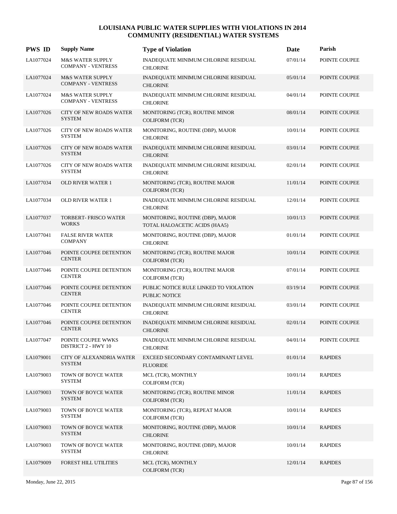| <b>PWS ID</b> | <b>Supply Name</b>                                       | <b>Type of Violation</b>                                          | Date     | Parish         |
|---------------|----------------------------------------------------------|-------------------------------------------------------------------|----------|----------------|
| LA1077024     | <b>M&amp;S WATER SUPPLY</b><br><b>COMPANY - VENTRESS</b> | INADEQUATE MINIMUM CHLORINE RESIDUAL<br><b>CHLORINE</b>           | 07/01/14 | POINTE COUPEE  |
| LA1077024     | <b>M&amp;S WATER SUPPLY</b><br><b>COMPANY - VENTRESS</b> | <b>INADEQUATE MINIMUM CHLORINE RESIDUAL</b><br><b>CHLORINE</b>    | 05/01/14 | POINTE COUPEE  |
| LA1077024     | <b>M&amp;S WATER SUPPLY</b><br><b>COMPANY - VENTRESS</b> | INADEQUATE MINIMUM CHLORINE RESIDUAL<br><b>CHLORINE</b>           | 04/01/14 | POINTE COUPEE  |
| LA1077026     | <b>CITY OF NEW ROADS WATER</b><br><b>SYSTEM</b>          | MONITORING (TCR), ROUTINE MINOR<br><b>COLIFORM (TCR)</b>          | 08/01/14 | POINTE COUPEE  |
| LA1077026     | <b>CITY OF NEW ROADS WATER</b><br><b>SYSTEM</b>          | MONITORING, ROUTINE (DBP), MAJOR<br><b>CHLORINE</b>               | 10/01/14 | POINTE COUPEE  |
| LA1077026     | CITY OF NEW ROADS WATER<br><b>SYSTEM</b>                 | INADEQUATE MINIMUM CHLORINE RESIDUAL<br><b>CHLORINE</b>           | 03/01/14 | POINTE COUPEE  |
| LA1077026     | CITY OF NEW ROADS WATER<br><b>SYSTEM</b>                 | INADEQUATE MINIMUM CHLORINE RESIDUAL<br><b>CHLORINE</b>           | 02/01/14 | POINTE COUPEE  |
| LA1077034     | <b>OLD RIVER WATER 1</b>                                 | MONITORING (TCR), ROUTINE MAJOR<br><b>COLIFORM (TCR)</b>          | 11/01/14 | POINTE COUPEE  |
| LA1077034     | <b>OLD RIVER WATER 1</b>                                 | INADEQUATE MINIMUM CHLORINE RESIDUAL<br><b>CHLORINE</b>           | 12/01/14 | POINTE COUPEE  |
| LA1077037     | TORBERT- FRISCO WATER<br><b>WORKS</b>                    | MONITORING, ROUTINE (DBP), MAJOR<br>TOTAL HALOACETIC ACIDS (HAA5) | 10/01/13 | POINTE COUPEE  |
| LA1077041     | <b>FALSE RIVER WATER</b><br><b>COMPANY</b>               | MONITORING, ROUTINE (DBP), MAJOR<br><b>CHLORINE</b>               | 01/01/14 | POINTE COUPEE  |
| LA1077046     | POINTE COUPEE DETENTION<br><b>CENTER</b>                 | MONITORING (TCR), ROUTINE MAJOR<br><b>COLIFORM (TCR)</b>          | 10/01/14 | POINTE COUPEE  |
| LA1077046     | POINTE COUPEE DETENTION<br><b>CENTER</b>                 | MONITORING (TCR), ROUTINE MAJOR<br><b>COLIFORM (TCR)</b>          | 07/01/14 | POINTE COUPEE  |
| LA1077046     | POINTE COUPEE DETENTION<br><b>CENTER</b>                 | PUBLIC NOTICE RULE LINKED TO VIOLATION<br>PUBLIC NOTICE           | 03/19/14 | POINTE COUPEE  |
| LA1077046     | POINTE COUPEE DETENTION<br><b>CENTER</b>                 | INADEQUATE MINIMUM CHLORINE RESIDUAL<br><b>CHLORINE</b>           | 03/01/14 | POINTE COUPEE  |
| LA1077046     | POINTE COUPEE DETENTION<br><b>CENTER</b>                 | INADEQUATE MINIMUM CHLORINE RESIDUAL<br><b>CHLORINE</b>           | 02/01/14 | POINTE COUPEE  |
| LA1077047     | POINTE COUPEE WWKS<br><b>DISTRICT 2 - HWY 10</b>         | INADEQUATE MINIMUM CHLORINE RESIDUAL<br><b>CHLORINE</b>           | 04/01/14 | POINTE COUPEE  |
| LA1079001     | CITY OF ALEXANDRIA WATER<br><b>SYSTEM</b>                | EXCEED SECONDARY CONTAMINANT LEVEL<br><b>FLUORIDE</b>             | 01/01/14 | <b>RAPIDES</b> |
| LA1079003     | TOWN OF BOYCE WATER<br><b>SYSTEM</b>                     | MCL (TCR), MONTHLY<br><b>COLIFORM (TCR)</b>                       | 10/01/14 | <b>RAPIDES</b> |
| LA1079003     | TOWN OF BOYCE WATER<br><b>SYSTEM</b>                     | MONITORING (TCR), ROUTINE MINOR<br><b>COLIFORM (TCR)</b>          | 11/01/14 | <b>RAPIDES</b> |
| LA1079003     | TOWN OF BOYCE WATER<br><b>SYSTEM</b>                     | MONITORING (TCR), REPEAT MAJOR<br><b>COLIFORM (TCR)</b>           | 10/01/14 | <b>RAPIDES</b> |
| LA1079003     | TOWN OF BOYCE WATER<br><b>SYSTEM</b>                     | MONITORING, ROUTINE (DBP), MAJOR<br><b>CHLORINE</b>               | 10/01/14 | <b>RAPIDES</b> |
| LA1079003     | TOWN OF BOYCE WATER<br><b>SYSTEM</b>                     | MONITORING, ROUTINE (DBP), MAJOR<br><b>CHLORINE</b>               | 10/01/14 | <b>RAPIDES</b> |
| LA1079009     | FOREST HILL UTILITIES                                    | MCL (TCR), MONTHLY<br><b>COLIFORM (TCR)</b>                       | 12/01/14 | <b>RAPIDES</b> |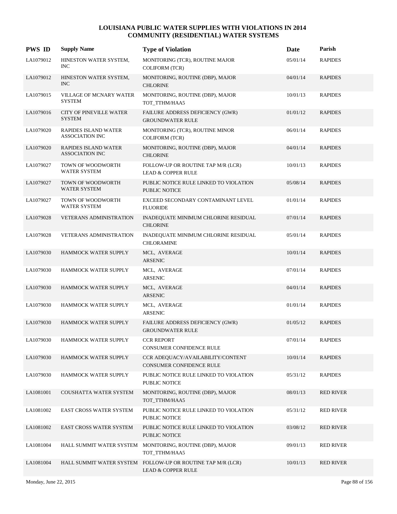| <b>PWS ID</b> | <b>Supply Name</b>                             | <b>Type of Violation</b>                                                                     | Date     | Parish           |
|---------------|------------------------------------------------|----------------------------------------------------------------------------------------------|----------|------------------|
| LA1079012     | HINESTON WATER SYSTEM,<br><b>INC</b>           | MONITORING (TCR), ROUTINE MAJOR<br><b>COLIFORM (TCR)</b>                                     | 05/01/14 | <b>RAPIDES</b>   |
| LA1079012     | HINESTON WATER SYSTEM,<br><b>INC</b>           | MONITORING, ROUTINE (DBP), MAJOR<br><b>CHLORINE</b>                                          | 04/01/14 | <b>RAPIDES</b>   |
| LA1079015     | VILLAGE OF MCNARY WATER<br><b>SYSTEM</b>       | MONITORING, ROUTINE (DBP), MAJOR<br>TOT_TTHM/HAA5                                            | 10/01/13 | <b>RAPIDES</b>   |
| LA1079016     | CITY OF PINEVILLE WATER<br><b>SYSTEM</b>       | FAILURE ADDRESS DEFICIENCY (GWR)<br><b>GROUNDWATER RULE</b>                                  | 01/01/12 | <b>RAPIDES</b>   |
| LA1079020     | RAPIDES ISLAND WATER<br><b>ASSOCIATION INC</b> | MONITORING (TCR), ROUTINE MINOR<br><b>COLIFORM (TCR)</b>                                     | 06/01/14 | <b>RAPIDES</b>   |
| LA1079020     | RAPIDES ISLAND WATER<br><b>ASSOCIATION INC</b> | MONITORING, ROUTINE (DBP), MAJOR<br><b>CHLORINE</b>                                          | 04/01/14 | <b>RAPIDES</b>   |
| LA1079027     | TOWN OF WOODWORTH<br><b>WATER SYSTEM</b>       | FOLLOW-UP OR ROUTINE TAP M/R (LCR)<br><b>LEAD &amp; COPPER RULE</b>                          | 10/01/13 | <b>RAPIDES</b>   |
| LA1079027     | TOWN OF WOODWORTH<br><b>WATER SYSTEM</b>       | PUBLIC NOTICE RULE LINKED TO VIOLATION<br><b>PUBLIC NOTICE</b>                               | 05/08/14 | <b>RAPIDES</b>   |
| LA1079027     | TOWN OF WOODWORTH<br><b>WATER SYSTEM</b>       | EXCEED SECONDARY CONTAMINANT LEVEL<br><b>FLUORIDE</b>                                        | 01/01/14 | <b>RAPIDES</b>   |
| LA1079028     | VETERANS ADMINISTRATION                        | INADEQUATE MINIMUM CHLORINE RESIDUAL<br><b>CHLORINE</b>                                      | 07/01/14 | <b>RAPIDES</b>   |
| LA1079028     | VETERANS ADMINISTRATION                        | INADEQUATE MINIMUM CHLORINE RESIDUAL<br><b>CHLORAMINE</b>                                    | 05/01/14 | <b>RAPIDES</b>   |
| LA1079030     | HAMMOCK WATER SUPPLY                           | MCL, AVERAGE<br><b>ARSENIC</b>                                                               | 10/01/14 | <b>RAPIDES</b>   |
| LA1079030     | HAMMOCK WATER SUPPLY                           | MCL, AVERAGE<br><b>ARSENIC</b>                                                               | 07/01/14 | <b>RAPIDES</b>   |
| LA1079030     | HAMMOCK WATER SUPPLY                           | MCL, AVERAGE<br><b>ARSENIC</b>                                                               | 04/01/14 | <b>RAPIDES</b>   |
| LA1079030     | HAMMOCK WATER SUPPLY                           | MCL, AVERAGE<br><b>ARSENIC</b>                                                               | 01/01/14 | <b>RAPIDES</b>   |
| LA1079030     | HAMMOCK WATER SUPPLY                           | FAILURE ADDRESS DEFICIENCY (GWR)<br><b>GROUNDWATER RULE</b>                                  | 01/05/12 | <b>RAPIDES</b>   |
| LA1079030     | HAMMOCK WATER SUPPLY                           | <b>CCR REPORT</b><br>CONSUMER CONFIDENCE RULE                                                | 07/01/14 | <b>RAPIDES</b>   |
| LA1079030     | HAMMOCK WATER SUPPLY                           | CCR ADEQUACY/AVAILABILITY/CONTENT<br>CONSUMER CONFIDENCE RULE                                | 10/01/14 | <b>RAPIDES</b>   |
| LA1079030     | HAMMOCK WATER SUPPLY                           | PUBLIC NOTICE RULE LINKED TO VIOLATION<br>PUBLIC NOTICE                                      | 05/31/12 | <b>RAPIDES</b>   |
| LA1081001     | COUSHATTA WATER SYSTEM                         | MONITORING, ROUTINE (DBP), MAJOR<br>TOT_TTHM/HAA5                                            | 08/01/13 | <b>RED RIVER</b> |
| LA1081002     | EAST CROSS WATER SYSTEM                        | PUBLIC NOTICE RULE LINKED TO VIOLATION<br>PUBLIC NOTICE                                      | 05/31/12 | <b>RED RIVER</b> |
| LA1081002     | <b>EAST CROSS WATER SYSTEM</b>                 | PUBLIC NOTICE RULE LINKED TO VIOLATION<br>PUBLIC NOTICE                                      | 03/08/12 | <b>RED RIVER</b> |
| LA1081004     | HALL SUMMIT WATER SYSTEM                       | MONITORING, ROUTINE (DBP), MAJOR<br>TOT_TTHM/HAA5                                            | 09/01/13 | <b>RED RIVER</b> |
| LA1081004     |                                                | HALL SUMMIT WATER SYSTEM FOLLOW-UP OR ROUTINE TAP M/R (LCR)<br><b>LEAD &amp; COPPER RULE</b> | 10/01/13 | <b>RED RIVER</b> |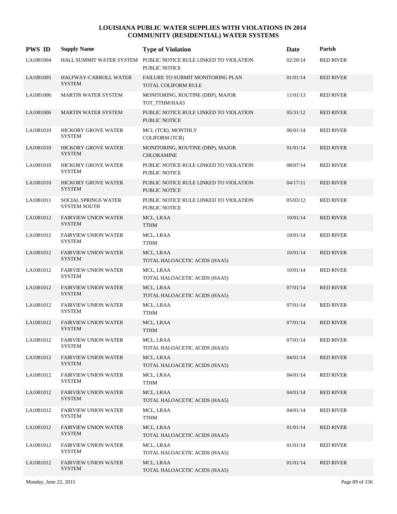| <b>PWS ID</b> | <b>Supply Name</b>                                 | <b>Type of Violation</b>                                                         | Date     | Parish           |
|---------------|----------------------------------------------------|----------------------------------------------------------------------------------|----------|------------------|
| LA1081004     |                                                    | HALL SUMMIT WATER SYSTEM PUBLIC NOTICE RULE LINKED TO VIOLATION<br>PUBLIC NOTICE | 02/20/14 | <b>RED RIVER</b> |
| LA1081005     | HALFWAY-CARROLL WATER<br><b>SYSTEM</b>             | FAILURE TO SUBMIT MONITORING PLAN<br>TOTAL COLIFORM RULE                         | 01/01/14 | <b>RED RIVER</b> |
| LA1081006     | <b>MARTIN WATER SYSTEM</b>                         | MONITORING, ROUTINE (DBP), MAJOR<br>TOT_TTHM/HAA5                                | 11/01/13 | <b>RED RIVER</b> |
| LA1081006     | <b>MARTIN WATER SYSTEM</b>                         | PUBLIC NOTICE RULE LINKED TO VIOLATION<br><b>PUBLIC NOTICE</b>                   | 05/31/12 | <b>RED RIVER</b> |
| LA1081010     | HICKORY GROVE WATER<br><b>SYSTEM</b>               | MCL (TCR), MONTHLY<br><b>COLIFORM (TCR)</b>                                      | 06/01/14 | <b>RED RIVER</b> |
| LA1081010     | HICKORY GROVE WATER<br><b>SYSTEM</b>               | MONITORING, ROUTINE (DBP), MAJOR<br><b>CHLORAMINE</b>                            | 01/01/14 | <b>RED RIVER</b> |
| LA1081010     | <b>HICKORY GROVE WATER</b><br><b>SYSTEM</b>        | PUBLIC NOTICE RULE LINKED TO VIOLATION<br>PUBLIC NOTICE                          | 08/07/14 | <b>RED RIVER</b> |
| LA1081010     | <b>HICKORY GROVE WATER</b><br><b>SYSTEM</b>        | PUBLIC NOTICE RULE LINKED TO VIOLATION<br><b>PUBLIC NOTICE</b>                   | 04/17/11 | <b>RED RIVER</b> |
| LA1081011     | <b>SOCIAL SPRINGS WATER</b><br><b>SYSTEM SOUTH</b> | PUBLIC NOTICE RULE LINKED TO VIOLATION<br>PUBLIC NOTICE                          | 05/03/12 | <b>RED RIVER</b> |
| LA1081012     | <b>FAIRVIEW UNION WATER</b><br><b>SYSTEM</b>       | MCL, LRAA<br><b>TTHM</b>                                                         | 10/01/14 | <b>RED RIVER</b> |
| LA1081012     | <b>FAIRVIEW UNION WATER</b><br><b>SYSTEM</b>       | MCL, LRAA<br><b>TTHM</b>                                                         | 10/01/14 | <b>RED RIVER</b> |
| LA1081012     | <b>FAIRVIEW UNION WATER</b><br><b>SYSTEM</b>       | MCL, LRAA<br>TOTAL HALOACETIC ACIDS (HAA5)                                       | 10/01/14 | <b>RED RIVER</b> |
| LA1081012     | <b>FAIRVIEW UNION WATER</b><br><b>SYSTEM</b>       | MCL, LRAA<br>TOTAL HALOACETIC ACIDS (HAA5)                                       | 10/01/14 | <b>RED RIVER</b> |
| LA1081012     | <b>FAIRVIEW UNION WATER</b><br><b>SYSTEM</b>       | MCL, LRAA<br>TOTAL HALOACETIC ACIDS (HAA5)                                       | 07/01/14 | <b>RED RIVER</b> |
| LA1081012     | <b>FAIRVIEW UNION WATER</b><br><b>SYSTEM</b>       | MCL, LRAA<br><b>TTHM</b>                                                         | 07/01/14 | <b>RED RIVER</b> |
| LA1081012     | <b>FAIRVIEW UNION WATER</b><br><b>SYSTEM</b>       | MCL, LRAA<br><b>TTHM</b>                                                         | 07/01/14 | <b>RED RIVER</b> |
| LA1081012     | <b>FAIRVIEW UNION WATER</b><br><b>SYSTEM</b>       | MCL, LRAA<br>TOTAL HALOACETIC ACIDS (HAA5)                                       | 07/01/14 | <b>RED RIVER</b> |
| LA1081012     | <b>FAIRVIEW UNION WATER</b><br><b>SYSTEM</b>       | MCL, LRAA<br>TOTAL HALOACETIC ACIDS (HAA5)                                       | 04/01/14 | <b>RED RIVER</b> |
| LA1081012     | <b>FAIRVIEW UNION WATER</b><br><b>SYSTEM</b>       | MCL, LRAA<br>TTHM                                                                | 04/01/14 | <b>RED RIVER</b> |
| LA1081012     | <b>FAIRVIEW UNION WATER</b><br><b>SYSTEM</b>       | MCL, LRAA<br>TOTAL HALOACETIC ACIDS (HAA5)                                       | 04/01/14 | <b>RED RIVER</b> |
| LA1081012     | <b>FAIRVIEW UNION WATER</b><br><b>SYSTEM</b>       | MCL, LRAA<br>TTHM                                                                | 04/01/14 | <b>RED RIVER</b> |
| LA1081012     | <b>FAIRVIEW UNION WATER</b><br><b>SYSTEM</b>       | MCL, LRAA<br>TOTAL HALOACETIC ACIDS (HAA5)                                       | 01/01/14 | <b>RED RIVER</b> |
| LA1081012     | <b>FAIRVIEW UNION WATER</b><br><b>SYSTEM</b>       | MCL, LRAA<br>TOTAL HALOACETIC ACIDS (HAA5)                                       | 01/01/14 | <b>RED RIVER</b> |
| LA1081012     | <b>FAIRVIEW UNION WATER</b><br><b>SYSTEM</b>       | MCL, LRAA<br>TOTAL HALOACETIC ACIDS (HAA5)                                       | 01/01/14 | <b>RED RIVER</b> |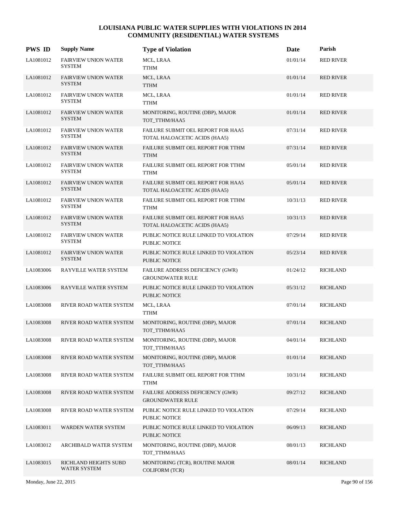| <b>PWS ID</b> | <b>Supply Name</b>                           | <b>Type of Violation</b>                                            | Date     | Parish           |
|---------------|----------------------------------------------|---------------------------------------------------------------------|----------|------------------|
| LA1081012     | <b>FAIRVIEW UNION WATER</b><br><b>SYSTEM</b> | MCL, LRAA<br>TTHM                                                   | 01/01/14 | <b>RED RIVER</b> |
| LA1081012     | <b>FAIRVIEW UNION WATER</b><br><b>SYSTEM</b> | MCL, LRAA<br><b>TTHM</b>                                            | 01/01/14 | <b>RED RIVER</b> |
| LA1081012     | <b>FAIRVIEW UNION WATER</b><br><b>SYSTEM</b> | MCL, LRAA<br><b>TTHM</b>                                            | 01/01/14 | <b>RED RIVER</b> |
| LA1081012     | <b>FAIRVIEW UNION WATER</b><br><b>SYSTEM</b> | MONITORING, ROUTINE (DBP), MAJOR<br>TOT_TTHM/HAA5                   | 01/01/14 | <b>RED RIVER</b> |
| LA1081012     | <b>FAIRVIEW UNION WATER</b><br><b>SYSTEM</b> | FAILURE SUBMIT OEL REPORT FOR HAA5<br>TOTAL HALOACETIC ACIDS (HAA5) | 07/31/14 | <b>RED RIVER</b> |
| LA1081012     | <b>FAIRVIEW UNION WATER</b><br><b>SYSTEM</b> | FAILURE SUBMIT OEL REPORT FOR TTHM<br><b>TTHM</b>                   | 07/31/14 | <b>RED RIVER</b> |
| LA1081012     | <b>FAIRVIEW UNION WATER</b><br><b>SYSTEM</b> | FAILURE SUBMIT OEL REPORT FOR TTHM<br><b>TTHM</b>                   | 05/01/14 | <b>RED RIVER</b> |
| LA1081012     | <b>FAIRVIEW UNION WATER</b><br><b>SYSTEM</b> | FAILURE SUBMIT OEL REPORT FOR HAA5<br>TOTAL HALOACETIC ACIDS (HAA5) | 05/01/14 | <b>RED RIVER</b> |
| LA1081012     | <b>FAIRVIEW UNION WATER</b><br><b>SYSTEM</b> | FAILURE SUBMIT OEL REPORT FOR TTHM<br><b>TTHM</b>                   | 10/31/13 | <b>RED RIVER</b> |
| LA1081012     | <b>FAIRVIEW UNION WATER</b><br><b>SYSTEM</b> | FAILURE SUBMIT OEL REPORT FOR HAA5<br>TOTAL HALOACETIC ACIDS (HAA5) | 10/31/13 | <b>RED RIVER</b> |
| LA1081012     | <b>FAIRVIEW UNION WATER</b><br><b>SYSTEM</b> | PUBLIC NOTICE RULE LINKED TO VIOLATION<br>PUBLIC NOTICE             | 07/29/14 | <b>RED RIVER</b> |
| LA1081012     | <b>FAIRVIEW UNION WATER</b><br><b>SYSTEM</b> | PUBLIC NOTICE RULE LINKED TO VIOLATION<br>PUBLIC NOTICE             | 05/23/14 | <b>RED RIVER</b> |
| LA1083006     | RAYVILLE WATER SYSTEM                        | FAILURE ADDRESS DEFICIENCY (GWR)<br><b>GROUNDWATER RULE</b>         | 01/24/12 | <b>RICHLAND</b>  |
| LA1083006     | RAYVILLE WATER SYSTEM                        | PUBLIC NOTICE RULE LINKED TO VIOLATION<br><b>PUBLIC NOTICE</b>      | 05/31/12 | <b>RICHLAND</b>  |
| LA1083008     | RIVER ROAD WATER SYSTEM                      | MCL, LRAA<br><b>TTHM</b>                                            | 07/01/14 | <b>RICHLAND</b>  |
| LA1083008     | RIVER ROAD WATER SYSTEM                      | MONITORING, ROUTINE (DBP), MAJOR<br>TOT_TTHM/HAA5                   | 07/01/14 | <b>RICHLAND</b>  |
| LA1083008     | RIVER ROAD WATER SYSTEM                      | MONITORING, ROUTINE (DBP), MAJOR<br>TOT_TTHM/HAA5                   | 04/01/14 | <b>RICHLAND</b>  |
| LA1083008     | RIVER ROAD WATER SYSTEM                      | MONITORING, ROUTINE (DBP), MAJOR<br>TOT_TTHM/HAA5                   | 01/01/14 | <b>RICHLAND</b>  |
| LA1083008     | RIVER ROAD WATER SYSTEM                      | FAILURE SUBMIT OEL REPORT FOR TTHM<br><b>TTHM</b>                   | 10/31/14 | <b>RICHLAND</b>  |
| LA1083008     | RIVER ROAD WATER SYSTEM                      | FAILURE ADDRESS DEFICIENCY (GWR)<br><b>GROUNDWATER RULE</b>         | 09/27/12 | <b>RICHLAND</b>  |
| LA1083008     | RIVER ROAD WATER SYSTEM                      | PUBLIC NOTICE RULE LINKED TO VIOLATION<br>PUBLIC NOTICE             | 07/29/14 | <b>RICHLAND</b>  |
| LA1083011     | WARDEN WATER SYSTEM                          | PUBLIC NOTICE RULE LINKED TO VIOLATION<br>PUBLIC NOTICE             | 06/09/13 | <b>RICHLAND</b>  |
| LA1083012     | ARCHIBALD WATER SYSTEM                       | MONITORING, ROUTINE (DBP), MAJOR<br>TOT_TTHM/HAA5                   | 08/01/13 | <b>RICHLAND</b>  |
| LA1083015     | RICHLAND HEIGHTS SUBD<br>WATER SYSTEM        | MONITORING (TCR), ROUTINE MAJOR<br>COLIFORM (TCR)                   | 08/01/14 | <b>RICHLAND</b>  |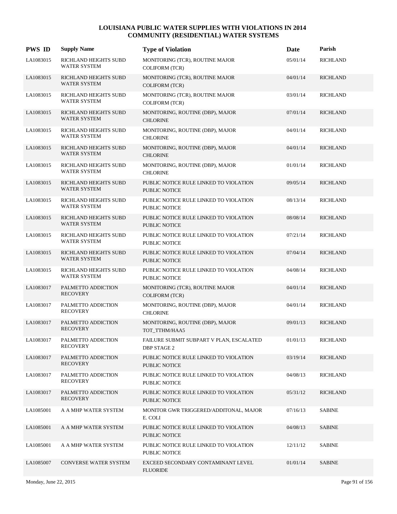| <b>PWS ID</b> | <b>Supply Name</b>                           | <b>Type of Violation</b>                                       | Date     | Parish          |
|---------------|----------------------------------------------|----------------------------------------------------------------|----------|-----------------|
| LA1083015     | RICHLAND HEIGHTS SUBD<br><b>WATER SYSTEM</b> | MONITORING (TCR), ROUTINE MAJOR<br><b>COLIFORM (TCR)</b>       | 05/01/14 | <b>RICHLAND</b> |
| LA1083015     | RICHLAND HEIGHTS SUBD<br>WATER SYSTEM        | MONITORING (TCR), ROUTINE MAJOR<br><b>COLIFORM (TCR)</b>       | 04/01/14 | <b>RICHLAND</b> |
| LA1083015     | RICHLAND HEIGHTS SUBD<br><b>WATER SYSTEM</b> | MONITORING (TCR), ROUTINE MAJOR<br><b>COLIFORM (TCR)</b>       | 03/01/14 | <b>RICHLAND</b> |
| LA1083015     | RICHLAND HEIGHTS SUBD<br>WATER SYSTEM        | MONITORING, ROUTINE (DBP), MAJOR<br><b>CHLORINE</b>            | 07/01/14 | <b>RICHLAND</b> |
| LA1083015     | RICHLAND HEIGHTS SUBD<br><b>WATER SYSTEM</b> | MONITORING, ROUTINE (DBP), MAJOR<br><b>CHLORINE</b>            | 04/01/14 | <b>RICHLAND</b> |
| LA1083015     | RICHLAND HEIGHTS SUBD<br><b>WATER SYSTEM</b> | MONITORING, ROUTINE (DBP), MAJOR<br><b>CHLORINE</b>            | 04/01/14 | <b>RICHLAND</b> |
| LA1083015     | RICHLAND HEIGHTS SUBD<br><b>WATER SYSTEM</b> | MONITORING, ROUTINE (DBP), MAJOR<br><b>CHLORINE</b>            | 01/01/14 | <b>RICHLAND</b> |
| LA1083015     | RICHLAND HEIGHTS SUBD<br><b>WATER SYSTEM</b> | PUBLIC NOTICE RULE LINKED TO VIOLATION<br><b>PUBLIC NOTICE</b> | 09/05/14 | <b>RICHLAND</b> |
| LA1083015     | RICHLAND HEIGHTS SUBD<br><b>WATER SYSTEM</b> | PUBLIC NOTICE RULE LINKED TO VIOLATION<br><b>PUBLIC NOTICE</b> | 08/13/14 | <b>RICHLAND</b> |
| LA1083015     | RICHLAND HEIGHTS SUBD<br><b>WATER SYSTEM</b> | PUBLIC NOTICE RULE LINKED TO VIOLATION<br>PUBLIC NOTICE        | 08/08/14 | <b>RICHLAND</b> |
| LA1083015     | RICHLAND HEIGHTS SUBD<br><b>WATER SYSTEM</b> | PUBLIC NOTICE RULE LINKED TO VIOLATION<br>PUBLIC NOTICE        | 07/21/14 | <b>RICHLAND</b> |
| LA1083015     | RICHLAND HEIGHTS SUBD<br>WATER SYSTEM        | PUBLIC NOTICE RULE LINKED TO VIOLATION<br><b>PUBLIC NOTICE</b> | 07/04/14 | <b>RICHLAND</b> |
| LA1083015     | RICHLAND HEIGHTS SUBD<br>WATER SYSTEM        | PUBLIC NOTICE RULE LINKED TO VIOLATION<br>PUBLIC NOTICE        | 04/08/14 | <b>RICHLAND</b> |
| LA1083017     | PALMETTO ADDICTION<br><b>RECOVERY</b>        | MONITORING (TCR), ROUTINE MAJOR<br><b>COLIFORM (TCR)</b>       | 04/01/14 | <b>RICHLAND</b> |
| LA1083017     | PALMETTO ADDICTION<br><b>RECOVERY</b>        | MONITORING, ROUTINE (DBP), MAJOR<br><b>CHLORINE</b>            | 04/01/14 | <b>RICHLAND</b> |
| LA1083017     | PALMETTO ADDICTION<br><b>RECOVERY</b>        | MONITORING, ROUTINE (DBP), MAJOR<br>TOT TTHM/HAA5              | 09/01/13 | <b>RICHLAND</b> |
| LA1083017     | PALMETTO ADDICTION<br><b>RECOVERY</b>        | FAILURE SUBMIT SUBPART V PLAN, ESCALATED<br><b>DBP STAGE 2</b> | 01/01/13 | <b>RICHLAND</b> |
| LA1083017     | PALMETTO ADDICTION<br><b>RECOVERY</b>        | PUBLIC NOTICE RULE LINKED TO VIOLATION<br>PUBLIC NOTICE        | 03/19/14 | <b>RICHLAND</b> |
| LA1083017     | PALMETTO ADDICTION<br><b>RECOVERY</b>        | PUBLIC NOTICE RULE LINKED TO VIOLATION<br>PUBLIC NOTICE        | 04/08/13 | <b>RICHLAND</b> |
| LA1083017     | PALMETTO ADDICTION<br><b>RECOVERY</b>        | PUBLIC NOTICE RULE LINKED TO VIOLATION<br>PUBLIC NOTICE        | 05/31/12 | <b>RICHLAND</b> |
| LA1085001     | A A MHP WATER SYSTEM                         | MONITOR GWR TRIGGERED/ADDITONAL, MAJOR<br>E. COLI              | 07/16/13 | <b>SABINE</b>   |
| LA1085001     | A A MHP WATER SYSTEM                         | PUBLIC NOTICE RULE LINKED TO VIOLATION<br><b>PUBLIC NOTICE</b> | 04/08/13 | <b>SABINE</b>   |
| LA1085001     | A A MHP WATER SYSTEM                         | PUBLIC NOTICE RULE LINKED TO VIOLATION<br>PUBLIC NOTICE        | 12/11/12 | <b>SABINE</b>   |
| LA1085007     | CONVERSE WATER SYSTEM                        | EXCEED SECONDARY CONTAMINANT LEVEL<br><b>FLUORIDE</b>          | 01/01/14 | <b>SABINE</b>   |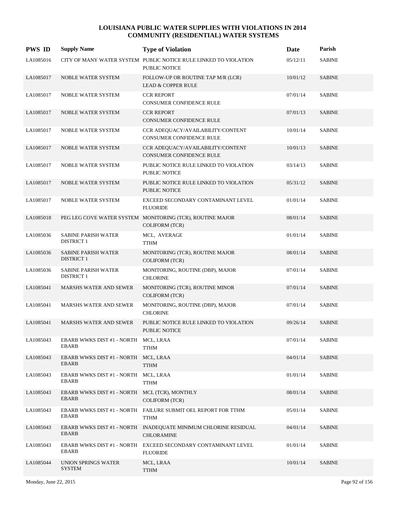| <b>PWS ID</b> | <b>Supply Name</b>                                            | <b>Type of Violation</b>                                                             | Date     | Parish        |
|---------------|---------------------------------------------------------------|--------------------------------------------------------------------------------------|----------|---------------|
| LA1085016     |                                                               | CITY OF MANY WATER SYSTEM PUBLIC NOTICE RULE LINKED TO VIOLATION<br>PUBLIC NOTICE    | 05/12/11 | <b>SABINE</b> |
| LA1085017     | NOBLE WATER SYSTEM                                            | FOLLOW-UP OR ROUTINE TAP M/R (LCR)<br><b>LEAD &amp; COPPER RULE</b>                  | 10/01/12 | <b>SABINE</b> |
| LA1085017     | NOBLE WATER SYSTEM                                            | <b>CCR REPORT</b><br>CONSUMER CONFIDENCE RULE                                        | 07/01/14 | <b>SABINE</b> |
| LA1085017     | <b>NOBLE WATER SYSTEM</b>                                     | <b>CCR REPORT</b><br>CONSUMER CONFIDENCE RULE                                        | 07/01/13 | <b>SABINE</b> |
| LA1085017     | NOBLE WATER SYSTEM                                            | CCR ADEQUACY/AVAILABILITY/CONTENT<br>CONSUMER CONFIDENCE RULE                        | 10/01/14 | <b>SABINE</b> |
| LA1085017     | NOBLE WATER SYSTEM                                            | CCR ADEQUACY/AVAILABILITY/CONTENT<br>CONSUMER CONFIDENCE RULE                        | 10/01/13 | <b>SABINE</b> |
| LA1085017     | NOBLE WATER SYSTEM                                            | PUBLIC NOTICE RULE LINKED TO VIOLATION<br>PUBLIC NOTICE                              | 03/14/13 | <b>SABINE</b> |
| LA1085017     | <b>NOBLE WATER SYSTEM</b>                                     | PUBLIC NOTICE RULE LINKED TO VIOLATION<br><b>PUBLIC NOTICE</b>                       | 05/31/12 | <b>SABINE</b> |
| LA1085017     | NOBLE WATER SYSTEM                                            | EXCEED SECONDARY CONTAMINANT LEVEL<br><b>FLUORIDE</b>                                | 01/01/14 | <b>SABINE</b> |
| LA1085018     |                                                               | PEG LEG COVE WATER SYSTEM MONITORING (TCR), ROUTINE MAJOR<br><b>COLIFORM (TCR)</b>   | 08/01/14 | <b>SABINE</b> |
| LA1085036     | <b>SABINE PARISH WATER</b><br><b>DISTRICT 1</b>               | MCL, AVERAGE<br><b>TTHM</b>                                                          | 01/01/14 | <b>SABINE</b> |
| LA1085036     | <b>SABINE PARISH WATER</b><br><b>DISTRICT 1</b>               | MONITORING (TCR), ROUTINE MAJOR<br><b>COLIFORM (TCR)</b>                             | 08/01/14 | <b>SABINE</b> |
| LA1085036     | <b>SABINE PARISH WATER</b><br><b>DISTRICT 1</b>               | MONITORING, ROUTINE (DBP), MAJOR<br><b>CHLORINE</b>                                  | 07/01/14 | <b>SABINE</b> |
| LA1085041     | <b>MARSHS WATER AND SEWER</b>                                 | MONITORING (TCR), ROUTINE MINOR<br><b>COLIFORM (TCR)</b>                             | 07/01/14 | <b>SABINE</b> |
| LA1085041     | <b>MARSHS WATER AND SEWER</b>                                 | MONITORING, ROUTINE (DBP), MAJOR<br><b>CHLORINE</b>                                  | 07/01/14 | <b>SABINE</b> |
| LA1085041     | <b>MARSHS WATER AND SEWER</b>                                 | PUBLIC NOTICE RULE LINKED TO VIOLATION<br><b>PUBLIC NOTICE</b>                       | 09/26/14 | <b>SABINE</b> |
| LA1085043     | EBARB WWKS DIST #1 - NORTH MCL, LRAA<br>EBARB                 | <b>TTHM</b>                                                                          | 07/01/14 | <b>SABINE</b> |
| LA1085043     | EBARB WWKS DIST #1 - NORTH MCL, LRAA<br>EBARB                 | <b>TTHM</b>                                                                          | 04/01/14 | <b>SABINE</b> |
| LA1085043     | EBARB WWKS DIST #1 - NORTH MCL, LRAA<br>EBARB                 | <b>TTHM</b>                                                                          | 01/01/14 | <b>SABINE</b> |
| LA1085043     | EBARB WWKS DIST #1 - NORTH MCL (TCR), MONTHLY<br><b>EBARB</b> | <b>COLIFORM (TCR)</b>                                                                | 08/01/14 | <b>SABINE</b> |
| LA1085043     | <b>EBARB</b>                                                  | EBARB WWKS DIST #1 - NORTH FAILURE SUBMIT OEL REPORT FOR TTHM<br><b>TTHM</b>         | 05/01/14 | <b>SABINE</b> |
| LA1085043     | EBARB                                                         | EBARB WWKS DIST #1 - NORTH INADEQUATE MINIMUM CHLORINE RESIDUAL<br><b>CHLORAMINE</b> | 04/01/14 | <b>SABINE</b> |
| LA1085043     | EBARB                                                         | EBARB WWKS DIST #1 - NORTH EXCEED SECONDARY CONTAMINANT LEVEL<br><b>FLUORIDE</b>     | 01/01/14 | <b>SABINE</b> |
| LA1085044     | UNION SPRINGS WATER<br><b>SYSTEM</b>                          | MCL, LRAA<br><b>TTHM</b>                                                             | 10/01/14 | <b>SABINE</b> |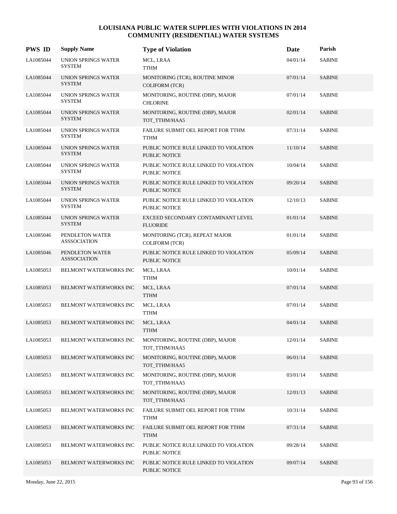| <b>PWS ID</b> | <b>Supply Name</b>                          | <b>Type of Violation</b>                                       | Date     | Parish        |
|---------------|---------------------------------------------|----------------------------------------------------------------|----------|---------------|
| LA1085044     | UNION SPRINGS WATER<br><b>SYSTEM</b>        | MCL, LRAA<br><b>TTHM</b>                                       | 04/01/14 | <b>SABINE</b> |
| LA1085044     | <b>UNION SPRINGS WATER</b><br><b>SYSTEM</b> | MONITORING (TCR), ROUTINE MINOR<br><b>COLIFORM (TCR)</b>       | 07/01/14 | <b>SABINE</b> |
| LA1085044     | UNION SPRINGS WATER<br><b>SYSTEM</b>        | MONITORING, ROUTINE (DBP), MAJOR<br><b>CHLORINE</b>            | 07/01/14 | <b>SABINE</b> |
| LA1085044     | UNION SPRINGS WATER<br><b>SYSTEM</b>        | MONITORING, ROUTINE (DBP), MAJOR<br>TOT_TTHM/HAA5              | 02/01/14 | <b>SABINE</b> |
| LA1085044     | UNION SPRINGS WATER<br><b>SYSTEM</b>        | FAILURE SUBMIT OEL REPORT FOR TTHM<br>TTHM                     | 07/31/14 | <b>SABINE</b> |
| LA1085044     | <b>UNION SPRINGS WATER</b><br><b>SYSTEM</b> | PUBLIC NOTICE RULE LINKED TO VIOLATION<br>PUBLIC NOTICE        | 11/10/14 | <b>SABINE</b> |
| LA1085044     | UNION SPRINGS WATER<br><b>SYSTEM</b>        | PUBLIC NOTICE RULE LINKED TO VIOLATION<br><b>PUBLIC NOTICE</b> | 10/04/14 | <b>SABINE</b> |
| LA1085044     | <b>UNION SPRINGS WATER</b><br><b>SYSTEM</b> | PUBLIC NOTICE RULE LINKED TO VIOLATION<br><b>PUBLIC NOTICE</b> | 09/20/14 | <b>SABINE</b> |
| LA1085044     | UNION SPRINGS WATER<br><b>SYSTEM</b>        | PUBLIC NOTICE RULE LINKED TO VIOLATION<br><b>PUBLIC NOTICE</b> | 12/10/13 | <b>SABINE</b> |
| LA1085044     | UNION SPRINGS WATER<br><b>SYSTEM</b>        | EXCEED SECONDARY CONTAMINANT LEVEL<br><b>FLUORIDE</b>          | 01/01/14 | <b>SABINE</b> |
| LA1085046     | PENDLETON WATER<br><b>ASSSOCIATION</b>      | MONITORING (TCR), REPEAT MAJOR<br><b>COLIFORM (TCR)</b>        | 01/01/14 | <b>SABINE</b> |
| LA1085046     | PENDLETON WATER<br><b>ASSSOCIATION</b>      | PUBLIC NOTICE RULE LINKED TO VIOLATION<br>PUBLIC NOTICE        | 05/09/14 | <b>SABINE</b> |
| LA1085053     | BELMONT WATERWORKS INC                      | MCL, LRAA<br>TTHM                                              | 10/01/14 | <b>SABINE</b> |
| LA1085053     | BELMONT WATERWORKS INC                      | MCL, LRAA<br><b>TTHM</b>                                       | 07/01/14 | <b>SABINE</b> |
| LA1085053     | BELMONT WATERWORKS INC                      | MCL, LRAA<br>TTHM                                              | 07/01/14 | <b>SABINE</b> |
| LA1085053     | <b>BELMONT WATERWORKS INC</b>               | MCL, LRAA<br><b>TTHM</b>                                       | 04/01/14 | <b>SABINE</b> |
| LA1085053     | BELMONT WATERWORKS INC                      | MONITORING, ROUTINE (DBP), MAJOR<br>TOT TTHM/HAA5              | 12/01/14 | <b>SABINE</b> |
| LA1085053     | BELMONT WATERWORKS INC                      | MONITORING, ROUTINE (DBP), MAJOR<br>TOT_TTHM/HAA5              | 06/01/14 | <b>SABINE</b> |
| LA1085053     | BELMONT WATERWORKS INC                      | MONITORING, ROUTINE (DBP), MAJOR<br>TOT_TTHM/HAA5              | 03/01/14 | <b>SABINE</b> |
| LA1085053     | BELMONT WATERWORKS INC                      | MONITORING, ROUTINE (DBP), MAJOR<br>TOT_TTHM/HAA5              | 12/01/13 | <b>SABINE</b> |
| LA1085053     | BELMONT WATERWORKS INC                      | FAILURE SUBMIT OEL REPORT FOR TTHM<br><b>TTHM</b>              | 10/31/14 | <b>SABINE</b> |
| LA1085053     | BELMONT WATERWORKS INC                      | FAILURE SUBMIT OEL REPORT FOR TTHM<br><b>TTHM</b>              | 07/31/14 | <b>SABINE</b> |
| LA1085053     | BELMONT WATERWORKS INC                      | PUBLIC NOTICE RULE LINKED TO VIOLATION<br>PUBLIC NOTICE        | 09/28/14 | <b>SABINE</b> |
| LA1085053     | BELMONT WATERWORKS INC                      | PUBLIC NOTICE RULE LINKED TO VIOLATION<br>PUBLIC NOTICE        | 09/07/14 | <b>SABINE</b> |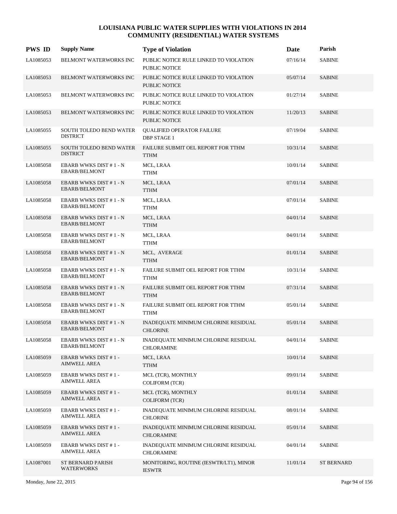| <b>PWS ID</b> | <b>Supply Name</b>                                | <b>Type of Violation</b>                                       | Date     | Parish            |
|---------------|---------------------------------------------------|----------------------------------------------------------------|----------|-------------------|
| LA1085053     | BELMONT WATERWORKS INC                            | PUBLIC NOTICE RULE LINKED TO VIOLATION<br><b>PUBLIC NOTICE</b> | 07/16/14 | <b>SABINE</b>     |
| LA1085053     | BELMONT WATERWORKS INC                            | PUBLIC NOTICE RULE LINKED TO VIOLATION<br>PUBLIC NOTICE        | 05/07/14 | <b>SABINE</b>     |
| LA1085053     | BELMONT WATERWORKS INC                            | PUBLIC NOTICE RULE LINKED TO VIOLATION<br>PUBLIC NOTICE        | 01/27/14 | <b>SABINE</b>     |
| LA1085053     | BELMONT WATERWORKS INC                            | PUBLIC NOTICE RULE LINKED TO VIOLATION<br><b>PUBLIC NOTICE</b> | 11/20/13 | <b>SABINE</b>     |
| LA1085055     | SOUTH TOLEDO BEND WATER<br><b>DISTRICT</b>        | <b>QUALIFIED OPERATOR FAILURE</b><br><b>DBP STAGE 1</b>        | 07/19/04 | <b>SABINE</b>     |
| LA1085055     | SOUTH TOLEDO BEND WATER<br><b>DISTRICT</b>        | FAILURE SUBMIT OEL REPORT FOR TTHM<br><b>TTHM</b>              | 10/31/14 | <b>SABINE</b>     |
| LA1085058     | EBARB WWKS DIST #1 - N<br>EBARB/BELMONT           | MCL, LRAA<br><b>TTHM</b>                                       | 10/01/14 | <b>SABINE</b>     |
| LA1085058     | EBARB WWKS DIST #1 - N<br>EBARB/BELMONT           | MCL, LRAA<br>TTHM                                              | 07/01/14 | <b>SABINE</b>     |
| LA1085058     | EBARB WWKS DIST #1 - N<br><b>EBARB/BELMONT</b>    | MCL, LRAA<br>TTHM                                              | 07/01/14 | <b>SABINE</b>     |
| LA1085058     | EBARB WWKS DIST #1-N<br>EBARB/BELMONT             | MCL, LRAA<br><b>TTHM</b>                                       | 04/01/14 | <b>SABINE</b>     |
| LA1085058     | EBARB WWKS DIST #1 - N<br>EBARB/BELMONT           | MCL, LRAA<br><b>TTHM</b>                                       | 04/01/14 | <b>SABINE</b>     |
| LA1085058     | EBARB WWKS DIST #1-N<br>EBARB/BELMONT             | MCL, AVERAGE<br><b>TTHM</b>                                    | 01/01/14 | <b>SABINE</b>     |
| LA1085058     | EBARB WWKS DIST #1 - N<br>EBARB/BELMONT           | FAILURE SUBMIT OEL REPORT FOR TTHM<br><b>TTHM</b>              | 10/31/14 | <b>SABINE</b>     |
| LA1085058     | EBARB WWKS DIST #1-N<br>EBARB/BELMONT             | FAILURE SUBMIT OEL REPORT FOR TTHM<br><b>TTHM</b>              | 07/31/14 | <b>SABINE</b>     |
| LA1085058     | EBARB WWKS DIST #1-N<br>EBARB/BELMONT             | FAILURE SUBMIT OEL REPORT FOR TTHM<br>TTHM                     | 05/01/14 | <b>SABINE</b>     |
| LA1085058     | EBARB WWKS DIST #1 - N<br>EBARB/BELMONT           | INADEQUATE MINIMUM CHLORINE RESIDUAL<br><b>CHLORINE</b>        | 05/01/14 | <b>SABINE</b>     |
| LA1085058     | EBARB WWKS DIST #1-N<br>EBARB/BELMONT             | INADEQUATE MINIMUM CHLORINE RESIDUAL<br>CHLORAMINE             | 04/01/14 | <b>SABINE</b>     |
| LA1085059     | <b>EBARB WWKS DIST #1-</b><br>AIMWELL AREA        | MCL, LRAA<br><b>TTHM</b>                                       | 10/01/14 | <b>SABINE</b>     |
| LA1085059     | <b>EBARB WWKS DIST #1-</b><br><b>AIMWELL AREA</b> | MCL (TCR), MONTHLY<br><b>COLIFORM (TCR)</b>                    | 09/01/14 | SABINE            |
| LA1085059     | <b>EBARB WWKS DIST #1-</b><br><b>AIMWELL AREA</b> | MCL (TCR), MONTHLY<br><b>COLIFORM (TCR)</b>                    | 01/01/14 | <b>SABINE</b>     |
| LA1085059     | <b>EBARB WWKS DIST #1-</b><br><b>AIMWELL AREA</b> | INADEQUATE MINIMUM CHLORINE RESIDUAL<br><b>CHLORINE</b>        | 08/01/14 | <b>SABINE</b>     |
| LA1085059     | <b>EBARB WWKS DIST #1-</b><br><b>AIMWELL AREA</b> | INADEQUATE MINIMUM CHLORINE RESIDUAL<br><b>CHLORAMINE</b>      | 05/01/14 | <b>SABINE</b>     |
| LA1085059     | <b>EBARB WWKS DIST #1-</b><br><b>AIMWELL AREA</b> | INADEQUATE MINIMUM CHLORINE RESIDUAL<br><b>CHLORAMINE</b>      | 04/01/14 | SABINE            |
| LA1087001     | ST BERNARD PARISH<br><b>WATERWORKS</b>            | MONITORING, ROUTINE (IESWTR/LT1), MINOR<br><b>IESWTR</b>       | 11/01/14 | <b>ST BERNARD</b> |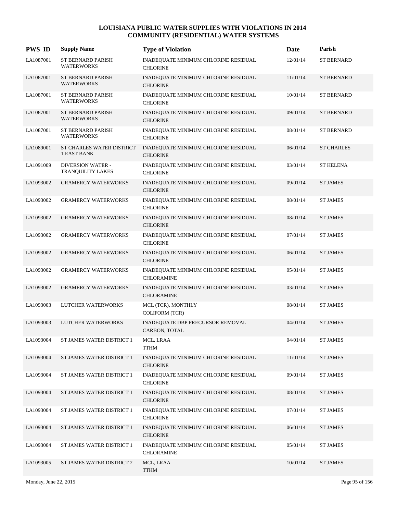| <b>PWS ID</b> | <b>Supply Name</b>                            | <b>Type of Violation</b>                                  | Date     | Parish            |
|---------------|-----------------------------------------------|-----------------------------------------------------------|----------|-------------------|
| LA1087001     | ST BERNARD PARISH<br><b>WATERWORKS</b>        | INADEQUATE MINIMUM CHLORINE RESIDUAL<br><b>CHLORINE</b>   | 12/01/14 | <b>ST BERNARD</b> |
| LA1087001     | ST BERNARD PARISH<br><b>WATERWORKS</b>        | INADEQUATE MINIMUM CHLORINE RESIDUAL<br><b>CHLORINE</b>   | 11/01/14 | <b>ST BERNARD</b> |
| LA1087001     | ST BERNARD PARISH<br><b>WATERWORKS</b>        | INADEQUATE MINIMUM CHLORINE RESIDUAL<br><b>CHLORINE</b>   | 10/01/14 | <b>ST BERNARD</b> |
| LA1087001     | ST BERNARD PARISH<br><b>WATERWORKS</b>        | INADEQUATE MINIMUM CHLORINE RESIDUAL<br><b>CHLORINE</b>   | 09/01/14 | <b>ST BERNARD</b> |
| LA1087001     | <b>ST BERNARD PARISH</b><br><b>WATERWORKS</b> | INADEQUATE MINIMUM CHLORINE RESIDUAL<br><b>CHLORINE</b>   | 08/01/14 | <b>ST BERNARD</b> |
| LA1089001     | ST CHARLES WATER DISTRICT<br>1 EAST BANK      | INADEQUATE MINIMUM CHLORINE RESIDUAL<br><b>CHLORINE</b>   | 06/01/14 | <b>ST CHARLES</b> |
| LA1091009     | <b>DIVERSION WATER -</b><br>TRANQUILITY LAKES | INADEQUATE MINIMUM CHLORINE RESIDUAL<br><b>CHLORINE</b>   | 03/01/14 | <b>ST HELENA</b>  |
| LA1093002     | <b>GRAMERCY WATERWORKS</b>                    | INADEQUATE MINIMUM CHLORINE RESIDUAL<br><b>CHLORINE</b>   | 09/01/14 | ST JAMES          |
| LA1093002     | <b>GRAMERCY WATERWORKS</b>                    | INADEQUATE MINIMUM CHLORINE RESIDUAL<br><b>CHLORINE</b>   | 08/01/14 | <b>ST JAMES</b>   |
| LA1093002     | <b>GRAMERCY WATERWORKS</b>                    | INADEQUATE MINIMUM CHLORINE RESIDUAL<br><b>CHLORINE</b>   | 08/01/14 | <b>ST JAMES</b>   |
| LA1093002     | <b>GRAMERCY WATERWORKS</b>                    | INADEQUATE MINIMUM CHLORINE RESIDUAL<br><b>CHLORINE</b>   | 07/01/14 | <b>ST JAMES</b>   |
| LA1093002     | <b>GRAMERCY WATERWORKS</b>                    | INADEQUATE MINIMUM CHLORINE RESIDUAL<br><b>CHLORINE</b>   | 06/01/14 | <b>ST JAMES</b>   |
| LA1093002     | <b>GRAMERCY WATERWORKS</b>                    | INADEQUATE MINIMUM CHLORINE RESIDUAL<br><b>CHLORAMINE</b> | 05/01/14 | <b>ST JAMES</b>   |
| LA1093002     | <b>GRAMERCY WATERWORKS</b>                    | INADEQUATE MINIMUM CHLORINE RESIDUAL<br><b>CHLORAMINE</b> | 03/01/14 | <b>ST JAMES</b>   |
| LA1093003     | LUTCHER WATERWORKS                            | MCL (TCR), MONTHLY<br>COLIFORM (TCR)                      | 08/01/14 | <b>ST JAMES</b>   |
| LA1093003     | LUTCHER WATERWORKS                            | INADEQUATE DBP PRECURSOR REMOVAL<br>CARBON, TOTAL         | 04/01/14 | <b>ST JAMES</b>   |
| LA1093004     | ST JAMES WATER DISTRICT 1                     | MCL, LRAA<br><b>TTHM</b>                                  | 04/01/14 | <b>ST JAMES</b>   |
| LA1093004     | ST JAMES WATER DISTRICT 1                     | INADEQUATE MINIMUM CHLORINE RESIDUAL<br><b>CHLORINE</b>   | 11/01/14 | <b>ST JAMES</b>   |
| LA1093004     | ST JAMES WATER DISTRICT 1                     | INADEQUATE MINIMUM CHLORINE RESIDUAL<br><b>CHLORINE</b>   | 09/01/14 | <b>ST JAMES</b>   |
| LA1093004     | ST JAMES WATER DISTRICT 1                     | INADEQUATE MINIMUM CHLORINE RESIDUAL<br><b>CHLORINE</b>   | 08/01/14 | <b>ST JAMES</b>   |
| LA1093004     | ST JAMES WATER DISTRICT 1                     | INADEQUATE MINIMUM CHLORINE RESIDUAL<br><b>CHLORINE</b>   | 07/01/14 | <b>ST JAMES</b>   |
| LA1093004     | ST JAMES WATER DISTRICT 1                     | INADEQUATE MINIMUM CHLORINE RESIDUAL<br><b>CHLORINE</b>   | 06/01/14 | <b>ST JAMES</b>   |
| LA1093004     | ST JAMES WATER DISTRICT 1                     | INADEQUATE MINIMUM CHLORINE RESIDUAL<br><b>CHLORAMINE</b> | 05/01/14 | <b>ST JAMES</b>   |
| LA1093005     | ST JAMES WATER DISTRICT 2                     | MCL, LRAA<br><b>TTHM</b>                                  | 10/01/14 | <b>ST JAMES</b>   |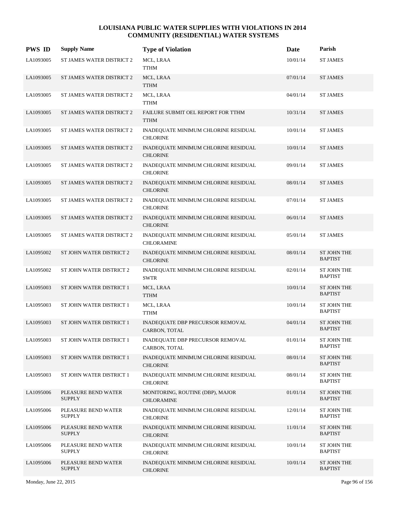| <b>PWS ID</b> | <b>Supply Name</b>                   | <b>Type of Violation</b>                                  | Date     | Parish                               |
|---------------|--------------------------------------|-----------------------------------------------------------|----------|--------------------------------------|
| LA1093005     | ST JAMES WATER DISTRICT 2            | MCL, LRAA<br><b>TTHM</b>                                  | 10/01/14 | <b>ST JAMES</b>                      |
| LA1093005     | ST JAMES WATER DISTRICT 2            | MCL, LRAA<br><b>TTHM</b>                                  | 07/01/14 | <b>ST JAMES</b>                      |
| LA1093005     | ST JAMES WATER DISTRICT 2            | MCL, LRAA<br><b>TTHM</b>                                  | 04/01/14 | <b>ST JAMES</b>                      |
| LA1093005     | <b>ST JAMES WATER DISTRICT 2</b>     | FAILURE SUBMIT OEL REPORT FOR TTHM<br><b>TTHM</b>         | 10/31/14 | <b>ST JAMES</b>                      |
| LA1093005     | ST JAMES WATER DISTRICT 2            | INADEQUATE MINIMUM CHLORINE RESIDUAL<br><b>CHLORINE</b>   | 10/01/14 | <b>ST JAMES</b>                      |
| LA1093005     | ST JAMES WATER DISTRICT 2            | INADEQUATE MINIMUM CHLORINE RESIDUAL<br><b>CHLORINE</b>   | 10/01/14 | <b>ST JAMES</b>                      |
| LA1093005     | ST JAMES WATER DISTRICT 2            | INADEQUATE MINIMUM CHLORINE RESIDUAL<br><b>CHLORINE</b>   | 09/01/14 | <b>ST JAMES</b>                      |
| LA1093005     | ST JAMES WATER DISTRICT 2            | INADEQUATE MINIMUM CHLORINE RESIDUAL<br><b>CHLORINE</b>   | 08/01/14 | <b>ST JAMES</b>                      |
| LA1093005     | ST JAMES WATER DISTRICT 2            | INADEQUATE MINIMUM CHLORINE RESIDUAL<br><b>CHLORINE</b>   | 07/01/14 | <b>ST JAMES</b>                      |
| LA1093005     | ST JAMES WATER DISTRICT 2            | INADEQUATE MINIMUM CHLORINE RESIDUAL<br><b>CHLORINE</b>   | 06/01/14 | <b>ST JAMES</b>                      |
| LA1093005     | ST JAMES WATER DISTRICT 2            | INADEQUATE MINIMUM CHLORINE RESIDUAL<br><b>CHLORAMINE</b> | 05/01/14 | <b>ST JAMES</b>                      |
| LA1095002     | ST JOHN WATER DISTRICT 2             | INADEQUATE MINIMUM CHLORINE RESIDUAL<br><b>CHLORINE</b>   | 08/01/14 | <b>ST JOHN THE</b><br><b>BAPTIST</b> |
| LA1095002     | ST JOHN WATER DISTRICT 2             | INADEQUATE MINIMUM CHLORINE RESIDUAL<br>SWTR              | 02/01/14 | ST JOHN THE<br><b>BAPTIST</b>        |
| LA1095003     | ST JOHN WATER DISTRICT 1             | MCL, LRAA<br><b>TTHM</b>                                  | 10/01/14 | <b>ST JOHN THE</b><br><b>BAPTIST</b> |
| LA1095003     | ST JOHN WATER DISTRICT 1             | MCL, LRAA<br><b>TTHM</b>                                  | 10/01/14 | ST JOHN THE<br><b>BAPTIST</b>        |
| LA1095003     | ST JOHN WATER DISTRICT 1             | INADEQUATE DBP PRECURSOR REMOVAL<br>CARBON, TOTAL         | 04/01/14 | ST JOHN THE<br><b>BAPTIST</b>        |
| LA1095003     | ST JOHN WATER DISTRICT 1             | <b>INADEQUATE DBP PRECURSOR REMOVAL</b><br>CARBON, TOTAL  | 01/01/14 | ST JOHN THE<br><b>BAPTIST</b>        |
| LA1095003     | ST JOHN WATER DISTRICT 1             | INADEQUATE MINIMUM CHLORINE RESIDUAL<br><b>CHLORINE</b>   | 08/01/14 | <b>ST JOHN THE</b><br><b>BAPTIST</b> |
| LA1095003     | ST JOHN WATER DISTRICT 1             | INADEQUATE MINIMUM CHLORINE RESIDUAL<br><b>CHLORINE</b>   | 08/01/14 | ST JOHN THE<br><b>BAPTIST</b>        |
| LA1095006     | PLEASURE BEND WATER<br><b>SUPPLY</b> | MONITORING, ROUTINE (DBP), MAJOR<br><b>CHLORAMINE</b>     | 01/01/14 | ST JOHN THE<br><b>BAPTIST</b>        |
| LA1095006     | PLEASURE BEND WATER<br><b>SUPPLY</b> | INADEQUATE MINIMUM CHLORINE RESIDUAL<br><b>CHLORINE</b>   | 12/01/14 | ST JOHN THE<br><b>BAPTIST</b>        |
| LA1095006     | PLEASURE BEND WATER<br><b>SUPPLY</b> | INADEQUATE MINIMUM CHLORINE RESIDUAL<br><b>CHLORINE</b>   | 11/01/14 | <b>ST JOHN THE</b><br><b>BAPTIST</b> |
| LA1095006     | PLEASURE BEND WATER<br><b>SUPPLY</b> | INADEQUATE MINIMUM CHLORINE RESIDUAL<br><b>CHLORINE</b>   | 10/01/14 | ST JOHN THE<br><b>BAPTIST</b>        |
| LA1095006     | PLEASURE BEND WATER<br><b>SUPPLY</b> | INADEQUATE MINIMUM CHLORINE RESIDUAL<br><b>CHLORINE</b>   | 10/01/14 | ST JOHN THE<br><b>BAPTIST</b>        |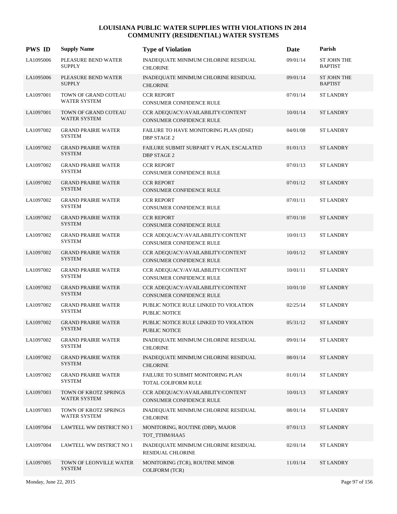| <b>PWS ID</b> | <b>Supply Name</b>                           | <b>Type of Violation</b>                                             | Date     | Parish                               |
|---------------|----------------------------------------------|----------------------------------------------------------------------|----------|--------------------------------------|
| LA1095006     | PLEASURE BEND WATER<br><b>SUPPLY</b>         | INADEQUATE MINIMUM CHLORINE RESIDUAL<br><b>CHLORINE</b>              | 09/01/14 | ST JOHN THE<br><b>BAPTIST</b>        |
| LA1095006     | PLEASURE BEND WATER<br><b>SUPPLY</b>         | INADEQUATE MINIMUM CHLORINE RESIDUAL<br><b>CHLORINE</b>              | 09/01/14 | <b>ST JOHN THE</b><br><b>BAPTIST</b> |
| LA1097001     | TOWN OF GRAND COTEAU<br><b>WATER SYSTEM</b>  | <b>CCR REPORT</b><br>CONSUMER CONFIDENCE RULE                        | 07/01/14 | <b>ST LANDRY</b>                     |
| LA1097001     | TOWN OF GRAND COTEAU<br><b>WATER SYSTEM</b>  | CCR ADEQUACY/AVAILABILITY/CONTENT<br><b>CONSUMER CONFIDENCE RULE</b> | 10/01/14 | <b>ST LANDRY</b>                     |
| LA1097002     | <b>GRAND PRAIRIE WATER</b><br><b>SYSTEM</b>  | FAILURE TO HAVE MONITORING PLAN (IDSE)<br><b>DBP STAGE 2</b>         | 04/01/08 | <b>ST LANDRY</b>                     |
| LA1097002     | <b>GRAND PRAIRIE WATER</b><br><b>SYSTEM</b>  | FAILURE SUBMIT SUBPART V PLAN, ESCALATED<br><b>DBP STAGE 2</b>       | 01/01/13 | <b>ST LANDRY</b>                     |
| LA1097002     | <b>GRAND PRAIRIE WATER</b><br><b>SYSTEM</b>  | <b>CCR REPORT</b><br>CONSUMER CONFIDENCE RULE                        | 07/01/13 | <b>ST LANDRY</b>                     |
| LA1097002     | <b>GRAND PRAIRIE WATER</b><br><b>SYSTEM</b>  | <b>CCR REPORT</b><br>CONSUMER CONFIDENCE RULE                        | 07/01/12 | <b>ST LANDRY</b>                     |
| LA1097002     | <b>GRAND PRAIRIE WATER</b><br><b>SYSTEM</b>  | <b>CCR REPORT</b><br>CONSUMER CONFIDENCE RULE                        | 07/01/11 | <b>ST LANDRY</b>                     |
| LA1097002     | <b>GRAND PRAIRIE WATER</b><br><b>SYSTEM</b>  | <b>CCR REPORT</b><br>CONSUMER CONFIDENCE RULE                        | 07/01/10 | <b>ST LANDRY</b>                     |
| LA1097002     | <b>GRAND PRAIRIE WATER</b><br><b>SYSTEM</b>  | CCR ADEQUACY/AVAILABILITY/CONTENT<br>CONSUMER CONFIDENCE RULE        | 10/01/13 | <b>ST LANDRY</b>                     |
| LA1097002     | <b>GRAND PRAIRIE WATER</b><br><b>SYSTEM</b>  | CCR ADEQUACY/AVAILABILITY/CONTENT<br>CONSUMER CONFIDENCE RULE        | 10/01/12 | <b>ST LANDRY</b>                     |
| LA1097002     | <b>GRAND PRAIRIE WATER</b><br><b>SYSTEM</b>  | CCR ADEQUACY/AVAILABILITY/CONTENT<br>CONSUMER CONFIDENCE RULE        | 10/01/11 | <b>ST LANDRY</b>                     |
| LA1097002     | <b>GRAND PRAIRIE WATER</b><br><b>SYSTEM</b>  | CCR ADEQUACY/AVAILABILITY/CONTENT<br>CONSUMER CONFIDENCE RULE        | 10/01/10 | <b>ST LANDRY</b>                     |
| LA1097002     | <b>GRAND PRAIRIE WATER</b><br><b>SYSTEM</b>  | PUBLIC NOTICE RULE LINKED TO VIOLATION<br>PUBLIC NOTICE              | 02/25/14 | <b>ST LANDRY</b>                     |
| LA1097002     | <b>GRAND PRAIRIE WATER</b><br><b>SYSTEM</b>  | PUBLIC NOTICE RULE LINKED TO VIOLATION<br>PUBLIC NOTICE              | 05/31/12 | <b>ST LANDRY</b>                     |
| LA1097002     | <b>GRAND PRAIRIE WATER</b><br><b>SYSTEM</b>  | INADEQUATE MINIMUM CHLORINE RESIDUAL<br><b>CHLORINE</b>              | 09/01/14 | <b>ST LANDRY</b>                     |
| LA1097002     | <b>GRAND PRAIRIE WATER</b><br><b>SYSTEM</b>  | INADEQUATE MINIMUM CHLORINE RESIDUAL<br><b>CHLORINE</b>              | 08/01/14 | <b>ST LANDRY</b>                     |
| LA1097002     | <b>GRAND PRAIRIE WATER</b><br><b>SYSTEM</b>  | FAILURE TO SUBMIT MONITORING PLAN<br>TOTAL COLIFORM RULE             | 01/01/14 | <b>ST LANDRY</b>                     |
| LA1097003     | TOWN OF KROTZ SPRINGS<br><b>WATER SYSTEM</b> | CCR ADEQUACY/AVAILABILITY/CONTENT<br>CONSUMER CONFIDENCE RULE        | 10/01/13 | <b>ST LANDRY</b>                     |
| LA1097003     | TOWN OF KROTZ SPRINGS<br>WATER SYSTEM        | INADEQUATE MINIMUM CHLORINE RESIDUAL<br><b>CHLORINE</b>              | 08/01/14 | <b>ST LANDRY</b>                     |
| LA1097004     | LAWTELL WW DISTRICT NO 1                     | MONITORING, ROUTINE (DBP), MAJOR<br>TOT_TTHM/HAA5                    | 07/01/13 | <b>ST LANDRY</b>                     |
| LA1097004     | LAWTELL WW DISTRICT NO 1                     | INADEQUATE MINIMUM CHLORINE RESIDUAL<br>RESIDUAL CHLORINE            | 02/01/14 | <b>ST LANDRY</b>                     |
| LA1097005     | TOWN OF LEONVILLE WATER<br><b>SYSTEM</b>     | MONITORING (TCR), ROUTINE MINOR<br>COLIFORM (TCR)                    | 11/01/14 | <b>ST LANDRY</b>                     |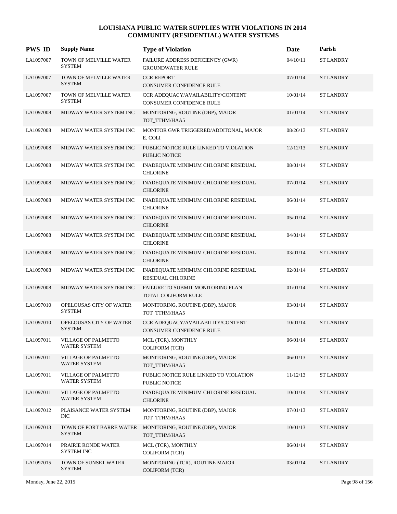| <b>PWS ID</b> | <b>Supply Name</b>                                | <b>Type of Violation</b>                                             | Date     | Parish           |
|---------------|---------------------------------------------------|----------------------------------------------------------------------|----------|------------------|
| LA1097007     | TOWN OF MELVILLE WATER<br><b>SYSTEM</b>           | FAILURE ADDRESS DEFICIENCY (GWR)<br><b>GROUNDWATER RULE</b>          | 04/10/11 | <b>ST LANDRY</b> |
| LA1097007     | TOWN OF MELVILLE WATER<br><b>SYSTEM</b>           | <b>CCR REPORT</b><br>CONSUMER CONFIDENCE RULE                        | 07/01/14 | <b>ST LANDRY</b> |
| LA1097007     | TOWN OF MELVILLE WATER<br><b>SYSTEM</b>           | CCR ADEQUACY/AVAILABILITY/CONTENT<br>CONSUMER CONFIDENCE RULE        | 10/01/14 | <b>ST LANDRY</b> |
| LA1097008     | MIDWAY WATER SYSTEM INC                           | MONITORING, ROUTINE (DBP), MAJOR<br>TOT_TTHM/HAA5                    | 01/01/14 | <b>ST LANDRY</b> |
| LA1097008     | MIDWAY WATER SYSTEM INC                           | MONITOR GWR TRIGGERED/ADDITONAL, MAJOR<br>E. COLI                    | 08/26/13 | <b>ST LANDRY</b> |
| LA1097008     | MIDWAY WATER SYSTEM INC                           | PUBLIC NOTICE RULE LINKED TO VIOLATION<br>PUBLIC NOTICE              | 12/12/13 | <b>ST LANDRY</b> |
| LA1097008     | MIDWAY WATER SYSTEM INC                           | INADEQUATE MINIMUM CHLORINE RESIDUAL<br><b>CHLORINE</b>              | 08/01/14 | <b>ST LANDRY</b> |
| LA1097008     | MIDWAY WATER SYSTEM INC                           | INADEQUATE MINIMUM CHLORINE RESIDUAL<br><b>CHLORINE</b>              | 07/01/14 | <b>ST LANDRY</b> |
| LA1097008     | MIDWAY WATER SYSTEM INC                           | INADEQUATE MINIMUM CHLORINE RESIDUAL<br><b>CHLORINE</b>              | 06/01/14 | <b>ST LANDRY</b> |
| LA1097008     | MIDWAY WATER SYSTEM INC                           | INADEQUATE MINIMUM CHLORINE RESIDUAL<br><b>CHLORINE</b>              | 05/01/14 | <b>ST LANDRY</b> |
| LA1097008     | MIDWAY WATER SYSTEM INC                           | INADEQUATE MINIMUM CHLORINE RESIDUAL<br><b>CHLORINE</b>              | 04/01/14 | <b>ST LANDRY</b> |
| LA1097008     | MIDWAY WATER SYSTEM INC                           | INADEQUATE MINIMUM CHLORINE RESIDUAL<br><b>CHLORINE</b>              | 03/01/14 | <b>ST LANDRY</b> |
| LA1097008     | MIDWAY WATER SYSTEM INC                           | INADEQUATE MINIMUM CHLORINE RESIDUAL<br><b>RESIDUAL CHLORINE</b>     | 02/01/14 | <b>ST LANDRY</b> |
| LA1097008     | MIDWAY WATER SYSTEM INC                           | FAILURE TO SUBMIT MONITORING PLAN<br>TOTAL COLIFORM RULE             | 01/01/14 | <b>ST LANDRY</b> |
| LA1097010     | OPELOUSAS CITY OF WATER<br><b>SYSTEM</b>          | MONITORING, ROUTINE (DBP), MAJOR<br>TOT_TTHM/HAA5                    | 03/01/14 | <b>ST LANDRY</b> |
| LA1097010     | <b>OPELOUSAS CITY OF WATER</b><br><b>SYSTEM</b>   | CCR ADEQUACY/AVAILABILITY/CONTENT<br><b>CONSUMER CONFIDENCE RULE</b> | 10/01/14 | <b>ST LANDRY</b> |
| LA1097011     | <b>VILLAGE OF PALMETTO</b><br>WATER SYSTEM        | MCL (TCR), MONTHLY<br><b>COLIFORM (TCR)</b>                          | 06/01/14 | <b>ST LANDRY</b> |
| LA1097011     | <b>VILLAGE OF PALMETTO</b><br><b>WATER SYSTEM</b> | MONITORING, ROUTINE (DBP), MAJOR<br>TOT TTHM/HAA5                    | 06/01/13 | <b>ST LANDRY</b> |
| LA1097011     | <b>VILLAGE OF PALMETTO</b><br>WATER SYSTEM        | PUBLIC NOTICE RULE LINKED TO VIOLATION<br>PUBLIC NOTICE              | 11/12/13 | <b>ST LANDRY</b> |
| LA1097011     | <b>VILLAGE OF PALMETTO</b><br>WATER SYSTEM        | INADEQUATE MINIMUM CHLORINE RESIDUAL<br><b>CHLORINE</b>              | 10/01/14 | <b>ST LANDRY</b> |
| LA1097012     | PLAISANCE WATER SYSTEM<br><b>INC</b>              | MONITORING, ROUTINE (DBP), MAJOR<br>TOT_TTHM/HAA5                    | 07/01/13 | <b>ST LANDRY</b> |
| LA1097013     | TOWN OF PORT BARRE WATER<br><b>SYSTEM</b>         | MONITORING, ROUTINE (DBP), MAJOR<br>TOT_TTHM/HAA5                    | 10/01/13 | <b>ST LANDRY</b> |
| LA1097014     | PRAIRIE RONDE WATER<br><b>SYSTEM INC</b>          | MCL (TCR), MONTHLY<br><b>COLIFORM (TCR)</b>                          | 06/01/14 | <b>ST LANDRY</b> |
| LA1097015     | TOWN OF SUNSET WATER<br><b>SYSTEM</b>             | MONITORING (TCR), ROUTINE MAJOR<br>COLIFORM (TCR)                    | 03/01/14 | <b>ST LANDRY</b> |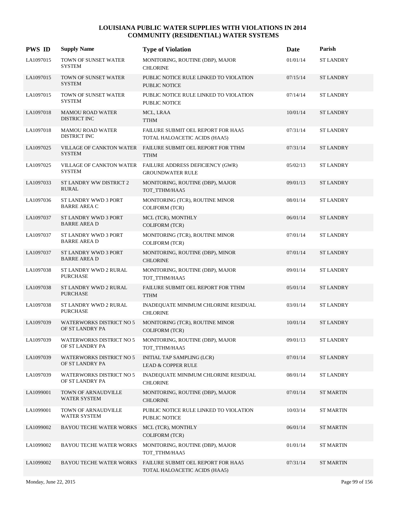| <b>PWS ID</b> | <b>Supply Name</b>                                 | <b>Type of Violation</b>                                                   | Date     | Parish           |
|---------------|----------------------------------------------------|----------------------------------------------------------------------------|----------|------------------|
| LA1097015     | TOWN OF SUNSET WATER<br><b>SYSTEM</b>              | MONITORING, ROUTINE (DBP), MAJOR<br><b>CHLORINE</b>                        | 01/01/14 | <b>ST LANDRY</b> |
| LA1097015     | TOWN OF SUNSET WATER<br><b>SYSTEM</b>              | PUBLIC NOTICE RULE LINKED TO VIOLATION<br>PUBLIC NOTICE                    | 07/15/14 | <b>ST LANDRY</b> |
| LA1097015     | TOWN OF SUNSET WATER<br><b>SYSTEM</b>              | PUBLIC NOTICE RULE LINKED TO VIOLATION<br><b>PUBLIC NOTICE</b>             | 07/14/14 | <b>ST LANDRY</b> |
| LA1097018     | <b>MAMOU ROAD WATER</b><br>DISTRICT INC            | MCL, LRAA<br><b>TTHM</b>                                                   | 10/01/14 | <b>ST LANDRY</b> |
| LA1097018     | <b>MAMOU ROAD WATER</b><br>DISTRICT INC            | FAILURE SUBMIT OEL REPORT FOR HAA5<br>TOTAL HALOACETIC ACIDS (HAA5)        | 07/31/14 | <b>ST LANDRY</b> |
| LA1097025     | <b>SYSTEM</b>                                      | VILLAGE OF CANKTON WATER FAILURE SUBMIT OEL REPORT FOR TTHM<br><b>TTHM</b> | 07/31/14 | <b>ST LANDRY</b> |
| LA1097025     | VILLAGE OF CANKTON WATER<br><b>SYSTEM</b>          | FAILURE ADDRESS DEFICIENCY (GWR)<br><b>GROUNDWATER RULE</b>                | 05/02/13 | <b>ST LANDRY</b> |
| LA1097033     | ST LANDRY WW DISTRICT 2<br><b>RURAL</b>            | MONITORING, ROUTINE (DBP), MAJOR<br>TOT_TTHM/HAA5                          | 09/01/13 | <b>ST LANDRY</b> |
| LA1097036     | ST LANDRY WWD 3 PORT<br><b>BARRE AREA C</b>        | MONITORING (TCR), ROUTINE MINOR<br><b>COLIFORM (TCR)</b>                   | 08/01/14 | <b>ST LANDRY</b> |
| LA1097037     | <b>ST LANDRY WWD 3 PORT</b><br><b>BARRE AREA D</b> | MCL (TCR), MONTHLY<br><b>COLIFORM (TCR)</b>                                | 06/01/14 | <b>ST LANDRY</b> |
| LA1097037     | ST LANDRY WWD 3 PORT<br><b>BARRE AREA D</b>        | MONITORING (TCR), ROUTINE MINOR<br><b>COLIFORM (TCR)</b>                   | 07/01/14 | <b>ST LANDRY</b> |
| LA1097037     | ST LANDRY WWD 3 PORT<br><b>BARRE AREA D</b>        | MONITORING, ROUTINE (DBP), MINOR<br><b>CHLORINE</b>                        | 07/01/14 | <b>ST LANDRY</b> |
| LA1097038     | ST LANDRY WWD 2 RURAL<br><b>PURCHASE</b>           | MONITORING, ROUTINE (DBP), MAJOR<br>TOT_TTHM/HAA5                          | 09/01/14 | <b>ST LANDRY</b> |
| LA1097038     | ST LANDRY WWD 2 RURAL<br><b>PURCHASE</b>           | FAILURE SUBMIT OEL REPORT FOR TTHM<br><b>TTHM</b>                          | 05/01/14 | <b>ST LANDRY</b> |
| LA1097038     | ST LANDRY WWD 2 RURAL<br><b>PURCHASE</b>           | INADEQUATE MINIMUM CHLORINE RESIDUAL<br><b>CHLORINE</b>                    | 03/01/14 | <b>ST LANDRY</b> |
| LA1097039     | <b>WATERWORKS DISTRICT NO 5</b><br>OF ST LANDRY PA | MONITORING (TCR), ROUTINE MINOR<br><b>COLIFORM (TCR)</b>                   | 10/01/14 | <b>ST LANDRY</b> |
| LA1097039     | <b>WATERWORKS DISTRICT NO 5</b><br>OF ST LANDRY PA | MONITORING, ROUTINE (DBP), MAJOR<br>TOT_TTHM/HAA5                          | 09/01/13 | <b>ST LANDRY</b> |
| LA1097039     | <b>WATERWORKS DISTRICT NO 5</b><br>OF ST LANDRY PA | INITIAL TAP SAMPLING (LCR)<br><b>LEAD &amp; COPPER RULE</b>                | 07/01/14 | <b>ST LANDRY</b> |
| LA1097039     | <b>WATERWORKS DISTRICT NO 5</b><br>OF ST LANDRY PA | INADEQUATE MINIMUM CHLORINE RESIDUAL<br><b>CHLORINE</b>                    | 08/01/14 | <b>ST LANDRY</b> |
| LA1099001     | TOWN OF ARNAUDVILLE<br>WATER SYSTEM                | MONITORING, ROUTINE (DBP), MAJOR<br><b>CHLORINE</b>                        | 07/01/14 | <b>ST MARTIN</b> |
| LA1099001     | TOWN OF ARNAUDVILLE<br>WATER SYSTEM                | PUBLIC NOTICE RULE LINKED TO VIOLATION<br>PUBLIC NOTICE                    | 10/03/14 | <b>ST MARTIN</b> |
| LA1099002     | <b>BAYOU TECHE WATER WORKS</b>                     | MCL (TCR), MONTHLY<br><b>COLIFORM (TCR)</b>                                | 06/01/14 | <b>ST MARTIN</b> |
| LA1099002     | <b>BAYOU TECHE WATER WORKS</b>                     | MONITORING, ROUTINE (DBP), MAJOR<br>TOT_TTHM/HAA5                          | 01/01/14 | <b>ST MARTIN</b> |
| LA1099002     | <b>BAYOU TECHE WATER WORKS</b>                     | FAILURE SUBMIT OEL REPORT FOR HAA5<br>TOTAL HALOACETIC ACIDS (HAA5)        | 07/31/14 | <b>ST MARTIN</b> |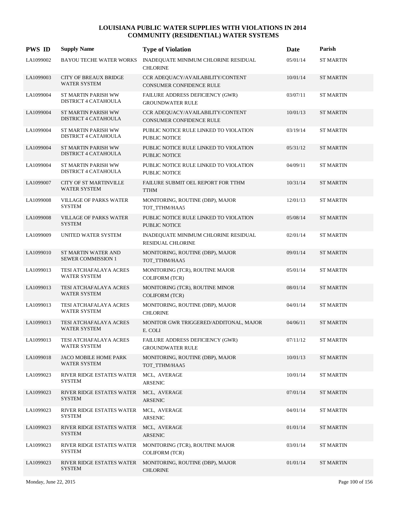| <b>PWS ID</b> | <b>Supply Name</b>                                 | <b>Type of Violation</b>                                         | Date     | Parish           |
|---------------|----------------------------------------------------|------------------------------------------------------------------|----------|------------------|
| LA1099002     | <b>BAYOU TECHE WATER WORKS</b>                     | INADEQUATE MINIMUM CHLORINE RESIDUAL<br><b>CHLORINE</b>          | 05/01/14 | <b>ST MARTIN</b> |
| LA1099003     | <b>CITY OF BREAUX BRIDGE</b><br>WATER SYSTEM       | CCR ADEQUACY/AVAILABILITY/CONTENT<br>CONSUMER CONFIDENCE RULE    | 10/01/14 | <b>ST MARTIN</b> |
| LA1099004     | ST MARTIN PARISH WW<br>DISTRICT 4 CATAHOULA        | FAILURE ADDRESS DEFICIENCY (GWR)<br><b>GROUNDWATER RULE</b>      | 03/07/11 | <b>ST MARTIN</b> |
| LA1099004     | <b>ST MARTIN PARISH WW</b><br>DISTRICT 4 CATAHOULA | CCR ADEQUACY/AVAILABILITY/CONTENT<br>CONSUMER CONFIDENCE RULE    | 10/01/13 | <b>ST MARTIN</b> |
| LA1099004     | ST MARTIN PARISH WW<br>DISTRICT 4 CATAHOULA        | PUBLIC NOTICE RULE LINKED TO VIOLATION<br>PUBLIC NOTICE          | 03/19/14 | <b>ST MARTIN</b> |
| LA1099004     | ST MARTIN PARISH WW<br>DISTRICT 4 CATAHOULA        | PUBLIC NOTICE RULE LINKED TO VIOLATION<br><b>PUBLIC NOTICE</b>   | 05/31/12 | <b>ST MARTIN</b> |
| LA1099004     | ST MARTIN PARISH WW<br>DISTRICT 4 CATAHOULA        | PUBLIC NOTICE RULE LINKED TO VIOLATION<br>PUBLIC NOTICE          | 04/09/11 | ST MARTIN        |
| LA1099007     | <b>CITY OF ST MARTINVILLE</b><br>WATER SYSTEM      | FAILURE SUBMIT OEL REPORT FOR TTHM<br><b>TTHM</b>                | 10/31/14 | <b>ST MARTIN</b> |
| LA1099008     | VILLAGE OF PARKS WATER<br><b>SYSTEM</b>            | MONITORING, ROUTINE (DBP), MAJOR<br>TOT_TTHM/HAA5                | 12/01/13 | <b>ST MARTIN</b> |
| LA1099008     | <b>VILLAGE OF PARKS WATER</b><br><b>SYSTEM</b>     | PUBLIC NOTICE RULE LINKED TO VIOLATION<br><b>PUBLIC NOTICE</b>   | 05/08/14 | <b>ST MARTIN</b> |
| LA1099009     | UNITED WATER SYSTEM                                | INADEQUATE MINIMUM CHLORINE RESIDUAL<br><b>RESIDUAL CHLORINE</b> | 02/01/14 | <b>ST MARTIN</b> |
| LA1099010     | ST MARTIN WATER AND<br><b>SEWER COMMISSION 1</b>   | MONITORING, ROUTINE (DBP), MAJOR<br>TOT_TTHM/HAA5                | 09/01/14 | <b>ST MARTIN</b> |
| LA1099013     | TESI ATCHAFALAYA ACRES<br>WATER SYSTEM             | MONITORING (TCR), ROUTINE MAJOR<br><b>COLIFORM (TCR)</b>         | 05/01/14 | ST MARTIN        |
| LA1099013     | TESI ATCHAFALAYA ACRES<br>WATER SYSTEM             | MONITORING (TCR), ROUTINE MINOR<br><b>COLIFORM (TCR)</b>         | 08/01/14 | <b>ST MARTIN</b> |
| LA1099013     | TESI ATCHAFALAYA ACRES<br><b>WATER SYSTEM</b>      | MONITORING, ROUTINE (DBP), MAJOR<br><b>CHLORINE</b>              | 04/01/14 | ST MARTIN        |
| LA1099013     | TESI ATCHAFALAYA ACRES<br>WATER SYSTEM             | MONITOR GWR TRIGGERED/ADDITONAL, MAJOR<br>E. COLI                | 04/06/11 | <b>ST MARTIN</b> |
| LA1099013     | TESI ATCHAFALAYA ACRES<br>WATER SYSTEM             | FAILURE ADDRESS DEFICIENCY (GWR)<br><b>GROUNDWATER RULE</b>      | 07/11/12 | <b>ST MARTIN</b> |
| LA1099018     | JACO MOBILE HOME PARK<br>WATER SYSTEM              | MONITORING, ROUTINE (DBP), MAJOR<br>TOT TTHM/HAA5                | 10/01/13 | <b>ST MARTIN</b> |
| LA1099023     | RIVER RIDGE ESTATES WATER<br><b>SYSTEM</b>         | MCL, AVERAGE<br><b>ARSENIC</b>                                   | 10/01/14 | <b>ST MARTIN</b> |
| LA1099023     | RIVER RIDGE ESTATES WATER<br><b>SYSTEM</b>         | MCL, AVERAGE<br><b>ARSENIC</b>                                   | 07/01/14 | <b>ST MARTIN</b> |
| LA1099023     | RIVER RIDGE ESTATES WATER<br><b>SYSTEM</b>         | MCL, AVERAGE<br><b>ARSENIC</b>                                   | 04/01/14 | <b>ST MARTIN</b> |
| LA1099023     | RIVER RIDGE ESTATES WATER<br><b>SYSTEM</b>         | MCL, AVERAGE<br><b>ARSENIC</b>                                   | 01/01/14 | <b>ST MARTIN</b> |
| LA1099023     | RIVER RIDGE ESTATES WATER<br><b>SYSTEM</b>         | MONITORING (TCR), ROUTINE MAJOR<br><b>COLIFORM (TCR)</b>         | 03/01/14 | <b>ST MARTIN</b> |
| LA1099023     | RIVER RIDGE ESTATES WATER<br><b>SYSTEM</b>         | MONITORING, ROUTINE (DBP), MAJOR<br><b>CHLORINE</b>              | 01/01/14 | <b>ST MARTIN</b> |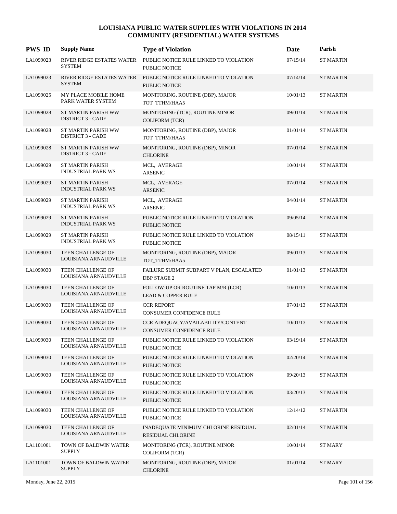| <b>PWS ID</b> | <b>Supply Name</b>                                     | <b>Type of Violation</b>                                            | Date     | Parish           |
|---------------|--------------------------------------------------------|---------------------------------------------------------------------|----------|------------------|
| LA1099023     | RIVER RIDGE ESTATES WATER<br><b>SYSTEM</b>             | PUBLIC NOTICE RULE LINKED TO VIOLATION<br><b>PUBLIC NOTICE</b>      | 07/15/14 | <b>ST MARTIN</b> |
| LA1099023     | RIVER RIDGE ESTATES WATER<br><b>SYSTEM</b>             | PUBLIC NOTICE RULE LINKED TO VIOLATION<br><b>PUBLIC NOTICE</b>      | 07/14/14 | <b>ST MARTIN</b> |
| LA1099025     | MY PLACE MOBILE HOME<br>PARK WATER SYSTEM              | MONITORING, ROUTINE (DBP), MAJOR<br>TOT_TTHM/HAA5                   | 10/01/13 | ST MARTIN        |
| LA1099028     | <b>ST MARTIN PARISH WW</b><br><b>DISTRICT 3 - CADE</b> | MONITORING (TCR), ROUTINE MINOR<br><b>COLIFORM (TCR)</b>            | 09/01/14 | <b>ST MARTIN</b> |
| LA1099028     | ST MARTIN PARISH WW<br><b>DISTRICT 3 - CADE</b>        | MONITORING, ROUTINE (DBP), MAJOR<br>TOT_TTHM/HAA5                   | 01/01/14 | ST MARTIN        |
| LA1099028     | <b>ST MARTIN PARISH WW</b><br><b>DISTRICT 3 - CADE</b> | MONITORING, ROUTINE (DBP), MINOR<br><b>CHLORINE</b>                 | 07/01/14 | <b>ST MARTIN</b> |
| LA1099029     | <b>ST MARTIN PARISH</b><br><b>INDUSTRIAL PARK WS</b>   | MCL, AVERAGE<br><b>ARSENIC</b>                                      | 10/01/14 | ST MARTIN        |
| LA1099029     | <b>ST MARTIN PARISH</b><br><b>INDUSTRIAL PARK WS</b>   | MCL, AVERAGE<br>ARSENIC                                             | 07/01/14 | <b>ST MARTIN</b> |
| LA1099029     | <b>ST MARTIN PARISH</b><br><b>INDUSTRIAL PARK WS</b>   | MCL, AVERAGE<br>ARSENIC                                             | 04/01/14 | ST MARTIN        |
| LA1099029     | <b>ST MARTIN PARISH</b><br><b>INDUSTRIAL PARK WS</b>   | PUBLIC NOTICE RULE LINKED TO VIOLATION<br><b>PUBLIC NOTICE</b>      | 09/05/14 | <b>ST MARTIN</b> |
| LA1099029     | <b>ST MARTIN PARISH</b><br><b>INDUSTRIAL PARK WS</b>   | PUBLIC NOTICE RULE LINKED TO VIOLATION<br>PUBLIC NOTICE             | 08/15/11 | <b>ST MARTIN</b> |
| LA1099030     | TEEN CHALLENGE OF<br>LOUISIANA ARNAUDVILLE             | MONITORING, ROUTINE (DBP), MAJOR<br>TOT_TTHM/HAA5                   | 09/01/13 | <b>ST MARTIN</b> |
| LA1099030     | TEEN CHALLENGE OF<br>LOUISIANA ARNAUDVILLE             | FAILURE SUBMIT SUBPART V PLAN, ESCALATED<br><b>DBP STAGE 2</b>      | 01/01/13 | <b>ST MARTIN</b> |
| LA1099030     | TEEN CHALLENGE OF<br>LOUISIANA ARNAUDVILLE             | FOLLOW-UP OR ROUTINE TAP M/R (LCR)<br><b>LEAD &amp; COPPER RULE</b> | 10/01/13 | <b>ST MARTIN</b> |
| LA1099030     | TEEN CHALLENGE OF<br>LOUISIANA ARNAUDVILLE             | <b>CCR REPORT</b><br>CONSUMER CONFIDENCE RULE                       | 07/01/13 | <b>ST MARTIN</b> |
| LA1099030     | TEEN CHALLENGE OF<br>LOUISIANA ARNAUDVILLE             | CCR ADEQUACY/AVAILABILITY/CONTENT<br>CONSUMER CONFIDENCE RULE       | 10/01/13 | <b>ST MARTIN</b> |
| LA1099030     | TEEN CHALLENGE OF<br>LOUISIANA ARNAUDVILLE             | PUBLIC NOTICE RULE LINKED TO VIOLATION<br>PUBLIC NOTICE             | 03/19/14 | <b>ST MARTIN</b> |
| LA1099030     | TEEN CHALLENGE OF<br>LOUISIANA ARNAUDVILLE             | PUBLIC NOTICE RULE LINKED TO VIOLATION<br>PUBLIC NOTICE             | 02/20/14 | <b>ST MARTIN</b> |
| LA1099030     | TEEN CHALLENGE OF<br>LOUISIANA ARNAUDVILLE             | PUBLIC NOTICE RULE LINKED TO VIOLATION<br>PUBLIC NOTICE             | 09/20/13 | <b>ST MARTIN</b> |
| LA1099030     | TEEN CHALLENGE OF<br>LOUISIANA ARNAUDVILLE             | PUBLIC NOTICE RULE LINKED TO VIOLATION<br>PUBLIC NOTICE             | 03/20/13 | <b>ST MARTIN</b> |
| LA1099030     | TEEN CHALLENGE OF<br>LOUISIANA ARNAUDVILLE             | PUBLIC NOTICE RULE LINKED TO VIOLATION<br>PUBLIC NOTICE             | 12/14/12 | <b>ST MARTIN</b> |
| LA1099030     | TEEN CHALLENGE OF<br>LOUISIANA ARNAUDVILLE             | INADEQUATE MINIMUM CHLORINE RESIDUAL<br>RESIDUAL CHLORINE           | 02/01/14 | <b>ST MARTIN</b> |
| LA1101001     | TOWN OF BALDWIN WATER<br><b>SUPPLY</b>                 | MONITORING (TCR), ROUTINE MINOR<br><b>COLIFORM (TCR)</b>            | 10/01/14 | <b>ST MARY</b>   |
| LA1101001     | TOWN OF BALDWIN WATER<br><b>SUPPLY</b>                 | MONITORING, ROUTINE (DBP), MAJOR<br><b>CHLORINE</b>                 | 01/01/14 | ST MARY          |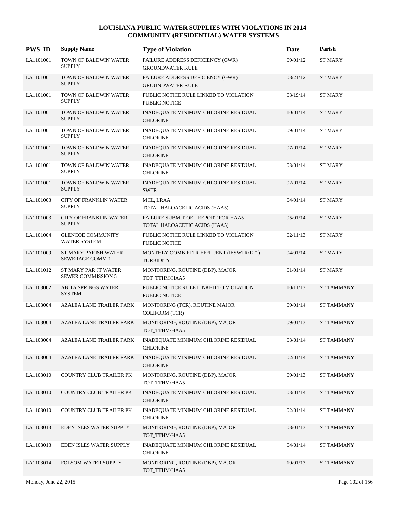| <b>PWS ID</b> | <b>Supply Name</b>                                | <b>Type of Violation</b>                                            | Date     | Parish            |
|---------------|---------------------------------------------------|---------------------------------------------------------------------|----------|-------------------|
| LA1101001     | TOWN OF BALDWIN WATER<br><b>SUPPLY</b>            | FAILURE ADDRESS DEFICIENCY (GWR)<br><b>GROUNDWATER RULE</b>         | 09/01/12 | <b>ST MARY</b>    |
| LA1101001     | TOWN OF BALDWIN WATER<br><b>SUPPLY</b>            | FAILURE ADDRESS DEFICIENCY (GWR)<br><b>GROUNDWATER RULE</b>         | 08/21/12 | <b>ST MARY</b>    |
| LA1101001     | TOWN OF BALDWIN WATER<br><b>SUPPLY</b>            | PUBLIC NOTICE RULE LINKED TO VIOLATION<br>PUBLIC NOTICE             | 03/19/14 | ST MARY           |
| LA1101001     | TOWN OF BALDWIN WATER<br><b>SUPPLY</b>            | INADEQUATE MINIMUM CHLORINE RESIDUAL<br><b>CHLORINE</b>             | 10/01/14 | <b>ST MARY</b>    |
| LA1101001     | TOWN OF BALDWIN WATER<br><b>SUPPLY</b>            | INADEQUATE MINIMUM CHLORINE RESIDUAL<br><b>CHLORINE</b>             | 09/01/14 | ST MARY           |
| LA1101001     | TOWN OF BALDWIN WATER<br><b>SUPPLY</b>            | INADEQUATE MINIMUM CHLORINE RESIDUAL<br><b>CHLORINE</b>             | 07/01/14 | <b>ST MARY</b>    |
| LA1101001     | TOWN OF BALDWIN WATER<br><b>SUPPLY</b>            | INADEQUATE MINIMUM CHLORINE RESIDUAL<br><b>CHLORINE</b>             | 03/01/14 | ST MARY           |
| LA1101001     | TOWN OF BALDWIN WATER<br><b>SUPPLY</b>            | INADEQUATE MINIMUM CHLORINE RESIDUAL<br><b>SWTR</b>                 | 02/01/14 | <b>ST MARY</b>    |
| LA1101003     | <b>CITY OF FRANKLIN WATER</b><br><b>SUPPLY</b>    | MCL, LRAA<br>TOTAL HALOACETIC ACIDS (HAA5)                          | 04/01/14 | ST MARY           |
| LA1101003     | <b>CITY OF FRANKLIN WATER</b><br><b>SUPPLY</b>    | FAILURE SUBMIT OEL REPORT FOR HAA5<br>TOTAL HALOACETIC ACIDS (HAA5) | 05/01/14 | <b>ST MARY</b>    |
| LA1101004     | <b>GLENCOE COMMUNITY</b><br><b>WATER SYSTEM</b>   | PUBLIC NOTICE RULE LINKED TO VIOLATION<br>PUBLIC NOTICE             | 02/11/13 | <b>ST MARY</b>    |
| LA1101009     | <b>ST MARY PARISH WATER</b><br>SEWERAGE COMM 1    | MONTHLY COMB FLTR EFFLUENT (IESWTR/LT1)<br><b>TURBIDITY</b>         | 04/01/14 | <b>ST MARY</b>    |
| LA1101012     | ST MARY PAR JT WATER<br><b>SEWER COMMISSION 5</b> | MONITORING, ROUTINE (DBP), MAJOR<br>TOT_TTHM/HAA5                   | 01/01/14 | <b>ST MARY</b>    |
| LA1103002     | <b>ABITA SPRINGS WATER</b><br><b>SYSTEM</b>       | PUBLIC NOTICE RULE LINKED TO VIOLATION<br>PUBLIC NOTICE             | 10/11/13 | <b>ST TAMMANY</b> |
| LA1103004     | AZALEA LANE TRAILER PARK                          | MONITORING (TCR), ROUTINE MAJOR<br><b>COLIFORM (TCR)</b>            | 09/01/14 | <b>ST TAMMANY</b> |
| LA1103004     | <b>AZALEA LANE TRAILER PARK</b>                   | MONITORING, ROUTINE (DBP), MAJOR<br>TOT_TTHM/HAA5                   | 09/01/13 | <b>ST TAMMANY</b> |
| LA1103004     | AZALEA LANE TRAILER PARK                          | INADEQUATE MINIMUM CHLORINE RESIDUAL<br><b>CHLORINE</b>             | 03/01/14 | <b>ST TAMMANY</b> |
| LA1103004     | AZALEA LANE TRAILER PARK                          | INADEQUATE MINIMUM CHLORINE RESIDUAL<br><b>CHLORINE</b>             | 02/01/14 | <b>ST TAMMANY</b> |
| LA1103010     | COUNTRY CLUB TRAILER PK                           | MONITORING, ROUTINE (DBP), MAJOR<br>TOT_TTHM/HAA5                   | 09/01/13 | <b>ST TAMMANY</b> |
| LA1103010     | <b>COUNTRY CLUB TRAILER PK</b>                    | INADEQUATE MINIMUM CHLORINE RESIDUAL<br><b>CHLORINE</b>             | 03/01/14 | <b>ST TAMMANY</b> |
| LA1103010     | COUNTRY CLUB TRAILER PK                           | INADEQUATE MINIMUM CHLORINE RESIDUAL<br><b>CHLORINE</b>             | 02/01/14 | <b>ST TAMMANY</b> |
| LA1103013     | EDEN ISLES WATER SUPPLY                           | MONITORING, ROUTINE (DBP), MAJOR<br>TOT_TTHM/HAA5                   | 08/01/13 | <b>ST TAMMANY</b> |
| LA1103013     | EDEN ISLES WATER SUPPLY                           | INADEQUATE MINIMUM CHLORINE RESIDUAL<br><b>CHLORINE</b>             | 04/01/14 | <b>ST TAMMANY</b> |
| LA1103014     | FOLSOM WATER SUPPLY                               | MONITORING, ROUTINE (DBP), MAJOR<br>TOT_TTHM/HAA5                   | 10/01/13 | <b>ST TAMMANY</b> |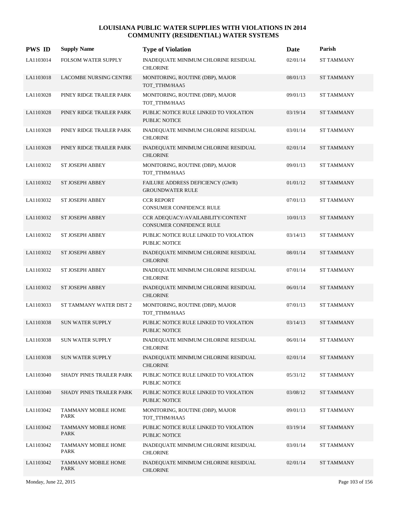| <b>PWS ID</b> | <b>Supply Name</b>                 | <b>Type of Violation</b>                                       | Date     | Parish            |
|---------------|------------------------------------|----------------------------------------------------------------|----------|-------------------|
| LA1103014     | FOLSOM WATER SUPPLY                | INADEQUATE MINIMUM CHLORINE RESIDUAL<br><b>CHLORINE</b>        | 02/01/14 | <b>ST TAMMANY</b> |
| LA1103018     | LACOMBE NURSING CENTRE             | MONITORING, ROUTINE (DBP), MAJOR<br>TOT_TTHM/HAA5              | 08/01/13 | <b>ST TAMMANY</b> |
| LA1103028     | PINEY RIDGE TRAILER PARK           | MONITORING, ROUTINE (DBP), MAJOR<br>TOT_TTHM/HAA5              | 09/01/13 | <b>ST TAMMANY</b> |
| LA1103028     | PINEY RIDGE TRAILER PARK           | PUBLIC NOTICE RULE LINKED TO VIOLATION<br><b>PUBLIC NOTICE</b> | 03/19/14 | <b>ST TAMMANY</b> |
| LA1103028     | PINEY RIDGE TRAILER PARK           | INADEQUATE MINIMUM CHLORINE RESIDUAL<br><b>CHLORINE</b>        | 03/01/14 | <b>ST TAMMANY</b> |
| LA1103028     | PINEY RIDGE TRAILER PARK           | INADEQUATE MINIMUM CHLORINE RESIDUAL<br><b>CHLORINE</b>        | 02/01/14 | <b>ST TAMMANY</b> |
| LA1103032     | <b>ST JOSEPH ABBEY</b>             | MONITORING, ROUTINE (DBP), MAJOR<br>TOT_TTHM/HAA5              | 09/01/13 | <b>ST TAMMANY</b> |
| LA1103032     | <b>ST JOSEPH ABBEY</b>             | FAILURE ADDRESS DEFICIENCY (GWR)<br><b>GROUNDWATER RULE</b>    | 01/01/12 | <b>ST TAMMANY</b> |
| LA1103032     | ST JOSEPH ABBEY                    | <b>CCR REPORT</b><br>CONSUMER CONFIDENCE RULE                  | 07/01/13 | <b>ST TAMMANY</b> |
| LA1103032     | ST JOSEPH ABBEY                    | CCR ADEQUACY/AVAILABILITY/CONTENT<br>CONSUMER CONFIDENCE RULE  | 10/01/13 | <b>ST TAMMANY</b> |
| LA1103032     | ST JOSEPH ABBEY                    | PUBLIC NOTICE RULE LINKED TO VIOLATION<br>PUBLIC NOTICE        | 03/14/13 | ST TAMMANY        |
| LA1103032     | <b>ST JOSEPH ABBEY</b>             | INADEQUATE MINIMUM CHLORINE RESIDUAL<br><b>CHLORINE</b>        | 08/01/14 | <b>ST TAMMANY</b> |
| LA1103032     | <b>ST JOSEPH ABBEY</b>             | INADEQUATE MINIMUM CHLORINE RESIDUAL<br><b>CHLORINE</b>        | 07/01/14 | <b>ST TAMMANY</b> |
| LA1103032     | ST JOSEPH ABBEY                    | INADEQUATE MINIMUM CHLORINE RESIDUAL<br><b>CHLORINE</b>        | 06/01/14 | <b>ST TAMMANY</b> |
| LA1103033     | ST TAMMANY WATER DIST 2            | MONITORING, ROUTINE (DBP), MAJOR<br>TOT_TTHM/HAA5              | 07/01/13 | <b>ST TAMMANY</b> |
| LA1103038     | <b>SUN WATER SUPPLY</b>            | PUBLIC NOTICE RULE LINKED TO VIOLATION<br><b>PUBLIC NOTICE</b> | 03/14/13 | <b>ST TAMMANY</b> |
| LA1103038     | SUN WATER SUPPLY                   | INADEQUATE MINIMUM CHLORINE RESIDUAL<br><b>CHLORINE</b>        | 06/01/14 | ST TAMMANY        |
| LA1103038     | <b>SUN WATER SUPPLY</b>            | INADEQUATE MINIMUM CHLORINE RESIDUAL<br><b>CHLORINE</b>        | 02/01/14 | <b>ST TAMMANY</b> |
| LA1103040     | SHADY PINES TRAILER PARK           | PUBLIC NOTICE RULE LINKED TO VIOLATION<br>PUBLIC NOTICE        | 05/31/12 | <b>ST TAMMANY</b> |
| LA1103040     | SHADY PINES TRAILER PARK           | PUBLIC NOTICE RULE LINKED TO VIOLATION<br>PUBLIC NOTICE        | 03/08/12 | <b>ST TAMMANY</b> |
| LA1103042     | <b>TAMMANY MOBILE HOME</b><br>PARK | MONITORING, ROUTINE (DBP), MAJOR<br>TOT_TTHM/HAA5              | 09/01/13 | <b>ST TAMMANY</b> |
| LA1103042     | <b>TAMMANY MOBILE HOME</b><br>PARK | PUBLIC NOTICE RULE LINKED TO VIOLATION<br>PUBLIC NOTICE        | 03/19/14 | <b>ST TAMMANY</b> |
| LA1103042     | TAMMANY MOBILE HOME<br>PARK        | INADEQUATE MINIMUM CHLORINE RESIDUAL<br><b>CHLORINE</b>        | 03/01/14 | <b>ST TAMMANY</b> |
| LA1103042     | TAMMANY MOBILE HOME<br>PARK        | INADEQUATE MINIMUM CHLORINE RESIDUAL<br><b>CHLORINE</b>        | 02/01/14 | <b>ST TAMMANY</b> |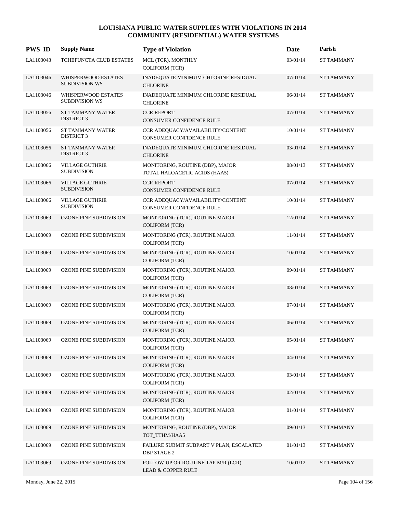| <b>PWS ID</b> | <b>Supply Name</b>                                  | <b>Type of Violation</b>                                            | Date     | Parish            |
|---------------|-----------------------------------------------------|---------------------------------------------------------------------|----------|-------------------|
| LA1103043     | <b>TCHEFUNCTA CLUB ESTATES</b>                      | MCL (TCR), MONTHLY<br><b>COLIFORM (TCR)</b>                         | 03/01/14 | ST TAMMANY        |
| LA1103046     | <b>WHISPERWOOD ESTATES</b><br><b>SUBDIVISION WS</b> | INADEQUATE MINIMUM CHLORINE RESIDUAL<br><b>CHLORINE</b>             | 07/01/14 | <b>ST TAMMANY</b> |
| LA1103046     | WHISPERWOOD ESTATES<br><b>SUBDIVISION WS</b>        | INADEQUATE MINIMUM CHLORINE RESIDUAL<br><b>CHLORINE</b>             | 06/01/14 | ST TAMMANY        |
| LA1103056     | <b>ST TAMMANY WATER</b><br><b>DISTRICT 3</b>        | <b>CCR REPORT</b><br>CONSUMER CONFIDENCE RULE                       | 07/01/14 | <b>ST TAMMANY</b> |
| LA1103056     | <b>ST TAMMANY WATER</b><br><b>DISTRICT 3</b>        | CCR ADEQUACY/AVAILABILITY/CONTENT<br>CONSUMER CONFIDENCE RULE       | 10/01/14 | <b>ST TAMMANY</b> |
| LA1103056     | ST TAMMANY WATER<br><b>DISTRICT 3</b>               | INADEQUATE MINIMUM CHLORINE RESIDUAL<br><b>CHLORINE</b>             | 03/01/14 | <b>ST TAMMANY</b> |
| LA1103066     | <b>VILLAGE GUTHRIE</b><br><b>SUBDIVISION</b>        | MONITORING, ROUTINE (DBP), MAJOR<br>TOTAL HALOACETIC ACIDS (HAA5)   | 08/01/13 | <b>ST TAMMANY</b> |
| LA1103066     | <b>VILLAGE GUTHRIE</b><br><b>SUBDIVISION</b>        | <b>CCR REPORT</b><br>CONSUMER CONFIDENCE RULE                       | 07/01/14 | <b>ST TAMMANY</b> |
| LA1103066     | <b>VILLAGE GUTHRIE</b><br><b>SUBDIVISION</b>        | CCR ADEQUACY/AVAILABILITY/CONTENT<br>CONSUMER CONFIDENCE RULE       | 10/01/14 | <b>ST TAMMANY</b> |
| LA1103069     | <b>OZONE PINE SUBDIVISION</b>                       | MONITORING (TCR), ROUTINE MAJOR<br><b>COLIFORM (TCR)</b>            | 12/01/14 | <b>ST TAMMANY</b> |
| LA1103069     | <b>OZONE PINE SUBDIVISION</b>                       | MONITORING (TCR), ROUTINE MAJOR<br><b>COLIFORM (TCR)</b>            | 11/01/14 | <b>ST TAMMANY</b> |
| LA1103069     | <b>OZONE PINE SUBDIVISION</b>                       | MONITORING (TCR), ROUTINE MAJOR<br><b>COLIFORM (TCR)</b>            | 10/01/14 | <b>ST TAMMANY</b> |
| LA1103069     | OZONE PINE SUBDIVISION                              | MONITORING (TCR), ROUTINE MAJOR<br><b>COLIFORM (TCR)</b>            | 09/01/14 | <b>ST TAMMANY</b> |
| LA1103069     | <b>OZONE PINE SUBDIVISION</b>                       | MONITORING (TCR), ROUTINE MAJOR<br><b>COLIFORM (TCR)</b>            | 08/01/14 | <b>ST TAMMANY</b> |
| LA1103069     | <b>OZONE PINE SUBDIVISION</b>                       | MONITORING (TCR), ROUTINE MAJOR<br><b>COLIFORM (TCR)</b>            | 07/01/14 | ST TAMMANY        |
| LA1103069     | <b>OZONE PINE SUBDIVISION</b>                       | MONITORING (TCR), ROUTINE MAJOR<br><b>COLIFORM (TCR)</b>            | 06/01/14 | <b>ST TAMMANY</b> |
| LA1103069     | OZONE PINE SUBDIVISION                              | MONITORING (TCR), ROUTINE MAJOR<br><b>COLIFORM (TCR)</b>            | 05/01/14 | <b>ST TAMMANY</b> |
| LA1103069     | <b>OZONE PINE SUBDIVISION</b>                       | MONITORING (TCR), ROUTINE MAJOR<br><b>COLIFORM (TCR)</b>            | 04/01/14 | <b>ST TAMMANY</b> |
| LA1103069     | OZONE PINE SUBDIVISION                              | MONITORING (TCR), ROUTINE MAJOR<br><b>COLIFORM (TCR)</b>            | 03/01/14 | <b>ST TAMMANY</b> |
| LA1103069     | <b>OZONE PINE SUBDIVISION</b>                       | MONITORING (TCR), ROUTINE MAJOR<br><b>COLIFORM (TCR)</b>            | 02/01/14 | <b>ST TAMMANY</b> |
| LA1103069     | OZONE PINE SUBDIVISION                              | MONITORING (TCR), ROUTINE MAJOR<br><b>COLIFORM (TCR)</b>            | 01/01/14 | <b>ST TAMMANY</b> |
| LA1103069     | <b>OZONE PINE SUBDIVISION</b>                       | MONITORING, ROUTINE (DBP), MAJOR<br>TOT_TTHM/HAA5                   | 09/01/13 | <b>ST TAMMANY</b> |
| LA1103069     | OZONE PINE SUBDIVISION                              | FAILURE SUBMIT SUBPART V PLAN, ESCALATED<br><b>DBP STAGE 2</b>      | 01/01/13 | ST TAMMANY        |
| LA1103069     | <b>OZONE PINE SUBDIVISION</b>                       | FOLLOW-UP OR ROUTINE TAP M/R (LCR)<br><b>LEAD &amp; COPPER RULE</b> | 10/01/12 | <b>ST TAMMANY</b> |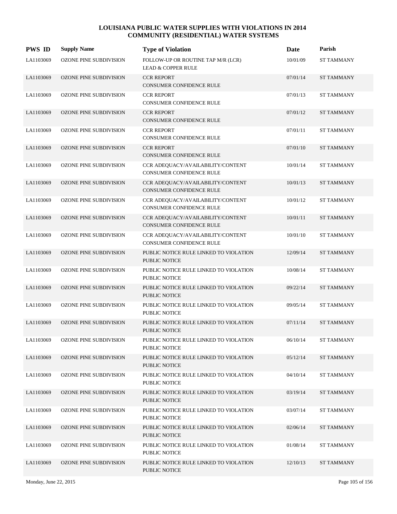| <b>PWS ID</b> | <b>Supply Name</b>            | <b>Type of Violation</b>                                             | Date     | Parish            |
|---------------|-------------------------------|----------------------------------------------------------------------|----------|-------------------|
| LA1103069     | OZONE PINE SUBDIVISION        | FOLLOW-UP OR ROUTINE TAP M/R (LCR)<br><b>LEAD &amp; COPPER RULE</b>  | 10/01/09 | <b>ST TAMMANY</b> |
| LA1103069     | OZONE PINE SUBDIVISION        | <b>CCR REPORT</b><br>CONSUMER CONFIDENCE RULE                        | 07/01/14 | <b>ST TAMMANY</b> |
| LA1103069     | OZONE PINE SUBDIVISION        | <b>CCR REPORT</b><br>CONSUMER CONFIDENCE RULE                        | 07/01/13 | <b>ST TAMMANY</b> |
| LA1103069     | OZONE PINE SUBDIVISION        | <b>CCR REPORT</b><br>CONSUMER CONFIDENCE RULE                        | 07/01/12 | <b>ST TAMMANY</b> |
| LA1103069     | OZONE PINE SUBDIVISION        | <b>CCR REPORT</b><br><b>CONSUMER CONFIDENCE RULE</b>                 | 07/01/11 | <b>ST TAMMANY</b> |
| LA1103069     | OZONE PINE SUBDIVISION        | <b>CCR REPORT</b><br>CONSUMER CONFIDENCE RULE                        | 07/01/10 | <b>ST TAMMANY</b> |
| LA1103069     | OZONE PINE SUBDIVISION        | CCR ADEQUACY/AVAILABILITY/CONTENT<br>CONSUMER CONFIDENCE RULE        | 10/01/14 | <b>ST TAMMANY</b> |
| LA1103069     | <b>OZONE PINE SUBDIVISION</b> | CCR ADEQUACY/AVAILABILITY/CONTENT<br><b>CONSUMER CONFIDENCE RULE</b> | 10/01/13 | <b>ST TAMMANY</b> |
| LA1103069     | <b>OZONE PINE SUBDIVISION</b> | CCR ADEQUACY/AVAILABILITY/CONTENT<br>CONSUMER CONFIDENCE RULE        | 10/01/12 | <b>ST TAMMANY</b> |
| LA1103069     | <b>OZONE PINE SUBDIVISION</b> | CCR ADEQUACY/AVAILABILITY/CONTENT<br>CONSUMER CONFIDENCE RULE        | 10/01/11 | <b>ST TAMMANY</b> |
| LA1103069     | <b>OZONE PINE SUBDIVISION</b> | CCR ADEQUACY/AVAILABILITY/CONTENT<br>CONSUMER CONFIDENCE RULE        | 10/01/10 | <b>ST TAMMANY</b> |
| LA1103069     | <b>OZONE PINE SUBDIVISION</b> | PUBLIC NOTICE RULE LINKED TO VIOLATION<br><b>PUBLIC NOTICE</b>       | 12/09/14 | <b>ST TAMMANY</b> |
| LA1103069     | <b>OZONE PINE SUBDIVISION</b> | PUBLIC NOTICE RULE LINKED TO VIOLATION<br>PUBLIC NOTICE              | 10/08/14 | <b>ST TAMMANY</b> |
| LA1103069     | <b>OZONE PINE SUBDIVISION</b> | PUBLIC NOTICE RULE LINKED TO VIOLATION<br><b>PUBLIC NOTICE</b>       | 09/22/14 | <b>ST TAMMANY</b> |
| LA1103069     | <b>OZONE PINE SUBDIVISION</b> | PUBLIC NOTICE RULE LINKED TO VIOLATION<br>PUBLIC NOTICE              | 09/05/14 | <b>ST TAMMANY</b> |
| LA1103069     | <b>OZONE PINE SUBDIVISION</b> | PUBLIC NOTICE RULE LINKED TO VIOLATION<br><b>PUBLIC NOTICE</b>       | 07/11/14 | <b>ST TAMMANY</b> |
| LA1103069     | OZONE PINE SUBDIVISION        | PUBLIC NOTICE RULE LINKED TO VIOLATION<br>PUBLIC NOTICE              | 06/10/14 | <b>ST TAMMANY</b> |
| LA1103069     | <b>OZONE PINE SUBDIVISION</b> | PUBLIC NOTICE RULE LINKED TO VIOLATION<br>PUBLIC NOTICE              | 05/12/14 | <b>ST TAMMANY</b> |
| LA1103069     | OZONE PINE SUBDIVISION        | PUBLIC NOTICE RULE LINKED TO VIOLATION<br>PUBLIC NOTICE              | 04/10/14 | <b>ST TAMMANY</b> |
| LA1103069     | <b>OZONE PINE SUBDIVISION</b> | PUBLIC NOTICE RULE LINKED TO VIOLATION<br>PUBLIC NOTICE              | 03/19/14 | <b>ST TAMMANY</b> |
| LA1103069     | OZONE PINE SUBDIVISION        | PUBLIC NOTICE RULE LINKED TO VIOLATION<br>PUBLIC NOTICE              | 03/07/14 | <b>ST TAMMANY</b> |
| LA1103069     | <b>OZONE PINE SUBDIVISION</b> | PUBLIC NOTICE RULE LINKED TO VIOLATION<br>PUBLIC NOTICE              | 02/06/14 | <b>ST TAMMANY</b> |
| LA1103069     | OZONE PINE SUBDIVISION        | PUBLIC NOTICE RULE LINKED TO VIOLATION<br>PUBLIC NOTICE              | 01/08/14 | <b>ST TAMMANY</b> |
| LA1103069     | <b>OZONE PINE SUBDIVISION</b> | PUBLIC NOTICE RULE LINKED TO VIOLATION<br>PUBLIC NOTICE              | 12/10/13 | <b>ST TAMMANY</b> |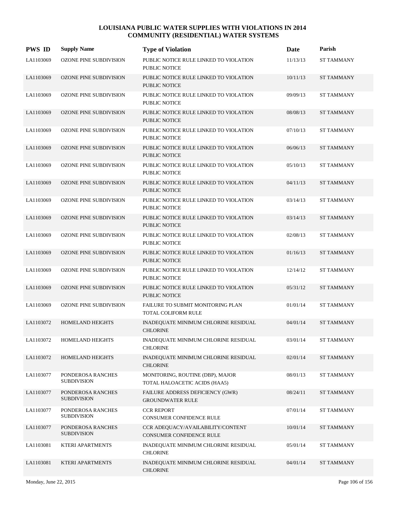| <b>PWS ID</b> | <b>Supply Name</b>                      | <b>Type of Violation</b>                                          | Date     | Parish            |
|---------------|-----------------------------------------|-------------------------------------------------------------------|----------|-------------------|
| LA1103069     | <b>OZONE PINE SUBDIVISION</b>           | PUBLIC NOTICE RULE LINKED TO VIOLATION<br>PUBLIC NOTICE           | 11/13/13 | <b>ST TAMMANY</b> |
| LA1103069     | OZONE PINE SUBDIVISION                  | PUBLIC NOTICE RULE LINKED TO VIOLATION<br><b>PUBLIC NOTICE</b>    | 10/11/13 | <b>ST TAMMANY</b> |
| LA1103069     | <b>OZONE PINE SUBDIVISION</b>           | PUBLIC NOTICE RULE LINKED TO VIOLATION<br>PUBLIC NOTICE           | 09/09/13 | <b>ST TAMMANY</b> |
| LA1103069     | <b>OZONE PINE SUBDIVISION</b>           | PUBLIC NOTICE RULE LINKED TO VIOLATION<br>PUBLIC NOTICE           | 08/08/13 | <b>ST TAMMANY</b> |
| LA1103069     | <b>OZONE PINE SUBDIVISION</b>           | PUBLIC NOTICE RULE LINKED TO VIOLATION<br>PUBLIC NOTICE           | 07/10/13 | <b>ST TAMMANY</b> |
| LA1103069     | <b>OZONE PINE SUBDIVISION</b>           | PUBLIC NOTICE RULE LINKED TO VIOLATION<br><b>PUBLIC NOTICE</b>    | 06/06/13 | <b>ST TAMMANY</b> |
| LA1103069     | <b>OZONE PINE SUBDIVISION</b>           | PUBLIC NOTICE RULE LINKED TO VIOLATION<br>PUBLIC NOTICE           | 05/10/13 | <b>ST TAMMANY</b> |
| LA1103069     | <b>OZONE PINE SUBDIVISION</b>           | PUBLIC NOTICE RULE LINKED TO VIOLATION<br>PUBLIC NOTICE           | 04/11/13 | <b>ST TAMMANY</b> |
| LA1103069     | <b>OZONE PINE SUBDIVISION</b>           | PUBLIC NOTICE RULE LINKED TO VIOLATION<br><b>PUBLIC NOTICE</b>    | 03/14/13 | <b>ST TAMMANY</b> |
| LA1103069     | <b>OZONE PINE SUBDIVISION</b>           | PUBLIC NOTICE RULE LINKED TO VIOLATION<br><b>PUBLIC NOTICE</b>    | 03/14/13 | <b>ST TAMMANY</b> |
| LA1103069     | <b>OZONE PINE SUBDIVISION</b>           | PUBLIC NOTICE RULE LINKED TO VIOLATION<br>PUBLIC NOTICE           | 02/08/13 | <b>ST TAMMANY</b> |
| LA1103069     | <b>OZONE PINE SUBDIVISION</b>           | PUBLIC NOTICE RULE LINKED TO VIOLATION<br><b>PUBLIC NOTICE</b>    | 01/16/13 | <b>ST TAMMANY</b> |
| LA1103069     | <b>OZONE PINE SUBDIVISION</b>           | PUBLIC NOTICE RULE LINKED TO VIOLATION<br>PUBLIC NOTICE           | 12/14/12 | <b>ST TAMMANY</b> |
| LA1103069     | <b>OZONE PINE SUBDIVISION</b>           | PUBLIC NOTICE RULE LINKED TO VIOLATION<br><b>PUBLIC NOTICE</b>    | 05/31/12 | <b>ST TAMMANY</b> |
| LA1103069     | <b>OZONE PINE SUBDIVISION</b>           | FAILURE TO SUBMIT MONITORING PLAN<br>TOTAL COLIFORM RULE          | 01/01/14 | <b>ST TAMMANY</b> |
| LA1103072     | HOMELAND HEIGHTS                        | INADEQUATE MINIMUM CHLORINE RESIDUAL<br><b>CHLORINE</b>           | 04/01/14 | <b>ST TAMMANY</b> |
| LA1103072     | HOMELAND HEIGHTS                        | INADEQUATE MINIMUM CHLORINE RESIDUAL<br><b>CHLORINE</b>           | 03/01/14 | <b>ST TAMMANY</b> |
| LA1103072     | HOMELAND HEIGHTS                        | INADEQUATE MINIMUM CHLORINE RESIDUAL<br><b>CHLORINE</b>           | 02/01/14 | <b>ST TAMMANY</b> |
| LA1103077     | PONDEROSA RANCHES<br><b>SUBDIVISION</b> | MONITORING, ROUTINE (DBP), MAJOR<br>TOTAL HALOACETIC ACIDS (HAA5) | 08/01/13 | <b>ST TAMMANY</b> |
| LA1103077     | PONDEROSA RANCHES<br><b>SUBDIVISION</b> | FAILURE ADDRESS DEFICIENCY (GWR)<br><b>GROUNDWATER RULE</b>       | 08/24/11 | <b>ST TAMMANY</b> |
| LA1103077     | PONDEROSA RANCHES<br><b>SUBDIVISION</b> | <b>CCR REPORT</b><br>CONSUMER CONFIDENCE RULE                     | 07/01/14 | <b>ST TAMMANY</b> |
| LA1103077     | PONDEROSA RANCHES<br><b>SUBDIVISION</b> | CCR ADEQUACY/AVAILABILITY/CONTENT<br>CONSUMER CONFIDENCE RULE     | 10/01/14 | <b>ST TAMMANY</b> |
| LA1103081     | KTERI APARTMENTS                        | INADEQUATE MINIMUM CHLORINE RESIDUAL<br><b>CHLORINE</b>           | 05/01/14 | <b>ST TAMMANY</b> |
| LA1103081     | KTERI APARTMENTS                        | INADEQUATE MINIMUM CHLORINE RESIDUAL<br><b>CHLORINE</b>           | 04/01/14 | <b>ST TAMMANY</b> |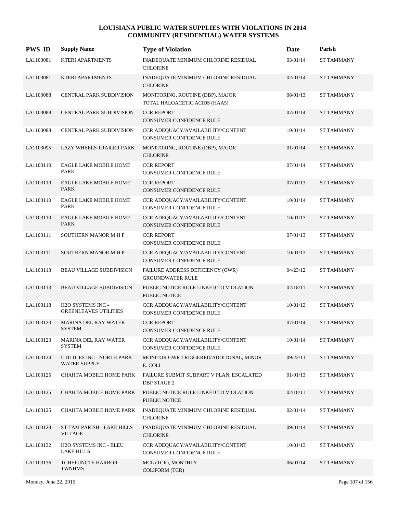| <b>PWS ID</b> | <b>Supply Name</b>                                | <b>Type of Violation</b>                                             | Date     | Parish            |
|---------------|---------------------------------------------------|----------------------------------------------------------------------|----------|-------------------|
| LA1103081     | KTERI APARTMENTS                                  | INADEQUATE MINIMUM CHLORINE RESIDUAL<br><b>CHLORINE</b>              | 03/01/14 | <b>ST TAMMANY</b> |
| LA1103081     | <b>KTERI APARTMENTS</b>                           | INADEQUATE MINIMUM CHLORINE RESIDUAL<br><b>CHLORINE</b>              | 02/01/14 | <b>ST TAMMANY</b> |
| LA1103088     | CENTRAL PARK SUBDIVISION                          | MONITORING, ROUTINE (DBP), MAJOR<br>TOTAL HALOACETIC ACIDS (HAA5)    | 08/01/13 | <b>ST TAMMANY</b> |
| LA1103088     | <b>CENTRAL PARK SUBDIVISION</b>                   | <b>CCR REPORT</b><br>CONSUMER CONFIDENCE RULE                        | 07/01/14 | <b>ST TAMMANY</b> |
| LA1103088     | <b>CENTRAL PARK SUBDIVISION</b>                   | CCR ADEQUACY/AVAILABILITY/CONTENT<br><b>CONSUMER CONFIDENCE RULE</b> | 10/01/14 | <b>ST TAMMANY</b> |
| LA1103095     | LAZY WHEELS TRAILER PARK                          | MONITORING, ROUTINE (DBP), MAJOR<br><b>CHLORINE</b>                  | 01/01/14 | <b>ST TAMMANY</b> |
| LA1103110     | EAGLE LAKE MOBILE HOME<br><b>PARK</b>             | <b>CCR REPORT</b><br>CONSUMER CONFIDENCE RULE                        | 07/01/14 | <b>ST TAMMANY</b> |
| LA1103110     | <b>EAGLE LAKE MOBILE HOME</b><br>PARK             | <b>CCR REPORT</b><br>CONSUMER CONFIDENCE RULE                        | 07/01/13 | <b>ST TAMMANY</b> |
| LA1103110     | EAGLE LAKE MOBILE HOME<br>PARK                    | CCR ADEQUACY/AVAILABILITY/CONTENT<br><b>CONSUMER CONFIDENCE RULE</b> | 10/01/14 | <b>ST TAMMANY</b> |
| LA1103110     | EAGLE LAKE MOBILE HOME<br><b>PARK</b>             | CCR ADEQUACY/AVAILABILITY/CONTENT<br>CONSUMER CONFIDENCE RULE        | 10/01/13 | <b>ST TAMMANY</b> |
| LA1103111     | <b>SOUTHERN MANOR M H P</b>                       | <b>CCR REPORT</b><br><b>CONSUMER CONFIDENCE RULE</b>                 | 07/01/13 | <b>ST TAMMANY</b> |
| LA1103111     | <b>SOUTHERN MANOR M H P</b>                       | CCR ADEQUACY/AVAILABILITY/CONTENT<br>CONSUMER CONFIDENCE RULE        | 10/01/13 | <b>ST TAMMANY</b> |
| LA1103113     | BEAU VILLAGE SUBDIVISION                          | FAILURE ADDRESS DEFICIENCY (GWR)<br><b>GROUNDWATER RULE</b>          | 04/23/12 | <b>ST TAMMANY</b> |
| LA1103113     | <b>BEAU VILLAGE SUBDIVISION</b>                   | PUBLIC NOTICE RULE LINKED TO VIOLATION<br><b>PUBLIC NOTICE</b>       | 02/18/11 | <b>ST TAMMANY</b> |
| LA1103118     | H2O SYSTEMS INC -<br><b>GREENLEAVES UTILITIES</b> | CCR ADEQUACY/AVAILABILITY/CONTENT<br>CONSUMER CONFIDENCE RULE        | 10/01/13 | <b>ST TAMMANY</b> |
| LA1103123     | <b>MARINA DEL RAY WATER</b><br><b>SYSTEM</b>      | <b>CCR REPORT</b><br><b>CONSUMER CONFIDENCE RULE</b>                 | 07/01/14 | <b>ST TAMMANY</b> |
| LA1103123     | <b>MARINA DEL RAY WATER</b><br><b>SYSTEM</b>      | CCR ADEQUACY/AVAILABILITY/CONTENT<br>CONSUMER CONFIDENCE RULE        | 10/01/14 | <b>ST TAMMANY</b> |
| LA1103124     | UTILITIES INC - NORTH PARK<br>WATER SUPPLY        | MONITOR GWR TRIGGERED/ADDITONAL, MINOR<br>E. COLI                    | 09/22/11 | <b>ST TAMMANY</b> |
| LA1103125     | CHAHTA MOBILE HOME PARK                           | FAILURE SUBMIT SUBPART V PLAN, ESCALATED<br>DBP STAGE 2              | 01/01/13 | ST TAMMANY        |
| LA1103125     | CHAHTA MOBILE HOME PARK                           | PUBLIC NOTICE RULE LINKED TO VIOLATION<br>PUBLIC NOTICE              | 02/18/11 | <b>ST TAMMANY</b> |
| LA1103125     | CHAHTA MOBILE HOME PARK                           | INADEQUATE MINIMUM CHLORINE RESIDUAL<br><b>CHLORINE</b>              | 02/01/14 | <b>ST TAMMANY</b> |
| LA1103128     | ST TAM PARISH - LAKE HILLS<br><b>VILLAGE</b>      | INADEQUATE MINIMUM CHLORINE RESIDUAL<br><b>CHLORINE</b>              | 09/01/14 | <b>ST TAMMANY</b> |
| LA1103132     | H2O SYSTEMS INC - BLEU<br><b>LAKE HILLS</b>       | CCR ADEQUACY/AVAILABILITY/CONTENT<br>CONSUMER CONFIDENCE RULE        | 10/01/13 | ST TAMMANY        |
| LA1103136     | <b>TCHEFUNCTE HARBOR</b><br><b>TWNHMS</b>         | MCL (TCR), MONTHLY<br>COLIFORM (TCR)                                 | 06/01/14 | <b>ST TAMMANY</b> |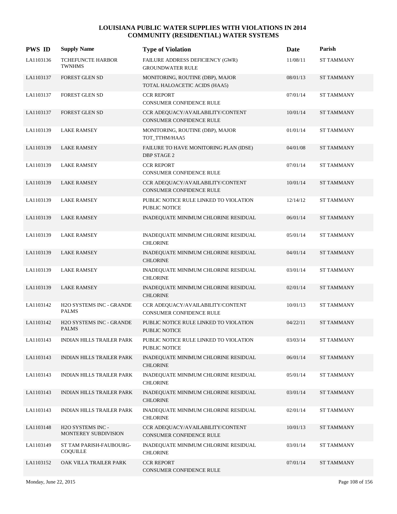| <b>PWS ID</b> | <b>Supply Name</b>                              | <b>Type of Violation</b>                                             | Date     | Parish            |
|---------------|-------------------------------------------------|----------------------------------------------------------------------|----------|-------------------|
| LA1103136     | <b>TCHEFUNCTE HARBOR</b><br><b>TWNHMS</b>       | FAILURE ADDRESS DEFICIENCY (GWR)<br><b>GROUNDWATER RULE</b>          | 11/08/11 | ST TAMMANY        |
| LA1103137     | <b>FOREST GLEN SD</b>                           | MONITORING, ROUTINE (DBP), MAJOR<br>TOTAL HALOACETIC ACIDS (HAA5)    | 08/01/13 | <b>ST TAMMANY</b> |
| LA1103137     | FOREST GLEN SD                                  | <b>CCR REPORT</b><br>CONSUMER CONFIDENCE RULE                        | 07/01/14 | <b>ST TAMMANY</b> |
| LA1103137     | <b>FOREST GLEN SD</b>                           | CCR ADEQUACY/AVAILABILITY/CONTENT<br>CONSUMER CONFIDENCE RULE        | 10/01/14 | <b>ST TAMMANY</b> |
| LA1103139     | <b>LAKE RAMSEY</b>                              | MONITORING, ROUTINE (DBP), MAJOR<br>TOT_TTHM/HAA5                    | 01/01/14 | <b>ST TAMMANY</b> |
| LA1103139     | <b>LAKE RAMSEY</b>                              | FAILURE TO HAVE MONITORING PLAN (IDSE)<br><b>DBP STAGE 2</b>         | 04/01/08 | <b>ST TAMMANY</b> |
| LA1103139     | <b>LAKE RAMSEY</b>                              | <b>CCR REPORT</b><br>CONSUMER CONFIDENCE RULE                        | 07/01/14 | ST TAMMANY        |
| LA1103139     | <b>LAKE RAMSEY</b>                              | CCR ADEQUACY/AVAILABILITY/CONTENT<br>CONSUMER CONFIDENCE RULE        | 10/01/14 | <b>ST TAMMANY</b> |
| LA1103139     | <b>LAKE RAMSEY</b>                              | PUBLIC NOTICE RULE LINKED TO VIOLATION<br>PUBLIC NOTICE              | 12/14/12 | <b>ST TAMMANY</b> |
| LA1103139     | <b>LAKE RAMSEY</b>                              | INADEQUATE MINIMUM CHLORINE RESIDUAL                                 | 06/01/14 | <b>ST TAMMANY</b> |
| LA1103139     | <b>LAKE RAMSEY</b>                              | INADEQUATE MINIMUM CHLORINE RESIDUAL<br><b>CHLORINE</b>              | 05/01/14 | ST TAMMANY        |
| LA1103139     | <b>LAKE RAMSEY</b>                              | INADEQUATE MINIMUM CHLORINE RESIDUAL<br><b>CHLORINE</b>              | 04/01/14 | <b>ST TAMMANY</b> |
| LA1103139     | <b>LAKE RAMSEY</b>                              | INADEQUATE MINIMUM CHLORINE RESIDUAL<br><b>CHLORINE</b>              | 03/01/14 | ST TAMMANY        |
| LA1103139     | <b>LAKE RAMSEY</b>                              | INADEQUATE MINIMUM CHLORINE RESIDUAL<br><b>CHLORINE</b>              | 02/01/14 | <b>ST TAMMANY</b> |
| LA1103142     | H2O SYSTEMS INC - GRANDE<br><b>PALMS</b>        | CCR ADEQUACY/AVAILABILITY/CONTENT<br><b>CONSUMER CONFIDENCE RULE</b> | 10/01/13 | ST TAMMANY        |
| LA1103142     | <b>H2O SYSTEMS INC - GRANDE</b><br><b>PALMS</b> | PUBLIC NOTICE RULE LINKED TO VIOLATION<br>PUBLIC NOTICE              | 04/22/11 | <b>ST TAMMANY</b> |
| LA1103143     | <b>INDIAN HILLS TRAILER PARK</b>                | PUBLIC NOTICE RULE LINKED TO VIOLATION<br>PUBLIC NOTICE              | 03/03/14 | <b>ST TAMMANY</b> |
| LA1103143     | <b>INDIAN HILLS TRAILER PARK</b>                | INADEQUATE MINIMUM CHLORINE RESIDUAL<br><b>CHLORINE</b>              | 06/01/14 | <b>ST TAMMANY</b> |
| LA1103143     | <b>INDIAN HILLS TRAILER PARK</b>                | INADEQUATE MINIMUM CHLORINE RESIDUAL<br><b>CHLORINE</b>              | 05/01/14 | ST TAMMANY        |
| LA1103143     | <b>INDIAN HILLS TRAILER PARK</b>                | INADEQUATE MINIMUM CHLORINE RESIDUAL<br><b>CHLORINE</b>              | 03/01/14 | ST TAMMANY        |
| LA1103143     | INDIAN HILLS TRAILER PARK                       | INADEQUATE MINIMUM CHLORINE RESIDUAL<br><b>CHLORINE</b>              | 02/01/14 | ST TAMMANY        |
| LA1103148     | H2O SYSTEMS INC -<br>MONTEREY SUBDIVISION       | CCR ADEQUACY/AVAILABILITY/CONTENT<br>CONSUMER CONFIDENCE RULE        | 10/01/13 | <b>ST TAMMANY</b> |
| LA1103149     | ST TAM PARISH-FAUBOURG-<br><b>COQUILLE</b>      | INADEQUATE MINIMUM CHLORINE RESIDUAL<br><b>CHLORINE</b>              | 03/01/14 | ST TAMMANY        |
| LA1103152     | OAK VILLA TRAILER PARK                          | <b>CCR REPORT</b><br>CONSUMER CONFIDENCE RULE                        | 07/01/14 | ST TAMMANY        |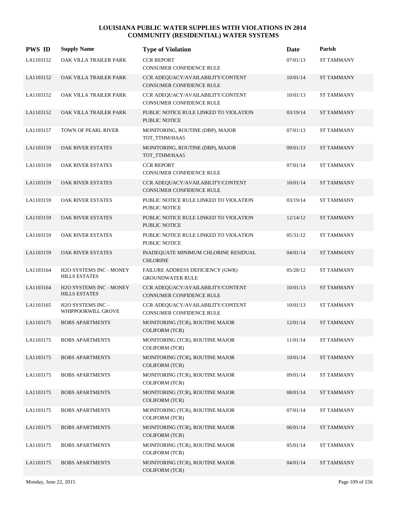| <b>PWS ID</b> | <b>Supply Name</b>                              | <b>Type of Violation</b>                                             | Date     | Parish            |
|---------------|-------------------------------------------------|----------------------------------------------------------------------|----------|-------------------|
| LA1103152     | OAK VILLA TRAILER PARK                          | <b>CCR REPORT</b><br>CONSUMER CONFIDENCE RULE                        | 07/01/13 | <b>ST TAMMANY</b> |
| LA1103152     | OAK VILLA TRAILER PARK                          | CCR ADEQUACY/AVAILABILITY/CONTENT<br>CONSUMER CONFIDENCE RULE        | 10/01/14 | <b>ST TAMMANY</b> |
| LA1103152     | OAK VILLA TRAILER PARK                          | CCR ADEQUACY/AVAILABILITY/CONTENT<br>CONSUMER CONFIDENCE RULE        | 10/01/13 | <b>ST TAMMANY</b> |
| LA1103152     | OAK VILLA TRAILER PARK                          | PUBLIC NOTICE RULE LINKED TO VIOLATION<br><b>PUBLIC NOTICE</b>       | 03/19/14 | <b>ST TAMMANY</b> |
| LA1103157     | TOWN OF PEARL RIVER                             | MONITORING, ROUTINE (DBP), MAJOR<br>TOT_TTHM/HAA5                    | 07/01/13 | <b>ST TAMMANY</b> |
| LA1103159     | OAK RIVER ESTATES                               | MONITORING, ROUTINE (DBP), MAJOR<br>TOT_TTHM/HAA5                    | 09/01/13 | <b>ST TAMMANY</b> |
| LA1103159     | OAK RIVER ESTATES                               | <b>CCR REPORT</b><br><b>CONSUMER CONFIDENCE RULE</b>                 | 07/01/14 | <b>ST TAMMANY</b> |
| LA1103159     | OAK RIVER ESTATES                               | CCR ADEQUACY/AVAILABILITY/CONTENT<br>CONSUMER CONFIDENCE RULE        | 10/01/14 | <b>ST TAMMANY</b> |
| LA1103159     | OAK RIVER ESTATES                               | PUBLIC NOTICE RULE LINKED TO VIOLATION<br>PUBLIC NOTICE              | 03/19/14 | <b>ST TAMMANY</b> |
| LA1103159     | <b>OAK RIVER ESTATES</b>                        | PUBLIC NOTICE RULE LINKED TO VIOLATION<br>PUBLIC NOTICE              | 12/14/12 | <b>ST TAMMANY</b> |
| LA1103159     | OAK RIVER ESTATES                               | PUBLIC NOTICE RULE LINKED TO VIOLATION<br>PUBLIC NOTICE              | 05/31/12 | <b>ST TAMMANY</b> |
| LA1103159     | <b>OAK RIVER ESTATES</b>                        | INADEQUATE MINIMUM CHLORINE RESIDUAL<br><b>CHLORINE</b>              | 04/01/14 | <b>ST TAMMANY</b> |
| LA1103164     | H2O SYSTEMS INC - MONEY<br><b>HILLS ESTATES</b> | FAILURE ADDRESS DEFICIENCY (GWR)<br><b>GROUNDWATER RULE</b>          | 05/28/12 | <b>ST TAMMANY</b> |
| LA1103164     | H2O SYSTEMS INC - MONEY<br><b>HILLS ESTATES</b> | CCR ADEQUACY/AVAILABILITY/CONTENT<br><b>CONSUMER CONFIDENCE RULE</b> | 10/01/13 | <b>ST TAMMANY</b> |
| LA1103165     | H2O SYSTEMS INC -<br>WHIPPOORWILL GROVE         | CCR ADEQUACY/AVAILABILITY/CONTENT<br>CONSUMER CONFIDENCE RULE        | 10/01/13 | <b>ST TAMMANY</b> |
| LA1103175     | <b>BOBS APARTMENTS</b>                          | MONITORING (TCR), ROUTINE MAJOR<br><b>COLIFORM (TCR)</b>             | 12/01/14 | <b>ST TAMMANY</b> |
| LA1103175     | <b>BOBS APARTMENTS</b>                          | MONITORING (TCR), ROUTINE MAJOR<br><b>COLIFORM (TCR)</b>             | 11/01/14 | <b>ST TAMMANY</b> |
| LA1103175     | <b>BOBS APARTMENTS</b>                          | MONITORING (TCR), ROUTINE MAJOR<br><b>COLIFORM (TCR)</b>             | 10/01/14 | <b>ST TAMMANY</b> |
| LA1103175     | <b>BOBS APARTMENTS</b>                          | MONITORING (TCR), ROUTINE MAJOR<br><b>COLIFORM (TCR)</b>             | 09/01/14 | ST TAMMANY        |
| LA1103175     | <b>BOBS APARTMENTS</b>                          | MONITORING (TCR), ROUTINE MAJOR<br><b>COLIFORM (TCR)</b>             | 08/01/14 | <b>ST TAMMANY</b> |
| LA1103175     | <b>BOBS APARTMENTS</b>                          | MONITORING (TCR), ROUTINE MAJOR<br><b>COLIFORM (TCR)</b>             | 07/01/14 | <b>ST TAMMANY</b> |
| LA1103175     | <b>BOBS APARTMENTS</b>                          | MONITORING (TCR), ROUTINE MAJOR<br><b>COLIFORM (TCR)</b>             | 06/01/14 | <b>ST TAMMANY</b> |
| LA1103175     | <b>BOBS APARTMENTS</b>                          | MONITORING (TCR), ROUTINE MAJOR<br><b>COLIFORM (TCR)</b>             | 05/01/14 | ST TAMMANY        |
| LA1103175     | <b>BOBS APARTMENTS</b>                          | MONITORING (TCR), ROUTINE MAJOR<br>COLIFORM (TCR)                    | 04/01/14 | ST TAMMANY        |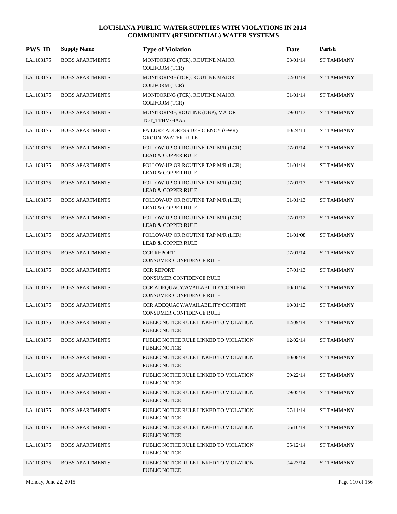| <b>PWS ID</b> | <b>Supply Name</b>     | <b>Type of Violation</b>                                            | Date     | Parish            |
|---------------|------------------------|---------------------------------------------------------------------|----------|-------------------|
| LA1103175     | <b>BOBS APARTMENTS</b> | MONITORING (TCR), ROUTINE MAJOR<br>COLIFORM (TCR)                   | 03/01/14 | <b>ST TAMMANY</b> |
| LA1103175     | <b>BOBS APARTMENTS</b> | MONITORING (TCR), ROUTINE MAJOR<br>COLIFORM (TCR)                   | 02/01/14 | <b>ST TAMMANY</b> |
| LA1103175     | <b>BOBS APARTMENTS</b> | MONITORING (TCR), ROUTINE MAJOR<br>COLIFORM (TCR)                   | 01/01/14 | <b>ST TAMMANY</b> |
| LA1103175     | <b>BOBS APARTMENTS</b> | MONITORING, ROUTINE (DBP), MAJOR<br>TOT_TTHM/HAA5                   | 09/01/13 | <b>ST TAMMANY</b> |
| LA1103175     | <b>BOBS APARTMENTS</b> | FAILURE ADDRESS DEFICIENCY (GWR)<br><b>GROUNDWATER RULE</b>         | 10/24/11 | <b>ST TAMMANY</b> |
| LA1103175     | <b>BOBS APARTMENTS</b> | FOLLOW-UP OR ROUTINE TAP M/R (LCR)<br><b>LEAD &amp; COPPER RULE</b> | 07/01/14 | <b>ST TAMMANY</b> |
| LA1103175     | <b>BOBS APARTMENTS</b> | FOLLOW-UP OR ROUTINE TAP M/R (LCR)<br><b>LEAD &amp; COPPER RULE</b> | 01/01/14 | <b>ST TAMMANY</b> |
| LA1103175     | <b>BOBS APARTMENTS</b> | FOLLOW-UP OR ROUTINE TAP M/R (LCR)<br><b>LEAD &amp; COPPER RULE</b> | 07/01/13 | <b>ST TAMMANY</b> |
| LA1103175     | <b>BOBS APARTMENTS</b> | FOLLOW-UP OR ROUTINE TAP M/R (LCR)<br><b>LEAD &amp; COPPER RULE</b> | 01/01/13 | <b>ST TAMMANY</b> |
| LA1103175     | <b>BOBS APARTMENTS</b> | FOLLOW-UP OR ROUTINE TAP M/R (LCR)<br><b>LEAD &amp; COPPER RULE</b> | 07/01/12 | <b>ST TAMMANY</b> |
| LA1103175     | <b>BOBS APARTMENTS</b> | FOLLOW-UP OR ROUTINE TAP M/R (LCR)<br><b>LEAD &amp; COPPER RULE</b> | 01/01/08 | <b>ST TAMMANY</b> |
| LA1103175     | <b>BOBS APARTMENTS</b> | <b>CCR REPORT</b><br><b>CONSUMER CONFIDENCE RULE</b>                | 07/01/14 | <b>ST TAMMANY</b> |
| LA1103175     | <b>BOBS APARTMENTS</b> | <b>CCR REPORT</b><br>CONSUMER CONFIDENCE RULE                       | 07/01/13 | <b>ST TAMMANY</b> |
| LA1103175     | <b>BOBS APARTMENTS</b> | CCR ADEQUACY/AVAILABILITY/CONTENT<br>CONSUMER CONFIDENCE RULE       | 10/01/14 | <b>ST TAMMANY</b> |
| LA1103175     | <b>BOBS APARTMENTS</b> | CCR ADEQUACY/AVAILABILITY/CONTENT<br>CONSUMER CONFIDENCE RULE       | 10/01/13 | <b>ST TAMMANY</b> |
| LA1103175     | <b>BOBS APARTMENTS</b> | PUBLIC NOTICE RULE LINKED TO VIOLATION<br><b>PUBLIC NOTICE</b>      | 12/09/14 | <b>ST TAMMANY</b> |
| LA1103175     | <b>BOBS APARTMENTS</b> | PUBLIC NOTICE RULE LINKED TO VIOLATION<br>PUBLIC NOTICE             | 12/02/14 | <b>ST TAMMANY</b> |
| LA1103175     | <b>BOBS APARTMENTS</b> | PUBLIC NOTICE RULE LINKED TO VIOLATION<br>PUBLIC NOTICE             | 10/08/14 | <b>ST TAMMANY</b> |
| LA1103175     | <b>BOBS APARTMENTS</b> | PUBLIC NOTICE RULE LINKED TO VIOLATION<br>PUBLIC NOTICE             | 09/22/14 | ST TAMMANY        |
| LA1103175     | <b>BOBS APARTMENTS</b> | PUBLIC NOTICE RULE LINKED TO VIOLATION<br>PUBLIC NOTICE             | 09/05/14 | <b>ST TAMMANY</b> |
| LA1103175     | <b>BOBS APARTMENTS</b> | PUBLIC NOTICE RULE LINKED TO VIOLATION<br>PUBLIC NOTICE             | 07/11/14 | ST TAMMANY        |
| LA1103175     | <b>BOBS APARTMENTS</b> | PUBLIC NOTICE RULE LINKED TO VIOLATION<br>PUBLIC NOTICE             | 06/10/14 | <b>ST TAMMANY</b> |
| LA1103175     | <b>BOBS APARTMENTS</b> | PUBLIC NOTICE RULE LINKED TO VIOLATION<br>PUBLIC NOTICE             | 05/12/14 | ST TAMMANY        |
| LA1103175     | <b>BOBS APARTMENTS</b> | PUBLIC NOTICE RULE LINKED TO VIOLATION<br>PUBLIC NOTICE             | 04/23/14 | ST TAMMANY        |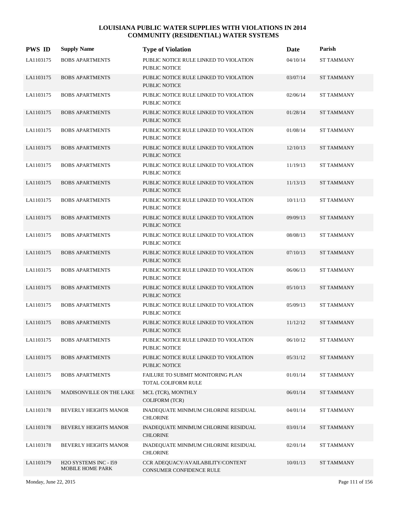| <b>PWS ID</b> | <b>Supply Name</b>                               | <b>Type of Violation</b>                                       | Date     | Parish            |
|---------------|--------------------------------------------------|----------------------------------------------------------------|----------|-------------------|
| LA1103175     | <b>BOBS APARTMENTS</b>                           | PUBLIC NOTICE RULE LINKED TO VIOLATION<br>PUBLIC NOTICE        | 04/10/14 | <b>ST TAMMANY</b> |
| LA1103175     | <b>BOBS APARTMENTS</b>                           | PUBLIC NOTICE RULE LINKED TO VIOLATION<br><b>PUBLIC NOTICE</b> | 03/07/14 | <b>ST TAMMANY</b> |
| LA1103175     | <b>BOBS APARTMENTS</b>                           | PUBLIC NOTICE RULE LINKED TO VIOLATION<br>PUBLIC NOTICE        | 02/06/14 | <b>ST TAMMANY</b> |
| LA1103175     | <b>BOBS APARTMENTS</b>                           | PUBLIC NOTICE RULE LINKED TO VIOLATION<br>PUBLIC NOTICE        | 01/28/14 | <b>ST TAMMANY</b> |
| LA1103175     | <b>BOBS APARTMENTS</b>                           | PUBLIC NOTICE RULE LINKED TO VIOLATION<br><b>PUBLIC NOTICE</b> | 01/08/14 | <b>ST TAMMANY</b> |
| LA1103175     | <b>BOBS APARTMENTS</b>                           | PUBLIC NOTICE RULE LINKED TO VIOLATION<br><b>PUBLIC NOTICE</b> | 12/10/13 | <b>ST TAMMANY</b> |
| LA1103175     | <b>BOBS APARTMENTS</b>                           | PUBLIC NOTICE RULE LINKED TO VIOLATION<br>PUBLIC NOTICE        | 11/19/13 | <b>ST TAMMANY</b> |
| LA1103175     | <b>BOBS APARTMENTS</b>                           | PUBLIC NOTICE RULE LINKED TO VIOLATION<br>PUBLIC NOTICE        | 11/13/13 | <b>ST TAMMANY</b> |
| LA1103175     | <b>BOBS APARTMENTS</b>                           | PUBLIC NOTICE RULE LINKED TO VIOLATION<br><b>PUBLIC NOTICE</b> | 10/11/13 | <b>ST TAMMANY</b> |
| LA1103175     | <b>BOBS APARTMENTS</b>                           | PUBLIC NOTICE RULE LINKED TO VIOLATION<br><b>PUBLIC NOTICE</b> | 09/09/13 | <b>ST TAMMANY</b> |
| LA1103175     | <b>BOBS APARTMENTS</b>                           | PUBLIC NOTICE RULE LINKED TO VIOLATION<br>PUBLIC NOTICE        | 08/08/13 | <b>ST TAMMANY</b> |
| LA1103175     | <b>BOBS APARTMENTS</b>                           | PUBLIC NOTICE RULE LINKED TO VIOLATION<br><b>PUBLIC NOTICE</b> | 07/10/13 | <b>ST TAMMANY</b> |
| LA1103175     | <b>BOBS APARTMENTS</b>                           | PUBLIC NOTICE RULE LINKED TO VIOLATION<br>PUBLIC NOTICE        | 06/06/13 | <b>ST TAMMANY</b> |
| LA1103175     | <b>BOBS APARTMENTS</b>                           | PUBLIC NOTICE RULE LINKED TO VIOLATION<br><b>PUBLIC NOTICE</b> | 05/10/13 | <b>ST TAMMANY</b> |
| LA1103175     | <b>BOBS APARTMENTS</b>                           | PUBLIC NOTICE RULE LINKED TO VIOLATION<br>PUBLIC NOTICE        | 05/09/13 | <b>ST TAMMANY</b> |
| LA1103175     | <b>BOBS APARTMENTS</b>                           | PUBLIC NOTICE RULE LINKED TO VIOLATION<br><b>PUBLIC NOTICE</b> | 11/12/12 | <b>ST TAMMANY</b> |
| LA1103175     | <b>BOBS APARTMENTS</b>                           | PUBLIC NOTICE RULE LINKED TO VIOLATION<br>PUBLIC NOTICE        | 06/10/12 | <b>ST TAMMANY</b> |
| LA1103175     | <b>BOBS APARTMENTS</b>                           | PUBLIC NOTICE RULE LINKED TO VIOLATION<br>PUBLIC NOTICE        | 05/31/12 | <b>ST TAMMANY</b> |
| LA1103175     | <b>BOBS APARTMENTS</b>                           | FAILURE TO SUBMIT MONITORING PLAN<br>TOTAL COLIFORM RULE       | 01/01/14 | <b>ST TAMMANY</b> |
| LA1103176     | MADISONVILLE ON THE LAKE                         | MCL (TCR), MONTHLY<br><b>COLIFORM (TCR)</b>                    | 06/01/14 | <b>ST TAMMANY</b> |
| LA1103178     | BEVERLY HEIGHTS MANOR                            | INADEQUATE MINIMUM CHLORINE RESIDUAL<br><b>CHLORINE</b>        | 04/01/14 | <b>ST TAMMANY</b> |
| LA1103178     | <b>BEVERLY HEIGHTS MANOR</b>                     | INADEQUATE MINIMUM CHLORINE RESIDUAL<br><b>CHLORINE</b>        | 03/01/14 | <b>ST TAMMANY</b> |
| LA1103178     | BEVERLY HEIGHTS MANOR                            | INADEQUATE MINIMUM CHLORINE RESIDUAL<br><b>CHLORINE</b>        | 02/01/14 | <b>ST TAMMANY</b> |
| LA1103179     | H2O SYSTEMS INC - I59<br><b>MOBILE HOME PARK</b> | CCR ADEQUACY/AVAILABILITY/CONTENT<br>CONSUMER CONFIDENCE RULE  | 10/01/13 | <b>ST TAMMANY</b> |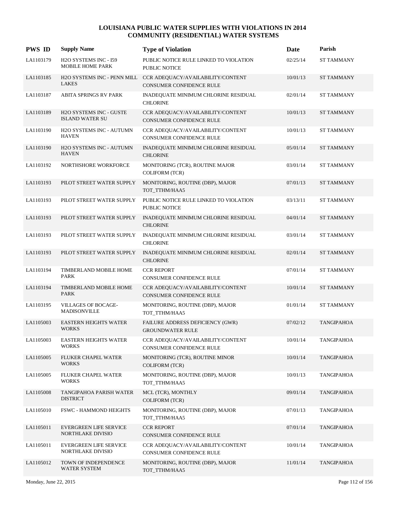| <b>PWS ID</b> | <b>Supply Name</b>                                       | <b>Type of Violation</b>                                                                  | Date     | Parish            |
|---------------|----------------------------------------------------------|-------------------------------------------------------------------------------------------|----------|-------------------|
| LA1103179     | H2O SYSTEMS INC - I59<br>MOBILE HOME PARK                | PUBLIC NOTICE RULE LINKED TO VIOLATION<br>PUBLIC NOTICE                                   | 02/25/14 | <b>ST TAMMANY</b> |
| LA1103185     | <b>LAKES</b>                                             | H2O SYSTEMS INC - PENN MILL CCR ADEQUACY/AVAILABILITY/CONTENT<br>CONSUMER CONFIDENCE RULE | 10/01/13 | <b>ST TAMMANY</b> |
| LA1103187     | <b>ABITA SPRINGS RV PARK</b>                             | INADEQUATE MINIMUM CHLORINE RESIDUAL<br><b>CHLORINE</b>                                   | 02/01/14 | ST TAMMANY        |
| LA1103189     | <b>H2O SYSTEMS INC - GUSTE</b><br><b>ISLAND WATER SU</b> | CCR ADEQUACY/AVAILABILITY/CONTENT<br>CONSUMER CONFIDENCE RULE                             | 10/01/13 | <b>ST TAMMANY</b> |
| LA1103190     | H2O SYSTEMS INC - AUTUMN<br><b>HAVEN</b>                 | CCR ADEQUACY/AVAILABILITY/CONTENT<br>CONSUMER CONFIDENCE RULE                             | 10/01/13 | <b>ST TAMMANY</b> |
| LA1103190     | H2O SYSTEMS INC - AUTUMN<br><b>HAVEN</b>                 | INADEQUATE MINIMUM CHLORINE RESIDUAL<br><b>CHLORINE</b>                                   | 05/01/14 | <b>ST TAMMANY</b> |
| LA1103192     | NORTHSHORE WORKFORCE                                     | MONITORING (TCR), ROUTINE MAJOR<br><b>COLIFORM (TCR)</b>                                  | 03/01/14 | ST TAMMANY        |
| LA1103193     | PILOT STREET WATER SUPPLY                                | MONITORING, ROUTINE (DBP), MAJOR<br>TOT_TTHM/HAA5                                         | 07/01/13 | <b>ST TAMMANY</b> |
| LA1103193     | PILOT STREET WATER SUPPLY                                | PUBLIC NOTICE RULE LINKED TO VIOLATION<br><b>PUBLIC NOTICE</b>                            | 03/13/11 | <b>ST TAMMANY</b> |
| LA1103193     | PILOT STREET WATER SUPPLY                                | INADEQUATE MINIMUM CHLORINE RESIDUAL<br><b>CHLORINE</b>                                   | 04/01/14 | <b>ST TAMMANY</b> |
| LA1103193     | PILOT STREET WATER SUPPLY                                | INADEQUATE MINIMUM CHLORINE RESIDUAL<br><b>CHLORINE</b>                                   | 03/01/14 | <b>ST TAMMANY</b> |
| LA1103193     | PILOT STREET WATER SUPPLY                                | INADEQUATE MINIMUM CHLORINE RESIDUAL<br><b>CHLORINE</b>                                   | 02/01/14 | <b>ST TAMMANY</b> |
| LA1103194     | TIMBERLAND MOBILE HOME<br>PARK                           | <b>CCR REPORT</b><br>CONSUMER CONFIDENCE RULE                                             | 07/01/14 | ST TAMMANY        |
| LA1103194     | TIMBERLAND MOBILE HOME<br>PARK                           | CCR ADEQUACY/AVAILABILITY/CONTENT<br>CONSUMER CONFIDENCE RULE                             | 10/01/14 | <b>ST TAMMANY</b> |
| LA1103195     | <b>VILLAGES OF BOCAGE-</b><br>MADISONVILLE               | MONITORING, ROUTINE (DBP), MAJOR<br>TOT TTHM/HAA5                                         | 01/01/14 | ST TAMMANY        |
| LA1105003     | <b>EASTERN HEIGHTS WATER</b><br><b>WORKS</b>             | FAILURE ADDRESS DEFICIENCY (GWR)<br><b>GROUNDWATER RULE</b>                               | 07/02/12 | <b>TANGIPAHOA</b> |
| LA1105003     | <b>EASTERN HEIGHTS WATER</b><br><b>WORKS</b>             | CCR ADEQUACY/AVAILABILITY/CONTENT<br>CONSUMER CONFIDENCE RULE                             | 10/01/14 | <b>TANGIPAHOA</b> |
| LA1105005     | <b>FLUKER CHAPEL WATER</b><br><b>WORKS</b>               | MONITORING (TCR), ROUTINE MINOR<br><b>COLIFORM (TCR)</b>                                  | 10/01/14 | <b>TANGIPAHOA</b> |
| LA1105005     | FLUKER CHAPEL WATER<br><b>WORKS</b>                      | MONITORING, ROUTINE (DBP), MAJOR<br>TOT_TTHM/HAA5                                         | 10/01/13 | <b>TANGIPAHOA</b> |
| LA1105008     | TANGIPAHOA PARISH WATER<br><b>DISTRICT</b>               | MCL (TCR), MONTHLY<br><b>COLIFORM (TCR)</b>                                               | 09/01/14 | <b>TANGIPAHOA</b> |
| LA1105010     | FSWC - HAMMOND HEIGHTS                                   | MONITORING, ROUTINE (DBP), MAJOR<br>TOT_TTHM/HAA5                                         | 07/01/13 | <b>TANGIPAHOA</b> |
| LA1105011     | <b>EVERGREEN LIFE SERVICE</b><br>NORTHLAKE DIVISIO       | <b>CCR REPORT</b><br>CONSUMER CONFIDENCE RULE                                             | 07/01/14 | <b>TANGIPAHOA</b> |
| LA1105011     | <b>EVERGREEN LIFE SERVICE</b><br>NORTHLAKE DIVISIO       | CCR ADEQUACY/AVAILABILITY/CONTENT<br>CONSUMER CONFIDENCE RULE                             | 10/01/14 | <b>TANGIPAHOA</b> |
| LA1105012     | TOWN OF INDEPENDENCE<br>WATER SYSTEM                     | MONITORING, ROUTINE (DBP), MAJOR<br>TOT_TTHM/HAA5                                         | 11/01/14 | <b>TANGIPAHOA</b> |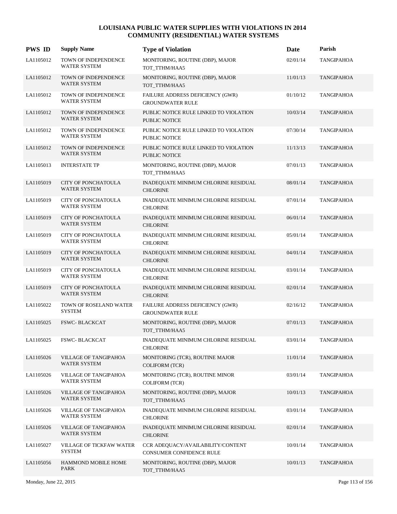| <b>PWS ID</b> | <b>Supply Name</b>                               | <b>Type of Violation</b>                                       | Date     | Parish            |
|---------------|--------------------------------------------------|----------------------------------------------------------------|----------|-------------------|
| LA1105012     | TOWN OF INDEPENDENCE<br><b>WATER SYSTEM</b>      | MONITORING, ROUTINE (DBP), MAJOR<br>TOT TTHM/HAA5              | 02/01/14 | <b>TANGIPAHOA</b> |
| LA1105012     | TOWN OF INDEPENDENCE<br>WATER SYSTEM             | MONITORING, ROUTINE (DBP), MAJOR<br>TOT_TTHM/HAA5              | 11/01/13 | <b>TANGIPAHOA</b> |
| LA1105012     | TOWN OF INDEPENDENCE<br>WATER SYSTEM             | FAILURE ADDRESS DEFICIENCY (GWR)<br><b>GROUNDWATER RULE</b>    | 01/10/12 | TANGIPAHOA        |
| LA1105012     | TOWN OF INDEPENDENCE<br>WATER SYSTEM             | PUBLIC NOTICE RULE LINKED TO VIOLATION<br><b>PUBLIC NOTICE</b> | 10/03/14 | <b>TANGIPAHOA</b> |
| LA1105012     | TOWN OF INDEPENDENCE<br>WATER SYSTEM             | PUBLIC NOTICE RULE LINKED TO VIOLATION<br>PUBLIC NOTICE        | 07/30/14 | <b>TANGIPAHOA</b> |
| LA1105012     | TOWN OF INDEPENDENCE<br>WATER SYSTEM             | PUBLIC NOTICE RULE LINKED TO VIOLATION<br>PUBLIC NOTICE        | 11/13/13 | <b>TANGIPAHOA</b> |
| LA1105013     | <b>INTERSTATE TP</b>                             | MONITORING, ROUTINE (DBP), MAJOR<br>TOT_TTHM/HAA5              | 07/01/13 | <b>TANGIPAHOA</b> |
| LA1105019     | CITY OF PONCHATOULA<br>WATER SYSTEM              | INADEQUATE MINIMUM CHLORINE RESIDUAL<br><b>CHLORINE</b>        | 08/01/14 | <b>TANGIPAHOA</b> |
| LA1105019     | CITY OF PONCHATOULA<br><b>WATER SYSTEM</b>       | INADEQUATE MINIMUM CHLORINE RESIDUAL<br><b>CHLORINE</b>        | 07/01/14 | <b>TANGIPAHOA</b> |
| LA1105019     | <b>CITY OF PONCHATOULA</b><br>WATER SYSTEM       | INADEQUATE MINIMUM CHLORINE RESIDUAL<br><b>CHLORINE</b>        | 06/01/14 | <b>TANGIPAHOA</b> |
| LA1105019     | CITY OF PONCHATOULA<br><b>WATER SYSTEM</b>       | INADEQUATE MINIMUM CHLORINE RESIDUAL<br><b>CHLORINE</b>        | 05/01/14 | <b>TANGIPAHOA</b> |
| LA1105019     | <b>CITY OF PONCHATOULA</b><br>WATER SYSTEM       | INADEQUATE MINIMUM CHLORINE RESIDUAL<br><b>CHLORINE</b>        | 04/01/14 | <b>TANGIPAHOA</b> |
| LA1105019     | CITY OF PONCHATOULA<br><b>WATER SYSTEM</b>       | INADEQUATE MINIMUM CHLORINE RESIDUAL<br><b>CHLORINE</b>        | 03/01/14 | <b>TANGIPAHOA</b> |
| LA1105019     | <b>CITY OF PONCHATOULA</b><br>WATER SYSTEM       | INADEQUATE MINIMUM CHLORINE RESIDUAL<br><b>CHLORINE</b>        | 02/01/14 | <b>TANGIPAHOA</b> |
| LA1105022     | TOWN OF ROSELAND WATER<br><b>SYSTEM</b>          | FAILURE ADDRESS DEFICIENCY (GWR)<br><b>GROUNDWATER RULE</b>    | 02/16/12 | TANGIPAHOA        |
| LA1105025     | <b>FSWC-BLACKCAT</b>                             | MONITORING, ROUTINE (DBP), MAJOR<br>TOT_TTHM/HAA5              | 07/01/13 | <b>TANGIPAHOA</b> |
| LA1105025     | FSWC-BLACKCAT                                    | INADEQUATE MINIMUM CHLORINE RESIDUAL<br><b>CHLORINE</b>        | 03/01/14 | <b>TANGIPAHOA</b> |
| LA1105026     | <b>VILLAGE OF TANGIPAHOA</b><br>WATER SYSTEM     | MONITORING (TCR), ROUTINE MAJOR<br><b>COLIFORM (TCR)</b>       | 11/01/14 | <b>TANGIPAHOA</b> |
| LA1105026     | VILLAGE OF TANGIPAHOA<br><b>WATER SYSTEM</b>     | MONITORING (TCR), ROUTINE MINOR<br><b>COLIFORM (TCR)</b>       | 03/01/14 | TANGIPAHOA        |
| LA1105026     | <b>VILLAGE OF TANGIPAHOA</b><br>WATER SYSTEM     | MONITORING, ROUTINE (DBP), MAJOR<br>TOT TTHM/HAA5              | 10/01/13 | <b>TANGIPAHOA</b> |
| LA1105026     | VILLAGE OF TANGIPAHOA<br><b>WATER SYSTEM</b>     | INADEQUATE MINIMUM CHLORINE RESIDUAL<br><b>CHLORINE</b>        | 03/01/14 | <b>TANGIPAHOA</b> |
| LA1105026     | VILLAGE OF TANGIPAHOA<br>WATER SYSTEM            | INADEQUATE MINIMUM CHLORINE RESIDUAL<br><b>CHLORINE</b>        | 02/01/14 | TANGIPAHOA        |
| LA1105027     | <b>VILLAGE OF TICKFAW WATER</b><br><b>SYSTEM</b> | CCR ADEQUACY/AVAILABILITY/CONTENT<br>CONSUMER CONFIDENCE RULE  | 10/01/14 | <b>TANGIPAHOA</b> |
| LA1105056     | HAMMOND MOBILE HOME<br>PARK                      | MONITORING, ROUTINE (DBP), MAJOR<br>TOT_TTHM/HAA5              | 10/01/13 | <b>TANGIPAHOA</b> |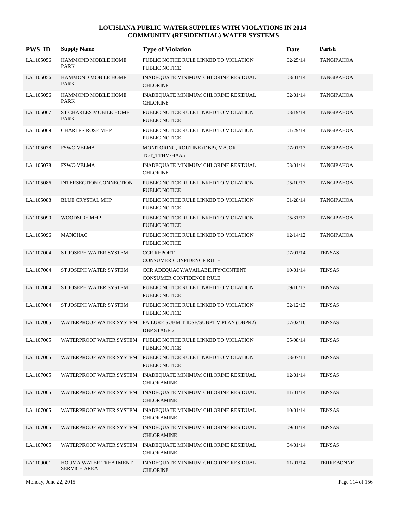| <b>PWS ID</b> | <b>Supply Name</b>                           | <b>Type of Violation</b>                                                               | Date     | Parish            |
|---------------|----------------------------------------------|----------------------------------------------------------------------------------------|----------|-------------------|
| LA1105056     | HAMMOND MOBILE HOME<br><b>PARK</b>           | PUBLIC NOTICE RULE LINKED TO VIOLATION<br><b>PUBLIC NOTICE</b>                         | 02/25/14 | <b>TANGIPAHOA</b> |
| LA1105056     | <b>HAMMOND MOBILE HOME</b><br><b>PARK</b>    | INADEQUATE MINIMUM CHLORINE RESIDUAL<br><b>CHLORINE</b>                                | 03/01/14 | <b>TANGIPAHOA</b> |
| LA1105056     | HAMMOND MOBILE HOME<br>PARK                  | INADEQUATE MINIMUM CHLORINE RESIDUAL<br><b>CHLORINE</b>                                | 02/01/14 | TANGIPAHOA        |
| LA1105067     | <b>ST CHARLES MOBILE HOME</b><br><b>PARK</b> | PUBLIC NOTICE RULE LINKED TO VIOLATION<br>PUBLIC NOTICE                                | 03/19/14 | <b>TANGIPAHOA</b> |
| LA1105069     | <b>CHARLES ROSE MHP</b>                      | PUBLIC NOTICE RULE LINKED TO VIOLATION<br>PUBLIC NOTICE                                | 01/29/14 | TANGIPAHOA        |
| LA1105078     | <b>FSWC-VELMA</b>                            | MONITORING, ROUTINE (DBP), MAJOR<br>TOT_TTHM/HAA5                                      | 07/01/13 | <b>TANGIPAHOA</b> |
| LA1105078     | <b>FSWC-VELMA</b>                            | INADEQUATE MINIMUM CHLORINE RESIDUAL<br><b>CHLORINE</b>                                | 03/01/14 | TANGIPAHOA        |
| LA1105086     | INTERSECTION CONNECTION                      | PUBLIC NOTICE RULE LINKED TO VIOLATION<br>PUBLIC NOTICE                                | 05/10/13 | <b>TANGIPAHOA</b> |
| LA1105088     | <b>BLUE CRYSTAL MHP</b>                      | PUBLIC NOTICE RULE LINKED TO VIOLATION<br><b>PUBLIC NOTICE</b>                         | 01/28/14 | <b>TANGIPAHOA</b> |
| LA1105090     | WOODSIDE MHP                                 | PUBLIC NOTICE RULE LINKED TO VIOLATION<br><b>PUBLIC NOTICE</b>                         | 05/31/12 | <b>TANGIPAHOA</b> |
| LA1105096     | <b>MANCHAC</b>                               | PUBLIC NOTICE RULE LINKED TO VIOLATION<br>PUBLIC NOTICE                                | 12/14/12 | <b>TANGIPAHOA</b> |
| LA1107004     | ST JOSEPH WATER SYSTEM                       | <b>CCR REPORT</b><br>CONSUMER CONFIDENCE RULE                                          | 07/01/14 | <b>TENSAS</b>     |
| LA1107004     | ST JOSEPH WATER SYSTEM                       | CCR ADEQUACY/AVAILABILITY/CONTENT<br>CONSUMER CONFIDENCE RULE                          | 10/01/14 | <b>TENSAS</b>     |
| LA1107004     | ST JOSEPH WATER SYSTEM                       | PUBLIC NOTICE RULE LINKED TO VIOLATION<br><b>PUBLIC NOTICE</b>                         | 09/10/13 | <b>TENSAS</b>     |
| LA1107004     | ST JOSEPH WATER SYSTEM                       | PUBLIC NOTICE RULE LINKED TO VIOLATION<br>PUBLIC NOTICE                                | 02/12/13 | <b>TENSAS</b>     |
| LA1107005     |                                              | WATERPROOF WATER SYSTEM FAILURE SUBMIT IDSE/SUBPT V PLAN (DBPR2)<br><b>DBP STAGE 2</b> | 07/02/10 | <b>TENSAS</b>     |
| LA1107005     |                                              | WATERPROOF WATER SYSTEM PUBLIC NOTICE RULE LINKED TO VIOLATION<br>PUBLIC NOTICE        | 05/08/14 | <b>TENSAS</b>     |
| LA1107005     |                                              | WATERPROOF WATER SYSTEM PUBLIC NOTICE RULE LINKED TO VIOLATION<br>PUBLIC NOTICE        | 03/07/11 | <b>TENSAS</b>     |
| LA1107005     |                                              | WATERPROOF WATER SYSTEM INADEQUATE MINIMUM CHLORINE RESIDUAL<br>CHLORAMINE             | 12/01/14 | <b>TENSAS</b>     |
| LA1107005     |                                              | WATERPROOF WATER SYSTEM INADEQUATE MINIMUM CHLORINE RESIDUAL<br><b>CHLORAMINE</b>      | 11/01/14 | <b>TENSAS</b>     |
| LA1107005     | WATERPROOF WATER SYSTEM                      | INADEQUATE MINIMUM CHLORINE RESIDUAL<br><b>CHLORAMINE</b>                              | 10/01/14 | <b>TENSAS</b>     |
| LA1107005     |                                              | WATERPROOF WATER SYSTEM INADEQUATE MINIMUM CHLORINE RESIDUAL<br>CHLORAMINE             | 09/01/14 | <b>TENSAS</b>     |
| LA1107005     | WATERPROOF WATER SYSTEM                      | INADEQUATE MINIMUM CHLORINE RESIDUAL<br>CHLORAMINE                                     | 04/01/14 | <b>TENSAS</b>     |
| LA1109001     | HOUMA WATER TREATMENT<br><b>SERVICE AREA</b> | INADEQUATE MINIMUM CHLORINE RESIDUAL<br><b>CHLORINE</b>                                | 11/01/14 | <b>TERREBONNE</b> |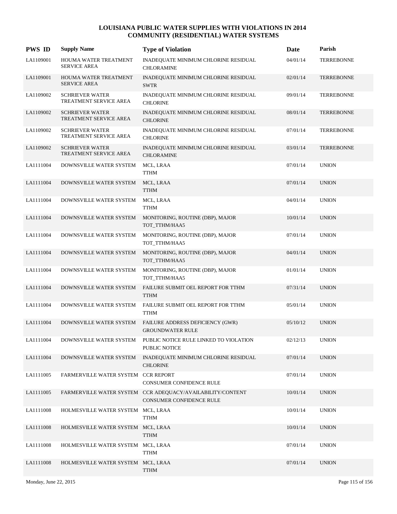| <b>PWS ID</b> | <b>Supply Name</b>                               | <b>Type of Violation</b>                                                               | Date     | Parish            |
|---------------|--------------------------------------------------|----------------------------------------------------------------------------------------|----------|-------------------|
| LA1109001     | HOUMA WATER TREATMENT<br><b>SERVICE AREA</b>     | INADEQUATE MINIMUM CHLORINE RESIDUAL<br><b>CHLORAMINE</b>                              | 04/01/14 | <b>TERREBONNE</b> |
| LA1109001     | HOUMA WATER TREATMENT<br><b>SERVICE AREA</b>     | INADEQUATE MINIMUM CHLORINE RESIDUAL<br><b>SWTR</b>                                    | 02/01/14 | <b>TERREBONNE</b> |
| LA1109002     | <b>SCHRIEVER WATER</b><br>TREATMENT SERVICE AREA | INADEQUATE MINIMUM CHLORINE RESIDUAL<br><b>CHLORINE</b>                                | 09/01/14 | <b>TERREBONNE</b> |
| LA1109002     | <b>SCHRIEVER WATER</b><br>TREATMENT SERVICE AREA | INADEQUATE MINIMUM CHLORINE RESIDUAL<br><b>CHLORINE</b>                                | 08/01/14 | <b>TERREBONNE</b> |
| LA1109002     | <b>SCHRIEVER WATER</b><br>TREATMENT SERVICE AREA | INADEQUATE MINIMUM CHLORINE RESIDUAL<br><b>CHLORINE</b>                                | 07/01/14 | <b>TERREBONNE</b> |
| LA1109002     | <b>SCHRIEVER WATER</b><br>TREATMENT SERVICE AREA | INADEQUATE MINIMUM CHLORINE RESIDUAL<br><b>CHLORAMINE</b>                              | 03/01/14 | <b>TERREBONNE</b> |
| LA1111004     | DOWNSVILLE WATER SYSTEM                          | MCL, LRAA<br><b>TTHM</b>                                                               | 07/01/14 | <b>UNION</b>      |
| LA1111004     | DOWNSVILLE WATER SYSTEM                          | MCL, LRAA<br><b>TTHM</b>                                                               | 07/01/14 | <b>UNION</b>      |
| LA1111004     | DOWNSVILLE WATER SYSTEM                          | MCL, LRAA<br><b>TTHM</b>                                                               | 04/01/14 | <b>UNION</b>      |
| LA1111004     | DOWNSVILLE WATER SYSTEM                          | MONITORING, ROUTINE (DBP), MAJOR<br>TOT_TTHM/HAA5                                      | 10/01/14 | <b>UNION</b>      |
| LA1111004     | DOWNSVILLE WATER SYSTEM                          | MONITORING, ROUTINE (DBP), MAJOR<br>TOT_TTHM/HAA5                                      | 07/01/14 | <b>UNION</b>      |
| LA1111004     | DOWNSVILLE WATER SYSTEM                          | MONITORING, ROUTINE (DBP), MAJOR<br>TOT_TTHM/HAA5                                      | 04/01/14 | <b>UNION</b>      |
| LA1111004     | DOWNSVILLE WATER SYSTEM                          | MONITORING, ROUTINE (DBP), MAJOR<br>TOT_TTHM/HAA5                                      | 01/01/14 | <b>UNION</b>      |
| LA1111004     | DOWNSVILLE WATER SYSTEM                          | FAILURE SUBMIT OEL REPORT FOR TTHM<br><b>TTHM</b>                                      | 07/31/14 | <b>UNION</b>      |
| LA1111004     | DOWNSVILLE WATER SYSTEM                          | FAILURE SUBMIT OEL REPORT FOR TTHM<br><b>TTHM</b>                                      | 05/01/14 | <b>UNION</b>      |
| LA1111004     | DOWNSVILLE WATER SYSTEM                          | FAILURE ADDRESS DEFICIENCY (GWR)<br><b>GROUNDWATER RULE</b>                            | 05/10/12 | <b>UNION</b>      |
| LA1111004     | DOWNSVILLE WATER SYSTEM                          | PUBLIC NOTICE RULE LINKED TO VIOLATION<br>PUBLIC NOTICE                                | 02/12/13 | <b>UNION</b>      |
| LA1111004     | DOWNSVILLE WATER SYSTEM                          | INADEQUATE MINIMUM CHLORINE RESIDUAL<br><b>CHLORINE</b>                                | 07/01/14 | <b>UNION</b>      |
| LA1111005     | FARMERVILLE WATER SYSTEM CCR REPORT              | CONSUMER CONFIDENCE RULE                                                               | 07/01/14 | <b>UNION</b>      |
| LA1111005     |                                                  | FARMERVILLE WATER SYSTEM CCR ADEQUACY/AVAILABILITY/CONTENT<br>CONSUMER CONFIDENCE RULE | 10/01/14 | <b>UNION</b>      |
| LA1111008     | HOLMESVILLE WATER SYSTEM MCL, LRAA               | <b>TTHM</b>                                                                            | 10/01/14 | <b>UNION</b>      |
| LA1111008     | HOLMESVILLE WATER SYSTEM MCL, LRAA               | <b>TTHM</b>                                                                            | 10/01/14 | <b>UNION</b>      |
| LA1111008     | HOLMESVILLE WATER SYSTEM MCL, LRAA               | <b>TTHM</b>                                                                            | 07/01/14 | <b>UNION</b>      |
| LA1111008     | HOLMESVILLE WATER SYSTEM MCL, LRAA               | <b>TTHM</b>                                                                            | 07/01/14 | <b>UNION</b>      |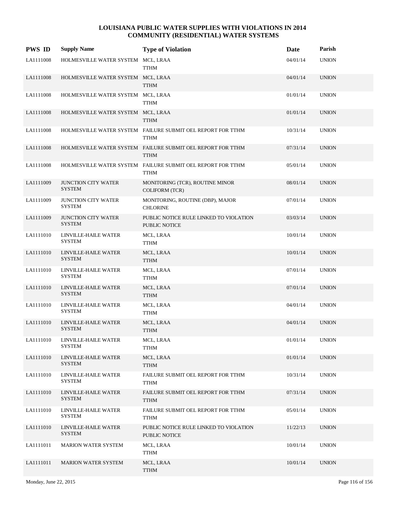| <b>PWS ID</b> | <b>Supply Name</b>                          | <b>Type of Violation</b>                                                   | Date     | Parish       |
|---------------|---------------------------------------------|----------------------------------------------------------------------------|----------|--------------|
| LA1111008     | HOLMESVILLE WATER SYSTEM MCL, LRAA          | <b>TTHM</b>                                                                | 04/01/14 | <b>UNION</b> |
| LA1111008     | HOLMESVILLE WATER SYSTEM MCL, LRAA          | <b>TTHM</b>                                                                | 04/01/14 | <b>UNION</b> |
| LA1111008     | HOLMESVILLE WATER SYSTEM MCL, LRAA          | <b>TTHM</b>                                                                | 01/01/14 | <b>UNION</b> |
| LA1111008     | HOLMESVILLE WATER SYSTEM MCL, LRAA          | <b>TTHM</b>                                                                | 01/01/14 | <b>UNION</b> |
| LA1111008     |                                             | HOLMESVILLE WATER SYSTEM FAILURE SUBMIT OEL REPORT FOR TTHM<br><b>TTHM</b> | 10/31/14 | <b>UNION</b> |
| LA1111008     |                                             | HOLMESVILLE WATER SYSTEM FAILURE SUBMIT OEL REPORT FOR TTHM<br><b>TTHM</b> | 07/31/14 | <b>UNION</b> |
| LA1111008     |                                             | HOLMESVILLE WATER SYSTEM FAILURE SUBMIT OEL REPORT FOR TTHM<br><b>TTHM</b> | 05/01/14 | <b>UNION</b> |
| LA1111009     | JUNCTION CITY WATER<br><b>SYSTEM</b>        | MONITORING (TCR), ROUTINE MINOR<br><b>COLIFORM (TCR)</b>                   | 08/01/14 | <b>UNION</b> |
| LA1111009     | <b>JUNCTION CITY WATER</b><br><b>SYSTEM</b> | MONITORING, ROUTINE (DBP), MAJOR<br><b>CHLORINE</b>                        | 07/01/14 | <b>UNION</b> |
| LA1111009     | <b>JUNCTION CITY WATER</b><br><b>SYSTEM</b> | PUBLIC NOTICE RULE LINKED TO VIOLATION<br>PUBLIC NOTICE                    | 03/03/14 | <b>UNION</b> |
| LA1111010     | LINVILLE-HAILE WATER<br><b>SYSTEM</b>       | MCL, LRAA<br>TTHM                                                          | 10/01/14 | <b>UNION</b> |
| LA1111010     | LINVILLE-HAILE WATER<br><b>SYSTEM</b>       | MCL, LRAA<br>TTHM                                                          | 10/01/14 | <b>UNION</b> |
| LA1111010     | LINVILLE-HAILE WATER<br><b>SYSTEM</b>       | MCL, LRAA<br>TTHM                                                          | 07/01/14 | <b>UNION</b> |
| LA1111010     | LINVILLE-HAILE WATER<br><b>SYSTEM</b>       | MCL, LRAA<br><b>TTHM</b>                                                   | 07/01/14 | <b>UNION</b> |
| LA1111010     | LINVILLE-HAILE WATER<br><b>SYSTEM</b>       | MCL, LRAA<br>TTHM                                                          | 04/01/14 | <b>UNION</b> |
| LA1111010     | LINVILLE-HAILE WATER<br><b>SYSTEM</b>       | MCL, LRAA<br><b>TTHM</b>                                                   | 04/01/14 | <b>UNION</b> |
| LA1111010     | LINVILLE-HAILE WATER<br>SYSTEM              | MCL, LRAA<br><b>TTHM</b>                                                   | 01/01/14 | <b>UNION</b> |
| LA1111010     | LINVILLE-HAILE WATER<br><b>SYSTEM</b>       | MCL, LRAA<br>TTHM                                                          | 01/01/14 | <b>UNION</b> |
| LA1111010     | LINVILLE-HAILE WATER<br><b>SYSTEM</b>       | FAILURE SUBMIT OEL REPORT FOR TTHM<br><b>TTHM</b>                          | 10/31/14 | <b>UNION</b> |
| LA1111010     | LINVILLE-HAILE WATER<br><b>SYSTEM</b>       | FAILURE SUBMIT OEL REPORT FOR TTHM<br><b>TTHM</b>                          | 07/31/14 | <b>UNION</b> |
| LA1111010     | LINVILLE-HAILE WATER<br><b>SYSTEM</b>       | FAILURE SUBMIT OEL REPORT FOR TTHM<br>TTHM                                 | 05/01/14 | <b>UNION</b> |
| LA1111010     | LINVILLE-HAILE WATER<br><b>SYSTEM</b>       | PUBLIC NOTICE RULE LINKED TO VIOLATION<br>PUBLIC NOTICE                    | 11/22/13 | <b>UNION</b> |
| LA1111011     | <b>MARION WATER SYSTEM</b>                  | MCL, LRAA<br>TTHM                                                          | 10/01/14 | <b>UNION</b> |
| LA1111011     | <b>MARION WATER SYSTEM</b>                  | MCL, LRAA<br><b>TTHM</b>                                                   | 10/01/14 | <b>UNION</b> |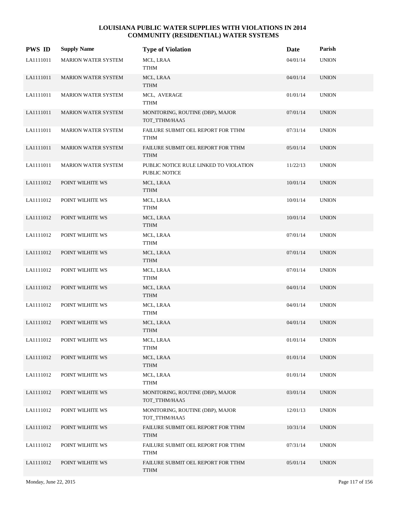| <b>PWS ID</b> | <b>Supply Name</b>         | <b>Type of Violation</b>                                       | Date     | Parish       |
|---------------|----------------------------|----------------------------------------------------------------|----------|--------------|
| LA1111011     | <b>MARION WATER SYSTEM</b> | MCL, LRAA<br><b>TTHM</b>                                       | 04/01/14 | <b>UNION</b> |
| LA1111011     | MARION WATER SYSTEM        | MCL, LRAA<br><b>TTHM</b>                                       | 04/01/14 | <b>UNION</b> |
| LA1111011     | MARION WATER SYSTEM        | MCL, AVERAGE<br><b>TTHM</b>                                    | 01/01/14 | <b>UNION</b> |
| LA1111011     | <b>MARION WATER SYSTEM</b> | MONITORING, ROUTINE (DBP), MAJOR<br>TOT_TTHM/HAA5              | 07/01/14 | <b>UNION</b> |
| LA1111011     | <b>MARION WATER SYSTEM</b> | FAILURE SUBMIT OEL REPORT FOR TTHM<br>TTHM                     | 07/31/14 | <b>UNION</b> |
| LA1111011     | MARION WATER SYSTEM        | FAILURE SUBMIT OEL REPORT FOR TTHM<br><b>TTHM</b>              | 05/01/14 | <b>UNION</b> |
| LA1111011     | MARION WATER SYSTEM        | PUBLIC NOTICE RULE LINKED TO VIOLATION<br><b>PUBLIC NOTICE</b> | 11/22/13 | <b>UNION</b> |
| LA1111012     | POINT WILHITE WS           | MCL, LRAA<br><b>TTHM</b>                                       | 10/01/14 | <b>UNION</b> |
| LA1111012     | POINT WILHITE WS           | MCL, LRAA<br>TTHM                                              | 10/01/14 | <b>UNION</b> |
| LA1111012     | POINT WILHITE WS           | MCL, LRAA<br><b>TTHM</b>                                       | 10/01/14 | <b>UNION</b> |
| LA1111012     | POINT WILHITE WS           | MCL, LRAA<br>TTHM                                              | 07/01/14 | <b>UNION</b> |
| LA1111012     | POINT WILHITE WS           | MCL, LRAA<br><b>TTHM</b>                                       | 07/01/14 | <b>UNION</b> |
| LA1111012     | POINT WILHITE WS           | MCL, LRAA<br>TTHM                                              | 07/01/14 | <b>UNION</b> |
| LA1111012     | POINT WILHITE WS           | MCL, LRAA<br><b>TTHM</b>                                       | 04/01/14 | <b>UNION</b> |
| LA1111012     | POINT WILHITE WS           | MCL, LRAA<br>TTHM                                              | 04/01/14 | <b>UNION</b> |
| LA1111012     | POINT WILHITE WS           | MCL, LRAA<br><b>TTHM</b>                                       | 04/01/14 | <b>UNION</b> |
| LA1111012     | POINT WILHITE WS           | MCL, LRAA<br><b>TTHM</b>                                       | 01/01/14 | <b>UNION</b> |
| LA1111012     | POINT WILHITE WS           | MCL, LRAA<br><b>TTHM</b>                                       | 01/01/14 | <b>UNION</b> |
| LA1111012     | POINT WILHITE WS           | MCL, LRAA<br><b>TTHM</b>                                       | 01/01/14 | <b>UNION</b> |
| LA1111012     | POINT WILHITE WS           | MONITORING, ROUTINE (DBP), MAJOR<br>TOT_TTHM/HAA5              | 03/01/14 | <b>UNION</b> |
| LA1111012     | POINT WILHITE WS           | MONITORING, ROUTINE (DBP), MAJOR<br>TOT_TTHM/HAA5              | 12/01/13 | <b>UNION</b> |
| LA1111012     | POINT WILHITE WS           | FAILURE SUBMIT OEL REPORT FOR TTHM<br><b>TTHM</b>              | 10/31/14 | <b>UNION</b> |
| LA1111012     | POINT WILHITE WS           | FAILURE SUBMIT OEL REPORT FOR TTHM<br><b>TTHM</b>              | 07/31/14 | <b>UNION</b> |
| LA1111012     | POINT WILHITE WS           | FAILURE SUBMIT OEL REPORT FOR TTHM<br><b>TTHM</b>              | 05/01/14 | <b>UNION</b> |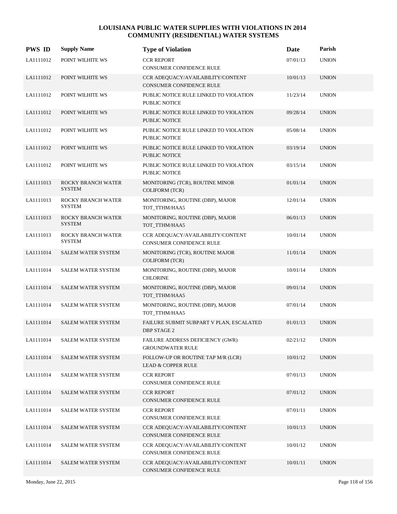| <b>PWS ID</b> | <b>Supply Name</b>                  | <b>Type of Violation</b>                                             | Date     | Parish       |
|---------------|-------------------------------------|----------------------------------------------------------------------|----------|--------------|
| LA1111012     | POINT WILHITE WS                    | <b>CCR REPORT</b><br>CONSUMER CONFIDENCE RULE                        | 07/01/13 | <b>UNION</b> |
| LA1111012     | POINT WILHITE WS                    | CCR ADEQUACY/AVAILABILITY/CONTENT<br><b>CONSUMER CONFIDENCE RULE</b> | 10/01/13 | <b>UNION</b> |
| LA1111012     | POINT WILHITE WS                    | PUBLIC NOTICE RULE LINKED TO VIOLATION<br>PUBLIC NOTICE              | 11/23/14 | <b>UNION</b> |
| LA1111012     | POINT WILHITE WS                    | PUBLIC NOTICE RULE LINKED TO VIOLATION<br><b>PUBLIC NOTICE</b>       | 09/28/14 | <b>UNION</b> |
| LA1111012     | POINT WILHITE WS                    | PUBLIC NOTICE RULE LINKED TO VIOLATION<br>PUBLIC NOTICE              | 05/08/14 | <b>UNION</b> |
| LA1111012     | POINT WILHITE WS                    | PUBLIC NOTICE RULE LINKED TO VIOLATION<br>PUBLIC NOTICE              | 03/19/14 | <b>UNION</b> |
| LA1111012     | POINT WILHITE WS                    | PUBLIC NOTICE RULE LINKED TO VIOLATION<br>PUBLIC NOTICE              | 03/15/14 | <b>UNION</b> |
| LA1111013     | ROCKY BRANCH WATER<br><b>SYSTEM</b> | MONITORING (TCR), ROUTINE MINOR<br><b>COLIFORM (TCR)</b>             | 01/01/14 | <b>UNION</b> |
| LA1111013     | ROCKY BRANCH WATER<br>SYSTEM        | MONITORING, ROUTINE (DBP), MAJOR<br>TOT TTHM/HAA5                    | 12/01/14 | <b>UNION</b> |
| LA1111013     | ROCKY BRANCH WATER<br><b>SYSTEM</b> | MONITORING, ROUTINE (DBP), MAJOR<br>TOT TTHM/HAA5                    | 06/01/13 | <b>UNION</b> |
| LA1111013     | ROCKY BRANCH WATER<br><b>SYSTEM</b> | CCR ADEQUACY/AVAILABILITY/CONTENT<br>CONSUMER CONFIDENCE RULE        | 10/01/14 | <b>UNION</b> |
| LA1111014     | <b>SALEM WATER SYSTEM</b>           | MONITORING (TCR), ROUTINE MAJOR<br><b>COLIFORM (TCR)</b>             | 11/01/14 | <b>UNION</b> |
| LA1111014     | <b>SALEM WATER SYSTEM</b>           | MONITORING, ROUTINE (DBP), MAJOR<br><b>CHLORINE</b>                  | 10/01/14 | <b>UNION</b> |
| LA1111014     | SALEM WATER SYSTEM                  | MONITORING, ROUTINE (DBP), MAJOR<br>TOT_TTHM/HAA5                    | 09/01/14 | <b>UNION</b> |
| LA1111014     | SALEM WATER SYSTEM                  | MONITORING, ROUTINE (DBP), MAJOR<br>TOT_TTHM/HAA5                    | 07/01/14 | <b>UNION</b> |
| LA1111014     | <b>SALEM WATER SYSTEM</b>           | FAILURE SUBMIT SUBPART V PLAN, ESCALATED<br><b>DBP STAGE 2</b>       | 01/01/13 | <b>UNION</b> |
| LA1111014     | <b>SALEM WATER SYSTEM</b>           | FAILURE ADDRESS DEFICIENCY (GWR)<br><b>GROUNDWATER RULE</b>          | 02/21/12 | <b>UNION</b> |
| LA1111014     | <b>SALEM WATER SYSTEM</b>           | FOLLOW-UP OR ROUTINE TAP M/R (LCR)<br>LEAD & COPPER RULE             | 10/01/12 | <b>UNION</b> |
| LA1111014     | <b>SALEM WATER SYSTEM</b>           | <b>CCR REPORT</b><br>CONSUMER CONFIDENCE RULE                        | 07/01/13 | <b>UNION</b> |
| LA1111014     | SALEM WATER SYSTEM                  | <b>CCR REPORT</b><br>CONSUMER CONFIDENCE RULE                        | 07/01/12 | <b>UNION</b> |
| LA1111014     | SALEM WATER SYSTEM                  | <b>CCR REPORT</b><br>CONSUMER CONFIDENCE RULE                        | 07/01/11 | <b>UNION</b> |
| LA1111014     | <b>SALEM WATER SYSTEM</b>           | CCR ADEQUACY/AVAILABILITY/CONTENT<br>CONSUMER CONFIDENCE RULE        | 10/01/13 | <b>UNION</b> |
| LA1111014     | <b>SALEM WATER SYSTEM</b>           | CCR ADEQUACY/AVAILABILITY/CONTENT<br>CONSUMER CONFIDENCE RULE        | 10/01/12 | <b>UNION</b> |
| LA1111014     | SALEM WATER SYSTEM                  | CCR ADEQUACY/AVAILABILITY/CONTENT<br>CONSUMER CONFIDENCE RULE        | 10/01/11 | <b>UNION</b> |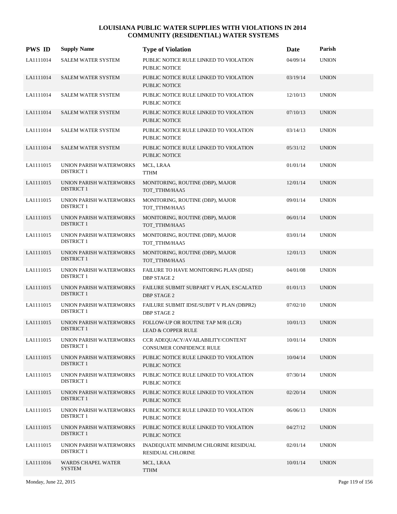| <b>PWS ID</b> | <b>Supply Name</b>                           | <b>Type of Violation</b>                                            | Date     | Parish       |
|---------------|----------------------------------------------|---------------------------------------------------------------------|----------|--------------|
| LA1111014     | <b>SALEM WATER SYSTEM</b>                    | PUBLIC NOTICE RULE LINKED TO VIOLATION<br>PUBLIC NOTICE             | 04/09/14 | <b>UNION</b> |
| LA1111014     | <b>SALEM WATER SYSTEM</b>                    | PUBLIC NOTICE RULE LINKED TO VIOLATION<br><b>PUBLIC NOTICE</b>      | 03/19/14 | <b>UNION</b> |
| LA1111014     | <b>SALEM WATER SYSTEM</b>                    | PUBLIC NOTICE RULE LINKED TO VIOLATION<br>PUBLIC NOTICE             | 12/10/13 | <b>UNION</b> |
| LA1111014     | <b>SALEM WATER SYSTEM</b>                    | PUBLIC NOTICE RULE LINKED TO VIOLATION<br>PUBLIC NOTICE             | 07/10/13 | <b>UNION</b> |
| LA1111014     | <b>SALEM WATER SYSTEM</b>                    | PUBLIC NOTICE RULE LINKED TO VIOLATION<br>PUBLIC NOTICE             | 03/14/13 | <b>UNION</b> |
| LA1111014     | <b>SALEM WATER SYSTEM</b>                    | PUBLIC NOTICE RULE LINKED TO VIOLATION<br><b>PUBLIC NOTICE</b>      | 05/31/12 | <b>UNION</b> |
| LA1111015     | UNION PARISH WATERWORKS<br><b>DISTRICT 1</b> | MCL, LRAA<br><b>TTHM</b>                                            | 01/01/14 | <b>UNION</b> |
| LA1111015     | UNION PARISH WATERWORKS<br><b>DISTRICT 1</b> | MONITORING, ROUTINE (DBP), MAJOR<br>TOT_TTHM/HAA5                   | 12/01/14 | <b>UNION</b> |
| LA1111015     | UNION PARISH WATERWORKS<br><b>DISTRICT 1</b> | MONITORING, ROUTINE (DBP), MAJOR<br>TOT_TTHM/HAA5                   | 09/01/14 | <b>UNION</b> |
| LA1111015     | UNION PARISH WATERWORKS<br><b>DISTRICT 1</b> | MONITORING, ROUTINE (DBP), MAJOR<br>TOT_TTHM/HAA5                   | 06/01/14 | <b>UNION</b> |
| LA1111015     | UNION PARISH WATERWORKS<br><b>DISTRICT 1</b> | MONITORING, ROUTINE (DBP), MAJOR<br>TOT_TTHM/HAA5                   | 03/01/14 | <b>UNION</b> |
| LA1111015     | UNION PARISH WATERWORKS<br><b>DISTRICT 1</b> | MONITORING, ROUTINE (DBP), MAJOR<br>TOT_TTHM/HAA5                   | 12/01/13 | <b>UNION</b> |
| LA1111015     | UNION PARISH WATERWORKS<br><b>DISTRICT 1</b> | FAILURE TO HAVE MONITORING PLAN (IDSE)<br><b>DBP STAGE 2</b>        | 04/01/08 | <b>UNION</b> |
| LA1111015     | UNION PARISH WATERWORKS<br><b>DISTRICT 1</b> | FAILURE SUBMIT SUBPART V PLAN, ESCALATED<br><b>DBP STAGE 2</b>      | 01/01/13 | <b>UNION</b> |
| LA1111015     | UNION PARISH WATERWORKS<br><b>DISTRICT 1</b> | FAILURE SUBMIT IDSE/SUBPT V PLAN (DBPR2)<br><b>DBP STAGE 2</b>      | 07/02/10 | <b>UNION</b> |
| LA1111015     | UNION PARISH WATERWORKS<br><b>DISTRICT 1</b> | FOLLOW-UP OR ROUTINE TAP M/R (LCR)<br><b>LEAD &amp; COPPER RULE</b> | 10/01/13 | <b>UNION</b> |
| LA1111015     | UNION PARISH WATERWORKS<br><b>DISTRICT 1</b> | CCR ADEQUACY/AVAILABILITY/CONTENT<br>CONSUMER CONFIDENCE RULE       | 10/01/14 | <b>UNION</b> |
| LA1111015     | UNION PARISH WATERWORKS<br><b>DISTRICT 1</b> | PUBLIC NOTICE RULE LINKED TO VIOLATION<br>PUBLIC NOTICE             | 10/04/14 | <b>UNION</b> |
| LA1111015     | UNION PARISH WATERWORKS<br><b>DISTRICT 1</b> | PUBLIC NOTICE RULE LINKED TO VIOLATION<br>PUBLIC NOTICE             | 07/30/14 | <b>UNION</b> |
| LA1111015     | UNION PARISH WATERWORKS<br><b>DISTRICT 1</b> | PUBLIC NOTICE RULE LINKED TO VIOLATION<br>PUBLIC NOTICE             | 02/20/14 | <b>UNION</b> |
| LA1111015     | UNION PARISH WATERWORKS<br><b>DISTRICT 1</b> | PUBLIC NOTICE RULE LINKED TO VIOLATION<br>PUBLIC NOTICE             | 06/06/13 | <b>UNION</b> |
| LA1111015     | UNION PARISH WATERWORKS<br><b>DISTRICT 1</b> | PUBLIC NOTICE RULE LINKED TO VIOLATION<br>PUBLIC NOTICE             | 04/27/12 | <b>UNION</b> |
| LA1111015     | UNION PARISH WATERWORKS<br><b>DISTRICT 1</b> | INADEQUATE MINIMUM CHLORINE RESIDUAL<br>RESIDUAL CHLORINE           | 02/01/14 | <b>UNION</b> |
| LA1111016     | <b>WARDS CHAPEL WATER</b><br><b>SYSTEM</b>   | MCL, LRAA<br><b>TTHM</b>                                            | 10/01/14 | <b>UNION</b> |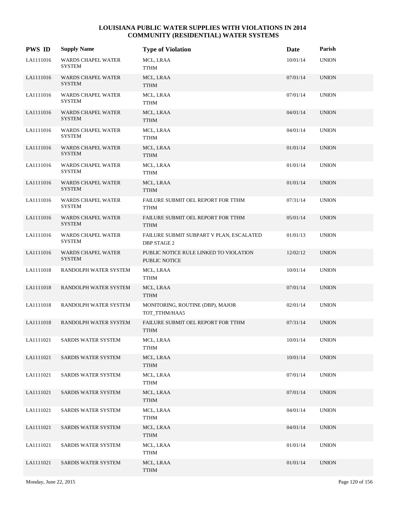| <b>PWS ID</b> | <b>Supply Name</b>                         | <b>Type of Violation</b>                                       | Date     | Parish       |
|---------------|--------------------------------------------|----------------------------------------------------------------|----------|--------------|
| LA1111016     | WARDS CHAPEL WATER<br><b>SYSTEM</b>        | MCL, LRAA<br><b>TTHM</b>                                       | 10/01/14 | <b>UNION</b> |
| LA1111016     | <b>WARDS CHAPEL WATER</b><br><b>SYSTEM</b> | MCL, LRAA<br><b>TTHM</b>                                       | 07/01/14 | <b>UNION</b> |
| LA1111016     | WARDS CHAPEL WATER<br><b>SYSTEM</b>        | MCL, LRAA<br><b>TTHM</b>                                       | 07/01/14 | <b>UNION</b> |
| LA1111016     | <b>WARDS CHAPEL WATER</b><br><b>SYSTEM</b> | MCL, LRAA<br>TTHM                                              | 04/01/14 | <b>UNION</b> |
| LA1111016     | <b>WARDS CHAPEL WATER</b><br><b>SYSTEM</b> | MCL, LRAA<br>TTHM                                              | 04/01/14 | <b>UNION</b> |
| LA1111016     | <b>WARDS CHAPEL WATER</b><br><b>SYSTEM</b> | MCL, LRAA<br><b>TTHM</b>                                       | 01/01/14 | <b>UNION</b> |
| LA1111016     | WARDS CHAPEL WATER<br><b>SYSTEM</b>        | MCL, LRAA<br><b>TTHM</b>                                       | 01/01/14 | <b>UNION</b> |
| LA1111016     | <b>WARDS CHAPEL WATER</b><br><b>SYSTEM</b> | MCL, LRAA<br><b>TTHM</b>                                       | 01/01/14 | <b>UNION</b> |
| LA1111016     | WARDS CHAPEL WATER<br><b>SYSTEM</b>        | FAILURE SUBMIT OEL REPORT FOR TTHM<br>TTHM                     | 07/31/14 | <b>UNION</b> |
| LA1111016     | <b>WARDS CHAPEL WATER</b><br><b>SYSTEM</b> | FAILURE SUBMIT OEL REPORT FOR TTHM<br><b>TTHM</b>              | 05/01/14 | <b>UNION</b> |
| LA1111016     | WARDS CHAPEL WATER<br><b>SYSTEM</b>        | FAILURE SUBMIT SUBPART V PLAN, ESCALATED<br>DBP STAGE 2        | 01/01/13 | <b>UNION</b> |
| LA1111016     | <b>WARDS CHAPEL WATER</b><br><b>SYSTEM</b> | PUBLIC NOTICE RULE LINKED TO VIOLATION<br><b>PUBLIC NOTICE</b> | 12/02/12 | <b>UNION</b> |
| LA1111018     | RANDOLPH WATER SYSTEM                      | MCL, LRAA<br>TTHM                                              | 10/01/14 | <b>UNION</b> |
| LA1111018     | RANDOLPH WATER SYSTEM                      | MCL, LRAA<br><b>TTHM</b>                                       | 07/01/14 | <b>UNION</b> |
| LA1111018     | RANDOLPH WATER SYSTEM                      | MONITORING, ROUTINE (DBP), MAJOR<br>TOT_TTHM/HAA5              | 02/01/14 | <b>UNION</b> |
| LA1111018     | RANDOLPH WATER SYSTEM                      | FAILURE SUBMIT OEL REPORT FOR TTHM<br><b>TTHM</b>              | 07/31/14 | <b>UNION</b> |
| LA1111021     | SARDIS WATER SYSTEM                        | MCL, LRAA<br><b>TTHM</b>                                       | 10/01/14 | <b>UNION</b> |
| LA1111021     | SARDIS WATER SYSTEM                        | MCL, LRAA<br><b>TTHM</b>                                       | 10/01/14 | <b>UNION</b> |
| LA1111021     | SARDIS WATER SYSTEM                        | MCL, LRAA<br><b>TTHM</b>                                       | 07/01/14 | <b>UNION</b> |
| LA1111021     | SARDIS WATER SYSTEM                        | MCL, LRAA<br><b>TTHM</b>                                       | 07/01/14 | <b>UNION</b> |
| LA1111021     | SARDIS WATER SYSTEM                        | MCL, LRAA<br><b>TTHM</b>                                       | 04/01/14 | <b>UNION</b> |
| LA1111021     | SARDIS WATER SYSTEM                        | MCL, LRAA<br><b>TTHM</b>                                       | 04/01/14 | <b>UNION</b> |
| LA1111021     | SARDIS WATER SYSTEM                        | MCL, LRAA<br><b>TTHM</b>                                       | 01/01/14 | <b>UNION</b> |
| LA1111021     | SARDIS WATER SYSTEM                        | MCL, LRAA<br><b>TTHM</b>                                       | 01/01/14 | <b>UNION</b> |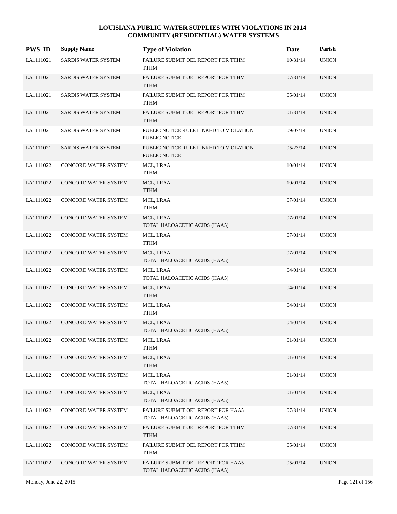| <b>PWS ID</b> | <b>Supply Name</b>         | <b>Type of Violation</b>                                            | Date     | Parish       |
|---------------|----------------------------|---------------------------------------------------------------------|----------|--------------|
| LA1111021     | SARDIS WATER SYSTEM        | FAILURE SUBMIT OEL REPORT FOR TTHM<br><b>TTHM</b>                   | 10/31/14 | <b>UNION</b> |
| LA1111021     | SARDIS WATER SYSTEM        | FAILURE SUBMIT OEL REPORT FOR TTHM<br><b>TTHM</b>                   | 07/31/14 | <b>UNION</b> |
| LA1111021     | SARDIS WATER SYSTEM        | FAILURE SUBMIT OEL REPORT FOR TTHM<br><b>TTHM</b>                   | 05/01/14 | <b>UNION</b> |
| LA1111021     | <b>SARDIS WATER SYSTEM</b> | FAILURE SUBMIT OEL REPORT FOR TTHM<br><b>TTHM</b>                   | 01/31/14 | <b>UNION</b> |
| LA1111021     | SARDIS WATER SYSTEM        | PUBLIC NOTICE RULE LINKED TO VIOLATION<br>PUBLIC NOTICE             | 09/07/14 | <b>UNION</b> |
| LA1111021     | SARDIS WATER SYSTEM        | PUBLIC NOTICE RULE LINKED TO VIOLATION<br>PUBLIC NOTICE             | 05/23/14 | <b>UNION</b> |
| LA1111022     | CONCORD WATER SYSTEM       | MCL, LRAA<br><b>TTHM</b>                                            | 10/01/14 | <b>UNION</b> |
| LA1111022     | CONCORD WATER SYSTEM       | MCL, LRAA<br><b>TTHM</b>                                            | 10/01/14 | <b>UNION</b> |
| LA1111022     | CONCORD WATER SYSTEM       | MCL, LRAA<br><b>TTHM</b>                                            | 07/01/14 | <b>UNION</b> |
| LA1111022     | CONCORD WATER SYSTEM       | MCL, LRAA<br>TOTAL HALOACETIC ACIDS (HAA5)                          | 07/01/14 | <b>UNION</b> |
| LA1111022     | CONCORD WATER SYSTEM       | MCL, LRAA<br><b>TTHM</b>                                            | 07/01/14 | <b>UNION</b> |
| LA1111022     | CONCORD WATER SYSTEM       | MCL, LRAA<br>TOTAL HALOACETIC ACIDS (HAA5)                          | 07/01/14 | <b>UNION</b> |
| LA1111022     | CONCORD WATER SYSTEM       | MCL, LRAA<br>TOTAL HALOACETIC ACIDS (HAA5)                          | 04/01/14 | <b>UNION</b> |
| LA1111022     | CONCORD WATER SYSTEM       | MCL, LRAA<br><b>TTHM</b>                                            | 04/01/14 | <b>UNION</b> |
| LA1111022     | CONCORD WATER SYSTEM       | MCL, LRAA<br><b>TTHM</b>                                            | 04/01/14 | <b>UNION</b> |
| LA1111022     | CONCORD WATER SYSTEM       | MCL, LRAA<br>TOTAL HALOACETIC ACIDS (HAA5)                          | 04/01/14 | <b>UNION</b> |
| LA1111022     | CONCORD WATER SYSTEM       | MCL, LRAA<br><b>TTHM</b>                                            | 01/01/14 | <b>UNION</b> |
| LA1111022     | CONCORD WATER SYSTEM       | MCL, LRAA<br><b>TTHM</b>                                            | 01/01/14 | <b>UNION</b> |
| LA1111022     | CONCORD WATER SYSTEM       | MCL, LRAA<br>TOTAL HALOACETIC ACIDS (HAA5)                          | 01/01/14 | <b>UNION</b> |
| LA1111022     | CONCORD WATER SYSTEM       | MCL, LRAA<br>TOTAL HALOACETIC ACIDS (HAA5)                          | 01/01/14 | <b>UNION</b> |
| LA1111022     | CONCORD WATER SYSTEM       | FAILURE SUBMIT OEL REPORT FOR HAA5<br>TOTAL HALOACETIC ACIDS (HAA5) | 07/31/14 | <b>UNION</b> |
| LA1111022     | CONCORD WATER SYSTEM       | FAILURE SUBMIT OEL REPORT FOR TTHM<br><b>TTHM</b>                   | 07/31/14 | <b>UNION</b> |
| LA1111022     | CONCORD WATER SYSTEM       | FAILURE SUBMIT OEL REPORT FOR TTHM<br><b>TTHM</b>                   | 05/01/14 | <b>UNION</b> |
| LA1111022     | CONCORD WATER SYSTEM       | FAILURE SUBMIT OEL REPORT FOR HAA5<br>TOTAL HALOACETIC ACIDS (HAA5) | 05/01/14 | <b>UNION</b> |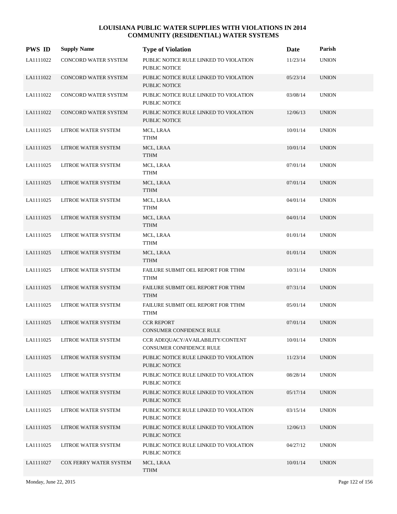| <b>PWS ID</b> | <b>Supply Name</b>     | <b>Type of Violation</b>                                             | Date     | Parish       |
|---------------|------------------------|----------------------------------------------------------------------|----------|--------------|
| LA1111022     | CONCORD WATER SYSTEM   | PUBLIC NOTICE RULE LINKED TO VIOLATION<br><b>PUBLIC NOTICE</b>       | 11/23/14 | <b>UNION</b> |
| LA1111022     | CONCORD WATER SYSTEM   | PUBLIC NOTICE RULE LINKED TO VIOLATION<br><b>PUBLIC NOTICE</b>       | 05/23/14 | <b>UNION</b> |
| LA1111022     | CONCORD WATER SYSTEM   | PUBLIC NOTICE RULE LINKED TO VIOLATION<br><b>PUBLIC NOTICE</b>       | 03/08/14 | <b>UNION</b> |
| LA1111022     | CONCORD WATER SYSTEM   | PUBLIC NOTICE RULE LINKED TO VIOLATION<br>PUBLIC NOTICE              | 12/06/13 | <b>UNION</b> |
| LA1111025     | LITROE WATER SYSTEM    | MCL, LRAA<br>TTHM                                                    | 10/01/14 | <b>UNION</b> |
| LA1111025     | LITROE WATER SYSTEM    | MCL, LRAA<br><b>TTHM</b>                                             | 10/01/14 | <b>UNION</b> |
| LA1111025     | LITROE WATER SYSTEM    | MCL, LRAA<br><b>TTHM</b>                                             | 07/01/14 | <b>UNION</b> |
| LA1111025     | LITROE WATER SYSTEM    | MCL, LRAA<br>TTHM                                                    | 07/01/14 | <b>UNION</b> |
| LA1111025     | LITROE WATER SYSTEM    | MCL, LRAA<br>TTHM                                                    | 04/01/14 | <b>UNION</b> |
| LA1111025     | LITROE WATER SYSTEM    | MCL, LRAA<br><b>TTHM</b>                                             | 04/01/14 | <b>UNION</b> |
| LA1111025     | LITROE WATER SYSTEM    | MCL, LRAA<br><b>TTHM</b>                                             | 01/01/14 | <b>UNION</b> |
| LA1111025     | LITROE WATER SYSTEM    | MCL, LRAA<br>TTHM                                                    | 01/01/14 | <b>UNION</b> |
| LA1111025     | LITROE WATER SYSTEM    | FAILURE SUBMIT OEL REPORT FOR TTHM<br><b>TTHM</b>                    | 10/31/14 | <b>UNION</b> |
| LA1111025     | LITROE WATER SYSTEM    | FAILURE SUBMIT OEL REPORT FOR TTHM<br><b>TTHM</b>                    | 07/31/14 | <b>UNION</b> |
| LA1111025     | LITROE WATER SYSTEM    | FAILURE SUBMIT OEL REPORT FOR TTHM<br><b>TTHM</b>                    | 05/01/14 | <b>UNION</b> |
| LA1111025     | LITROE WATER SYSTEM    | <b>CCR REPORT</b><br><b>CONSUMER CONFIDENCE RULE</b>                 | 07/01/14 | <b>UNION</b> |
| LA1111025     | LITROE WATER SYSTEM    | CCR ADEQUACY/AVAILABILITY/CONTENT<br><b>CONSUMER CONFIDENCE RULE</b> | 10/01/14 | <b>UNION</b> |
| LA1111025     | LITROE WATER SYSTEM    | PUBLIC NOTICE RULE LINKED TO VIOLATION<br>PUBLIC NOTICE              | 11/23/14 | <b>UNION</b> |
| LA1111025     | LITROE WATER SYSTEM    | PUBLIC NOTICE RULE LINKED TO VIOLATION<br>PUBLIC NOTICE              | 08/28/14 | <b>UNION</b> |
| LA1111025     | LITROE WATER SYSTEM    | PUBLIC NOTICE RULE LINKED TO VIOLATION<br>PUBLIC NOTICE              | 05/17/14 | <b>UNION</b> |
| LA1111025     | LITROE WATER SYSTEM    | PUBLIC NOTICE RULE LINKED TO VIOLATION<br>PUBLIC NOTICE              | 03/15/14 | <b>UNION</b> |
| LA1111025     | LITROE WATER SYSTEM    | PUBLIC NOTICE RULE LINKED TO VIOLATION<br>PUBLIC NOTICE              | 12/06/13 | <b>UNION</b> |
| LA1111025     | LITROE WATER SYSTEM    | PUBLIC NOTICE RULE LINKED TO VIOLATION<br>PUBLIC NOTICE              | 04/27/12 | <b>UNION</b> |
| LA1111027     | COX FERRY WATER SYSTEM | MCL, LRAA<br><b>TTHM</b>                                             | 10/01/14 | <b>UNION</b> |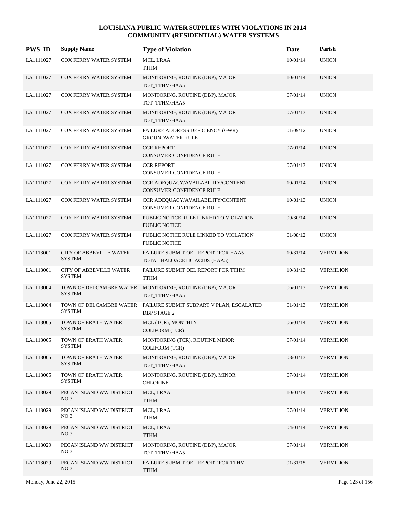| <b>PWS ID</b> | <b>Supply Name</b>                              | <b>Type of Violation</b>                                                   | Date     | Parish           |
|---------------|-------------------------------------------------|----------------------------------------------------------------------------|----------|------------------|
| LA1111027     | COX FERRY WATER SYSTEM                          | MCL, LRAA<br><b>TTHM</b>                                                   | 10/01/14 | <b>UNION</b>     |
| LA1111027     | COX FERRY WATER SYSTEM                          | MONITORING, ROUTINE (DBP), MAJOR<br>TOT_TTHM/HAA5                          | 10/01/14 | <b>UNION</b>     |
| LA1111027     | COX FERRY WATER SYSTEM                          | MONITORING, ROUTINE (DBP), MAJOR<br>TOT_TTHM/HAA5                          | 07/01/14 | <b>UNION</b>     |
| LA1111027     | COX FERRY WATER SYSTEM                          | MONITORING, ROUTINE (DBP), MAJOR<br>TOT_TTHM/HAA5                          | 07/01/13 | <b>UNION</b>     |
| LA1111027     | COX FERRY WATER SYSTEM                          | FAILURE ADDRESS DEFICIENCY (GWR)<br><b>GROUNDWATER RULE</b>                | 01/09/12 | <b>UNION</b>     |
| LA1111027     | COX FERRY WATER SYSTEM                          | <b>CCR REPORT</b><br>CONSUMER CONFIDENCE RULE                              | 07/01/14 | <b>UNION</b>     |
| LA1111027     | COX FERRY WATER SYSTEM                          | <b>CCR REPORT</b><br><b>CONSUMER CONFIDENCE RULE</b>                       | 07/01/13 | <b>UNION</b>     |
| LA1111027     | COX FERRY WATER SYSTEM                          | CCR ADEQUACY/AVAILABILITY/CONTENT<br><b>CONSUMER CONFIDENCE RULE</b>       | 10/01/14 | <b>UNION</b>     |
| LA1111027     | COX FERRY WATER SYSTEM                          | CCR ADEQUACY/AVAILABILITY/CONTENT<br><b>CONSUMER CONFIDENCE RULE</b>       | 10/01/13 | <b>UNION</b>     |
| LA1111027     | COX FERRY WATER SYSTEM                          | PUBLIC NOTICE RULE LINKED TO VIOLATION<br><b>PUBLIC NOTICE</b>             | 09/30/14 | <b>UNION</b>     |
| LA1111027     | COX FERRY WATER SYSTEM                          | PUBLIC NOTICE RULE LINKED TO VIOLATION<br>PUBLIC NOTICE                    | 01/08/12 | <b>UNION</b>     |
| LA1113001     | <b>CITY OF ABBEVILLE WATER</b><br><b>SYSTEM</b> | <b>FAILURE SUBMIT OEL REPORT FOR HAA5</b><br>TOTAL HALOACETIC ACIDS (HAA5) | 10/31/14 | <b>VERMILION</b> |
| LA1113001     | <b>CITY OF ABBEVILLE WATER</b><br><b>SYSTEM</b> | FAILURE SUBMIT OEL REPORT FOR TTHM<br><b>TTHM</b>                          | 10/31/13 | <b>VERMILION</b> |
| LA1113004     | TOWN OF DELCAMBRE WATER<br><b>SYSTEM</b>        | MONITORING, ROUTINE (DBP), MAJOR<br>TOT_TTHM/HAA5                          | 06/01/13 | <b>VERMILION</b> |
| LA1113004     | TOWN OF DELCAMBRE WATER<br><b>SYSTEM</b>        | FAILURE SUBMIT SUBPART V PLAN, ESCALATED<br><b>DBP STAGE 2</b>             | 01/01/13 | <b>VERMILION</b> |
| LA1113005     | TOWN OF ERATH WATER<br><b>SYSTEM</b>            | MCL (TCR), MONTHLY<br><b>COLIFORM (TCR)</b>                                | 06/01/14 | <b>VERMILION</b> |
| LA1113005     | TOWN OF ERATH WATER<br><b>SYSTEM</b>            | MONITORING (TCR), ROUTINE MINOR<br><b>COLIFORM (TCR)</b>                   | 07/01/14 | <b>VERMILION</b> |
| LA1113005     | TOWN OF ERATH WATER<br><b>SYSTEM</b>            | MONITORING, ROUTINE (DBP), MAJOR<br>TOT_TTHM/HAA5                          | 08/01/13 | <b>VERMILION</b> |
| LA1113005     | TOWN OF ERATH WATER<br><b>SYSTEM</b>            | MONITORING, ROUTINE (DBP), MINOR<br><b>CHLORINE</b>                        | 07/01/14 | <b>VERMILION</b> |
| LA1113029     | PECAN ISLAND WW DISTRICT<br>NO <sub>3</sub>     | MCL, LRAA<br><b>TTHM</b>                                                   | 10/01/14 | <b>VERMILION</b> |
| LA1113029     | PECAN ISLAND WW DISTRICT<br>NO <sub>3</sub>     | MCL, LRAA<br><b>TTHM</b>                                                   | 07/01/14 | <b>VERMILION</b> |
| LA1113029     | PECAN ISLAND WW DISTRICT<br>NO <sub>3</sub>     | MCL, LRAA<br><b>TTHM</b>                                                   | 04/01/14 | <b>VERMILION</b> |
| LA1113029     | PECAN ISLAND WW DISTRICT<br>NO <sub>3</sub>     | MONITORING, ROUTINE (DBP), MAJOR<br>TOT_TTHM/HAA5                          | 07/01/14 | <b>VERMILION</b> |
| LA1113029     | PECAN ISLAND WW DISTRICT<br>NO <sub>3</sub>     | FAILURE SUBMIT OEL REPORT FOR TTHM<br><b>TTHM</b>                          | 01/31/15 | <b>VERMILION</b> |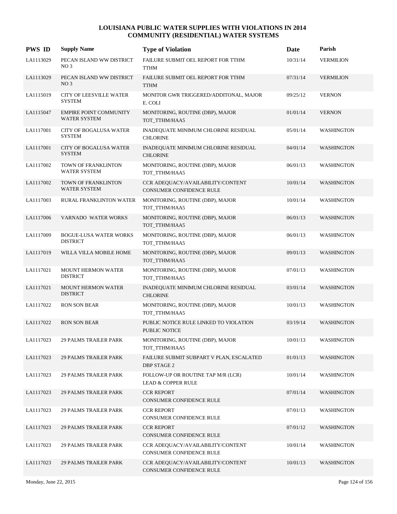| <b>PWS ID</b> | <b>Supply Name</b>                                   | <b>Type of Violation</b>                                             | Date     | Parish            |
|---------------|------------------------------------------------------|----------------------------------------------------------------------|----------|-------------------|
| LA1113029     | PECAN ISLAND WW DISTRICT<br>NO <sub>3</sub>          | FAILURE SUBMIT OEL REPORT FOR TTHM<br><b>TTHM</b>                    | 10/31/14 | <b>VERMILION</b>  |
| LA1113029     | PECAN ISLAND WW DISTRICT<br>NO <sub>3</sub>          | FAILURE SUBMIT OEL REPORT FOR TTHM<br><b>TTHM</b>                    | 07/31/14 | <b>VERMILION</b>  |
| LA1115019     | <b>CITY OF LEESVILLE WATER</b><br><b>SYSTEM</b>      | MONITOR GWR TRIGGERED/ADDITONAL, MAJOR<br>E. COLI                    | 09/25/12 | <b>VERNON</b>     |
| LA1115047     | <b>EMPIRE POINT COMMUNITY</b><br><b>WATER SYSTEM</b> | MONITORING, ROUTINE (DBP), MAJOR<br>TOT_TTHM/HAA5                    | 01/01/14 | <b>VERNON</b>     |
| LA1117001     | <b>CITY OF BOGALUSA WATER</b><br><b>SYSTEM</b>       | INADEQUATE MINIMUM CHLORINE RESIDUAL<br><b>CHLORINE</b>              | 05/01/14 | <b>WASHINGTON</b> |
| LA1117001     | <b>CITY OF BOGALUSA WATER</b><br><b>SYSTEM</b>       | INADEQUATE MINIMUM CHLORINE RESIDUAL<br><b>CHLORINE</b>              | 04/01/14 | <b>WASHINGTON</b> |
| LA1117002     | TOWN OF FRANKLINTON<br><b>WATER SYSTEM</b>           | MONITORING, ROUTINE (DBP), MAJOR<br>TOT_TTHM/HAA5                    | 06/01/13 | <b>WASHINGTON</b> |
| LA1117002     | TOWN OF FRANKLINTON<br><b>WATER SYSTEM</b>           | CCR ADEQUACY/AVAILABILITY/CONTENT<br><b>CONSUMER CONFIDENCE RULE</b> | 10/01/14 | <b>WASHINGTON</b> |
| LA1117003     | RURAL FRANKLINTON WATER                              | MONITORING, ROUTINE (DBP), MAJOR<br>TOT TTHM/HAA5                    | 10/01/14 | <b>WASHINGTON</b> |
| LA1117006     | VARNADO WATER WORKS                                  | MONITORING, ROUTINE (DBP), MAJOR<br>TOT_TTHM/HAA5                    | 06/01/13 | WASHINGTON        |
| LA1117009     | <b>BOGUE-LUSA WATER WORKS</b><br><b>DISTRICT</b>     | MONITORING, ROUTINE (DBP), MAJOR<br>TOT_TTHM/HAA5                    | 06/01/13 | <b>WASHINGTON</b> |
| LA1117019     | WILLA VILLA MOBILE HOME                              | MONITORING, ROUTINE (DBP), MAJOR<br>TOT_TTHM/HAA5                    | 09/01/13 | <b>WASHINGTON</b> |
| LA1117021     | MOUNT HERMON WATER<br><b>DISTRICT</b>                | MONITORING, ROUTINE (DBP), MAJOR<br>TOT_TTHM/HAA5                    | 07/01/13 | <b>WASHINGTON</b> |
| LA1117021     | <b>MOUNT HERMON WATER</b><br><b>DISTRICT</b>         | INADEQUATE MINIMUM CHLORINE RESIDUAL<br><b>CHLORINE</b>              | 03/01/14 | WASHINGTON        |
| LA1117022     | <b>RON SON BEAR</b>                                  | MONITORING, ROUTINE (DBP), MAJOR<br>TOT_TTHM/HAA5                    | 10/01/13 | <b>WASHINGTON</b> |
| LA1117022     | <b>RON SON BEAR</b>                                  | PUBLIC NOTICE RULE LINKED TO VIOLATION<br><b>PUBLIC NOTICE</b>       | 03/19/14 | <b>WASHINGTON</b> |
| LA1117023     | <b>29 PALMS TRAILER PARK</b>                         | MONITORING, ROUTINE (DBP), MAJOR<br>TOT TTHM/HAA5                    | 10/01/13 | <b>WASHINGTON</b> |
| LA1117023     | <b>29 PALMS TRAILER PARK</b>                         | FAILURE SUBMIT SUBPART V PLAN, ESCALATED<br><b>DBP STAGE 2</b>       | 01/01/13 | <b>WASHINGTON</b> |
| LA1117023     | <b>29 PALMS TRAILER PARK</b>                         | FOLLOW-UP OR ROUTINE TAP M/R (LCR)<br><b>LEAD &amp; COPPER RULE</b>  | 10/01/14 | <b>WASHINGTON</b> |
| LA1117023     | <b>29 PALMS TRAILER PARK</b>                         | <b>CCR REPORT</b><br>CONSUMER CONFIDENCE RULE                        | 07/01/14 | <b>WASHINGTON</b> |
| LA1117023     | <b>29 PALMS TRAILER PARK</b>                         | <b>CCR REPORT</b><br>CONSUMER CONFIDENCE RULE                        | 07/01/13 | <b>WASHINGTON</b> |
| LA1117023     | <b>29 PALMS TRAILER PARK</b>                         | <b>CCR REPORT</b><br>CONSUMER CONFIDENCE RULE                        | 07/01/12 | <b>WASHINGTON</b> |
| LA1117023     | <b>29 PALMS TRAILER PARK</b>                         | CCR ADEQUACY/AVAILABILITY/CONTENT<br>CONSUMER CONFIDENCE RULE        | 10/01/14 | <b>WASHINGTON</b> |
| LA1117023     | <b>29 PALMS TRAILER PARK</b>                         | CCR ADEQUACY/AVAILABILITY/CONTENT<br>CONSUMER CONFIDENCE RULE        | 10/01/13 | <b>WASHINGTON</b> |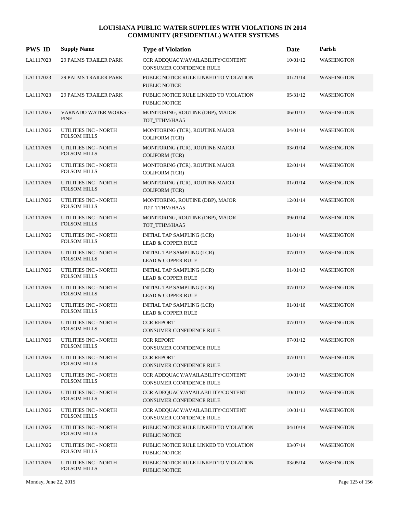| <b>PWS ID</b> | <b>Supply Name</b>                                  | <b>Type of Violation</b>                                             | Date     | Parish            |
|---------------|-----------------------------------------------------|----------------------------------------------------------------------|----------|-------------------|
| LA1117023     | <b>29 PALMS TRAILER PARK</b>                        | CCR ADEQUACY/AVAILABILITY/CONTENT<br><b>CONSUMER CONFIDENCE RULE</b> | 10/01/12 | <b>WASHINGTON</b> |
| LA1117023     | <b>29 PALMS TRAILER PARK</b>                        | PUBLIC NOTICE RULE LINKED TO VIOLATION<br><b>PUBLIC NOTICE</b>       | 01/21/14 | <b>WASHINGTON</b> |
| LA1117023     | <b>29 PALMS TRAILER PARK</b>                        | PUBLIC NOTICE RULE LINKED TO VIOLATION<br><b>PUBLIC NOTICE</b>       | 05/31/12 | <b>WASHINGTON</b> |
| LA1117025     | <b>VARNADO WATER WORKS -</b><br><b>PINE</b>         | MONITORING, ROUTINE (DBP), MAJOR<br>TOT_TTHM/HAA5                    | 06/01/13 | <b>WASHINGTON</b> |
| LA1117026     | UTILITIES INC - NORTH<br><b>FOLSOM HILLS</b>        | MONITORING (TCR), ROUTINE MAJOR<br><b>COLIFORM (TCR)</b>             | 04/01/14 | <b>WASHINGTON</b> |
| LA1117026     | UTILITIES INC - NORTH<br><b>FOLSOM HILLS</b>        | MONITORING (TCR), ROUTINE MAJOR<br><b>COLIFORM (TCR)</b>             | 03/01/14 | <b>WASHINGTON</b> |
| LA1117026     | UTILITIES INC - NORTH<br><b>FOLSOM HILLS</b>        | MONITORING (TCR), ROUTINE MAJOR<br><b>COLIFORM (TCR)</b>             | 02/01/14 | <b>WASHINGTON</b> |
| LA1117026     | <b>UTILITIES INC - NORTH</b><br><b>FOLSOM HILLS</b> | MONITORING (TCR), ROUTINE MAJOR<br><b>COLIFORM (TCR)</b>             | 01/01/14 | <b>WASHINGTON</b> |
| LA1117026     | UTILITIES INC - NORTH<br><b>FOLSOM HILLS</b>        | MONITORING, ROUTINE (DBP), MAJOR<br>TOT_TTHM/HAA5                    | 12/01/14 | <b>WASHINGTON</b> |
| LA1117026     | UTILITIES INC - NORTH<br><b>FOLSOM HILLS</b>        | MONITORING, ROUTINE (DBP), MAJOR<br>TOT_TTHM/HAA5                    | 09/01/14 | <b>WASHINGTON</b> |
| LA1117026     | UTILITIES INC - NORTH<br><b>FOLSOM HILLS</b>        | INITIAL TAP SAMPLING (LCR)<br><b>LEAD &amp; COPPER RULE</b>          | 01/01/14 | <b>WASHINGTON</b> |
| LA1117026     | UTILITIES INC - NORTH<br><b>FOLSOM HILLS</b>        | INITIAL TAP SAMPLING (LCR)<br><b>LEAD &amp; COPPER RULE</b>          | 07/01/13 | <b>WASHINGTON</b> |
| LA1117026     | UTILITIES INC - NORTH<br><b>FOLSOM HILLS</b>        | INITIAL TAP SAMPLING (LCR)<br><b>LEAD &amp; COPPER RULE</b>          | 01/01/13 | <b>WASHINGTON</b> |
| LA1117026     | UTILITIES INC - NORTH<br><b>FOLSOM HILLS</b>        | INITIAL TAP SAMPLING (LCR)<br><b>LEAD &amp; COPPER RULE</b>          | 07/01/12 | <b>WASHINGTON</b> |
| LA1117026     | UTILITIES INC - NORTH<br><b>FOLSOM HILLS</b>        | INITIAL TAP SAMPLING (LCR)<br><b>LEAD &amp; COPPER RULE</b>          | 01/01/10 | <b>WASHINGTON</b> |
| LA1117026     | UTILITIES INC - NORTH<br><b>FOLSOM HILLS</b>        | <b>CCR REPORT</b><br><b>CONSUMER CONFIDENCE RULE</b>                 | 07/01/13 | <b>WASHINGTON</b> |
| LA1117026     | UTILITIES INC - NORTH<br><b>FOLSOM HILLS</b>        | <b>CCR REPORT</b><br>CONSUMER CONFIDENCE RULE                        | 07/01/12 | <b>WASHINGTON</b> |
| LA1117026     | UTILITIES INC - NORTH<br><b>FOLSOM HILLS</b>        | <b>CCR REPORT</b><br>CONSUMER CONFIDENCE RULE                        | 07/01/11 | <b>WASHINGTON</b> |
| LA1117026     | UTILITIES INC - NORTH<br><b>FOLSOM HILLS</b>        | CCR ADEQUACY/AVAILABILITY/CONTENT<br>CONSUMER CONFIDENCE RULE        | 10/01/13 | <b>WASHINGTON</b> |
| LA1117026     | UTILITIES INC - NORTH<br><b>FOLSOM HILLS</b>        | CCR ADEQUACY/AVAILABILITY/CONTENT<br>CONSUMER CONFIDENCE RULE        | 10/01/12 | <b>WASHINGTON</b> |
| LA1117026     | UTILITIES INC - NORTH<br><b>FOLSOM HILLS</b>        | CCR ADEQUACY/AVAILABILITY/CONTENT<br>CONSUMER CONFIDENCE RULE        | 10/01/11 | <b>WASHINGTON</b> |
| LA1117026     | UTILITIES INC - NORTH<br><b>FOLSOM HILLS</b>        | PUBLIC NOTICE RULE LINKED TO VIOLATION<br>PUBLIC NOTICE              | 04/10/14 | <b>WASHINGTON</b> |
| LA1117026     | UTILITIES INC - NORTH<br><b>FOLSOM HILLS</b>        | PUBLIC NOTICE RULE LINKED TO VIOLATION<br>PUBLIC NOTICE              | 03/07/14 | <b>WASHINGTON</b> |
| LA1117026     | UTILITIES INC - NORTH<br><b>FOLSOM HILLS</b>        | PUBLIC NOTICE RULE LINKED TO VIOLATION<br>PUBLIC NOTICE              | 03/05/14 | <b>WASHINGTON</b> |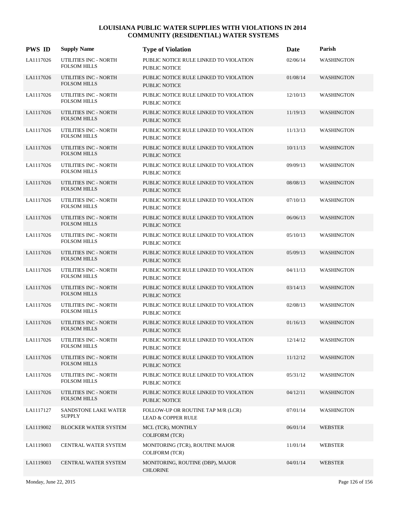| <b>PWS ID</b> | <b>Supply Name</b>                           | <b>Type of Violation</b>                                            | Date     | Parish            |
|---------------|----------------------------------------------|---------------------------------------------------------------------|----------|-------------------|
| LA1117026     | UTILITIES INC - NORTH<br><b>FOLSOM HILLS</b> | PUBLIC NOTICE RULE LINKED TO VIOLATION<br>PUBLIC NOTICE             | 02/06/14 | WASHINGTON        |
| LA1117026     | UTILITIES INC - NORTH<br><b>FOLSOM HILLS</b> | PUBLIC NOTICE RULE LINKED TO VIOLATION<br>PUBLIC NOTICE             | 01/08/14 | <b>WASHINGTON</b> |
| LA1117026     | UTILITIES INC - NORTH<br><b>FOLSOM HILLS</b> | PUBLIC NOTICE RULE LINKED TO VIOLATION<br>PUBLIC NOTICE             | 12/10/13 | <b>WASHINGTON</b> |
| LA1117026     | UTILITIES INC - NORTH<br>FOLSOM HILLS        | PUBLIC NOTICE RULE LINKED TO VIOLATION<br>PUBLIC NOTICE             | 11/19/13 | <b>WASHINGTON</b> |
| LA1117026     | UTILITIES INC - NORTH<br><b>FOLSOM HILLS</b> | PUBLIC NOTICE RULE LINKED TO VIOLATION<br>PUBLIC NOTICE             | 11/13/13 | <b>WASHINGTON</b> |
| LA1117026     | UTILITIES INC - NORTH<br><b>FOLSOM HILLS</b> | PUBLIC NOTICE RULE LINKED TO VIOLATION<br>PUBLIC NOTICE             | 10/11/13 | <b>WASHINGTON</b> |
| LA1117026     | UTILITIES INC - NORTH<br><b>FOLSOM HILLS</b> | PUBLIC NOTICE RULE LINKED TO VIOLATION<br>PUBLIC NOTICE             | 09/09/13 | <b>WASHINGTON</b> |
| LA1117026     | UTILITIES INC - NORTH<br><b>FOLSOM HILLS</b> | PUBLIC NOTICE RULE LINKED TO VIOLATION<br><b>PUBLIC NOTICE</b>      | 08/08/13 | <b>WASHINGTON</b> |
| LA1117026     | UTILITIES INC - NORTH<br><b>FOLSOM HILLS</b> | PUBLIC NOTICE RULE LINKED TO VIOLATION<br>PUBLIC NOTICE             | 07/10/13 | <b>WASHINGTON</b> |
| LA1117026     | UTILITIES INC - NORTH<br><b>FOLSOM HILLS</b> | PUBLIC NOTICE RULE LINKED TO VIOLATION<br><b>PUBLIC NOTICE</b>      | 06/06/13 | <b>WASHINGTON</b> |
| LA1117026     | UTILITIES INC - NORTH<br><b>FOLSOM HILLS</b> | PUBLIC NOTICE RULE LINKED TO VIOLATION<br>PUBLIC NOTICE             | 05/10/13 | <b>WASHINGTON</b> |
| LA1117026     | UTILITIES INC - NORTH<br><b>FOLSOM HILLS</b> | PUBLIC NOTICE RULE LINKED TO VIOLATION<br><b>PUBLIC NOTICE</b>      | 05/09/13 | <b>WASHINGTON</b> |
| LA1117026     | UTILITIES INC - NORTH<br><b>FOLSOM HILLS</b> | PUBLIC NOTICE RULE LINKED TO VIOLATION<br>PUBLIC NOTICE             | 04/11/13 | <b>WASHINGTON</b> |
| LA1117026     | UTILITIES INC - NORTH<br><b>FOLSOM HILLS</b> | PUBLIC NOTICE RULE LINKED TO VIOLATION<br><b>PUBLIC NOTICE</b>      | 03/14/13 | <b>WASHINGTON</b> |
| LA1117026     | UTILITIES INC - NORTH<br><b>FOLSOM HILLS</b> | PUBLIC NOTICE RULE LINKED TO VIOLATION<br><b>PUBLIC NOTICE</b>      | 02/08/13 | <b>WASHINGTON</b> |
| LA1117026     | UTILITIES INC - NORTH<br><b>FOLSOM HILLS</b> | PUBLIC NOTICE RULE LINKED TO VIOLATION<br><b>PUBLIC NOTICE</b>      | 01/16/13 | <b>WASHINGTON</b> |
| LA1117026     | UTILITIES INC - NORTH<br><b>FOLSOM HILLS</b> | PUBLIC NOTICE RULE LINKED TO VIOLATION<br><b>PUBLIC NOTICE</b>      | 12/14/12 | <b>WASHINGTON</b> |
| LA1117026     | UTILITIES INC - NORTH<br><b>FOLSOM HILLS</b> | PUBLIC NOTICE RULE LINKED TO VIOLATION<br>PUBLIC NOTICE             | 11/12/12 | <b>WASHINGTON</b> |
| LA1117026     | UTILITIES INC - NORTH<br><b>FOLSOM HILLS</b> | PUBLIC NOTICE RULE LINKED TO VIOLATION<br>PUBLIC NOTICE             | 05/31/12 | <b>WASHINGTON</b> |
| LA1117026     | UTILITIES INC - NORTH<br><b>FOLSOM HILLS</b> | PUBLIC NOTICE RULE LINKED TO VIOLATION<br>PUBLIC NOTICE             | 04/12/11 | <b>WASHINGTON</b> |
| LA1117127     | SANDSTONE LAKE WATER<br><b>SUPPLY</b>        | FOLLOW-UP OR ROUTINE TAP M/R (LCR)<br><b>LEAD &amp; COPPER RULE</b> | 07/01/14 | <b>WASHINGTON</b> |
| LA1119002     | <b>BLOCKER WATER SYSTEM</b>                  | MCL (TCR), MONTHLY<br><b>COLIFORM (TCR)</b>                         | 06/01/14 | <b>WEBSTER</b>    |
| LA1119003     | CENTRAL WATER SYSTEM                         | MONITORING (TCR), ROUTINE MAJOR<br><b>COLIFORM (TCR)</b>            | 11/01/14 | <b>WEBSTER</b>    |
| LA1119003     | CENTRAL WATER SYSTEM                         | MONITORING, ROUTINE (DBP), MAJOR<br><b>CHLORINE</b>                 | 04/01/14 | WEBSTER           |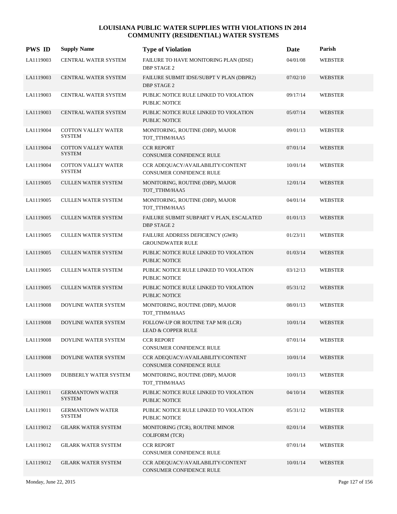| <b>PWS ID</b> | <b>Supply Name</b>                          | <b>Type of Violation</b>                                            | <b>Date</b> | Parish         |
|---------------|---------------------------------------------|---------------------------------------------------------------------|-------------|----------------|
| LA1119003     | CENTRAL WATER SYSTEM                        | FAILURE TO HAVE MONITORING PLAN (IDSE)<br><b>DBP STAGE 2</b>        | 04/01/08    | <b>WEBSTER</b> |
| LA1119003     | CENTRAL WATER SYSTEM                        | FAILURE SUBMIT IDSE/SUBPT V PLAN (DBPR2)<br><b>DBP STAGE 2</b>      | 07/02/10    | <b>WEBSTER</b> |
| LA1119003     | <b>CENTRAL WATER SYSTEM</b>                 | PUBLIC NOTICE RULE LINKED TO VIOLATION<br><b>PUBLIC NOTICE</b>      | 09/17/14    | <b>WEBSTER</b> |
| LA1119003     | <b>CENTRAL WATER SYSTEM</b>                 | PUBLIC NOTICE RULE LINKED TO VIOLATION<br><b>PUBLIC NOTICE</b>      | 05/07/14    | <b>WEBSTER</b> |
| LA1119004     | <b>COTTON VALLEY WATER</b><br><b>SYSTEM</b> | MONITORING, ROUTINE (DBP), MAJOR<br>TOT_TTHM/HAA5                   | 09/01/13    | WEBSTER        |
| LA1119004     | <b>COTTON VALLEY WATER</b><br><b>SYSTEM</b> | <b>CCR REPORT</b><br><b>CONSUMER CONFIDENCE RULE</b>                | 07/01/14    | <b>WEBSTER</b> |
| LA1119004     | <b>COTTON VALLEY WATER</b><br><b>SYSTEM</b> | CCR ADEQUACY/AVAILABILITY/CONTENT<br>CONSUMER CONFIDENCE RULE       | 10/01/14    | <b>WEBSTER</b> |
| LA1119005     | <b>CULLEN WATER SYSTEM</b>                  | MONITORING, ROUTINE (DBP), MAJOR<br>TOT_TTHM/HAA5                   | 12/01/14    | WEBSTER        |
| LA1119005     | <b>CULLEN WATER SYSTEM</b>                  | MONITORING, ROUTINE (DBP), MAJOR<br>TOT_TTHM/HAA5                   | 04/01/14    | <b>WEBSTER</b> |
| LA1119005     | <b>CULLEN WATER SYSTEM</b>                  | FAILURE SUBMIT SUBPART V PLAN, ESCALATED<br><b>DBP STAGE 2</b>      | 01/01/13    | <b>WEBSTER</b> |
| LA1119005     | <b>CULLEN WATER SYSTEM</b>                  | FAILURE ADDRESS DEFICIENCY (GWR)<br><b>GROUNDWATER RULE</b>         | 01/23/11    | WEBSTER        |
| LA1119005     | <b>CULLEN WATER SYSTEM</b>                  | PUBLIC NOTICE RULE LINKED TO VIOLATION<br><b>PUBLIC NOTICE</b>      | 01/03/14    | WEBSTER        |
| LA1119005     | <b>CULLEN WATER SYSTEM</b>                  | PUBLIC NOTICE RULE LINKED TO VIOLATION<br>PUBLIC NOTICE             | 03/12/13    | <b>WEBSTER</b> |
| LA1119005     | <b>CULLEN WATER SYSTEM</b>                  | PUBLIC NOTICE RULE LINKED TO VIOLATION<br><b>PUBLIC NOTICE</b>      | 05/31/12    | <b>WEBSTER</b> |
| LA1119008     | DOYLINE WATER SYSTEM                        | MONITORING, ROUTINE (DBP), MAJOR<br>TOT_TTHM/HAA5                   | 08/01/13    | <b>WEBSTER</b> |
| LA1119008     | DOYLINE WATER SYSTEM                        | FOLLOW-UP OR ROUTINE TAP M/R (LCR)<br><b>LEAD &amp; COPPER RULE</b> | 10/01/14    | WEBSTER        |
| LA1119008     | DOYLINE WATER SYSTEM                        | <b>CCR REPORT</b><br>CONSUMER CONFIDENCE RULE                       | 07/01/14    | <b>WEBSTER</b> |
| LA1119008     | DOYLINE WATER SYSTEM                        | CCR ADEQUACY/AVAILABILITY/CONTENT<br>CONSUMER CONFIDENCE RULE       | 10/01/14    | <b>WEBSTER</b> |
| LA1119009     | DUBBERLY WATER SYSTEM                       | MONITORING, ROUTINE (DBP), MAJOR<br>TOT_TTHM/HAA5                   | 10/01/13    | <b>WEBSTER</b> |
| LA1119011     | <b>GERMANTOWN WATER</b><br><b>SYSTEM</b>    | PUBLIC NOTICE RULE LINKED TO VIOLATION<br>PUBLIC NOTICE             | 04/10/14    | <b>WEBSTER</b> |
| LA1119011     | <b>GERMANTOWN WATER</b><br><b>SYSTEM</b>    | PUBLIC NOTICE RULE LINKED TO VIOLATION<br>PUBLIC NOTICE             | 05/31/12    | <b>WEBSTER</b> |
| LA1119012     | <b>GILARK WATER SYSTEM</b>                  | MONITORING (TCR), ROUTINE MINOR<br>COLIFORM (TCR)                   | 02/01/14    | <b>WEBSTER</b> |
| LA1119012     | <b>GILARK WATER SYSTEM</b>                  | <b>CCR REPORT</b><br>CONSUMER CONFIDENCE RULE                       | 07/01/14    | <b>WEBSTER</b> |
| LA1119012     | <b>GILARK WATER SYSTEM</b>                  | CCR ADEQUACY/AVAILABILITY/CONTENT<br>CONSUMER CONFIDENCE RULE       | 10/01/14    | <b>WEBSTER</b> |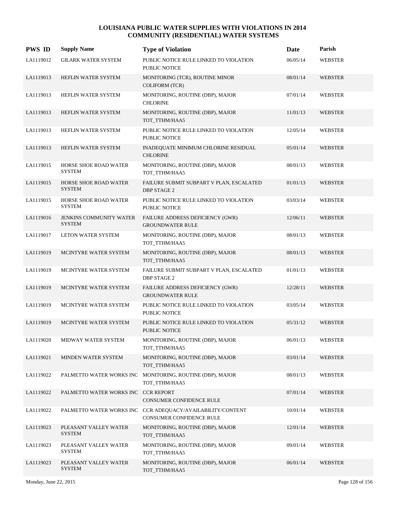| <b>PWS ID</b> | <b>Supply Name</b>                              | <b>Type of Violation</b>                                                               | Date     | Parish         |
|---------------|-------------------------------------------------|----------------------------------------------------------------------------------------|----------|----------------|
| LA1119012     | <b>GILARK WATER SYSTEM</b>                      | PUBLIC NOTICE RULE LINKED TO VIOLATION<br>PUBLIC NOTICE                                | 06/05/14 | <b>WEBSTER</b> |
| LA1119013     | HEFLIN WATER SYSTEM                             | MONITORING (TCR), ROUTINE MINOR<br><b>COLIFORM (TCR)</b>                               | 08/01/14 | WEBSTER        |
| LA1119013     | HEFLIN WATER SYSTEM                             | MONITORING, ROUTINE (DBP), MAJOR<br><b>CHLORINE</b>                                    | 07/01/14 | <b>WEBSTER</b> |
| LA1119013     | HEFLIN WATER SYSTEM                             | MONITORING, ROUTINE (DBP), MAJOR<br>TOT_TTHM/HAA5                                      | 11/01/13 | <b>WEBSTER</b> |
| LA1119013     | HEFLIN WATER SYSTEM                             | PUBLIC NOTICE RULE LINKED TO VIOLATION<br>PUBLIC NOTICE                                | 12/05/14 | <b>WEBSTER</b> |
| LA1119013     | HEFLIN WATER SYSTEM                             | INADEQUATE MINIMUM CHLORINE RESIDUAL<br><b>CHLORINE</b>                                | 05/01/14 | WEBSTER        |
| LA1119015     | HORSE SHOE ROAD WATER<br><b>SYSTEM</b>          | MONITORING, ROUTINE (DBP), MAJOR<br>TOT TTHM/HAA5                                      | 08/01/13 | WEBSTER        |
| LA1119015     | HORSE SHOE ROAD WATER<br><b>SYSTEM</b>          | FAILURE SUBMIT SUBPART V PLAN, ESCALATED<br><b>DBP STAGE 2</b>                         | 01/01/13 | WEBSTER        |
| LA1119015     | HORSE SHOE ROAD WATER<br><b>SYSTEM</b>          | PUBLIC NOTICE RULE LINKED TO VIOLATION<br>PUBLIC NOTICE                                | 03/03/14 | <b>WEBSTER</b> |
| LA1119016     | <b>JENKINS COMMUNITY WATER</b><br><b>SYSTEM</b> | FAILURE ADDRESS DEFICIENCY (GWR)<br><b>GROUNDWATER RULE</b>                            | 12/06/11 | WEBSTER        |
| LA1119017     | LETON WATER SYSTEM                              | MONITORING, ROUTINE (DBP), MAJOR<br>TOT_TTHM/HAA5                                      | 08/01/13 | <b>WEBSTER</b> |
| LA1119019     | MCINTYRE WATER SYSTEM                           | MONITORING, ROUTINE (DBP), MAJOR<br>TOT_TTHM/HAA5                                      | 08/01/13 | WEBSTER        |
| LA1119019     | MCINTYRE WATER SYSTEM                           | FAILURE SUBMIT SUBPART V PLAN, ESCALATED<br><b>DBP STAGE 2</b>                         | 01/01/13 | <b>WEBSTER</b> |
| LA1119019     | MCINTYRE WATER SYSTEM                           | FAILURE ADDRESS DEFICIENCY (GWR)<br><b>GROUNDWATER RULE</b>                            | 12/28/11 | WEBSTER        |
| LA1119019     | MCINTYRE WATER SYSTEM                           | PUBLIC NOTICE RULE LINKED TO VIOLATION<br>PUBLIC NOTICE                                | 03/05/14 | <b>WEBSTER</b> |
| LA1119019     | MCINTYRE WATER SYSTEM                           | PUBLIC NOTICE RULE LINKED TO VIOLATION<br>PUBLIC NOTICE                                | 05/31/12 | <b>WEBSTER</b> |
| LA1119020     | MIDWAY WATER SYSTEM                             | MONITORING, ROUTINE (DBP), MAJOR<br>TOT_TTHM/HAA5                                      | 06/01/13 | WEBSTER        |
| LA1119021     | MINDEN WATER SYSTEM                             | MONITORING, ROUTINE (DBP), MAJOR<br>TOT_TTHM/HAA5                                      | 03/01/14 | <b>WEBSTER</b> |
| LA1119022     |                                                 | PALMETTO WATER WORKS INC MONITORING, ROUTINE (DBP), MAJOR<br>TOT_TTHM/HAA5             | 08/01/13 | <b>WEBSTER</b> |
| LA1119022     | PALMETTO WATER WORKS INC CCR REPORT             | CONSUMER CONFIDENCE RULE                                                               | 07/01/14 | <b>WEBSTER</b> |
| LA1119022     |                                                 | PALMETTO WATER WORKS INC CCR ADEQUACY/AVAILABILITY/CONTENT<br>CONSUMER CONFIDENCE RULE | 10/01/14 | <b>WEBSTER</b> |
| LA1119023     | PLEASANT VALLEY WATER<br><b>SYSTEM</b>          | MONITORING, ROUTINE (DBP), MAJOR<br>TOT_TTHM/HAA5                                      | 12/01/14 | WEBSTER        |
| LA1119023     | PLEASANT VALLEY WATER<br><b>SYSTEM</b>          | MONITORING, ROUTINE (DBP), MAJOR<br>TOT_TTHM/HAA5                                      | 09/01/14 | WEBSTER        |
| LA1119023     | PLEASANT VALLEY WATER<br><b>SYSTEM</b>          | MONITORING, ROUTINE (DBP), MAJOR<br>TOT_TTHM/HAA5                                      | 06/01/14 | WEBSTER        |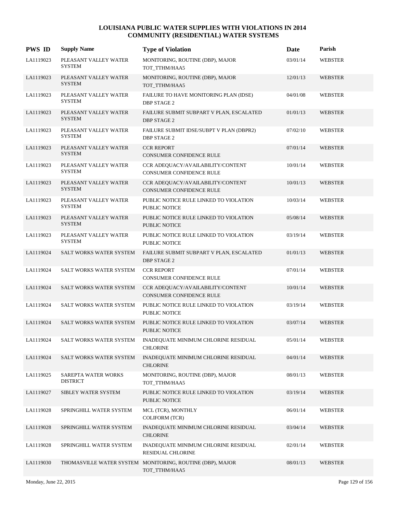| <b>PWS ID</b> | <b>Supply Name</b>                     | <b>Type of Violation</b>                                                   | Date     | Parish         |
|---------------|----------------------------------------|----------------------------------------------------------------------------|----------|----------------|
| LA1119023     | PLEASANT VALLEY WATER<br><b>SYSTEM</b> | MONITORING, ROUTINE (DBP), MAJOR<br>TOT_TTHM/HAA5                          | 03/01/14 | <b>WEBSTER</b> |
| LA1119023     | PLEASANT VALLEY WATER<br><b>SYSTEM</b> | MONITORING, ROUTINE (DBP), MAJOR<br>TOT_TTHM/HAA5                          | 12/01/13 | WEBSTER        |
| LA1119023     | PLEASANT VALLEY WATER<br><b>SYSTEM</b> | FAILURE TO HAVE MONITORING PLAN (IDSE)<br><b>DBP STAGE 2</b>               | 04/01/08 | <b>WEBSTER</b> |
| LA1119023     | PLEASANT VALLEY WATER<br><b>SYSTEM</b> | FAILURE SUBMIT SUBPART V PLAN, ESCALATED<br><b>DBP STAGE 2</b>             | 01/01/13 | <b>WEBSTER</b> |
| LA1119023     | PLEASANT VALLEY WATER<br><b>SYSTEM</b> | FAILURE SUBMIT IDSE/SUBPT V PLAN (DBPR2)<br><b>DBP STAGE 2</b>             | 07/02/10 | <b>WEBSTER</b> |
| LA1119023     | PLEASANT VALLEY WATER<br><b>SYSTEM</b> | <b>CCR REPORT</b><br>CONSUMER CONFIDENCE RULE                              | 07/01/14 | <b>WEBSTER</b> |
| LA1119023     | PLEASANT VALLEY WATER<br><b>SYSTEM</b> | CCR ADEQUACY/AVAILABILITY/CONTENT<br><b>CONSUMER CONFIDENCE RULE</b>       | 10/01/14 | WEBSTER        |
| LA1119023     | PLEASANT VALLEY WATER<br><b>SYSTEM</b> | CCR ADEQUACY/AVAILABILITY/CONTENT<br>CONSUMER CONFIDENCE RULE              | 10/01/13 | <b>WEBSTER</b> |
| LA1119023     | PLEASANT VALLEY WATER<br><b>SYSTEM</b> | PUBLIC NOTICE RULE LINKED TO VIOLATION<br><b>PUBLIC NOTICE</b>             | 10/03/14 | <b>WEBSTER</b> |
| LA1119023     | PLEASANT VALLEY WATER<br><b>SYSTEM</b> | PUBLIC NOTICE RULE LINKED TO VIOLATION<br>PUBLIC NOTICE                    | 05/08/14 | <b>WEBSTER</b> |
| LA1119023     | PLEASANT VALLEY WATER<br><b>SYSTEM</b> | PUBLIC NOTICE RULE LINKED TO VIOLATION<br>PUBLIC NOTICE                    | 03/19/14 | <b>WEBSTER</b> |
| LA1119024     | SALT WORKS WATER SYSTEM                | FAILURE SUBMIT SUBPART V PLAN, ESCALATED<br><b>DBP STAGE 2</b>             | 01/01/13 | WEBSTER        |
| LA1119024     | SALT WORKS WATER SYSTEM                | <b>CCR REPORT</b><br><b>CONSUMER CONFIDENCE RULE</b>                       | 07/01/14 | <b>WEBSTER</b> |
| LA1119024     | SALT WORKS WATER SYSTEM                | CCR ADEQUACY/AVAILABILITY/CONTENT<br><b>CONSUMER CONFIDENCE RULE</b>       | 10/01/14 | <b>WEBSTER</b> |
| LA1119024     | SALT WORKS WATER SYSTEM                | PUBLIC NOTICE RULE LINKED TO VIOLATION<br>PUBLIC NOTICE                    | 03/19/14 | <b>WEBSTER</b> |
| LA1119024     | <b>SALT WORKS WATER SYSTEM</b>         | PUBLIC NOTICE RULE LINKED TO VIOLATION<br><b>PUBLIC NOTICE</b>             | 03/07/14 | <b>WEBSTER</b> |
| LA1119024     | SALT WORKS WATER SYSTEM                | INADEQUATE MINIMUM CHLORINE RESIDUAL<br><b>CHLORINE</b>                    | 05/01/14 | WEBSTER        |
| LA1119024     | <b>SALT WORKS WATER SYSTEM</b>         | INADEQUATE MINIMUM CHLORINE RESIDUAL<br><b>CHLORINE</b>                    | 04/01/14 | <b>WEBSTER</b> |
| LA1119025     | SAREPTA WATER WORKS<br><b>DISTRICT</b> | MONITORING, ROUTINE (DBP), MAJOR<br>TOT_TTHM/HAA5                          | 08/01/13 | WEBSTER        |
| LA1119027     | SIBLEY WATER SYSTEM                    | PUBLIC NOTICE RULE LINKED TO VIOLATION<br>PUBLIC NOTICE                    | 03/19/14 | <b>WEBSTER</b> |
| LA1119028     | SPRINGHILL WATER SYSTEM                | MCL (TCR), MONTHLY<br>COLIFORM (TCR)                                       | 06/01/14 | <b>WEBSTER</b> |
| LA1119028     | SPRINGHILL WATER SYSTEM                | INADEQUATE MINIMUM CHLORINE RESIDUAL<br><b>CHLORINE</b>                    | 03/04/14 | <b>WEBSTER</b> |
| LA1119028     | SPRINGHILL WATER SYSTEM                | INADEQUATE MINIMUM CHLORINE RESIDUAL<br>RESIDUAL CHLORINE                  | 02/01/14 | <b>WEBSTER</b> |
| LA1119030     |                                        | THOMASVILLE WATER SYSTEM MONITORING, ROUTINE (DBP), MAJOR<br>TOT_TTHM/HAA5 | 08/01/13 | WEBSTER        |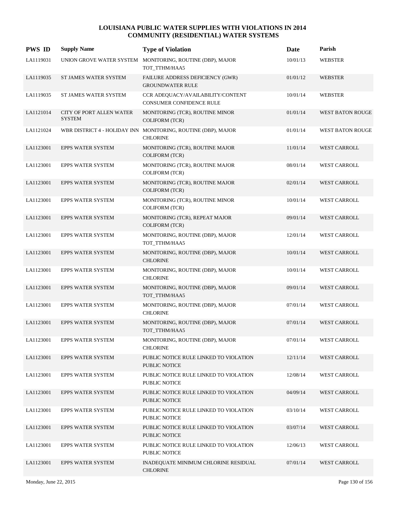| <b>PWS ID</b> | <b>Supply Name</b>                               | <b>Type of Violation</b>                                                         | Date     | Parish                  |
|---------------|--------------------------------------------------|----------------------------------------------------------------------------------|----------|-------------------------|
| LA1119031     | UNION GROVE WATER SYSTEM                         | MONITORING, ROUTINE (DBP), MAJOR<br>TOT_TTHM/HAA5                                | 10/01/13 | <b>WEBSTER</b>          |
| LA1119035     | ST JAMES WATER SYSTEM                            | <b>FAILURE ADDRESS DEFICIENCY (GWR)</b><br><b>GROUNDWATER RULE</b>               | 01/01/12 | <b>WEBSTER</b>          |
| LA1119035     | ST JAMES WATER SYSTEM                            | CCR ADEQUACY/AVAILABILITY/CONTENT<br><b>CONSUMER CONFIDENCE RULE</b>             | 10/01/14 | <b>WEBSTER</b>          |
| LA1121014     | <b>CITY OF PORT ALLEN WATER</b><br><b>SYSTEM</b> | MONITORING (TCR), ROUTINE MINOR<br><b>COLIFORM (TCR)</b>                         | 01/01/14 | <b>WEST BATON ROUGE</b> |
| LA1121024     |                                                  | WBR DISTRICT 4 - HOLIDAY INN MONITORING, ROUTINE (DBP), MAJOR<br><b>CHLORINE</b> | 01/01/14 | <b>WEST BATON ROUGE</b> |
| LA1123001     | <b>EPPS WATER SYSTEM</b>                         | MONITORING (TCR), ROUTINE MAJOR<br><b>COLIFORM (TCR)</b>                         | 11/01/14 | <b>WEST CARROLL</b>     |
| LA1123001     | <b>EPPS WATER SYSTEM</b>                         | MONITORING (TCR), ROUTINE MAJOR<br><b>COLIFORM (TCR)</b>                         | 08/01/14 | <b>WEST CARROLL</b>     |
| LA1123001     | <b>EPPS WATER SYSTEM</b>                         | MONITORING (TCR), ROUTINE MAJOR<br><b>COLIFORM (TCR)</b>                         | 02/01/14 | <b>WEST CARROLL</b>     |
| LA1123001     | <b>EPPS WATER SYSTEM</b>                         | MONITORING (TCR), ROUTINE MINOR<br><b>COLIFORM (TCR)</b>                         | 10/01/14 | <b>WEST CARROLL</b>     |
| LA1123001     | <b>EPPS WATER SYSTEM</b>                         | MONITORING (TCR), REPEAT MAJOR<br><b>COLIFORM (TCR)</b>                          | 09/01/14 | <b>WEST CARROLL</b>     |
| LA1123001     | <b>EPPS WATER SYSTEM</b>                         | MONITORING, ROUTINE (DBP), MAJOR<br>TOT_TTHM/HAA5                                | 12/01/14 | <b>WEST CARROLL</b>     |
| LA1123001     | <b>EPPS WATER SYSTEM</b>                         | MONITORING, ROUTINE (DBP), MAJOR<br><b>CHLORINE</b>                              | 10/01/14 | <b>WEST CARROLL</b>     |
| LA1123001     | <b>EPPS WATER SYSTEM</b>                         | MONITORING, ROUTINE (DBP), MAJOR<br><b>CHLORINE</b>                              | 10/01/14 | <b>WEST CARROLL</b>     |
| LA1123001     | <b>EPPS WATER SYSTEM</b>                         | MONITORING, ROUTINE (DBP), MAJOR<br>TOT_TTHM/HAA5                                | 09/01/14 | WEST CARROLL            |
| LA1123001     | <b>EPPS WATER SYSTEM</b>                         | MONITORING, ROUTINE (DBP), MAJOR<br><b>CHLORINE</b>                              | 07/01/14 | <b>WEST CARROLL</b>     |
| LA1123001     | <b>EPPS WATER SYSTEM</b>                         | MONITORING, ROUTINE (DBP), MAJOR<br>TOT_TTHM/HAA5                                | 07/01/14 | <b>WEST CARROLL</b>     |
| LA1123001     | <b>EPPS WATER SYSTEM</b>                         | MONITORING, ROUTINE (DBP), MAJOR<br><b>CHLORINE</b>                              | 07/01/14 | <b>WEST CARROLL</b>     |
| LA1123001     | <b>EPPS WATER SYSTEM</b>                         | PUBLIC NOTICE RULE LINKED TO VIOLATION<br><b>PUBLIC NOTICE</b>                   | 12/11/14 | <b>WEST CARROLL</b>     |
| LA1123001     | <b>EPPS WATER SYSTEM</b>                         | PUBLIC NOTICE RULE LINKED TO VIOLATION<br>PUBLIC NOTICE                          | 12/08/14 | WEST CARROLL            |
| LA1123001     | EPPS WATER SYSTEM                                | PUBLIC NOTICE RULE LINKED TO VIOLATION<br><b>PUBLIC NOTICE</b>                   | 04/09/14 | <b>WEST CARROLL</b>     |
| LA1123001     | EPPS WATER SYSTEM                                | PUBLIC NOTICE RULE LINKED TO VIOLATION<br>PUBLIC NOTICE                          | 03/10/14 | WEST CARROLL            |
| LA1123001     | EPPS WATER SYSTEM                                | PUBLIC NOTICE RULE LINKED TO VIOLATION<br><b>PUBLIC NOTICE</b>                   | 03/07/14 | <b>WEST CARROLL</b>     |
| LA1123001     | EPPS WATER SYSTEM                                | PUBLIC NOTICE RULE LINKED TO VIOLATION<br>PUBLIC NOTICE                          | 12/06/13 | WEST CARROLL            |
| LA1123001     | EPPS WATER SYSTEM                                | INADEQUATE MINIMUM CHLORINE RESIDUAL<br><b>CHLORINE</b>                          | 07/01/14 | <b>WEST CARROLL</b>     |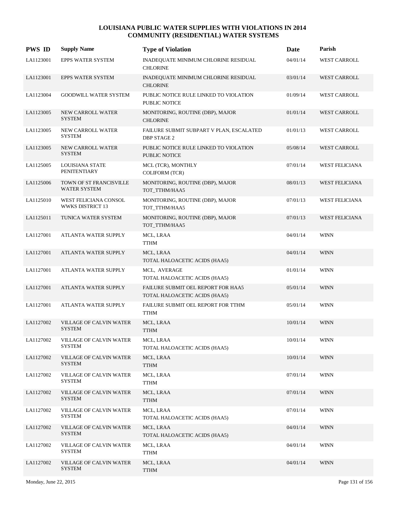| <b>PWS ID</b> | <b>Supply Name</b>                              | <b>Type of Violation</b>                                            | Date     | Parish                |
|---------------|-------------------------------------------------|---------------------------------------------------------------------|----------|-----------------------|
| LA1123001     | EPPS WATER SYSTEM                               | INADEQUATE MINIMUM CHLORINE RESIDUAL<br><b>CHLORINE</b>             | 04/01/14 | <b>WEST CARROLL</b>   |
| LA1123001     | EPPS WATER SYSTEM                               | <b>INADEQUATE MINIMUM CHLORINE RESIDUAL</b><br><b>CHLORINE</b>      | 03/01/14 | <b>WEST CARROLL</b>   |
| LA1123004     | <b>GOODWILL WATER SYSTEM</b>                    | PUBLIC NOTICE RULE LINKED TO VIOLATION<br>PUBLIC NOTICE             | 01/09/14 | <b>WEST CARROLL</b>   |
| LA1123005     | NEW CARROLL WATER<br><b>SYSTEM</b>              | MONITORING, ROUTINE (DBP), MAJOR<br><b>CHLORINE</b>                 | 01/01/14 | <b>WEST CARROLL</b>   |
| LA1123005     | NEW CARROLL WATER<br><b>SYSTEM</b>              | FAILURE SUBMIT SUBPART V PLAN, ESCALATED<br><b>DBP STAGE 2</b>      | 01/01/13 | <b>WEST CARROLL</b>   |
| LA1123005     | NEW CARROLL WATER<br><b>SYSTEM</b>              | PUBLIC NOTICE RULE LINKED TO VIOLATION<br>PUBLIC NOTICE             | 05/08/14 | <b>WEST CARROLL</b>   |
| LA1125005     | LOUISIANA STATE<br><b>PENITENTIARY</b>          | MCL (TCR), MONTHLY<br>COLIFORM (TCR)                                | 07/01/14 | <b>WEST FELICIANA</b> |
| LA1125006     | TOWN OF ST FRANCISVILLE<br>WATER SYSTEM         | MONITORING, ROUTINE (DBP), MAJOR<br>TOT TTHM/HAA5                   | 08/01/13 | <b>WEST FELICIANA</b> |
| LA1125010     | WEST FELICIANA CONSOL<br>WWKS DISTRICT 13       | MONITORING, ROUTINE (DBP), MAJOR<br>TOT TTHM/HAA5                   | 07/01/13 | <b>WEST FELICIANA</b> |
| LA1125011     | TUNICA WATER SYSTEM                             | MONITORING, ROUTINE (DBP), MAJOR<br>TOT TTHM/HAA5                   | 07/01/13 | <b>WEST FELICIANA</b> |
| LA1127001     | ATLANTA WATER SUPPLY                            | MCL, LRAA<br><b>TTHM</b>                                            | 04/01/14 | <b>WINN</b>           |
| LA1127001     | ATLANTA WATER SUPPLY                            | MCL, LRAA<br>TOTAL HALOACETIC ACIDS (HAA5)                          | 04/01/14 | <b>WINN</b>           |
| LA1127001     | ATLANTA WATER SUPPLY                            | MCL, AVERAGE<br>TOTAL HALOACETIC ACIDS (HAA5)                       | 01/01/14 | <b>WINN</b>           |
| LA1127001     | ATLANTA WATER SUPPLY                            | FAILURE SUBMIT OEL REPORT FOR HAA5<br>TOTAL HALOACETIC ACIDS (HAA5) | 05/01/14 | <b>WINN</b>           |
| LA1127001     | <b>ATLANTA WATER SUPPLY</b>                     | FAILURE SUBMIT OEL REPORT FOR TTHM<br><b>TTHM</b>                   | 05/01/14 | <b>WINN</b>           |
| LA1127002     | <b>VILLAGE OF CALVIN WATER</b><br><b>SYSTEM</b> | MCL, LRAA<br><b>TTHM</b>                                            | 10/01/14 | <b>WINN</b>           |
| LA1127002     | <b>VILLAGE OF CALVIN WATER</b><br><b>SYSTEM</b> | MCL, LRAA<br>TOTAL HALOACETIC ACIDS (HAA5)                          | 10/01/14 | <b>WINN</b>           |
| LA1127002     | <b>VILLAGE OF CALVIN WATER</b><br><b>SYSTEM</b> | MCL, LRAA<br><b>TTHM</b>                                            | 10/01/14 | <b>WINN</b>           |
| LA1127002     | VILLAGE OF CALVIN WATER<br><b>SYSTEM</b>        | MCL, LRAA<br>TTHM                                                   | 07/01/14 | WINN                  |
| LA1127002     | <b>VILLAGE OF CALVIN WATER</b><br><b>SYSTEM</b> | MCL, LRAA<br><b>TTHM</b>                                            | 07/01/14 | <b>WINN</b>           |
| LA1127002     | VILLAGE OF CALVIN WATER<br><b>SYSTEM</b>        | MCL, LRAA<br>TOTAL HALOACETIC ACIDS (HAA5)                          | 07/01/14 | <b>WINN</b>           |
| LA1127002     | VILLAGE OF CALVIN WATER<br><b>SYSTEM</b>        | MCL, LRAA<br>TOTAL HALOACETIC ACIDS (HAA5)                          | 04/01/14 | <b>WINN</b>           |
| LA1127002     | VILLAGE OF CALVIN WATER<br><b>SYSTEM</b>        | MCL, LRAA<br>TTHM                                                   | 04/01/14 | WINN                  |
| LA1127002     | <b>VILLAGE OF CALVIN WATER</b><br><b>SYSTEM</b> | MCL, LRAA<br><b>TTHM</b>                                            | 04/01/14 | <b>WINN</b>           |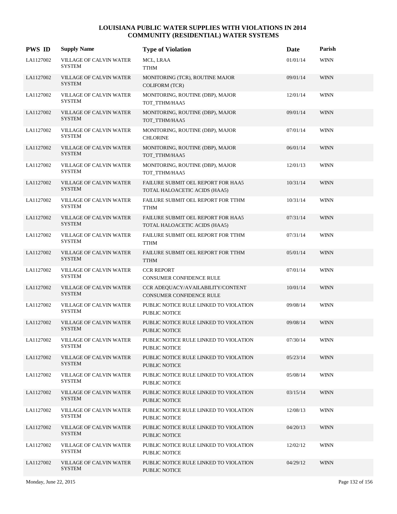| <b>PWS ID</b> | <b>Supply Name</b>                              | <b>Type of Violation</b>                                            | Date     | Parish      |
|---------------|-------------------------------------------------|---------------------------------------------------------------------|----------|-------------|
| LA1127002     | <b>VILLAGE OF CALVIN WATER</b><br><b>SYSTEM</b> | MCL, LRAA<br><b>TTHM</b>                                            | 01/01/14 | <b>WINN</b> |
| LA1127002     | VILLAGE OF CALVIN WATER<br><b>SYSTEM</b>        | MONITORING (TCR), ROUTINE MAJOR<br><b>COLIFORM (TCR)</b>            | 09/01/14 | <b>WINN</b> |
| LA1127002     | VILLAGE OF CALVIN WATER<br><b>SYSTEM</b>        | MONITORING, ROUTINE (DBP), MAJOR<br>TOT_TTHM/HAA5                   | 12/01/14 | <b>WINN</b> |
| LA1127002     | <b>VILLAGE OF CALVIN WATER</b><br><b>SYSTEM</b> | MONITORING, ROUTINE (DBP), MAJOR<br>TOT_TTHM/HAA5                   | 09/01/14 | <b>WINN</b> |
| LA1127002     | <b>VILLAGE OF CALVIN WATER</b><br><b>SYSTEM</b> | MONITORING, ROUTINE (DBP), MAJOR<br><b>CHLORINE</b>                 | 07/01/14 | <b>WINN</b> |
| LA1127002     | VILLAGE OF CALVIN WATER<br><b>SYSTEM</b>        | MONITORING, ROUTINE (DBP), MAJOR<br>TOT_TTHM/HAA5                   | 06/01/14 | <b>WINN</b> |
| LA1127002     | VILLAGE OF CALVIN WATER<br><b>SYSTEM</b>        | MONITORING, ROUTINE (DBP), MAJOR<br>TOT_TTHM/HAA5                   | 12/01/13 | <b>WINN</b> |
| LA1127002     | VILLAGE OF CALVIN WATER<br><b>SYSTEM</b>        | FAILURE SUBMIT OEL REPORT FOR HAA5<br>TOTAL HALOACETIC ACIDS (HAA5) | 10/31/14 | <b>WINN</b> |
| LA1127002     | <b>VILLAGE OF CALVIN WATER</b><br><b>SYSTEM</b> | FAILURE SUBMIT OEL REPORT FOR TTHM<br><b>TTHM</b>                   | 10/31/14 | <b>WINN</b> |
| LA1127002     | VILLAGE OF CALVIN WATER<br><b>SYSTEM</b>        | FAILURE SUBMIT OEL REPORT FOR HAA5<br>TOTAL HALOACETIC ACIDS (HAA5) | 07/31/14 | <b>WINN</b> |
| LA1127002     | VILLAGE OF CALVIN WATER<br><b>SYSTEM</b>        | FAILURE SUBMIT OEL REPORT FOR TTHM<br><b>TTHM</b>                   | 07/31/14 | <b>WINN</b> |
| LA1127002     | VILLAGE OF CALVIN WATER<br><b>SYSTEM</b>        | FAILURE SUBMIT OEL REPORT FOR TTHM<br><b>TTHM</b>                   | 05/01/14 | <b>WINN</b> |
| LA1127002     | <b>VILLAGE OF CALVIN WATER</b><br><b>SYSTEM</b> | <b>CCR REPORT</b><br>CONSUMER CONFIDENCE RULE                       | 07/01/14 | <b>WINN</b> |
| LA1127002     | VILLAGE OF CALVIN WATER<br><b>SYSTEM</b>        | CCR ADEQUACY/AVAILABILITY/CONTENT<br>CONSUMER CONFIDENCE RULE       | 10/01/14 | <b>WINN</b> |
| LA1127002     | VILLAGE OF CALVIN WATER<br><b>SYSTEM</b>        | PUBLIC NOTICE RULE LINKED TO VIOLATION<br>PUBLIC NOTICE             | 09/08/14 | <b>WINN</b> |
| LA1127002     | VILLAGE OF CALVIN WATER<br><b>SYSTEM</b>        | PUBLIC NOTICE RULE LINKED TO VIOLATION<br>PUBLIC NOTICE             | 09/08/14 | <b>WINN</b> |
| LA1127002     | VILLAGE OF CALVIN WATER<br><b>SYSTEM</b>        | PUBLIC NOTICE RULE LINKED TO VIOLATION<br>PUBLIC NOTICE             | 07/30/14 | <b>WINN</b> |
| LA1127002     | VILLAGE OF CALVIN WATER<br><b>SYSTEM</b>        | PUBLIC NOTICE RULE LINKED TO VIOLATION<br>PUBLIC NOTICE             | 05/23/14 | <b>WINN</b> |
| LA1127002     | VILLAGE OF CALVIN WATER<br>SYSTEM               | PUBLIC NOTICE RULE LINKED TO VIOLATION<br>PUBLIC NOTICE             | 05/08/14 | <b>WINN</b> |
| LA1127002     | VILLAGE OF CALVIN WATER<br><b>SYSTEM</b>        | PUBLIC NOTICE RULE LINKED TO VIOLATION<br>PUBLIC NOTICE             | 03/15/14 | <b>WINN</b> |
| LA1127002     | VILLAGE OF CALVIN WATER<br><b>SYSTEM</b>        | PUBLIC NOTICE RULE LINKED TO VIOLATION<br>PUBLIC NOTICE             | 12/08/13 | <b>WINN</b> |
| LA1127002     | VILLAGE OF CALVIN WATER<br><b>SYSTEM</b>        | PUBLIC NOTICE RULE LINKED TO VIOLATION<br>PUBLIC NOTICE             | 04/20/13 | <b>WINN</b> |
| LA1127002     | VILLAGE OF CALVIN WATER<br><b>SYSTEM</b>        | PUBLIC NOTICE RULE LINKED TO VIOLATION<br>PUBLIC NOTICE             | 12/02/12 | <b>WINN</b> |
| LA1127002     | VILLAGE OF CALVIN WATER<br><b>SYSTEM</b>        | PUBLIC NOTICE RULE LINKED TO VIOLATION<br>PUBLIC NOTICE             | 04/29/12 | <b>WINN</b> |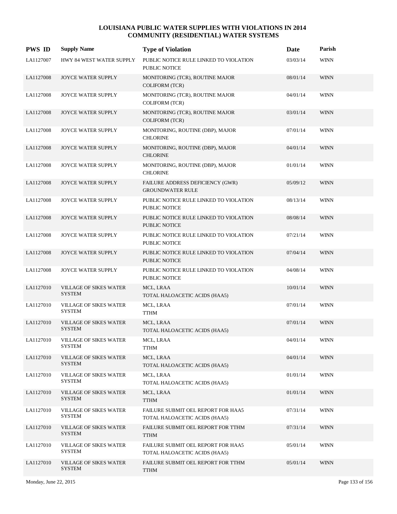| <b>PWS ID</b> | <b>Supply Name</b>                             | <b>Type of Violation</b>                                            | Date     | Parish      |
|---------------|------------------------------------------------|---------------------------------------------------------------------|----------|-------------|
| LA1127007     | HWY 84 WEST WATER SUPPLY                       | PUBLIC NOTICE RULE LINKED TO VIOLATION<br>PUBLIC NOTICE             | 03/03/14 | <b>WINN</b> |
| LA1127008     | <b>JOYCE WATER SUPPLY</b>                      | MONITORING (TCR), ROUTINE MAJOR<br><b>COLIFORM (TCR)</b>            | 08/01/14 | <b>WINN</b> |
| LA1127008     | JOYCE WATER SUPPLY                             | MONITORING (TCR), ROUTINE MAJOR<br><b>COLIFORM (TCR)</b>            | 04/01/14 | <b>WINN</b> |
| LA1127008     | <b>JOYCE WATER SUPPLY</b>                      | MONITORING (TCR), ROUTINE MAJOR<br><b>COLIFORM (TCR)</b>            | 03/01/14 | <b>WINN</b> |
| LA1127008     | JOYCE WATER SUPPLY                             | MONITORING, ROUTINE (DBP), MAJOR<br><b>CHLORINE</b>                 | 07/01/14 | <b>WINN</b> |
| LA1127008     | <b>JOYCE WATER SUPPLY</b>                      | MONITORING, ROUTINE (DBP), MAJOR<br><b>CHLORINE</b>                 | 04/01/14 | <b>WINN</b> |
| LA1127008     | JOYCE WATER SUPPLY                             | MONITORING, ROUTINE (DBP), MAJOR<br><b>CHLORINE</b>                 | 01/01/14 | <b>WINN</b> |
| LA1127008     | <b>JOYCE WATER SUPPLY</b>                      | FAILURE ADDRESS DEFICIENCY (GWR)<br><b>GROUNDWATER RULE</b>         | 05/09/12 | <b>WINN</b> |
| LA1127008     | JOYCE WATER SUPPLY                             | PUBLIC NOTICE RULE LINKED TO VIOLATION<br><b>PUBLIC NOTICE</b>      | 08/13/14 | <b>WINN</b> |
| LA1127008     | JOYCE WATER SUPPLY                             | PUBLIC NOTICE RULE LINKED TO VIOLATION<br><b>PUBLIC NOTICE</b>      | 08/08/14 | <b>WINN</b> |
| LA1127008     | JOYCE WATER SUPPLY                             | PUBLIC NOTICE RULE LINKED TO VIOLATION<br>PUBLIC NOTICE             | 07/21/14 | <b>WINN</b> |
| LA1127008     | <b>JOYCE WATER SUPPLY</b>                      | PUBLIC NOTICE RULE LINKED TO VIOLATION<br><b>PUBLIC NOTICE</b>      | 07/04/14 | <b>WINN</b> |
| LA1127008     | JOYCE WATER SUPPLY                             | PUBLIC NOTICE RULE LINKED TO VIOLATION<br>PUBLIC NOTICE             | 04/08/14 | <b>WINN</b> |
| LA1127010     | VILLAGE OF SIKES WATER<br><b>SYSTEM</b>        | MCL, LRAA<br>TOTAL HALOACETIC ACIDS (HAA5)                          | 10/01/14 | <b>WINN</b> |
| LA1127010     | <b>VILLAGE OF SIKES WATER</b><br><b>SYSTEM</b> | MCL, LRAA<br><b>TTHM</b>                                            | 07/01/14 | <b>WINN</b> |
| LA1127010     | <b>VILLAGE OF SIKES WATER</b><br><b>SYSTEM</b> | MCL, LRAA<br>TOTAL HALOACETIC ACIDS (HAA5)                          | 07/01/14 | <b>WINN</b> |
| LA1127010     | VILLAGE OF SIKES WATER<br><b>SYSTEM</b>        | MCL, LRAA<br><b>TTHM</b>                                            | 04/01/14 | <b>WINN</b> |
| LA1127010     | <b>VILLAGE OF SIKES WATER</b><br><b>SYSTEM</b> | MCL, LRAA<br>TOTAL HALOACETIC ACIDS (HAA5)                          | 04/01/14 | <b>WINN</b> |
| LA1127010     | <b>VILLAGE OF SIKES WATER</b><br><b>SYSTEM</b> | MCL, LRAA<br>TOTAL HALOACETIC ACIDS (HAA5)                          | 01/01/14 | WINN        |
| LA1127010     | <b>VILLAGE OF SIKES WATER</b><br><b>SYSTEM</b> | MCL, LRAA<br><b>TTHM</b>                                            | 01/01/14 | <b>WINN</b> |
| LA1127010     | VILLAGE OF SIKES WATER<br><b>SYSTEM</b>        | FAILURE SUBMIT OEL REPORT FOR HAA5<br>TOTAL HALOACETIC ACIDS (HAA5) | 07/31/14 | <b>WINN</b> |
| LA1127010     | <b>VILLAGE OF SIKES WATER</b><br><b>SYSTEM</b> | FAILURE SUBMIT OEL REPORT FOR TTHM<br><b>TTHM</b>                   | 07/31/14 | <b>WINN</b> |
| LA1127010     | <b>VILLAGE OF SIKES WATER</b><br><b>SYSTEM</b> | FAILURE SUBMIT OEL REPORT FOR HAA5<br>TOTAL HALOACETIC ACIDS (HAA5) | 05/01/14 | WINN        |
| LA1127010     | <b>VILLAGE OF SIKES WATER</b><br><b>SYSTEM</b> | FAILURE SUBMIT OEL REPORT FOR TTHM<br><b>TTHM</b>                   | 05/01/14 | <b>WINN</b> |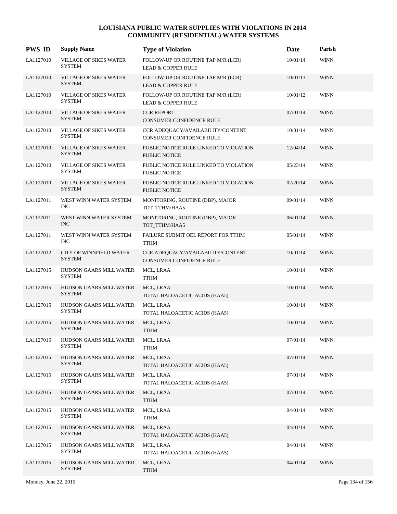| <b>PWS ID</b> | <b>Supply Name</b>                              | <b>Type of Violation</b>                                            | Date     | Parish      |
|---------------|-------------------------------------------------|---------------------------------------------------------------------|----------|-------------|
| LA1127010     | VILLAGE OF SIKES WATER<br><b>SYSTEM</b>         | FOLLOW-UP OR ROUTINE TAP M/R (LCR)<br><b>LEAD &amp; COPPER RULE</b> | 10/01/14 | <b>WINN</b> |
| LA1127010     | VILLAGE OF SIKES WATER<br><b>SYSTEM</b>         | FOLLOW-UP OR ROUTINE TAP M/R (LCR)<br><b>LEAD &amp; COPPER RULE</b> | 10/01/13 | <b>WINN</b> |
| LA1127010     | VILLAGE OF SIKES WATER<br><b>SYSTEM</b>         | FOLLOW-UP OR ROUTINE TAP M/R (LCR)<br><b>LEAD &amp; COPPER RULE</b> | 10/01/12 | <b>WINN</b> |
| LA1127010     | VILLAGE OF SIKES WATER<br><b>SYSTEM</b>         | <b>CCR REPORT</b><br>CONSUMER CONFIDENCE RULE                       | 07/01/14 | <b>WINN</b> |
| LA1127010     | VILLAGE OF SIKES WATER<br><b>SYSTEM</b>         | CCR ADEOUACY/AVAILABILITY/CONTENT<br>CONSUMER CONFIDENCE RULE       | 10/01/14 | <b>WINN</b> |
| LA1127010     | VILLAGE OF SIKES WATER<br><b>SYSTEM</b>         | PUBLIC NOTICE RULE LINKED TO VIOLATION<br>PUBLIC NOTICE             | 12/04/14 | <b>WINN</b> |
| LA1127010     | VILLAGE OF SIKES WATER<br><b>SYSTEM</b>         | PUBLIC NOTICE RULE LINKED TO VIOLATION<br><b>PUBLIC NOTICE</b>      | 05/23/14 | <b>WINN</b> |
| LA1127010     | VILLAGE OF SIKES WATER<br><b>SYSTEM</b>         | PUBLIC NOTICE RULE LINKED TO VIOLATION<br>PUBLIC NOTICE             | 02/20/14 | <b>WINN</b> |
| LA1127011     | WEST WINN WATER SYSTEM<br><b>INC</b>            | MONITORING, ROUTINE (DBP), MAJOR<br>TOT_TTHM/HAA5                   | 09/01/14 | <b>WINN</b> |
| LA1127011     | WEST WINN WATER SYSTEM<br><b>INC</b>            | MONITORING, ROUTINE (DBP), MAJOR<br>TOT TTHM/HAA5                   | 06/01/14 | <b>WINN</b> |
| LA1127011     | WEST WINN WATER SYSTEM<br><b>INC</b>            | FAILURE SUBMIT OEL REPORT FOR TTHM<br><b>TTHM</b>                   | 05/01/14 | <b>WINN</b> |
| LA1127012     | CITY OF WINNFIELD WATER<br><b>SYSTEM</b>        | CCR ADEQUACY/AVAILABILITY/CONTENT<br>CONSUMER CONFIDENCE RULE       | 10/01/14 | <b>WINN</b> |
| LA1127015     | HUDSON GAARS MILL WATER<br><b>SYSTEM</b>        | MCL, LRAA<br><b>TTHM</b>                                            | 10/01/14 | <b>WINN</b> |
| LA1127015     | HUDSON GAARS MILL WATER<br><b>SYSTEM</b>        | MCL, LRAA<br>TOTAL HALOACETIC ACIDS (HAA5)                          | 10/01/14 | <b>WINN</b> |
| LA1127015     | HUDSON GAARS MILL WATER<br><b>SYSTEM</b>        | MCL, LRAA<br>TOTAL HALOACETIC ACIDS (HAA5)                          | 10/01/14 | <b>WINN</b> |
| LA1127015     | <b>HUDSON GAARS MILL WATER</b><br><b>SYSTEM</b> | MCL, LRAA<br><b>TTHM</b>                                            | 10/01/14 | <b>WINN</b> |
| LA1127015     | HUDSON GAARS MILL WATER<br><b>SYSTEM</b>        | MCL, LRAA<br><b>TTHM</b>                                            | 07/01/14 | <b>WINN</b> |
| LA1127015     | HUDSON GAARS MILL WATER<br><b>SYSTEM</b>        | MCL, LRAA<br>TOTAL HALOACETIC ACIDS (HAA5)                          | 07/01/14 | <b>WINN</b> |
| LA1127015     | HUDSON GAARS MILL WATER<br><b>SYSTEM</b>        | MCL, LRAA<br>TOTAL HALOACETIC ACIDS (HAA5)                          | 07/01/14 | <b>WINN</b> |
| LA1127015     | HUDSON GAARS MILL WATER<br><b>SYSTEM</b>        | MCL, LRAA<br><b>TTHM</b>                                            | 07/01/14 | <b>WINN</b> |
| LA1127015     | HUDSON GAARS MILL WATER<br><b>SYSTEM</b>        | MCL, LRAA<br><b>TTHM</b>                                            | 04/01/14 | <b>WINN</b> |
| LA1127015     | HUDSON GAARS MILL WATER<br><b>SYSTEM</b>        | MCL, LRAA<br>TOTAL HALOACETIC ACIDS (HAA5)                          | 04/01/14 | <b>WINN</b> |
| LA1127015     | HUDSON GAARS MILL WATER<br><b>SYSTEM</b>        | MCL, LRAA<br>TOTAL HALOACETIC ACIDS (HAA5)                          | 04/01/14 | WINN        |
| LA1127015     | HUDSON GAARS MILL WATER<br><b>SYSTEM</b>        | MCL, LRAA<br><b>TTHM</b>                                            | 04/01/14 | <b>WINN</b> |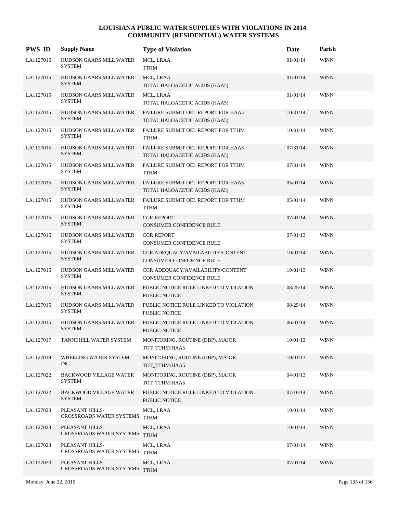| <b>PWS ID</b> | <b>Supply Name</b>                               | <b>Type of Violation</b>                                            | Date     | Parish      |
|---------------|--------------------------------------------------|---------------------------------------------------------------------|----------|-------------|
| LA1127015     | HUDSON GAARS MILL WATER<br><b>SYSTEM</b>         | MCL, LRAA<br><b>TTHM</b>                                            | 01/01/14 | <b>WINN</b> |
| LA1127015     | HUDSON GAARS MILL WATER<br><b>SYSTEM</b>         | MCL, LRAA<br>TOTAL HALOACETIC ACIDS (HAA5)                          | 01/01/14 | <b>WINN</b> |
| LA1127015     | HUDSON GAARS MILL WATER<br><b>SYSTEM</b>         | MCL, LRAA<br>TOTAL HALOACETIC ACIDS (HAA5)                          | 01/01/14 | <b>WINN</b> |
| LA1127015     | HUDSON GAARS MILL WATER<br><b>SYSTEM</b>         | FAILURE SUBMIT OEL REPORT FOR HAA5<br>TOTAL HALOACETIC ACIDS (HAA5) | 10/31/14 | <b>WINN</b> |
| LA1127015     | HUDSON GAARS MILL WATER<br><b>SYSTEM</b>         | FAILURE SUBMIT OEL REPORT FOR TTHM<br><b>TTHM</b>                   | 10/31/14 | <b>WINN</b> |
| LA1127015     | HUDSON GAARS MILL WATER<br><b>SYSTEM</b>         | FAILURE SUBMIT OEL REPORT FOR HAA5<br>TOTAL HALOACETIC ACIDS (HAA5) | 07/31/14 | <b>WINN</b> |
| LA1127015     | HUDSON GAARS MILL WATER<br><b>SYSTEM</b>         | FAILURE SUBMIT OEL REPORT FOR TTHM<br><b>TTHM</b>                   | 07/31/14 | <b>WINN</b> |
| LA1127015     | HUDSON GAARS MILL WATER<br><b>SYSTEM</b>         | FAILURE SUBMIT OEL REPORT FOR HAA5<br>TOTAL HALOACETIC ACIDS (HAA5) | 05/01/14 | <b>WINN</b> |
| LA1127015     | HUDSON GAARS MILL WATER<br>SYSTEM                | FAILURE SUBMIT OEL REPORT FOR TTHM<br><b>TTHM</b>                   | 05/01/14 | <b>WINN</b> |
| LA1127015     | HUDSON GAARS MILL WATER<br><b>SYSTEM</b>         | <b>CCR REPORT</b><br>CONSUMER CONFIDENCE RULE                       | 07/01/14 | <b>WINN</b> |
| LA1127015     | HUDSON GAARS MILL WATER<br><b>SYSTEM</b>         | <b>CCR REPORT</b><br>CONSUMER CONFIDENCE RULE                       | 07/01/13 | <b>WINN</b> |
| LA1127015     | HUDSON GAARS MILL WATER<br><b>SYSTEM</b>         | CCR ADEQUACY/AVAILABILITY/CONTENT<br>CONSUMER CONFIDENCE RULE       | 10/01/14 | <b>WINN</b> |
| LA1127015     | HUDSON GAARS MILL WATER<br>SYSTEM                | CCR ADEQUACY/AVAILABILITY/CONTENT<br>CONSUMER CONFIDENCE RULE       | 10/01/13 | <b>WINN</b> |
| LA1127015     | HUDSON GAARS MILL WATER<br><b>SYSTEM</b>         | PUBLIC NOTICE RULE LINKED TO VIOLATION<br><b>PUBLIC NOTICE</b>      | 08/25/14 | <b>WINN</b> |
| LA1127015     | HUDSON GAARS MILL WATER<br><b>SYSTEM</b>         | PUBLIC NOTICE RULE LINKED TO VIOLATION<br>PUBLIC NOTICE             | 08/25/14 | <b>WINN</b> |
| LA1127015     | HUDSON GAARS MILL WATER<br><b>SYSTEM</b>         | PUBLIC NOTICE RULE LINKED TO VIOLATION<br>PUBLIC NOTICE             | 06/01/14 | <b>WINN</b> |
| LA1127017     | TANNEHILL WATER SYSTEM                           | MONITORING, ROUTINE (DBP), MAJOR<br>TOT_TTHM/HAA5                   | 10/01/13 | <b>WINN</b> |
| LA1127019     | WHEELING WATER SYSTEM<br>INC                     | MONITORING, ROUTINE (DBP), MAJOR<br>TOT_TTHM/HAA5                   | 10/01/13 | <b>WINN</b> |
| LA1127022     | <b>BACKWOOD VILLAGE WATER</b><br>SYSTEM          | MONITORING, ROUTINE (DBP), MAJOR<br>TOT_TTHM/HAA5                   | 04/01/13 | <b>WINN</b> |
| LA1127022     | <b>BACKWOOD VILLAGE WATER</b><br><b>SYSTEM</b>   | PUBLIC NOTICE RULE LINKED TO VIOLATION<br>PUBLIC NOTICE             | 07/16/14 | <b>WINN</b> |
| LA1127023     | PLEASANT HILLS-<br>CROSSROADS WATER SYSTEMS TTHM | MCL, LRAA                                                           | 10/01/14 | WINN        |
| LA1127023     | PLEASANT HILLS-<br>CROSSROADS WATER SYSTEMS      | MCL, LRAA<br><b>TTHM</b>                                            | 10/01/14 | <b>WINN</b> |
| LA1127023     | PLEASANT HILLS-<br>CROSSROADS WATER SYSTEMS      | MCL, LRAA<br><b>TTHM</b>                                            | 07/01/14 | WINN        |
| LA1127023     | PLEASANT HILLS-<br>CROSSROADS WATER SYSTEMS      | MCL, LRAA<br><b>TTHM</b>                                            | 07/01/14 | <b>WINN</b> |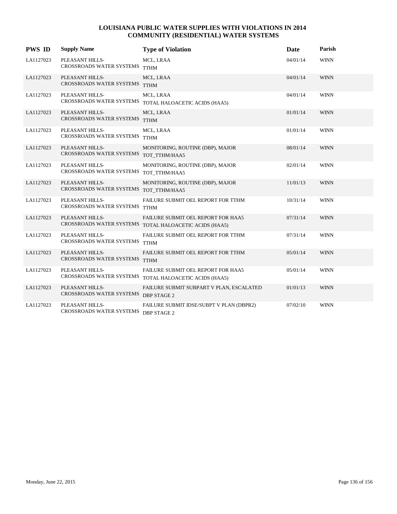| <b>PWS ID</b> | <b>Supply Name</b>                                        | <b>Type of Violation</b>                                                                     | Date     | Parish      |
|---------------|-----------------------------------------------------------|----------------------------------------------------------------------------------------------|----------|-------------|
| LA1127023     | PLEASANT HILLS-<br>CROSSROADS WATER SYSTEMS TTHM          | MCL, LRAA                                                                                    | 04/01/14 | <b>WINN</b> |
| LA1127023     | PLEASANT HILLS-<br>CROSSROADS WATER SYSTEMS TTHM          | MCL, LRAA                                                                                    | 04/01/14 | <b>WINN</b> |
| LA1127023     | PLEASANT HILLS-<br>CROSSROADS WATER SYSTEMS               | MCL, LRAA<br>TOTAL HALOACETIC ACIDS (HAA5)                                                   | 04/01/14 | <b>WINN</b> |
| LA1127023     | PLEASANT HILLS-<br>CROSSROADS WATER SYSTEMS TTHM          | MCL, LRAA                                                                                    | 01/01/14 | <b>WINN</b> |
| LA1127023     | PLEASANT HILLS-<br>CROSSROADS WATER SYSTEMS               | MCL, LRAA<br><b>TTHM</b>                                                                     | 01/01/14 | <b>WINN</b> |
| LA1127023     | PLEASANT HILLS-<br>CROSSROADS WATER SYSTEMS TOT_TTHM/HAA5 | MONITORING, ROUTINE (DBP), MAJOR                                                             | 08/01/14 | <b>WINN</b> |
| LA1127023     | PLEASANT HILLS-<br>CROSSROADS WATER SYSTEMS               | MONITORING, ROUTINE (DBP), MAJOR<br>TOT TTHM/HAA5                                            | 02/01/14 | <b>WINN</b> |
| LA1127023     | PLEASANT HILLS-<br>CROSSROADS WATER SYSTEMS               | MONITORING, ROUTINE (DBP), MAJOR<br>TOT_TTHM/HAA5                                            | 11/01/13 | <b>WINN</b> |
| LA1127023     | PLEASANT HILLS-<br>CROSSROADS WATER SYSTEMS TTHM          | FAILURE SUBMIT OEL REPORT FOR TTHM                                                           | 10/31/14 | <b>WINN</b> |
| LA1127023     | PLEASANT HILLS-                                           | FAILURE SUBMIT OEL REPORT FOR HAA5<br>CROSSROADS WATER SYSTEMS TOTAL HALOACETIC ACIDS (HAA5) | 07/31/14 | <b>WINN</b> |
| LA1127023     | PLEASANT HILLS-<br>CROSSROADS WATER SYSTEMS               | FAILURE SUBMIT OEL REPORT FOR TTHM<br><b>TTHM</b>                                            | 07/31/14 | <b>WINN</b> |
| LA1127023     | PLEASANT HILLS-<br>CROSSROADS WATER SYSTEMS               | FAILURE SUBMIT OEL REPORT FOR TTHM<br><b>TTHM</b>                                            | 05/01/14 | <b>WINN</b> |
| LA1127023     | PLEASANT HILLS-<br>CROSSROADS WATER SYSTEMS               | <b>FAILURE SUBMIT OEL REPORT FOR HAA5</b><br>TOTAL HALOACETIC ACIDS (HAA5)                   | 05/01/14 | <b>WINN</b> |
| LA1127023     | PLEASANT HILLS-<br>CROSSROADS WATER SYSTEMS DBP STAGE 2   | FAILURE SUBMIT SUBPART V PLAN, ESCALATED                                                     | 01/01/13 | <b>WINN</b> |
| LA1127023     | PLEASANT HILLS-<br><b>CROSSROADS WATER SYSTEMS</b>        | FAILURE SUBMIT IDSE/SUBPT V PLAN (DBPR2)<br><b>DBP STAGE 2</b>                               | 07/02/10 | <b>WINN</b> |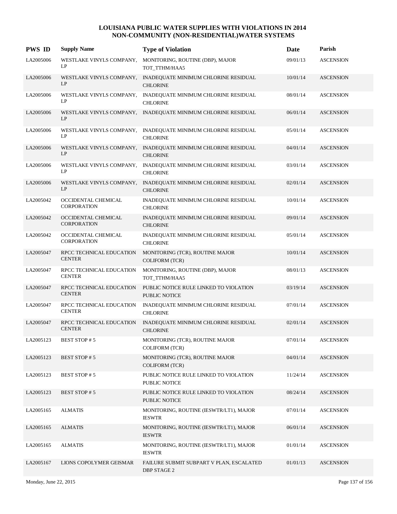| <b>PWS ID</b> | <b>Supply Name</b>                        | <b>Type of Violation</b>                                                         | Date     | Parish           |
|---------------|-------------------------------------------|----------------------------------------------------------------------------------|----------|------------------|
| LA2005006     | WESTLAKE VINYLS COMPANY,<br>LP            | MONITORING, ROUTINE (DBP), MAJOR<br>TOT TTHM/HAA5                                | 09/01/13 | <b>ASCENSION</b> |
| LA2005006     | LP                                        | WESTLAKE VINYLS COMPANY, INADEQUATE MINIMUM CHLORINE RESIDUAL<br><b>CHLORINE</b> | 10/01/14 | <b>ASCENSION</b> |
| LA2005006     | WESTLAKE VINYLS COMPANY,<br>LP            | INADEQUATE MINIMUM CHLORINE RESIDUAL<br><b>CHLORINE</b>                          | 08/01/14 | <b>ASCENSION</b> |
| LA2005006     | LP                                        | WESTLAKE VINYLS COMPANY, INADEQUATE MINIMUM CHLORINE RESIDUAL                    | 06/01/14 | <b>ASCENSION</b> |
| LA2005006     | LP                                        | WESTLAKE VINYLS COMPANY, INADEQUATE MINIMUM CHLORINE RESIDUAL<br><b>CHLORINE</b> | 05/01/14 | <b>ASCENSION</b> |
| LA2005006     | LP                                        | WESTLAKE VINYLS COMPANY, INADEQUATE MINIMUM CHLORINE RESIDUAL<br><b>CHLORINE</b> | 04/01/14 | <b>ASCENSION</b> |
| LA2005006     | WESTLAKE VINYLS COMPANY,<br>LP            | INADEQUATE MINIMUM CHLORINE RESIDUAL<br><b>CHLORINE</b>                          | 03/01/14 | <b>ASCENSION</b> |
| LA2005006     | WESTLAKE VINYLS COMPANY,<br>LP            | INADEQUATE MINIMUM CHLORINE RESIDUAL<br><b>CHLORINE</b>                          | 02/01/14 | <b>ASCENSION</b> |
| LA2005042     | OCCIDENTAL CHEMICAL<br><b>CORPORATION</b> | INADEQUATE MINIMUM CHLORINE RESIDUAL<br><b>CHLORINE</b>                          | 10/01/14 | <b>ASCENSION</b> |
| LA2005042     | OCCIDENTAL CHEMICAL<br><b>CORPORATION</b> | INADEQUATE MINIMUM CHLORINE RESIDUAL<br><b>CHLORINE</b>                          | 09/01/14 | <b>ASCENSION</b> |
| LA2005042     | OCCIDENTAL CHEMICAL<br><b>CORPORATION</b> | INADEQUATE MINIMUM CHLORINE RESIDUAL<br><b>CHLORINE</b>                          | 05/01/14 | <b>ASCENSION</b> |
| LA2005047     | RPCC TECHNICAL EDUCATION<br><b>CENTER</b> | MONITORING (TCR), ROUTINE MAJOR<br><b>COLIFORM (TCR)</b>                         | 10/01/14 | <b>ASCENSION</b> |
| LA2005047     | RPCC TECHNICAL EDUCATION<br><b>CENTER</b> | MONITORING, ROUTINE (DBP), MAJOR<br>TOT_TTHM/HAA5                                | 08/01/13 | <b>ASCENSION</b> |
| LA2005047     | RPCC TECHNICAL EDUCATION<br><b>CENTER</b> | PUBLIC NOTICE RULE LINKED TO VIOLATION<br>PUBLIC NOTICE                          | 03/19/14 | <b>ASCENSION</b> |
| LA2005047     | RPCC TECHNICAL EDUCATION<br><b>CENTER</b> | INADEQUATE MINIMUM CHLORINE RESIDUAL<br><b>CHLORINE</b>                          | 07/01/14 | <b>ASCENSION</b> |
| LA2005047     | RPCC TECHNICAL EDUCATION<br><b>CENTER</b> | INADEQUATE MINIMUM CHLORINE RESIDUAL<br><b>CHLORINE</b>                          | 02/01/14 | <b>ASCENSION</b> |
| LA2005123     | <b>BEST STOP #5</b>                       | MONITORING (TCR), ROUTINE MAJOR<br><b>COLIFORM (TCR)</b>                         | 07/01/14 | <b>ASCENSION</b> |
| LA2005123     | <b>BEST STOP #5</b>                       | MONITORING (TCR), ROUTINE MAJOR<br><b>COLIFORM (TCR)</b>                         | 04/01/14 | <b>ASCENSION</b> |
| LA2005123     | <b>BEST STOP #5</b>                       | PUBLIC NOTICE RULE LINKED TO VIOLATION<br>PUBLIC NOTICE                          | 11/24/14 | <b>ASCENSION</b> |
| LA2005123     | <b>BEST STOP #5</b>                       | PUBLIC NOTICE RULE LINKED TO VIOLATION<br>PUBLIC NOTICE                          | 08/24/14 | <b>ASCENSION</b> |
| LA2005165     | <b>ALMATIS</b>                            | MONITORING, ROUTINE (IESWTR/LT1), MAJOR<br><b>IESWTR</b>                         | 07/01/14 | <b>ASCENSION</b> |
| LA2005165     | <b>ALMATIS</b>                            | MONITORING, ROUTINE (IESWTR/LT1), MAJOR<br><b>IESWTR</b>                         | 06/01/14 | <b>ASCENSION</b> |
| LA2005165     | <b>ALMATIS</b>                            | MONITORING, ROUTINE (IESWTR/LT1), MAJOR<br><b>IESWTR</b>                         | 01/01/14 | <b>ASCENSION</b> |
| LA2005167     | LIONS COPOLYMER GEISMAR                   | FAILURE SUBMIT SUBPART V PLAN, ESCALATED<br><b>DBP STAGE 2</b>                   | 01/01/13 | <b>ASCENSION</b> |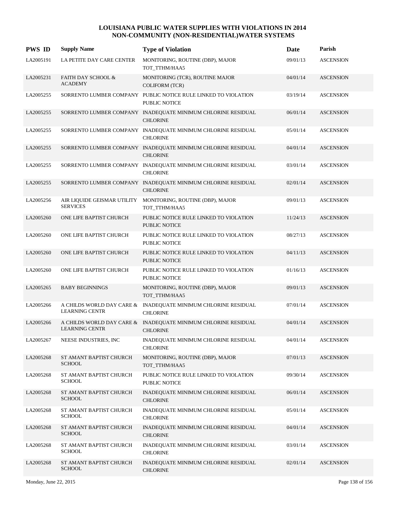| <b>PWS ID</b> | <b>Supply Name</b>                                 | <b>Type of Violation</b>                                                          | Date     | Parish           |
|---------------|----------------------------------------------------|-----------------------------------------------------------------------------------|----------|------------------|
| LA2005191     | LA PETITE DAY CARE CENTER                          | MONITORING, ROUTINE (DBP), MAJOR<br>TOT_TTHM/HAA5                                 | 09/01/13 | <b>ASCENSION</b> |
| LA2005231     | <b>FAITH DAY SCHOOL &amp;</b><br><b>ACADEMY</b>    | MONITORING (TCR), ROUTINE MAJOR<br><b>COLIFORM (TCR)</b>                          | 04/01/14 | <b>ASCENSION</b> |
| LA2005255     |                                                    | SORRENTO LUMBER COMPANY PUBLIC NOTICE RULE LINKED TO VIOLATION<br>PUBLIC NOTICE   | 03/19/14 | <b>ASCENSION</b> |
| LA2005255     |                                                    | SORRENTO LUMBER COMPANY INADEQUATE MINIMUM CHLORINE RESIDUAL<br><b>CHLORINE</b>   | 06/01/14 | <b>ASCENSION</b> |
| LA2005255     |                                                    | SORRENTO LUMBER COMPANY INADEQUATE MINIMUM CHLORINE RESIDUAL<br><b>CHLORINE</b>   | 05/01/14 | <b>ASCENSION</b> |
| LA2005255     |                                                    | SORRENTO LUMBER COMPANY INADEQUATE MINIMUM CHLORINE RESIDUAL<br><b>CHLORINE</b>   | 04/01/14 | <b>ASCENSION</b> |
| LA2005255     |                                                    | SORRENTO LUMBER COMPANY INADEQUATE MINIMUM CHLORINE RESIDUAL<br><b>CHLORINE</b>   | 03/01/14 | <b>ASCENSION</b> |
| LA2005255     |                                                    | SORRENTO LUMBER COMPANY INADEQUATE MINIMUM CHLORINE RESIDUAL<br><b>CHLORINE</b>   | 02/01/14 | <b>ASCENSION</b> |
| LA2005256     | AIR LIQUIDE GEISMAR UTILITY<br><b>SERVICES</b>     | MONITORING, ROUTINE (DBP), MAJOR<br>TOT_TTHM/HAA5                                 | 09/01/13 | <b>ASCENSION</b> |
| LA2005260     | ONE LIFE BAPTIST CHURCH                            | PUBLIC NOTICE RULE LINKED TO VIOLATION<br>PUBLIC NOTICE                           | 11/24/13 | <b>ASCENSION</b> |
| LA2005260     | ONE LIFE BAPTIST CHURCH                            | PUBLIC NOTICE RULE LINKED TO VIOLATION<br>PUBLIC NOTICE                           | 08/27/13 | <b>ASCENSION</b> |
| LA2005260     | ONE LIFE BAPTIST CHURCH                            | PUBLIC NOTICE RULE LINKED TO VIOLATION<br>PUBLIC NOTICE                           | 04/11/13 | <b>ASCENSION</b> |
| LA2005260     | ONE LIFE BAPTIST CHURCH                            | PUBLIC NOTICE RULE LINKED TO VIOLATION<br>PUBLIC NOTICE                           | 01/16/13 | <b>ASCENSION</b> |
| LA2005265     | <b>BABY BEGINNINGS</b>                             | MONITORING, ROUTINE (DBP), MAJOR<br>TOT_TTHM/HAA5                                 | 09/01/13 | <b>ASCENSION</b> |
| LA2005266     | A CHILDS WORLD DAY CARE &<br><b>LEARNING CENTR</b> | INADEQUATE MINIMUM CHLORINE RESIDUAL<br><b>CHLORINE</b>                           | 07/01/14 | <b>ASCENSION</b> |
| LA2005266     | <b>LEARNING CENTR</b>                              | A CHILDS WORLD DAY CARE & INADEQUATE MINIMUM CHLORINE RESIDUAL<br><b>CHLORINE</b> | 04/01/14 | <b>ASCENSION</b> |
| LA2005267     | NEESE INDUSTRIES, INC                              | INADEQUATE MINIMUM CHLORINE RESIDUAL<br><b>CHLORINE</b>                           | 04/01/14 | <b>ASCENSION</b> |
| LA2005268     | ST AMANT BAPTIST CHURCH<br><b>SCHOOL</b>           | MONITORING, ROUTINE (DBP), MAJOR<br>TOT_TTHM/HAA5                                 | 07/01/13 | <b>ASCENSION</b> |
| LA2005268     | ST AMANT BAPTIST CHURCH<br><b>SCHOOL</b>           | PUBLIC NOTICE RULE LINKED TO VIOLATION<br>PUBLIC NOTICE                           | 09/30/14 | <b>ASCENSION</b> |
| LA2005268     | ST AMANT BAPTIST CHURCH<br><b>SCHOOL</b>           | INADEQUATE MINIMUM CHLORINE RESIDUAL<br><b>CHLORINE</b>                           | 06/01/14 | <b>ASCENSION</b> |
| LA2005268     | ST AMANT BAPTIST CHURCH<br><b>SCHOOL</b>           | INADEQUATE MINIMUM CHLORINE RESIDUAL<br><b>CHLORINE</b>                           | 05/01/14 | <b>ASCENSION</b> |
| LA2005268     | ST AMANT BAPTIST CHURCH<br><b>SCHOOL</b>           | INADEQUATE MINIMUM CHLORINE RESIDUAL<br><b>CHLORINE</b>                           | 04/01/14 | <b>ASCENSION</b> |
| LA2005268     | ST AMANT BAPTIST CHURCH<br><b>SCHOOL</b>           | INADEQUATE MINIMUM CHLORINE RESIDUAL<br><b>CHLORINE</b>                           | 03/01/14 | <b>ASCENSION</b> |
| LA2005268     | ST AMANT BAPTIST CHURCH<br><b>SCHOOL</b>           | INADEQUATE MINIMUM CHLORINE RESIDUAL<br><b>CHLORINE</b>                           | 02/01/14 | <b>ASCENSION</b> |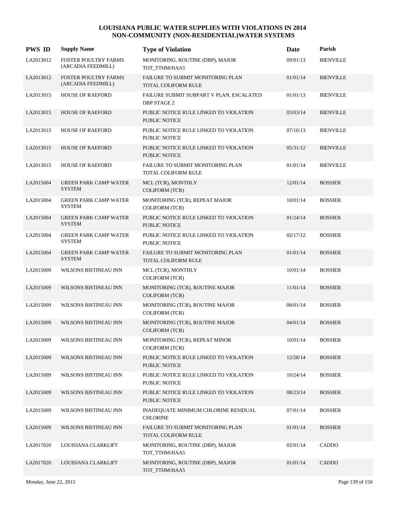| <b>PWS ID</b> | <b>Supply Name</b>                                | <b>Type of Violation</b>                                        | Date     | Parish           |
|---------------|---------------------------------------------------|-----------------------------------------------------------------|----------|------------------|
| LA2013012     | FOSTER POULTRY FARMS<br>(ARCADIA FEEDMILL)        | MONITORING, ROUTINE (DBP), MAJOR<br>TOT_TTHM/HAA5               | 09/01/13 | <b>BIENVILLE</b> |
| LA2013012     | <b>FOSTER POULTRY FARMS</b><br>(ARCADIA FEEDMILL) | FAILURE TO SUBMIT MONITORING PLAN<br>TOTAL COLIFORM RULE        | 01/01/14 | <b>BIENVILLE</b> |
| LA2013015     | <b>HOUSE OF RAEFORD</b>                           | FAILURE SUBMIT SUBPART V PLAN, ESCALATED<br><b>DBP STAGE 2</b>  | 01/01/13 | <b>BIENVILLE</b> |
| LA2013015     | <b>HOUSE OF RAEFORD</b>                           | PUBLIC NOTICE RULE LINKED TO VIOLATION<br><b>PUBLIC NOTICE</b>  | 03/03/14 | <b>BIENVILLE</b> |
| LA2013015     | HOUSE OF RAEFORD                                  | PUBLIC NOTICE RULE LINKED TO VIOLATION<br><b>PUBLIC NOTICE</b>  | 07/10/13 | <b>BIENVILLE</b> |
| LA2013015     | <b>HOUSE OF RAEFORD</b>                           | PUBLIC NOTICE RULE LINKED TO VIOLATION<br><b>PUBLIC NOTICE</b>  | 05/31/12 | <b>BIENVILLE</b> |
| LA2013015     | HOUSE OF RAEFORD                                  | FAILURE TO SUBMIT MONITORING PLAN<br><b>TOTAL COLIFORM RULE</b> | 01/01/14 | <b>BIENVILLE</b> |
| LA2015004     | <b>GREEN PARK CAMP WATER</b><br><b>SYSTEM</b>     | MCL (TCR), MONTHLY<br><b>COLIFORM (TCR)</b>                     | 12/01/14 | <b>BOSSIER</b>   |
| LA2015004     | <b>GREEN PARK CAMP WATER</b><br><b>SYSTEM</b>     | MONITORING (TCR), REPEAT MAJOR<br><b>COLIFORM (TCR)</b>         | 10/01/14 | <b>BOSSIER</b>   |
| LA2015004     | <b>GREEN PARK CAMP WATER</b><br><b>SYSTEM</b>     | PUBLIC NOTICE RULE LINKED TO VIOLATION<br><b>PUBLIC NOTICE</b>  | 01/24/14 | <b>BOSSIER</b>   |
| LA2015004     | <b>GREEN PARK CAMP WATER</b><br><b>SYSTEM</b>     | PUBLIC NOTICE RULE LINKED TO VIOLATION<br><b>PUBLIC NOTICE</b>  | 02/17/12 | <b>BOSSIER</b>   |
| LA2015004     | <b>GREEN PARK CAMP WATER</b><br><b>SYSTEM</b>     | FAILURE TO SUBMIT MONITORING PLAN<br><b>TOTAL COLIFORM RULE</b> | 01/01/14 | <b>BOSSIER</b>   |
| LA2015009     | WILSONS BISTINEAU INN                             | MCL (TCR), MONTHLY<br><b>COLIFORM (TCR)</b>                     | 10/01/14 | <b>BOSSIER</b>   |
| LA2015009     | WILSONS BISTINEAU INN                             | MONITORING (TCR), ROUTINE MAJOR<br><b>COLIFORM</b> (TCR)        | 11/01/14 | <b>BOSSIER</b>   |
| LA2015009     | WILSONS BISTINEAU INN                             | MONITORING (TCR), ROUTINE MAJOR<br><b>COLIFORM (TCR)</b>        | 08/01/14 | <b>BOSSIER</b>   |
| LA2015009     | WILSONS BISTINEAU INN                             | MONITORING (TCR), ROUTINE MAJOR<br><b>COLIFORM (TCR)</b>        | 04/01/14 | <b>BOSSIER</b>   |
| LA2015009     | WILSONS BISTINEAU INN                             | MONITORING (TCR), REPEAT MINOR<br><b>COLIFORM (TCR)</b>         | 10/01/14 | <b>BOSSIER</b>   |
| LA2015009     | WILSONS BISTINEAU INN                             | PUBLIC NOTICE RULE LINKED TO VIOLATION<br><b>PUBLIC NOTICE</b>  | 12/28/14 | <b>BOSSIER</b>   |
| LA2015009     | WILSONS BISTINEAU INN                             | PUBLIC NOTICE RULE LINKED TO VIOLATION<br>PUBLIC NOTICE         | 10/24/14 | <b>BOSSIER</b>   |
| LA2015009     | WILSONS BISTINEAU INN                             | PUBLIC NOTICE RULE LINKED TO VIOLATION<br>PUBLIC NOTICE         | 08/23/14 | <b>BOSSIER</b>   |
| LA2015009     | WILSONS BISTINEAU INN                             | INADEQUATE MINIMUM CHLORINE RESIDUAL<br><b>CHLORINE</b>         | 07/01/14 | <b>BOSSIER</b>   |
| LA2015009     | WILSONS BISTINEAU INN                             | FAILURE TO SUBMIT MONITORING PLAN<br>TOTAL COLIFORM RULE        | 01/01/14 | <b>BOSSIER</b>   |
| LA2017020     | LOUISIANA CLARKLIFT                               | MONITORING, ROUTINE (DBP), MAJOR<br>TOT_TTHM/HAA5               | 02/01/14 | CADDO            |
| LA2017020     | LOUISIANA CLARKLIFT                               | MONITORING, ROUTINE (DBP), MAJOR<br>TOT_TTHM/HAA5               | 01/01/14 | CADDO            |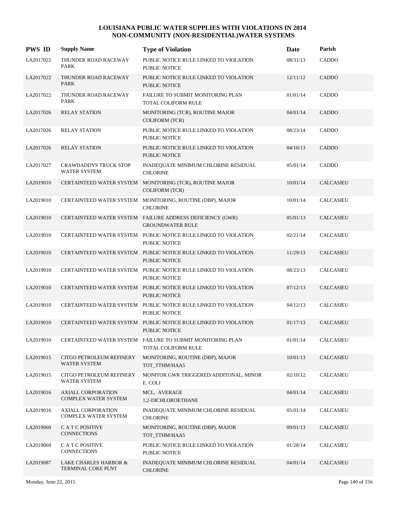| <b>PWS ID</b> | <b>Supply Name</b>                                       | <b>Type of Violation</b>                                                                | Date     | Parish           |
|---------------|----------------------------------------------------------|-----------------------------------------------------------------------------------------|----------|------------------|
| LA2017022     | THUNDER ROAD RACEWAY<br><b>PARK</b>                      | PUBLIC NOTICE RULE LINKED TO VIOLATION<br><b>PUBLIC NOTICE</b>                          | 08/31/13 | CADDO            |
| LA2017022     | THUNDER ROAD RACEWAY<br><b>PARK</b>                      | PUBLIC NOTICE RULE LINKED TO VIOLATION<br><b>PUBLIC NOTICE</b>                          | 12/11/12 | CADDO            |
| LA2017022     | THUNDER ROAD RACEWAY<br><b>PARK</b>                      | FAILURE TO SUBMIT MONITORING PLAN<br>TOTAL COLIFORM RULE                                | 01/01/14 | CADDO            |
| LA2017026     | <b>RELAY STATION</b>                                     | MONITORING (TCR), ROUTINE MAJOR<br><b>COLIFORM (TCR)</b>                                | 04/01/14 | <b>CADDO</b>     |
| LA2017026     | <b>RELAY STATION</b>                                     | PUBLIC NOTICE RULE LINKED TO VIOLATION<br>PUBLIC NOTICE                                 | 08/23/14 | CADDO            |
| LA2017026     | <b>RELAY STATION</b>                                     | PUBLIC NOTICE RULE LINKED TO VIOLATION<br>PUBLIC NOTICE                                 | 04/10/13 | CADDO            |
| LA2017027     | <b>CRAWDADDYS TRUCK STOP</b><br><b>WATER SYSTEM</b>      | INADEQUATE MINIMUM CHLORINE RESIDUAL<br><b>CHLORINE</b>                                 | 05/01/14 | CADDO            |
| LA2019010     |                                                          | CERTAINTEED WATER SYSTEM MONITORING (TCR), ROUTINE MAJOR<br>COLIFORM (TCR)              | 10/01/14 | <b>CALCASIEU</b> |
| LA2019010     |                                                          | CERTAINTEED WATER SYSTEM MONITORING, ROUTINE (DBP), MAJOR<br><b>CHLORINE</b>            | 10/01/14 | <b>CALCASIEU</b> |
| LA2019010     |                                                          | CERTAINTEED WATER SYSTEM FAILURE ADDRESS DEFICIENCY (GWR)<br><b>GROUNDWATER RULE</b>    | 05/01/13 | <b>CALCASIEU</b> |
| LA2019010     |                                                          | CERTAINTEED WATER SYSTEM PUBLIC NOTICE RULE LINKED TO VIOLATION<br>PUBLIC NOTICE        | 02/21/14 | <b>CALCASIEU</b> |
| LA2019010     |                                                          | CERTAINTEED WATER SYSTEM PUBLIC NOTICE RULE LINKED TO VIOLATION<br>PUBLIC NOTICE        | 11/29/13 | <b>CALCASIEU</b> |
| LA2019010     |                                                          | CERTAINTEED WATER SYSTEM PUBLIC NOTICE RULE LINKED TO VIOLATION<br>PUBLIC NOTICE        | 08/23/13 | <b>CALCASIEU</b> |
| LA2019010     |                                                          | CERTAINTEED WATER SYSTEM PUBLIC NOTICE RULE LINKED TO VIOLATION<br>PUBLIC NOTICE        | 07/12/13 | <b>CALCASIEU</b> |
| LA2019010     |                                                          | CERTAINTEED WATER SYSTEM PUBLIC NOTICE RULE LINKED TO VIOLATION<br><b>PUBLIC NOTICE</b> | 04/12/13 | <b>CALCASIEU</b> |
| LA2019010     |                                                          | CERTAINTEED WATER SYSTEM PUBLIC NOTICE RULE LINKED TO VIOLATION<br><b>PUBLIC NOTICE</b> | 01/17/13 | <b>CALCASIEU</b> |
| LA2019010     |                                                          | CERTAINTEED WATER SYSTEM FAILURE TO SUBMIT MONITORING PLAN<br>TOTAL COLIFORM RULE       | 01/01/14 | CALCASIEU        |
| LA2019015     | CITGO PETROLEUM REFINERY<br>WATER SYSTEM                 | MONITORING, ROUTINE (DBP), MAJOR<br>TOT_TTHM/HAA5                                       | 10/01/13 | <b>CALCASIEU</b> |
| LA2019015     | CITGO PETROLEUM REFINERY<br>WATER SYSTEM                 | MONITOR GWR TRIGGERED/ADDITONAL, MINOR<br>E. COLI                                       | 02/10/12 | <b>CALCASIEU</b> |
| LA2019016     | <b>AXIALL CORPORATION</b><br><b>COMPLEX WATER SYSTEM</b> | MCL, AVERAGE<br>1,2-DICHLOROETHANE                                                      | 04/01/14 | CALCASIEU        |
| LA2019016     | <b>AXIALL CORPORATION</b><br>COMPLEX WATER SYSTEM        | INADEQUATE MINIMUM CHLORINE RESIDUAL<br><b>CHLORINE</b>                                 | 05/01/14 | <b>CALCASIEU</b> |
| LA2019060     | C A T C POSITIVE<br><b>CONNECTIONS</b>                   | MONITORING, ROUTINE (DBP), MAJOR<br>TOT_TTHM/HAA5                                       | 09/01/13 | CALCASIEU        |
| LA2019060     | C A T C POSITIVE<br>CONNECTIONS                          | PUBLIC NOTICE RULE LINKED TO VIOLATION<br>PUBLIC NOTICE                                 | 01/28/14 | <b>CALCASIEU</b> |
| LA2019087     | LAKE CHARLES HARBOR &<br>TERMINAL COKE PLNT              | INADEQUATE MINIMUM CHLORINE RESIDUAL<br><b>CHLORINE</b>                                 | 04/01/14 | CALCASIEU        |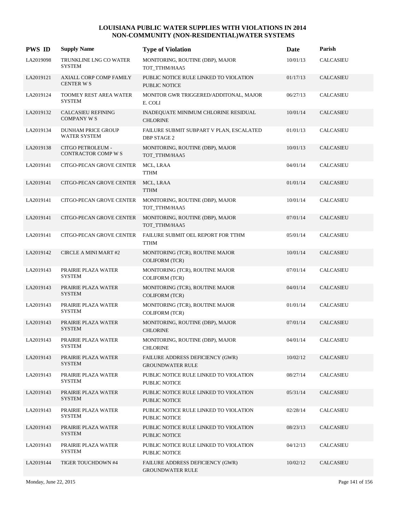| <b>PWS ID</b> | <b>Supply Name</b>                                 | <b>Type of Violation</b>                                       | Date     | Parish           |
|---------------|----------------------------------------------------|----------------------------------------------------------------|----------|------------------|
| LA2019098     | TRUNKLINE LNG CO WATER<br><b>SYSTEM</b>            | MONITORING, ROUTINE (DBP), MAJOR<br>TOT_TTHM/HAA5              | 10/01/13 | <b>CALCASIEU</b> |
| LA2019121     | <b>AXIALL CORP COMP FAMILY</b><br><b>CENTER WS</b> | PUBLIC NOTICE RULE LINKED TO VIOLATION<br>PUBLIC NOTICE        | 01/17/13 | CALCASIEU        |
| LA2019124     | TOOMEY REST AREA WATER<br><b>SYSTEM</b>            | MONITOR GWR TRIGGERED/ADDITONAL, MAJOR<br>E. COLI              | 06/27/13 | <b>CALCASIEU</b> |
| LA2019132     | <b>CALCASIEU REFINING</b><br><b>COMPANY W S</b>    | INADEQUATE MINIMUM CHLORINE RESIDUAL<br><b>CHLORINE</b>        | 10/01/14 | CALCASIEU        |
| LA2019134     | DUNHAM PRICE GROUP<br>WATER SYSTEM                 | FAILURE SUBMIT SUBPART V PLAN, ESCALATED<br><b>DBP STAGE 2</b> | 01/01/13 | CALCASIEU        |
| LA2019138     | <b>CITGO PETROLEUM -</b><br>CONTRACTOR COMP W S    | MONITORING, ROUTINE (DBP), MAJOR<br>TOT_TTHM/HAA5              | 10/01/13 | CALCASIEU        |
| LA2019141     | CITGO-PECAN GROVE CENTER                           | MCL, LRAA<br><b>TTHM</b>                                       | 04/01/14 | <b>CALCASIEU</b> |
| LA2019141     | CITGO-PECAN GROVE CENTER                           | MCL, LRAA<br><b>TTHM</b>                                       | 01/01/14 | CALCASIEU        |
| LA2019141     | CITGO-PECAN GROVE CENTER                           | MONITORING, ROUTINE (DBP), MAJOR<br>TOT TTHM/HAA5              | 10/01/14 | CALCASIEU        |
| LA2019141     | <b>CITGO-PECAN GROVE CENTER</b>                    | MONITORING, ROUTINE (DBP), MAJOR<br>TOT_TTHM/HAA5              | 07/01/14 | <b>CALCASIEU</b> |
| LA2019141     | CITGO-PECAN GROVE CENTER                           | FAILURE SUBMIT OEL REPORT FOR TTHM<br><b>TTHM</b>              | 05/01/14 | <b>CALCASIEU</b> |
| LA2019142     | <b>CIRCLE A MINI MART #2</b>                       | MONITORING (TCR), ROUTINE MAJOR<br><b>COLIFORM (TCR)</b>       | 10/01/14 | <b>CALCASIEU</b> |
| LA2019143     | PRAIRIE PLAZA WATER<br><b>SYSTEM</b>               | MONITORING (TCR), ROUTINE MAJOR<br><b>COLIFORM (TCR)</b>       | 07/01/14 | CALCASIEU        |
| LA2019143     | PRAIRIE PLAZA WATER<br><b>SYSTEM</b>               | MONITORING (TCR), ROUTINE MAJOR<br><b>COLIFORM (TCR)</b>       | 04/01/14 | <b>CALCASIEU</b> |
| LA2019143     | PRAIRIE PLAZA WATER<br><b>SYSTEM</b>               | MONITORING (TCR), ROUTINE MAJOR<br><b>COLIFORM (TCR)</b>       | 01/01/14 | <b>CALCASIEU</b> |
| LA2019143     | PRAIRIE PLAZA WATER<br><b>SYSTEM</b>               | MONITORING, ROUTINE (DBP), MAJOR<br><b>CHLORINE</b>            | 07/01/14 | <b>CALCASIEU</b> |
| LA2019143     | PRAIRIE PLAZA WATER<br><b>SYSTEM</b>               | MONITORING, ROUTINE (DBP), MAJOR<br><b>CHLORINE</b>            | 04/01/14 | <b>CALCASIEU</b> |
| LA2019143     | PRAIRIE PLAZA WATER<br><b>SYSTEM</b>               | FAILURE ADDRESS DEFICIENCY (GWR)<br><b>GROUNDWATER RULE</b>    | 10/02/12 | CALCASIEU        |
| LA2019143     | PRAIRIE PLAZA WATER<br><b>SYSTEM</b>               | PUBLIC NOTICE RULE LINKED TO VIOLATION<br>PUBLIC NOTICE        | 08/27/14 | CALCASIEU        |
| LA2019143     | PRAIRIE PLAZA WATER<br><b>SYSTEM</b>               | PUBLIC NOTICE RULE LINKED TO VIOLATION<br>PUBLIC NOTICE        | 05/31/14 | CALCASIEU        |
| LA2019143     | PRAIRIE PLAZA WATER<br><b>SYSTEM</b>               | PUBLIC NOTICE RULE LINKED TO VIOLATION<br>PUBLIC NOTICE        | 02/28/14 | CALCASIEU        |
| LA2019143     | PRAIRIE PLAZA WATER<br><b>SYSTEM</b>               | PUBLIC NOTICE RULE LINKED TO VIOLATION<br>PUBLIC NOTICE        | 08/23/13 | <b>CALCASIEU</b> |
| LA2019143     | PRAIRIE PLAZA WATER<br><b>SYSTEM</b>               | PUBLIC NOTICE RULE LINKED TO VIOLATION<br>PUBLIC NOTICE        | 04/12/13 | CALCASIEU        |
| LA2019144     | TIGER TOUCHDOWN #4                                 | FAILURE ADDRESS DEFICIENCY (GWR)<br><b>GROUNDWATER RULE</b>    | 10/02/12 | CALCASIEU        |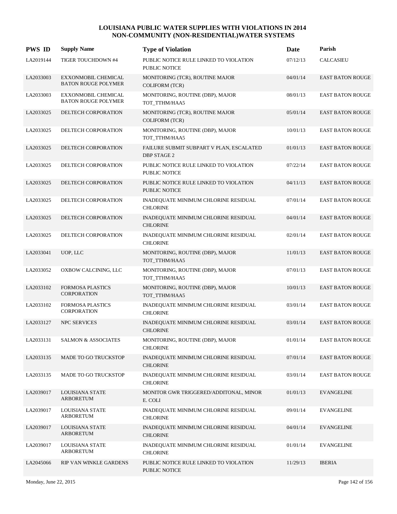| <b>PWS ID</b> | <b>Supply Name</b>                                       | <b>Type of Violation</b>                                       | Date     | Parish                  |
|---------------|----------------------------------------------------------|----------------------------------------------------------------|----------|-------------------------|
| LA2019144     | TIGER TOUCHDOWN #4                                       | PUBLIC NOTICE RULE LINKED TO VIOLATION<br>PUBLIC NOTICE        | 07/12/13 | <b>CALCASIEU</b>        |
| LA2033003     | <b>EXXONMOBIL CHEMICAL</b><br><b>BATON ROUGE POLYMER</b> | MONITORING (TCR), ROUTINE MAJOR<br><b>COLIFORM (TCR)</b>       | 04/01/14 | <b>EAST BATON ROUGE</b> |
| LA2033003     | EXXONMOBIL CHEMICAL<br><b>BATON ROUGE POLYMER</b>        | MONITORING, ROUTINE (DBP), MAJOR<br>TOT_TTHM/HAA5              | 08/01/13 | <b>EAST BATON ROUGE</b> |
| LA2033025     | DELTECH CORPORATION                                      | MONITORING (TCR), ROUTINE MAJOR<br><b>COLIFORM (TCR)</b>       | 05/01/14 | <b>EAST BATON ROUGE</b> |
| LA2033025     | DELTECH CORPORATION                                      | MONITORING, ROUTINE (DBP), MAJOR<br>TOT_TTHM/HAA5              | 10/01/13 | <b>EAST BATON ROUGE</b> |
| LA2033025     | DELTECH CORPORATION                                      | FAILURE SUBMIT SUBPART V PLAN, ESCALATED<br><b>DBP STAGE 2</b> | 01/01/13 | <b>EAST BATON ROUGE</b> |
| LA2033025     | DELTECH CORPORATION                                      | PUBLIC NOTICE RULE LINKED TO VIOLATION<br>PUBLIC NOTICE        | 07/22/14 | <b>EAST BATON ROUGE</b> |
| LA2033025     | DELTECH CORPORATION                                      | PUBLIC NOTICE RULE LINKED TO VIOLATION<br><b>PUBLIC NOTICE</b> | 04/11/13 | <b>EAST BATON ROUGE</b> |
| LA2033025     | DELTECH CORPORATION                                      | INADEQUATE MINIMUM CHLORINE RESIDUAL<br><b>CHLORINE</b>        | 07/01/14 | <b>EAST BATON ROUGE</b> |
| LA2033025     | DELTECH CORPORATION                                      | INADEQUATE MINIMUM CHLORINE RESIDUAL<br><b>CHLORINE</b>        | 04/01/14 | <b>EAST BATON ROUGE</b> |
| LA2033025     | DELTECH CORPORATION                                      | INADEQUATE MINIMUM CHLORINE RESIDUAL<br><b>CHLORINE</b>        | 02/01/14 | <b>EAST BATON ROUGE</b> |
| LA2033041     | UOP, LLC                                                 | MONITORING, ROUTINE (DBP), MAJOR<br>TOT_TTHM/HAA5              | 11/01/13 | <b>EAST BATON ROUGE</b> |
| LA2033052     | OXBOW CALCINING, LLC                                     | MONITORING, ROUTINE (DBP), MAJOR<br>TOT_TTHM/HAA5              | 07/01/13 | <b>EAST BATON ROUGE</b> |
| LA2033102     | <b>FORMOSA PLASTICS</b><br><b>CORPORATION</b>            | MONITORING, ROUTINE (DBP), MAJOR<br>TOT_TTHM/HAA5              | 10/01/13 | <b>EAST BATON ROUGE</b> |
| LA2033102     | <b>FORMOSA PLASTICS</b><br><b>CORPORATION</b>            | INADEQUATE MINIMUM CHLORINE RESIDUAL<br><b>CHLORINE</b>        | 03/01/14 | <b>EAST BATON ROUGE</b> |
| LA2033127     | <b>NPC SERVICES</b>                                      | INADEQUATE MINIMUM CHLORINE RESIDUAL<br><b>CHLORINE</b>        | 03/01/14 | <b>EAST BATON ROUGE</b> |
| LA2033131     | <b>SALMON &amp; ASSOCIATES</b>                           | MONITORING, ROUTINE (DBP), MAJOR<br><b>CHLORINE</b>            | 01/01/14 | EAST BATON ROUGE        |
| LA2033135     | MADE TO GO TRUCKSTOP                                     | INADEQUATE MINIMUM CHLORINE RESIDUAL<br><b>CHLORINE</b>        | 07/01/14 | <b>EAST BATON ROUGE</b> |
| LA2033135     | MADE TO GO TRUCKSTOP                                     | INADEQUATE MINIMUM CHLORINE RESIDUAL<br><b>CHLORINE</b>        | 03/01/14 | <b>EAST BATON ROUGE</b> |
| LA2039017     | LOUISIANA STATE<br>ARBORETUM                             | MONITOR GWR TRIGGERED/ADDITONAL, MINOR<br>E. COLI              | 01/01/13 | <b>EVANGELINE</b>       |
| LA2039017     | LOUISIANA STATE<br>ARBORETUM                             | INADEQUATE MINIMUM CHLORINE RESIDUAL<br><b>CHLORINE</b>        | 09/01/14 | <b>EVANGELINE</b>       |
| LA2039017     | LOUISIANA STATE<br><b>ARBORETUM</b>                      | INADEQUATE MINIMUM CHLORINE RESIDUAL<br><b>CHLORINE</b>        | 04/01/14 | <b>EVANGELINE</b>       |
| LA2039017     | LOUISIANA STATE<br>ARBORETUM                             | INADEQUATE MINIMUM CHLORINE RESIDUAL<br><b>CHLORINE</b>        | 01/01/14 | <b>EVANGELINE</b>       |
| LA2045066     | RIP VAN WINKLE GARDENS                                   | PUBLIC NOTICE RULE LINKED TO VIOLATION<br>PUBLIC NOTICE        | 11/29/13 | <b>IBERIA</b>           |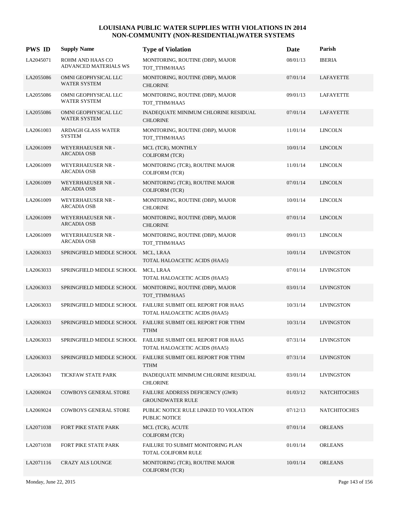| <b>PWS ID</b> | <b>Supply Name</b>                             | <b>Type of Violation</b>                                                                      | Date     | Parish              |
|---------------|------------------------------------------------|-----------------------------------------------------------------------------------------------|----------|---------------------|
| LA2045071     | ROHM AND HAAS CO<br>ADVANCED MATERIALS WS      | MONITORING, ROUTINE (DBP), MAJOR<br>TOT TTHM/HAA5                                             | 08/01/13 | <b>IBERIA</b>       |
| LA2055086     | OMNI GEOPHYSICAL LLC<br><b>WATER SYSTEM</b>    | MONITORING, ROUTINE (DBP), MAJOR<br><b>CHLORINE</b>                                           | 07/01/14 | LAFAYETTE           |
| LA2055086     | OMNI GEOPHYSICAL LLC<br><b>WATER SYSTEM</b>    | MONITORING, ROUTINE (DBP), MAJOR<br>TOT_TTHM/HAA5                                             | 09/01/13 | LAFAYETTE           |
| LA2055086     | OMNI GEOPHYSICAL LLC<br>WATER SYSTEM           | INADEQUATE MINIMUM CHLORINE RESIDUAL<br><b>CHLORINE</b>                                       | 07/01/14 | LAFAYETTE           |
| LA2061003     | ARDAGH GLASS WATER<br><b>SYSTEM</b>            | MONITORING, ROUTINE (DBP), MAJOR<br>TOT_TTHM/HAA5                                             | 11/01/14 | <b>LINCOLN</b>      |
| LA2061009     | WEYERHAEUSER NR -<br><b>ARCADIA OSB</b>        | MCL (TCR), MONTHLY<br><b>COLIFORM (TCR)</b>                                                   | 10/01/14 | <b>LINCOLN</b>      |
| LA2061009     | WEYERHAEUSER NR -<br><b>ARCADIA OSB</b>        | MONITORING (TCR), ROUTINE MAJOR<br><b>COLIFORM (TCR)</b>                                      | 11/01/14 | <b>LINCOLN</b>      |
| LA2061009     | <b>WEYERHAEUSER NR -</b><br><b>ARCADIA OSB</b> | MONITORING (TCR), ROUTINE MAJOR<br>COLIFORM (TCR)                                             | 07/01/14 | <b>LINCOLN</b>      |
| LA2061009     | WEYERHAEUSER NR -<br><b>ARCADIA OSB</b>        | MONITORING, ROUTINE (DBP), MAJOR<br><b>CHLORINE</b>                                           | 10/01/14 | <b>LINCOLN</b>      |
| LA2061009     | <b>WEYERHAEUSER NR -</b><br><b>ARCADIA OSB</b> | MONITORING, ROUTINE (DBP), MAJOR<br><b>CHLORINE</b>                                           | 07/01/14 | <b>LINCOLN</b>      |
| LA2061009     | WEYERHAEUSER NR -<br><b>ARCADIA OSB</b>        | MONITORING, ROUTINE (DBP), MAJOR<br>TOT_TTHM/HAA5                                             | 09/01/13 | <b>LINCOLN</b>      |
| LA2063033     | SPRINGFIELD MIDDLE SCHOOL                      | MCL, LRAA<br>TOTAL HALOACETIC ACIDS (HAA5)                                                    | 10/01/14 | <b>LIVINGSTON</b>   |
| LA2063033     | SPRINGFIELD MIDDLE SCHOOL                      | MCL, LRAA<br>TOTAL HALOACETIC ACIDS (HAA5)                                                    | 07/01/14 | <b>LIVINGSTON</b>   |
| LA2063033     | SPRINGFIELD MIDDLE SCHOOL                      | MONITORING, ROUTINE (DBP), MAJOR<br>TOT_TTHM/HAA5                                             | 03/01/14 | <b>LIVINGSTON</b>   |
| LA2063033     | SPRINGFIELD MIDDLE SCHOOL                      | FAILURE SUBMIT OEL REPORT FOR HAA5<br>TOTAL HALOACETIC ACIDS (HAA5)                           | 10/31/14 | <b>LIVINGSTON</b>   |
| LA2063033     | SPRINGFIELD MIDDLE SCHOOL                      | FAILURE SUBMIT OEL REPORT FOR TTHM<br><b>TTHM</b>                                             | 10/31/14 | <b>LIVINGSTON</b>   |
| LA2063033     |                                                | SPRINGFIELD MIDDLE SCHOOL FAILURE SUBMIT OEL REPORT FOR HAA5<br>TOTAL HALOACETIC ACIDS (HAA5) | 07/31/14 | <b>LIVINGSTON</b>   |
| LA2063033     | SPRINGFIELD MIDDLE SCHOOL                      | FAILURE SUBMIT OEL REPORT FOR TTHM<br><b>TTHM</b>                                             | 07/31/14 | <b>LIVINGSTON</b>   |
| LA2063043     | TICKFAW STATE PARK                             | INADEQUATE MINIMUM CHLORINE RESIDUAL<br><b>CHLORINE</b>                                       | 03/01/14 | <b>LIVINGSTON</b>   |
| LA2069024     | <b>COWBOYS GENERAL STORE</b>                   | FAILURE ADDRESS DEFICIENCY (GWR)<br><b>GROUNDWATER RULE</b>                                   | 01/03/12 | <b>NATCHITOCHES</b> |
| LA2069024     | COWBOYS GENERAL STORE                          | PUBLIC NOTICE RULE LINKED TO VIOLATION<br>PUBLIC NOTICE                                       | 07/12/13 | <b>NATCHITOCHES</b> |
| LA2071038     | FORT PIKE STATE PARK                           | MCL (TCR), ACUTE<br><b>COLIFORM (TCR)</b>                                                     | 07/01/14 | <b>ORLEANS</b>      |
| LA2071038     | FORT PIKE STATE PARK                           | FAILURE TO SUBMIT MONITORING PLAN<br>TOTAL COLIFORM RULE                                      | 01/01/14 | <b>ORLEANS</b>      |
| LA2071116     | CRAZY ALS LOUNGE                               | MONITORING (TCR), ROUTINE MAJOR<br><b>COLIFORM (TCR)</b>                                      | 10/01/14 | <b>ORLEANS</b>      |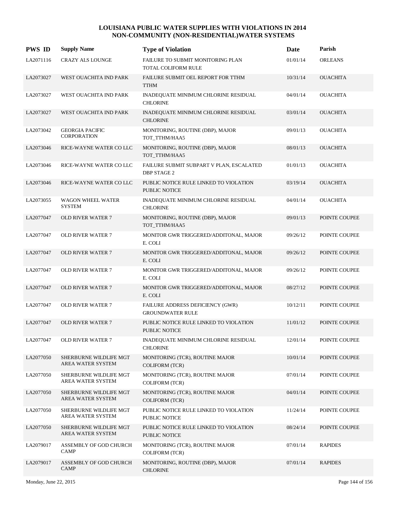| <b>PWS ID</b> | <b>Supply Name</b>                           | <b>Type of Violation</b>                                        | <b>Date</b> | Parish          |
|---------------|----------------------------------------------|-----------------------------------------------------------------|-------------|-----------------|
| LA2071116     | <b>CRAZY ALS LOUNGE</b>                      | FAILURE TO SUBMIT MONITORING PLAN<br><b>TOTAL COLIFORM RULE</b> | 01/01/14    | <b>ORLEANS</b>  |
| LA2073027     | WEST OUACHITA IND PARK                       | FAILURE SUBMIT OEL REPORT FOR TTHM<br><b>TTHM</b>               | 10/31/14    | <b>OUACHITA</b> |
| LA2073027     | WEST OUACHITA IND PARK                       | INADEQUATE MINIMUM CHLORINE RESIDUAL<br><b>CHLORINE</b>         | 04/01/14    | <b>OUACHITA</b> |
| LA2073027     | WEST OUACHITA IND PARK                       | INADEQUATE MINIMUM CHLORINE RESIDUAL<br><b>CHLORINE</b>         | 03/01/14    | <b>OUACHITA</b> |
| LA2073042     | <b>GEORGIA PACIFIC</b><br><b>CORPORATION</b> | MONITORING, ROUTINE (DBP), MAJOR<br>TOT TTHM/HAA5               | 09/01/13    | <b>OUACHITA</b> |
| LA2073046     | RICE-WAYNE WATER COLLC                       | MONITORING, ROUTINE (DBP), MAJOR<br>TOT_TTHM/HAA5               | 08/01/13    | <b>OUACHITA</b> |
| LA2073046     | RICE-WAYNE WATER COLLC                       | FAILURE SUBMIT SUBPART V PLAN, ESCALATED<br><b>DBP STAGE 2</b>  | 01/01/13    | <b>OUACHITA</b> |
| LA2073046     | RICE-WAYNE WATER COLLC                       | PUBLIC NOTICE RULE LINKED TO VIOLATION<br><b>PUBLIC NOTICE</b>  | 03/19/14    | <b>OUACHITA</b> |
| LA2073055     | <b>WAGON WHEEL WATER</b><br><b>SYSTEM</b>    | INADEQUATE MINIMUM CHLORINE RESIDUAL<br><b>CHLORINE</b>         | 04/01/14    | <b>OUACHITA</b> |
| LA2077047     | <b>OLD RIVER WATER 7</b>                     | MONITORING, ROUTINE (DBP), MAJOR<br>TOT TTHM/HAA5               | 09/01/13    | POINTE COUPEE   |
| LA2077047     | <b>OLD RIVER WATER 7</b>                     | MONITOR GWR TRIGGERED/ADDITONAL, MAJOR<br>E. COLI               | 09/26/12    | POINTE COUPEE   |
| LA2077047     | <b>OLD RIVER WATER 7</b>                     | MONITOR GWR TRIGGERED/ADDITONAL, MAJOR<br>E. COLI               | 09/26/12    | POINTE COUPEE   |
| LA2077047     | OLD RIVER WATER 7                            | MONITOR GWR TRIGGERED/ADDITONAL, MAJOR<br>E. COLI               | 09/26/12    | POINTE COUPEE   |
| LA2077047     | <b>OLD RIVER WATER 7</b>                     | MONITOR GWR TRIGGERED/ADDITONAL, MAJOR<br>E. COLI               | 08/27/12    | POINTE COUPEE   |
| LA2077047     | <b>OLD RIVER WATER 7</b>                     | FAILURE ADDRESS DEFICIENCY (GWR)<br><b>GROUNDWATER RULE</b>     | 10/12/11    | POINTE COUPEE   |
| LA2077047     | <b>OLD RIVER WATER 7</b>                     | PUBLIC NOTICE RULE LINKED TO VIOLATION<br>PUBLIC NOTICE         | 11/01/12    | POINTE COUPEE   |
| LA2077047     | <b>OLD RIVER WATER 7</b>                     | INADEQUATE MINIMUM CHLORINE RESIDUAL<br><b>CHLORINE</b>         | 12/01/14    | POINTE COUPEE   |
| LA2077050     | SHERBURNE WILDLIFE MGT<br>AREA WATER SYSTEM  | MONITORING (TCR), ROUTINE MAJOR<br>COLIFORM (TCR)               | 10/01/14    | POINTE COUPEE   |
| LA2077050     | SHERBURNE WILDLIFE MGT<br>AREA WATER SYSTEM  | MONITORING (TCR), ROUTINE MAJOR<br><b>COLIFORM (TCR)</b>        | 07/01/14    | POINTE COUPEE   |
| LA2077050     | SHERBURNE WILDLIFE MGT<br>AREA WATER SYSTEM  | MONITORING (TCR), ROUTINE MAJOR<br><b>COLIFORM (TCR)</b>        | 04/01/14    | POINTE COUPEE   |
| LA2077050     | SHERBURNE WILDLIFE MGT<br>AREA WATER SYSTEM  | PUBLIC NOTICE RULE LINKED TO VIOLATION<br>PUBLIC NOTICE         | 11/24/14    | POINTE COUPEE   |
| LA2077050     | SHERBURNE WILDLIFE MGT<br>AREA WATER SYSTEM  | PUBLIC NOTICE RULE LINKED TO VIOLATION<br>PUBLIC NOTICE         | 08/24/14    | POINTE COUPEE   |
| LA2079017     | ASSEMBLY OF GOD CHURCH<br><b>CAMP</b>        | MONITORING (TCR), ROUTINE MAJOR<br><b>COLIFORM (TCR)</b>        | 07/01/14    | <b>RAPIDES</b>  |
| LA2079017     | ASSEMBLY OF GOD CHURCH<br><b>CAMP</b>        | MONITORING, ROUTINE (DBP), MAJOR<br><b>CHLORINE</b>             | 07/01/14    | <b>RAPIDES</b>  |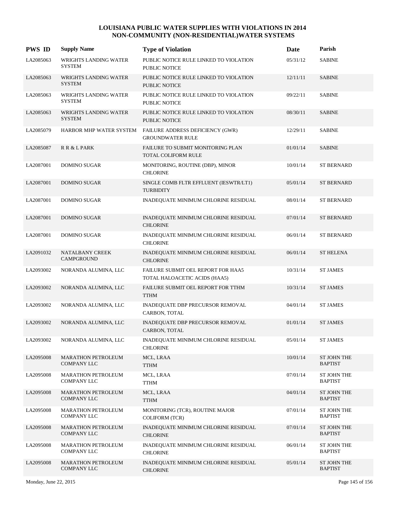| <b>PWS ID</b> | <b>Supply Name</b>                              | <b>Type of Violation</b>                                            | Date     | Parish                        |
|---------------|-------------------------------------------------|---------------------------------------------------------------------|----------|-------------------------------|
| LA2085063     | <b>WRIGHTS LANDING WATER</b><br><b>SYSTEM</b>   | PUBLIC NOTICE RULE LINKED TO VIOLATION<br>PUBLIC NOTICE             | 05/31/12 | <b>SABINE</b>                 |
| LA2085063     | WRIGHTS LANDING WATER<br><b>SYSTEM</b>          | PUBLIC NOTICE RULE LINKED TO VIOLATION<br><b>PUBLIC NOTICE</b>      | 12/11/11 | <b>SABINE</b>                 |
| LA2085063     | WRIGHTS LANDING WATER<br><b>SYSTEM</b>          | PUBLIC NOTICE RULE LINKED TO VIOLATION<br>PUBLIC NOTICE             | 09/22/11 | <b>SABINE</b>                 |
| LA2085063     | WRIGHTS LANDING WATER<br><b>SYSTEM</b>          | PUBLIC NOTICE RULE LINKED TO VIOLATION<br>PUBLIC NOTICE             | 08/30/11 | <b>SABINE</b>                 |
| LA2085079     | HARBOR MHP WATER SYSTEM                         | FAILURE ADDRESS DEFICIENCY (GWR)<br><b>GROUNDWATER RULE</b>         | 12/29/11 | <b>SABINE</b>                 |
| LA2085087     | R R & L PARK                                    | <b>FAILURE TO SUBMIT MONITORING PLAN</b><br>TOTAL COLIFORM RULE     | 01/01/14 | <b>SABINE</b>                 |
| LA2087001     | <b>DOMINO SUGAR</b>                             | MONITORING, ROUTINE (DBP), MINOR<br><b>CHLORINE</b>                 | 10/01/14 | <b>ST BERNARD</b>             |
| LA2087001     | <b>DOMINO SUGAR</b>                             | SINGLE COMB FLTR EFFLUENT (IESWTR/LT1)<br><b>TURBIDITY</b>          | 05/01/14 | <b>ST BERNARD</b>             |
| LA2087001     | DOMINO SUGAR                                    | INADEQUATE MINIMUM CHLORINE RESIDUAL                                | 08/01/14 | <b>ST BERNARD</b>             |
| LA2087001     | <b>DOMINO SUGAR</b>                             | INADEQUATE MINIMUM CHLORINE RESIDUAL<br><b>CHLORINE</b>             | 07/01/14 | <b>ST BERNARD</b>             |
| LA2087001     | DOMINO SUGAR                                    | INADEQUATE MINIMUM CHLORINE RESIDUAL<br><b>CHLORINE</b>             | 06/01/14 | <b>ST BERNARD</b>             |
| LA2091032     | NATALBANY CREEK<br>CAMPGROUND                   | INADEQUATE MINIMUM CHLORINE RESIDUAL<br><b>CHLORINE</b>             | 06/01/14 | <b>ST HELENA</b>              |
| LA2093002     | NORANDA ALUMINA, LLC                            | FAILURE SUBMIT OEL REPORT FOR HAA5<br>TOTAL HALOACETIC ACIDS (HAA5) | 10/31/14 | <b>ST JAMES</b>               |
| LA2093002     | NORANDA ALUMINA, LLC                            | FAILURE SUBMIT OEL REPORT FOR TTHM<br><b>TTHM</b>                   | 10/31/14 | <b>ST JAMES</b>               |
| LA2093002     | NORANDA ALUMINA, LLC                            | INADEQUATE DBP PRECURSOR REMOVAL<br>CARBON, TOTAL                   | 04/01/14 | <b>ST JAMES</b>               |
| LA2093002     | NORANDA ALUMINA, LLC                            | INADEQUATE DBP PRECURSOR REMOVAL<br>CARBON, TOTAL                   | 01/01/14 | <b>ST JAMES</b>               |
| LA2093002     | NORANDA ALUMINA, LLC                            | INADEQUATE MINIMUM CHLORINE RESIDUAL<br><b>CHLORINE</b>             | 05/01/14 | <b>ST JAMES</b>               |
| LA2095008     | <b>MARATHON PETROLEUM</b><br><b>COMPANY LLC</b> | MCL, LRAA<br><b>TTHM</b>                                            | 10/01/14 | ST JOHN THE<br><b>BAPTIST</b> |
| LA2095008     | <b>MARATHON PETROLEUM</b><br>COMPANY LLC        | MCL, LRAA<br><b>TTHM</b>                                            | 07/01/14 | ST JOHN THE<br><b>BAPTIST</b> |
| LA2095008     | <b>MARATHON PETROLEUM</b><br><b>COMPANY LLC</b> | MCL, LRAA<br><b>TTHM</b>                                            | 04/01/14 | ST JOHN THE<br><b>BAPTIST</b> |
| LA2095008     | <b>MARATHON PETROLEUM</b><br><b>COMPANY LLC</b> | MONITORING (TCR), ROUTINE MAJOR<br><b>COLIFORM (TCR)</b>            | 07/01/14 | ST JOHN THE<br><b>BAPTIST</b> |
| LA2095008     | <b>MARATHON PETROLEUM</b><br><b>COMPANY LLC</b> | INADEQUATE MINIMUM CHLORINE RESIDUAL<br><b>CHLORINE</b>             | 07/01/14 | ST JOHN THE<br><b>BAPTIST</b> |
| LA2095008     | <b>MARATHON PETROLEUM</b><br>COMPANY LLC        | INADEQUATE MINIMUM CHLORINE RESIDUAL<br><b>CHLORINE</b>             | 06/01/14 | ST JOHN THE<br><b>BAPTIST</b> |
| LA2095008     | <b>MARATHON PETROLEUM</b><br><b>COMPANY LLC</b> | INADEQUATE MINIMUM CHLORINE RESIDUAL<br><b>CHLORINE</b>             | 05/01/14 | ST JOHN THE<br><b>BAPTIST</b> |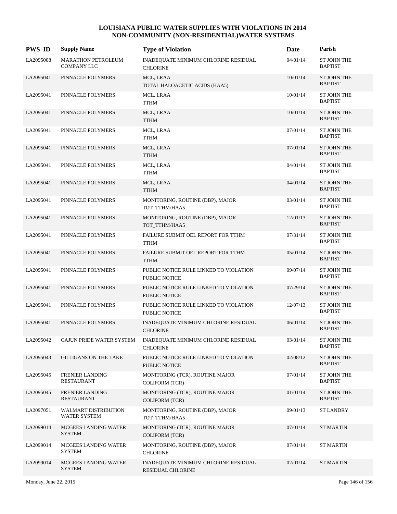| <b>PWS ID</b> | <b>Supply Name</b>                              | <b>Type of Violation</b>                                       | Date     | Parish                               |
|---------------|-------------------------------------------------|----------------------------------------------------------------|----------|--------------------------------------|
| LA2095008     | <b>MARATHON PETROLEUM</b><br><b>COMPANY LLC</b> | INADEQUATE MINIMUM CHLORINE RESIDUAL<br><b>CHLORINE</b>        | 04/01/14 | <b>ST JOHN THE</b><br><b>BAPTIST</b> |
| LA2095041     | PINNACLE POLYMERS                               | MCL, LRAA<br>TOTAL HALOACETIC ACIDS (HAA5)                     | 10/01/14 | <b>ST JOHN THE</b><br><b>BAPTIST</b> |
| LA2095041     | PINNACLE POLYMERS                               | MCL, LRAA<br><b>TTHM</b>                                       | 10/01/14 | ST JOHN THE<br><b>BAPTIST</b>        |
| LA2095041     | PINNACLE POLYMERS                               | MCL, LRAA<br><b>TTHM</b>                                       | 10/01/14 | <b>ST JOHN THE</b><br><b>BAPTIST</b> |
| LA2095041     | PINNACLE POLYMERS                               | MCL, LRAA<br>TTHM                                              | 07/01/14 | <b>ST JOHN THE</b><br><b>BAPTIST</b> |
| LA2095041     | PINNACLE POLYMERS                               | MCL, LRAA<br><b>TTHM</b>                                       | 07/01/14 | <b>ST JOHN THE</b><br><b>BAPTIST</b> |
| LA2095041     | PINNACLE POLYMERS                               | MCL, LRAA<br><b>TTHM</b>                                       | 04/01/14 | <b>ST JOHN THE</b><br><b>BAPTIST</b> |
| LA2095041     | PINNACLE POLYMERS                               | MCL, LRAA<br><b>TTHM</b>                                       | 04/01/14 | <b>ST JOHN THE</b><br><b>BAPTIST</b> |
| LA2095041     | PINNACLE POLYMERS                               | MONITORING, ROUTINE (DBP), MAJOR<br>TOT_TTHM/HAA5              | 03/01/14 | <b>ST JOHN THE</b><br><b>BAPTIST</b> |
| LA2095041     | PINNACLE POLYMERS                               | MONITORING, ROUTINE (DBP), MAJOR<br>TOT_TTHM/HAA5              | 12/01/13 | <b>ST JOHN THE</b><br><b>BAPTIST</b> |
| LA2095041     | PINNACLE POLYMERS                               | FAILURE SUBMIT OEL REPORT FOR TTHM<br><b>TTHM</b>              | 07/31/14 | ST JOHN THE<br><b>BAPTIST</b>        |
| LA2095041     | PINNACLE POLYMERS                               | FAILURE SUBMIT OEL REPORT FOR TTHM<br><b>TTHM</b>              | 05/01/14 | <b>ST JOHN THE</b><br><b>BAPTIST</b> |
| LA2095041     | PINNACLE POLYMERS                               | PUBLIC NOTICE RULE LINKED TO VIOLATION<br>PUBLIC NOTICE        | 09/07/14 | ST JOHN THE<br><b>BAPTIST</b>        |
| LA2095041     | PINNACLE POLYMERS                               | PUBLIC NOTICE RULE LINKED TO VIOLATION<br><b>PUBLIC NOTICE</b> | 07/29/14 | ST JOHN THE<br><b>BAPTIST</b>        |
| LA2095041     | PINNACLE POLYMERS                               | PUBLIC NOTICE RULE LINKED TO VIOLATION<br>PUBLIC NOTICE        | 12/07/13 | <b>ST JOHN THE</b><br><b>BAPTIST</b> |
| LA2095041     | PINNACLE POLYMERS                               | INADEQUATE MINIMUM CHLORINE RESIDUAL<br><b>CHLORINE</b>        | 06/01/14 | ST JOHN THE<br><b>BAPTIST</b>        |
| LA2095042     | CAJUN PRIDE WATER SYSTEM                        | INADEQUATE MINIMUM CHLORINE RESIDUAL<br><b>CHLORINE</b>        | 03/01/14 | <b>ST JOHN THE</b><br><b>BAPTIST</b> |
| LA2095043     | <b>GILLIGANS ON THE LAKE</b>                    | PUBLIC NOTICE RULE LINKED TO VIOLATION<br>PUBLIC NOTICE        | 02/08/12 | ST JOHN THE<br><b>BAPTIST</b>        |
| LA2095045     | FRENIER LANDING<br><b>RESTAURANT</b>            | MONITORING (TCR), ROUTINE MAJOR<br><b>COLIFORM (TCR)</b>       | 07/01/14 | ST JOHN THE<br><b>BAPTIST</b>        |
| LA2095045     | <b>FRENIER LANDING</b><br><b>RESTAURANT</b>     | MONITORING (TCR), ROUTINE MAJOR<br><b>COLIFORM (TCR)</b>       | 01/01/14 | ST JOHN THE<br><b>BAPTIST</b>        |
| LA2097051     | WALMART DISTRIBUTION<br><b>WATER SYSTEM</b>     | MONITORING, ROUTINE (DBP), MAJOR<br>TOT_TTHM/HAA5              | 09/01/13 | <b>ST LANDRY</b>                     |
| LA2099014     | MCGEES LANDING WATER<br><b>SYSTEM</b>           | MONITORING (TCR), ROUTINE MAJOR<br>COLIFORM (TCR)              | 07/01/14 | <b>ST MARTIN</b>                     |
| LA2099014     | MCGEES LANDING WATER<br><b>SYSTEM</b>           | MONITORING, ROUTINE (DBP), MAJOR<br><b>CHLORINE</b>            | 07/01/14 | <b>ST MARTIN</b>                     |
| LA2099014     | MCGEES LANDING WATER<br><b>SYSTEM</b>           | INADEQUATE MINIMUM CHLORINE RESIDUAL<br>RESIDUAL CHLORINE      | 02/01/14 | <b>ST MARTIN</b>                     |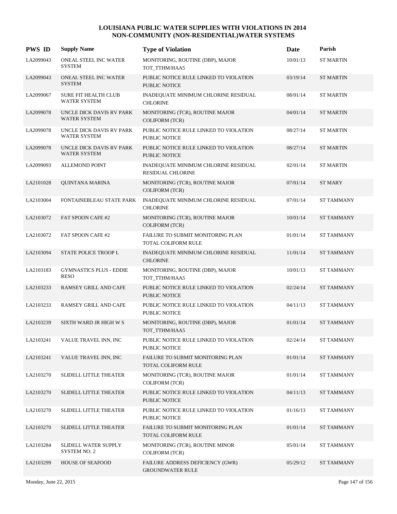| <b>PWS ID</b> | <b>Supply Name</b>                            | <b>Type of Violation</b>                                         | Date     | Parish            |
|---------------|-----------------------------------------------|------------------------------------------------------------------|----------|-------------------|
| LA2099043     | ONEAL STEEL INC WATER<br><b>SYSTEM</b>        | MONITORING, ROUTINE (DBP), MAJOR<br>TOT_TTHM/HAA5                | 10/01/13 | <b>ST MARTIN</b>  |
| LA2099043     | ONEAL STEEL INC WATER<br><b>SYSTEM</b>        | PUBLIC NOTICE RULE LINKED TO VIOLATION<br>PUBLIC NOTICE          | 03/19/14 | <b>ST MARTIN</b>  |
| LA2099067     | SURE FIT HEALTH CLUB<br>WATER SYSTEM          | INADEQUATE MINIMUM CHLORINE RESIDUAL<br><b>CHLORINE</b>          | 08/01/14 | <b>ST MARTIN</b>  |
| LA2099078     | UNCLE DICK DAVIS RV PARK<br>WATER SYSTEM      | MONITORING (TCR), ROUTINE MAJOR<br><b>COLIFORM (TCR)</b>         | 04/01/14 | <b>ST MARTIN</b>  |
| LA2099078     | UNCLE DICK DAVIS RV PARK<br>WATER SYSTEM      | PUBLIC NOTICE RULE LINKED TO VIOLATION<br>PUBLIC NOTICE          | 08/27/14 | <b>ST MARTIN</b>  |
| LA2099078     | UNCLE DICK DAVIS RV PARK<br>WATER SYSTEM      | PUBLIC NOTICE RULE LINKED TO VIOLATION<br>PUBLIC NOTICE          | 08/27/14 | <b>ST MARTIN</b>  |
| LA2099093     | <b>ALLEMOND POINT</b>                         | INADEQUATE MINIMUM CHLORINE RESIDUAL<br><b>RESIDUAL CHLORINE</b> | 02/01/14 | <b>ST MARTIN</b>  |
| LA2101028     | <b>OUINTANA MARINA</b>                        | MONITORING (TCR), ROUTINE MAJOR<br><b>COLIFORM (TCR)</b>         | 07/01/14 | <b>ST MARY</b>    |
| LA2103004     | FONTAINEBLEAU STATE PARK                      | INADEQUATE MINIMUM CHLORINE RESIDUAL<br><b>CHLORINE</b>          | 07/01/14 | <b>ST TAMMANY</b> |
| LA2103072     | FAT SPOON CAFE #2                             | MONITORING (TCR), ROUTINE MAJOR<br><b>COLIFORM (TCR)</b>         | 10/01/14 | <b>ST TAMMANY</b> |
| LA2103072     | FAT SPOON CAFE #2                             | FAILURE TO SUBMIT MONITORING PLAN<br>TOTAL COLIFORM RULE         | 01/01/14 | <b>ST TAMMANY</b> |
| LA2103094     | STATE POLICE TROOP L                          | INADEQUATE MINIMUM CHLORINE RESIDUAL<br><b>CHLORINE</b>          | 11/01/14 | <b>ST TAMMANY</b> |
| LA2103183     | <b>GYMNASTICS PLUS - EDDIE</b><br><b>RESO</b> | MONITORING, ROUTINE (DBP), MAJOR<br>TOT_TTHM/HAA5                | 10/01/13 | <b>ST TAMMANY</b> |
| LA2103233     | RAMSEY GRILL AND CAFE                         | PUBLIC NOTICE RULE LINKED TO VIOLATION<br><b>PUBLIC NOTICE</b>   | 02/24/14 | <b>ST TAMMANY</b> |
| LA2103233     | RAMSEY GRILL AND CAFE                         | PUBLIC NOTICE RULE LINKED TO VIOLATION<br>PUBLIC NOTICE          | 04/11/13 | <b>ST TAMMANY</b> |
| LA2103239     | <b>SIXTH WARD JR HIGH W S</b>                 | MONITORING, ROUTINE (DBP), MAJOR<br>TOT_TTHM/HAA5                | 01/01/14 | <b>ST TAMMANY</b> |
| LA2103241     | VALUE TRAVEL INN, INC                         | PUBLIC NOTICE RULE LINKED TO VIOLATION<br>PUBLIC NOTICE          | 02/24/14 | <b>ST TAMMANY</b> |
| LA2103241     | VALUE TRAVEL INN, INC                         | FAILURE TO SUBMIT MONITORING PLAN<br>TOTAL COLIFORM RULE         | 01/01/14 | <b>ST TAMMANY</b> |
| LA2103270     | SLIDELL LITTLE THEATER                        | MONITORING (TCR), ROUTINE MAJOR<br><b>COLIFORM (TCR)</b>         | 01/01/14 | ST TAMMANY        |
| LA2103270     | <b>SLIDELL LITTLE THEATER</b>                 | PUBLIC NOTICE RULE LINKED TO VIOLATION<br>PUBLIC NOTICE          | 04/11/13 | <b>ST TAMMANY</b> |
| LA2103270     | SLIDELL LITTLE THEATER                        | PUBLIC NOTICE RULE LINKED TO VIOLATION<br>PUBLIC NOTICE          | 01/16/13 | <b>ST TAMMANY</b> |
| LA2103270     | <b>SLIDELL LITTLE THEATER</b>                 | FAILURE TO SUBMIT MONITORING PLAN<br>TOTAL COLIFORM RULE         | 01/01/14 | <b>ST TAMMANY</b> |
| LA2103284     | SLIDELL WATER SUPPLY<br>SYSTEM NO. 2          | MONITORING (TCR), ROUTINE MINOR<br><b>COLIFORM (TCR)</b>         | 05/01/14 | ST TAMMANY        |
| LA2103299     | <b>HOUSE OF SEAFOOD</b>                       | FAILURE ADDRESS DEFICIENCY (GWR)<br><b>GROUNDWATER RULE</b>      | 05/29/12 | <b>ST TAMMANY</b> |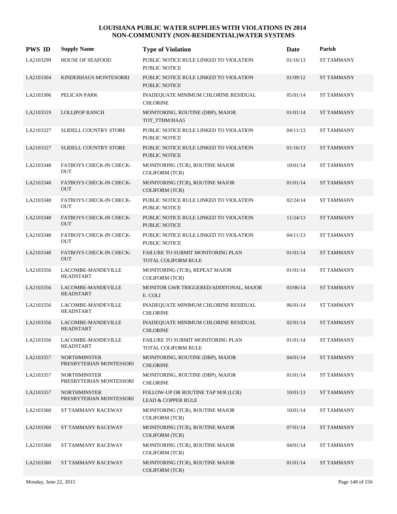| <b>PWS ID</b> | <b>Supply Name</b>                             | <b>Type of Violation</b>                                            | Date     | Parish            |
|---------------|------------------------------------------------|---------------------------------------------------------------------|----------|-------------------|
| LA2103299     | <b>HOUSE OF SEAFOOD</b>                        | PUBLIC NOTICE RULE LINKED TO VIOLATION<br>PUBLIC NOTICE             | 01/16/13 | <b>ST TAMMANY</b> |
| LA2103304     | KINDERHAUS MONTESORRI                          | PUBLIC NOTICE RULE LINKED TO VIOLATION<br><b>PUBLIC NOTICE</b>      | 01/09/12 | <b>ST TAMMANY</b> |
| LA2103306     | PELICAN PARK                                   | INADEQUATE MINIMUM CHLORINE RESIDUAL<br><b>CHLORINE</b>             | 05/01/14 | <b>ST TAMMANY</b> |
| LA2103319     | <b>LOLLIPOP RANCH</b>                          | MONITORING, ROUTINE (DBP), MAJOR<br>TOT_TTHM/HAA5                   | 01/01/14 | <b>ST TAMMANY</b> |
| LA2103327     | SLIDELL COUNTRY STORE                          | PUBLIC NOTICE RULE LINKED TO VIOLATION<br>PUBLIC NOTICE             | 04/11/13 | <b>ST TAMMANY</b> |
| LA2103327     | SLIDELL COUNTRY STORE                          | PUBLIC NOTICE RULE LINKED TO VIOLATION<br>PUBLIC NOTICE             | 01/16/13 | <b>ST TAMMANY</b> |
| LA2103348     | FATBOYS CHECK-IN CHECK-<br><b>OUT</b>          | MONITORING (TCR), ROUTINE MAJOR<br><b>COLIFORM (TCR)</b>            | 10/01/14 | <b>ST TAMMANY</b> |
| LA2103348     | <b>FATBOYS CHECK-IN CHECK-</b><br><b>OUT</b>   | MONITORING (TCR), ROUTINE MAJOR<br>COLIFORM (TCR)                   | 01/01/14 | <b>ST TAMMANY</b> |
| LA2103348     | FATBOYS CHECK-IN CHECK-<br><b>OUT</b>          | PUBLIC NOTICE RULE LINKED TO VIOLATION<br>PUBLIC NOTICE             | 02/24/14 | <b>ST TAMMANY</b> |
| LA2103348     | FATBOYS CHECK-IN CHECK-<br><b>OUT</b>          | PUBLIC NOTICE RULE LINKED TO VIOLATION<br>PUBLIC NOTICE             | 11/24/13 | <b>ST TAMMANY</b> |
| LA2103348     | FATBOYS CHECK-IN CHECK-<br><b>OUT</b>          | PUBLIC NOTICE RULE LINKED TO VIOLATION<br>PUBLIC NOTICE             | 04/11/13 | <b>ST TAMMANY</b> |
| LA2103348     | FATBOYS CHECK-IN CHECK-<br><b>OUT</b>          | FAILURE TO SUBMIT MONITORING PLAN<br>TOTAL COLIFORM RULE            | 01/01/14 | <b>ST TAMMANY</b> |
| LA2103356     | LACOMBE-MANDEVILLE<br><b>HEADSTART</b>         | MONITORING (TCR), REPEAT MAJOR<br><b>COLIFORM (TCR)</b>             | 01/01/14 | <b>ST TAMMANY</b> |
| LA2103356     | LACOMBE-MANDEVILLE<br><b>HEADSTART</b>         | MONITOR GWR TRIGGERED/ADDITONAL, MAJOR<br>E. COLI                   | 03/06/14 | <b>ST TAMMANY</b> |
| LA2103356     | LACOMBE-MANDEVILLE<br><b>HEADSTART</b>         | INADEQUATE MINIMUM CHLORINE RESIDUAL<br><b>CHLORINE</b>             | 06/01/14 | <b>ST TAMMANY</b> |
| LA2103356     | LACOMBE-MANDEVILLE<br><b>HEADSTART</b>         | INADEQUATE MINIMUM CHLORINE RESIDUAL<br><b>CHLORINE</b>             | 02/01/14 | <b>ST TAMMANY</b> |
| LA2103356     | LACOMBE-MANDEVILLE<br><b>HEADSTART</b>         | FAILURE TO SUBMIT MONITORING PLAN<br>TOTAL COLIFORM RULE            | 01/01/14 | <b>ST TAMMANY</b> |
| LA2103357     | <b>NORTHMINSTER</b><br>PRESBYTERIAN MONTESSORI | MONITORING, ROUTINE (DBP), MAJOR<br><b>CHLORINE</b>                 | 04/01/14 | <b>ST TAMMANY</b> |
| LA2103357     | <b>NORTHMINSTER</b><br>PRESBYTERIAN MONTESSORI | MONITORING, ROUTINE (DBP), MAJOR<br><b>CHLORINE</b>                 | 01/01/14 | <b>ST TAMMANY</b> |
| LA2103357     | <b>NORTHMINSTER</b><br>PRESBYTERIAN MONTESSORI | FOLLOW-UP OR ROUTINE TAP M/R (LCR)<br><b>LEAD &amp; COPPER RULE</b> | 10/01/13 | <b>ST TAMMANY</b> |
| LA2103360     | ST TAMMANY RACEWAY                             | MONITORING (TCR), ROUTINE MAJOR<br>COLIFORM (TCR)                   | 10/01/14 | <b>ST TAMMANY</b> |
| LA2103360     | ST TAMMANY RACEWAY                             | MONITORING (TCR), ROUTINE MAJOR<br><b>COLIFORM (TCR)</b>            | 07/01/14 | <b>ST TAMMANY</b> |
| LA2103360     | ST TAMMANY RACEWAY                             | MONITORING (TCR), ROUTINE MAJOR<br><b>COLIFORM (TCR)</b>            | 04/01/14 | <b>ST TAMMANY</b> |
| LA2103360     | ST TAMMANY RACEWAY                             | MONITORING (TCR), ROUTINE MAJOR<br>COLIFORM (TCR)                   | 01/01/14 | <b>ST TAMMANY</b> |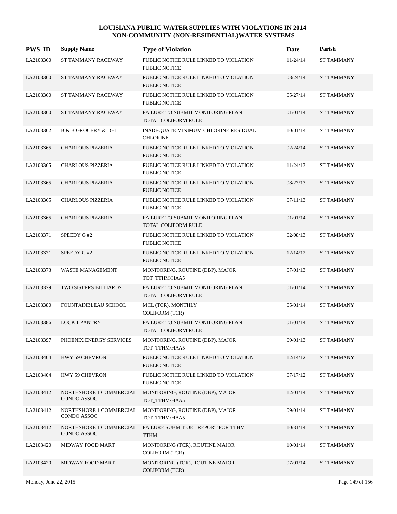| <b>PWS ID</b> | <b>Supply Name</b>                     | <b>Type of Violation</b>                                        | Date     | Parish            |
|---------------|----------------------------------------|-----------------------------------------------------------------|----------|-------------------|
| LA2103360     | ST TAMMANY RACEWAY                     | PUBLIC NOTICE RULE LINKED TO VIOLATION<br>PUBLIC NOTICE         | 11/24/14 | <b>ST TAMMANY</b> |
| LA2103360     | ST TAMMANY RACEWAY                     | PUBLIC NOTICE RULE LINKED TO VIOLATION<br><b>PUBLIC NOTICE</b>  | 08/24/14 | <b>ST TAMMANY</b> |
| LA2103360     | ST TAMMANY RACEWAY                     | PUBLIC NOTICE RULE LINKED TO VIOLATION<br>PUBLIC NOTICE         | 05/27/14 | ST TAMMANY        |
| LA2103360     | ST TAMMANY RACEWAY                     | FAILURE TO SUBMIT MONITORING PLAN<br><b>TOTAL COLIFORM RULE</b> | 01/01/14 | <b>ST TAMMANY</b> |
| LA2103362     | <b>B &amp; B GROCERY &amp; DELI</b>    | INADEQUATE MINIMUM CHLORINE RESIDUAL<br><b>CHLORINE</b>         | 10/01/14 | <b>ST TAMMANY</b> |
| LA2103365     | <b>CHARLOUS PIZZERIA</b>               | PUBLIC NOTICE RULE LINKED TO VIOLATION<br><b>PUBLIC NOTICE</b>  | 02/24/14 | <b>ST TAMMANY</b> |
| LA2103365     | <b>CHARLOUS PIZZERIA</b>               | PUBLIC NOTICE RULE LINKED TO VIOLATION<br><b>PUBLIC NOTICE</b>  | 11/24/13 | <b>ST TAMMANY</b> |
| LA2103365     | CHARLOUS PIZZERIA                      | PUBLIC NOTICE RULE LINKED TO VIOLATION<br><b>PUBLIC NOTICE</b>  | 08/27/13 | <b>ST TAMMANY</b> |
| LA2103365     | <b>CHARLOUS PIZZERIA</b>               | PUBLIC NOTICE RULE LINKED TO VIOLATION<br>PUBLIC NOTICE         | 07/11/13 | <b>ST TAMMANY</b> |
| LA2103365     | <b>CHARLOUS PIZZERIA</b>               | FAILURE TO SUBMIT MONITORING PLAN<br>TOTAL COLIFORM RULE        | 01/01/14 | <b>ST TAMMANY</b> |
| LA2103371     | SPEEDY G#2                             | PUBLIC NOTICE RULE LINKED TO VIOLATION<br>PUBLIC NOTICE         | 02/08/13 | <b>ST TAMMANY</b> |
| LA2103371     | SPEEDY G#2                             | PUBLIC NOTICE RULE LINKED TO VIOLATION<br><b>PUBLIC NOTICE</b>  | 12/14/12 | <b>ST TAMMANY</b> |
| LA2103373     | WASTE MANAGEMENT                       | MONITORING, ROUTINE (DBP), MAJOR<br>TOT_TTHM/HAA5               | 07/01/13 | <b>ST TAMMANY</b> |
| LA2103379     | TWO SISTERS BILLIARDS                  | FAILURE TO SUBMIT MONITORING PLAN<br>TOTAL COLIFORM RULE        | 01/01/14 | <b>ST TAMMANY</b> |
| LA2103380     | FOUNTAINBLEAU SCHOOL                   | MCL (TCR), MONTHLY<br><b>COLIFORM (TCR)</b>                     | 05/01/14 | <b>ST TAMMANY</b> |
| LA2103386     | <b>LOCK 1 PANTRY</b>                   | FAILURE TO SUBMIT MONITORING PLAN<br>TOTAL COLIFORM RULE        | 01/01/14 | <b>ST TAMMANY</b> |
| LA2103397     | PHOENIX ENERGY SERVICES                | MONITORING, ROUTINE (DBP), MAJOR<br>TOT TTHM/HAA5               | 09/01/13 | <b>ST TAMMANY</b> |
| LA2103404     | HWY 59 CHEVRON                         | PUBLIC NOTICE RULE LINKED TO VIOLATION<br>PUBLIC NOTICE         | 12/14/12 | ST TAMMANY        |
| LA2103404     | HWY 59 CHEVRON                         | PUBLIC NOTICE RULE LINKED TO VIOLATION<br>PUBLIC NOTICE         | 07/17/12 | ST TAMMANY        |
| LA2103412     | NORTHSHORE 1 COMMERCIAL<br>CONDO ASSOC | MONITORING, ROUTINE (DBP), MAJOR<br>TOT TTHM/HAA5               | 12/01/14 | <b>ST TAMMANY</b> |
| LA2103412     | NORTHSHORE 1 COMMERCIAL<br>CONDO ASSOC | MONITORING, ROUTINE (DBP), MAJOR<br>TOT_TTHM/HAA5               | 09/01/14 | ST TAMMANY        |
| LA2103412     | NORTHSHORE 1 COMMERCIAL<br>CONDO ASSOC | FAILURE SUBMIT OEL REPORT FOR TTHM<br>TTHM                      | 10/31/14 | <b>ST TAMMANY</b> |
| LA2103420     | MIDWAY FOOD MART                       | MONITORING (TCR), ROUTINE MAJOR<br><b>COLIFORM (TCR)</b>        | 10/01/14 | ST TAMMANY        |
| LA2103420     | MIDWAY FOOD MART                       | MONITORING (TCR), ROUTINE MAJOR<br><b>COLIFORM (TCR)</b>        | 07/01/14 | <b>ST TAMMANY</b> |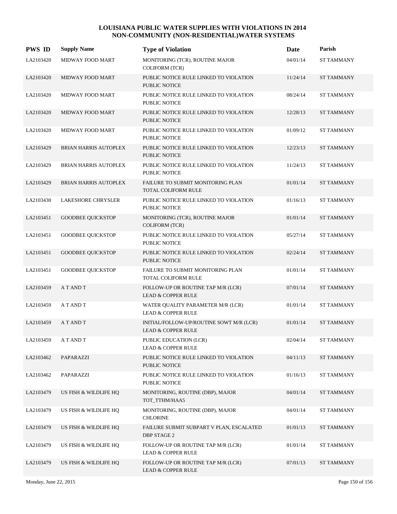| <b>PWS ID</b> | <b>Supply Name</b>           | <b>Type of Violation</b>                                                  | Date     | Parish            |
|---------------|------------------------------|---------------------------------------------------------------------------|----------|-------------------|
| LA2103420     | MIDWAY FOOD MART             | MONITORING (TCR), ROUTINE MAJOR<br>COLIFORM (TCR)                         | 04/01/14 | <b>ST TAMMANY</b> |
| LA2103420     | <b>MIDWAY FOOD MART</b>      | PUBLIC NOTICE RULE LINKED TO VIOLATION<br>PUBLIC NOTICE                   | 11/24/14 | <b>ST TAMMANY</b> |
| LA2103420     | MIDWAY FOOD MART             | PUBLIC NOTICE RULE LINKED TO VIOLATION<br>PUBLIC NOTICE                   | 08/24/14 | <b>ST TAMMANY</b> |
| LA2103420     | <b>MIDWAY FOOD MART</b>      | PUBLIC NOTICE RULE LINKED TO VIOLATION<br>PUBLIC NOTICE                   | 12/28/13 | <b>ST TAMMANY</b> |
| LA2103420     | MIDWAY FOOD MART             | PUBLIC NOTICE RULE LINKED TO VIOLATION<br>PUBLIC NOTICE                   | 01/09/12 | <b>ST TAMMANY</b> |
| LA2103429     | <b>BRIAN HARRIS AUTOPLEX</b> | PUBLIC NOTICE RULE LINKED TO VIOLATION<br>PUBLIC NOTICE                   | 12/23/13 | <b>ST TAMMANY</b> |
| LA2103429     | <b>BRIAN HARRIS AUTOPLEX</b> | PUBLIC NOTICE RULE LINKED TO VIOLATION<br>PUBLIC NOTICE                   | 11/24/13 | <b>ST TAMMANY</b> |
| LA2103429     | <b>BRIAN HARRIS AUTOPLEX</b> | FAILURE TO SUBMIT MONITORING PLAN<br>TOTAL COLIFORM RULE                  | 01/01/14 | <b>ST TAMMANY</b> |
| LA2103430     | <b>LAKESHORE CHRYSLER</b>    | PUBLIC NOTICE RULE LINKED TO VIOLATION<br><b>PUBLIC NOTICE</b>            | 01/16/13 | <b>ST TAMMANY</b> |
| LA2103451     | <b>GOODBEE QUICKSTOP</b>     | MONITORING (TCR), ROUTINE MAJOR<br><b>COLIFORM (TCR)</b>                  | 01/01/14 | <b>ST TAMMANY</b> |
| LA2103451     | <b>GOODBEE QUICKSTOP</b>     | PUBLIC NOTICE RULE LINKED TO VIOLATION<br>PUBLIC NOTICE                   | 05/27/14 | <b>ST TAMMANY</b> |
| LA2103451     | <b>GOODBEE QUICKSTOP</b>     | PUBLIC NOTICE RULE LINKED TO VIOLATION<br><b>PUBLIC NOTICE</b>            | 02/24/14 | <b>ST TAMMANY</b> |
| LA2103451     | <b>GOODBEE QUICKSTOP</b>     | FAILURE TO SUBMIT MONITORING PLAN<br>TOTAL COLIFORM RULE                  | 01/01/14 | <b>ST TAMMANY</b> |
| LA2103459     | A T AND T                    | FOLLOW-UP OR ROUTINE TAP M/R (LCR)<br><b>LEAD &amp; COPPER RULE</b>       | 07/01/14 | <b>ST TAMMANY</b> |
| LA2103459     | A T AND T                    | WATER QUALITY PARAMETER M/R (LCR)<br><b>LEAD &amp; COPPER RULE</b>        | 01/01/14 | <b>ST TAMMANY</b> |
| LA2103459     | A T AND T                    | INITIAL/FOLLOW-UP/ROUTINE SOWT M/R (LCR)<br><b>LEAD &amp; COPPER RULE</b> | 01/01/14 | <b>ST TAMMANY</b> |
| LA2103459     | A T AND T                    | PUBLIC EDUCATION (LCR)<br><b>LEAD &amp; COPPER RULE</b>                   | 02/04/14 | <b>ST TAMMANY</b> |
| LA2103462     | PAPARAZZI                    | PUBLIC NOTICE RULE LINKED TO VIOLATION<br>PUBLIC NOTICE                   | 04/11/13 | <b>ST TAMMANY</b> |
| LA2103462     | PAPARAZZI                    | PUBLIC NOTICE RULE LINKED TO VIOLATION<br>PUBLIC NOTICE                   | 01/16/13 | <b>ST TAMMANY</b> |
| LA2103479     | US FISH & WILDLIFE HQ        | MONITORING, ROUTINE (DBP), MAJOR<br>TOT_TTHM/HAA5                         | 04/01/14 | <b>ST TAMMANY</b> |
| LA2103479     | US FISH & WILDLIFE HQ        | MONITORING, ROUTINE (DBP), MAJOR<br><b>CHLORINE</b>                       | 04/01/14 | <b>ST TAMMANY</b> |
| LA2103479     | US FISH & WILDLIFE HQ        | FAILURE SUBMIT SUBPART V PLAN, ESCALATED<br><b>DBP STAGE 2</b>            | 01/01/13 | <b>ST TAMMANY</b> |
| LA2103479     | US FISH & WILDLIFE HQ        | FOLLOW-UP OR ROUTINE TAP M/R (LCR)<br><b>LEAD &amp; COPPER RULE</b>       | 01/01/14 | ST TAMMANY        |
| LA2103479     | US FISH & WILDLIFE HQ        | FOLLOW-UP OR ROUTINE TAP M/R (LCR)<br><b>LEAD &amp; COPPER RULE</b>       | 07/01/13 | <b>ST TAMMANY</b> |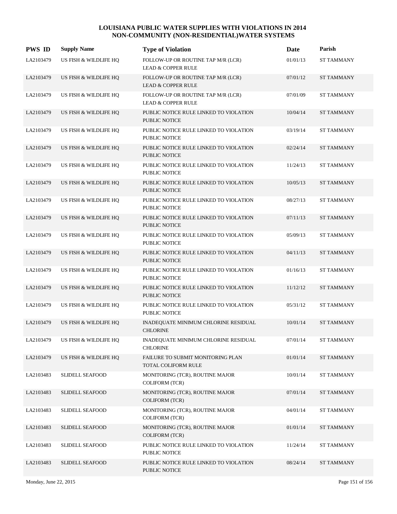| <b>PWS ID</b> | <b>Supply Name</b>     | <b>Type of Violation</b>                                            | Date     | Parish            |
|---------------|------------------------|---------------------------------------------------------------------|----------|-------------------|
| LA2103479     | US FISH & WILDLIFE HQ  | FOLLOW-UP OR ROUTINE TAP M/R (LCR)<br><b>LEAD &amp; COPPER RULE</b> | 01/01/13 | <b>ST TAMMANY</b> |
| LA2103479     | US FISH & WILDLIFE HQ  | FOLLOW-UP OR ROUTINE TAP M/R (LCR)<br><b>LEAD &amp; COPPER RULE</b> | 07/01/12 | <b>ST TAMMANY</b> |
| LA2103479     | US FISH & WILDLIFE HQ  | FOLLOW-UP OR ROUTINE TAP M/R (LCR)<br><b>LEAD &amp; COPPER RULE</b> | 07/01/09 | <b>ST TAMMANY</b> |
| LA2103479     | US FISH & WILDLIFE HQ  | PUBLIC NOTICE RULE LINKED TO VIOLATION<br>PUBLIC NOTICE             | 10/04/14 | <b>ST TAMMANY</b> |
| LA2103479     | US FISH & WILDLIFE HQ  | PUBLIC NOTICE RULE LINKED TO VIOLATION<br>PUBLIC NOTICE             | 03/19/14 | <b>ST TAMMANY</b> |
| LA2103479     | US FISH & WILDLIFE HQ  | PUBLIC NOTICE RULE LINKED TO VIOLATION<br>PUBLIC NOTICE             | 02/24/14 | <b>ST TAMMANY</b> |
| LA2103479     | US FISH & WILDLIFE HQ  | PUBLIC NOTICE RULE LINKED TO VIOLATION<br>PUBLIC NOTICE             | 11/24/13 | <b>ST TAMMANY</b> |
| LA2103479     | US FISH & WILDLIFE HQ  | PUBLIC NOTICE RULE LINKED TO VIOLATION<br>PUBLIC NOTICE             | 10/05/13 | <b>ST TAMMANY</b> |
| LA2103479     | US FISH & WILDLIFE HQ  | PUBLIC NOTICE RULE LINKED TO VIOLATION<br>PUBLIC NOTICE             | 08/27/13 | <b>ST TAMMANY</b> |
| LA2103479     | US FISH & WILDLIFE HQ  | PUBLIC NOTICE RULE LINKED TO VIOLATION<br>PUBLIC NOTICE             | 07/11/13 | <b>ST TAMMANY</b> |
| LA2103479     | US FISH & WILDLIFE HQ  | PUBLIC NOTICE RULE LINKED TO VIOLATION<br>PUBLIC NOTICE             | 05/09/13 | <b>ST TAMMANY</b> |
| LA2103479     | US FISH & WILDLIFE HQ  | PUBLIC NOTICE RULE LINKED TO VIOLATION<br><b>PUBLIC NOTICE</b>      | 04/11/13 | <b>ST TAMMANY</b> |
| LA2103479     | US FISH & WILDLIFE HQ  | PUBLIC NOTICE RULE LINKED TO VIOLATION<br>PUBLIC NOTICE             | 01/16/13 | <b>ST TAMMANY</b> |
| LA2103479     | US FISH & WILDLIFE HQ  | PUBLIC NOTICE RULE LINKED TO VIOLATION<br>PUBLIC NOTICE             | 11/12/12 | <b>ST TAMMANY</b> |
| LA2103479     | US FISH & WILDLIFE HQ  | PUBLIC NOTICE RULE LINKED TO VIOLATION<br>PUBLIC NOTICE             | 05/31/12 | <b>ST TAMMANY</b> |
| LA2103479     | US FISH & WILDLIFE HQ  | INADEQUATE MINIMUM CHLORINE RESIDUAL<br><b>CHLORINE</b>             | 10/01/14 | <b>ST TAMMANY</b> |
| LA2103479     | US FISH & WILDLIFE HQ  | INADEQUATE MINIMUM CHLORINE RESIDUAL<br><b>CHLORINE</b>             | 07/01/14 | ST TAMMANY        |
| LA2103479     | US FISH & WILDLIFE HQ  | FAILURE TO SUBMIT MONITORING PLAN<br>TOTAL COLIFORM RULE            | 01/01/14 | <b>ST TAMMANY</b> |
| LA2103483     | <b>SLIDELL SEAFOOD</b> | MONITORING (TCR), ROUTINE MAJOR<br><b>COLIFORM (TCR)</b>            | 10/01/14 | <b>ST TAMMANY</b> |
| LA2103483     | <b>SLIDELL SEAFOOD</b> | MONITORING (TCR), ROUTINE MAJOR<br><b>COLIFORM (TCR)</b>            | 07/01/14 | <b>ST TAMMANY</b> |
| LA2103483     | <b>SLIDELL SEAFOOD</b> | MONITORING (TCR), ROUTINE MAJOR<br><b>COLIFORM (TCR)</b>            | 04/01/14 | <b>ST TAMMANY</b> |
| LA2103483     | <b>SLIDELL SEAFOOD</b> | MONITORING (TCR), ROUTINE MAJOR<br><b>COLIFORM (TCR)</b>            | 01/01/14 | <b>ST TAMMANY</b> |
| LA2103483     | <b>SLIDELL SEAFOOD</b> | PUBLIC NOTICE RULE LINKED TO VIOLATION<br>PUBLIC NOTICE             | 11/24/14 | ST TAMMANY        |
| LA2103483     | <b>SLIDELL SEAFOOD</b> | PUBLIC NOTICE RULE LINKED TO VIOLATION<br>PUBLIC NOTICE             | 08/24/14 | <b>ST TAMMANY</b> |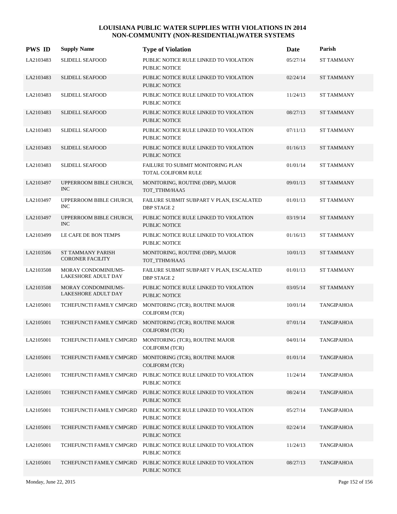| <b>PWS ID</b> | <b>Supply Name</b>                           | <b>Type of Violation</b>                                                          | Date     | Parish            |
|---------------|----------------------------------------------|-----------------------------------------------------------------------------------|----------|-------------------|
| LA2103483     | <b>SLIDELL SEAFOOD</b>                       | PUBLIC NOTICE RULE LINKED TO VIOLATION<br>PUBLIC NOTICE                           | 05/27/14 | <b>ST TAMMANY</b> |
| LA2103483     | <b>SLIDELL SEAFOOD</b>                       | PUBLIC NOTICE RULE LINKED TO VIOLATION<br>PUBLIC NOTICE                           | 02/24/14 | <b>ST TAMMANY</b> |
| LA2103483     | <b>SLIDELL SEAFOOD</b>                       | PUBLIC NOTICE RULE LINKED TO VIOLATION<br>PUBLIC NOTICE                           | 11/24/13 | <b>ST TAMMANY</b> |
| LA2103483     | <b>SLIDELL SEAFOOD</b>                       | PUBLIC NOTICE RULE LINKED TO VIOLATION<br><b>PUBLIC NOTICE</b>                    | 08/27/13 | <b>ST TAMMANY</b> |
| LA2103483     | <b>SLIDELL SEAFOOD</b>                       | PUBLIC NOTICE RULE LINKED TO VIOLATION<br><b>PUBLIC NOTICE</b>                    | 07/11/13 | <b>ST TAMMANY</b> |
| LA2103483     | <b>SLIDELL SEAFOOD</b>                       | PUBLIC NOTICE RULE LINKED TO VIOLATION<br>PUBLIC NOTICE                           | 01/16/13 | <b>ST TAMMANY</b> |
| LA2103483     | <b>SLIDELL SEAFOOD</b>                       | FAILURE TO SUBMIT MONITORING PLAN<br>TOTAL COLIFORM RULE                          | 01/01/14 | <b>ST TAMMANY</b> |
| LA2103497     | UPPERROOM BIBLE CHURCH,<br><b>INC</b>        | MONITORING, ROUTINE (DBP), MAJOR<br>TOT_TTHM/HAA5                                 | 09/01/13 | <b>ST TAMMANY</b> |
| LA2103497     | UPPERROOM BIBLE CHURCH,<br><b>INC</b>        | FAILURE SUBMIT SUBPART V PLAN, ESCALATED<br><b>DBP STAGE 2</b>                    | 01/01/13 | <b>ST TAMMANY</b> |
| LA2103497     | UPPERROOM BIBLE CHURCH,<br><b>INC</b>        | PUBLIC NOTICE RULE LINKED TO VIOLATION<br>PUBLIC NOTICE                           | 03/19/14 | <b>ST TAMMANY</b> |
| LA2103499     | LE CAFE DE BON TEMPS                         | PUBLIC NOTICE RULE LINKED TO VIOLATION<br>PUBLIC NOTICE                           | 01/16/13 | <b>ST TAMMANY</b> |
| LA2103506     | ST TAMMANY PARISH<br><b>CORONER FACILITY</b> | MONITORING, ROUTINE (DBP), MAJOR<br>TOT_TTHM/HAA5                                 | 10/01/13 | <b>ST TAMMANY</b> |
| LA2103508     | MORAY CONDOMINIUMS-<br>LAKESHORE ADULT DAY   | FAILURE SUBMIT SUBPART V PLAN, ESCALATED<br><b>DBP STAGE 2</b>                    | 01/01/13 | <b>ST TAMMANY</b> |
| LA2103508     | MORAY CONDOMINIUMS-<br>LAKESHORE ADULT DAY   | PUBLIC NOTICE RULE LINKED TO VIOLATION<br>PUBLIC NOTICE                           | 03/05/14 | <b>ST TAMMANY</b> |
| LA2105001     | TCHEFUNCTI FAMILY CMPGRD                     | MONITORING (TCR), ROUTINE MAJOR<br><b>COLIFORM (TCR)</b>                          | 10/01/14 | <b>TANGIPAHOA</b> |
| LA2105001     | TCHEFUNCTI FAMILY CMPGRD                     | MONITORING (TCR), ROUTINE MAJOR<br><b>COLIFORM (TCR)</b>                          | 07/01/14 | <b>TANGIPAHOA</b> |
| LA2105001     |                                              | TCHEFUNCTI FAMILY CMPGRD MONITORING (TCR), ROUTINE MAJOR<br><b>COLIFORM (TCR)</b> | 04/01/14 | <b>TANGIPAHOA</b> |
| LA2105001     | TCHEFUNCTI FAMILY CMPGRD                     | MONITORING (TCR), ROUTINE MAJOR<br>COLIFORM (TCR)                                 | 01/01/14 | <b>TANGIPAHOA</b> |
| LA2105001     | TCHEFUNCTI FAMILY CMPGRD                     | PUBLIC NOTICE RULE LINKED TO VIOLATION<br>PUBLIC NOTICE                           | 11/24/14 | TANGIPAHOA        |
| LA2105001     | TCHEFUNCTI FAMILY CMPGRD                     | PUBLIC NOTICE RULE LINKED TO VIOLATION<br>PUBLIC NOTICE                           | 08/24/14 | <b>TANGIPAHOA</b> |
| LA2105001     | TCHEFUNCTI FAMILY CMPGRD                     | PUBLIC NOTICE RULE LINKED TO VIOLATION<br><b>PUBLIC NOTICE</b>                    | 05/27/14 | TANGIPAHOA        |
| LA2105001     | TCHEFUNCTI FAMILY CMPGRD                     | PUBLIC NOTICE RULE LINKED TO VIOLATION<br>PUBLIC NOTICE                           | 02/24/14 | <b>TANGIPAHOA</b> |
| LA2105001     | TCHEFUNCTI FAMILY CMPGRD                     | PUBLIC NOTICE RULE LINKED TO VIOLATION<br><b>PUBLIC NOTICE</b>                    | 11/24/13 | <b>TANGIPAHOA</b> |
| LA2105001     | TCHEFUNCTI FAMILY CMPGRD                     | PUBLIC NOTICE RULE LINKED TO VIOLATION<br>PUBLIC NOTICE                           | 08/27/13 | <b>TANGIPAHOA</b> |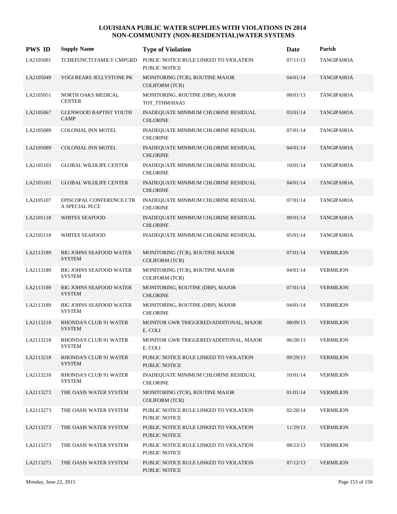| <b>PWS ID</b> | <b>Supply Name</b>                              | <b>Type of Violation</b>                                       | <b>Date</b> | Parish            |
|---------------|-------------------------------------------------|----------------------------------------------------------------|-------------|-------------------|
| LA2105001     | TCHEFUNCTI FAMILY CMPGRD                        | PUBLIC NOTICE RULE LINKED TO VIOLATION<br>PUBLIC NOTICE        | 07/11/13    | <b>TANGIPAHOA</b> |
| LA2105049     | YOGI BEARS JELLYSTONE PK                        | MONITORING (TCR), ROUTINE MAJOR<br><b>COLIFORM (TCR)</b>       | 04/01/14    | <b>TANGIPAHOA</b> |
| LA2105051     | NORTH OAKS MEDICAL<br><b>CENTER</b>             | MONITORING, ROUTINE (DBP), MAJOR<br>TOT_TTHM/HAA5              | 08/01/13    | TANGIPAHOA        |
| LA2105067     | <b>GLENWOOD BAPTIST YOUTH</b><br><b>CAMP</b>    | INADEQUATE MINIMUM CHLORINE RESIDUAL<br><b>CHLORINE</b>        | 03/01/14    | <b>TANGIPAHOA</b> |
| LA2105089     | COLONIAL INN MOTEL                              | INADEQUATE MINIMUM CHLORINE RESIDUAL<br><b>CHLORINE</b>        | 07/01/14    | TANGIPAHOA        |
| LA2105089     | COLONIAL INN MOTEL                              | INADEQUATE MINIMUM CHLORINE RESIDUAL<br><b>CHLORINE</b>        | 04/01/14    | <b>TANGIPAHOA</b> |
| LA2105103     | <b>GLOBAL WILDLIFE CENTER</b>                   | INADEQUATE MINIMUM CHLORINE RESIDUAL<br><b>CHLORINE</b>        | 10/01/14    | TANGIPAHOA        |
| LA2105103     | <b>GLOBAL WILDLIFE CENTER</b>                   | INADEQUATE MINIMUM CHLORINE RESIDUAL<br><b>CHLORINE</b>        | 04/01/14    | <b>TANGIPAHOA</b> |
| LA2105107     | EPISCOPAL CONFERENCE CTR<br>A SPECIAL PLCE      | INADEQUATE MINIMUM CHLORINE RESIDUAL<br><b>CHLORINE</b>        | 07/01/14    | <b>TANGIPAHOA</b> |
| LA2105118     | <b>WHITES SEAFOOD</b>                           | INADEQUATE MINIMUM CHLORINE RESIDUAL<br><b>CHLORINE</b>        | 09/01/14    | <b>TANGIPAHOA</b> |
| LA2105118     | <b>WHITES SEAFOOD</b>                           | INADEQUATE MINIMUM CHLORINE RESIDUAL                           | 05/01/14    | <b>TANGIPAHOA</b> |
| LA2113189     | <b>BIG JOHNS SEAFOOD WATER</b><br><b>SYSTEM</b> | MONITORING (TCR), ROUTINE MAJOR<br><b>COLIFORM (TCR)</b>       | 07/01/14    | <b>VERMILION</b>  |
| LA2113189     | <b>BIG JOHNS SEAFOOD WATER</b><br><b>SYSTEM</b> | MONITORING (TCR), ROUTINE MAJOR<br>COLIFORM (TCR)              | 04/01/14    | <b>VERMILION</b>  |
| LA2113189     | <b>BIG JOHNS SEAFOOD WATER</b><br><b>SYSTEM</b> | MONITORING, ROUTINE (DBP), MAJOR<br><b>CHLORINE</b>            | 07/01/14    | <b>VERMILION</b>  |
| LA2113189     | <b>BIG JOHNS SEAFOOD WATER</b><br><b>SYSTEM</b> | MONITORING, ROUTINE (DBP), MAJOR<br><b>CHLORINE</b>            | 04/01/14    | <b>VERMILION</b>  |
| LA2113218     | RHONDA'S CLUB 91 WATER<br><b>SYSTEM</b>         | MONITOR GWR TRIGGERED/ADDITONAL, MAJOR<br>E. COLI              | 08/09/13    | <b>VERMILION</b>  |
| LA2113218     | RHONDA'S CLUB 91 WATER<br><b>SYSTEM</b>         | MONITOR GWR TRIGGERED/ADDITONAL, MAJOR<br>E. COLI              | 06/28/13    | <b>VERMILION</b>  |
| LA2113218     | RHONDA'S CLUB 91 WATER<br><b>SYSTEM</b>         | PUBLIC NOTICE RULE LINKED TO VIOLATION<br><b>PUBLIC NOTICE</b> | 09/29/13    | <b>VERMILION</b>  |
| LA2113218     | <b>RHONDA'S CLUB 91 WATER</b><br><b>SYSTEM</b>  | INADEQUATE MINIMUM CHLORINE RESIDUAL<br><b>CHLORINE</b>        | 10/01/14    | <b>VERMILION</b>  |
| LA2113273     | THE OASIS WATER SYSTEM                          | MONITORING (TCR), ROUTINE MAJOR<br><b>COLIFORM (TCR)</b>       | 01/01/14    | <b>VERMILION</b>  |
| LA2113273     | THE OASIS WATER SYSTEM                          | PUBLIC NOTICE RULE LINKED TO VIOLATION<br>PUBLIC NOTICE        | 02/28/14    | <b>VERMILION</b>  |
| LA2113273     | THE OASIS WATER SYSTEM                          | PUBLIC NOTICE RULE LINKED TO VIOLATION<br><b>PUBLIC NOTICE</b> | 11/29/13    | <b>VERMILION</b>  |
| LA2113273     | THE OASIS WATER SYSTEM                          | PUBLIC NOTICE RULE LINKED TO VIOLATION<br>PUBLIC NOTICE        | 08/23/13    | <b>VERMILION</b>  |
| LA2113273     | THE OASIS WATER SYSTEM                          | PUBLIC NOTICE RULE LINKED TO VIOLATION<br>PUBLIC NOTICE        | 07/12/13    | <b>VERMILION</b>  |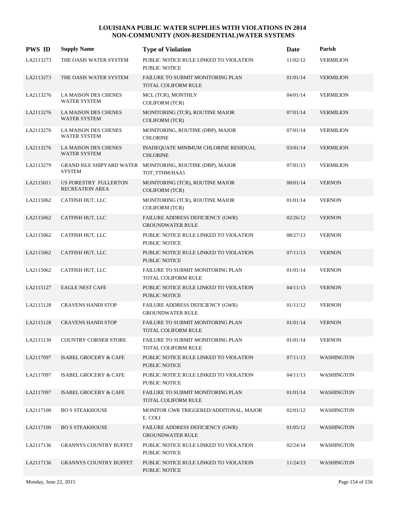| <b>PWS ID</b> | <b>Supply Name</b>                                | <b>Type of Violation</b>                                        | Date     | Parish            |
|---------------|---------------------------------------------------|-----------------------------------------------------------------|----------|-------------------|
| LA2113273     | THE OASIS WATER SYSTEM                            | PUBLIC NOTICE RULE LINKED TO VIOLATION<br><b>PUBLIC NOTICE</b>  | 11/02/12 | <b>VERMILION</b>  |
| LA2113273     | THE OASIS WATER SYSTEM                            | FAILURE TO SUBMIT MONITORING PLAN<br><b>TOTAL COLIFORM RULE</b> | 01/01/14 | <b>VERMILION</b>  |
| LA2113276     | LA MAISON DES CHENES<br><b>WATER SYSTEM</b>       | MCL (TCR), MONTHLY<br><b>COLIFORM (TCR)</b>                     | 04/01/14 | <b>VERMILION</b>  |
| LA2113276     | LA MAISON DES CHENES<br>WATER SYSTEM              | MONITORING (TCR), ROUTINE MAJOR<br><b>COLIFORM (TCR)</b>        | 07/01/14 | <b>VERMILION</b>  |
| LA2113276     | LA MAISON DES CHENES<br>WATER SYSTEM              | MONITORING, ROUTINE (DBP), MAJOR<br><b>CHLORINE</b>             | 07/01/14 | <b>VERMILION</b>  |
| LA2113276     | LA MAISON DES CHENES<br>WATER SYSTEM              | INADEQUATE MINIMUM CHLORINE RESIDUAL<br><b>CHLORINE</b>         | 03/01/14 | <b>VERMILION</b>  |
| LA2113279     | <b>GRAND ISLE SHIPYARD WATER</b><br><b>SYSTEM</b> | MONITORING, ROUTINE (DBP), MAJOR<br>TOT_TTHM/HAA5               | 07/01/13 | <b>VERMILION</b>  |
| LA2115011     | US FORESTRY FULLERTON<br><b>RECREATION AREA</b>   | MONITORING (TCR), ROUTINE MAJOR<br><b>COLIFORM (TCR)</b>        | 08/01/14 | <b>VERNON</b>     |
| LA2115062     | CATFISH HUT, LLC                                  | MONITORING (TCR), ROUTINE MAJOR<br><b>COLIFORM (TCR)</b>        | 01/01/14 | <b>VERNON</b>     |
| LA2115062     | CATFISH HUT, LLC                                  | FAILURE ADDRESS DEFICIENCY (GWR)<br><b>GROUNDWATER RULE</b>     | 02/26/12 | <b>VERNON</b>     |
| LA2115062     | CATFISH HUT, LLC                                  | PUBLIC NOTICE RULE LINKED TO VIOLATION<br>PUBLIC NOTICE         | 08/27/13 | <b>VERNON</b>     |
| LA2115062     | CATFISH HUT, LLC                                  | PUBLIC NOTICE RULE LINKED TO VIOLATION<br><b>PUBLIC NOTICE</b>  | 07/11/13 | <b>VERNON</b>     |
| LA2115062     | CATFISH HUT, LLC                                  | FAILURE TO SUBMIT MONITORING PLAN<br>TOTAL COLIFORM RULE        | 01/01/14 | <b>VERNON</b>     |
| LA2115127     | <b>EAGLE NEST CAFE</b>                            | PUBLIC NOTICE RULE LINKED TO VIOLATION<br><b>PUBLIC NOTICE</b>  | 04/11/13 | <b>VERNON</b>     |
| LA2115128     | <b>CRAVENS HANDI STOP</b>                         | FAILURE ADDRESS DEFICIENCY (GWR)<br><b>GROUNDWATER RULE</b>     | 01/11/12 | <b>VERNON</b>     |
| LA2115128     | <b>CRAVENS HANDI STOP</b>                         | <b>FAILURE TO SUBMIT MONITORING PLAN</b><br>TOTAL COLIFORM RULE | 01/01/14 | <b>VERNON</b>     |
| LA2115130     | <b>COUNTRY CORNER STORE</b>                       | FAILURE TO SUBMIT MONITORING PLAN<br>TOTAL COLIFORM RULE        | 01/01/14 | <b>VERNON</b>     |
| LA2117097     | <b>ISABEL GROCERY &amp; CAFE</b>                  | PUBLIC NOTICE RULE LINKED TO VIOLATION<br>PUBLIC NOTICE         | 07/11/13 | <b>WASHINGTON</b> |
| LA2117097     | ISABEL GROCERY & CAFE                             | PUBLIC NOTICE RULE LINKED TO VIOLATION<br><b>PUBLIC NOTICE</b>  | 04/11/13 | <b>WASHINGTON</b> |
| LA2117097     | <b>ISABEL GROCERY &amp; CAFE</b>                  | <b>FAILURE TO SUBMIT MONITORING PLAN</b><br>TOTAL COLIFORM RULE | 01/01/14 | <b>WASHINGTON</b> |
| LA2117100     | <b>BO S STEAKHOUSE</b>                            | MONITOR GWR TRIGGERED/ADDITONAL, MAJOR<br>E. COLI               | 02/01/12 | <b>WASHINGTON</b> |
| LA2117100     | <b>BO S STEAKHOUSE</b>                            | FAILURE ADDRESS DEFICIENCY (GWR)<br><b>GROUNDWATER RULE</b>     | 01/05/12 | <b>WASHINGTON</b> |
| LA2117136     | <b>GRANNYS COUNTRY BUFFET</b>                     | PUBLIC NOTICE RULE LINKED TO VIOLATION<br><b>PUBLIC NOTICE</b>  | 02/24/14 | <b>WASHINGTON</b> |
| LA2117136     | <b>GRANNYS COUNTRY BUFFET</b>                     | PUBLIC NOTICE RULE LINKED TO VIOLATION<br>PUBLIC NOTICE         | 11/24/13 | <b>WASHINGTON</b> |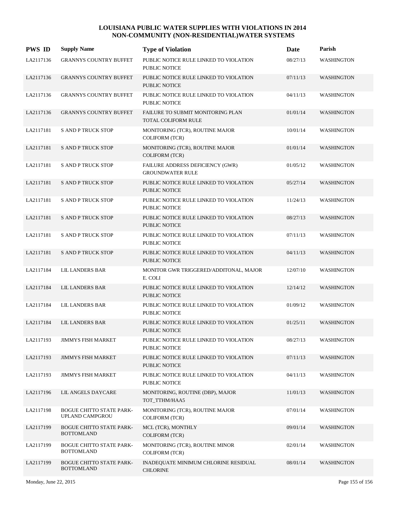| <b>PWS ID</b> | <b>Supply Name</b>                                   | <b>Type of Violation</b>                                       | Date     | Parish            |
|---------------|------------------------------------------------------|----------------------------------------------------------------|----------|-------------------|
| LA2117136     | <b>GRANNYS COUNTRY BUFFET</b>                        | PUBLIC NOTICE RULE LINKED TO VIOLATION<br>PUBLIC NOTICE        | 08/27/13 | <b>WASHINGTON</b> |
| LA2117136     | <b>GRANNYS COUNTRY BUFFET</b>                        | PUBLIC NOTICE RULE LINKED TO VIOLATION<br>PUBLIC NOTICE        | 07/11/13 | <b>WASHINGTON</b> |
| LA2117136     | <b>GRANNYS COUNTRY BUFFET</b>                        | PUBLIC NOTICE RULE LINKED TO VIOLATION<br>PUBLIC NOTICE        | 04/11/13 | <b>WASHINGTON</b> |
| LA2117136     | <b>GRANNYS COUNTRY BUFFET</b>                        | FAILURE TO SUBMIT MONITORING PLAN<br>TOTAL COLIFORM RULE       | 01/01/14 | <b>WASHINGTON</b> |
| LA2117181     | <b>S AND P TRUCK STOP</b>                            | MONITORING (TCR), ROUTINE MAJOR<br>COLIFORM (TCR)              | 10/01/14 | <b>WASHINGTON</b> |
| LA2117181     | <b>S AND P TRUCK STOP</b>                            | MONITORING (TCR), ROUTINE MAJOR<br><b>COLIFORM (TCR)</b>       | 01/01/14 | <b>WASHINGTON</b> |
| LA2117181     | <b>S AND P TRUCK STOP</b>                            | FAILURE ADDRESS DEFICIENCY (GWR)<br><b>GROUNDWATER RULE</b>    | 01/05/12 | <b>WASHINGTON</b> |
| LA2117181     | <b>S AND P TRUCK STOP</b>                            | PUBLIC NOTICE RULE LINKED TO VIOLATION<br><b>PUBLIC NOTICE</b> | 05/27/14 | <b>WASHINGTON</b> |
| LA2117181     | <b>S AND P TRUCK STOP</b>                            | PUBLIC NOTICE RULE LINKED TO VIOLATION<br>PUBLIC NOTICE        | 11/24/13 | <b>WASHINGTON</b> |
| LA2117181     | <b>S AND P TRUCK STOP</b>                            | PUBLIC NOTICE RULE LINKED TO VIOLATION<br><b>PUBLIC NOTICE</b> | 08/27/13 | <b>WASHINGTON</b> |
| LA2117181     | <b>S AND P TRUCK STOP</b>                            | PUBLIC NOTICE RULE LINKED TO VIOLATION<br>PUBLIC NOTICE        | 07/11/13 | <b>WASHINGTON</b> |
| LA2117181     | <b>S AND P TRUCK STOP</b>                            | PUBLIC NOTICE RULE LINKED TO VIOLATION<br>PUBLIC NOTICE        | 04/11/13 | <b>WASHINGTON</b> |
| LA2117184     | <b>LIL LANDERS BAR</b>                               | MONITOR GWR TRIGGERED/ADDITONAL, MAJOR<br>E. COLI              | 12/07/10 | <b>WASHINGTON</b> |
| LA2117184     | <b>LIL LANDERS BAR</b>                               | PUBLIC NOTICE RULE LINKED TO VIOLATION<br>PUBLIC NOTICE        | 12/14/12 | <b>WASHINGTON</b> |
| LA2117184     | <b>LIL LANDERS BAR</b>                               | PUBLIC NOTICE RULE LINKED TO VIOLATION<br>PUBLIC NOTICE        | 01/09/12 | <b>WASHINGTON</b> |
| LA2117184     | <b>LIL LANDERS BAR</b>                               | PUBLIC NOTICE RULE LINKED TO VIOLATION<br>PUBLIC NOTICE        | 01/25/11 | <b>WASHINGTON</b> |
| LA2117193     | <b>JIMMYS FISH MARKET</b>                            | PUBLIC NOTICE RULE LINKED TO VIOLATION<br>PUBLIC NOTICE        | 08/27/13 | WASHINGTON        |
| LA2117193     | <b>JIMMYS FISH MARKET</b>                            | PUBLIC NOTICE RULE LINKED TO VIOLATION<br>PUBLIC NOTICE        | 07/11/13 | <b>WASHINGTON</b> |
| LA2117193     | <b>JIMMYS FISH MARKET</b>                            | PUBLIC NOTICE RULE LINKED TO VIOLATION<br>PUBLIC NOTICE        | 04/11/13 | <b>WASHINGTON</b> |
| LA2117196     | LIL ANGELS DAYCARE                                   | MONITORING, ROUTINE (DBP), MAJOR<br>TOT TTHM/HAA5              | 11/01/13 | <b>WASHINGTON</b> |
| LA2117198     | <b>BOGUE CHITTO STATE PARK-</b><br>UPLAND CAMPGROU   | MONITORING (TCR), ROUTINE MAJOR<br><b>COLIFORM (TCR)</b>       | 07/01/14 | <b>WASHINGTON</b> |
| LA2117199     | <b>BOGUE CHITTO STATE PARK-</b><br><b>BOTTOMLAND</b> | MCL (TCR), MONTHLY<br><b>COLIFORM (TCR)</b>                    | 09/01/14 | <b>WASHINGTON</b> |
| LA2117199     | <b>BOGUE CHITTO STATE PARK-</b><br><b>BOTTOMLAND</b> | MONITORING (TCR), ROUTINE MINOR<br><b>COLIFORM (TCR)</b>       | 02/01/14 | <b>WASHINGTON</b> |
| LA2117199     | <b>BOGUE CHITTO STATE PARK-</b><br><b>BOTTOMLAND</b> | INADEQUATE MINIMUM CHLORINE RESIDUAL<br><b>CHLORINE</b>        | 08/01/14 | <b>WASHINGTON</b> |